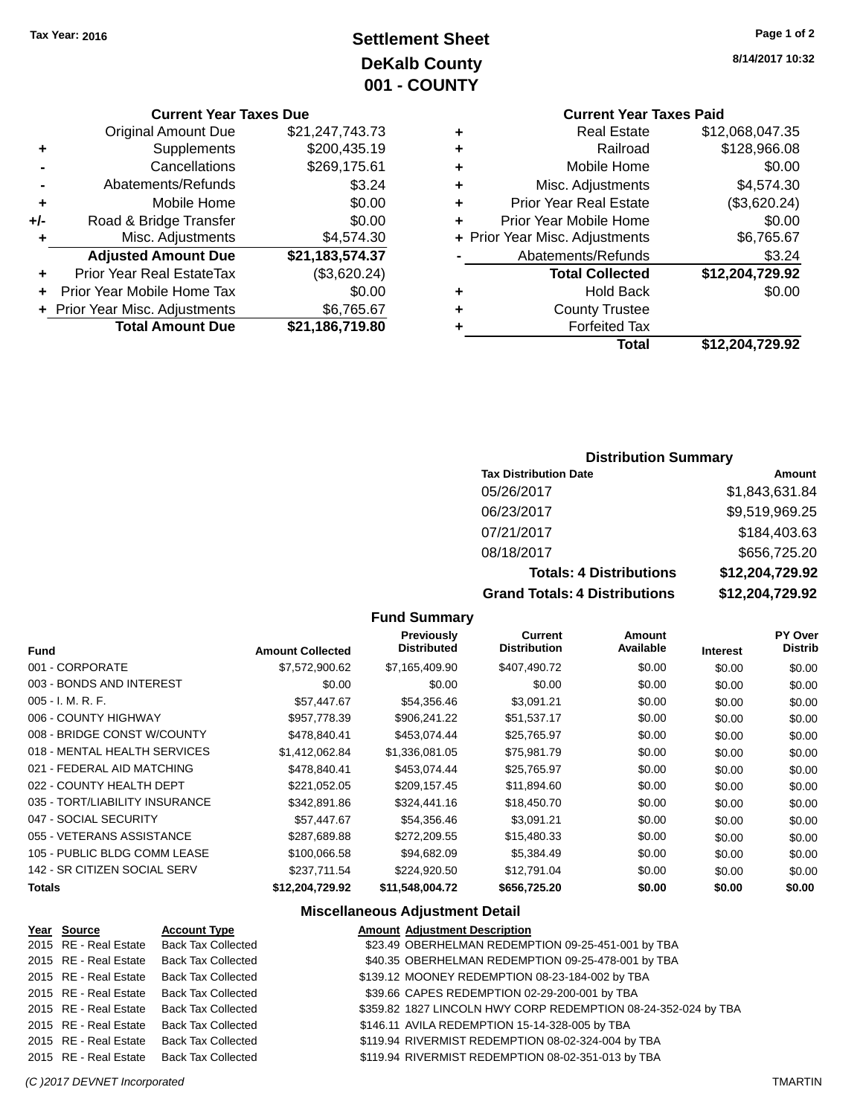# **Settlement Sheet Tax Year: 2016 Page 1 of 2 DeKalb County 001 - COUNTY**

## **Current Year Taxes Due**

| <b>Original Amount Due</b> | \$21,247,743.73                |
|----------------------------|--------------------------------|
| Supplements                | \$200,435.19                   |
| Cancellations              | \$269,175.61                   |
| Abatements/Refunds         | \$3.24                         |
| Mobile Home                | \$0.00                         |
| Road & Bridge Transfer     | \$0.00                         |
| Misc. Adjustments          | \$4,574.30                     |
| <b>Adjusted Amount Due</b> | \$21,183,574.37                |
| Prior Year Real EstateTax  | (\$3,620.24)                   |
| Prior Year Mobile Home Tax | \$0.00                         |
|                            | \$6,765.67                     |
| <b>Total Amount Due</b>    | \$21,186,719.80                |
|                            | + Prior Year Misc. Adjustments |

**8/14/2017 10:32**

# **Current Year Taxes Paid**

| ٠ | <b>Real Estate</b>             | \$12,068,047.35 |
|---|--------------------------------|-----------------|
| ٠ | Railroad                       | \$128,966.08    |
| ٠ | Mobile Home                    | \$0.00          |
| ٠ | Misc. Adjustments              | \$4,574.30      |
| ٠ | <b>Prior Year Real Estate</b>  | (\$3,620.24)    |
| ٠ | Prior Year Mobile Home         | \$0.00          |
|   | + Prior Year Misc. Adjustments | \$6,765.67      |
|   | Abatements/Refunds             | \$3.24          |
|   | <b>Total Collected</b>         | \$12,204,729.92 |
| ٠ | <b>Hold Back</b>               | \$0.00          |
| ٠ | <b>County Trustee</b>          |                 |
| ٠ | <b>Forfeited Tax</b>           |                 |
|   | Total                          | \$12,204,729.92 |
|   |                                |                 |

## **Distribution Summary**

| <b>Tax Distribution Date</b>         | Amount          |
|--------------------------------------|-----------------|
| 05/26/2017                           | \$1,843,631.84  |
| 06/23/2017                           | \$9,519,969.25  |
| 07/21/2017                           | \$184,403.63    |
| 08/18/2017                           | \$656,725.20    |
| <b>Totals: 4 Distributions</b>       | \$12,204,729.92 |
| <b>Grand Totals: 4 Distributions</b> | \$12,204,729.92 |

## **Fund Summary**

| <b>Fund</b>                    | <b>Amount Collected</b> | <b>Previously</b><br><b>Distributed</b> | Current<br><b>Distribution</b> | Amount<br>Available | <b>Interest</b> | <b>PY Over</b><br><b>Distrib</b> |
|--------------------------------|-------------------------|-----------------------------------------|--------------------------------|---------------------|-----------------|----------------------------------|
| 001 - CORPORATE                | \$7,572,900.62          | \$7,165,409.90                          | \$407,490.72                   | \$0.00              | \$0.00          | \$0.00                           |
| 003 - BONDS AND INTEREST       | \$0.00                  | \$0.00                                  | \$0.00                         | \$0.00              | \$0.00          | \$0.00                           |
| $005 - I. M. R. F.$            | \$57,447.67             | \$54,356.46                             | \$3,091.21                     | \$0.00              | \$0.00          | \$0.00                           |
| 006 - COUNTY HIGHWAY           | \$957,778.39            | \$906.241.22                            | \$51,537.17                    | \$0.00              | \$0.00          | \$0.00                           |
| 008 - BRIDGE CONST W/COUNTY    | \$478.840.41            | \$453.074.44                            | \$25,765.97                    | \$0.00              | \$0.00          | \$0.00                           |
| 018 - MENTAL HEALTH SERVICES   | \$1.412.062.84          | \$1,336,081.05                          | \$75,981.79                    | \$0.00              | \$0.00          | \$0.00                           |
| 021 - FEDERAL AID MATCHING     | \$478.840.41            | \$453.074.44                            | \$25,765.97                    | \$0.00              | \$0.00          | \$0.00                           |
| 022 - COUNTY HEALTH DEPT       | \$221,052.05            | \$209,157.45                            | \$11,894.60                    | \$0.00              | \$0.00          | \$0.00                           |
| 035 - TORT/LIABILITY INSURANCE | \$342,891.86            | \$324,441.16                            | \$18,450.70                    | \$0.00              | \$0.00          | \$0.00                           |
| 047 - SOCIAL SECURITY          | \$57,447.67             | \$54,356.46                             | \$3,091.21                     | \$0.00              | \$0.00          | \$0.00                           |
| 055 - VETERANS ASSISTANCE      | \$287.689.88            | \$272.209.55                            | \$15,480.33                    | \$0.00              | \$0.00          | \$0.00                           |
| 105 - PUBLIC BLDG COMM LEASE   | \$100,066.58            | \$94.682.09                             | \$5,384.49                     | \$0.00              | \$0.00          | \$0.00                           |
| 142 - SR CITIZEN SOCIAL SERV   | \$237.711.54            | \$224,920.50                            | \$12.791.04                    | \$0.00              | \$0.00          | \$0.00                           |
| Totals                         | \$12,204,729.92         | \$11,548,004.72                         | \$656,725.20                   | \$0.00              | \$0.00          | \$0.00                           |

| Year Source           | <b>Account Type</b>                      | <b>Amount Adjustment Description</b>                           |
|-----------------------|------------------------------------------|----------------------------------------------------------------|
|                       | 2015 RE - Real Estate Back Tax Collected | \$23.49 OBERHELMAN REDEMPTION 09-25-451-001 by TBA             |
|                       | 2015 RE - Real Estate Back Tax Collected | \$40.35 OBERHELMAN REDEMPTION 09-25-478-001 by TBA             |
|                       | 2015 RE - Real Estate Back Tax Collected | \$139.12 MOONEY REDEMPTION 08-23-184-002 by TBA                |
|                       | 2015 RE - Real Estate Back Tax Collected | \$39.66 CAPES REDEMPTION 02-29-200-001 by TBA                  |
|                       | 2015 RE - Real Estate Back Tax Collected | \$359.82 1827 LINCOLN HWY CORP REDEMPTION 08-24-352-024 by TBA |
| 2015 RE - Real Estate | <b>Back Tax Collected</b>                | \$146.11 AVILA REDEMPTION 15-14-328-005 by TBA                 |
|                       | 2015 RE - Real Estate Back Tax Collected | \$119.94 RIVERMIST REDEMPTION 08-02-324-004 by TBA             |
|                       | 2015 RE - Real Estate Back Tax Collected | \$119.94 RIVERMIST REDEMPTION 08-02-351-013 by TBA             |
|                       |                                          |                                                                |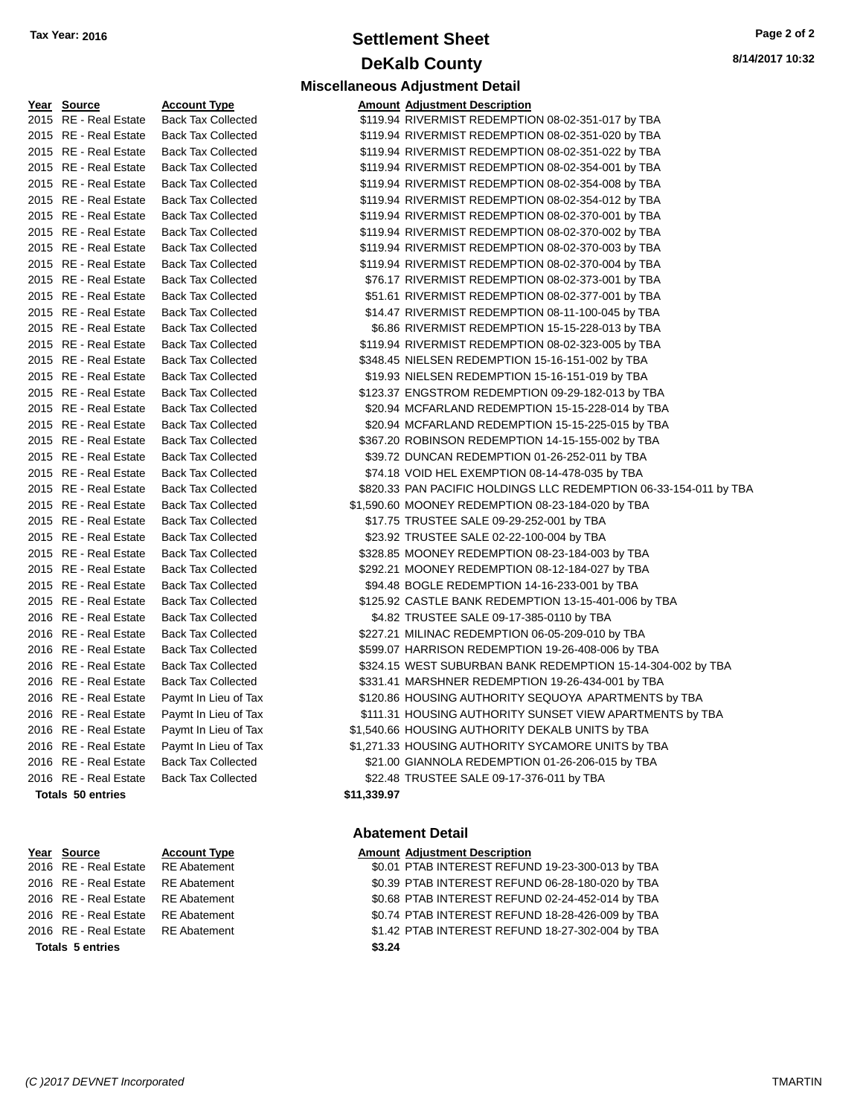# **Settlement Sheet Tax Year: 2016 Page 2 of 2 DeKalb County**

**Miscellaneous Adjustment Detail**

**8/14/2017 10:32**

#### **Year Source Account Type** 2015 RE - Real Estate Back Tax Collected 2015 RE - Real Estate Back Tax Collected 2015 RE - Real Estate Back Tax Collected 2015 RE - Real Estate Back Tax Collected 2015 RE - Real Estate Back Tax Collected 2015 RE - Real Estate Back Tax Collected 2015 RE - Real Estate Back Tax Collected 2015 RE - Real Estate Back Tax Collected 2015 RE - Real Estate Back Tax Collected 2015 RE - Real Estate Back Tax Collected 2015 RE - Real Estate Back Tax Collected 2015 RE - Real Estate Back Tax Collected 2015 RE - Real Estate Back Tax Collected 2015 RE - Real Estate Back Tax Collected 2015 RE - Real Estate Back Tax Collected 2015 RE - Real Estate Back Tax Collected 2015 RE - Real Estate Back Tax Collected 2015 RE - Real Estate Back Tax Collected 2015 RE - Real Estate Back Tax Collected 2015 RE - Real Estate Back Tax Collected 2015 RE - Real Estate Back Tax Collected 2015 RE - Real Estate Back Tax Collected 2015 RE - Real Estate Back Tax Collected 2015 RE - Real Estate Back Tax Collected 2015 RE - Real Estate Back Tax Collected 2015 RE - Real Estate Back Tax Collected 2015 RE - Real Estate Back Tax Collected 2015 RE - Real Estate Back Tax Collected 2015 RE - Real Estate Back Tax Collected 2015 RE - Real Estate Back Tax Collected 2015 RE - Real Estate Back Tax Collected 2016 RE - Real Estate Back Tax Collected 2016 RE - Real Estate Back Tax Collected 2016 RE - Real Estate Back Tax Collected 2016 RE - Real Estate Back Tax Collected 2016 RE - Real Estate Back Tax Collected 2016 RE - Real Estate Paymt In Lieu of Tax 2016 RE - Real Estate Paymt In Lieu of Tax 2016 RE - Real Estate Paymt In Lieu of Tax 2016 RE - Real Estate Paymt In Lieu of Tax 2016 RE - Real Estate Back Tax Collected 2016 RE - Real Estate Back Tax Collected **Totals 50 entries \$11,339.97**

**Totals 5 entries \$3.24**

| <b>Amount Adjustment Description</b>                              |
|-------------------------------------------------------------------|
| \$119.94 RIVERMIST REDEMPTION 08-02-351-017 by TBA                |
| \$119.94 RIVERMIST REDEMPTION 08-02-351-020 by TBA                |
| \$119.94 RIVERMIST REDEMPTION 08-02-351-022 by TBA                |
| \$119.94 RIVERMIST REDEMPTION 08-02-354-001 by TBA                |
| \$119.94 RIVERMIST REDEMPTION 08-02-354-008 by TBA                |
| \$119.94 RIVERMIST REDEMPTION 08-02-354-012 by TBA                |
| \$119.94 RIVERMIST REDEMPTION 08-02-370-001 by TBA                |
| \$119.94 RIVERMIST REDEMPTION 08-02-370-002 by TBA                |
| \$119.94 RIVERMIST REDEMPTION 08-02-370-003 by TBA                |
| \$119.94 RIVERMIST REDEMPTION 08-02-370-004 by TBA                |
| \$76.17 RIVERMIST REDEMPTION 08-02-373-001 by TBA                 |
| \$51.61 RIVERMIST REDEMPTION 08-02-377-001 by TBA                 |
| \$14.47 RIVERMIST REDEMPTION 08-11-100-045 by TBA                 |
| \$6.86 RIVERMIST REDEMPTION 15-15-228-013 by TBA                  |
| \$119.94 RIVERMIST REDEMPTION 08-02-323-005 by TBA                |
| \$348.45 NIELSEN REDEMPTION 15-16-151-002 by TBA                  |
| \$19.93 NIELSEN REDEMPTION 15-16-151-019 by TBA                   |
| \$123.37 ENGSTROM REDEMPTION 09-29-182-013 by TBA                 |
| \$20.94 MCFARLAND REDEMPTION 15-15-228-014 by TBA                 |
| \$20.94 MCFARLAND REDEMPTION 15-15-225-015 by TBA                 |
| \$367.20 ROBINSON REDEMPTION 14-15-155-002 by TBA                 |
| \$39.72 DUNCAN REDEMPTION 01-26-252-011 by TBA                    |
| \$74.18 VOID HEL EXEMPTION 08-14-478-035 by TBA                   |
| \$820.33 PAN PACIFIC HOLDINGS LLC REDEMPTION 06-33-154-011 by TBA |
| \$1,590.60 MOONEY REDEMPTION 08-23-184-020 by TBA                 |
| \$17.75 TRUSTEE SALE 09-29-252-001 by TBA                         |
| \$23.92 TRUSTEE SALE 02-22-100-004 by TBA                         |
| \$328.85 MOONEY REDEMPTION 08-23-184-003 by TBA                   |
| \$292.21 MOONEY REDEMPTION 08-12-184-027 by TBA                   |
| \$94.48 BOGLE REDEMPTION 14-16-233-001 by TBA                     |
| \$125.92 CASTLE BANK REDEMPTION 13-15-401-006 by TBA              |
| \$4.82 TRUSTEE SALE 09-17-385-0110 by TBA                         |
| \$227.21 MILINAC REDEMPTION 06-05-209-010 by TBA                  |
| \$599.07 HARRISON REDEMPTION 19-26-408-006 by TBA                 |
| \$324.15 WEST SUBURBAN BANK REDEMPTION 15-14-304-002 by TBA       |
| \$331.41 MARSHNER REDEMPTION 19-26-434-001 by TBA                 |
| \$120.86 HOUSING AUTHORITY SEQUOYA APARTMENTS by TBA              |
| \$111.31 HOUSING AUTHORITY SUNSET VIEW APARTMENTS by TBA          |
| \$1,540.66 HOUSING AUTHORITY DEKALB UNITS by TBA                  |
| \$1,271.33 HOUSING AUTHORITY SYCAMORE UNITS by TBA                |
| \$21.00 GIANNOLA REDEMPTION 01-26-206-015 by TBA                  |
| \$22.48 TRUSTEE SALE 09-17-376-011 by TBA                         |

#### **Abatement Detail**

#### **Year Source Account Type Amount Adjustment Description**

2016 RE - Real Estate RE Abatement \$0.01 PTAB INTEREST REFUND 19-23-300-013 by TBA 2016 RE - Real Estate RE Abatement \$0.39 PTAB INTEREST REFUND 06-28-180-020 by TBA 2016 RE - Real Estate RE Abatement \$0.68 PTAB INTEREST REFUND 02-24-452-014 by TBA 2016 RE - Real Estate RE Abatement \$0.74 PTAB INTEREST REFUND 18-28-426-009 by TBA 2016 RE - Real Estate RE Abatement \$1.42 PTAB INTEREST REFUND 18-27-302-004 by TBA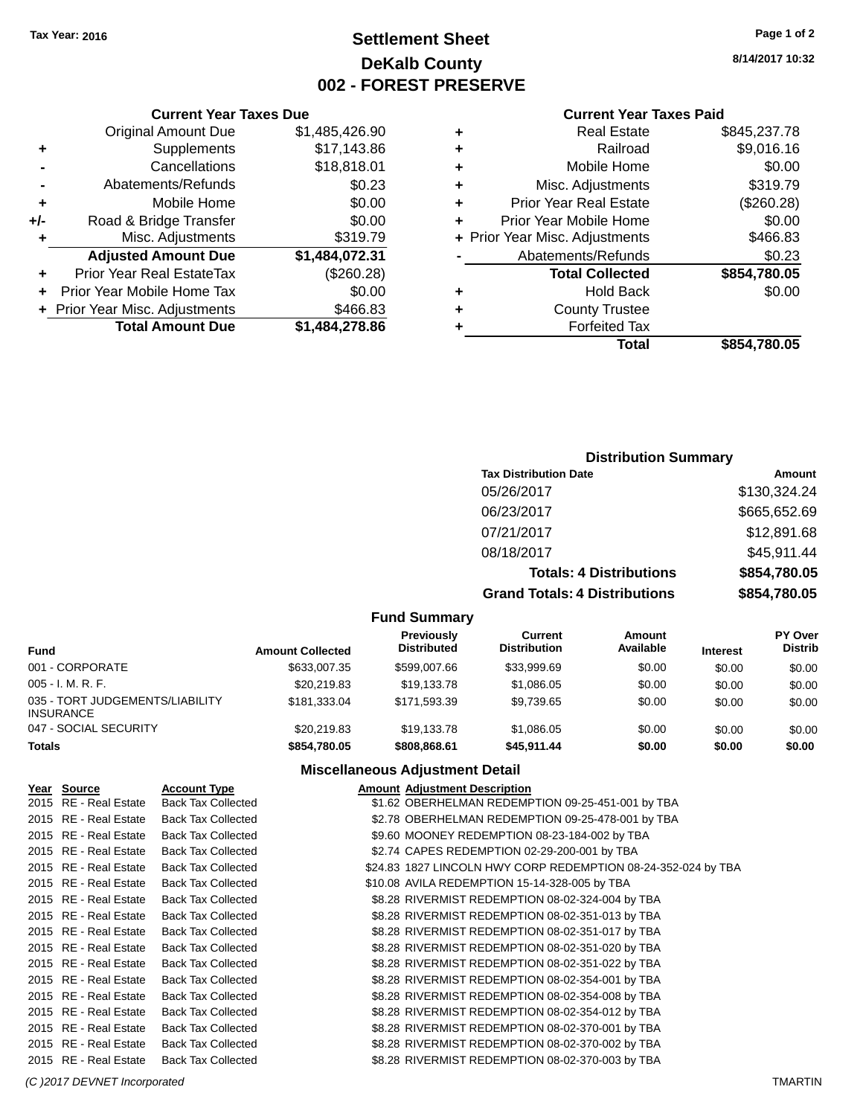# **Settlement Sheet Tax Year: 2016 Page 1 of 2 DeKalb County 002 - FOREST PRESERVE**

**8/14/2017 10:32**

#### **Current Year Taxes Paid**

| ٠ | <b>Real Estate</b>             | \$845,237.78 |
|---|--------------------------------|--------------|
| ٠ | Railroad                       | \$9,016.16   |
| ٠ | Mobile Home                    | \$0.00       |
| ٠ | Misc. Adjustments              | \$319.79     |
| ٠ | <b>Prior Year Real Estate</b>  | (\$260.28)   |
| ٠ | Prior Year Mobile Home         | \$0.00       |
|   | + Prior Year Misc. Adjustments | \$466.83     |
|   | Abatements/Refunds             | \$0.23       |
|   | <b>Total Collected</b>         | \$854,780.05 |
| ٠ | Hold Back                      | \$0.00       |
| ٠ | <b>County Trustee</b>          |              |
|   | <b>Forfeited Tax</b>           |              |
|   | Total                          | \$854.780.05 |

## **Current Year Taxes Due** Original Amount Due \$1,485,426.90<br>Supplements \$17,143.86 **+** Supplements **-** Cancellations \$18,818.01 **-** Abatements/Refunds \$0.23 **+** Mobile Home \$0.00 **+/-** Road & Bridge Transfer \$0.00

| \$1,484,278.86 |                                |    |
|----------------|--------------------------------|----|
| \$466.83       | + Prior Year Misc. Adjustments |    |
| \$0.00         | + Prior Year Mobile Home Tax   |    |
| (\$260.28)     | Prior Year Real EstateTax      | ÷. |
| \$1,484,072.31 |                                |    |
| \$319.79       |                                | ٠  |
|                |                                |    |

## **Distribution Summary**

| <b>Tax Distribution Date</b>         | Amount       |
|--------------------------------------|--------------|
| 05/26/2017                           | \$130,324.24 |
| 06/23/2017                           | \$665,652.69 |
| 07/21/2017                           | \$12,891.68  |
| 08/18/2017                           | \$45,911.44  |
| <b>Totals: 4 Distributions</b>       | \$854,780.05 |
| <b>Grand Totals: 4 Distributions</b> | \$854,780.05 |

#### **Fund Summary**

| Fund                                                | <b>Amount Collected</b> | <b>Previously</b><br><b>Distributed</b> | Current<br><b>Distribution</b> | Amount<br>Available | <b>Interest</b> | <b>PY Over</b><br><b>Distrib</b> |
|-----------------------------------------------------|-------------------------|-----------------------------------------|--------------------------------|---------------------|-----------------|----------------------------------|
| 001 - CORPORATE                                     | \$633,007.35            | \$599,007.66                            | \$33,999.69                    | \$0.00              | \$0.00          | \$0.00                           |
| $005 - I. M. R. F.$                                 | \$20,219.83             | \$19.133.78                             | \$1,086.05                     | \$0.00              | \$0.00          | \$0.00                           |
| 035 - TORT JUDGEMENTS/LIABILITY<br><b>INSURANCE</b> | \$181.333.04            | \$171.593.39                            | \$9.739.65                     | \$0.00              | \$0.00          | \$0.00                           |
| 047 - SOCIAL SECURITY                               | \$20,219.83             | \$19,133.78                             | \$1.086.05                     | \$0.00              | \$0.00          | \$0.00                           |
| <b>Totals</b>                                       | \$854,780.05            | \$808,868.61                            | \$45.911.44                    | \$0.00              | \$0.00          | \$0.00                           |

| Year Source           | <b>Account Type</b>       | <b>Amount Adjustment Description</b>                          |
|-----------------------|---------------------------|---------------------------------------------------------------|
| 2015 RE - Real Estate | <b>Back Tax Collected</b> | \$1.62 OBERHELMAN REDEMPTION 09-25-451-001 by TBA             |
| 2015 RE - Real Estate | <b>Back Tax Collected</b> | \$2.78 OBERHELMAN REDEMPTION 09-25-478-001 by TBA             |
| 2015 RE - Real Estate | <b>Back Tax Collected</b> | \$9.60 MOONEY REDEMPTION 08-23-184-002 by TBA                 |
| 2015 RE - Real Estate | <b>Back Tax Collected</b> | \$2.74 CAPES REDEMPTION 02-29-200-001 by TBA                  |
| 2015 RE - Real Estate | <b>Back Tax Collected</b> | \$24.83 1827 LINCOLN HWY CORP REDEMPTION 08-24-352-024 by TBA |
| 2015 RE - Real Estate | <b>Back Tax Collected</b> | \$10.08 AVILA REDEMPTION 15-14-328-005 by TBA                 |
| 2015 RE - Real Estate | <b>Back Tax Collected</b> | \$8.28 RIVERMIST REDEMPTION 08-02-324-004 by TBA              |
| 2015 RE - Real Estate | <b>Back Tax Collected</b> | \$8.28 RIVERMIST REDEMPTION 08-02-351-013 by TBA              |
| 2015 RE - Real Estate | <b>Back Tax Collected</b> | \$8.28 RIVERMIST REDEMPTION 08-02-351-017 by TBA              |
| 2015 RE - Real Estate | <b>Back Tax Collected</b> | \$8.28 RIVERMIST REDEMPTION 08-02-351-020 by TBA              |
| 2015 RE - Real Estate | <b>Back Tax Collected</b> | \$8.28 RIVERMIST REDEMPTION 08-02-351-022 by TBA              |
| 2015 RE - Real Estate | <b>Back Tax Collected</b> | \$8.28 RIVERMIST REDEMPTION 08-02-354-001 by TBA              |
| 2015 RE - Real Estate | <b>Back Tax Collected</b> | \$8.28 RIVERMIST REDEMPTION 08-02-354-008 by TBA              |
| 2015 RE - Real Estate | <b>Back Tax Collected</b> | \$8.28 RIVERMIST REDEMPTION 08-02-354-012 by TBA              |
| 2015 RE - Real Estate | <b>Back Tax Collected</b> | \$8.28 RIVERMIST REDEMPTION 08-02-370-001 by TBA              |
| 2015 RE - Real Estate | <b>Back Tax Collected</b> | \$8.28 RIVERMIST REDEMPTION 08-02-370-002 by TBA              |
| 2015 RE - Real Estate | <b>Back Tax Collected</b> | \$8.28 RIVERMIST REDEMPTION 08-02-370-003 by TBA              |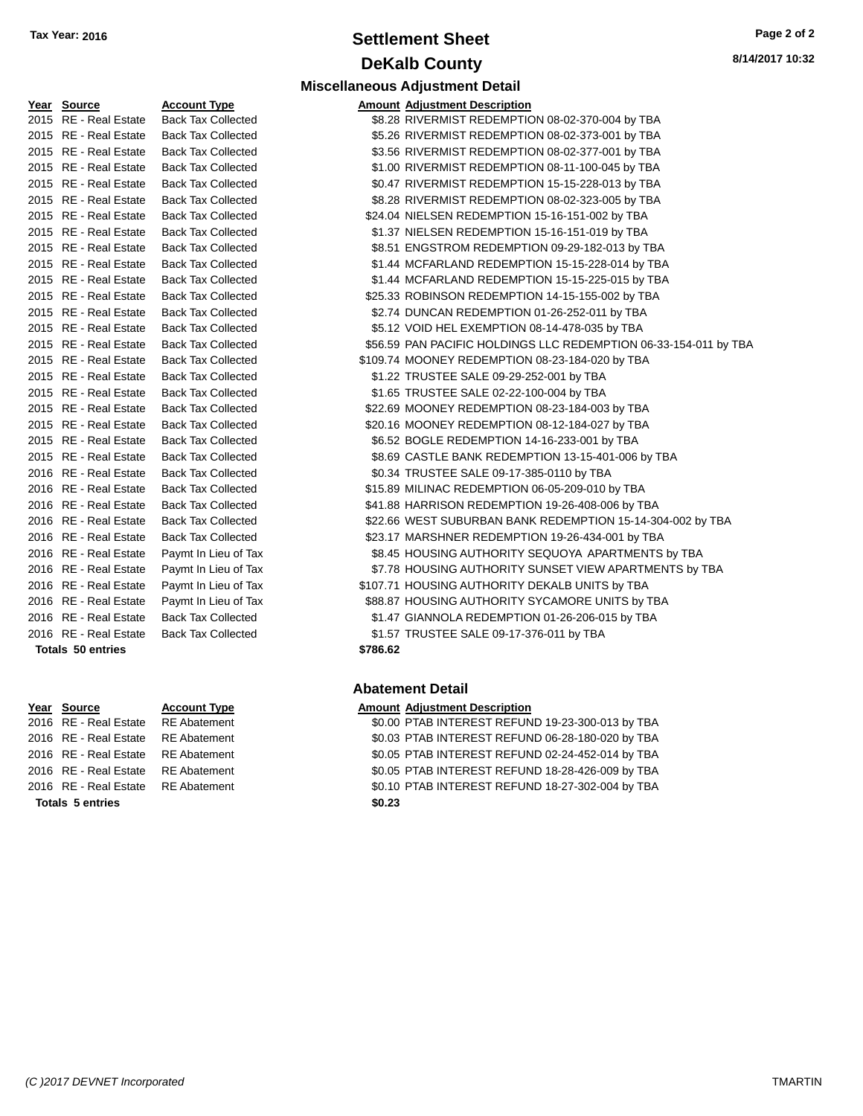# **Settlement Sheet Tax Year: 2016 Page 2 of 2 DeKalb County**

**Miscellaneous Adjustment Detail**

**8/14/2017 10:32**

| Year | <b>Source</b>           | <u>Account Type</u>       | Amount   |
|------|-------------------------|---------------------------|----------|
| 2015 | <b>RE</b> - Real Estate | <b>Back Tax Collected</b> | \$8.28   |
| 2015 | <b>RE</b> - Real Estate | <b>Back Tax Collected</b> | \$5.26   |
| 2015 | <b>RE</b> - Real Estate | <b>Back Tax Collected</b> | \$3.56   |
| 2015 | <b>RE</b> - Real Estate | <b>Back Tax Collected</b> | \$1.00   |
| 2015 | <b>RE</b> - Real Estate | <b>Back Tax Collected</b> | \$0.47   |
| 2015 | <b>RE</b> - Real Estate | <b>Back Tax Collected</b> | \$8.28   |
| 2015 | <b>RE</b> - Real Estate | <b>Back Tax Collected</b> | \$24.04  |
| 2015 | <b>RE</b> - Real Estate | <b>Back Tax Collected</b> | \$1.37   |
| 2015 | <b>RE</b> - Real Estate | <b>Back Tax Collected</b> | \$8.51   |
| 2015 | <b>RE</b> - Real Estate | <b>Back Tax Collected</b> | \$1.44   |
| 2015 | <b>RE</b> - Real Estate | <b>Back Tax Collected</b> | \$1.44   |
| 2015 | <b>RE</b> - Real Estate | <b>Back Tax Collected</b> | \$25.33  |
| 2015 | <b>RE</b> - Real Estate | <b>Back Tax Collected</b> | \$2.74   |
| 2015 | <b>RE</b> - Real Estate | <b>Back Tax Collected</b> | \$5.12   |
| 2015 | <b>RE</b> - Real Estate | <b>Back Tax Collected</b> | \$56.59  |
| 2015 | <b>RE</b> - Real Estate | <b>Back Tax Collected</b> | \$109.74 |
| 2015 | <b>RE</b> - Real Estate | <b>Back Tax Collected</b> | \$1.22   |
| 2015 | <b>RE</b> - Real Estate | <b>Back Tax Collected</b> | \$1.65   |
| 2015 | <b>RE</b> - Real Estate | <b>Back Tax Collected</b> | \$22.69  |
| 2015 | <b>RE</b> - Real Estate | <b>Back Tax Collected</b> | \$20.16  |
| 2015 | <b>RE</b> - Real Estate | <b>Back Tax Collected</b> | \$6.52   |
| 2015 | <b>RE</b> - Real Estate | <b>Back Tax Collected</b> | \$8.69   |
| 2016 | <b>RE</b> - Real Estate | <b>Back Tax Collected</b> | \$0.34   |
| 2016 | <b>RE</b> - Real Estate | <b>Back Tax Collected</b> | \$15.89  |
| 2016 | <b>RE</b> - Real Estate | <b>Back Tax Collected</b> | \$41.88  |
| 2016 | <b>RE</b> - Real Estate | <b>Back Tax Collected</b> | \$22.66  |
| 2016 | <b>RE</b> - Real Estate | <b>Back Tax Collected</b> | \$23.17  |
| 2016 | <b>RE</b> - Real Estate | Paymt In Lieu of Tax      | \$8.45   |
| 2016 | <b>RE</b> - Real Estate | Paymt In Lieu of Tax      | \$7.78   |
| 2016 | <b>RE</b> - Real Estate | Paymt In Lieu of Tax      | \$107.71 |
| 2016 | <b>RE</b> - Real Estate | Paymt In Lieu of Tax      | \$88.87  |
| 2016 | RE - Real Estate        | <b>Back Tax Collected</b> | \$1.47   |
| 2016 | <b>RE</b> - Real Estate | <b>Back Tax Collected</b> | \$1.57   |
|      | Totals 50 entries       |                           | \$786.62 |

# **Year** Source **Account Type Account Type Amount Adjustment Description**

- **Totals 5 entries \$0.23**
- 

| Year Source           | <b>Account Type</b>       |          | <b>Amount Adjustment Description</b>                             |
|-----------------------|---------------------------|----------|------------------------------------------------------------------|
| 2015 RE - Real Estate | <b>Back Tax Collected</b> |          | \$8.28 RIVERMIST REDEMPTION 08-02-370-004 by TBA                 |
| 2015 RE - Real Estate | <b>Back Tax Collected</b> |          | \$5.26 RIVERMIST REDEMPTION 08-02-373-001 by TBA                 |
| 2015 RE - Real Estate | <b>Back Tax Collected</b> |          | \$3.56 RIVERMIST REDEMPTION 08-02-377-001 by TBA                 |
| 2015 RE - Real Estate | <b>Back Tax Collected</b> |          | \$1.00 RIVERMIST REDEMPTION 08-11-100-045 by TBA                 |
| 2015 RE - Real Estate | <b>Back Tax Collected</b> |          | \$0.47 RIVERMIST REDEMPTION 15-15-228-013 by TBA                 |
| 2015 RE - Real Estate | <b>Back Tax Collected</b> |          | \$8.28 RIVERMIST REDEMPTION 08-02-323-005 by TBA                 |
| 2015 RE - Real Estate | <b>Back Tax Collected</b> |          | \$24.04 NIELSEN REDEMPTION 15-16-151-002 by TBA                  |
| 2015 RE - Real Estate | <b>Back Tax Collected</b> |          | \$1.37 NIELSEN REDEMPTION 15-16-151-019 by TBA                   |
| 2015 RE - Real Estate | <b>Back Tax Collected</b> |          | \$8.51 ENGSTROM REDEMPTION 09-29-182-013 by TBA                  |
| 2015 RE - Real Estate | <b>Back Tax Collected</b> |          | \$1.44 MCFARLAND REDEMPTION 15-15-228-014 by TBA                 |
| 2015 RE - Real Estate | <b>Back Tax Collected</b> |          | \$1.44 MCFARLAND REDEMPTION 15-15-225-015 by TBA                 |
| 2015 RE - Real Estate | <b>Back Tax Collected</b> |          | \$25.33 ROBINSON REDEMPTION 14-15-155-002 by TBA                 |
| 2015 RE - Real Estate | <b>Back Tax Collected</b> |          | \$2.74 DUNCAN REDEMPTION 01-26-252-011 by TBA                    |
| 2015 RE - Real Estate | <b>Back Tax Collected</b> |          | \$5.12 VOID HEL EXEMPTION 08-14-478-035 by TBA                   |
| 2015 RE - Real Estate | <b>Back Tax Collected</b> |          | \$56.59 PAN PACIFIC HOLDINGS LLC REDEMPTION 06-33-154-011 by TBA |
| 2015 RE - Real Estate | <b>Back Tax Collected</b> |          | \$109.74 MOONEY REDEMPTION 08-23-184-020 by TBA                  |
| 2015 RE - Real Estate | <b>Back Tax Collected</b> |          | \$1.22 TRUSTEE SALE 09-29-252-001 by TBA                         |
| 2015 RE - Real Estate | <b>Back Tax Collected</b> |          | \$1.65 TRUSTEE SALE 02-22-100-004 by TBA                         |
| 2015 RE - Real Estate | <b>Back Tax Collected</b> |          | \$22.69 MOONEY REDEMPTION 08-23-184-003 by TBA                   |
| 2015 RE - Real Estate | <b>Back Tax Collected</b> |          | \$20.16 MOONEY REDEMPTION 08-12-184-027 by TBA                   |
| 2015 RE - Real Estate | <b>Back Tax Collected</b> |          | \$6.52 BOGLE REDEMPTION 14-16-233-001 by TBA                     |
| 2015 RE - Real Estate | <b>Back Tax Collected</b> |          | \$8.69 CASTLE BANK REDEMPTION 13-15-401-006 by TBA               |
| 2016 RE - Real Estate | <b>Back Tax Collected</b> |          | \$0.34 TRUSTEE SALE 09-17-385-0110 by TBA                        |
| 2016 RE - Real Estate | <b>Back Tax Collected</b> |          | \$15.89 MILINAC REDEMPTION 06-05-209-010 by TBA                  |
| 2016 RE - Real Estate | <b>Back Tax Collected</b> |          | \$41.88 HARRISON REDEMPTION 19-26-408-006 by TBA                 |
| 2016 RE - Real Estate | <b>Back Tax Collected</b> |          | \$22.66 WEST SUBURBAN BANK REDEMPTION 15-14-304-002 by TBA       |
| 2016 RE - Real Estate | <b>Back Tax Collected</b> |          | \$23.17 MARSHNER REDEMPTION 19-26-434-001 by TBA                 |
| 2016 RE - Real Estate | Paymt In Lieu of Tax      |          | \$8.45 HOUSING AUTHORITY SEQUOYA APARTMENTS by TBA               |
| 2016 RE - Real Estate | Paymt In Lieu of Tax      |          | \$7.78 HOUSING AUTHORITY SUNSET VIEW APARTMENTS by TBA           |
| 2016 RE - Real Estate | Paymt In Lieu of Tax      |          | \$107.71 HOUSING AUTHORITY DEKALB UNITS by TBA                   |
| 2016 RE - Real Estate | Paymt In Lieu of Tax      |          | \$88.87 HOUSING AUTHORITY SYCAMORE UNITS by TBA                  |
| 2016 RE - Real Estate | <b>Back Tax Collected</b> |          | \$1.47 GIANNOLA REDEMPTION 01-26-206-015 by TBA                  |
| 2016 RE - Real Estate | <b>Back Tax Collected</b> |          | \$1.57 TRUSTEE SALE 09-17-376-011 by TBA                         |
| Totals 50 entries     |                           | \$786.62 |                                                                  |

## **Abatement Detail**

2016 RE - Real Estate RE Abatement \$0.00 PTAB INTEREST REFUND 19-23-300-013 by TBA 2016 RE - Real Estate RE Abatement \$0.03 PTAB INTEREST REFUND 06-28-180-020 by TBA 2016 RE - Real Estate RE Abatement \$0.05 PTAB INTEREST REFUND 02-24-452-014 by TBA 2016 RE - Real Estate RE Abatement \$0.05 PTAB INTEREST REFUND 18-28-426-009 by TBA 2016 RE - Real Estate RE Abatement \$0.10 PTAB INTEREST REFUND 18-27-302-004 by TBA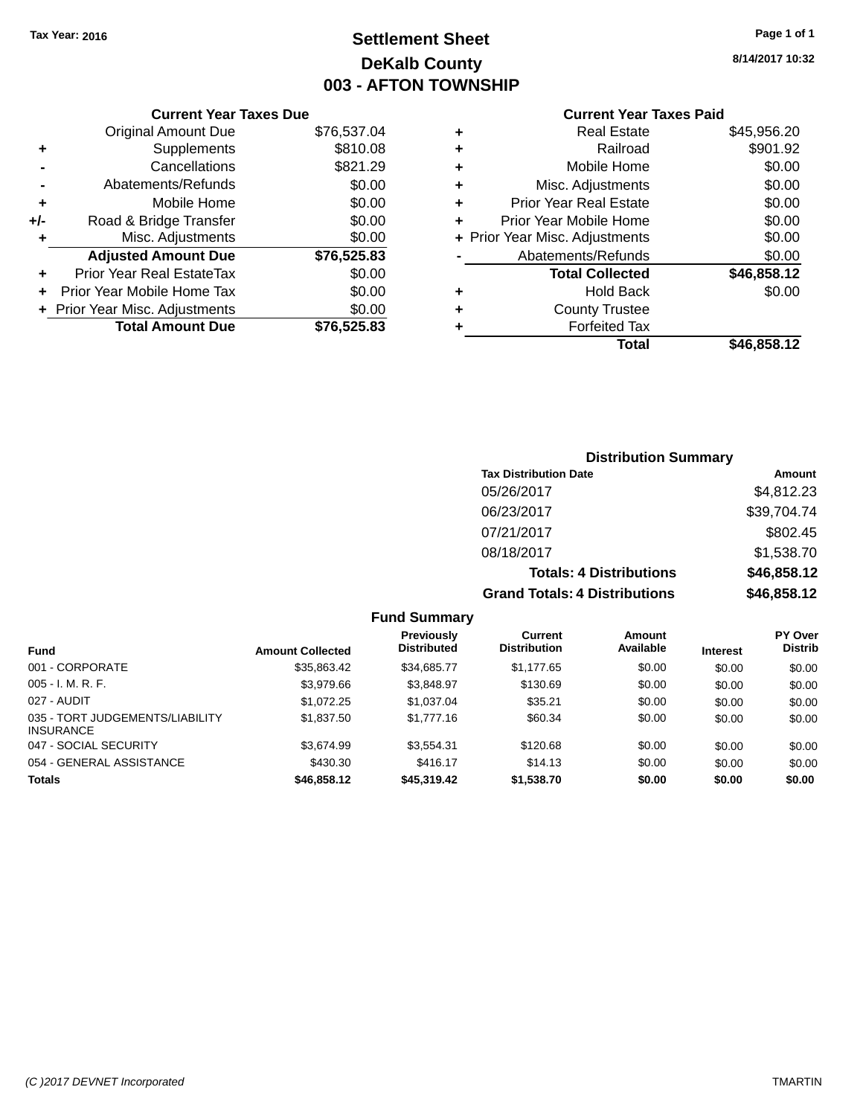# **Settlement Sheet Tax Year: 2016 Page 1 of 1 DeKalb County 003 - AFTON TOWNSHIP**

**8/14/2017 10:32**

## **Current Year Taxes Paid**

|     | <b>Current Year Taxes Due</b>  |             |  |
|-----|--------------------------------|-------------|--|
|     | <b>Original Amount Due</b>     | \$76,537.04 |  |
| ٠   | Supplements                    | \$810.08    |  |
|     | Cancellations                  | \$821.29    |  |
|     | Abatements/Refunds             | \$0.00      |  |
| ٠   | Mobile Home                    | \$0.00      |  |
| +/- | Road & Bridge Transfer         | \$0.00      |  |
| ٠   | Misc. Adjustments              | \$0.00      |  |
|     | <b>Adjusted Amount Due</b>     | \$76,525.83 |  |
| ٠   | Prior Year Real EstateTax      | \$0.00      |  |
|     | Prior Year Mobile Home Tax     | \$0.00      |  |
|     | + Prior Year Misc. Adjustments | \$0.00      |  |
|     | <b>Total Amount Due</b>        | \$76,525,83 |  |
|     |                                |             |  |

|   | <b>Real Estate</b>             | \$45,956.20 |
|---|--------------------------------|-------------|
| ٠ | Railroad                       | \$901.92    |
| ٠ | Mobile Home                    | \$0.00      |
| ٠ | Misc. Adjustments              | \$0.00      |
| ٠ | <b>Prior Year Real Estate</b>  | \$0.00      |
| ٠ | Prior Year Mobile Home         | \$0.00      |
|   | + Prior Year Misc. Adjustments | \$0.00      |
|   | Abatements/Refunds             | \$0.00      |
|   | <b>Total Collected</b>         | \$46,858.12 |
| ٠ | <b>Hold Back</b>               | \$0.00      |
| ٠ | <b>County Trustee</b>          |             |
| ٠ | <b>Forfeited Tax</b>           |             |
|   | Total                          | \$46,858.12 |
|   |                                |             |

## **Distribution Summary Tax Distribution Date Amount** 05/26/2017 \$4,812.23 06/23/2017 \$39,704.74 07/21/2017 \$802.45 08/18/2017 \$1,538.70 **Totals: 4 Distributions \$46,858.12 Grand Totals: 4 Distributions \$46,858.12**

| <b>Fund</b>                                         | <b>Amount Collected</b> | Previously<br><b>Distributed</b> | Current<br><b>Distribution</b> | Amount<br>Available | <b>Interest</b> | <b>PY Over</b><br><b>Distrib</b> |
|-----------------------------------------------------|-------------------------|----------------------------------|--------------------------------|---------------------|-----------------|----------------------------------|
| 001 - CORPORATE                                     | \$35,863.42             | \$34,685.77                      | \$1.177.65                     | \$0.00              | \$0.00          | \$0.00                           |
| $005 - I. M. R. F.$                                 | \$3,979.66              | \$3.848.97                       | \$130.69                       | \$0.00              | \$0.00          | \$0.00                           |
| 027 - AUDIT                                         | \$1.072.25              | \$1.037.04                       | \$35.21                        | \$0.00              | \$0.00          | \$0.00                           |
| 035 - TORT JUDGEMENTS/LIABILITY<br><b>INSURANCE</b> | \$1,837.50              | \$1,777.16                       | \$60.34                        | \$0.00              | \$0.00          | \$0.00                           |
| 047 - SOCIAL SECURITY                               | \$3.674.99              | \$3.554.31                       | \$120.68                       | \$0.00              | \$0.00          | \$0.00                           |
| 054 - GENERAL ASSISTANCE                            | \$430.30                | \$416.17                         | \$14.13                        | \$0.00              | \$0.00          | \$0.00                           |
| <b>Totals</b>                                       | \$46,858.12             | \$45,319,42                      | \$1,538.70                     | \$0.00              | \$0.00          | \$0.00                           |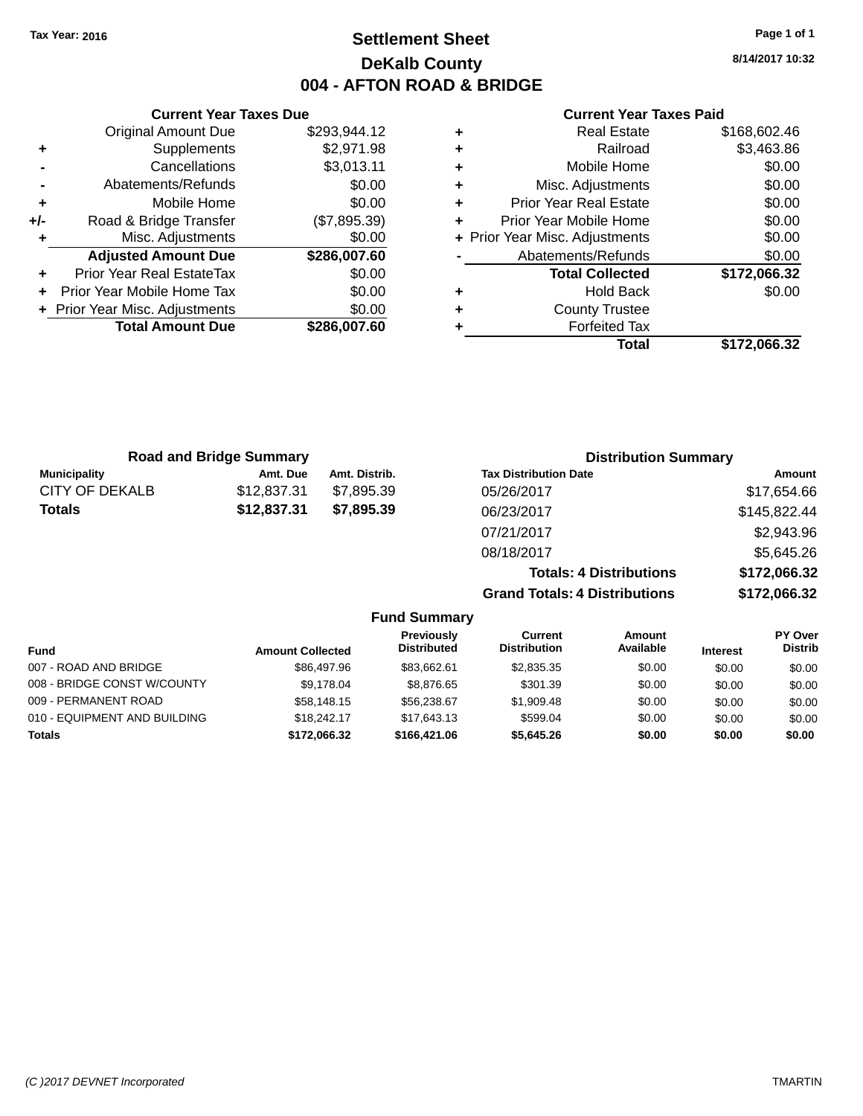# **Settlement Sheet Tax Year: 2016 Page 1 of 1 DeKalb County 004 - AFTON ROAD & BRIDGE**

**8/14/2017 10:32**

## **Current Year Taxes Paid**

|     | <b>Current Year Taxes Due</b>  |              |
|-----|--------------------------------|--------------|
|     | <b>Original Amount Due</b>     | \$293,944.12 |
| ٠   | Supplements                    | \$2,971.98   |
|     | Cancellations                  | \$3,013.11   |
|     | Abatements/Refunds             | \$0.00       |
| ٠   | Mobile Home                    | \$0.00       |
| +/- | Road & Bridge Transfer         | (\$7,895.39) |
|     | Misc. Adjustments              | \$0.00       |
|     | <b>Adjusted Amount Due</b>     | \$286,007.60 |
| ٠   | Prior Year Real EstateTax      | \$0.00       |
|     | Prior Year Mobile Home Tax     | \$0.00       |
|     | + Prior Year Misc. Adjustments | \$0.00       |
|     | <b>Total Amount Due</b>        | \$286,007.60 |
|     |                                |              |

|   | Total                          | \$172,066.32 |
|---|--------------------------------|--------------|
| ٠ | <b>Forfeited Tax</b>           |              |
| ٠ | <b>County Trustee</b>          |              |
| ٠ | <b>Hold Back</b>               | \$0.00       |
|   | <b>Total Collected</b>         | \$172,066.32 |
|   | Abatements/Refunds             | \$0.00       |
|   | + Prior Year Misc. Adjustments | \$0.00       |
| ÷ | Prior Year Mobile Home         | \$0.00       |
| ٠ | <b>Prior Year Real Estate</b>  | \$0.00       |
| ٠ | Misc. Adjustments              | \$0.00       |
| ٠ | Mobile Home                    | \$0.00       |
| ٠ | Railroad                       | \$3,463.86   |
|   | <b>Real Estate</b>             | \$168,602.46 |

| <b>Road and Bridge Summary</b> |             |               | <b>Distribution Summary</b>    |              |
|--------------------------------|-------------|---------------|--------------------------------|--------------|
| <b>Municipality</b>            | Amt. Due    | Amt. Distrib. | <b>Tax Distribution Date</b>   | Amount       |
| CITY OF DEKALB                 | \$12,837.31 | \$7,895.39    | 05/26/2017                     | \$17,654.66  |
| <b>Totals</b>                  | \$12,837.31 | \$7,895.39    | 06/23/2017                     | \$145,822.44 |
|                                |             |               | 07/21/2017                     | \$2,943.96   |
|                                |             |               | 08/18/2017                     | \$5,645.26   |
|                                |             |               | <b>Totals: 4 Distributions</b> | \$172,066.32 |

**Grand Totals: 4 Distributions \$172,066.32**

|                              |                         | <b>Fund Summary</b>              |                                |                     |                 |                                  |
|------------------------------|-------------------------|----------------------------------|--------------------------------|---------------------|-----------------|----------------------------------|
| <b>Fund</b>                  | <b>Amount Collected</b> | Previously<br><b>Distributed</b> | Current<br><b>Distribution</b> | Amount<br>Available | <b>Interest</b> | <b>PY Over</b><br><b>Distrib</b> |
| 007 - ROAD AND BRIDGE        | \$86,497.96             | \$83.662.61                      | \$2,835.35                     | \$0.00              | \$0.00          | \$0.00                           |
| 008 - BRIDGE CONST W/COUNTY  | \$9.178.04              | \$8.876.65                       | \$301.39                       | \$0.00              | \$0.00          | \$0.00                           |
| 009 - PERMANENT ROAD         | \$58,148.15             | \$56,238.67                      | \$1,909.48                     | \$0.00              | \$0.00          | \$0.00                           |
| 010 - EQUIPMENT AND BUILDING | \$18,242.17             | \$17.643.13                      | \$599.04                       | \$0.00              | \$0.00          | \$0.00                           |
| <b>Totals</b>                | \$172.066.32            | \$166,421.06                     | \$5,645,26                     | \$0.00              | \$0.00          | \$0.00                           |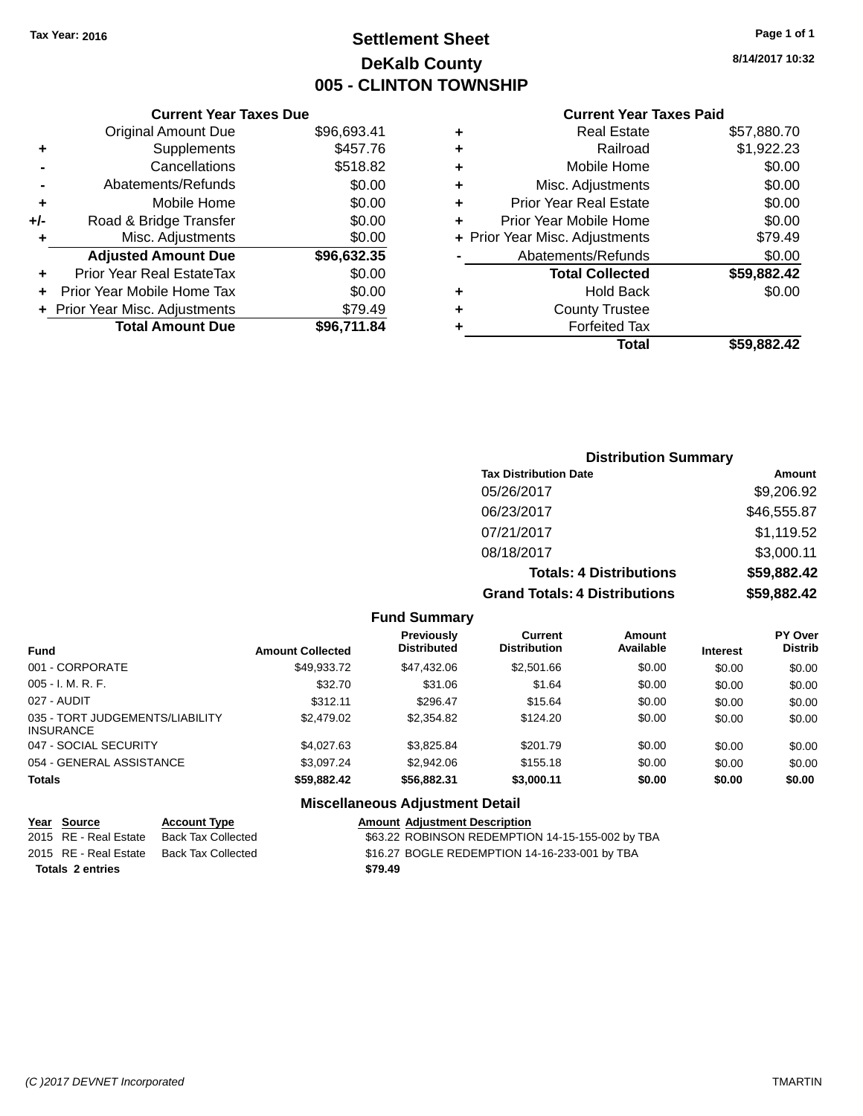# **Settlement Sheet Tax Year: 2016 Page 1 of 1 DeKalb County 005 - CLINTON TOWNSHIP**

**8/14/2017 10:32**

## **Current Year Taxes Paid**

|     | <b>Current Year Taxes Due</b>  |             |  |  |  |  |
|-----|--------------------------------|-------------|--|--|--|--|
|     | <b>Original Amount Due</b>     | \$96,693.41 |  |  |  |  |
| ÷   | Supplements                    | \$457.76    |  |  |  |  |
|     | Cancellations                  | \$518.82    |  |  |  |  |
|     | Abatements/Refunds             | \$0.00      |  |  |  |  |
| ٠   | Mobile Home                    | \$0.00      |  |  |  |  |
| +/- | Road & Bridge Transfer         | \$0.00      |  |  |  |  |
|     | \$0.00<br>Misc. Adjustments    |             |  |  |  |  |
|     | <b>Adjusted Amount Due</b>     | \$96,632.35 |  |  |  |  |
| ÷   | Prior Year Real EstateTax      | \$0.00      |  |  |  |  |
|     | Prior Year Mobile Home Tax     | \$0.00      |  |  |  |  |
|     | + Prior Year Misc. Adjustments | \$79.49     |  |  |  |  |
|     | <b>Total Amount Due</b>        | \$96,711.84 |  |  |  |  |
|     |                                |             |  |  |  |  |

|   | <b>Real Estate</b>             | \$57,880.70 |
|---|--------------------------------|-------------|
| ٠ | Railroad                       | \$1,922.23  |
| ٠ | Mobile Home                    | \$0.00      |
| ٠ | Misc. Adjustments              | \$0.00      |
| ٠ | <b>Prior Year Real Estate</b>  | \$0.00      |
| ٠ | Prior Year Mobile Home         | \$0.00      |
|   | + Prior Year Misc. Adjustments | \$79.49     |
|   | Abatements/Refunds             | \$0.00      |
|   | <b>Total Collected</b>         | \$59,882.42 |
| ٠ | Hold Back                      | \$0.00      |
| ٠ | <b>County Trustee</b>          |             |
| ٠ | <b>Forfeited Tax</b>           |             |
|   | <b>Total</b>                   | \$59.882.42 |
|   |                                |             |

## **Distribution Summary Tax Distribution Date Amount** 05/26/2017 \$9,206.92 06/23/2017 \$46,555.87 07/21/2017 \$1,119.52 08/18/2017 \$3,000.11 **Totals: 4 Distributions \$59,882.42 Grand Totals: 4 Distributions \$59,882.42**

#### **Fund Summary**

| <b>Fund</b>                                         | <b>Amount Collected</b> | <b>Previously</b><br><b>Distributed</b> | Current<br><b>Distribution</b> | Amount<br>Available | <b>Interest</b> | <b>PY Over</b><br><b>Distrib</b> |
|-----------------------------------------------------|-------------------------|-----------------------------------------|--------------------------------|---------------------|-----------------|----------------------------------|
| 001 - CORPORATE                                     | \$49,933.72             | \$47,432.06                             | \$2,501.66                     | \$0.00              | \$0.00          | \$0.00                           |
| $005 - I. M. R. F.$                                 | \$32.70                 | \$31.06                                 | \$1.64                         | \$0.00              | \$0.00          | \$0.00                           |
| 027 - AUDIT                                         | \$312.11                | \$296.47                                | \$15.64                        | \$0.00              | \$0.00          | \$0.00                           |
| 035 - TORT JUDGEMENTS/LIABILITY<br><b>INSURANCE</b> | \$2,479.02              | \$2,354.82                              | \$124.20                       | \$0.00              | \$0.00          | \$0.00                           |
| 047 - SOCIAL SECURITY                               | \$4,027.63              | \$3,825.84                              | \$201.79                       | \$0.00              | \$0.00          | \$0.00                           |
| 054 - GENERAL ASSISTANCE                            | \$3,097.24              | \$2,942.06                              | \$155.18                       | \$0.00              | \$0.00          | \$0.00                           |
| <b>Totals</b>                                       | \$59.882.42             | \$56,882.31                             | \$3,000.11                     | \$0.00              | \$0.00          | \$0.00                           |

| Year Source             | <b>Account Type</b> | <b>Amount Adjustment Description</b>             |
|-------------------------|---------------------|--------------------------------------------------|
| 2015 RE - Real Estate   | Back Tax Collected  | \$63.22 ROBINSON REDEMPTION 14-15-155-002 by TBA |
| 2015 RE - Real Estate   | Back Tax Collected  | \$16.27 BOGLE REDEMPTION 14-16-233-001 by TBA    |
| <b>Totals 2 entries</b> |                     | \$79.49                                          |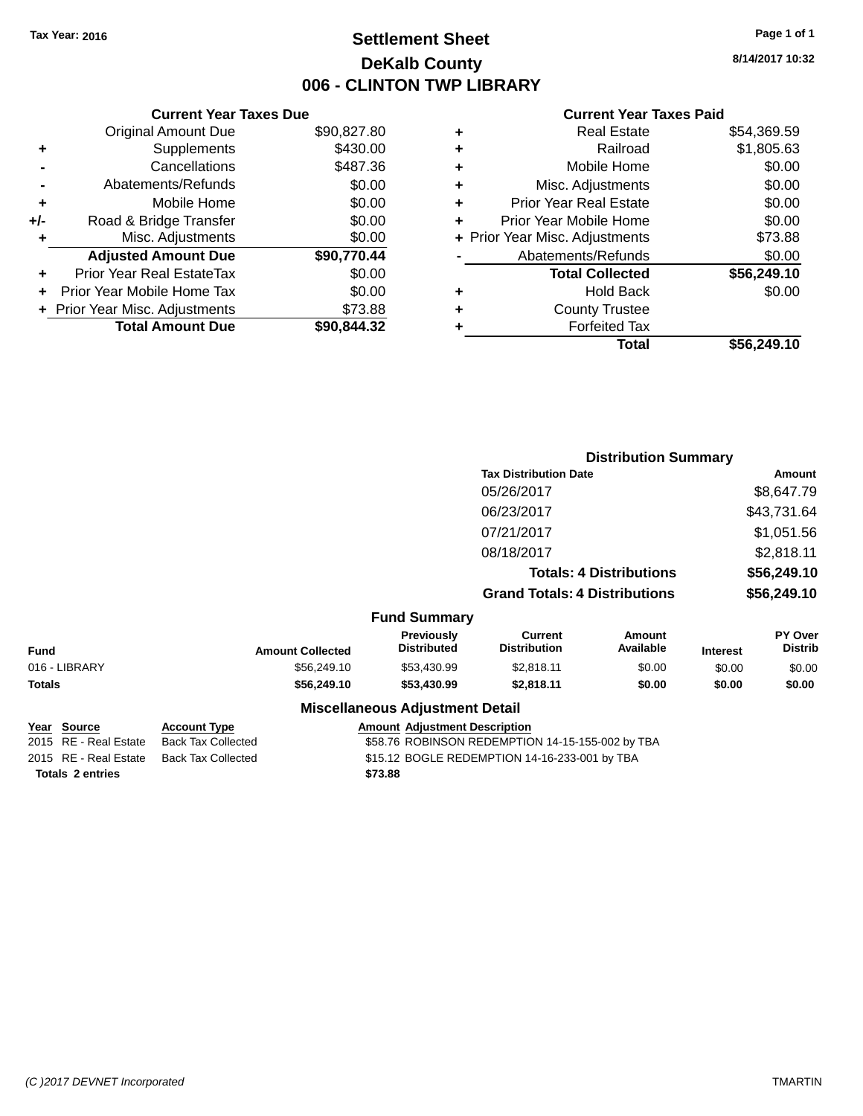# **Settlement Sheet Tax Year: 2016 Page 1 of 1 DeKalb County 006 - CLINTON TWP LIBRARY**

**8/14/2017 10:32**

|     | <b>Current Year Taxes Due</b>  |             |  |  |  |  |
|-----|--------------------------------|-------------|--|--|--|--|
|     | <b>Original Amount Due</b>     | \$90,827.80 |  |  |  |  |
| ٠   | Supplements                    | \$430.00    |  |  |  |  |
|     | Cancellations                  | \$487.36    |  |  |  |  |
|     | Abatements/Refunds             | \$0.00      |  |  |  |  |
| ٠   | Mobile Home                    | \$0.00      |  |  |  |  |
| +/- | Road & Bridge Transfer         | \$0.00      |  |  |  |  |
| ٠   | Misc. Adjustments              | \$0.00      |  |  |  |  |
|     | <b>Adjusted Amount Due</b>     | \$90,770.44 |  |  |  |  |
| ÷   | Prior Year Real EstateTax      | \$0.00      |  |  |  |  |
| ÷   | Prior Year Mobile Home Tax     | \$0.00      |  |  |  |  |
|     | + Prior Year Misc. Adjustments | \$73.88     |  |  |  |  |
|     | <b>Total Amount Due</b>        | \$90,844.32 |  |  |  |  |

|   | <b>Real Estate</b>             | \$54.369.59 |
|---|--------------------------------|-------------|
| ٠ | Railroad                       | \$1,805.63  |
| ٠ | Mobile Home                    | \$0.00      |
| ٠ | Misc. Adjustments              | \$0.00      |
| ٠ | <b>Prior Year Real Estate</b>  | \$0.00      |
| ٠ | Prior Year Mobile Home         | \$0.00      |
|   | + Prior Year Misc. Adjustments | \$73.88     |
|   | Abatements/Refunds             | \$0.00      |
|   | <b>Total Collected</b>         | \$56,249.10 |
| ٠ | Hold Back                      | \$0.00      |
| ٠ | <b>County Trustee</b>          |             |
| ٠ | <b>Forfeited Tax</b>           |             |
|   | Total                          | \$56,249.10 |
|   |                                |             |

|               |                     |                         |                                        | <b>Distribution Summary</b>           |                                |                 |                                  |
|---------------|---------------------|-------------------------|----------------------------------------|---------------------------------------|--------------------------------|-----------------|----------------------------------|
|               |                     |                         |                                        | <b>Tax Distribution Date</b>          |                                |                 | Amount                           |
|               |                     |                         |                                        | 05/26/2017                            |                                |                 | \$8,647.79                       |
|               |                     |                         |                                        | 06/23/2017                            |                                |                 | \$43,731.64                      |
|               |                     |                         |                                        | 07/21/2017                            |                                |                 | \$1,051.56                       |
|               |                     |                         |                                        | 08/18/2017                            |                                |                 | \$2,818.11                       |
|               |                     |                         |                                        |                                       | <b>Totals: 4 Distributions</b> |                 | \$56,249.10                      |
|               |                     |                         |                                        | <b>Grand Totals: 4 Distributions</b>  |                                |                 | \$56,249.10                      |
|               |                     |                         | <b>Fund Summary</b>                    |                                       |                                |                 |                                  |
| <b>Fund</b>   |                     | <b>Amount Collected</b> | Previously<br><b>Distributed</b>       | <b>Current</b><br><b>Distribution</b> | <b>Amount</b><br>Available     | <b>Interest</b> | <b>PY Over</b><br><b>Distrib</b> |
| 016 - LIBRARY |                     | \$56,249.10             | \$53,430.99                            | \$2,818.11                            | \$0.00                         | \$0.00          | \$0.00                           |
| <b>Totals</b> |                     | \$56,249.10             | \$53,430.99                            | \$2,818.11                            | \$0.00                         | \$0.00          | \$0.00                           |
|               |                     |                         | <b>Miscellaneous Adjustment Detail</b> |                                       |                                |                 |                                  |
| Year Source   | <b>Account Type</b> |                         | <b>Amount Adiustment Description</b>   |                                       |                                |                 |                                  |

| 2015 RE - Real Estate | Back Tax Collected | \$58.76 ROBINSON REDEMPTION 14-15-155-002 by TBA |
|-----------------------|--------------------|--------------------------------------------------|
| 2015 RE - Real Estate | Back Tax Collected | \$15.12 BOGLE REDEMPTION 14-16-233-001 by TBA    |
| Totals 2 entries      |                    | \$73.88                                          |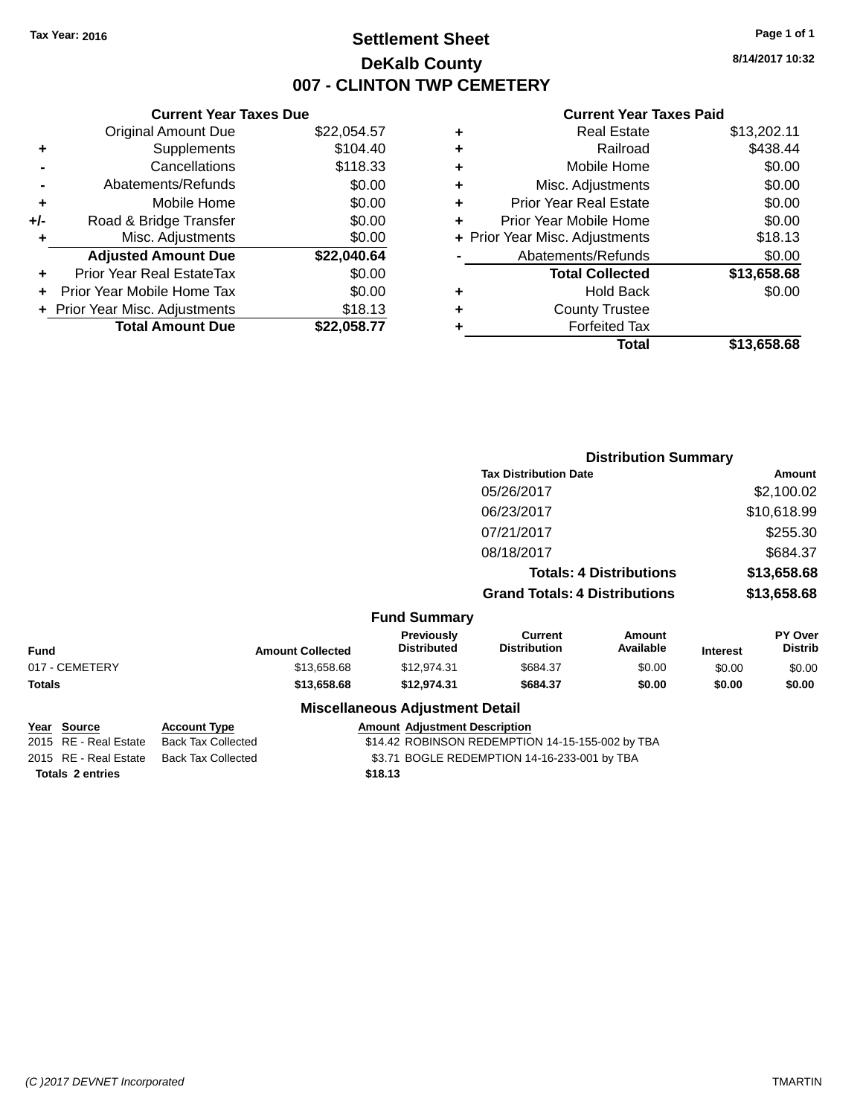# **Settlement Sheet Tax Year: 2016 Page 1 of 1 DeKalb County 007 - CLINTON TWP CEMETERY**

**8/14/2017 10:32**

|       | <b>Current Year Taxes Due</b>  |             |
|-------|--------------------------------|-------------|
|       | <b>Original Amount Due</b>     | \$22,054.57 |
| ٠     | Supplements                    | \$104.40    |
|       | Cancellations                  | \$118.33    |
|       | Abatements/Refunds             | \$0.00      |
| ٠     | Mobile Home                    | \$0.00      |
| $+/-$ | Road & Bridge Transfer         | \$0.00      |
| ٠     | Misc. Adjustments              | \$0.00      |
|       | <b>Adjusted Amount Due</b>     | \$22,040.64 |
| ٠     | Prior Year Real EstateTax      | \$0.00      |
|       | Prior Year Mobile Home Tax     | \$0.00      |
|       | + Prior Year Misc. Adjustments | \$18.13     |
|       | <b>Total Amount Due</b>        | \$22,058.77 |
|       |                                |             |

| ٠ | <b>Real Estate</b>             | \$13,202.11 |
|---|--------------------------------|-------------|
| ٠ | Railroad                       | \$438.44    |
| ٠ | Mobile Home                    | \$0.00      |
| ٠ | Misc. Adjustments              | \$0.00      |
| ٠ | <b>Prior Year Real Estate</b>  | \$0.00      |
| ٠ | Prior Year Mobile Home         | \$0.00      |
|   | + Prior Year Misc. Adjustments | \$18.13     |
|   | Abatements/Refunds             | \$0.00      |
|   | <b>Total Collected</b>         | \$13,658.68 |
| ٠ | Hold Back                      | \$0.00      |
| ٠ | <b>County Trustee</b>          |             |
| ٠ | <b>Forfeited Tax</b>           |             |
|   | Total                          | \$13,658.68 |
|   |                                |             |

|                |                         |                                        |                                       | <b>Distribution Summary</b>    |                 |                           |
|----------------|-------------------------|----------------------------------------|---------------------------------------|--------------------------------|-----------------|---------------------------|
|                |                         |                                        | <b>Tax Distribution Date</b>          |                                |                 | Amount                    |
|                |                         |                                        | 05/26/2017                            |                                |                 | \$2,100.02                |
|                |                         |                                        | 06/23/2017                            |                                |                 | \$10,618.99               |
|                |                         |                                        | 07/21/2017                            |                                |                 | \$255.30                  |
|                |                         |                                        | 08/18/2017                            |                                |                 | \$684.37                  |
|                |                         |                                        |                                       | <b>Totals: 4 Distributions</b> |                 | \$13,658.68               |
|                |                         |                                        | <b>Grand Totals: 4 Distributions</b>  |                                |                 | \$13,658.68               |
|                |                         | <b>Fund Summary</b>                    |                                       |                                |                 |                           |
| <b>Fund</b>    | <b>Amount Collected</b> | Previously<br><b>Distributed</b>       | <b>Current</b><br><b>Distribution</b> | <b>Amount</b><br>Available     | <b>Interest</b> | PY Over<br><b>Distrib</b> |
| 017 - CEMETERY | \$13,658.68             | \$12,974.31                            | \$684.37                              | \$0.00                         | \$0.00          | \$0.00                    |
| <b>Totals</b>  | \$13,658.68             | \$12,974.31                            | \$684.37                              | \$0.00                         | \$0.00          | \$0.00                    |
|                |                         | <b>Miscellaneous Adjustment Detail</b> |                                       |                                |                 |                           |

| Year Source             | <b>Account Type</b> | <b>Amount Adjustment Description</b>             |
|-------------------------|---------------------|--------------------------------------------------|
| 2015 RE - Real Estate   | Back Tax Collected  | \$14.42 ROBINSON REDEMPTION 14-15-155-002 by TBA |
| 2015 RE - Real Estate   | Back Tax Collected  | \$3.71 BOGLE REDEMPTION 14-16-233-001 by TBA     |
| <b>Totals 2 entries</b> |                     | \$18.13                                          |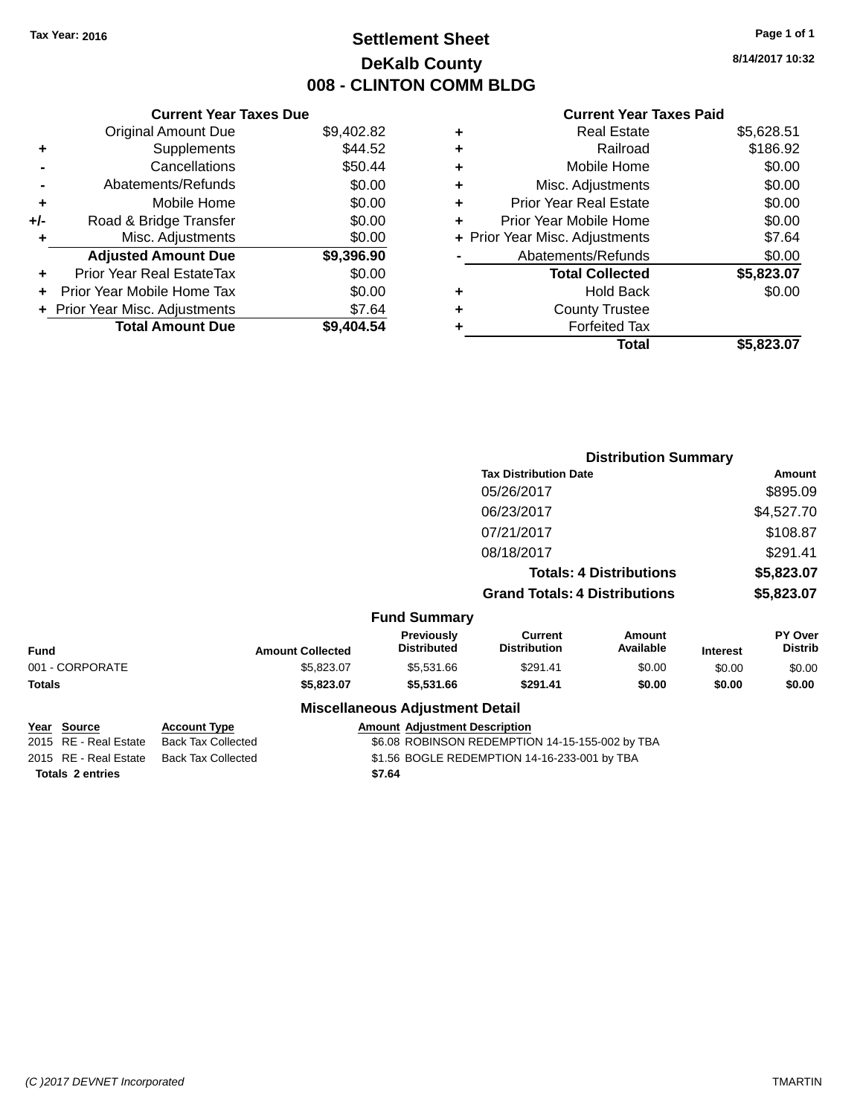# **Settlement Sheet Tax Year: 2016 Page 1 of 1 DeKalb County 008 - CLINTON COMM BLDG**

**8/14/2017 10:32**

|     | <b>Current Year Taxes Due</b>  |            |
|-----|--------------------------------|------------|
|     | <b>Original Amount Due</b>     | \$9,402.82 |
| ٠   | Supplements                    | \$44.52    |
|     | Cancellations                  | \$50.44    |
|     | Abatements/Refunds             | \$0.00     |
| ٠   | Mobile Home                    | \$0.00     |
| +/- | Road & Bridge Transfer         | \$0.00     |
| ÷   | Misc. Adjustments              | \$0.00     |
|     | <b>Adjusted Amount Due</b>     | \$9,396.90 |
| ÷   | Prior Year Real EstateTax      | \$0.00     |
|     | Prior Year Mobile Home Tax     | \$0.00     |
|     | + Prior Year Misc. Adjustments | \$7.64     |
|     | <b>Total Amount Due</b>        | \$9,404.54 |
|     |                                |            |

|   | <b>Real Estate</b>             | \$5,628.51 |
|---|--------------------------------|------------|
| ٠ | Railroad                       | \$186.92   |
| ٠ | Mobile Home                    | \$0.00     |
| ٠ | Misc. Adjustments              | \$0.00     |
| ٠ | <b>Prior Year Real Estate</b>  | \$0.00     |
| ٠ | Prior Year Mobile Home         | \$0.00     |
|   | + Prior Year Misc. Adjustments | \$7.64     |
|   | Abatements/Refunds             | \$0.00     |
|   | <b>Total Collected</b>         | \$5,823.07 |
| ٠ | Hold Back                      | \$0.00     |
| ٠ | <b>County Trustee</b>          |            |
| ٠ | <b>Forfeited Tax</b>           |            |
|   | Total                          | \$5,823.07 |
|   |                                |            |

|                 |                         |                                        |                                       | <b>Distribution Summary</b>    |                 |                           |
|-----------------|-------------------------|----------------------------------------|---------------------------------------|--------------------------------|-----------------|---------------------------|
|                 |                         |                                        | <b>Tax Distribution Date</b>          |                                |                 | <b>Amount</b>             |
|                 |                         |                                        | 05/26/2017                            |                                |                 | \$895.09                  |
|                 |                         |                                        | 06/23/2017                            |                                |                 | \$4,527.70                |
|                 |                         |                                        | 07/21/2017                            |                                |                 | \$108.87                  |
|                 |                         |                                        | 08/18/2017                            |                                |                 | \$291.41                  |
|                 |                         |                                        |                                       | <b>Totals: 4 Distributions</b> |                 | \$5,823.07                |
|                 |                         |                                        | <b>Grand Totals: 4 Distributions</b>  |                                |                 | \$5,823.07                |
|                 |                         | <b>Fund Summary</b>                    |                                       |                                |                 |                           |
| <b>Fund</b>     | <b>Amount Collected</b> | Previously<br><b>Distributed</b>       | <b>Current</b><br><b>Distribution</b> | <b>Amount</b><br>Available     | <b>Interest</b> | PY Over<br><b>Distrib</b> |
| 001 - CORPORATE | \$5,823.07              | \$5,531.66                             | \$291.41                              | \$0.00                         | \$0.00          | \$0.00                    |
| <b>Totals</b>   | \$5,823.07              | \$5,531.66                             | \$291.41                              | \$0.00                         | \$0.00          | \$0.00                    |
|                 |                         | <b>Miscellaneous Adjustment Detail</b> |                                       |                                |                 |                           |

| Year Source             | <b>Account Type</b> | <b>Amount Adjustment Description</b>            |
|-------------------------|---------------------|-------------------------------------------------|
| 2015 RE - Real Estate   | Back Tax Collected  | \$6.08 ROBINSON REDEMPTION 14-15-155-002 by TBA |
| 2015 RE - Real Estate   | Back Tax Collected  | \$1.56 BOGLE REDEMPTION 14-16-233-001 by TBA    |
| <b>Totals 2 entries</b> |                     | \$7.64                                          |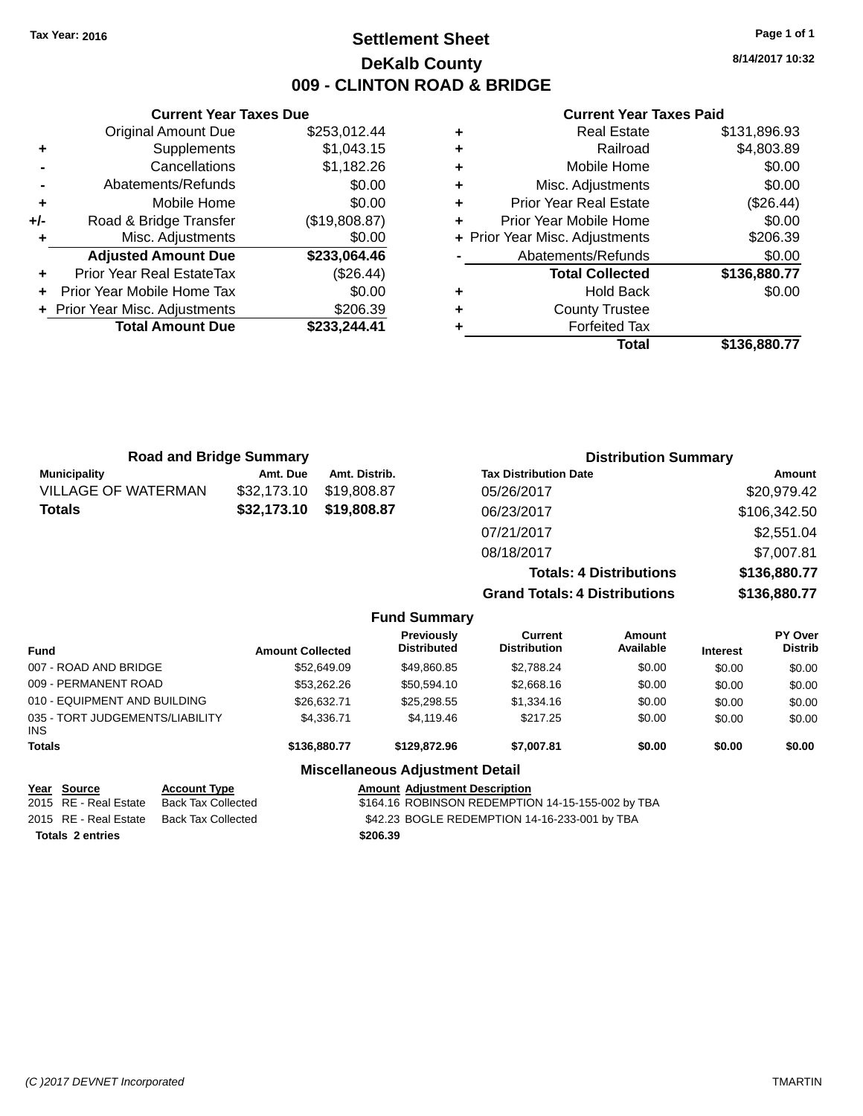# **Settlement Sheet Tax Year: 2016 Page 1 of 1 DeKalb County 009 - CLINTON ROAD & BRIDGE**

**8/14/2017 10:32**

|     | <b>Current Year Taxes Due</b>    |               |
|-----|----------------------------------|---------------|
|     | <b>Original Amount Due</b>       | \$253,012.44  |
| ٠   | Supplements                      | \$1,043.15    |
|     | Cancellations                    | \$1,182.26    |
|     | Abatements/Refunds               | \$0.00        |
| ٠   | Mobile Home                      | \$0.00        |
| +/- | Road & Bridge Transfer           | (\$19,808.87) |
| ٠   | Misc. Adjustments                | \$0.00        |
|     | <b>Adjusted Amount Due</b>       | \$233,064.46  |
| ٠   | <b>Prior Year Real EstateTax</b> | (\$26.44)     |
|     | Prior Year Mobile Home Tax       | \$0.00        |
|     | + Prior Year Misc. Adjustments   | \$206.39      |
|     | <b>Total Amount Due</b>          | \$233.244.41  |
|     |                                  |               |

| \$4,803.89   |
|--------------|
|              |
| \$0.00       |
| \$0.00       |
| (\$26.44)    |
| \$0.00       |
| \$206.39     |
| \$0.00       |
| \$136,880.77 |
| \$0.00       |
|              |
|              |
| \$136,880.77 |
|              |

| <b>Road and Bridge Summary</b> |             | <b>Distribution Summary</b> |                                      |              |  |
|--------------------------------|-------------|-----------------------------|--------------------------------------|--------------|--|
| <b>Municipality</b>            | Amt. Due    | Amt. Distrib.               | <b>Tax Distribution Date</b>         | Amount       |  |
| <b>VILLAGE OF WATERMAN</b>     | \$32,173.10 | \$19,808.87                 | 05/26/2017                           | \$20,979.42  |  |
| <b>Totals</b>                  | \$32,173.10 | \$19,808.87                 | 06/23/2017                           | \$106,342.50 |  |
|                                |             |                             | 07/21/2017                           | \$2,551.04   |  |
|                                |             |                             | 08/18/2017                           | \$7,007.81   |  |
|                                |             |                             | <b>Totals: 4 Distributions</b>       | \$136,880.77 |  |
|                                |             |                             | <b>Grand Totals: 4 Distributions</b> | \$136,880.77 |  |

|                                         |                         | <b>Fund Summary</b>                     |                                       |                     |                 |                                  |
|-----------------------------------------|-------------------------|-----------------------------------------|---------------------------------------|---------------------|-----------------|----------------------------------|
| <b>Fund</b>                             | <b>Amount Collected</b> | <b>Previously</b><br><b>Distributed</b> | <b>Current</b><br><b>Distribution</b> | Amount<br>Available | <b>Interest</b> | <b>PY Over</b><br><b>Distrib</b> |
| 007 - ROAD AND BRIDGE                   | \$52,649.09             | \$49,860.85                             | \$2,788.24                            | \$0.00              | \$0.00          | \$0.00                           |
| 009 - PERMANENT ROAD                    | \$53.262.26             | \$50.594.10                             | \$2,668.16                            | \$0.00              | \$0.00          | \$0.00                           |
| 010 - EQUIPMENT AND BUILDING            | \$26,632.71             | \$25,298.55                             | \$1,334.16                            | \$0.00              | \$0.00          | \$0.00                           |
| 035 - TORT JUDGEMENTS/LIABILITY<br>INS. | \$4,336.71              | \$4,119.46                              | \$217.25                              | \$0.00              | \$0.00          | \$0.00                           |
| <b>Totals</b>                           | \$136,880.77            | \$129,872,96                            | \$7,007.81                            | \$0.00              | \$0.00          | \$0.00                           |
|                                         |                         | <b>Miscellaneous Adjustment Detail</b>  |                                       |                     |                 |                                  |

| Year Source             | <b>Account Type</b> | <b>Amount Adiustment Description</b>              |
|-------------------------|---------------------|---------------------------------------------------|
| 2015 RE - Real Estate   | Back Tax Collected  | \$164.16 ROBINSON REDEMPTION 14-15-155-002 by TBA |
| 2015 RE - Real Estate   | Back Tax Collected  | \$42.23 BOGLE REDEMPTION 14-16-233-001 by TBA     |
| <b>Totals 2 entries</b> |                     | \$206.39                                          |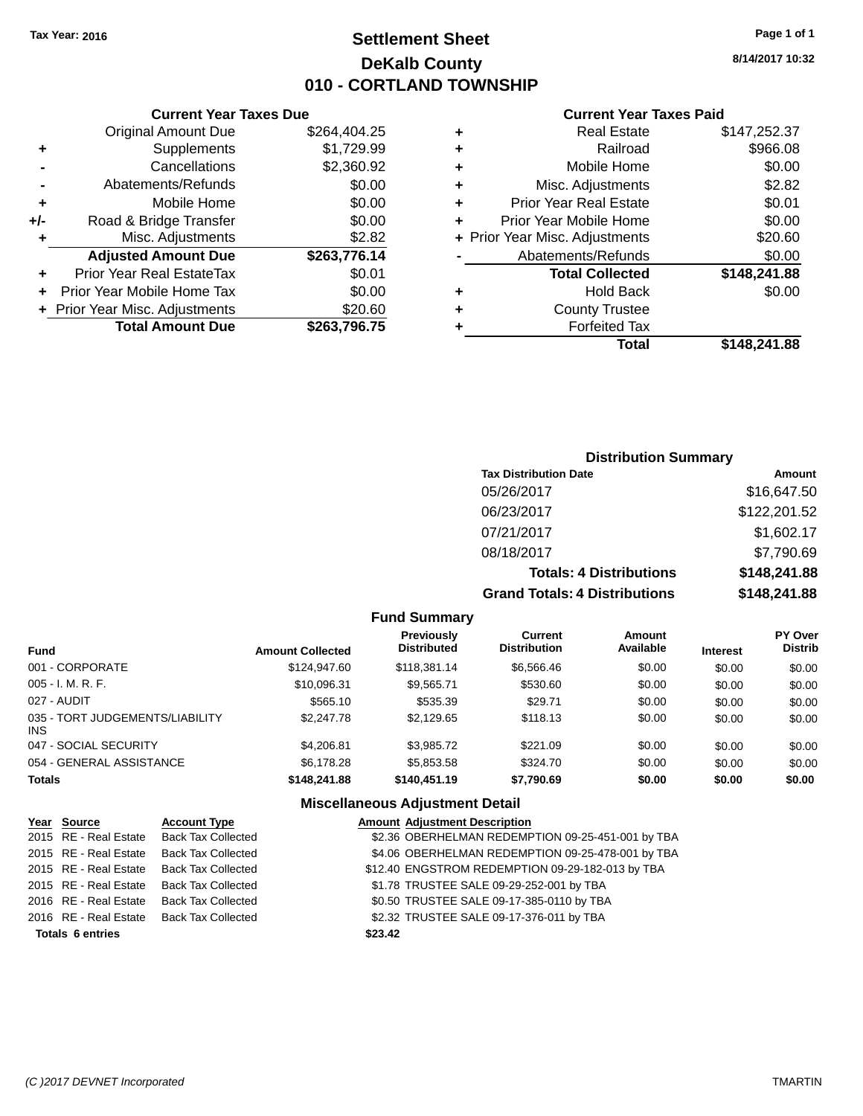# **Settlement Sheet Tax Year: 2016 Page 1 of 1 DeKalb County 010 - CORTLAND TOWNSHIP**

**8/14/2017 10:32**

## **Current Year Taxes Paid**

|       | <b>Current Year Taxes Due</b>  |              |  |  |
|-------|--------------------------------|--------------|--|--|
|       | <b>Original Amount Due</b>     | \$264,404.25 |  |  |
| ٠     | Supplements                    | \$1,729.99   |  |  |
|       | Cancellations                  | \$2,360.92   |  |  |
|       | Abatements/Refunds             | \$0.00       |  |  |
| ٠     | Mobile Home                    | \$0.00       |  |  |
| $+/-$ | Road & Bridge Transfer         | \$0.00       |  |  |
| ٠     | Misc. Adjustments              | \$2.82       |  |  |
|       | <b>Adjusted Amount Due</b>     | \$263,776.14 |  |  |
| ٠     | Prior Year Real EstateTax      | \$0.01       |  |  |
|       | Prior Year Mobile Home Tax     | \$0.00       |  |  |
|       | + Prior Year Misc. Adjustments | \$20.60      |  |  |
|       | <b>Total Amount Due</b>        | \$263,796.75 |  |  |
|       |                                |              |  |  |

|   | <b>Real Estate</b>             | \$147,252.37 |
|---|--------------------------------|--------------|
| ٠ | Railroad                       | \$966.08     |
| ٠ | Mobile Home                    | \$0.00       |
| ٠ | Misc. Adjustments              | \$2.82       |
| ٠ | <b>Prior Year Real Estate</b>  | \$0.01       |
| ٠ | Prior Year Mobile Home         | \$0.00       |
|   | + Prior Year Misc. Adjustments | \$20.60      |
|   | Abatements/Refunds             | \$0.00       |
|   | <b>Total Collected</b>         | \$148,241.88 |
| ٠ | <b>Hold Back</b>               | \$0.00       |
| ٠ | <b>County Trustee</b>          |              |
| ٠ | <b>Forfeited Tax</b>           |              |
|   | Total                          | \$148,241.88 |
|   |                                |              |

# **Distribution Summary**

| <b>Tax Distribution Date</b>         | Amount       |
|--------------------------------------|--------------|
| 05/26/2017                           | \$16,647.50  |
| 06/23/2017                           | \$122,201.52 |
| 07/21/2017                           | \$1,602.17   |
| 08/18/2017                           | \$7,790.69   |
| <b>Totals: 4 Distributions</b>       | \$148,241.88 |
| <b>Grand Totals: 4 Distributions</b> | \$148,241.88 |

## **Fund Summary**

| Fund                                   | <b>Amount Collected</b> | <b>Previously</b><br><b>Distributed</b> | Current<br><b>Distribution</b> | Amount<br>Available | <b>Interest</b> | <b>PY Over</b><br><b>Distrib</b> |
|----------------------------------------|-------------------------|-----------------------------------------|--------------------------------|---------------------|-----------------|----------------------------------|
| 001 - CORPORATE                        | \$124,947.60            | \$118,381.14                            | \$6,566,46                     | \$0.00              | \$0.00          | \$0.00                           |
| 005 - I. M. R. F.                      | \$10,096.31             | \$9,565.71                              | \$530.60                       | \$0.00              | \$0.00          | \$0.00                           |
| 027 - AUDIT                            | \$565.10                | \$535.39                                | \$29.71                        | \$0.00              | \$0.00          | \$0.00                           |
| 035 - TORT JUDGEMENTS/LIABILITY<br>INS | \$2,247.78              | \$2,129.65                              | \$118.13                       | \$0.00              | \$0.00          | \$0.00                           |
| 047 - SOCIAL SECURITY                  | \$4,206.81              | \$3,985.72                              | \$221.09                       | \$0.00              | \$0.00          | \$0.00                           |
| 054 - GENERAL ASSISTANCE               | \$6,178.28              | \$5,853.58                              | \$324.70                       | \$0.00              | \$0.00          | \$0.00                           |
| <b>Totals</b>                          | \$148,241.88            | \$140,451.19                            | \$7,790.69                     | \$0.00              | \$0.00          | \$0.00                           |

| Year Source             | <b>Account Type</b>       | <b>Amount Adjustment Description</b>              |
|-------------------------|---------------------------|---------------------------------------------------|
| 2015 RE - Real Estate   | <b>Back Tax Collected</b> | \$2.36 OBERHELMAN REDEMPTION 09-25-451-001 by TBA |
| 2015 RE - Real Estate   | <b>Back Tax Collected</b> | \$4.06 OBERHELMAN REDEMPTION 09-25-478-001 by TBA |
| 2015 RE - Real Estate   | <b>Back Tax Collected</b> | \$12.40 ENGSTROM REDEMPTION 09-29-182-013 by TBA  |
| 2015 RE - Real Estate   | <b>Back Tax Collected</b> | \$1.78 TRUSTEE SALE 09-29-252-001 by TBA          |
| 2016 RE - Real Estate   | <b>Back Tax Collected</b> | \$0.50 TRUSTEE SALE 09-17-385-0110 by TBA         |
| 2016 RE - Real Estate   | <b>Back Tax Collected</b> | \$2.32 TRUSTEE SALE 09-17-376-011 by TBA          |
| <b>Totals 6 entries</b> |                           | \$23.42                                           |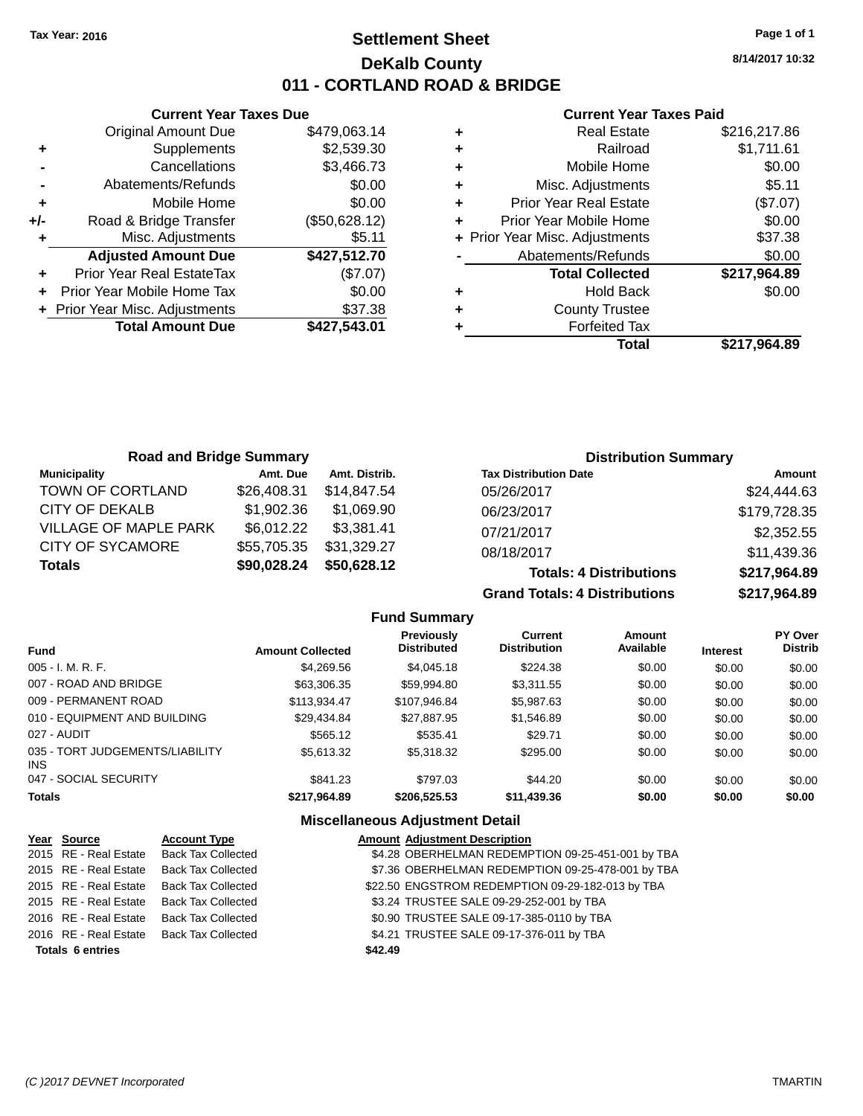# **Settlement Sheet Tax Year: 2016 Page 1 of 1 DeKalb County 011 - CORTLAND ROAD & BRIDGE**

**8/14/2017 10:32**

## **Current Year Taxes Paid**

|       | <b>Current Year Taxes Due</b>  |               |  |
|-------|--------------------------------|---------------|--|
|       | <b>Original Amount Due</b>     | \$479,063.14  |  |
| ٠     | Supplements                    | \$2,539.30    |  |
|       | Cancellations                  | \$3,466.73    |  |
|       | Abatements/Refunds             | \$0.00        |  |
| ٠     | Mobile Home                    | \$0.00        |  |
| $+/-$ | Road & Bridge Transfer         | (\$50,628.12) |  |
|       | Misc. Adjustments              | \$5.11        |  |
|       | <b>Adjusted Amount Due</b>     | \$427,512.70  |  |
| ٠     | Prior Year Real EstateTax      | (\$7.07)      |  |
|       | Prior Year Mobile Home Tax     | \$0.00        |  |
|       | + Prior Year Misc. Adjustments | \$37.38       |  |
|       | <b>Total Amount Due</b>        | \$427.543.01  |  |
|       |                                |               |  |

| ٠ | <b>Real Estate</b>             | \$216,217.86 |
|---|--------------------------------|--------------|
| ٠ | Railroad                       | \$1,711.61   |
| ٠ | Mobile Home                    | \$0.00       |
| ٠ | Misc. Adjustments              | \$5.11       |
| ٠ | <b>Prior Year Real Estate</b>  | (\$7.07)     |
| ٠ | Prior Year Mobile Home         | \$0.00       |
|   | + Prior Year Misc. Adjustments | \$37.38      |
|   | Abatements/Refunds             | \$0.00       |
|   | <b>Total Collected</b>         | \$217,964.89 |
| ٠ | <b>Hold Back</b>               | \$0.00       |
| ٠ | <b>County Trustee</b>          |              |
| ٠ | <b>Forfeited Tax</b>           |              |
|   | Total                          | \$217,964.89 |
|   |                                |              |

| <b>Road and Bridge Summary</b> |             |               | <b>Distribution Summary</b>    |              |
|--------------------------------|-------------|---------------|--------------------------------|--------------|
| <b>Municipality</b>            | Amt. Due    | Amt. Distrib. | <b>Tax Distribution Date</b>   | Amount       |
| TOWN OF CORTLAND               | \$26,408.31 | \$14.847.54   | 05/26/2017                     | \$24,444.63  |
| <b>CITY OF DEKALB</b>          | \$1,902.36  | \$1,069.90    | 06/23/2017                     | \$179,728.35 |
| <b>VILLAGE OF MAPLE PARK</b>   | \$6,012.22  | \$3,381.41    | 07/21/2017                     | \$2,352.55   |
| <b>CITY OF SYCAMORE</b>        | \$55,705.35 | \$31,329.27   | 08/18/2017                     | \$11,439.36  |
| <b>Totals</b>                  | \$90,028.24 | \$50,628.12   | <b>Totals: 4 Distributions</b> | \$217,964.89 |

**Grand Totals: 4 Distributions \$217,964.89**

|                                         |                         | <b>Fund Summary</b>                     |                                       |                     |                 |                                  |
|-----------------------------------------|-------------------------|-----------------------------------------|---------------------------------------|---------------------|-----------------|----------------------------------|
| <b>Fund</b>                             | <b>Amount Collected</b> | <b>Previously</b><br><b>Distributed</b> | <b>Current</b><br><b>Distribution</b> | Amount<br>Available | <b>Interest</b> | <b>PY Over</b><br><b>Distrib</b> |
| $005 - I. M. R. F.$                     | \$4.269.56              | \$4,045.18                              | \$224.38                              | \$0.00              | \$0.00          | \$0.00                           |
| 007 - ROAD AND BRIDGE                   | \$63,306.35             | \$59.994.80                             | \$3,311,55                            | \$0.00              | \$0.00          | \$0.00                           |
| 009 - PERMANENT ROAD                    | \$113.934.47            | \$107.946.84                            | \$5,987.63                            | \$0.00              | \$0.00          | \$0.00                           |
| 010 - EQUIPMENT AND BUILDING            | \$29.434.84             | \$27.887.95                             | \$1,546.89                            | \$0.00              | \$0.00          | \$0.00                           |
| 027 - AUDIT                             | \$565.12                | \$535.41                                | \$29.71                               | \$0.00              | \$0.00          | \$0.00                           |
| 035 - TORT JUDGEMENTS/LIABILITY<br>INS. | \$5,613,32              | \$5,318,32                              | \$295.00                              | \$0.00              | \$0.00          | \$0.00                           |
| 047 - SOCIAL SECURITY                   | \$841.23                | \$797.03                                | \$44.20                               | \$0.00              | \$0.00          | \$0.00                           |
| <b>Totals</b>                           | \$217,964.89            | \$206,525.53                            | \$11,439.36                           | \$0.00              | \$0.00          | \$0.00                           |

| Year Source             | <b>Account Type</b>       | <b>Amount Adjustment Description</b>              |  |
|-------------------------|---------------------------|---------------------------------------------------|--|
| 2015 RE - Real Estate   | <b>Back Tax Collected</b> | \$4.28 OBERHELMAN REDEMPTION 09-25-451-001 by TBA |  |
| 2015 RE - Real Estate   | <b>Back Tax Collected</b> | \$7.36 OBERHELMAN REDEMPTION 09-25-478-001 by TBA |  |
| 2015 RE - Real Estate   | <b>Back Tax Collected</b> | \$22.50 ENGSTROM REDEMPTION 09-29-182-013 by TBA  |  |
| 2015 RE - Real Estate   | <b>Back Tax Collected</b> | \$3.24 TRUSTEE SALE 09-29-252-001 by TBA          |  |
| 2016 RE - Real Estate   | <b>Back Tax Collected</b> | \$0.90 TRUSTEE SALE 09-17-385-0110 by TBA         |  |
| 2016 RE - Real Estate   | <b>Back Tax Collected</b> | \$4.21 TRUSTEE SALE 09-17-376-011 by TBA          |  |
| <b>Totals 6 entries</b> |                           | \$42.49                                           |  |
|                         |                           |                                                   |  |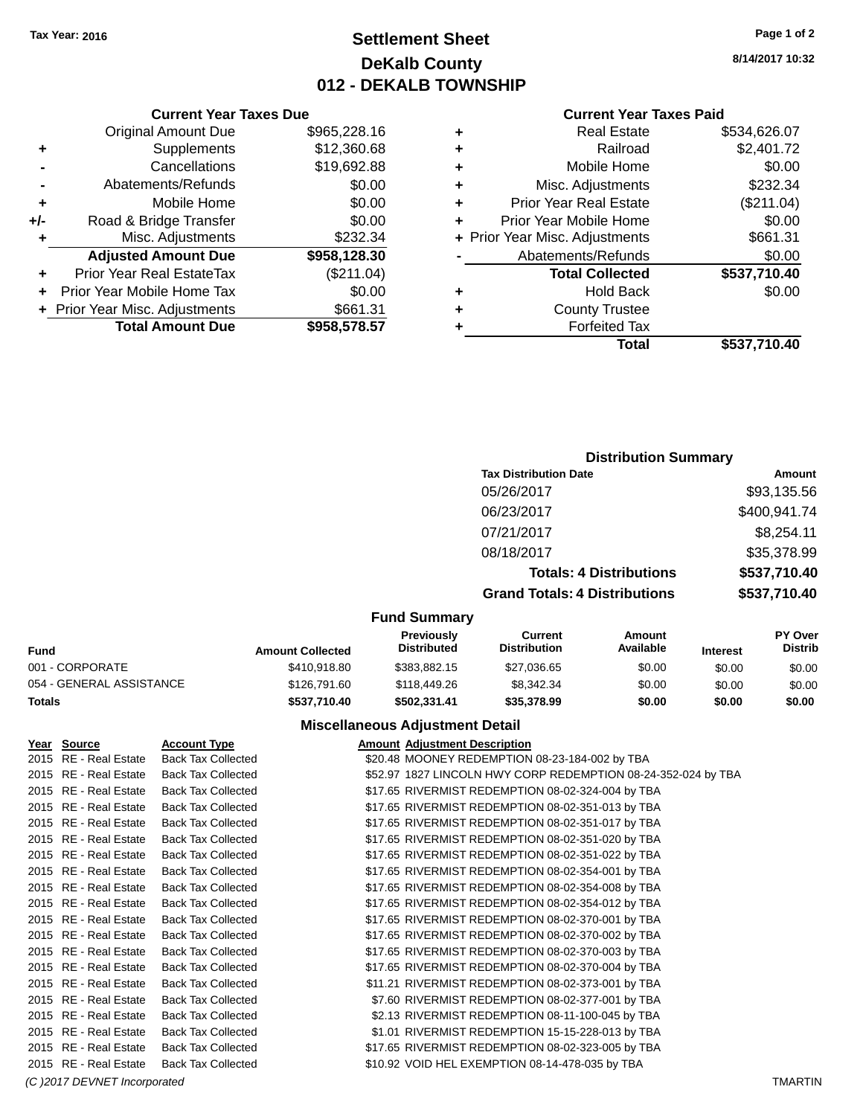# **Settlement Sheet Tax Year: 2016 Page 1 of 2 DeKalb County 012 - DEKALB TOWNSHIP**

**8/14/2017 10:32**

### **Current Year Taxes Paid**

| Curre                   |   |              | <b>Current Year Taxes Due</b>    |       |
|-------------------------|---|--------------|----------------------------------|-------|
| Rea                     | ٠ | \$965,228.16 | Original Amount Due              |       |
|                         | ÷ | \$12,360.68  | Supplements                      |       |
| Mobil                   | ٠ | \$19,692.88  | Cancellations                    |       |
| Misc. Adju              | ٠ | \$0.00       | Abatements/Refunds               |       |
| Prior Year Rea          | ٠ | \$0.00       | Mobile Home                      |       |
| <b>Prior Year Mobil</b> | ٠ | \$0.00       | Road & Bridge Transfer           | $+/-$ |
| + Prior Year Misc. Adju |   | \$232.34     | Misc. Adjustments                | ٠     |
| Abatements/             |   | \$958,128.30 | <b>Adjusted Amount Due</b>       |       |
| <b>Total Co</b>         |   | (\$211.04)   | <b>Prior Year Real EstateTax</b> |       |
| Ho                      | ٠ | \$0.00       | Prior Year Mobile Home Tax       |       |
| County                  | ٠ | \$661.31     | + Prior Year Misc. Adjustments   |       |
| Forfe                   |   | \$958,578.57 | <b>Total Amount Due</b>          |       |
|                         |   |              |                                  |       |

| ٠ | <b>Real Estate</b>             | \$534,626.07 |
|---|--------------------------------|--------------|
|   | Railroad                       | \$2,401.72   |
|   | Mobile Home                    | \$0.00       |
| ٠ | Misc. Adjustments              | \$232.34     |
| ٠ | <b>Prior Year Real Estate</b>  | (\$211.04)   |
| ÷ | Prior Year Mobile Home         | \$0.00       |
|   | + Prior Year Misc. Adjustments | \$661.31     |
|   | Abatements/Refunds             | \$0.00       |
|   | <b>Total Collected</b>         | \$537,710.40 |
|   | <b>Hold Back</b>               | \$0.00       |
| ٠ | <b>County Trustee</b>          |              |
|   | <b>Forfeited Tax</b>           |              |
|   | Total                          | \$537,710.40 |
|   |                                |              |

## **Distribution Summary**

| <b>Tax Distribution Date</b>         | Amount       |
|--------------------------------------|--------------|
| 05/26/2017                           | \$93,135.56  |
| 06/23/2017                           | \$400,941.74 |
| 07/21/2017                           | \$8,254.11   |
| 08/18/2017                           | \$35,378.99  |
| <b>Totals: 4 Distributions</b>       | \$537,710.40 |
| <b>Grand Totals: 4 Distributions</b> | \$537,710.40 |
|                                      |              |

#### **Fund Summary**

| Fund                     | <b>Amount Collected</b> | <b>Previously</b><br><b>Distributed</b> | Current<br><b>Distribution</b> | Amount<br>Available | <b>Interest</b> | <b>PY Over</b><br><b>Distrib</b> |
|--------------------------|-------------------------|-----------------------------------------|--------------------------------|---------------------|-----------------|----------------------------------|
| 001 - CORPORATE          | \$410.918.80            | \$383,882.15                            | \$27.036.65                    | \$0.00              | \$0.00          | \$0.00                           |
| 054 - GENERAL ASSISTANCE | \$126,791.60            | \$118,449.26                            | \$8,342,34                     | \$0.00              | \$0.00          | \$0.00                           |
| Totals                   | \$537.710.40            | \$502.331.41                            | \$35,378.99                    | \$0.00              | \$0.00          | \$0.00                           |

| Year Source                  | <b>Account Type</b>       | <b>Amount Adjustment Description</b>                          |                |
|------------------------------|---------------------------|---------------------------------------------------------------|----------------|
| 2015 RE - Real Estate        | <b>Back Tax Collected</b> | \$20.48 MOONEY REDEMPTION 08-23-184-002 by TBA                |                |
| 2015 RE - Real Estate        | <b>Back Tax Collected</b> | \$52.97 1827 LINCOLN HWY CORP REDEMPTION 08-24-352-024 by TBA |                |
| 2015 RE - Real Estate        | <b>Back Tax Collected</b> | \$17.65 RIVERMIST REDEMPTION 08-02-324-004 by TBA             |                |
| 2015 RE - Real Estate        | <b>Back Tax Collected</b> | \$17.65 RIVERMIST REDEMPTION 08-02-351-013 by TBA             |                |
| 2015 RE - Real Estate        | <b>Back Tax Collected</b> | \$17.65 RIVERMIST REDEMPTION 08-02-351-017 by TBA             |                |
| 2015 RE - Real Estate        | <b>Back Tax Collected</b> | \$17.65 RIVERMIST REDEMPTION 08-02-351-020 by TBA             |                |
| 2015 RE - Real Estate        | <b>Back Tax Collected</b> | \$17.65 RIVERMIST REDEMPTION 08-02-351-022 by TBA             |                |
| 2015 RE - Real Estate        | <b>Back Tax Collected</b> | \$17.65 RIVERMIST REDEMPTION 08-02-354-001 by TBA             |                |
| 2015 RE - Real Estate        | <b>Back Tax Collected</b> | \$17.65 RIVERMIST REDEMPTION 08-02-354-008 by TBA             |                |
| 2015 RE - Real Estate        | <b>Back Tax Collected</b> | \$17.65 RIVERMIST REDEMPTION 08-02-354-012 by TBA             |                |
| 2015 RE - Real Estate        | <b>Back Tax Collected</b> | \$17.65 RIVERMIST REDEMPTION 08-02-370-001 by TBA             |                |
| 2015 RE - Real Estate        | <b>Back Tax Collected</b> | \$17.65 RIVERMIST REDEMPTION 08-02-370-002 by TBA             |                |
| 2015 RE - Real Estate        | <b>Back Tax Collected</b> | \$17.65 RIVERMIST REDEMPTION 08-02-370-003 by TBA             |                |
| 2015 RE - Real Estate        | <b>Back Tax Collected</b> | \$17.65 RIVERMIST REDEMPTION 08-02-370-004 by TBA             |                |
| 2015 RE - Real Estate        | <b>Back Tax Collected</b> | \$11.21 RIVERMIST REDEMPTION 08-02-373-001 by TBA             |                |
| 2015 RE - Real Estate        | <b>Back Tax Collected</b> | \$7.60 RIVERMIST REDEMPTION 08-02-377-001 by TBA              |                |
| 2015 RE - Real Estate        | <b>Back Tax Collected</b> | \$2.13 RIVERMIST REDEMPTION 08-11-100-045 by TBA              |                |
| 2015 RE - Real Estate        | <b>Back Tax Collected</b> | \$1.01 RIVERMIST REDEMPTION 15-15-228-013 by TBA              |                |
| 2015 RE - Real Estate        | <b>Back Tax Collected</b> | \$17.65 RIVERMIST REDEMPTION 08-02-323-005 by TBA             |                |
| 2015 RE - Real Estate        | <b>Back Tax Collected</b> | \$10.92 VOID HEL EXEMPTION 08-14-478-035 by TBA               |                |
| (C) 2017 DEVNET Incorporated |                           |                                                               | <b>TMARTIN</b> |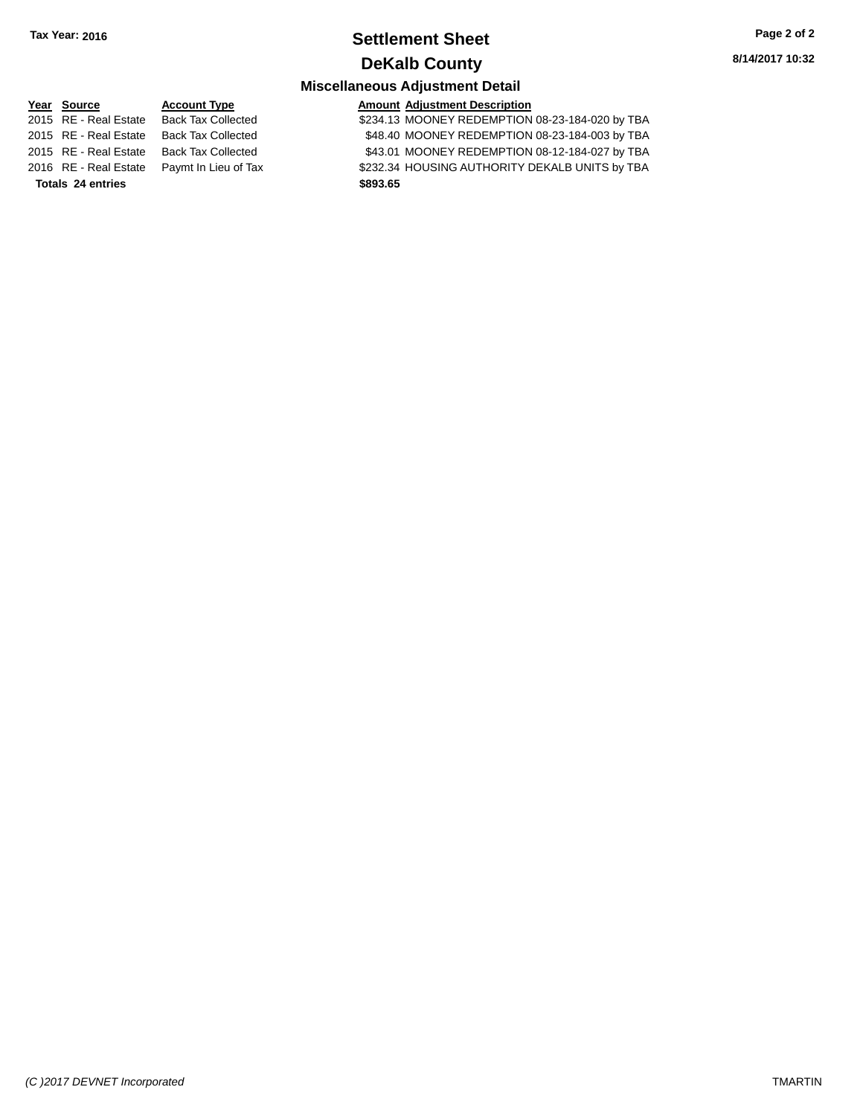# **Settlement Sheet Tax Year: 2016 Page 2 of 2 DeKalb County**

**8/14/2017 10:32**

# **Miscellaneous Adjustment Detail**

**Year** Source **Account Type Account Adjustment Description** 

2015 RE - Real Estate Back Tax Collected \$234.13 MOONEY REDEMPTION 08-23-184-020 by TBA 2015 RE - Real Estate Back Tax Collected \$48.40 MOONEY REDEMPTION 08-23-184-003 by TBA 2015 RE - Real Estate Back Tax Collected \$43.01 MOONEY REDEMPTION 08-12-184-027 by TBA 2016 RE - Real Estate Paymt In Lieu of Tax \$232.34 HOUSING AUTHORITY DEKALB UNITS by TBA

**Totals 24 entries \$893.65**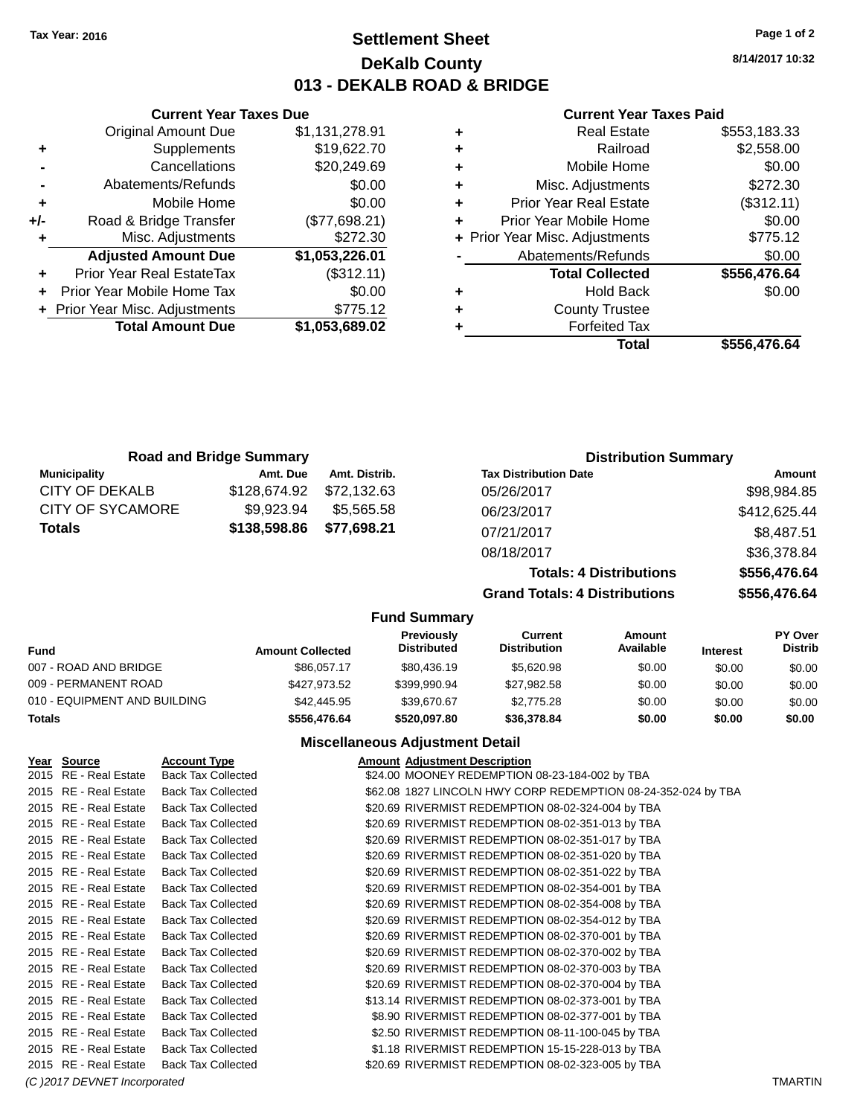# **Settlement Sheet Tax Year: 2016 Page 1 of 2 DeKalb County 013 - DEKALB ROAD & BRIDGE**

**8/14/2017 10:32**

## **Current Year Taxes Paid**

| ٠ | <b>Real Estate</b>             | \$553,183.33 |
|---|--------------------------------|--------------|
| ٠ | Railroad                       | \$2,558.00   |
| ٠ | Mobile Home                    | \$0.00       |
| ٠ | Misc. Adjustments              | \$272.30     |
| ٠ | <b>Prior Year Real Estate</b>  | (\$312.11)   |
| ٠ | Prior Year Mobile Home         | \$0.00       |
|   | + Prior Year Misc. Adjustments | \$775.12     |
|   | Abatements/Refunds             | \$0.00       |
|   | <b>Total Collected</b>         | \$556,476.64 |
| ٠ | Hold Back                      | \$0.00       |
| ٠ | <b>County Trustee</b>          |              |
| ٠ | <b>Forfeited Tax</b>           |              |
|   | Total                          | \$556.476.64 |

|     | <b>Current Year Taxes Due</b>  |                |
|-----|--------------------------------|----------------|
|     | <b>Original Amount Due</b>     | \$1,131,278.91 |
| ٠   | Supplements                    | \$19,622.70    |
|     | Cancellations                  | \$20,249.69    |
|     | Abatements/Refunds             | \$0.00         |
| ٠   | Mobile Home                    | \$0.00         |
| +/- | Road & Bridge Transfer         | (\$77,698.21)  |
| ٠   | Misc. Adjustments              | \$272.30       |
|     | <b>Adjusted Amount Due</b>     | \$1,053,226.01 |
| ٠   | Prior Year Real EstateTax      | (\$312.11)     |
|     | Prior Year Mobile Home Tax     | \$0.00         |
|     | + Prior Year Misc. Adjustments | \$775.12       |
|     | <b>Total Amount Due</b>        | \$1,053,689.02 |
|     |                                |                |

|                         | <b>Road and Bridge Summary</b> |               | <b>Distribution Summary</b>    |              |
|-------------------------|--------------------------------|---------------|--------------------------------|--------------|
| <b>Municipality</b>     | Amt. Due                       | Amt. Distrib. | <b>Tax Distribution Date</b>   | Amount       |
| CITY OF DEKALB          | \$128,674.92                   | \$72.132.63   | 05/26/2017                     | \$98,984.85  |
| <b>CITY OF SYCAMORE</b> | \$9,923.94                     | \$5.565.58    | 06/23/2017                     | \$412,625.44 |
| <b>Totals</b>           | \$138,598.86                   | \$77,698.21   | 07/21/2017                     | \$8,487.51   |
|                         |                                |               | 08/18/2017                     | \$36,378.84  |
|                         |                                |               | <b>Totals: 4 Distributions</b> | \$556,476.64 |

**Grand Totals: 4 Distributions \$556,476.64**

## **Fund Summary**

| Fund                         | <b>Amount Collected</b> | <b>Previously</b><br><b>Distributed</b> | Current<br><b>Distribution</b> | Amount<br>Available | <b>Interest</b> | <b>PY Over</b><br><b>Distrib</b> |
|------------------------------|-------------------------|-----------------------------------------|--------------------------------|---------------------|-----------------|----------------------------------|
| 007 - ROAD AND BRIDGE        | \$86,057.17             | \$80.436.19                             | \$5,620.98                     | \$0.00              | \$0.00          | \$0.00                           |
| 009 - PERMANENT ROAD         | \$427.973.52            | \$399.990.94                            | \$27.982.58                    | \$0.00              | \$0.00          | \$0.00                           |
| 010 - EQUIPMENT AND BUILDING | \$42,445.95             | \$39,670.67                             | \$2,775.28                     | \$0.00              | \$0.00          | \$0.00                           |
| Totals                       | \$556,476.64            | \$520.097.80                            | \$36,378,84                    | \$0.00              | \$0.00          | \$0.00                           |

| Year Source                  | <b>Account Type</b>       | <b>Amount Adjustment Description</b>                          |                |
|------------------------------|---------------------------|---------------------------------------------------------------|----------------|
| 2015 RE - Real Estate        | <b>Back Tax Collected</b> | \$24.00 MOONEY REDEMPTION 08-23-184-002 by TBA                |                |
| 2015 RE - Real Estate        | <b>Back Tax Collected</b> | \$62.08 1827 LINCOLN HWY CORP REDEMPTION 08-24-352-024 by TBA |                |
| 2015 RE - Real Estate        | <b>Back Tax Collected</b> | \$20.69 RIVERMIST REDEMPTION 08-02-324-004 by TBA             |                |
| 2015 RE - Real Estate        | <b>Back Tax Collected</b> | \$20.69 RIVERMIST REDEMPTION 08-02-351-013 by TBA             |                |
| 2015 RE - Real Estate        | <b>Back Tax Collected</b> | \$20.69 RIVERMIST REDEMPTION 08-02-351-017 by TBA             |                |
| 2015 RE - Real Estate        | <b>Back Tax Collected</b> | \$20.69 RIVERMIST REDEMPTION 08-02-351-020 by TBA             |                |
| 2015 RE - Real Estate        | <b>Back Tax Collected</b> | \$20.69 RIVERMIST REDEMPTION 08-02-351-022 by TBA             |                |
| 2015 RE - Real Estate        | <b>Back Tax Collected</b> | \$20.69 RIVERMIST REDEMPTION 08-02-354-001 by TBA             |                |
| 2015 RE - Real Estate        | <b>Back Tax Collected</b> | \$20.69 RIVERMIST REDEMPTION 08-02-354-008 by TBA             |                |
| 2015 RE - Real Estate        | <b>Back Tax Collected</b> | \$20.69 RIVERMIST REDEMPTION 08-02-354-012 by TBA             |                |
| 2015 RE - Real Estate        | <b>Back Tax Collected</b> | \$20.69 RIVERMIST REDEMPTION 08-02-370-001 by TBA             |                |
| 2015 RE - Real Estate        | <b>Back Tax Collected</b> | \$20.69 RIVERMIST REDEMPTION 08-02-370-002 by TBA             |                |
| 2015 RE - Real Estate        | <b>Back Tax Collected</b> | \$20.69 RIVERMIST REDEMPTION 08-02-370-003 by TBA             |                |
| 2015 RE - Real Estate        | <b>Back Tax Collected</b> | \$20.69 RIVERMIST REDEMPTION 08-02-370-004 by TBA             |                |
| 2015 RE - Real Estate        | <b>Back Tax Collected</b> | \$13.14 RIVERMIST REDEMPTION 08-02-373-001 by TBA             |                |
| 2015 RE - Real Estate        | <b>Back Tax Collected</b> | \$8.90 RIVERMIST REDEMPTION 08-02-377-001 by TBA              |                |
| 2015 RE - Real Estate        | <b>Back Tax Collected</b> | \$2.50 RIVERMIST REDEMPTION 08-11-100-045 by TBA              |                |
| 2015 RE - Real Estate        | <b>Back Tax Collected</b> | \$1.18 RIVERMIST REDEMPTION 15-15-228-013 by TBA              |                |
| 2015 RE - Real Estate        | <b>Back Tax Collected</b> | \$20.69 RIVERMIST REDEMPTION 08-02-323-005 by TBA             |                |
| (C) 2017 DEVNET Incorporated |                           |                                                               | <b>TMARTIN</b> |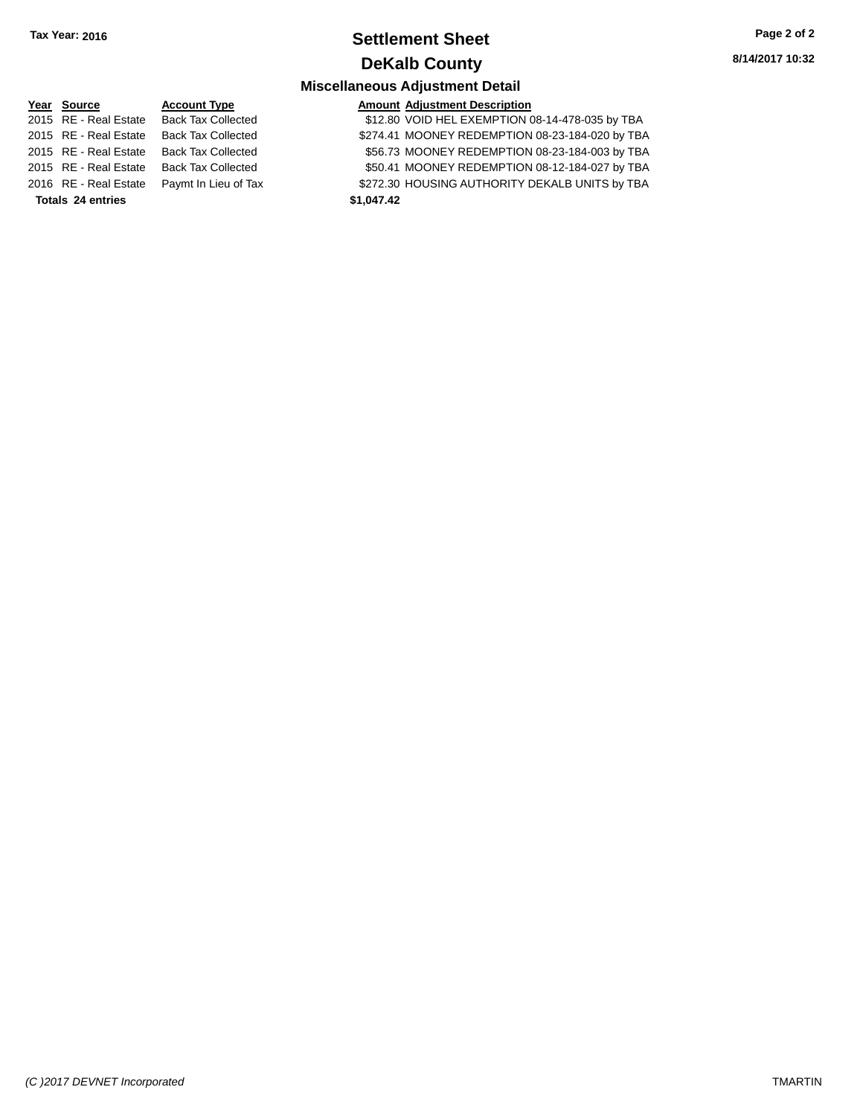# **Settlement Sheet Tax Year: 2016 Page 2 of 2 DeKalb County**

## **Miscellaneous Adjustment Detail**

| Year Source           | <b>Account Type</b>       | <b>Amount</b> |
|-----------------------|---------------------------|---------------|
| 2015 RE - Real Estate | <b>Back Tax Collected</b> | \$12.80       |
| 2015 RE - Real Estate | <b>Back Tax Collected</b> | \$274.41      |
| 2015 RE - Real Estate | <b>Back Tax Collected</b> | \$56.73       |
| 2015 RE - Real Estate | <b>Back Tax Collected</b> | \$50.41       |
| 2016 RE - Real Estate | Paymt In Lieu of Tax      | \$272.30      |
| Totals 24 entries     |                           | \$1,047.42    |

# **Year Source Account Type Amount Adjustment Description**

\$12.80 VOID HEL EXEMPTION 08-14-478-035 by TBA 2015 Dilected \$274.41 MOONEY REDEMPTION 08-23-184-020 by TBA 2016 Dilected \$56.73 MOONEY REDEMPTION 08-23-184-003 by TBA 2016 Dilected \$50.41 MOONEY REDEMPTION 08-12-184-027 by TBA eu of Tax **Fask Author In Lieu Estate Payme In Lieu School** S272.30 HOUSING AUTHORITY DEKALB UNITS by TBA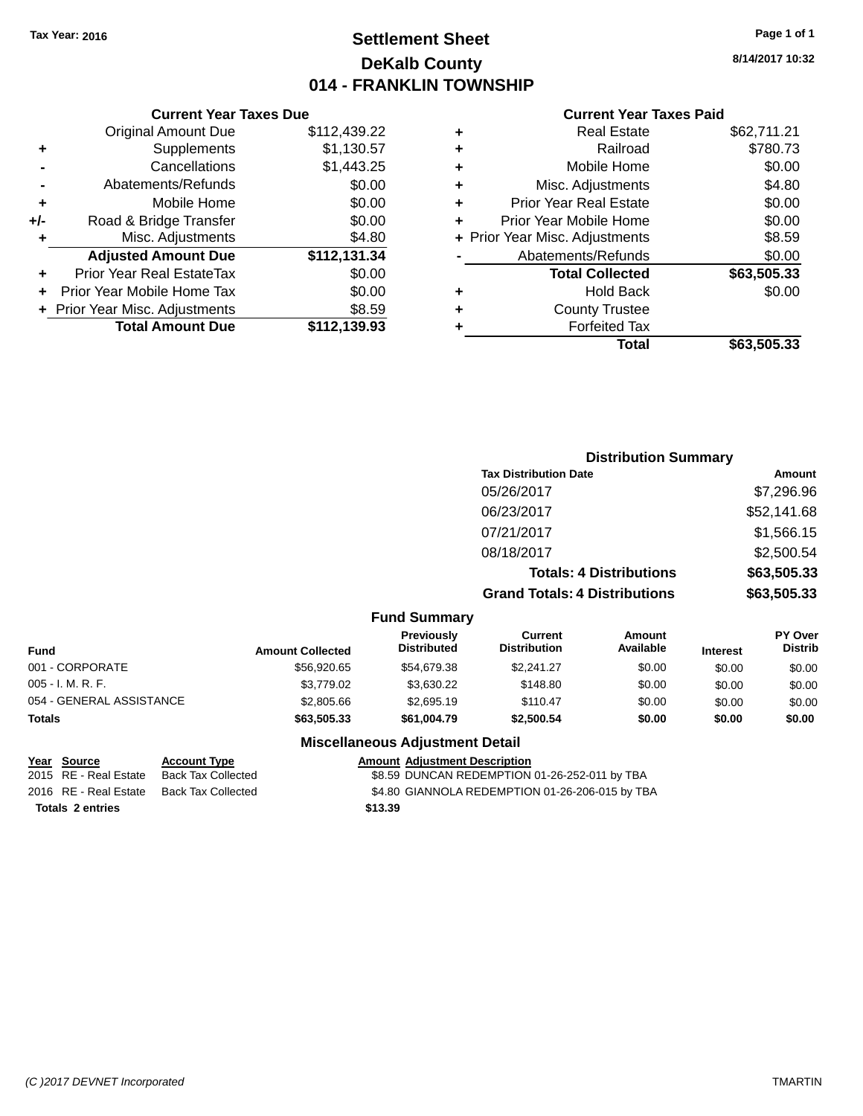# **Settlement Sheet Tax Year: 2016 Page 1 of 1 DeKalb County 014 - FRANKLIN TOWNSHIP**

**8/14/2017 10:32**

## **Current Year Taxes Paid**

|       | <b>Current Year Taxes Due</b>  |              |
|-------|--------------------------------|--------------|
|       | <b>Original Amount Due</b>     | \$112,439.22 |
| ٠     | Supplements                    | \$1,130.57   |
|       | Cancellations                  | \$1,443.25   |
|       | Abatements/Refunds             | \$0.00       |
| ٠     | Mobile Home                    | \$0.00       |
| $+/-$ | Road & Bridge Transfer         | \$0.00       |
| ٠     | Misc. Adjustments              | \$4.80       |
|       | <b>Adjusted Amount Due</b>     | \$112,131.34 |
| ÷     | Prior Year Real EstateTax      | \$0.00       |
|       | Prior Year Mobile Home Tax     | \$0.00       |
|       | + Prior Year Misc. Adjustments | \$8.59       |
|       | <b>Total Amount Due</b>        | \$112,139.93 |
|       |                                |              |

|   | <b>Real Estate</b>             | \$62,711.21 |
|---|--------------------------------|-------------|
| ٠ | Railroad                       | \$780.73    |
| ٠ | Mobile Home                    | \$0.00      |
| ٠ | Misc. Adjustments              | \$4.80      |
| ٠ | <b>Prior Year Real Estate</b>  | \$0.00      |
| ٠ | Prior Year Mobile Home         | \$0.00      |
|   | + Prior Year Misc. Adjustments | \$8.59      |
|   | Abatements/Refunds             | \$0.00      |
|   | <b>Total Collected</b>         | \$63,505.33 |
| ٠ | <b>Hold Back</b>               | \$0.00      |
| ٠ | <b>County Trustee</b>          |             |
| ٠ | <b>Forfeited Tax</b>           |             |
|   | Total                          | \$63,505.33 |
|   |                                |             |

# **Distribution Summary Tax Distribution Date Amount** 05/26/2017 \$7,296.96 06/23/2017 \$52,141.68 07/21/2017 \$1,566.15 08/18/2017 \$2,500.54 **Totals: 4 Distributions \$63,505.33 Grand Totals: 4 Distributions \$63,505.33**

#### **Fund Summary**

| Fund                     | <b>Amount Collected</b> | <b>Previously</b><br><b>Distributed</b> | Current<br><b>Distribution</b> | Amount<br>Available | <b>Interest</b> | PY Over<br><b>Distrib</b> |
|--------------------------|-------------------------|-----------------------------------------|--------------------------------|---------------------|-----------------|---------------------------|
| 001 - CORPORATE          | \$56,920.65             | \$54.679.38                             | \$2,241.27                     | \$0.00              | \$0.00          | \$0.00                    |
| 005 - I. M. R. F.        | \$3,779.02              | \$3,630.22                              | \$148.80                       | \$0.00              | \$0.00          | \$0.00                    |
| 054 - GENERAL ASSISTANCE | \$2,805.66              | \$2,695.19                              | \$110.47                       | \$0.00              | \$0.00          | \$0.00                    |
| Totals                   | \$63,505,33             | \$61,004.79                             | \$2,500.54                     | \$0.00              | \$0.00          | \$0.00                    |

|                         | Year Source           | <b>Account Type</b> | <b>Amount Adjustment Description</b>            |
|-------------------------|-----------------------|---------------------|-------------------------------------------------|
|                         | 2015 RE - Real Estate | Back Tax Collected  | \$8.59 DUNCAN REDEMPTION 01-26-252-011 by TBA   |
|                         | 2016 RE - Real Estate | Back Tax Collected  | \$4.80 GIANNOLA REDEMPTION 01-26-206-015 by TBA |
| <b>Totals 2 entries</b> |                       |                     | \$13.39                                         |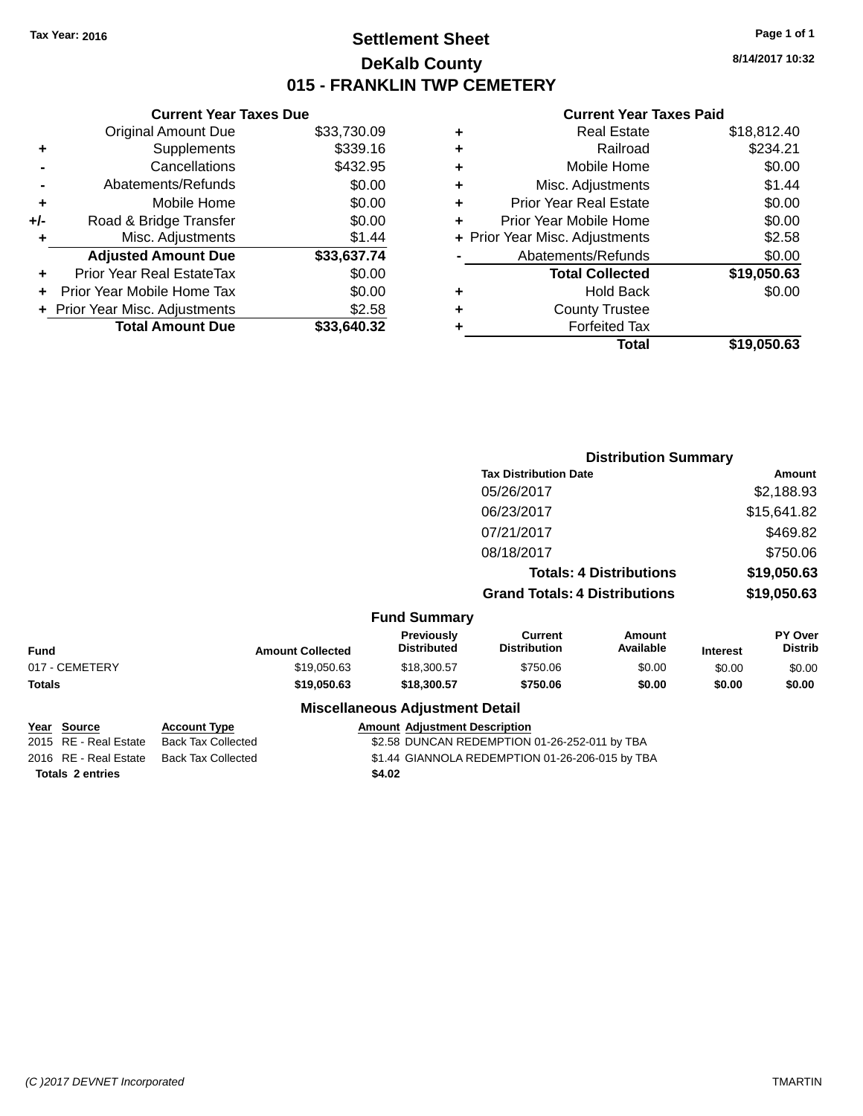# **Settlement Sheet Tax Year: 2016 Page 1 of 1 DeKalb County 015 - FRANKLIN TWP CEMETERY**

**8/14/2017 10:32**

|       | <b>Current Year Taxes Due</b>  |             |
|-------|--------------------------------|-------------|
|       | <b>Original Amount Due</b>     | \$33,730.09 |
| ٠     | Supplements                    | \$339.16    |
|       | Cancellations                  | \$432.95    |
|       | Abatements/Refunds             | \$0.00      |
| ٠     | Mobile Home                    | \$0.00      |
| $+/-$ | Road & Bridge Transfer         | \$0.00      |
|       | Misc. Adjustments              | \$1.44      |
|       | <b>Adjusted Amount Due</b>     | \$33,637.74 |
|       | Prior Year Real EstateTax      | \$0.00      |
|       | Prior Year Mobile Home Tax     | \$0.00      |
|       | + Prior Year Misc. Adjustments | \$2.58      |
|       | <b>Total Amount Due</b>        | \$33,640.32 |
|       |                                |             |

|   | <b>Real Estate</b>             | \$18,812.40 |
|---|--------------------------------|-------------|
| ٠ | Railroad                       | \$234.21    |
| ٠ | Mobile Home                    | \$0.00      |
| ٠ | Misc. Adjustments              | \$1.44      |
| ٠ | <b>Prior Year Real Estate</b>  | \$0.00      |
| ٠ | Prior Year Mobile Home         | \$0.00      |
|   | + Prior Year Misc. Adjustments | \$2.58      |
|   | Abatements/Refunds             | \$0.00      |
|   | <b>Total Collected</b>         | \$19,050.63 |
| ٠ | <b>Hold Back</b>               | \$0.00      |
|   | <b>County Trustee</b>          |             |
| ٠ | <b>Forfeited Tax</b>           |             |
|   | Total                          | \$19,050.63 |
|   |                                |             |

|                |                         |                                         |                                       | <b>Distribution Summary</b>    |                 |                           |
|----------------|-------------------------|-----------------------------------------|---------------------------------------|--------------------------------|-----------------|---------------------------|
|                |                         |                                         | <b>Tax Distribution Date</b>          |                                |                 | Amount                    |
|                |                         |                                         | 05/26/2017                            |                                |                 | \$2,188.93                |
|                |                         |                                         | 06/23/2017                            |                                |                 | \$15,641.82               |
|                |                         |                                         | 07/21/2017                            |                                |                 | \$469.82                  |
|                |                         |                                         | 08/18/2017                            |                                |                 | \$750.06                  |
|                |                         |                                         |                                       | <b>Totals: 4 Distributions</b> |                 | \$19,050.63               |
|                |                         |                                         | <b>Grand Totals: 4 Distributions</b>  |                                |                 | \$19,050.63               |
|                |                         | <b>Fund Summary</b>                     |                                       |                                |                 |                           |
| <b>Fund</b>    | <b>Amount Collected</b> | <b>Previously</b><br><b>Distributed</b> | <b>Current</b><br><b>Distribution</b> | Amount<br>Available            | <b>Interest</b> | PY Over<br><b>Distrib</b> |
| 017 - CEMETERY | \$19,050.63             | \$18,300.57                             | \$750.06                              | \$0.00                         | \$0.00          | \$0.00                    |
| Totals         | \$19,050.63             | \$18,300.57                             | \$750.06                              | \$0.00                         | \$0.00          | \$0.00                    |
|                |                         | <b>Miscellaneous Adjustment Detail</b>  |                                       |                                |                 |                           |

|                         | Year Source           | <b>Account Type</b> | <b>Amount Adjustment Description</b>          |                                                 |
|-------------------------|-----------------------|---------------------|-----------------------------------------------|-------------------------------------------------|
|                         | 2015 RE - Real Estate | Back Tax Collected  | \$2.58 DUNCAN REDEMPTION 01-26-252-011 by TBA |                                                 |
|                         | 2016 RE - Real Estate | Back Tax Collected  |                                               | \$1.44 GIANNOLA REDEMPTION 01-26-206-015 by TBA |
| <b>Totals 2 entries</b> |                       | \$4.02              |                                               |                                                 |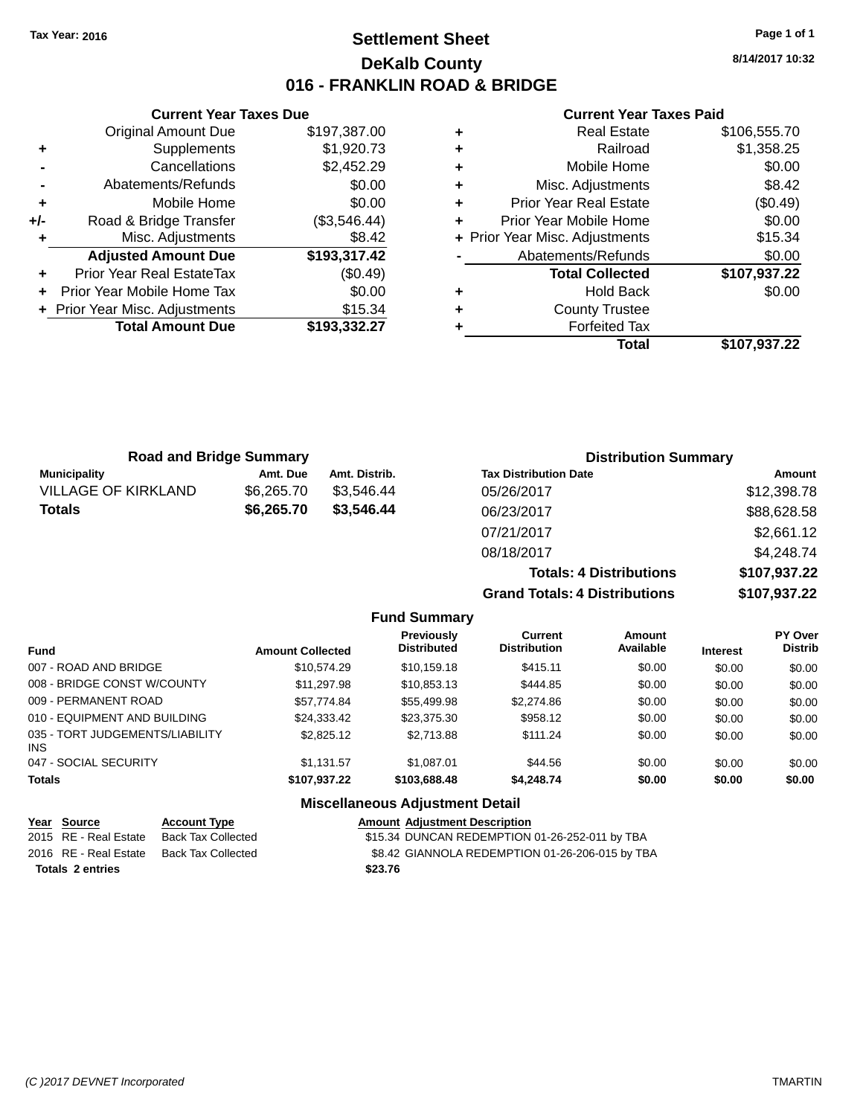# **Settlement Sheet Tax Year: 2016 Page 1 of 1 DeKalb County 016 - FRANKLIN ROAD & BRIDGE**

**8/14/2017 10:32**

## **Current Year Taxes Paid**

|       | <b>Current Year Taxes Due</b>  |              |
|-------|--------------------------------|--------------|
|       | <b>Original Amount Due</b>     | \$197,387.00 |
| ٠     | Supplements                    | \$1,920.73   |
|       | Cancellations                  | \$2,452.29   |
|       | Abatements/Refunds             | \$0.00       |
| ٠     | Mobile Home                    | \$0.00       |
| $+/-$ | Road & Bridge Transfer         | (\$3,546.44) |
|       | Misc. Adjustments              | \$8.42       |
|       | <b>Adjusted Amount Due</b>     | \$193,317.42 |
| ٠     | Prior Year Real EstateTax      | (\$0.49)     |
|       | Prior Year Mobile Home Tax     | \$0.00       |
|       | + Prior Year Misc. Adjustments | \$15.34      |
|       | <b>Total Amount Due</b>        | \$193,332.27 |
|       |                                |              |

| ٠ | <b>Real Estate</b>             | \$106,555.70 |
|---|--------------------------------|--------------|
| ÷ | Railroad                       | \$1,358.25   |
| ٠ | Mobile Home                    | \$0.00       |
| ٠ | Misc. Adjustments              | \$8.42       |
| ٠ | <b>Prior Year Real Estate</b>  | (\$0.49)     |
|   | Prior Year Mobile Home         | \$0.00       |
|   | + Prior Year Misc. Adjustments | \$15.34      |
|   | Abatements/Refunds             | \$0.00       |
|   | <b>Total Collected</b>         | \$107,937.22 |
| ٠ | <b>Hold Back</b>               | \$0.00       |
| ٠ | <b>County Trustee</b>          |              |
|   | <b>Forfeited Tax</b>           |              |
|   | Total                          | \$107,937.22 |
|   |                                |              |

| <b>Road and Bridge Summary</b> |            |               | <b>Distribution Summary</b>    |              |  |
|--------------------------------|------------|---------------|--------------------------------|--------------|--|
| <b>Municipality</b>            | Amt. Due   | Amt. Distrib. | <b>Tax Distribution Date</b>   | Amount       |  |
| <b>VILLAGE OF KIRKLAND</b>     | \$6,265.70 | \$3.546.44    | 05/26/2017                     | \$12,398.78  |  |
| <b>Totals</b>                  | \$6,265.70 | \$3,546.44    | 06/23/2017                     | \$88,628.58  |  |
|                                |            |               | 07/21/2017                     | \$2,661.12   |  |
|                                |            |               | 08/18/2017                     | \$4,248.74   |  |
|                                |            |               | <b>Totals: 4 Distributions</b> | \$107,937.22 |  |

**Grand Totals: 4 Distributions \$107,937.22**

|                                         |                         | <b>Fund Summary</b>                     |                                       |                     |                 |                           |
|-----------------------------------------|-------------------------|-----------------------------------------|---------------------------------------|---------------------|-----------------|---------------------------|
| <b>Fund</b>                             | <b>Amount Collected</b> | <b>Previously</b><br><b>Distributed</b> | <b>Current</b><br><b>Distribution</b> | Amount<br>Available | <b>Interest</b> | PY Over<br><b>Distrib</b> |
| 007 - ROAD AND BRIDGE                   | \$10.574.29             | \$10,159.18                             | \$415.11                              | \$0.00              | \$0.00          | \$0.00                    |
| 008 - BRIDGE CONST W/COUNTY             | \$11.297.98             | \$10.853.13                             | \$444.85                              | \$0.00              | \$0.00          | \$0.00                    |
| 009 - PERMANENT ROAD                    | \$57.774.84             | \$55,499.98                             | \$2,274.86                            | \$0.00              | \$0.00          | \$0.00                    |
| 010 - EQUIPMENT AND BUILDING            | \$24.333.42             | \$23,375.30                             | \$958.12                              | \$0.00              | \$0.00          | \$0.00                    |
| 035 - TORT JUDGEMENTS/LIABILITY<br>INS. | \$2,825.12              | \$2.713.88                              | \$111.24                              | \$0.00              | \$0.00          | \$0.00                    |
| 047 - SOCIAL SECURITY                   | \$1.131.57              | \$1.087.01                              | \$44.56                               | \$0.00              | \$0.00          | \$0.00                    |
| <b>Totals</b>                           | \$107,937.22            | \$103,688,48                            | \$4,248,74                            | \$0.00              | \$0.00          | \$0.00                    |
|                                         |                         | <b>Miscellaneous Adjustment Detail</b>  |                                       |                     |                 |                           |

| Year Source             | <b>Account Type</b> | <b>Amount Adjustment Description</b>            |
|-------------------------|---------------------|-------------------------------------------------|
| 2015 RE - Real Estate   | Back Tax Collected  | \$15.34 DUNCAN REDEMPTION 01-26-252-011 by TBA  |
| 2016 RE - Real Estate   | Back Tax Collected  | \$8.42 GIANNOLA REDEMPTION 01-26-206-015 by TBA |
| <b>Totals 2 entries</b> |                     | \$23.76                                         |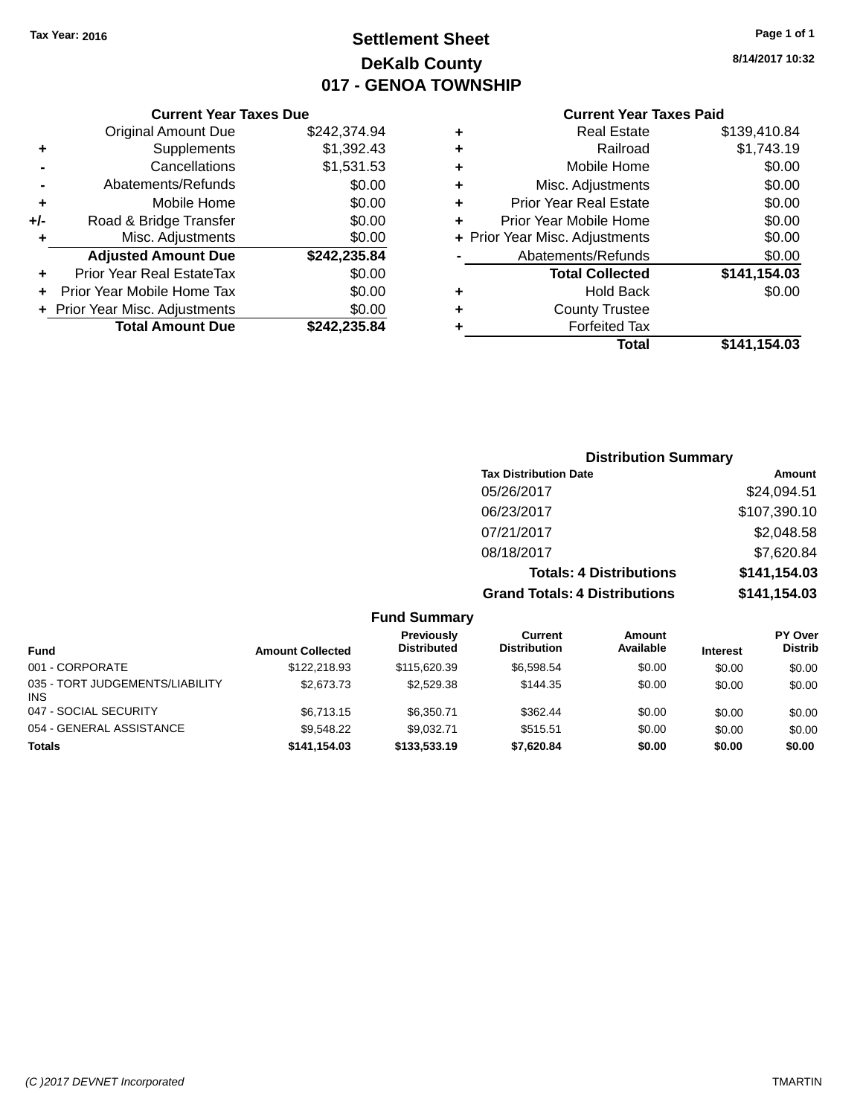# **Settlement Sheet Tax Year: 2016 Page 1 of 1 DeKalb County 017 - GENOA TOWNSHIP**

**8/14/2017 10:32**

## **Current Year Taxes Paid**

| <b>Current Year Taxes Due</b>  |              |  |  |  |  |
|--------------------------------|--------------|--|--|--|--|
| <b>Original Amount Due</b>     | \$242,374.94 |  |  |  |  |
| Supplements                    | \$1,392.43   |  |  |  |  |
| Cancellations                  | \$1,531.53   |  |  |  |  |
| Abatements/Refunds             | \$0.00       |  |  |  |  |
| Mobile Home                    | \$0.00       |  |  |  |  |
| Road & Bridge Transfer         | \$0.00       |  |  |  |  |
| Misc. Adjustments              | \$0.00       |  |  |  |  |
| <b>Adjusted Amount Due</b>     | \$242,235.84 |  |  |  |  |
| Prior Year Real EstateTax      | \$0.00       |  |  |  |  |
| Prior Year Mobile Home Tax     | \$0.00       |  |  |  |  |
| + Prior Year Misc. Adjustments | \$0.00       |  |  |  |  |
|                                |              |  |  |  |  |
|                                |              |  |  |  |  |

| ٠ | <b>Real Estate</b>             | \$139,410.84 |
|---|--------------------------------|--------------|
| ٠ | Railroad                       | \$1,743.19   |
| ٠ | Mobile Home                    | \$0.00       |
| ٠ | Misc. Adjustments              | \$0.00       |
| ٠ | <b>Prior Year Real Estate</b>  | \$0.00       |
| ÷ | Prior Year Mobile Home         | \$0.00       |
|   | + Prior Year Misc. Adjustments | \$0.00       |
|   | Abatements/Refunds             | \$0.00       |
|   | <b>Total Collected</b>         | \$141,154.03 |
| ٠ | <b>Hold Back</b>               | \$0.00       |
| ٠ | <b>County Trustee</b>          |              |
| ٠ | <b>Forfeited Tax</b>           |              |
|   | Total                          | \$141.154.03 |
|   |                                |              |

# **Distribution Summary Tax Distribution Date Amount** 05/26/2017 \$24,094.51 06/23/2017 \$107,390.10 07/21/2017 \$2,048.58 08/18/2017 \$7,620.84 **Totals: 4 Distributions \$141,154.03 Grand Totals: 4 Distributions \$141,154.03**

|                                         |                         | <b>Fund Summary</b>              |                                |                            |                 |                                  |
|-----------------------------------------|-------------------------|----------------------------------|--------------------------------|----------------------------|-----------------|----------------------------------|
| <b>Fund</b>                             | <b>Amount Collected</b> | Previously<br><b>Distributed</b> | Current<br><b>Distribution</b> | <b>Amount</b><br>Available | <b>Interest</b> | <b>PY Over</b><br><b>Distrib</b> |
| 001 - CORPORATE                         | \$122,218.93            | \$115,620.39                     | \$6,598.54                     | \$0.00                     | \$0.00          | \$0.00                           |
| 035 - TORT JUDGEMENTS/LIABILITY<br>INS. | \$2,673.73              | \$2,529.38                       | \$144.35                       | \$0.00                     | \$0.00          | \$0.00                           |
| 047 - SOCIAL SECURITY                   | \$6,713.15              | \$6,350.71                       | \$362.44                       | \$0.00                     | \$0.00          | \$0.00                           |
| 054 - GENERAL ASSISTANCE                | \$9.548.22              | \$9.032.71                       | \$515.51                       | \$0.00                     | \$0.00          | \$0.00                           |
| <b>Totals</b>                           | \$141.154.03            | \$133,533.19                     | \$7,620.84                     | \$0.00                     | \$0.00          | \$0.00                           |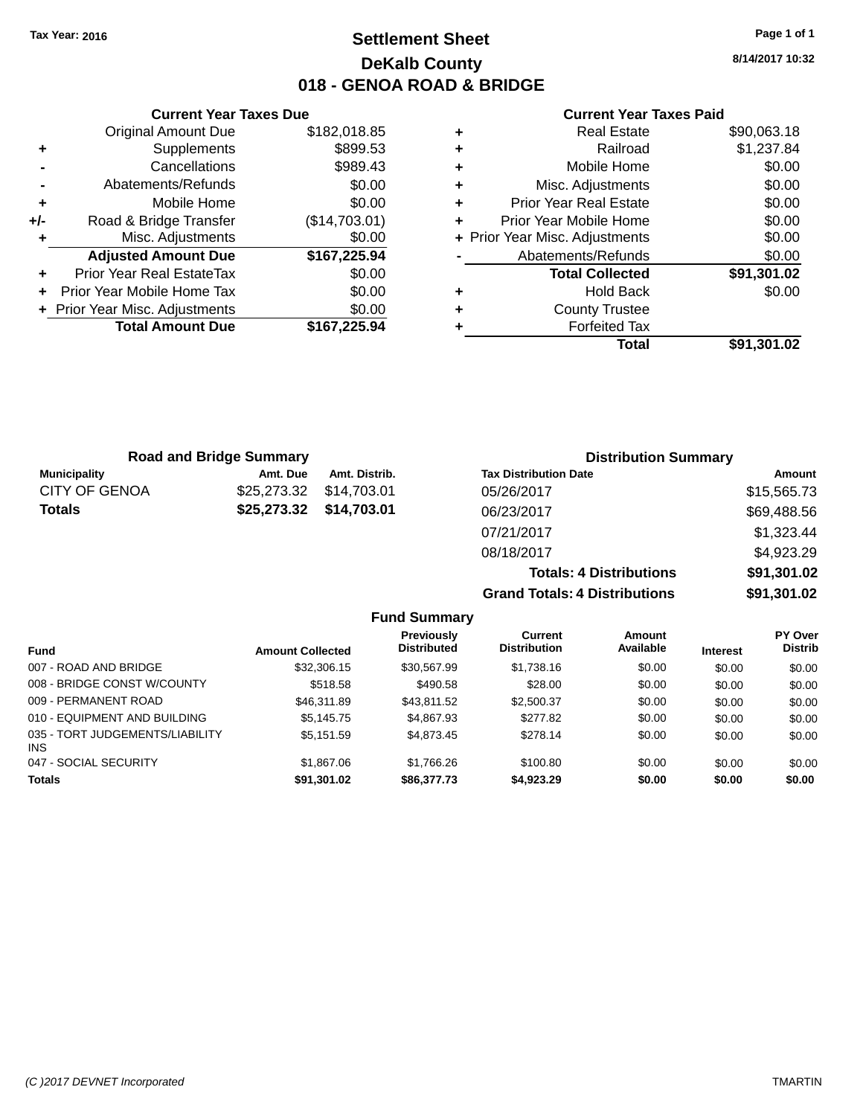# **Settlement Sheet Tax Year: 2016 Page 1 of 1 DeKalb County 018 - GENOA ROAD & BRIDGE**

**8/14/2017 10:32**

#### **Current Year Taxes Paid**

|       | <b>Current Year Taxes Due</b>  |               |
|-------|--------------------------------|---------------|
|       | <b>Original Amount Due</b>     | \$182,018.85  |
| ٠     | Supplements                    | \$899.53      |
|       | Cancellations                  | \$989.43      |
|       | Abatements/Refunds             | \$0.00        |
| ÷     | Mobile Home                    | \$0.00        |
| $+/-$ | Road & Bridge Transfer         | (\$14,703.01) |
|       | Misc. Adjustments              | \$0.00        |
|       | <b>Adjusted Amount Due</b>     | \$167,225.94  |
|       | Prior Year Real EstateTax      | \$0.00        |
|       | Prior Year Mobile Home Tax     | \$0.00        |
|       | + Prior Year Misc. Adjustments | \$0.00        |
|       | <b>Total Amount Due</b>        | \$167,225.94  |
|       |                                |               |

|   | <b>Real Estate</b>             | \$90,063.18 |
|---|--------------------------------|-------------|
| ٠ | Railroad                       | \$1,237.84  |
| ٠ | Mobile Home                    | \$0.00      |
| ٠ | Misc. Adjustments              | \$0.00      |
| ٠ | Prior Year Real Estate         | \$0.00      |
|   | Prior Year Mobile Home         | \$0.00      |
|   | + Prior Year Misc. Adjustments | \$0.00      |
|   | Abatements/Refunds             | \$0.00      |
|   | <b>Total Collected</b>         | \$91,301.02 |
| ٠ | Hold Back                      | \$0.00      |
|   | <b>County Trustee</b>          |             |
| ٠ | <b>Forfeited Tax</b>           |             |
|   | Total                          | \$91,301.02 |
|   |                                |             |

| <b>Road and Bridge Summary</b> |                         |               | <b>Distribution Summary</b>  |             |
|--------------------------------|-------------------------|---------------|------------------------------|-------------|
| <b>Municipality</b>            | Amt. Due                | Amt. Distrib. | <b>Tax Distribution Date</b> | Amount      |
| <b>CITY OF GENOA</b>           | \$25,273.32             | \$14,703.01   | 05/26/2017                   | \$15,565.73 |
| Totals                         | \$25,273.32 \$14,703.01 |               | 06/23/2017                   | \$69,488.56 |
|                                |                         |               | 07/21/2017                   | \$1,323.44  |
|                                |                         |               | 08/18/2017                   | \$4,923.29  |

|                                         |                         |                                         |                                      | <b>Totals: 4 Distributions</b> |                 | \$91,301.02               |
|-----------------------------------------|-------------------------|-----------------------------------------|--------------------------------------|--------------------------------|-----------------|---------------------------|
|                                         |                         |                                         | <b>Grand Totals: 4 Distributions</b> |                                |                 | \$91,301.02               |
|                                         |                         | <b>Fund Summary</b>                     |                                      |                                |                 |                           |
| <b>Fund</b>                             | <b>Amount Collected</b> | <b>Previously</b><br><b>Distributed</b> | Current<br><b>Distribution</b>       | Amount<br>Available            | <b>Interest</b> | PY Over<br><b>Distrib</b> |
| 007 - ROAD AND BRIDGE                   | \$32,306.15             | \$30.567.99                             | \$1,738.16                           | \$0.00                         | \$0.00          | \$0.00                    |
| 008 - BRIDGE CONST W/COUNTY             | \$518.58                | \$490.58                                | \$28.00                              | \$0.00                         | \$0.00          | \$0.00                    |
| 009 - PERMANENT ROAD                    | \$46,311.89             | \$43.811.52                             | \$2,500.37                           | \$0.00                         | \$0.00          | \$0.00                    |
| 010 - EQUIPMENT AND BUILDING            | \$5.145.75              | \$4,867.93                              | \$277.82                             | \$0.00                         | \$0.00          | \$0.00                    |
| 035 - TORT JUDGEMENTS/LIABILITY<br>INS. | \$5,151.59              | \$4,873,45                              | \$278.14                             | \$0.00                         | \$0.00          | \$0.00                    |
| 047 - SOCIAL SECURITY                   | \$1,867.06              | \$1.766.26                              | \$100.80                             | \$0.00                         | \$0.00          | \$0.00                    |

**Totals \$91,301.02 \$86,377.73 \$4,923.29 \$0.00 \$0.00 \$0.00**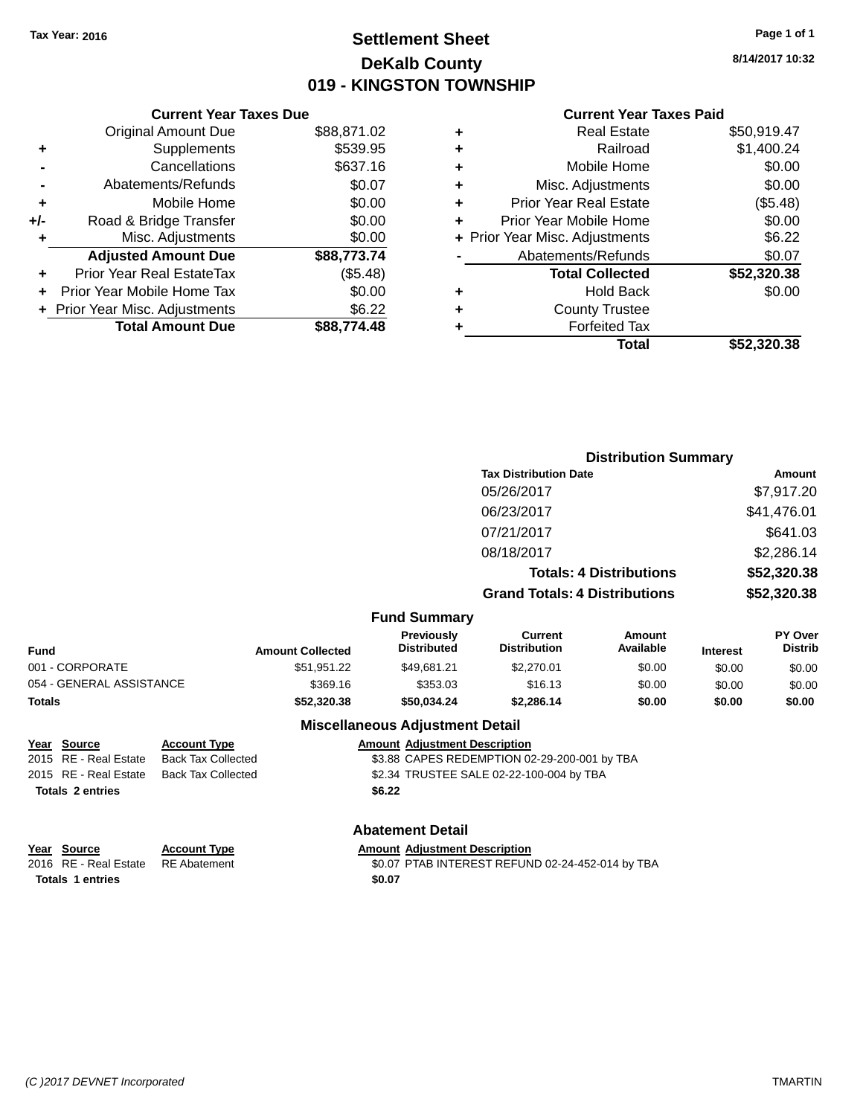# **Settlement Sheet Tax Year: 2016 Page 1 of 1 DeKalb County 019 - KINGSTON TOWNSHIP**

**8/14/2017 10:32**

## **Current Year Taxes Paid**

|     | <b>Current Year Taxes Due</b>  |             |  |  |  |  |
|-----|--------------------------------|-------------|--|--|--|--|
|     | <b>Original Amount Due</b>     | \$88,871.02 |  |  |  |  |
| ٠   | Supplements                    | \$539.95    |  |  |  |  |
|     | Cancellations                  | \$637.16    |  |  |  |  |
|     | Abatements/Refunds             | \$0.07      |  |  |  |  |
| ٠   | Mobile Home                    | \$0.00      |  |  |  |  |
| +/- | Road & Bridge Transfer         | \$0.00      |  |  |  |  |
|     | Misc. Adjustments              | \$0.00      |  |  |  |  |
|     | <b>Adjusted Amount Due</b>     | \$88,773.74 |  |  |  |  |
| ÷   | Prior Year Real EstateTax      | (\$5.48)    |  |  |  |  |
| ÷   | Prior Year Mobile Home Tax     | \$0.00      |  |  |  |  |
|     | + Prior Year Misc. Adjustments | \$6.22      |  |  |  |  |
|     | <b>Total Amount Due</b>        | \$88,774,48 |  |  |  |  |
|     |                                |             |  |  |  |  |

|   | <b>Real Estate</b>             | \$50,919.47 |
|---|--------------------------------|-------------|
| ٠ | Railroad                       | \$1,400.24  |
| ٠ | Mobile Home                    | \$0.00      |
| ٠ | Misc. Adjustments              | \$0.00      |
| ٠ | <b>Prior Year Real Estate</b>  | (\$5.48)    |
| ٠ | Prior Year Mobile Home         | \$0.00      |
|   | + Prior Year Misc. Adjustments | \$6.22      |
|   | Abatements/Refunds             | \$0.07      |
|   | <b>Total Collected</b>         | \$52,320.38 |
| ٠ | <b>Hold Back</b>               | \$0.00      |
| ٠ | <b>County Trustee</b>          |             |
| ٠ | <b>Forfeited Tax</b>           |             |
|   | Total                          | \$52,320,38 |
|   |                                |             |

|                          |                           |                         |                                         |                                              | <b>Distribution Summary</b>    |                 |                                  |
|--------------------------|---------------------------|-------------------------|-----------------------------------------|----------------------------------------------|--------------------------------|-----------------|----------------------------------|
|                          |                           |                         |                                         | <b>Tax Distribution Date</b>                 |                                |                 | Amount                           |
|                          |                           |                         |                                         | 05/26/2017                                   |                                |                 | \$7,917.20                       |
|                          |                           |                         |                                         | 06/23/2017                                   |                                |                 | \$41,476.01                      |
|                          |                           |                         |                                         | 07/21/2017                                   |                                |                 | \$641.03                         |
|                          |                           |                         |                                         | 08/18/2017                                   |                                |                 | \$2,286.14                       |
|                          |                           |                         |                                         |                                              | <b>Totals: 4 Distributions</b> |                 | \$52,320.38                      |
|                          |                           |                         |                                         | <b>Grand Totals: 4 Distributions</b>         |                                |                 | \$52,320.38                      |
|                          |                           |                         | <b>Fund Summary</b>                     |                                              |                                |                 |                                  |
| Fund                     |                           | <b>Amount Collected</b> | <b>Previously</b><br><b>Distributed</b> | <b>Current</b><br><b>Distribution</b>        | Amount<br>Available            | <b>Interest</b> | <b>PY Over</b><br><b>Distrib</b> |
| 001 - CORPORATE          |                           | \$51,951.22             | \$49,681.21                             | \$2,270.01                                   | \$0.00                         | \$0.00          | \$0.00                           |
| 054 - GENERAL ASSISTANCE |                           | \$369.16                | \$353.03                                | \$16.13                                      | \$0.00                         | \$0.00          | \$0.00                           |
| Totals                   |                           | \$52,320.38             | \$50,034.24                             | \$2,286.14                                   | \$0.00                         | \$0.00          | \$0.00                           |
|                          |                           |                         | <b>Miscellaneous Adjustment Detail</b>  |                                              |                                |                 |                                  |
| Year Source              | <b>Account Type</b>       |                         | <b>Amount Adjustment Description</b>    |                                              |                                |                 |                                  |
| 2015 RE - Real Estate    | <b>Back Tax Collected</b> |                         |                                         | \$3.88 CAPES REDEMPTION 02-29-200-001 by TBA |                                |                 |                                  |
| 2015 RE - Real Estate    | <b>Back Tax Collected</b> |                         |                                         | \$2.34 TRUSTEE SALE 02-22-100-004 by TBA     |                                |                 |                                  |
| <b>Totals 2 entries</b>  |                           |                         | \$6.22                                  |                                              |                                |                 |                                  |

# **Abatement Detail**

| Year Source                        | <b>Account Type</b> | <b>Amount Adiustment Description</b>             |
|------------------------------------|---------------------|--------------------------------------------------|
| 2016 RE - Real Estate RE Abatement |                     | \$0.07 PTAB INTEREST REFUND 02-24-452-014 by TBA |
| <b>Totals 1 entries</b>            |                     | \$0.07                                           |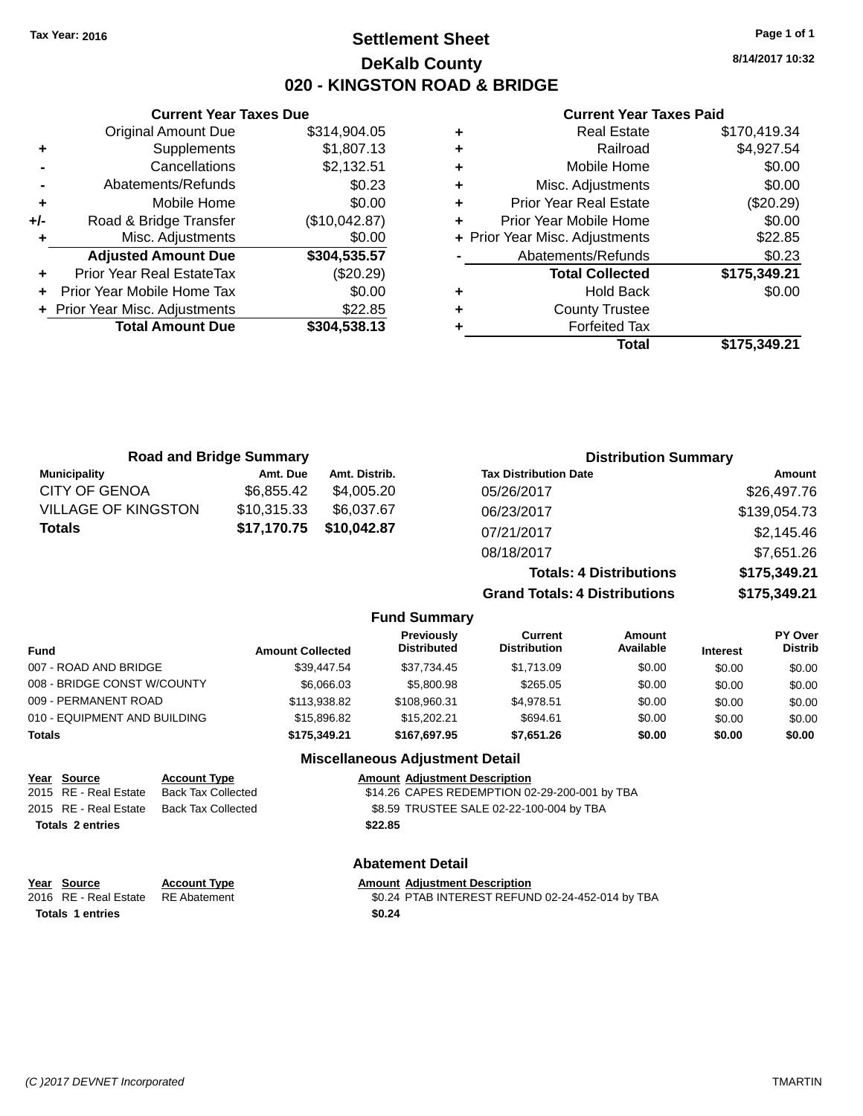# **Settlement Sheet Tax Year: 2016 Page 1 of 1 DeKalb County 020 - KINGSTON ROAD & BRIDGE**

**8/14/2017 10:32**

#### **Current Year Taxes Paid**

|     | <b>Current Year Taxes Due</b>    |               |
|-----|----------------------------------|---------------|
|     | <b>Original Amount Due</b>       | \$314,904.05  |
| ٠   | Supplements                      | \$1,807.13    |
|     | Cancellations                    | \$2,132.51    |
|     | Abatements/Refunds               | \$0.23        |
| ٠   | Mobile Home                      | \$0.00        |
| +/- | Road & Bridge Transfer           | (\$10,042.87) |
| ٠   | Misc. Adjustments                | \$0.00        |
|     | <b>Adjusted Amount Due</b>       | \$304,535.57  |
| ٠   | <b>Prior Year Real EstateTax</b> | $(\$20.29)$   |
|     | Prior Year Mobile Home Tax       | \$0.00        |
|     | + Prior Year Misc. Adjustments   | \$22.85       |
|     | <b>Total Amount Due</b>          | \$304,538.13  |
|     |                                  |               |

|   | <b>Real Estate</b>             | \$170,419.34 |
|---|--------------------------------|--------------|
| ٠ | Railroad                       | \$4,927.54   |
| ٠ | Mobile Home                    | \$0.00       |
| ٠ | Misc. Adjustments              | \$0.00       |
| ٠ | <b>Prior Year Real Estate</b>  | (\$20.29)    |
|   | Prior Year Mobile Home         | \$0.00       |
|   | + Prior Year Misc. Adjustments | \$22.85      |
|   | Abatements/Refunds             | \$0.23       |
|   | <b>Total Collected</b>         | \$175,349.21 |
| ٠ | <b>Hold Back</b>               | \$0.00       |
| ٠ | <b>County Trustee</b>          |              |
|   | <b>Forfeited Tax</b>           |              |
|   | Total                          | \$175,349.21 |
|   |                                |              |

|                            | <b>Road and Bridge Summary</b> |               |                                  |                                      | <b>Distribution Summary</b>    |             |                           |
|----------------------------|--------------------------------|---------------|----------------------------------|--------------------------------------|--------------------------------|-------------|---------------------------|
| <b>Municipality</b>        | Amt. Due                       | Amt. Distrib. |                                  | <b>Tax Distribution Date</b>         |                                |             | <b>Amount</b>             |
| <b>CITY OF GENOA</b>       | \$6,855.42                     | \$4,005.20    |                                  | 05/26/2017                           |                                |             | \$26,497.76               |
| <b>VILLAGE OF KINGSTON</b> | \$10,315.33                    | \$6,037.67    |                                  | 06/23/2017                           |                                |             | \$139,054.73              |
| <b>Totals</b>              | \$17,170.75                    | \$10,042.87   |                                  | 07/21/2017                           |                                |             | \$2,145.46                |
|                            |                                |               |                                  | 08/18/2017                           |                                |             | \$7,651.26                |
|                            |                                |               |                                  |                                      | <b>Totals: 4 Distributions</b> |             | \$175,349.21              |
|                            |                                |               |                                  | <b>Grand Totals: 4 Distributions</b> |                                |             | \$175,349.21              |
|                            |                                |               | <b>Fund Summary</b>              |                                      |                                |             |                           |
| . <b>.</b>                 | Amount Colloctod               |               | <b>Previously</b><br>Distributed | <b>Current</b><br>Distribution       | Amount<br>Available            | In terms of | PY Over<br><b>Distrib</b> |

| <b>Amount Collected</b> | .<br><b>Distributed</b> | -------<br><b>Distribution</b> | , ,,,,,,,,,<br>Available | <b>Interest</b> | .<br><b>Distrib</b> |
|-------------------------|-------------------------|--------------------------------|--------------------------|-----------------|---------------------|
| \$39.447.54             | \$37.734.45             | \$1.713.09                     | \$0.00                   | \$0.00          | \$0.00              |
| \$6,066.03              | \$5,800.98              | \$265.05                       | \$0.00                   | \$0.00          | \$0.00              |
| \$113,938.82            | \$108.960.31            | \$4.978.51                     | \$0.00                   | \$0.00          | \$0.00              |
| \$15,896.82             | \$15,202.21             | \$694.61                       | \$0.00                   | \$0.00          | \$0.00              |
| \$175,349.21            | \$167.697.95            | \$7.651.26                     | \$0.00                   | \$0.00          | \$0.00              |
|                         |                         |                                |                          |                 |                     |

## **Miscellaneous Adjustment Detail**

| Year Source             | <b>Account Type</b> | <b>Amount Adjustment Description</b>          |
|-------------------------|---------------------|-----------------------------------------------|
| 2015 RE - Real Estate   | Back Tax Collected  | \$14.26 CAPES REDEMPTION 02-29-200-001 by TBA |
| 2015 RE - Real Estate   | Back Tax Collected  | \$8.59 TRUSTEE SALE 02-22-100-004 by TBA      |
| <b>Totals 2 entries</b> |                     | \$22.85                                       |

**Year Source Account Type Amount Adjustment Description**<br>2016 RE - Real Estate RE Abatement \$0.24 PTAB INTEREST REFUN **Totals 1 entries \$0.24**

# **Abatement Detail**

\$0.24 PTAB INTEREST REFUND 02-24-452-014 by TBA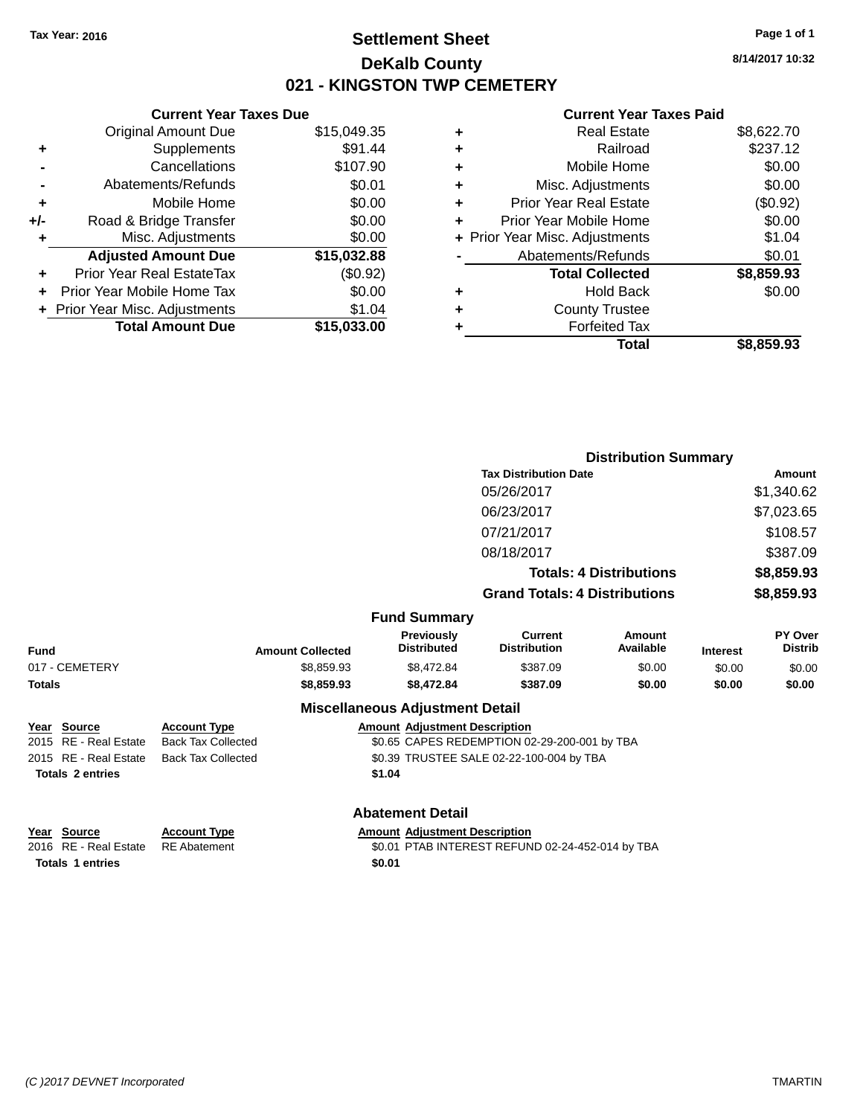# **Settlement Sheet Tax Year: 2016 Page 1 of 1 DeKalb County 021 - KINGSTON TWP CEMETERY**

**Current Year Taxes Due** Original Amount Due \$15,049.35 **+** Supplements \$91.44 **-** Cancellations \$107.90 **-** Abatements/Refunds \$0.01 **+** Mobile Home \$0.00 **+/-** Road & Bridge Transfer \$0.00 **+** Misc. Adjustments \$0.00 **Adjusted Amount Due \$15,032.88 +** Prior Year Real EstateTax (\$0.92) **+** Prior Year Mobile Home Tax \$0.00 **+** Prior Year Misc. Adjustments \$1.04 **Total Amount Due \$15,033.00**

#### **Current Year Taxes Paid**

|   | <b>Real Estate</b>             | \$8,622.70 |
|---|--------------------------------|------------|
| ÷ | Railroad                       | \$237.12   |
| ٠ | Mobile Home                    | \$0.00     |
| ٠ | Misc. Adjustments              | \$0.00     |
| ٠ | <b>Prior Year Real Estate</b>  | (\$0.92)   |
| ٠ | Prior Year Mobile Home         | \$0.00     |
|   | + Prior Year Misc. Adjustments | \$1.04     |
|   | Abatements/Refunds             | \$0.01     |
|   | <b>Total Collected</b>         | \$8,859.93 |
| ٠ | <b>Hold Back</b>               | \$0.00     |
| ٠ | <b>County Trustee</b>          |            |
| ٠ | <b>Forfeited Tax</b>           |            |
|   | Total                          | \$8,859.93 |
|   |                                |            |

|                         |                           |                                         |                                              | <b>Distribution Summary</b>    |                 |                           |
|-------------------------|---------------------------|-----------------------------------------|----------------------------------------------|--------------------------------|-----------------|---------------------------|
|                         |                           |                                         | <b>Tax Distribution Date</b>                 |                                |                 | <b>Amount</b>             |
|                         |                           |                                         | 05/26/2017                                   |                                |                 | \$1,340.62                |
|                         |                           |                                         | 06/23/2017                                   |                                |                 | \$7,023.65                |
|                         |                           |                                         | 07/21/2017                                   |                                |                 | \$108.57                  |
|                         |                           |                                         | 08/18/2017                                   |                                |                 | \$387.09                  |
|                         |                           |                                         |                                              | <b>Totals: 4 Distributions</b> |                 | \$8,859.93                |
|                         |                           |                                         | <b>Grand Totals: 4 Distributions</b>         |                                |                 | \$8,859.93                |
|                         |                           | <b>Fund Summary</b>                     |                                              |                                |                 |                           |
| Fund                    | <b>Amount Collected</b>   | <b>Previously</b><br><b>Distributed</b> | <b>Current</b><br><b>Distribution</b>        | Amount<br>Available            | <b>Interest</b> | PY Over<br><b>Distrib</b> |
| 017 - CEMETERY          | \$8,859.93                | \$8,472.84                              | \$387.09                                     | \$0.00                         | \$0.00          | \$0.00                    |
| Totals                  | \$8,859.93                | \$8,472.84                              | \$387.09                                     | \$0.00                         | \$0.00          | \$0.00                    |
|                         |                           | <b>Miscellaneous Adjustment Detail</b>  |                                              |                                |                 |                           |
| Year Source             | <b>Account Type</b>       | <b>Amount Adjustment Description</b>    |                                              |                                |                 |                           |
| 2015 RE - Real Estate   | <b>Back Tax Collected</b> |                                         | \$0.65 CAPES REDEMPTION 02-29-200-001 by TBA |                                |                 |                           |
| 2015 RE - Real Estate   | <b>Back Tax Collected</b> |                                         | \$0.39 TRUSTEE SALE 02-22-100-004 by TBA     |                                |                 |                           |
| <b>Totals 2 entries</b> |                           | \$1.04                                  |                                              |                                |                 |                           |
|                         |                           | <b>Abatement Detail</b>                 |                                              |                                |                 |                           |

#### **Year Source Account Type Amount Adjustment Description**<br>2016 RE - Real Estate RE Abatement **Amount 1998** 1999 **AMOUNT ADJUST ASSESS** \$0.01 PTAB INTEREST REFUND 02-24-452-014 by TBA **Totals 1 entries \$0.01**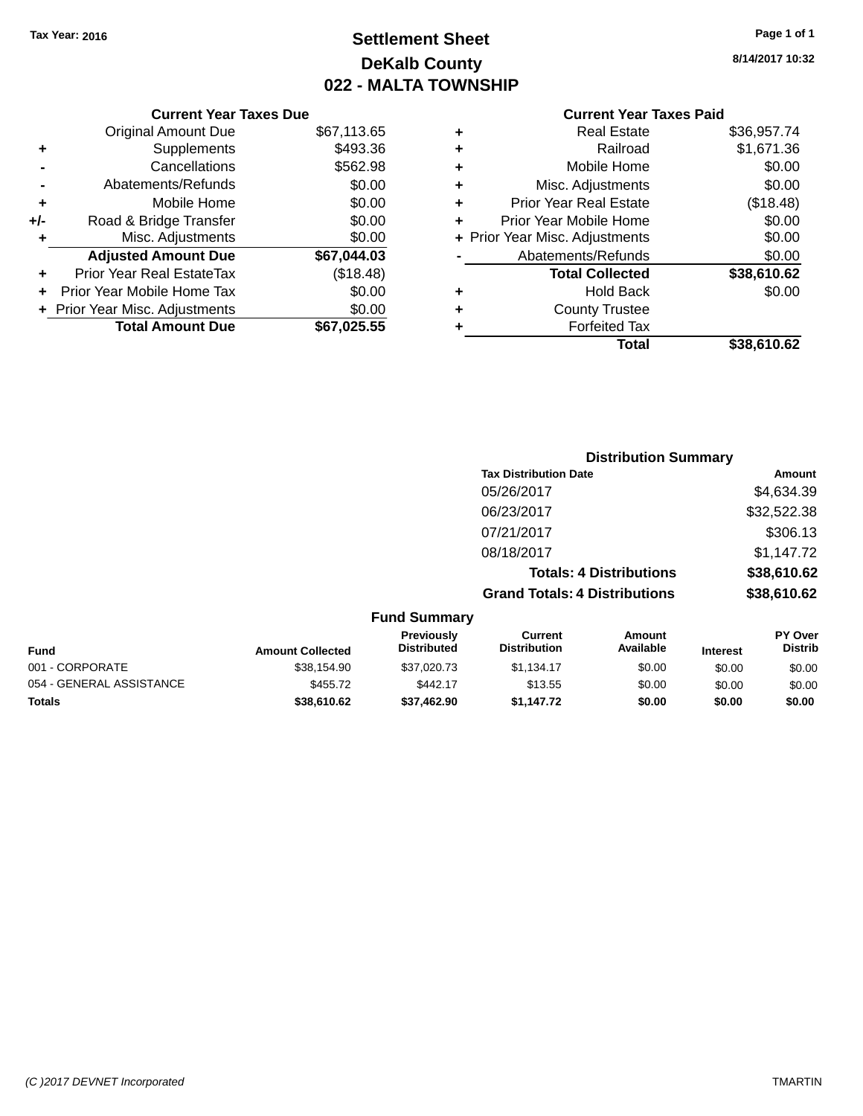# **Settlement Sheet Tax Year: 2016 Page 1 of 1 DeKalb County 022 - MALTA TOWNSHIP**

**8/14/2017 10:32**

| ٠ | <b>Real Estate</b>             | \$36,957.74 |
|---|--------------------------------|-------------|
| ٠ | Railroad                       | \$1,671.36  |
| ٠ | Mobile Home                    | \$0.00      |
| ٠ | Misc. Adjustments              | \$0.00      |
| ٠ | <b>Prior Year Real Estate</b>  | (\$18.48)   |
| ÷ | Prior Year Mobile Home         | \$0.00      |
|   | + Prior Year Misc. Adjustments | \$0.00      |
|   | Abatements/Refunds             | \$0.00      |
|   | <b>Total Collected</b>         | \$38,610.62 |
| ٠ | <b>Hold Back</b>               | \$0.00      |
| ٠ | <b>County Trustee</b>          |             |
|   | <b>Forfeited Tax</b>           |             |
|   | Total                          | \$38.610.62 |
|   |                                |             |

|     | <b>Current Year Taxes Due</b>  |             |
|-----|--------------------------------|-------------|
|     | <b>Original Amount Due</b>     | \$67,113.65 |
| ٠   | Supplements                    | \$493.36    |
|     | Cancellations                  | \$562.98    |
|     | Abatements/Refunds             | \$0.00      |
| ٠   | Mobile Home                    | \$0.00      |
| +/- | Road & Bridge Transfer         | \$0.00      |
| ٠   | Misc. Adjustments              | \$0.00      |
|     | <b>Adjusted Amount Due</b>     | \$67,044.03 |
| ٠   | Prior Year Real EstateTax      | (\$18.48)   |
|     | Prior Year Mobile Home Tax     | \$0.00      |
|     | + Prior Year Misc. Adjustments | \$0.00      |
|     | <b>Total Amount Due</b>        | \$67,025.55 |

|                     | <b>Distribution Summary</b>          |                                |                |  |  |  |
|---------------------|--------------------------------------|--------------------------------|----------------|--|--|--|
|                     | <b>Tax Distribution Date</b>         |                                | Amount         |  |  |  |
|                     | 05/26/2017                           |                                | \$4,634.39     |  |  |  |
|                     | 06/23/2017                           |                                | \$32,522.38    |  |  |  |
|                     | 07/21/2017                           |                                | \$306.13       |  |  |  |
|                     | 08/18/2017                           |                                | \$1,147.72     |  |  |  |
|                     |                                      | <b>Totals: 4 Distributions</b> | \$38,610.62    |  |  |  |
|                     | <b>Grand Totals: 4 Distributions</b> |                                | \$38,610.62    |  |  |  |
| <b>Fund Summary</b> |                                      |                                |                |  |  |  |
| <b>Previously</b>   | <b>Current</b>                       | Amount                         | <b>PY Over</b> |  |  |  |

| <b>Fund</b>              | <b>Amount Collected</b> | <b>Previously</b><br><b>Distributed</b> | Current<br><b>Distribution</b> | Amount<br>Available | <b>Interest</b> | <b>PY Over</b><br><b>Distrib</b> |
|--------------------------|-------------------------|-----------------------------------------|--------------------------------|---------------------|-----------------|----------------------------------|
| 001 - CORPORATE          | \$38.154.90             | \$37.020.73                             | \$1.134.17                     | \$0.00              | \$0.00          | \$0.00                           |
| 054 - GENERAL ASSISTANCE | \$455.72                | \$442.17                                | \$13.55                        | \$0.00              | \$0.00          | \$0.00                           |
| <b>Totals</b>            | \$38.610.62             | \$37.462.90                             | \$1.147.72                     | \$0.00              | \$0.00          | \$0.00                           |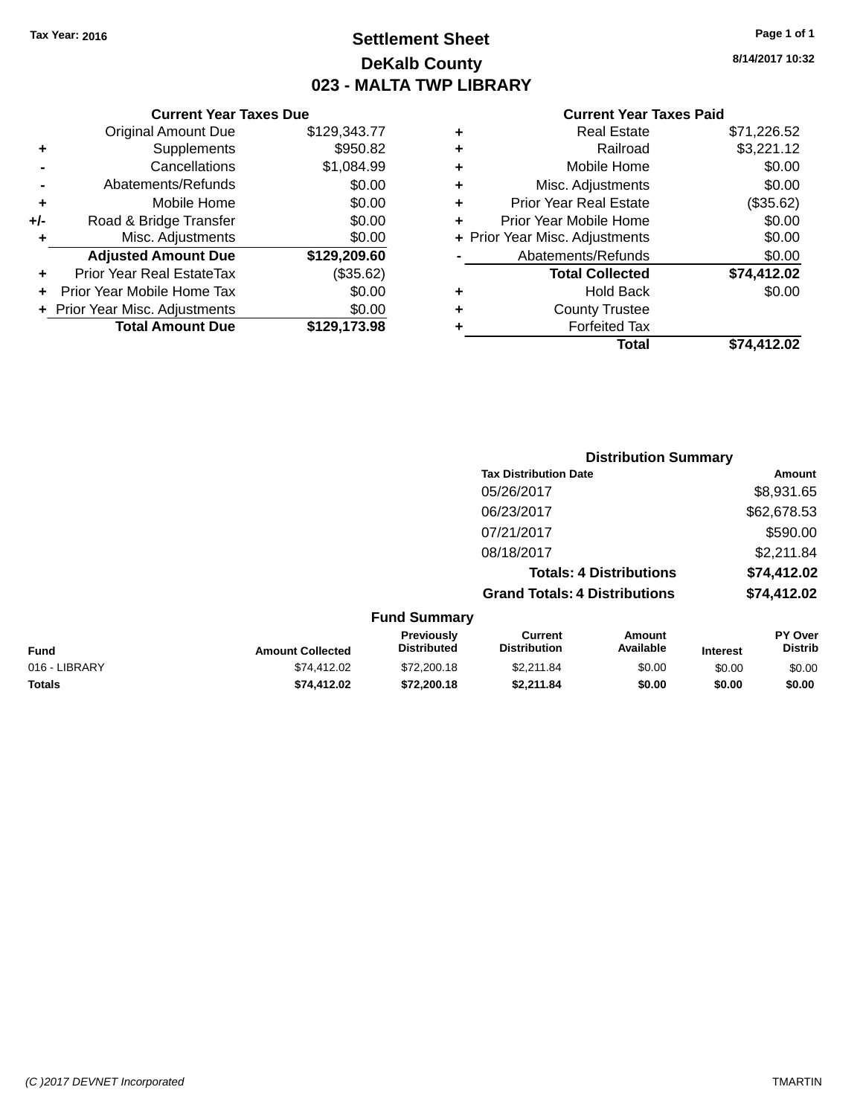# **Settlement Sheet Tax Year: 2016 Page 1 of 1 DeKalb County 023 - MALTA TWP LIBRARY**

**8/14/2017 10:32**

|     | <b>Current Year Taxes Due</b>  |              |         |
|-----|--------------------------------|--------------|---------|
|     | <b>Original Amount Due</b>     | \$129,343.77 | ٠       |
|     | <b>Supplements</b>             | \$950.82     |         |
|     | Cancellations                  | \$1,084.99   | ٠       |
|     | Abatements/Refunds             | \$0.00       |         |
|     | Mobile Home                    | \$0.00       |         |
| +/- | Road & Bridge Transfer         | \$0.00       | F       |
|     | Misc. Adjustments              | \$0.00       | + Prior |
|     | <b>Adjusted Amount Due</b>     | \$129,209.60 |         |
|     | Prior Year Real EstateTax      | (\$35.62)    |         |
|     | Prior Year Mobile Home Tax     | \$0.00       |         |
|     | + Prior Year Misc. Adjustments | \$0.00       |         |
|     | <b>Total Amount Due</b>        | \$129,173.98 |         |
|     |                                |              |         |

|   | <b>Real Estate</b>             | \$71,226.52 |
|---|--------------------------------|-------------|
| ٠ | Railroad                       | \$3,221.12  |
| ٠ | Mobile Home                    | \$0.00      |
| ٠ | Misc. Adjustments              | \$0.00      |
| ٠ | <b>Prior Year Real Estate</b>  | (\$35.62)   |
| ٠ | Prior Year Mobile Home         | \$0.00      |
|   | + Prior Year Misc. Adjustments | \$0.00      |
|   | Abatements/Refunds             | \$0.00      |
|   | <b>Total Collected</b>         | \$74,412.02 |
| ٠ | <b>Hold Back</b>               | \$0.00      |
| ٠ | <b>County Trustee</b>          |             |
| ٠ | <b>Forfeited Tax</b>           |             |
|   | Total                          | \$74,412.02 |
|   |                                |             |

|                 |                                         |                                      | <b>Distribution Summary</b>    |                 |                                  |
|-----------------|-----------------------------------------|--------------------------------------|--------------------------------|-----------------|----------------------------------|
|                 |                                         | <b>Tax Distribution Date</b>         |                                |                 | Amount                           |
|                 |                                         | 05/26/2017                           |                                |                 | \$8,931.65                       |
|                 |                                         | 06/23/2017                           |                                |                 | \$62,678.53                      |
|                 |                                         | 07/21/2017                           |                                |                 | \$590.00                         |
|                 |                                         | 08/18/2017                           |                                |                 | \$2,211.84                       |
|                 |                                         |                                      | <b>Totals: 4 Distributions</b> |                 | \$74,412.02                      |
|                 |                                         | <b>Grand Totals: 4 Distributions</b> |                                |                 | \$74,412.02                      |
|                 | <b>Fund Summary</b>                     |                                      |                                |                 |                                  |
| mount Collected | <b>Previously</b><br><b>Distributed</b> | Current<br><b>Distribution</b>       | Amount<br>Available            | <b>Interest</b> | <b>PY Over</b><br><b>Distrib</b> |

| Fund          | <b>Amount Collected</b> | <b>Previously</b><br><b>Distributed</b> | Current<br><b>Distribution</b> | Amount<br>Available | <b>Interest</b> | PY Over<br>Distrib |
|---------------|-------------------------|-----------------------------------------|--------------------------------|---------------------|-----------------|--------------------|
| 016 - LIBRARY | \$74.412.02             | \$72,200.18                             | \$2.211.84                     | \$0.00              | \$0.00          | \$0.00             |
| Totals        | \$74.412.02             | \$72,200.18                             | \$2.211.84                     | \$0.00              | \$0.00          | \$0.00             |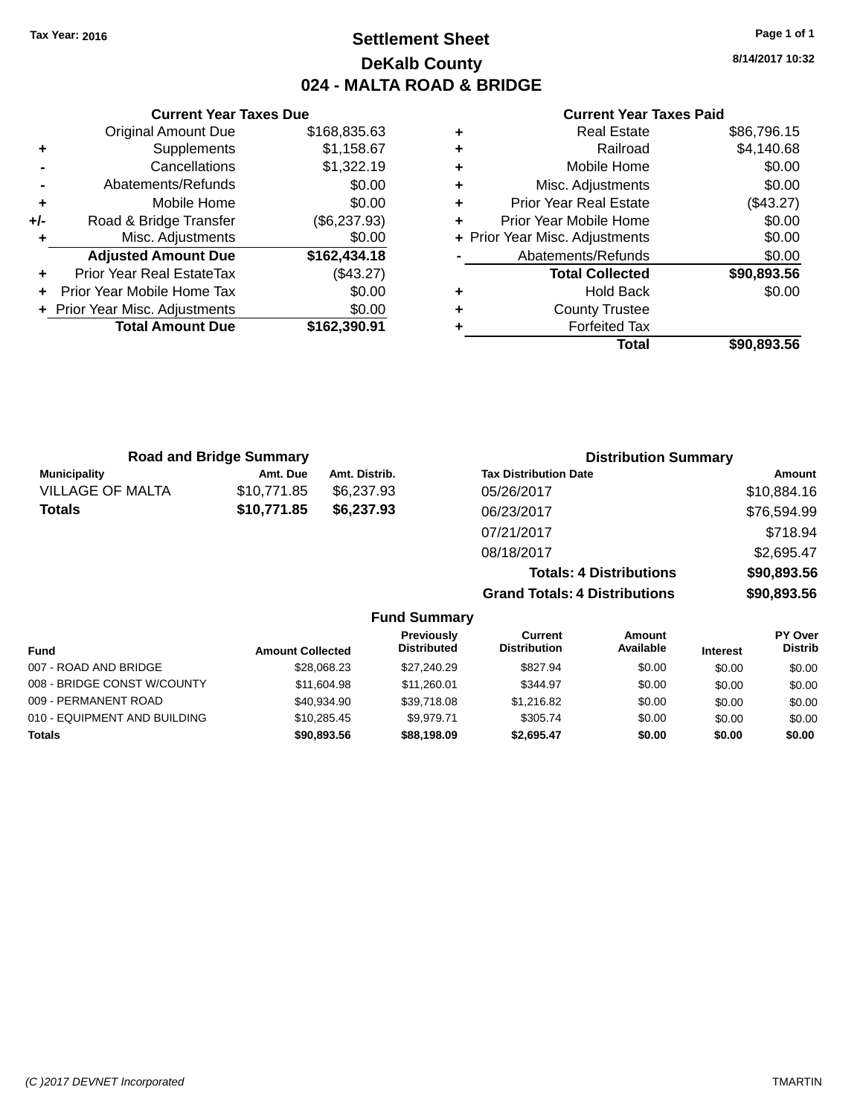# **Settlement Sheet Tax Year: 2016 Page 1 of 1 DeKalb County 024 - MALTA ROAD & BRIDGE**

**8/14/2017 10:32**

**Total \$90,893.56**

| Taxes Due    |   | <b>Current Year Taxes Paid</b> |             |
|--------------|---|--------------------------------|-------------|
| \$168,835.63 | ٠ | <b>Real Estate</b>             | \$86,796.15 |
| \$1,158.67   | ٠ | Railroad                       | \$4,140.68  |
| \$1,322.19   | ÷ | Mobile Home                    | \$0.00      |
| \$0.00       | ٠ | Misc. Adjustments              | \$0.00      |
| \$0.00       | ٠ | <b>Prior Year Real Estate</b>  | (\$43.27)   |
| (\$6,237.93) | ÷ | Prior Year Mobile Home         | \$0.00      |
| \$0.00       |   | + Prior Year Misc. Adjustments | \$0.00      |
| \$162,434.18 |   | Abatements/Refunds             | \$0.00      |
| (\$43.27)    |   | <b>Total Collected</b>         | \$90,893.56 |
| \$0.00       | ٠ | <b>Hold Back</b>               | \$0.00      |
| \$0.00       | ٠ | <b>County Trustee</b>          |             |
| \$162,390.91 |   | <b>Forfeited Tax</b>           |             |
|              |   | Total                          | \$90,893.56 |

|     | <b>Current Year Taxes Due</b>    |              |
|-----|----------------------------------|--------------|
|     | <b>Original Amount Due</b>       | \$168,835.63 |
| ٠   | Supplements                      | \$1,158.67   |
|     | Cancellations                    | \$1,322.19   |
|     | Abatements/Refunds               | \$0.00       |
| ٠   | Mobile Home                      | \$0.00       |
| +/- | Road & Bridge Transfer           | (\$6,237.93) |
| ٠   | Misc. Adjustments                | \$0.00       |
|     | <b>Adjusted Amount Due</b>       | \$162,434.18 |
| ٠   | <b>Prior Year Real EstateTax</b> | (\$43.27)    |
|     | Prior Year Mobile Home Tax       | \$0.00       |
|     | + Prior Year Misc. Adjustments   | \$0.00       |
|     | <b>Total Amount Due</b>          | \$162,390.91 |
|     |                                  |              |

| <b>Road and Bridge Summary</b> |             |               | <b>Distribution Summary</b>          |             |  |
|--------------------------------|-------------|---------------|--------------------------------------|-------------|--|
| <b>Municipality</b>            | Amt. Due    | Amt. Distrib. | <b>Tax Distribution Date</b>         | Amount      |  |
| <b>VILLAGE OF MALTA</b>        | \$10,771.85 | \$6,237,93    | 05/26/2017                           | \$10,884.16 |  |
| <b>Totals</b>                  | \$10,771.85 | \$6,237,93    | 06/23/2017                           | \$76,594.99 |  |
|                                |             |               | 07/21/2017                           | \$718.94    |  |
|                                |             |               | 08/18/2017                           | \$2,695.47  |  |
|                                |             |               | <b>Totals: 4 Distributions</b>       | \$90,893.56 |  |
|                                |             |               | <b>Grand Totals: 4 Distributions</b> | \$90,893.56 |  |

|                              |                         | <b>Fund Summary</b>              |                                |                            |                 |                                  |
|------------------------------|-------------------------|----------------------------------|--------------------------------|----------------------------|-----------------|----------------------------------|
| <b>Fund</b>                  | <b>Amount Collected</b> | Previously<br><b>Distributed</b> | Current<br><b>Distribution</b> | <b>Amount</b><br>Available | <b>Interest</b> | <b>PY Over</b><br><b>Distrib</b> |
| 007 - ROAD AND BRIDGE        | \$28,068.23             | \$27.240.29                      | \$827.94                       | \$0.00                     | \$0.00          | \$0.00                           |
| 008 - BRIDGE CONST W/COUNTY  | \$11,604.98             | \$11,260.01                      | \$344.97                       | \$0.00                     | \$0.00          | \$0.00                           |
| 009 - PERMANENT ROAD         | \$40.934.90             | \$39.718.08                      | \$1,216.82                     | \$0.00                     | \$0.00          | \$0.00                           |
| 010 - EQUIPMENT AND BUILDING | \$10.285.45             | \$9.979.71                       | \$305.74                       | \$0.00                     | \$0.00          | \$0.00                           |
| <b>Totals</b>                | \$90,893.56             | \$88,198.09                      | \$2,695.47                     | \$0.00                     | \$0.00          | \$0.00                           |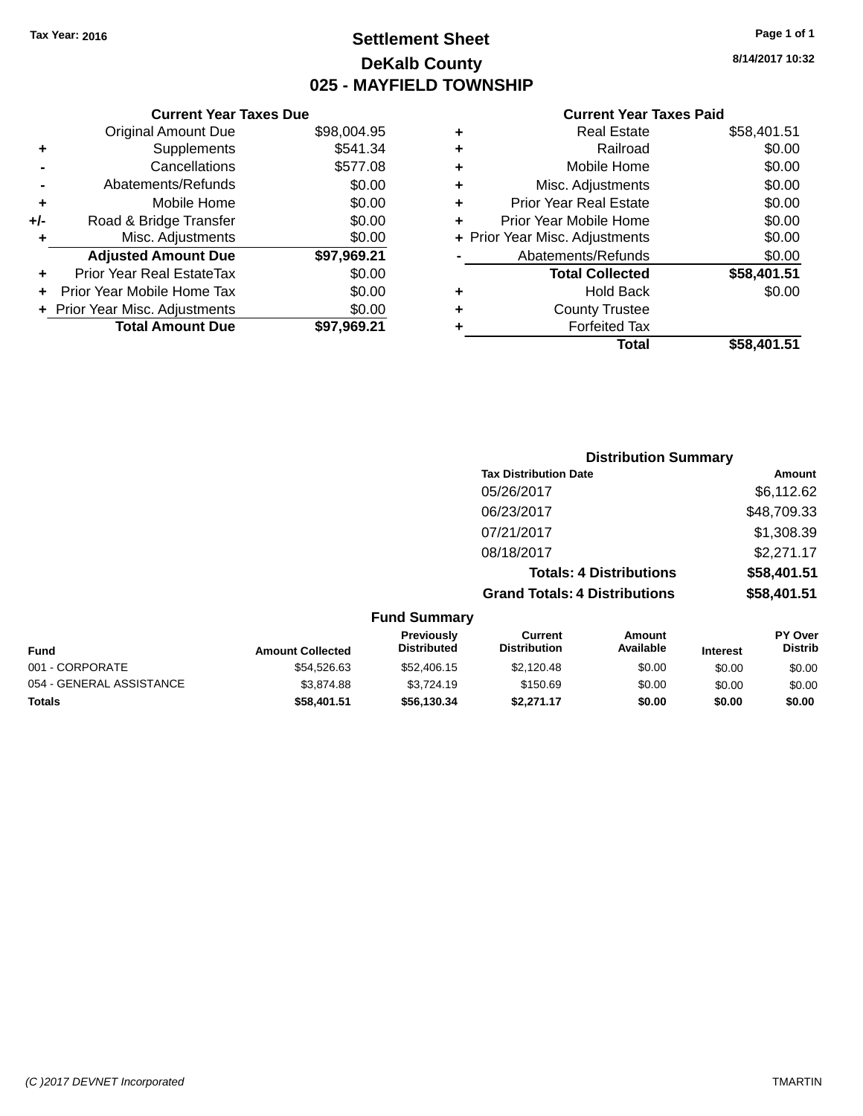# **Settlement Sheet Tax Year: 2016 Page 1 of 1 DeKalb County 025 - MAYFIELD TOWNSHIP**

**8/14/2017 10:32**

| \$58,401.51 | Total                          |   |
|-------------|--------------------------------|---|
|             | <b>Forfeited Tax</b>           |   |
|             | <b>County Trustee</b>          | ٠ |
| \$0.00      | <b>Hold Back</b>               | ٠ |
| \$58,401.51 | <b>Total Collected</b>         |   |
| \$0.00      | Abatements/Refunds             |   |
| \$0.00      | + Prior Year Misc. Adjustments |   |
| \$0.00      | Prior Year Mobile Home         | ٠ |
| \$0.00      | <b>Prior Year Real Estate</b>  | ٠ |
| \$0.00      | Misc. Adjustments              | ٠ |
| \$0.00      | Mobile Home                    | ٠ |
| \$0.00      | Railroad                       | ٠ |
| \$58,401.51 | <b>Real Estate</b>             | ٠ |
|             |                                |   |

|     | <b>Current Year Taxes Due</b>  |             |
|-----|--------------------------------|-------------|
|     | <b>Original Amount Due</b>     | \$98,004.95 |
| ٠   | Supplements                    | \$541.34    |
|     | Cancellations                  | \$577.08    |
|     | Abatements/Refunds             | \$0.00      |
| ٠   | Mobile Home                    | \$0.00      |
| +/- | Road & Bridge Transfer         | \$0.00      |
| ٠   | Misc. Adjustments              | \$0.00      |
|     | <b>Adjusted Amount Due</b>     | \$97,969.21 |
|     | Prior Year Real EstateTax      | \$0.00      |
|     | Prior Year Mobile Home Tax     | \$0.00      |
|     | + Prior Year Misc. Adjustments | \$0.00      |
|     | <b>Total Amount Due</b>        | \$97,969.21 |
|     |                                |             |

|                     | <b>Distribution Summary</b>          |             |
|---------------------|--------------------------------------|-------------|
|                     | <b>Tax Distribution Date</b>         | Amount      |
|                     | 05/26/2017                           | \$6,112.62  |
|                     | 06/23/2017                           | \$48,709.33 |
|                     | 07/21/2017                           | \$1,308.39  |
|                     | 08/18/2017                           | \$2,271.17  |
|                     | <b>Totals: 4 Distributions</b>       | \$58,401.51 |
|                     | <b>Grand Totals: 4 Distributions</b> | \$58,401.51 |
| <b>Eund Summary</b> |                                      |             |

|                          |                         | .                                       |                                |                     |                 |                                  |
|--------------------------|-------------------------|-----------------------------------------|--------------------------------|---------------------|-----------------|----------------------------------|
| <b>Fund</b>              | <b>Amount Collected</b> | <b>Previously</b><br><b>Distributed</b> | Current<br><b>Distribution</b> | Amount<br>Available | <b>Interest</b> | <b>PY Over</b><br><b>Distrib</b> |
| 001 - CORPORATE          | \$54.526.63             | \$52,406.15                             | \$2.120.48                     | \$0.00              | \$0.00          | \$0.00                           |
| 054 - GENERAL ASSISTANCE | \$3,874.88              | \$3.724.19                              | \$150.69                       | \$0.00              | \$0.00          | \$0.00                           |
| <b>Totals</b>            | \$58,401.51             | \$56,130.34                             | \$2,271.17                     | \$0.00              | \$0.00          | \$0.00                           |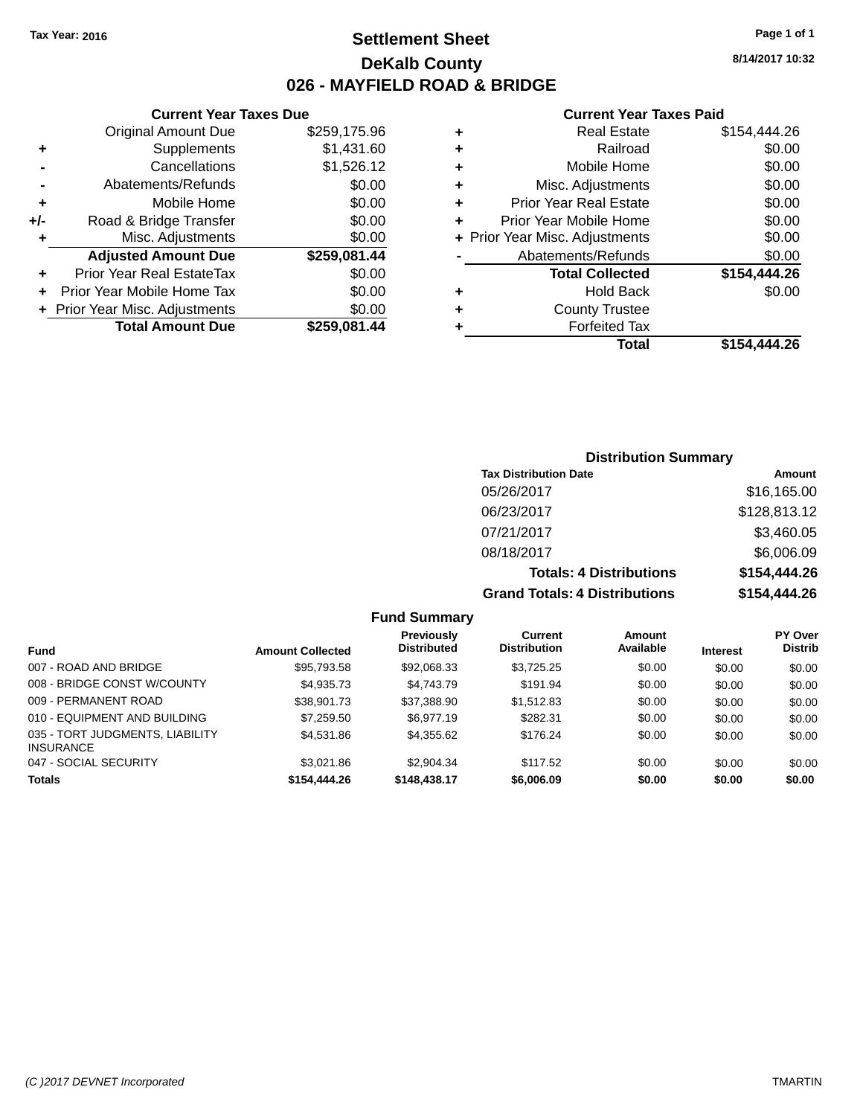# **Settlement Sheet Tax Year: 2016 Page 1 of 1 DeKalb County 026 - MAYFIELD ROAD & BRIDGE**

**8/14/2017 10:32**

# **Current Year Taxes Paid**

|     | <b>Current Year Taxes Due</b>  |              |
|-----|--------------------------------|--------------|
|     | <b>Original Amount Due</b>     | \$259,175.96 |
| ٠   | Supplements                    | \$1,431.60   |
|     | Cancellations                  | \$1,526.12   |
|     | Abatements/Refunds             | \$0.00       |
| ٠   | Mobile Home                    | \$0.00       |
| +/- | Road & Bridge Transfer         | \$0.00       |
| ٠   | Misc. Adjustments              | \$0.00       |
|     | <b>Adjusted Amount Due</b>     | \$259,081.44 |
|     | Prior Year Real EstateTax      | \$0.00       |
|     | Prior Year Mobile Home Tax     | \$0.00       |
|     | + Prior Year Misc. Adjustments | \$0.00       |
|     | <b>Total Amount Due</b>        | \$259,081.44 |
|     |                                |              |

| ٠ | <b>Real Estate</b>             | \$154,444.26 |
|---|--------------------------------|--------------|
| ٠ | Railroad                       | \$0.00       |
| ٠ | Mobile Home                    | \$0.00       |
| ٠ | Misc. Adjustments              | \$0.00       |
| ٠ | <b>Prior Year Real Estate</b>  | \$0.00       |
| ٠ | Prior Year Mobile Home         | \$0.00       |
|   | + Prior Year Misc. Adjustments | \$0.00       |
|   | Abatements/Refunds             | \$0.00       |
|   | <b>Total Collected</b>         | \$154,444.26 |
| ٠ | <b>Hold Back</b>               | \$0.00       |
| ٠ | <b>County Trustee</b>          |              |
| ٠ | <b>Forfeited Tax</b>           |              |
|   | Total                          | \$154,444.26 |
|   |                                |              |

# **Distribution Summary Tax Distribution Date Amount** 05/26/2017 \$16,165.00 06/23/2017 \$128,813.12 07/21/2017 \$3,460.05 08/18/2017 \$6,006.09 **Totals: 4 Distributions \$154,444.26 Grand Totals: 4 Distributions \$154,444.26**

| Fund                                                | <b>Amount Collected</b> | Previously<br><b>Distributed</b> | Current<br><b>Distribution</b> | Amount<br>Available | <b>Interest</b> | <b>PY Over</b><br><b>Distrib</b> |
|-----------------------------------------------------|-------------------------|----------------------------------|--------------------------------|---------------------|-----------------|----------------------------------|
| 007 - ROAD AND BRIDGE                               | \$95,793.58             | \$92,068.33                      | \$3,725.25                     | \$0.00              | \$0.00          | \$0.00                           |
| 008 - BRIDGE CONST W/COUNTY                         | \$4,935.73              | \$4,743.79                       | \$191.94                       | \$0.00              | \$0.00          | \$0.00                           |
| 009 - PERMANENT ROAD                                | \$38.901.73             | \$37,388.90                      | \$1,512.83                     | \$0.00              | \$0.00          | \$0.00                           |
| 010 - EQUIPMENT AND BUILDING                        | \$7,259.50              | \$6.977.19                       | \$282.31                       | \$0.00              | \$0.00          | \$0.00                           |
| 035 - TORT JUDGMENTS, LIABILITY<br><b>INSURANCE</b> | \$4.531.86              | \$4.355.62                       | \$176.24                       | \$0.00              | \$0.00          | \$0.00                           |
| 047 - SOCIAL SECURITY                               | \$3.021.86              | \$2,904.34                       | \$117.52                       | \$0.00              | \$0.00          | \$0.00                           |
| <b>Totals</b>                                       | \$154,444.26            | \$148,438.17                     | \$6,006.09                     | \$0.00              | \$0.00          | \$0.00                           |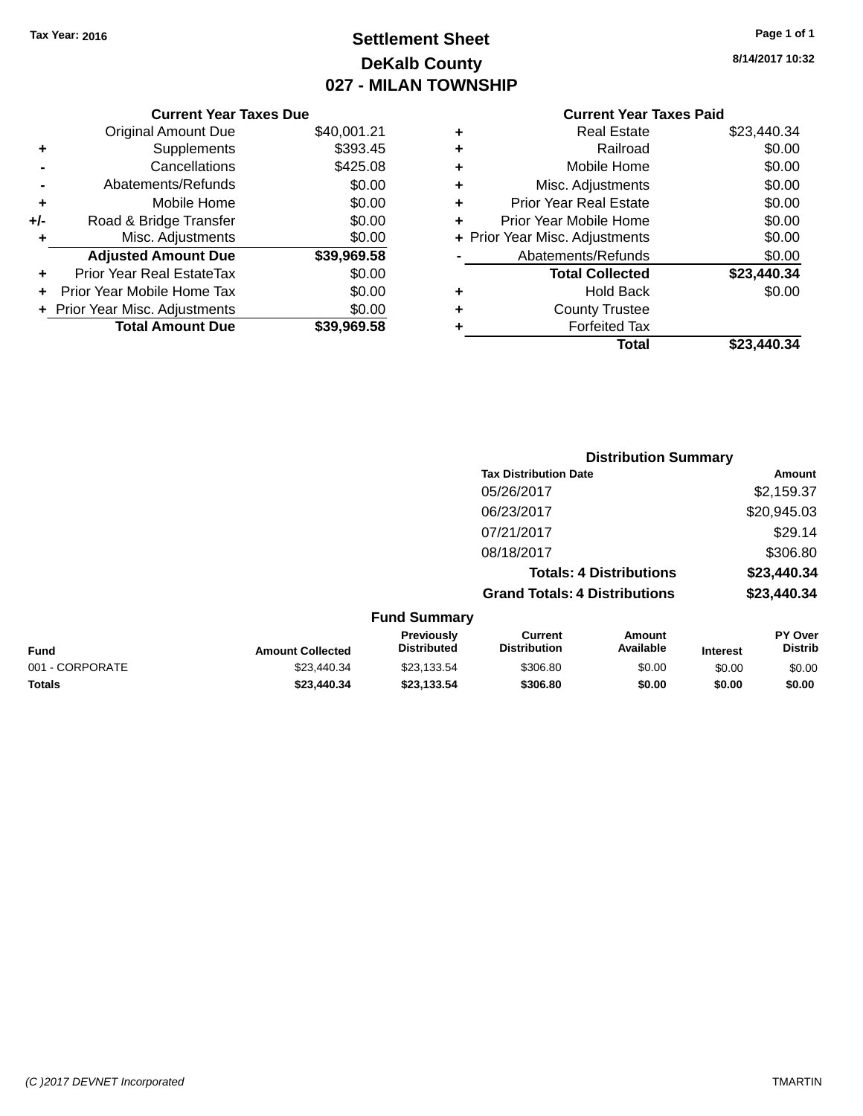# **Settlement Sheet Tax Year: 2016 Page 1 of 1 DeKalb County 027 - MILAN TOWNSHIP**

**8/14/2017 10:32**

|     | <b>Current Year Taxes Due</b>    |             |
|-----|----------------------------------|-------------|
|     | <b>Original Amount Due</b>       | \$40,001.21 |
| ٠   | Supplements                      | \$393.45    |
|     | Cancellations                    | \$425.08    |
|     | Abatements/Refunds               | \$0.00      |
| ٠   | Mobile Home                      | \$0.00      |
| +/- | Road & Bridge Transfer           | \$0.00      |
|     | Misc. Adjustments                | \$0.00      |
|     | <b>Adjusted Amount Due</b>       | \$39,969.58 |
|     | <b>Prior Year Real EstateTax</b> | \$0.00      |
| ÷   | Prior Year Mobile Home Tax       | \$0.00      |
|     | + Prior Year Misc. Adjustments   | \$0.00      |
|     | <b>Total Amount Due</b>          | \$39,969.58 |
|     |                                  |             |

| ٠ | <b>Real Estate</b>             | \$23,440.34 |
|---|--------------------------------|-------------|
| ٠ | Railroad                       | \$0.00      |
| ٠ | Mobile Home                    | \$0.00      |
| ٠ | Misc. Adjustments              | \$0.00      |
| ٠ | <b>Prior Year Real Estate</b>  | \$0.00      |
| ٠ | Prior Year Mobile Home         | \$0.00      |
|   | + Prior Year Misc. Adjustments | \$0.00      |
|   | Abatements/Refunds             | \$0.00      |
|   | <b>Total Collected</b>         | \$23,440.34 |
| ٠ | Hold Back                      | \$0.00      |
| ٠ | <b>County Trustee</b>          |             |
| ٠ | <b>Forfeited Tax</b>           |             |
|   | Total                          | \$23,440.34 |
|   |                                |             |

|                         |                                  |                                      | <b>Distribution Summary</b>    |                                              |
|-------------------------|----------------------------------|--------------------------------------|--------------------------------|----------------------------------------------|
|                         |                                  | <b>Tax Distribution Date</b>         |                                | Amount                                       |
|                         |                                  | 05/26/2017                           |                                | \$2,159.37                                   |
|                         |                                  | 06/23/2017                           |                                | \$20,945.03                                  |
|                         |                                  | 07/21/2017                           |                                | \$29.14                                      |
|                         |                                  | 08/18/2017                           |                                | \$306.80                                     |
|                         |                                  |                                      | <b>Totals: 4 Distributions</b> | \$23,440.34                                  |
|                         |                                  | <b>Grand Totals: 4 Distributions</b> |                                | \$23,440.34                                  |
|                         | <b>Fund Summary</b>              |                                      |                                |                                              |
| <b>Amount Collected</b> | Previously<br><b>Distributed</b> | Current<br><b>Distribution</b>       | Amount<br>Available            | <b>PY Over</b><br><b>Distrib</b><br>Interest |

| <b>Fund</b>     | <b>Amount Collected</b> | Previously<br><b>Distributed</b> | Current<br><b>Distribution</b> | Amount<br>Available | Interest | <b>PY Over</b><br>Distrib |
|-----------------|-------------------------|----------------------------------|--------------------------------|---------------------|----------|---------------------------|
| 001 - CORPORATE | \$23.440.34             | \$23,133.54                      | \$306.80                       | \$0.00              | \$0.00   | \$0.00                    |
| <b>Totals</b>   | \$23,440.34             | \$23,133,54                      | \$306.80                       | \$0.00              | \$0.00   | \$0.00                    |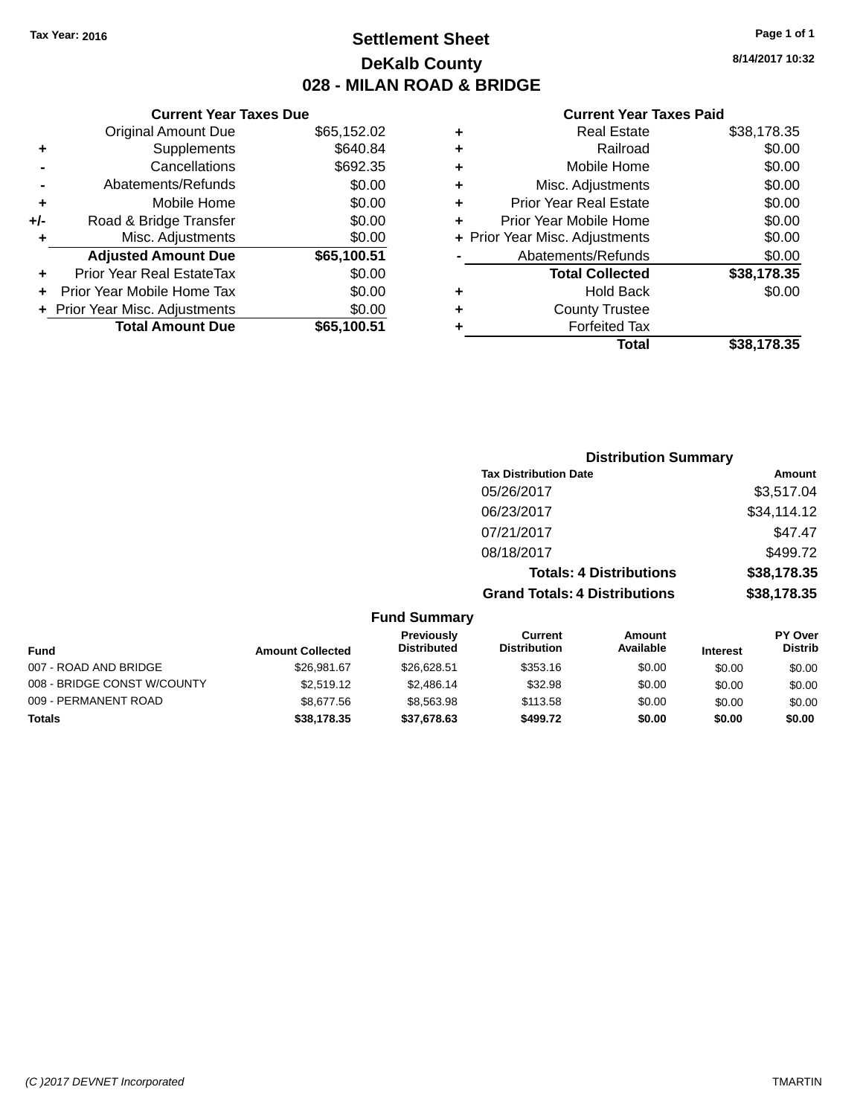# **Settlement Sheet Tax Year: 2016 Page 1 of 1 DeKalb County 028 - MILAN ROAD & BRIDGE**

**8/14/2017 10:32**

|       | <b>Current Year Taxes Due</b>  |             |
|-------|--------------------------------|-------------|
|       | <b>Original Amount Due</b>     | \$65,152.02 |
| ٠     | Supplements                    | \$640.84    |
|       | Cancellations                  | \$692.35    |
|       | Abatements/Refunds             | \$0.00      |
| ٠     | Mobile Home                    | \$0.00      |
| $+/-$ | Road & Bridge Transfer         | \$0.00      |
|       | Misc. Adjustments              | \$0.00      |
|       | <b>Adjusted Amount Due</b>     | \$65,100.51 |
| ٠     | Prior Year Real EstateTax      | \$0.00      |
|       | Prior Year Mobile Home Tax     | \$0.00      |
|       | + Prior Year Misc. Adjustments | \$0.00      |
|       | <b>Total Amount Due</b>        | \$65.100.51 |
|       |                                |             |

| ٠ | <b>Real Estate</b>             | \$38,178.35 |
|---|--------------------------------|-------------|
| ٠ | Railroad                       | \$0.00      |
| ٠ | Mobile Home                    | \$0.00      |
| ٠ | Misc. Adjustments              | \$0.00      |
| ٠ | <b>Prior Year Real Estate</b>  | \$0.00      |
| ÷ | Prior Year Mobile Home         | \$0.00      |
|   | + Prior Year Misc. Adjustments | \$0.00      |
|   | Abatements/Refunds             | \$0.00      |
|   | <b>Total Collected</b>         | \$38,178.35 |
| ٠ | Hold Back                      | \$0.00      |
| ÷ | <b>County Trustee</b>          |             |
| ٠ | <b>Forfeited Tax</b>           |             |
|   | Total                          | \$38,178.35 |
|   |                                |             |

|                         |                                         | <b>Distribution Summary</b>          |                                |                 |                                  |
|-------------------------|-----------------------------------------|--------------------------------------|--------------------------------|-----------------|----------------------------------|
|                         |                                         | <b>Tax Distribution Date</b>         |                                |                 | Amount                           |
|                         |                                         | 05/26/2017                           |                                |                 | \$3,517.04                       |
|                         |                                         | 06/23/2017                           |                                |                 | \$34,114.12                      |
|                         |                                         | 07/21/2017                           |                                |                 | \$47.47                          |
|                         |                                         | 08/18/2017                           |                                |                 | \$499.72                         |
|                         |                                         |                                      | <b>Totals: 4 Distributions</b> |                 | \$38,178.35                      |
|                         |                                         | <b>Grand Totals: 4 Distributions</b> |                                |                 | \$38,178.35                      |
|                         | <b>Fund Summary</b>                     |                                      |                                |                 |                                  |
| <b>Amount Collected</b> | <b>Previously</b><br><b>Distributed</b> | Current<br><b>Distribution</b>       | Amount<br>Available            | <b>Interest</b> | <b>PY Over</b><br><b>Distrib</b> |

| Fund                        | <b>Amount Collected</b> | <b>Previously</b><br><b>Distributed</b> | Current<br><b>Distribution</b> | Amount<br>Available | <b>Interest</b> | r ı over<br><b>Distrib</b> |
|-----------------------------|-------------------------|-----------------------------------------|--------------------------------|---------------------|-----------------|----------------------------|
| 007 - ROAD AND BRIDGE       | \$26.981.67             | \$26,628.51                             | \$353.16                       | \$0.00              | \$0.00          | \$0.00                     |
| 008 - BRIDGE CONST W/COUNTY | \$2,519.12              | \$2,486.14                              | \$32.98                        | \$0.00              | \$0.00          | \$0.00                     |
| 009 - PERMANENT ROAD        | \$8,677.56              | \$8,563,98                              | \$113.58                       | \$0.00              | \$0.00          | \$0.00                     |
| <b>Totals</b>               | \$38,178,35             | \$37,678,63                             | \$499.72                       | \$0.00              | \$0.00          | \$0.00                     |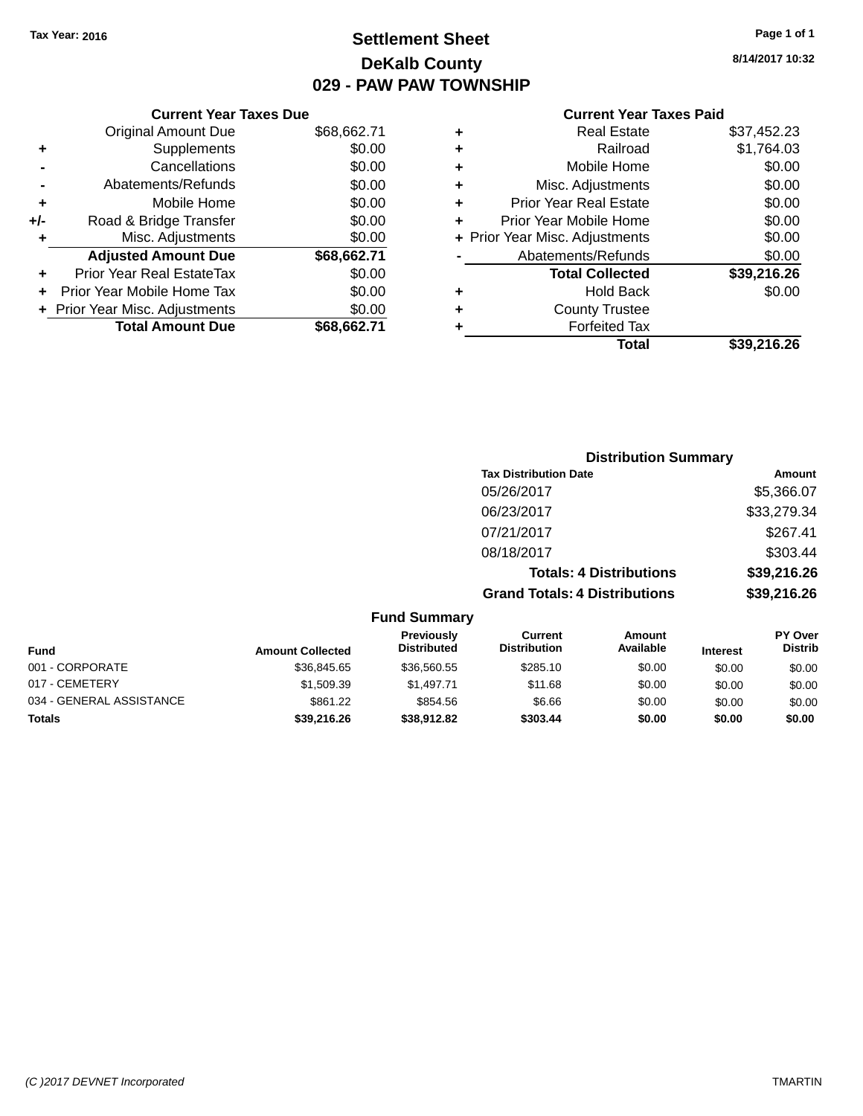# **Settlement Sheet Tax Year: 2016 Page 1 of 1 DeKalb County 029 - PAW PAW TOWNSHIP**

**8/14/2017 10:32**

| <b>Current Year Taxes Due</b> |                                |
|-------------------------------|--------------------------------|
| <b>Original Amount Due</b>    | \$68,662.71                    |
| Supplements                   | \$0.00                         |
| Cancellations                 | \$0.00                         |
| Abatements/Refunds            | \$0.00                         |
| Mobile Home                   | \$0.00                         |
| Road & Bridge Transfer        | \$0.00                         |
| Misc. Adjustments             | \$0.00                         |
| <b>Adjusted Amount Due</b>    | \$68,662.71                    |
| Prior Year Real EstateTax     | \$0.00                         |
| Prior Year Mobile Home Tax    | \$0.00                         |
|                               | \$0.00                         |
| <b>Total Amount Due</b>       | \$68.662.71                    |
|                               | + Prior Year Misc. Adjustments |

| ٠ | <b>Real Estate</b>             | \$37,452.23 |
|---|--------------------------------|-------------|
| ٠ | Railroad                       | \$1,764.03  |
| ٠ | Mobile Home                    | \$0.00      |
| ٠ | Misc. Adjustments              | \$0.00      |
| ٠ | Prior Year Real Estate         | \$0.00      |
| ٠ | Prior Year Mobile Home         | \$0.00      |
|   | + Prior Year Misc. Adjustments | \$0.00      |
|   | Abatements/Refunds             | \$0.00      |
|   | <b>Total Collected</b>         | \$39,216.26 |
| ٠ | Hold Back                      | \$0.00      |
| ٠ | <b>County Trustee</b>          |             |
| ٠ | <b>Forfeited Tax</b>           |             |
|   | <b>Total</b>                   | \$39,216.26 |
|   |                                |             |

|                     | <b>Distribution Summary</b>          |             |
|---------------------|--------------------------------------|-------------|
|                     | <b>Tax Distribution Date</b>         | Amount      |
|                     | 05/26/2017                           | \$5,366.07  |
|                     | 06/23/2017                           | \$33,279.34 |
|                     | 07/21/2017                           | \$267.41    |
|                     | 08/18/2017                           | \$303.44    |
|                     | <b>Totals: 4 Distributions</b>       | \$39,216.26 |
|                     | <b>Grand Totals: 4 Distributions</b> | \$39,216.26 |
| <b>Fund Summary</b> |                                      |             |

| <b>Fund</b>              | <b>Amount Collected</b> | Previously<br><b>Distributed</b> | Current<br><b>Distribution</b> | Amount<br>Available | <b>Interest</b> | <b>PY Over</b><br><b>Distrib</b> |  |
|--------------------------|-------------------------|----------------------------------|--------------------------------|---------------------|-----------------|----------------------------------|--|
| 001 - CORPORATE          | \$36,845.65             | \$36,560.55                      | \$285.10                       | \$0.00              | \$0.00          | \$0.00                           |  |
| 017 - CEMETERY           | \$1,509.39              | \$1.497.71                       | \$11.68                        | \$0.00              | \$0.00          | \$0.00                           |  |
| 034 - GENERAL ASSISTANCE | \$861.22                | \$854.56                         | \$6.66                         | \$0.00              | \$0.00          | \$0.00                           |  |
| <b>Totals</b>            | \$39,216.26             | \$38.912.82                      | \$303.44                       | \$0.00              | \$0.00          | \$0.00                           |  |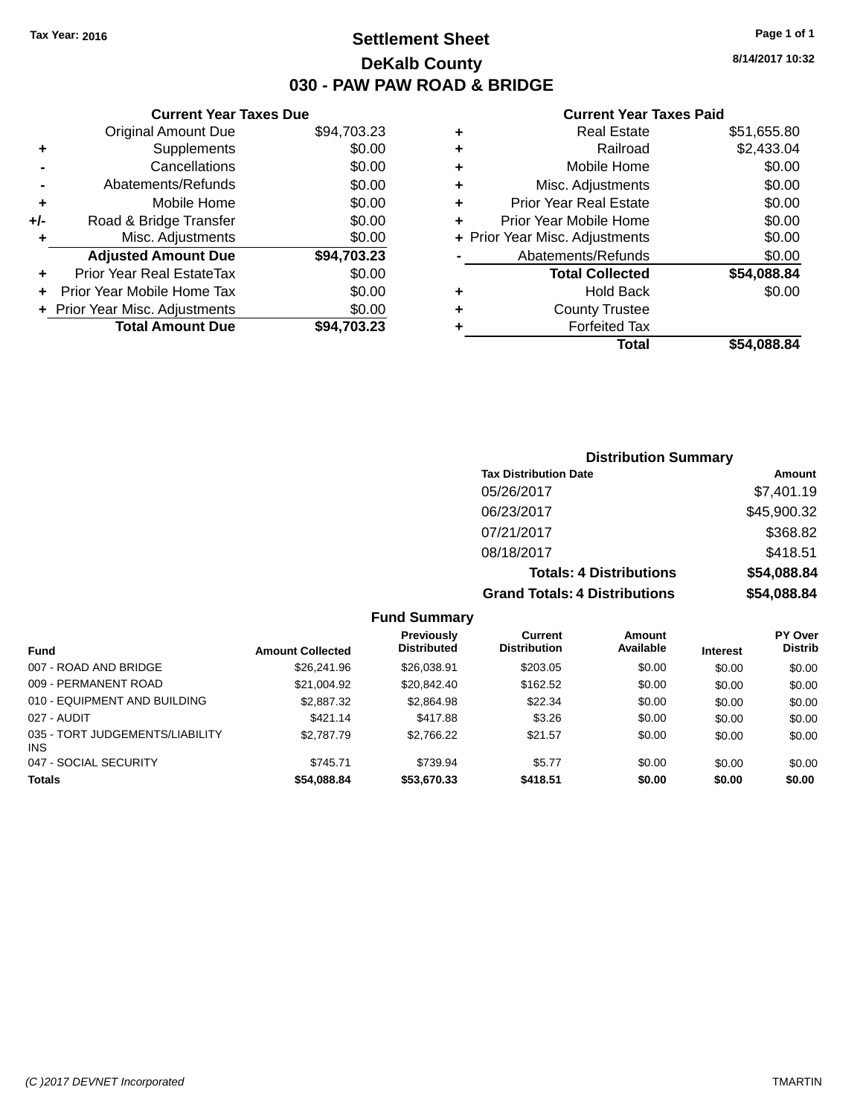# **Settlement Sheet Tax Year: 2016 Page 1 of 1 DeKalb County 030 - PAW PAW ROAD & BRIDGE**

**8/14/2017 10:32**

## **Current Year Taxes Paid**

|     | <b>Current Year Taxes Due</b> |             |
|-----|-------------------------------|-------------|
|     | <b>Original Amount Due</b>    | \$94,703.23 |
| ٠   | Supplements                   | \$0.00      |
|     | Cancellations                 | \$0.00      |
|     | Abatements/Refunds            | \$0.00      |
| ٠   | Mobile Home                   | \$0.00      |
| +/- | Road & Bridge Transfer        | \$0.00      |
| ٠   | Misc. Adjustments             | \$0.00      |
|     | <b>Adjusted Amount Due</b>    | \$94,703.23 |
| ٠   | Prior Year Real EstateTax     | \$0.00      |
|     | Prior Year Mobile Home Tax    | \$0.00      |
|     | Prior Year Misc. Adjustments  | \$0.00      |
|     | <b>Total Amount Due</b>       | \$94.703.23 |
|     |                               |             |

| ٠ | <b>Real Estate</b>             | \$51,655.80 |
|---|--------------------------------|-------------|
| ٠ | Railroad                       | \$2,433.04  |
| ٠ | Mobile Home                    | \$0.00      |
| ٠ | Misc. Adjustments              | \$0.00      |
| ٠ | <b>Prior Year Real Estate</b>  | \$0.00      |
| ÷ | Prior Year Mobile Home         | \$0.00      |
|   | + Prior Year Misc. Adjustments | \$0.00      |
|   | Abatements/Refunds             | \$0.00      |
|   | <b>Total Collected</b>         | \$54,088.84 |
| ٠ | Hold Back                      | \$0.00      |
| ٠ | <b>County Trustee</b>          |             |
| ٠ | <b>Forfeited Tax</b>           |             |
|   | Total                          | \$54.088.84 |
|   |                                |             |

| <b>Distribution Summary</b>          |             |
|--------------------------------------|-------------|
| <b>Tax Distribution Date</b>         | Amount      |
| 05/26/2017                           | \$7,401.19  |
| 06/23/2017                           | \$45,900.32 |
| 07/21/2017                           | \$368.82    |
| 08/18/2017                           | \$418.51    |
| <b>Totals: 4 Distributions</b>       | \$54,088.84 |
| <b>Grand Totals: 4 Distributions</b> | \$54,088.84 |

|                                               |                         | <b>Previously</b>  | Current             | Amount    |                 | <b>PY Over</b> |
|-----------------------------------------------|-------------------------|--------------------|---------------------|-----------|-----------------|----------------|
| <b>Fund</b>                                   | <b>Amount Collected</b> | <b>Distributed</b> | <b>Distribution</b> | Available | <b>Interest</b> | <b>Distrib</b> |
| 007 - ROAD AND BRIDGE                         | \$26,241.96             | \$26,038.91        | \$203.05            | \$0.00    | \$0.00          | \$0.00         |
| 009 - PERMANENT ROAD                          | \$21.004.92             | \$20,842,40        | \$162.52            | \$0.00    | \$0.00          | \$0.00         |
| 010 - EQUIPMENT AND BUILDING                  | \$2,887.32              | \$2,864.98         | \$22.34             | \$0.00    | \$0.00          | \$0.00         |
| 027 - AUDIT                                   | \$421.14                | \$417.88           | \$3.26              | \$0.00    | \$0.00          | \$0.00         |
| 035 - TORT JUDGEMENTS/LIABILITY<br><b>INS</b> | \$2,787.79              | \$2,766.22         | \$21.57             | \$0.00    | \$0.00          | \$0.00         |
| 047 - SOCIAL SECURITY                         | \$745.71                | \$739.94           | \$5.77              | \$0.00    | \$0.00          | \$0.00         |
| <b>Totals</b>                                 | \$54,088.84             | \$53,670.33        | \$418.51            | \$0.00    | \$0.00          | \$0.00         |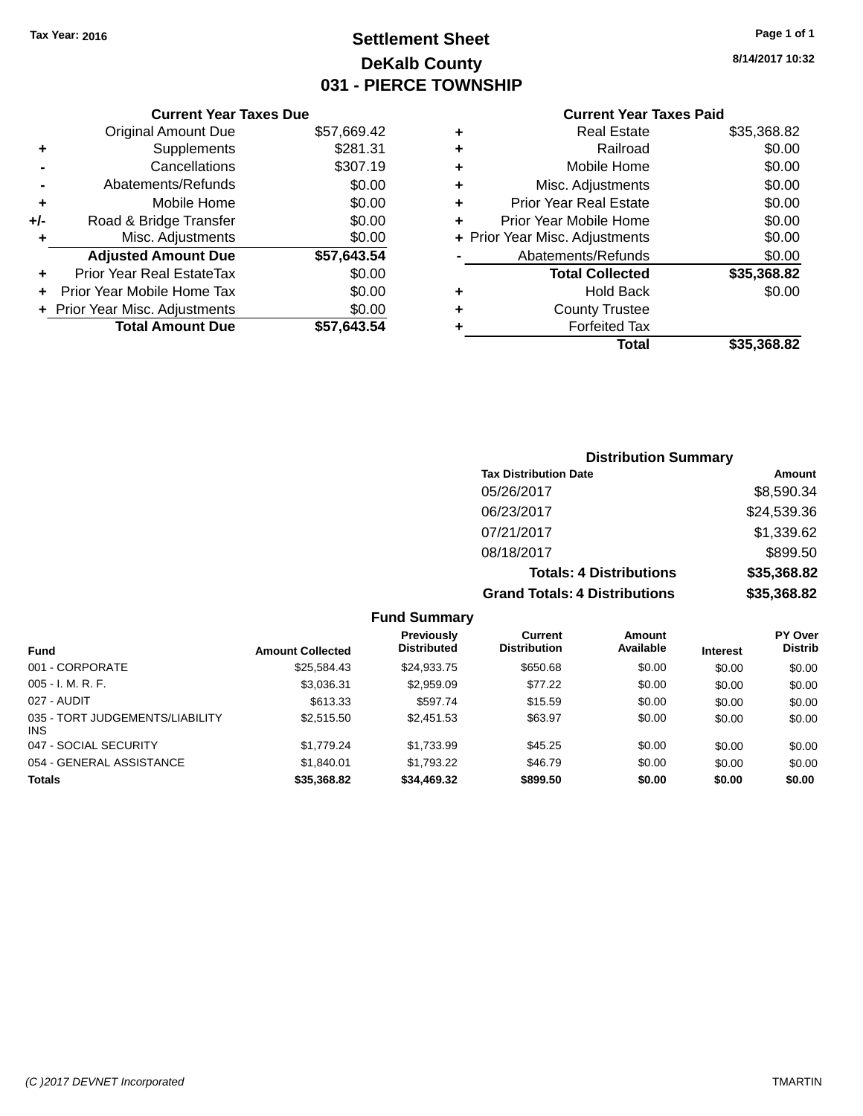# **Settlement Sheet Tax Year: 2016 Page 1 of 1 DeKalb County 031 - PIERCE TOWNSHIP**

**8/14/2017 10:32**

## **Current Year Taxes Paid**

|     | <b>Current Year Taxes Due</b>  |             |
|-----|--------------------------------|-------------|
|     | <b>Original Amount Due</b>     | \$57,669.42 |
| ٠   | Supplements                    | \$281.31    |
|     | Cancellations                  | \$307.19    |
|     | Abatements/Refunds             | \$0.00      |
| ٠   | Mobile Home                    | \$0.00      |
| +/- | Road & Bridge Transfer         | \$0.00      |
| ٠   | Misc. Adjustments              | \$0.00      |
|     | <b>Adjusted Amount Due</b>     | \$57,643.54 |
|     | Prior Year Real EstateTax      | \$0.00      |
|     | Prior Year Mobile Home Tax     | \$0.00      |
|     | + Prior Year Misc. Adjustments | \$0.00      |
|     | <b>Total Amount Due</b>        | \$57,643.54 |
|     |                                |             |

|   | <b>Real Estate</b>             | \$35,368.82 |
|---|--------------------------------|-------------|
| ٠ | Railroad                       | \$0.00      |
| ٠ | Mobile Home                    | \$0.00      |
| ٠ | Misc. Adjustments              | \$0.00      |
| ٠ | <b>Prior Year Real Estate</b>  | \$0.00      |
| ٠ | Prior Year Mobile Home         | \$0.00      |
|   | + Prior Year Misc. Adjustments | \$0.00      |
|   | Abatements/Refunds             | \$0.00      |
|   | <b>Total Collected</b>         | \$35,368.82 |
| ٠ | Hold Back                      | \$0.00      |
| ٠ | <b>County Trustee</b>          |             |
| ٠ | <b>Forfeited Tax</b>           |             |
|   | Total                          | \$35,368.82 |
|   |                                |             |

## **Distribution Summary Tax Distribution Date Amount** 05/26/2017 \$8,590.34 06/23/2017 \$24,539.36 07/21/2017 \$1,339.62 08/18/2017 \$899.50 **Totals: 4 Distributions \$35,368.82 Grand Totals: 4 Distributions \$35,368.82**

| <b>Fund</b>                             | <b>Amount Collected</b> | Previously<br><b>Distributed</b> | Current<br><b>Distribution</b> | Amount<br>Available | <b>Interest</b> | <b>PY Over</b><br><b>Distrib</b> |
|-----------------------------------------|-------------------------|----------------------------------|--------------------------------|---------------------|-----------------|----------------------------------|
| 001 - CORPORATE                         | \$25,584.43             | \$24,933.75                      | \$650.68                       | \$0.00              | \$0.00          | \$0.00                           |
| $005 - I. M. R. F.$                     | \$3,036.31              | \$2,959.09                       | \$77.22                        | \$0.00              | \$0.00          | \$0.00                           |
| 027 - AUDIT                             | \$613.33                | \$597.74                         | \$15.59                        | \$0.00              | \$0.00          | \$0.00                           |
| 035 - TORT JUDGEMENTS/LIABILITY<br>INS. | \$2.515.50              | \$2.451.53                       | \$63.97                        | \$0.00              | \$0.00          | \$0.00                           |
| 047 - SOCIAL SECURITY                   | \$1,779.24              | \$1.733.99                       | \$45.25                        | \$0.00              | \$0.00          | \$0.00                           |
| 054 - GENERAL ASSISTANCE                | \$1.840.01              | \$1.793.22                       | \$46.79                        | \$0.00              | \$0.00          | \$0.00                           |
| <b>Totals</b>                           | \$35,368.82             | \$34,469.32                      | \$899.50                       | \$0.00              | \$0.00          | \$0.00                           |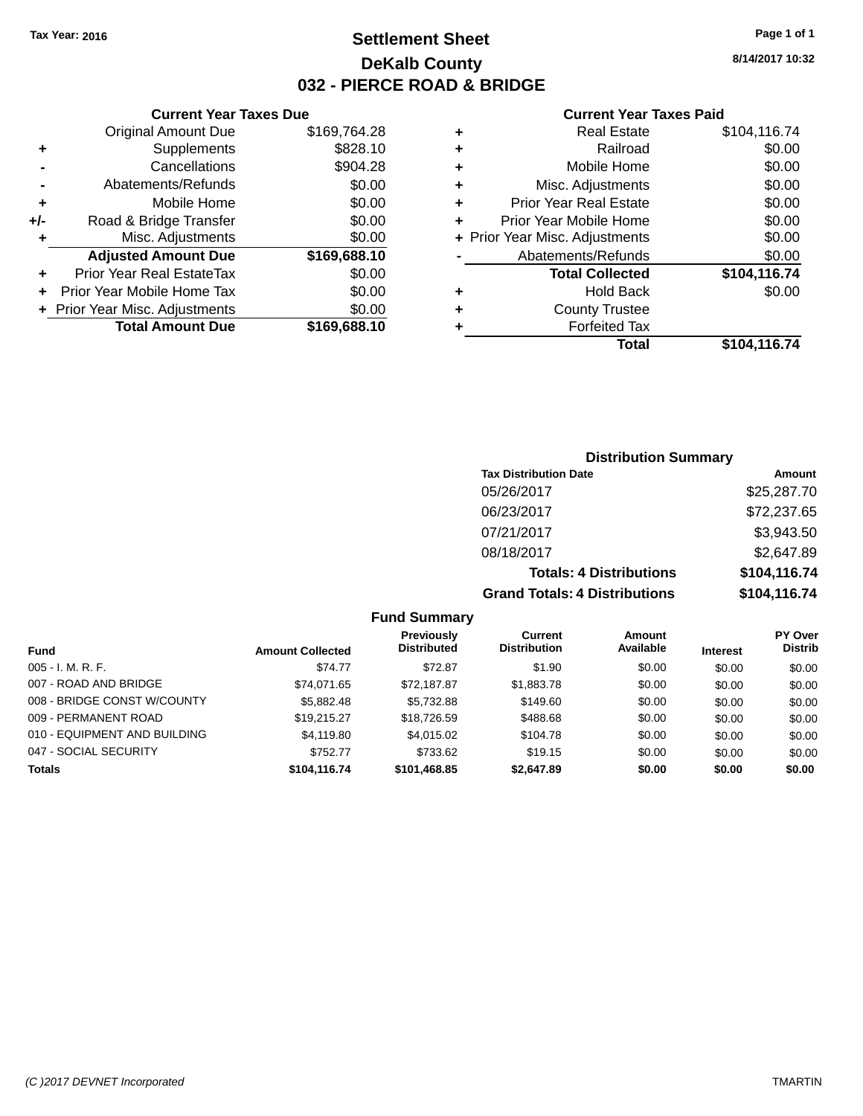# **Settlement Sheet Tax Year: 2016 Page 1 of 1 DeKalb County 032 - PIERCE ROAD & BRIDGE**

**8/14/2017 10:32**

#### **Current Year Taxes Paid**

|     | <b>Original Amount Due</b>       | \$169,764.28 |
|-----|----------------------------------|--------------|
| ٠   | Supplements                      | \$828.10     |
|     | Cancellations                    | \$904.28     |
|     | Abatements/Refunds               | \$0.00       |
| ٠   | Mobile Home                      | \$0.00       |
| +/- | Road & Bridge Transfer           | \$0.00       |
| ٠   | Misc. Adjustments                | \$0.00       |
|     | <b>Adjusted Amount Due</b>       | \$169,688.10 |
| ٠   | <b>Prior Year Real EstateTax</b> | \$0.00       |
|     | Prior Year Mobile Home Tax       | \$0.00       |
|     | + Prior Year Misc. Adjustments   | \$0.00       |
|     | <b>Total Amount Due</b>          | \$169,688.10 |
|     |                                  |              |

**Current Year Taxes Due**

| ٠ | <b>Real Estate</b>             | \$104,116.74 |
|---|--------------------------------|--------------|
| ٠ | Railroad                       | \$0.00       |
| ٠ | Mobile Home                    | \$0.00       |
| ٠ | Misc. Adjustments              | \$0.00       |
| ٠ | <b>Prior Year Real Estate</b>  | \$0.00       |
| ÷ | Prior Year Mobile Home         | \$0.00       |
|   | + Prior Year Misc. Adjustments | \$0.00       |
|   | Abatements/Refunds             | \$0.00       |
|   | <b>Total Collected</b>         | \$104,116.74 |
| ٠ | <b>Hold Back</b>               | \$0.00       |
| ٠ | <b>County Trustee</b>          |              |
| ٠ | <b>Forfeited Tax</b>           |              |
|   | Total                          | \$104,116.74 |
|   |                                |              |

## **Distribution Summary Tax Distribution Date Amount** 05/26/2017 \$25,287.70 06/23/2017 \$72,237.65 07/21/2017 \$3,943.50 08/18/2017 \$2,647.89 **Totals: 4 Distributions \$104,116.74 Grand Totals: 4 Distributions \$104,116.74**

|                              |                         | <b>Previously</b>  | Current             | <b>Amount</b> |                 | <b>PY Over</b> |
|------------------------------|-------------------------|--------------------|---------------------|---------------|-----------------|----------------|
| Fund                         | <b>Amount Collected</b> | <b>Distributed</b> | <b>Distribution</b> | Available     | <b>Interest</b> | <b>Distrib</b> |
| $005 - I. M. R. F.$          | \$74.77                 | \$72.87            | \$1.90              | \$0.00        | \$0.00          | \$0.00         |
| 007 - ROAD AND BRIDGE        | \$74.071.65             | \$72,187.87        | \$1,883.78          | \$0.00        | \$0.00          | \$0.00         |
| 008 - BRIDGE CONST W/COUNTY  | \$5.882.48              | \$5.732.88         | \$149.60            | \$0.00        | \$0.00          | \$0.00         |
| 009 - PERMANENT ROAD         | \$19.215.27             | \$18,726.59        | \$488.68            | \$0.00        | \$0.00          | \$0.00         |
| 010 - EQUIPMENT AND BUILDING | \$4,119.80              | \$4,015,02         | \$104.78            | \$0.00        | \$0.00          | \$0.00         |
| 047 - SOCIAL SECURITY        | \$752.77                | \$733.62           | \$19.15             | \$0.00        | \$0.00          | \$0.00         |
| <b>Totals</b>                | \$104,116.74            | \$101.468.85       | \$2,647.89          | \$0.00        | \$0.00          | \$0.00         |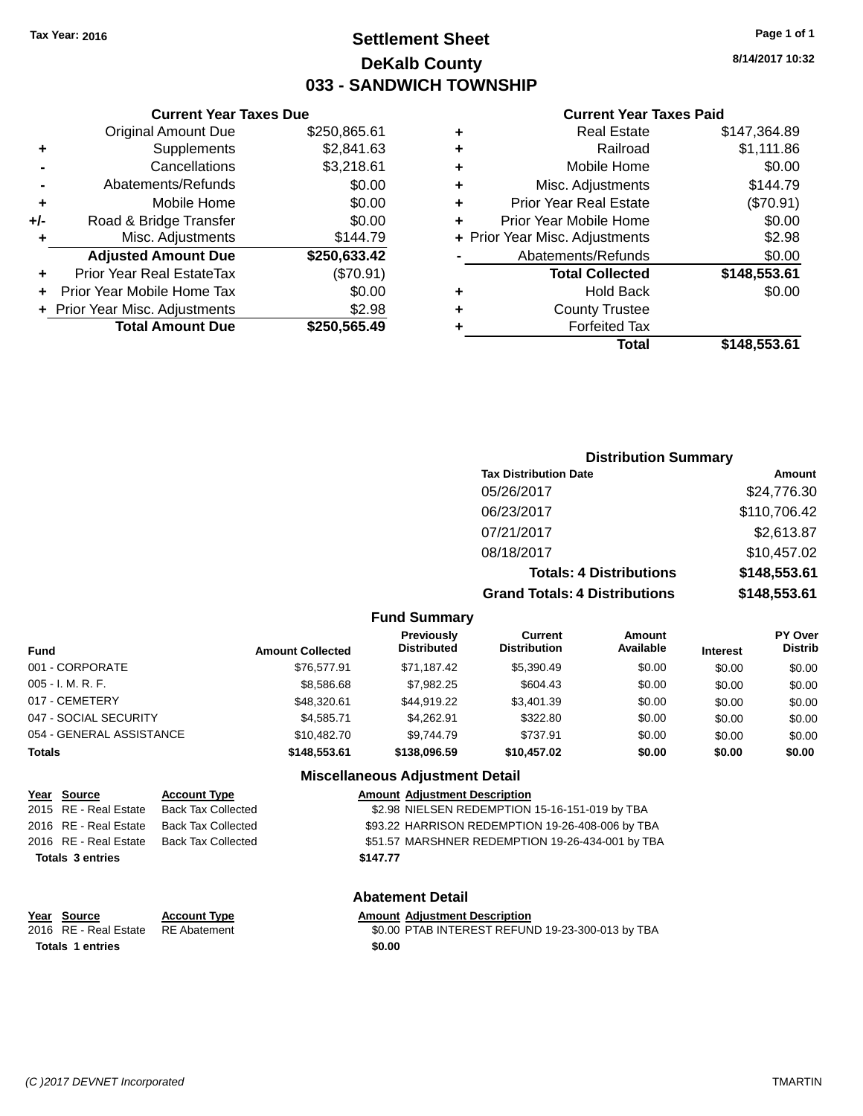# **Settlement Sheet Tax Year: 2016 Page 1 of 1 DeKalb County 033 - SANDWICH TOWNSHIP**

**8/14/2017 10:32**

#### **Current Year Taxes Paid**

|     | <b>Original Amount Due</b>       | \$250,865.61 |
|-----|----------------------------------|--------------|
| ٠   | Supplements                      | \$2,841.63   |
|     | Cancellations                    | \$3,218.61   |
|     | Abatements/Refunds               | \$0.00       |
| ÷   | Mobile Home                      | \$0.00       |
| +/- | Road & Bridge Transfer           | \$0.00       |
| ٠   | Misc. Adjustments                | \$144.79     |
|     | <b>Adjusted Amount Due</b>       | \$250,633.42 |
|     | <b>Prior Year Real EstateTax</b> | (\$70.91)    |
| ٠   | Prior Year Mobile Home Tax       | \$0.00       |
|     | + Prior Year Misc. Adjustments   | \$2.98       |
|     | <b>Total Amount Due</b>          | \$250,565.49 |
|     |                                  |              |

**Current Year Taxes Due**

| ٠ | <b>Real Estate</b>             | \$147.364.89 |
|---|--------------------------------|--------------|
| ٠ | Railroad                       | \$1,111.86   |
| ٠ | Mobile Home                    | \$0.00       |
| ٠ | Misc. Adjustments              | \$144.79     |
| ٠ | <b>Prior Year Real Estate</b>  | (\$70.91)    |
| ٠ | Prior Year Mobile Home         | \$0.00       |
|   | + Prior Year Misc. Adjustments | \$2.98       |
|   | Abatements/Refunds             | \$0.00       |
|   | <b>Total Collected</b>         | \$148,553.61 |
| ٠ | <b>Hold Back</b>               | \$0.00       |
| ٠ | <b>County Trustee</b>          |              |
| ٠ | <b>Forfeited Tax</b>           |              |
|   | Total                          | \$148,553.61 |
|   |                                |              |

## **Distribution Summary Tax Distribution Date Amount** 05/26/2017 \$24,776.30 06/23/2017 \$110,706.42 07/21/2017 \$2,613.87 08/18/2017 \$10,457.02 **Totals: 4 Distributions \$148,553.61 Grand Totals: 4 Distributions \$148,553.61**

#### **Fund Summary**

| <b>Fund</b>              | <b>Amount Collected</b> | Previously<br><b>Distributed</b> | Current<br><b>Distribution</b> | Amount<br>Available | <b>Interest</b> | <b>PY Over</b><br><b>Distrib</b> |
|--------------------------|-------------------------|----------------------------------|--------------------------------|---------------------|-----------------|----------------------------------|
| 001 - CORPORATE          | \$76,577.91             | \$71.187.42                      | \$5,390.49                     | \$0.00              | \$0.00          | \$0.00                           |
| 005 - I. M. R. F.        | \$8,586.68              | \$7,982.25                       | \$604.43                       | \$0.00              | \$0.00          | \$0.00                           |
| 017 - CEMETERY           | \$48,320.61             | \$44.919.22                      | \$3,401.39                     | \$0.00              | \$0.00          | \$0.00                           |
| 047 - SOCIAL SECURITY    | \$4.585.71              | \$4.262.91                       | \$322.80                       | \$0.00              | \$0.00          | \$0.00                           |
| 054 - GENERAL ASSISTANCE | \$10.482.70             | \$9,744.79                       | \$737.91                       | \$0.00              | \$0.00          | \$0.00                           |
| <b>Totals</b>            | \$148,553,61            | \$138,096.59                     | \$10.457.02                    | \$0.00              | \$0.00          | \$0.00                           |

## **Miscellaneous Adjustment Detail**

| Year Source             | <b>Account Type</b>       | <b>Amount Adjustment Description</b>             |
|-------------------------|---------------------------|--------------------------------------------------|
| 2015 RE - Real Estate   | <b>Back Tax Collected</b> | \$2.98 NIELSEN REDEMPTION 15-16-151-019 by TBA   |
| 2016 RE - Real Estate   | Back Tax Collected        | \$93.22 HARRISON REDEMPTION 19-26-408-006 by TBA |
| 2016 RE - Real Estate   | Back Tax Collected        | \$51.57 MARSHNER REDEMPTION 19-26-434-001 by TBA |
| <b>Totals 3 entries</b> |                           | \$147.77                                         |
|                         |                           |                                                  |
|                         |                           |                                                  |

#### **Abatement Detail**

**Year Source Account Type Anneurs Amount Adjustment Description**<br>
2016 RE - Real Estate RE Abatement **Amount Adjustment Description** \$0.00 PTAB INTEREST REFUND 19-23-300-013 by TBA **Totals 1 entries \$0.00**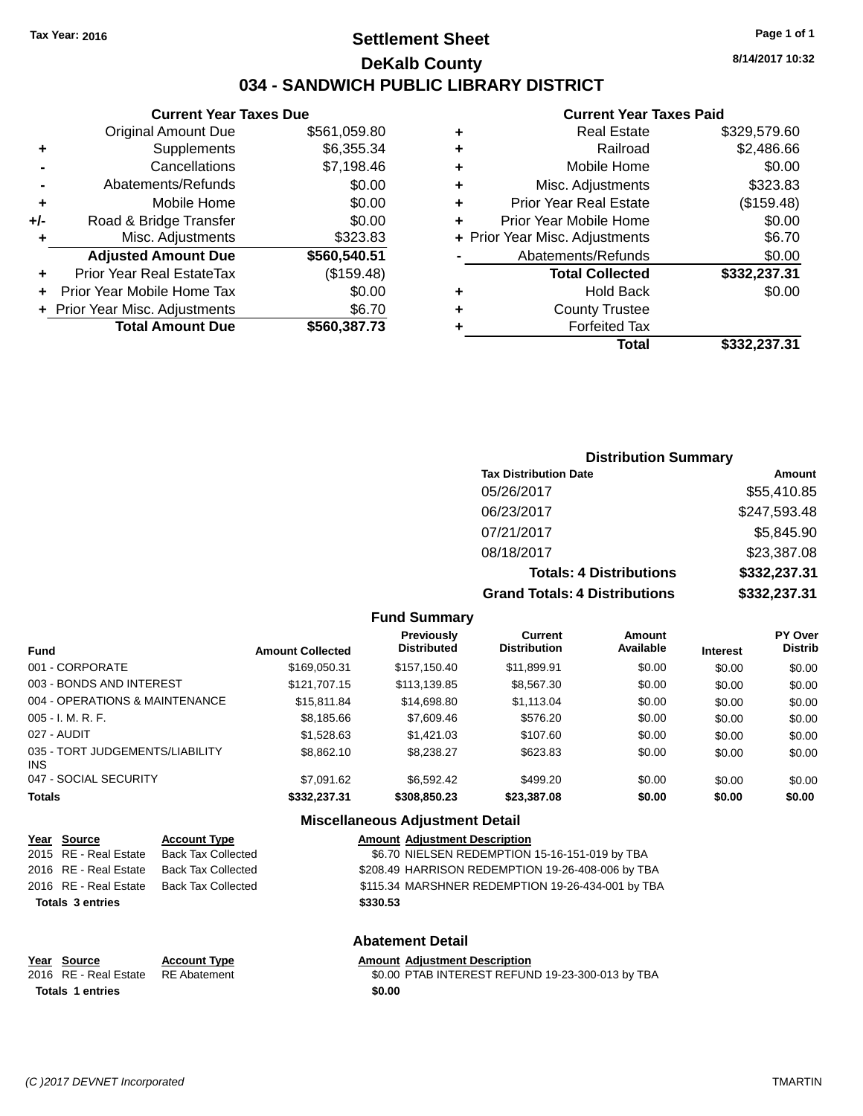# **Settlement Sheet Tax Year: 2016 Page 1 of 1 DeKalb County 034 - SANDWICH PUBLIC LIBRARY DISTRICT**

**Current Year Taxes Due** Original Amount Due \$561,059.80 **+** Supplements \$6,355.34 **-** Cancellations \$7,198.46<br>
Abstemants/Betunde \$9,000

|     | <b>Total Amount Due</b>          | \$560,387.73 |
|-----|----------------------------------|--------------|
|     | + Prior Year Misc. Adjustments   | \$6.70       |
|     | Prior Year Mobile Home Tax       | \$0.00       |
| ÷   | <b>Prior Year Real EstateTax</b> | (\$159.48)   |
|     | <b>Adjusted Amount Due</b>       | \$560,540.51 |
| ÷   | Misc. Adjustments                | \$323.83     |
| +/- | Road & Bridge Transfer           | \$0.00       |
| ٠   | Mobile Home                      | \$0.00       |
|     | Abatements/Refunds               | \$0.00       |

#### **Current Year Taxes Paid**

|   | Real Estate                    | \$329,579.60 |
|---|--------------------------------|--------------|
| ٠ | Railroad                       | \$2,486.66   |
| ٠ | Mobile Home                    | \$0.00       |
| ٠ | Misc. Adjustments              | \$323.83     |
| ٠ | <b>Prior Year Real Estate</b>  | (\$159.48)   |
| ÷ | Prior Year Mobile Home         | \$0.00       |
|   | + Prior Year Misc. Adjustments | \$6.70       |
|   | Abatements/Refunds             | \$0.00       |
|   | <b>Total Collected</b>         | \$332,237.31 |
| ٠ | Hold Back                      | \$0.00       |
| ٠ | <b>County Trustee</b>          |              |
|   | <b>Forfeited Tax</b>           |              |
|   | Total                          | \$332,237.31 |
|   |                                |              |

## **Distribution Summary Tax Distribution Date Amount** 05/26/2017 \$55,410.85 06/23/2017 \$247,593.48 07/21/2017 \$5,845.90 08/18/2017 \$23,387.08 **Totals: 4 Distributions \$332,237.31 Grand Totals: 4 Distributions \$332,237.31**

#### **Fund Summary**

| <b>Fund</b>                             | <b>Amount Collected</b> | Previously<br><b>Distributed</b> | Current<br><b>Distribution</b> | Amount<br>Available | <b>Interest</b> | PY Over<br><b>Distrib</b> |  |
|-----------------------------------------|-------------------------|----------------------------------|--------------------------------|---------------------|-----------------|---------------------------|--|
| 001 - CORPORATE                         | \$169.050.31            | \$157,150.40                     | \$11,899.91                    | \$0.00              | \$0.00          | \$0.00                    |  |
| 003 - BONDS AND INTEREST                | \$121,707.15            | \$113,139.85                     | \$8,567.30                     | \$0.00              | \$0.00          | \$0.00                    |  |
| 004 - OPERATIONS & MAINTENANCE          | \$15,811.84             | \$14,698.80                      | \$1,113.04                     | \$0.00              | \$0.00          | \$0.00                    |  |
| $005 - I. M. R. F.$                     | \$8,185.66              | \$7,609.46                       | \$576.20                       | \$0.00              | \$0.00          | \$0.00                    |  |
| 027 - AUDIT                             | \$1,528.63              | \$1,421.03                       | \$107.60                       | \$0.00              | \$0.00          | \$0.00                    |  |
| 035 - TORT JUDGEMENTS/LIABILITY<br>INS. | \$8,862.10              | \$8,238.27                       | \$623.83                       | \$0.00              | \$0.00          | \$0.00                    |  |
| 047 - SOCIAL SECURITY                   | \$7.091.62              | \$6,592.42                       | \$499.20                       | \$0.00              | \$0.00          | \$0.00                    |  |
| <b>Totals</b>                           | \$332,237.31            | \$308,850.23                     | \$23,387.08                    | \$0.00              | \$0.00          | \$0.00                    |  |
|                                         |                         |                                  |                                |                     |                 |                           |  |

## **Miscellaneous Adjustment Detail**

|      | Year Source             | <b>Account Type</b>                                                                                                                                                                                                                                                                                                                | <b>Amount Adjustment Description</b>              |  |
|------|-------------------------|------------------------------------------------------------------------------------------------------------------------------------------------------------------------------------------------------------------------------------------------------------------------------------------------------------------------------------|---------------------------------------------------|--|
|      | 2015 RE - Real Estate   | <b>Back Tax Collected</b>                                                                                                                                                                                                                                                                                                          | \$6.70 NIELSEN REDEMPTION 15-16-151-019 by TBA    |  |
|      | 2016 RE - Real Estate   | <b>Back Tax Collected</b>                                                                                                                                                                                                                                                                                                          | \$208.49 HARRISON REDEMPTION 19-26-408-006 by TBA |  |
|      | 2016 RE - Real Estate   | <b>Back Tax Collected</b>                                                                                                                                                                                                                                                                                                          | \$115.34 MARSHNER REDEMPTION 19-26-434-001 by TBA |  |
|      | <b>Totals 3 entries</b> |                                                                                                                                                                                                                                                                                                                                    | \$330.53                                          |  |
|      |                         |                                                                                                                                                                                                                                                                                                                                    | <b>Abatement Detail</b>                           |  |
| Year | Source                  | <b>Account Type</b>                                                                                                                                                                                                                                                                                                                | <b>Amount Adjustment Description</b>              |  |
|      |                         | $\mathbf{D}$ $\mathbf{E}$ $\mathbf{A}$ $\mathbf{L}$ $\mathbf{A}$ $\mathbf{A}$ $\mathbf{A}$ $\mathbf{A}$ $\mathbf{A}$ $\mathbf{A}$ $\mathbf{A}$ $\mathbf{A}$ $\mathbf{A}$ $\mathbf{A}$ $\mathbf{A}$ $\mathbf{A}$ $\mathbf{A}$ $\mathbf{A}$ $\mathbf{A}$ $\mathbf{A}$ $\mathbf{A}$ $\mathbf{A}$ $\mathbf{A}$ $\mathbf{A}$ $\mathbf{$ | $A \circ A \circ B$                               |  |

2016 RE - Real Estate RE Abatement \$0.00 PTAB INTEREST REFUND 19-23-300-013 by TBA **Totals 1 entries \$0.00**

**8/14/2017 10:32**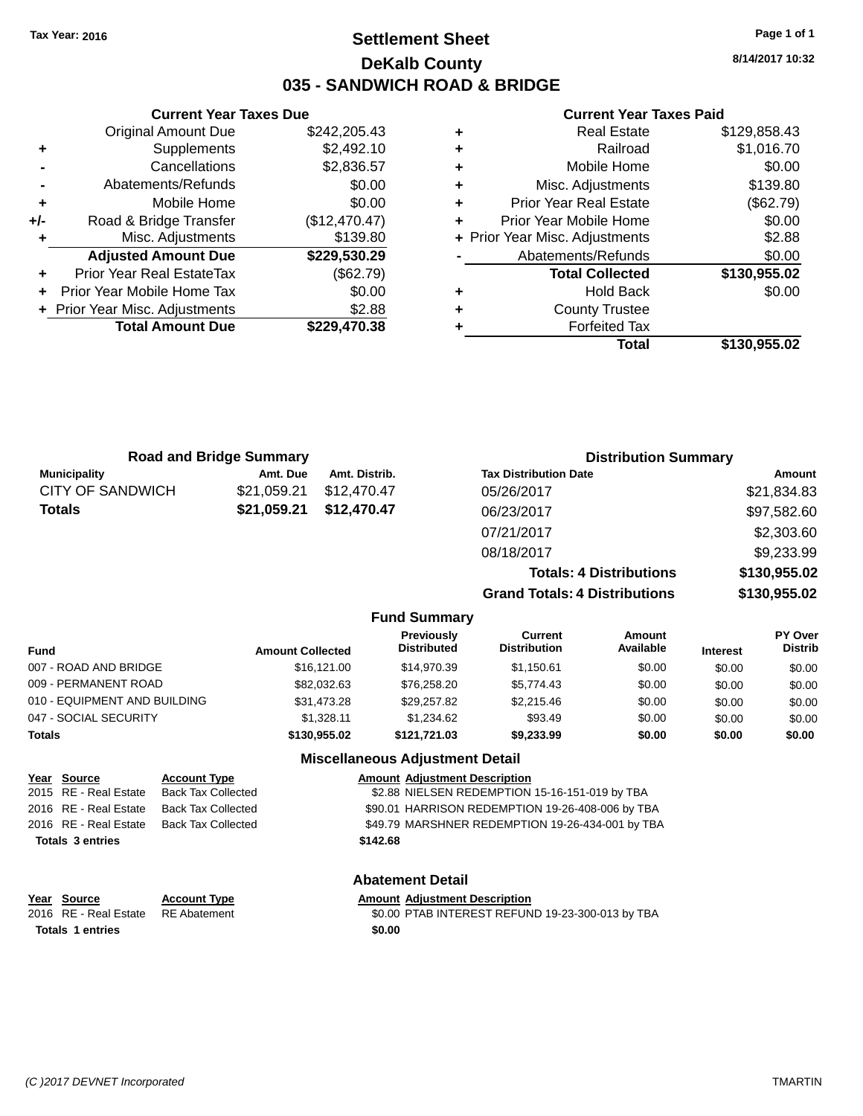# **Settlement Sheet Tax Year: 2016 Page 1 of 1 DeKalb County 035 - SANDWICH ROAD & BRIDGE**

**8/14/2017 10:32**

#### **Current Year Taxes Paid**

|       | <b>Original Amount Due</b>     | \$242,205.43  |
|-------|--------------------------------|---------------|
| ٠     | Supplements                    | \$2,492.10    |
|       | Cancellations                  | \$2,836.57    |
|       | Abatements/Refunds             | \$0.00        |
| ٠     | Mobile Home                    | \$0.00        |
| $+/-$ | Road & Bridge Transfer         | (\$12,470.47) |
| ٠     | Misc. Adjustments              | \$139.80      |
|       | <b>Adjusted Amount Due</b>     | \$229,530.29  |
| ÷     | Prior Year Real EstateTax      | (\$62.79)     |
|       | Prior Year Mobile Home Tax     | \$0.00        |
|       | + Prior Year Misc. Adjustments | \$2.88        |
|       | <b>Total Amount Due</b>        | \$229,470.38  |
|       |                                |               |

**Current Year Taxes Due**

|   | Total                          | \$130,955.02 |
|---|--------------------------------|--------------|
| ٠ | <b>Forfeited Tax</b>           |              |
| ٠ | <b>County Trustee</b>          |              |
| ٠ | Hold Back                      | \$0.00       |
|   | <b>Total Collected</b>         | \$130,955.02 |
|   | Abatements/Refunds             | \$0.00       |
|   | + Prior Year Misc. Adjustments | \$2.88       |
|   | Prior Year Mobile Home         | \$0.00       |
| ٠ | <b>Prior Year Real Estate</b>  | (\$62.79)    |
| ٠ | Misc. Adjustments              | \$139.80     |
| ٠ | Mobile Home                    | \$0.00       |
| ٠ | Railroad                       | \$1,016.70   |
|   | <b>Real Estate</b>             | \$129,858.43 |

|                         | <b>Road and Bridge Summary</b> |               |                                  |                                       | <b>Distribution Summary</b>    |                 |                           |
|-------------------------|--------------------------------|---------------|----------------------------------|---------------------------------------|--------------------------------|-----------------|---------------------------|
| <b>Municipality</b>     | Amt. Due                       | Amt. Distrib. |                                  | <b>Tax Distribution Date</b>          |                                |                 | Amount                    |
| <b>CITY OF SANDWICH</b> | \$21,059.21                    | \$12,470.47   |                                  | 05/26/2017                            |                                |                 | \$21,834.83               |
| <b>Totals</b>           | \$21,059.21                    | \$12,470.47   |                                  | 06/23/2017                            |                                |                 | \$97,582.60               |
|                         |                                |               |                                  | 07/21/2017                            |                                |                 | \$2,303.60                |
|                         |                                |               |                                  | 08/18/2017                            |                                |                 | \$9,233.99                |
|                         |                                |               |                                  |                                       | <b>Totals: 4 Distributions</b> |                 | \$130,955.02              |
|                         |                                |               |                                  | <b>Grand Totals: 4 Distributions</b>  |                                |                 | \$130,955.02              |
|                         |                                |               | <b>Fund Summary</b>              |                                       |                                |                 |                           |
| Fund                    | <b>Amount Collected</b>        |               | Previously<br><b>Distributed</b> | <b>Current</b><br><b>Distribution</b> | Amount<br>Available            | <b>Interest</b> | PY Over<br><b>Distrib</b> |
| 007 - ROAD AND BRIDGE   |                                | \$16,121,00   | \$14,970.39                      | \$1.150.61                            | \$0.00                         | \$0.00          | \$0.00                    |
|                         |                                |               |                                  |                                       |                                |                 |                           |

| <b>Miscellaneous Adjustment Detail</b> |              |              |            |        |        |        |  |  |  |
|----------------------------------------|--------------|--------------|------------|--------|--------|--------|--|--|--|
| Totals                                 | \$130,955.02 | \$121.721.03 | \$9,233,99 | \$0.00 | \$0.00 | \$0.00 |  |  |  |
| 047 - SOCIAL SECURITY                  | \$1.328.11   | \$1.234.62   | \$93.49    | \$0.00 | \$0.00 | \$0.00 |  |  |  |
| 010 - EQUIPMENT AND BUILDING           | \$31.473.28  | \$29.257.82  | \$2,215,46 | \$0.00 | \$0.00 | \$0.00 |  |  |  |
| 009 - PERMANENT ROAD                   | \$82.032.63  | \$76.258.20  | \$5.774.43 | \$0.00 | \$0.00 | \$0.00 |  |  |  |
| 007 - ROAD AND BRIDGE                  | \$16,121.00  | \$14,970.39  | \$1.150.61 | \$0.00 | \$0.00 | \$0.00 |  |  |  |

## **Year** Source **Account Type Account Type Amount Adjustment Description** 2015 RE - Real Estate Back Tax Collected \$2.88 NIELSEN REDEMPTION 15-16-151-019 by TBA 2016 RE - Real Estate Back Tax Collected \$90.01 HARRISON REDEMPTION 19-26-408-006 by TBA 2016 RE - Real Estate Back Tax Collected \$49.79 MARSHNER REDEMPTION 19-26-434-001 by TBA **Totals 3 entries \$142.68 Abatement Detail**

**Year Source Account Type Account Type Amount Adjustment Description**<br>2016 RE - Real Estate RE Abatement **Account 1991 AMOUNT ADDINE ART ARE ADDINE ARE ADDINE ARE A Totals 1 entries \$0.00**

\$0.00 PTAB INTEREST REFUND 19-23-300-013 by TBA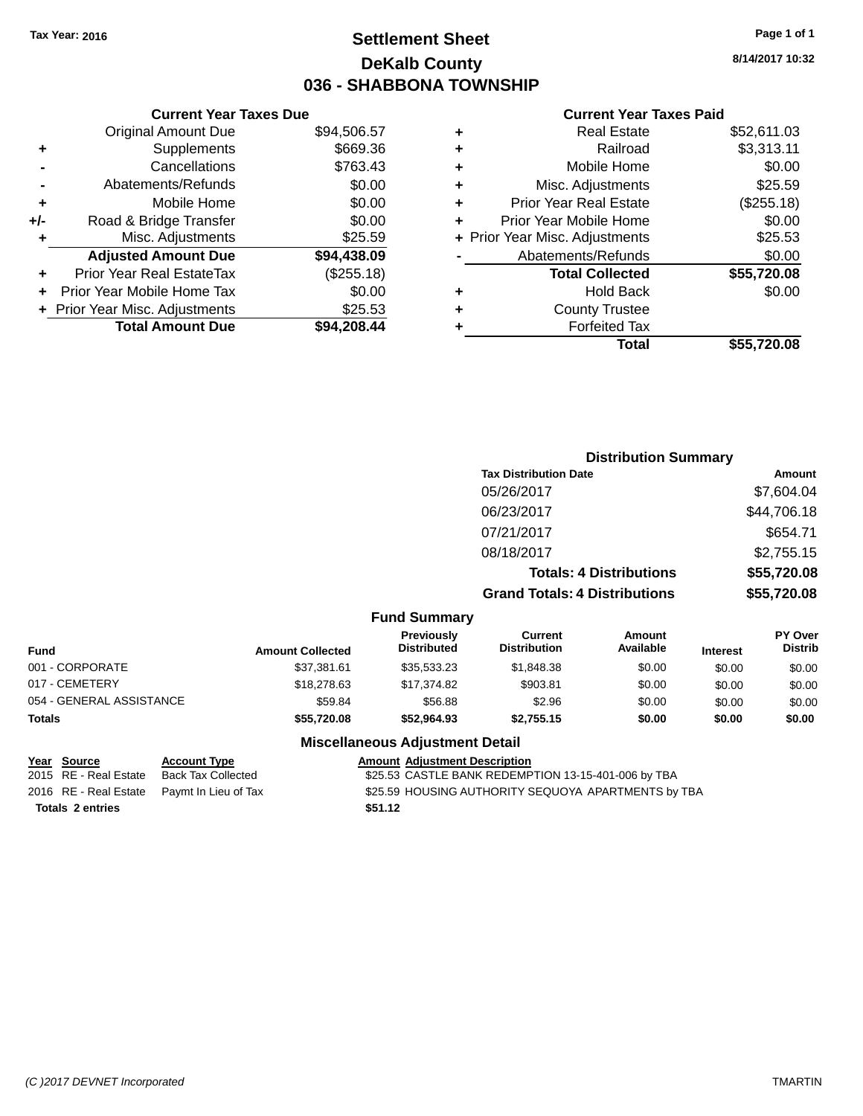# **Settlement Sheet Tax Year: 2016 Page 1 of 1 DeKalb County 036 - SHABBONA TOWNSHIP**

**8/14/2017 10:32**

#### **Current Year Taxes Paid**

| <b>Original Amount Due</b> | \$94,506.57                                                     |
|----------------------------|-----------------------------------------------------------------|
| Supplements                | \$669.36                                                        |
| Cancellations              | \$763.43                                                        |
| Abatements/Refunds         | \$0.00                                                          |
| Mobile Home                | \$0.00                                                          |
| Road & Bridge Transfer     | \$0.00                                                          |
| Misc. Adjustments          | \$25.59                                                         |
| <b>Adjusted Amount Due</b> | \$94,438.09                                                     |
| Prior Year Real EstateTax  | (\$255.18)                                                      |
| Prior Year Mobile Home Tax | \$0.00                                                          |
|                            | \$25.53                                                         |
| <b>Total Amount Due</b>    | \$94.208.44                                                     |
|                            | <b>Current Year Taxes Due</b><br>+ Prior Year Misc. Adjustments |

|   | <b>Real Estate</b>             | \$52,611.03 |
|---|--------------------------------|-------------|
| ٠ | Railroad                       | \$3,313.11  |
| ٠ | Mobile Home                    | \$0.00      |
| ٠ | Misc. Adjustments              | \$25.59     |
| ٠ | <b>Prior Year Real Estate</b>  | (\$255.18)  |
| ٠ | Prior Year Mobile Home         | \$0.00      |
|   | + Prior Year Misc. Adjustments | \$25.53     |
|   | Abatements/Refunds             | \$0.00      |
|   | <b>Total Collected</b>         | \$55,720.08 |
| ٠ | <b>Hold Back</b>               | \$0.00      |
| ٠ | <b>County Trustee</b>          |             |
| ٠ | <b>Forfeited Tax</b>           |             |
|   | Total                          | \$55,720.08 |
|   |                                |             |

| <b>Distribution Summary</b>          |             |
|--------------------------------------|-------------|
| <b>Tax Distribution Date</b>         | Amount      |
| 05/26/2017                           | \$7,604.04  |
| 06/23/2017                           | \$44,706.18 |
| 07/21/2017                           | \$654.71    |
| 08/18/2017                           | \$2,755.15  |
| <b>Totals: 4 Distributions</b>       | \$55,720.08 |
| <b>Grand Totals: 4 Distributions</b> | \$55,720.08 |

#### **Fund Summary**

| Fund                     | <b>Amount Collected</b> | <b>Previously</b><br><b>Distributed</b> | Current<br><b>Distribution</b> | Amount<br>Available | <b>Interest</b> | <b>PY Over</b><br><b>Distrib</b> |
|--------------------------|-------------------------|-----------------------------------------|--------------------------------|---------------------|-----------------|----------------------------------|
| 001 - CORPORATE          | \$37,381.61             | \$35,533.23                             | \$1,848.38                     | \$0.00              | \$0.00          | \$0.00                           |
| 017 - CEMETERY           | \$18,278,63             | \$17.374.82                             | \$903.81                       | \$0.00              | \$0.00          | \$0.00                           |
| 054 - GENERAL ASSISTANCE | \$59.84                 | \$56.88                                 | \$2.96                         | \$0.00              | \$0.00          | \$0.00                           |
| Totals                   | \$55,720.08             | \$52,964.93                             | \$2.755.15                     | \$0.00              | \$0.00          | \$0.00                           |

## **Miscellaneous Adjustment Detail**

| Year Source             | <b>Account Type</b>                        | Amount  |
|-------------------------|--------------------------------------------|---------|
| 2015 RE - Real Estate   | <b>Back Tax Collected</b>                  | \$25.53 |
|                         | 2016 RE - Real Estate Paymt In Lieu of Tax | \$25.59 |
| <b>Totals 2 entries</b> |                                            | \$51.12 |

**Account Type**<br>
Back Tax Collected<br>
S25.53 CASTLE BANK REDEMP \$25.53 CASTLE BANK REDEMPTION 13-15-401-006 by TBA Paymt In Lieu of Tax  $$25.59$  HOUSING AUTHORITY SEQUOYA APARTMENTS by TBA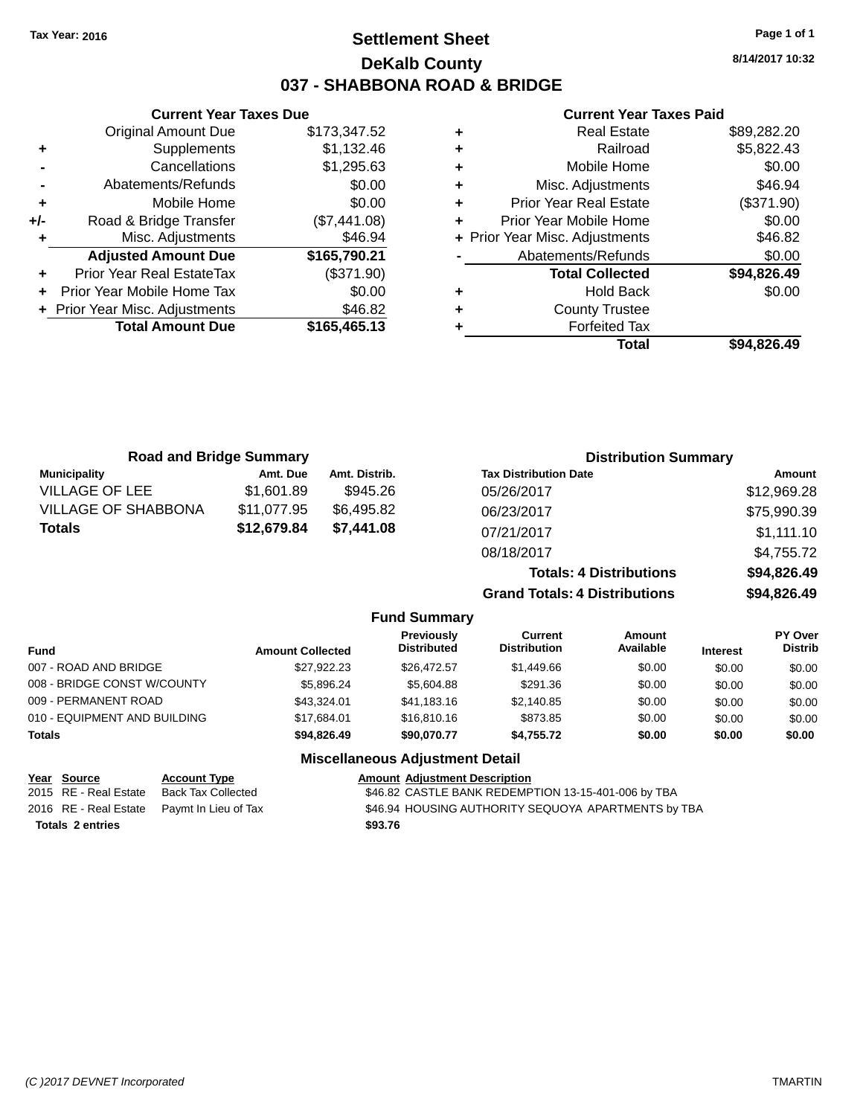# **Settlement Sheet Tax Year: 2016 Page 1 of 1 DeKalb County 037 - SHABBONA ROAD & BRIDGE**

**8/14/2017 10:32**

### **Current Year Taxes Paid**

|       | <b>Current Year Taxes Due</b>  |              |
|-------|--------------------------------|--------------|
|       | <b>Original Amount Due</b>     | \$173,347.52 |
| ٠     | Supplements                    | \$1,132.46   |
|       | Cancellations                  | \$1,295.63   |
|       | Abatements/Refunds             | \$0.00       |
| ٠     | Mobile Home                    | \$0.00       |
| $+/-$ | Road & Bridge Transfer         | (\$7,441.08) |
| ٠     | Misc. Adjustments              | \$46.94      |
|       | <b>Adjusted Amount Due</b>     | \$165,790.21 |
| ٠     | Prior Year Real EstateTax      | (\$371.90)   |
| ÷     | Prior Year Mobile Home Tax     | \$0.00       |
|       | + Prior Year Misc. Adjustments | \$46.82      |
|       | <b>Total Amount Due</b>        | \$165,465,13 |
|       |                                |              |

| ٠ | <b>Real Estate</b>             | \$89,282.20 |
|---|--------------------------------|-------------|
| ٠ | Railroad                       | \$5,822.43  |
| ٠ | Mobile Home                    | \$0.00      |
| ٠ | Misc. Adjustments              | \$46.94     |
| ٠ | <b>Prior Year Real Estate</b>  | (\$371.90)  |
| ٠ | Prior Year Mobile Home         | \$0.00      |
|   | + Prior Year Misc. Adjustments | \$46.82     |
|   | Abatements/Refunds             | \$0.00      |
|   | <b>Total Collected</b>         | \$94,826.49 |
| ٠ | <b>Hold Back</b>               | \$0.00      |
| ٠ | <b>County Trustee</b>          |             |
| ٠ | <b>Forfeited Tax</b>           |             |
|   | Total                          | \$94.826.49 |
|   |                                |             |

| <b>Road and Bridge Summary</b> |             | <b>Distribution Summary</b> |                                      |             |
|--------------------------------|-------------|-----------------------------|--------------------------------------|-------------|
| <b>Municipality</b>            | Amt. Due    | Amt. Distrib.               | <b>Tax Distribution Date</b>         | Amount      |
| <b>VILLAGE OF LEE</b>          | \$1,601.89  | \$945.26                    | 05/26/2017                           | \$12,969.28 |
| <b>VILLAGE OF SHABBONA</b>     | \$11,077.95 | \$6,495.82                  | 06/23/2017                           | \$75,990.39 |
| <b>Totals</b>                  | \$12,679.84 | \$7,441.08                  | 07/21/2017                           | \$1,111.10  |
|                                |             |                             | 08/18/2017                           | \$4,755.72  |
|                                |             |                             | <b>Totals: 4 Distributions</b>       | \$94,826.49 |
|                                |             |                             | <b>Grand Totals: 4 Distributions</b> | \$94,826.49 |

|                              |                         | <b>Fund Summary</b>              |                                |                     |                 |                                  |
|------------------------------|-------------------------|----------------------------------|--------------------------------|---------------------|-----------------|----------------------------------|
| <b>Fund</b>                  | <b>Amount Collected</b> | Previously<br><b>Distributed</b> | Current<br><b>Distribution</b> | Amount<br>Available | <b>Interest</b> | <b>PY Over</b><br><b>Distrib</b> |
| 007 - ROAD AND BRIDGE        | \$27.922.23             | \$26,472.57                      | \$1,449.66                     | \$0.00              | \$0.00          | \$0.00                           |
| 008 - BRIDGE CONST W/COUNTY  | \$5,896.24              | \$5,604.88                       | \$291.36                       | \$0.00              | \$0.00          | \$0.00                           |
| 009 - PERMANENT ROAD         | \$43,324.01             | \$41.183.16                      | \$2,140.85                     | \$0.00              | \$0.00          | \$0.00                           |
| 010 - EQUIPMENT AND BUILDING | \$17.684.01             | \$16,810.16                      | \$873.85                       | \$0.00              | \$0.00          | \$0.00                           |
| <b>Totals</b>                | \$94,826,49             | \$90,070.77                      | \$4.755.72                     | \$0.00              | \$0.00          | \$0.00                           |

|                         | <u>Year Source</u>    | <b>Account Type</b>                        | <b>Amount Adiustment Description</b>                |
|-------------------------|-----------------------|--------------------------------------------|-----------------------------------------------------|
|                         | 2015 RE - Real Estate | Back Tax Collected                         | \$46.82 CASTLE BANK REDEMPTION 13-15-401-006 by TBA |
|                         |                       | 2016 RE - Real Estate Pavmt In Lieu of Tax | \$46.94 HOUSING AUTHORITY SEQUOYA APARTMENTS by TBA |
| <b>Totals 2 entries</b> |                       |                                            | \$93.76                                             |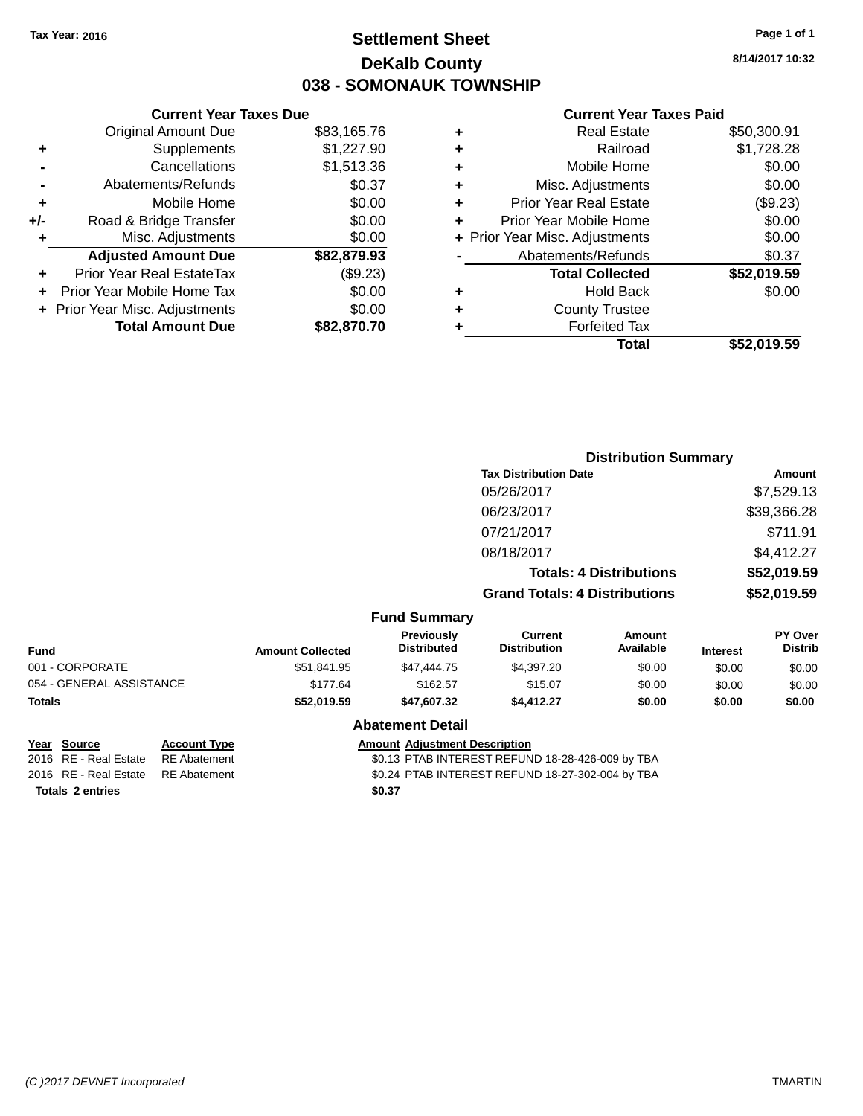# **Settlement Sheet Tax Year: 2016 Page 1 of 1 DeKalb County 038 - SOMONAUK TOWNSHIP**

**8/14/2017 10:32**

#### **Current Year Taxes Paid**

|     | <b>Current Year Taxes Due</b>  |             |
|-----|--------------------------------|-------------|
|     | <b>Original Amount Due</b>     | \$83,165.76 |
| ٠   | Supplements                    | \$1,227.90  |
|     | Cancellations                  | \$1,513.36  |
|     | Abatements/Refunds             | \$0.37      |
| ٠   | Mobile Home                    | \$0.00      |
| +/- | Road & Bridge Transfer         | \$0.00      |
| ٠   | Misc. Adjustments              | \$0.00      |
|     | <b>Adjusted Amount Due</b>     | \$82,879.93 |
| ÷   | Prior Year Real EstateTax      | (\$9.23)    |
|     | Prior Year Mobile Home Tax     | \$0.00      |
|     | + Prior Year Misc. Adjustments | \$0.00      |
|     | <b>Total Amount Due</b>        | \$82,870.70 |
|     |                                |             |

|   | <b>Real Estate</b>             | \$50,300.91 |
|---|--------------------------------|-------------|
| ٠ | Railroad                       | \$1,728.28  |
| ٠ | Mobile Home                    | \$0.00      |
| ٠ | Misc. Adjustments              | \$0.00      |
| ٠ | <b>Prior Year Real Estate</b>  | (\$9.23)    |
| ٠ | Prior Year Mobile Home         | \$0.00      |
|   | + Prior Year Misc. Adjustments | \$0.00      |
|   | Abatements/Refunds             | \$0.37      |
|   | <b>Total Collected</b>         | \$52,019.59 |
| ٠ | Hold Back                      | \$0.00      |
| ٠ | <b>County Trustee</b>          |             |
| ٠ | <b>Forfeited Tax</b>           |             |
|   | Total                          | \$52,019.59 |
|   |                                |             |

|                          |                     |                                                  |                                         | <b>Distribution Summary</b>           |                                |                 |                           |
|--------------------------|---------------------|--------------------------------------------------|-----------------------------------------|---------------------------------------|--------------------------------|-----------------|---------------------------|
|                          |                     |                                                  |                                         | <b>Tax Distribution Date</b>          |                                |                 | Amount                    |
|                          |                     |                                                  |                                         | 05/26/2017                            |                                |                 | \$7,529.13                |
|                          |                     |                                                  |                                         | 06/23/2017                            |                                |                 | \$39,366.28               |
|                          |                     |                                                  |                                         | 07/21/2017                            |                                |                 | \$711.91                  |
|                          |                     |                                                  |                                         | 08/18/2017                            |                                |                 | \$4,412.27                |
|                          |                     |                                                  |                                         |                                       | <b>Totals: 4 Distributions</b> |                 | \$52,019.59               |
|                          |                     |                                                  |                                         | <b>Grand Totals: 4 Distributions</b>  |                                |                 | \$52,019.59               |
|                          |                     |                                                  | <b>Fund Summary</b>                     |                                       |                                |                 |                           |
| <b>Fund</b>              |                     | <b>Amount Collected</b>                          | <b>Previously</b><br><b>Distributed</b> | <b>Current</b><br><b>Distribution</b> | Amount<br>Available            | <b>Interest</b> | PY Over<br><b>Distrib</b> |
| 001 - CORPORATE          |                     | \$51,841.95                                      | \$47,444.75                             | \$4,397.20                            | \$0.00                         | \$0.00          | \$0.00                    |
| 054 - GENERAL ASSISTANCE |                     | \$177.64                                         | \$162.57                                | \$15.07                               | \$0.00                         | \$0.00          | \$0.00                    |
| <b>Totals</b>            |                     | \$52,019.59                                      | \$47,607.32                             | \$4,412.27                            | \$0.00                         | \$0.00          | \$0.00                    |
|                          |                     |                                                  | <b>Abatement Detail</b>                 |                                       |                                |                 |                           |
| <b>Source</b><br>Year    | <b>Account Type</b> |                                                  | <b>Amount Adjustment Description</b>    |                                       |                                |                 |                           |
| 2016 RE - Real Estate    | <b>RE</b> Abatement | \$0.13 PTAB INTEREST REFUND 18-28-426-009 by TBA |                                         |                                       |                                |                 |                           |

**Totals 2 entries \$0.37**

2016 RE - Real Estate RE Abatement \$0.24 PTAB INTEREST REFUND 18-27-302-004 by TBA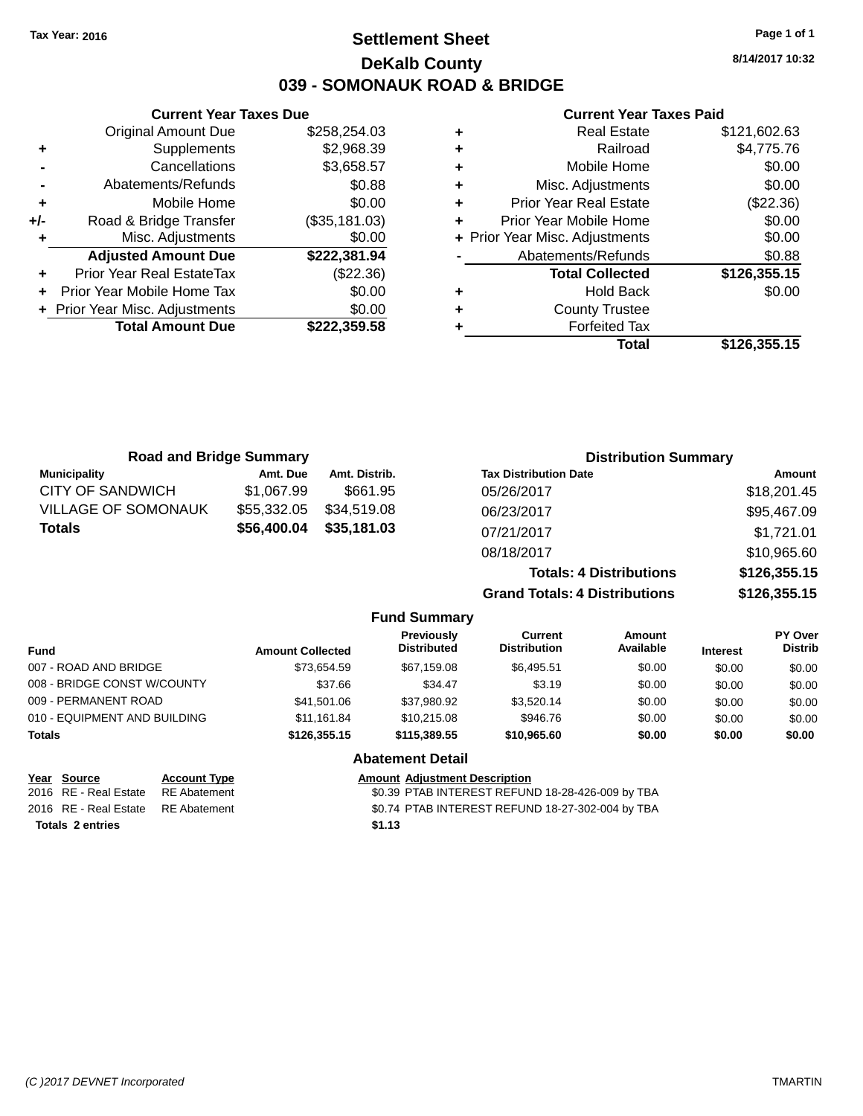# **Settlement Sheet Tax Year: 2016 Page 1 of 1 DeKalb County 039 - SOMONAUK ROAD & BRIDGE**

**8/14/2017 10:32**

## **Current Year Taxes Paid**

| ٠ | <b>Real Estate</b>             | \$121,602.63 |
|---|--------------------------------|--------------|
| ٠ | Railroad                       | \$4,775.76   |
| ÷ | Mobile Home                    | \$0.00       |
| ٠ | Misc. Adjustments              | \$0.00       |
| ٠ | <b>Prior Year Real Estate</b>  | (\$22.36)    |
| ٠ | Prior Year Mobile Home         | \$0.00       |
|   | + Prior Year Misc. Adjustments | \$0.00       |
|   | Abatements/Refunds             | \$0.88       |
|   | <b>Total Collected</b>         | \$126,355.15 |
| ٠ | Hold Back                      | \$0.00       |
| ٠ | <b>County Trustee</b>          |              |
|   | <b>Forfeited Tax</b>           |              |
|   | Total                          | \$126.355.15 |

|     | <b>Current Year Taxes Due</b>  |               |
|-----|--------------------------------|---------------|
|     | Original Amount Due            | \$258,254.03  |
| ٠   | Supplements                    | \$2,968.39    |
|     | Cancellations                  | \$3,658.57    |
|     | Abatements/Refunds             | \$0.88        |
| ٠   | Mobile Home                    | \$0.00        |
| +/- | Road & Bridge Transfer         | (\$35,181.03) |
| ٠   | Misc. Adjustments              | \$0.00        |
|     | <b>Adjusted Amount Due</b>     | \$222,381.94  |
| ٠   | Prior Year Real EstateTax      | $(\$22.36)$   |
|     | Prior Year Mobile Home Tax     | \$0.00        |
|     | + Prior Year Misc. Adjustments | \$0.00        |
|     | <b>Total Amount Due</b>        | \$222.359.58  |
|     |                                |               |

| <b>Road and Bridge Summary</b> |             |                     | <b>Distribution Summary</b>          |              |
|--------------------------------|-------------|---------------------|--------------------------------------|--------------|
| <b>Municipality</b>            | Amt. Due    | Amt. Distrib.       | <b>Tax Distribution Date</b>         | Amount       |
| CITY OF SANDWICH               | \$1,067.99  | \$661.95            | 05/26/2017                           | \$18,201.45  |
| <b>VILLAGE OF SOMONAUK</b>     | \$55,332.05 | \$34,519.08         | 06/23/2017                           | \$95,467.09  |
| <b>Totals</b>                  | \$56,400.04 | \$35,181.03         | 07/21/2017                           | \$1,721.01   |
|                                |             |                     | 08/18/2017                           | \$10,965.60  |
|                                |             |                     | <b>Totals: 4 Distributions</b>       | \$126,355.15 |
|                                |             |                     | <b>Grand Totals: 4 Distributions</b> | \$126,355.15 |
|                                |             | <b>Fund Summary</b> |                                      |              |

| <b>Fund</b>                  | <b>Amount Collected</b> | Previously<br><b>Distributed</b> | Current<br><b>Distribution</b> | <b>Amount</b><br>Available | <b>Interest</b> | <b>PY Over</b><br><b>Distrib</b> |
|------------------------------|-------------------------|----------------------------------|--------------------------------|----------------------------|-----------------|----------------------------------|
| 007 - ROAD AND BRIDGE        | \$73.654.59             | \$67.159.08                      | \$6,495.51                     | \$0.00                     | \$0.00          | \$0.00                           |
| 008 - BRIDGE CONST W/COUNTY  | \$37.66                 | \$34.47                          | \$3.19                         | \$0.00                     | \$0.00          | \$0.00                           |
| 009 - PERMANENT ROAD         | \$41,501.06             | \$37.980.92                      | \$3.520.14                     | \$0.00                     | \$0.00          | \$0.00                           |
| 010 - EQUIPMENT AND BUILDING | \$11.161.84             | \$10.215.08                      | \$946.76                       | \$0.00                     | \$0.00          | \$0.00                           |
| <b>Totals</b>                | \$126,355.15            | \$115,389,55                     | \$10,965.60                    | \$0.00                     | \$0.00          | \$0.00                           |
|                              |                         | .                                |                                |                            |                 |                                  |

## **Abatement Detail**

| Year Source                        | <b>Account Type</b> | <b>Amount Adiustment Description</b>             |
|------------------------------------|---------------------|--------------------------------------------------|
| 2016 RE - Real Estate              | RE Abatement        | \$0.39 PTAB INTEREST REFUND 18-28-426-009 by TBA |
| 2016 RE - Real Estate RE Abatement |                     | \$0.74 PTAB INTEREST REFUND 18-27-302-004 by TBA |
| <b>Totals 2 entries</b>            |                     | \$1.13                                           |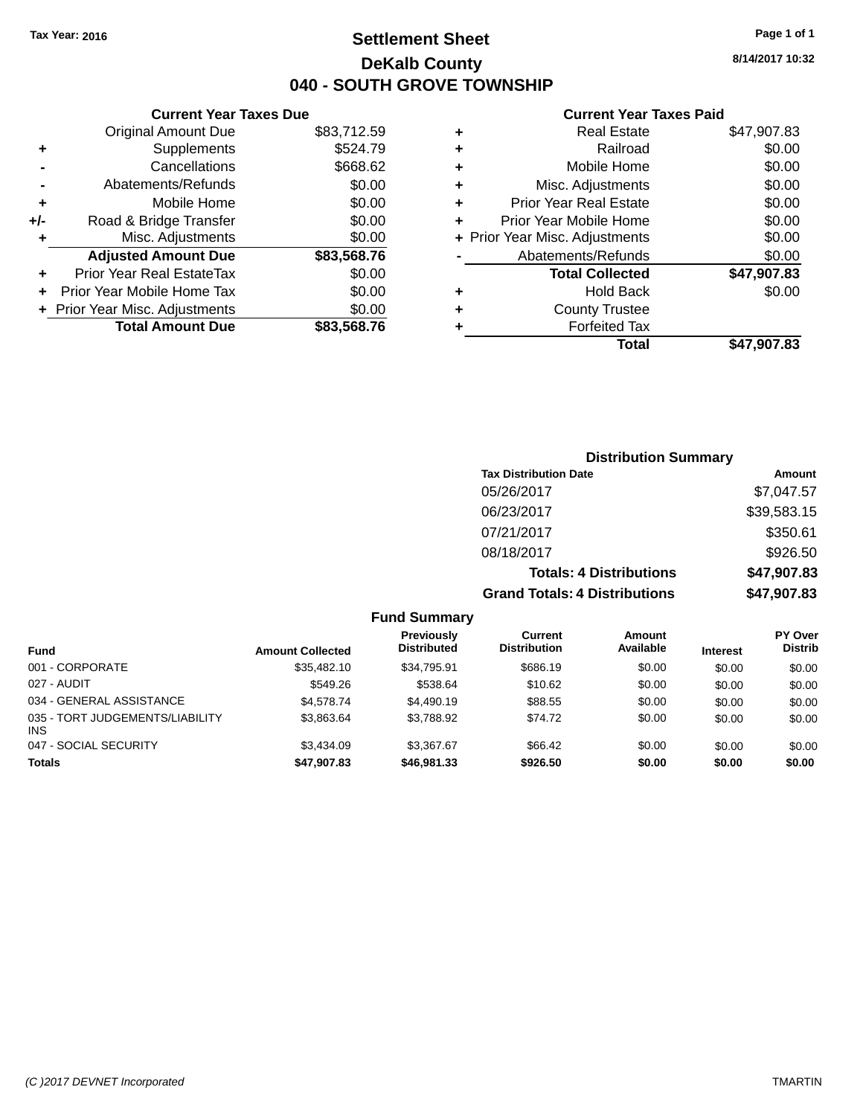# **Settlement Sheet Tax Year: 2016 Page 1 of 1 DeKalb County 040 - SOUTH GROVE TOWNSHIP**

**8/14/2017 10:32**

## **Current Year Taxes Paid**

| <b>Current Year Taxes Due</b> |  |  |  |  |  |
|-------------------------------|--|--|--|--|--|
| \$83,712.59                   |  |  |  |  |  |
| \$524.79                      |  |  |  |  |  |
| \$668.62                      |  |  |  |  |  |
| \$0.00                        |  |  |  |  |  |
| \$0.00                        |  |  |  |  |  |
| \$0.00                        |  |  |  |  |  |
| \$0.00                        |  |  |  |  |  |
| \$83,568.76                   |  |  |  |  |  |
| \$0.00                        |  |  |  |  |  |
| \$0.00                        |  |  |  |  |  |
|                               |  |  |  |  |  |
| \$0.00                        |  |  |  |  |  |
|                               |  |  |  |  |  |

| ٠ | <b>Real Estate</b>             | \$47,907.83 |
|---|--------------------------------|-------------|
| ٠ | Railroad                       | \$0.00      |
| ٠ | Mobile Home                    | \$0.00      |
| ٠ | Misc. Adjustments              | \$0.00      |
| ٠ | <b>Prior Year Real Estate</b>  | \$0.00      |
| ÷ | Prior Year Mobile Home         | \$0.00      |
|   | + Prior Year Misc. Adjustments | \$0.00      |
|   | Abatements/Refunds             | \$0.00      |
|   | <b>Total Collected</b>         | \$47,907.83 |
| ٠ | Hold Back                      | \$0.00      |
| ٠ | <b>County Trustee</b>          |             |
| ٠ | <b>Forfeited Tax</b>           |             |
|   | Total                          | \$47,907.83 |
|   |                                |             |

| <b>Distribution Summary</b>          |             |
|--------------------------------------|-------------|
| <b>Tax Distribution Date</b>         | Amount      |
| 05/26/2017                           | \$7,047.57  |
| 06/23/2017                           | \$39,583.15 |
| 07/21/2017                           | \$350.61    |
| 08/18/2017                           | \$926.50    |
| <b>Totals: 4 Distributions</b>       | \$47,907.83 |
| <b>Grand Totals: 4 Distributions</b> | \$47,907.83 |

|                                        |                         | .                                       |                                       |                            |                 |                                  |
|----------------------------------------|-------------------------|-----------------------------------------|---------------------------------------|----------------------------|-----------------|----------------------------------|
| Fund                                   | <b>Amount Collected</b> | <b>Previously</b><br><b>Distributed</b> | <b>Current</b><br><b>Distribution</b> | <b>Amount</b><br>Available | <b>Interest</b> | <b>PY Over</b><br><b>Distrib</b> |
| 001 - CORPORATE                        | \$35.482.10             | \$34.795.91                             | \$686.19                              | \$0.00                     | \$0.00          | \$0.00                           |
| 027 - AUDIT                            | \$549.26                | \$538.64                                | \$10.62                               | \$0.00                     | \$0.00          | \$0.00                           |
| 034 - GENERAL ASSISTANCE               | \$4,578,74              | \$4,490.19                              | \$88.55                               | \$0.00                     | \$0.00          | \$0.00                           |
| 035 - TORT JUDGEMENTS/LIABILITY<br>INS | \$3.863.64              | \$3.788.92                              | \$74.72                               | \$0.00                     | \$0.00          | \$0.00                           |
| 047 - SOCIAL SECURITY                  | \$3,434.09              | \$3,367.67                              | \$66.42                               | \$0.00                     | \$0.00          | \$0.00                           |
| <b>Totals</b>                          | \$47,907.83             | \$46,981.33                             | \$926.50                              | \$0.00                     | \$0.00          | \$0.00                           |
|                                        |                         |                                         |                                       |                            |                 |                                  |

**Fund Summary**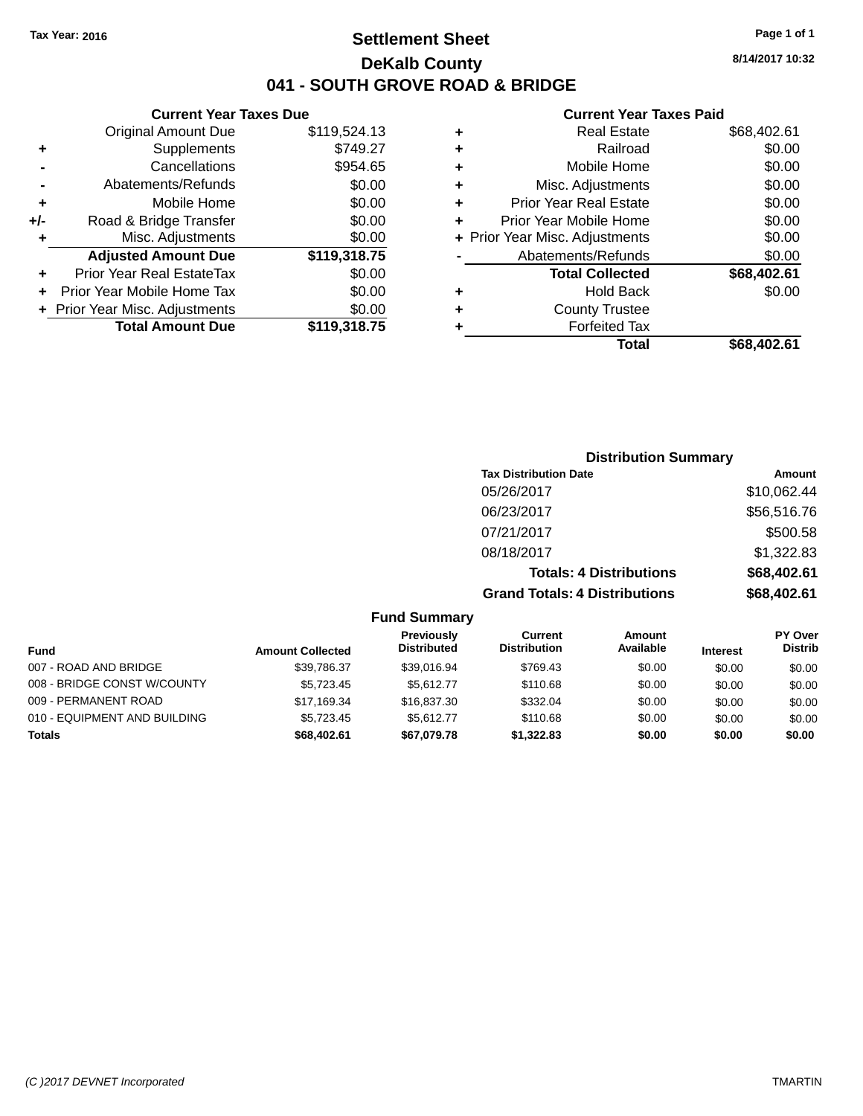# **Settlement Sheet Tax Year: 2016 Page 1 of 1 DeKalb County 041 - SOUTH GROVE ROAD & BRIDGE**

**Current Year Taxes Due**

|     | <b>Original Amount Due</b>       | \$119,524.13 |
|-----|----------------------------------|--------------|
| ٠   | Supplements                      | \$749.27     |
|     | Cancellations                    | \$954.65     |
|     | Abatements/Refunds               | \$0.00       |
| ٠   | Mobile Home                      | \$0.00       |
| +/- | Road & Bridge Transfer           | \$0.00       |
| ٠   | Misc. Adjustments                | \$0.00       |
|     | <b>Adjusted Amount Due</b>       | \$119,318.75 |
| ÷   | <b>Prior Year Real EstateTax</b> | \$0.00       |
|     | Prior Year Mobile Home Tax       | \$0.00       |
|     | + Prior Year Misc. Adjustments   | \$0.00       |
|     | <b>Total Amount Due</b>          | \$119,318.75 |

#### **Current Year Taxes Paid**

| ٠ | <b>Real Estate</b>             | \$68,402.61 |
|---|--------------------------------|-------------|
| ٠ | Railroad                       | \$0.00      |
| ٠ | Mobile Home                    | \$0.00      |
| ٠ | Misc. Adjustments              | \$0.00      |
| ٠ | <b>Prior Year Real Estate</b>  | \$0.00      |
| ٠ | Prior Year Mobile Home         | \$0.00      |
|   | + Prior Year Misc. Adjustments | \$0.00      |
|   | Abatements/Refunds             | \$0.00      |
|   | <b>Total Collected</b>         | \$68,402.61 |
| ٠ | <b>Hold Back</b>               | \$0.00      |
| ٠ | <b>County Trustee</b>          |             |
| ٠ | <b>Forfeited Tax</b>           |             |
|   | Total                          | \$68,402.61 |
|   |                                |             |

| <b>Distribution Summary</b>          |             |
|--------------------------------------|-------------|
| <b>Tax Distribution Date</b>         | Amount      |
| 05/26/2017                           | \$10,062.44 |
| 06/23/2017                           | \$56,516.76 |
| 07/21/2017                           | \$500.58    |
| 08/18/2017                           | \$1,322.83  |
| <b>Totals: 4 Distributions</b>       | \$68,402.61 |
| <b>Grand Totals: 4 Distributions</b> | \$68,402.61 |

## **Fund Summary**

|                              |                         | Previously         | Current             | Amount    |                 | <b>PY Over</b> |
|------------------------------|-------------------------|--------------------|---------------------|-----------|-----------------|----------------|
| <b>Fund</b>                  | <b>Amount Collected</b> | <b>Distributed</b> | <b>Distribution</b> | Available | <b>Interest</b> | <b>Distrib</b> |
| 007 - ROAD AND BRIDGE        | \$39.786.37             | \$39.016.94        | \$769.43            | \$0.00    | \$0.00          | \$0.00         |
| 008 - BRIDGE CONST W/COUNTY  | \$5.723.45              | \$5.612.77         | \$110.68            | \$0.00    | \$0.00          | \$0.00         |
| 009 - PERMANENT ROAD         | \$17,169.34             | \$16,837,30        | \$332.04            | \$0.00    | \$0.00          | \$0.00         |
| 010 - EQUIPMENT AND BUILDING | \$5.723.45              | \$5.612.77         | \$110.68            | \$0.00    | \$0.00          | \$0.00         |
| <b>Totals</b>                | \$68,402.61             | \$67,079.78        | \$1,322,83          | \$0.00    | \$0.00          | \$0.00         |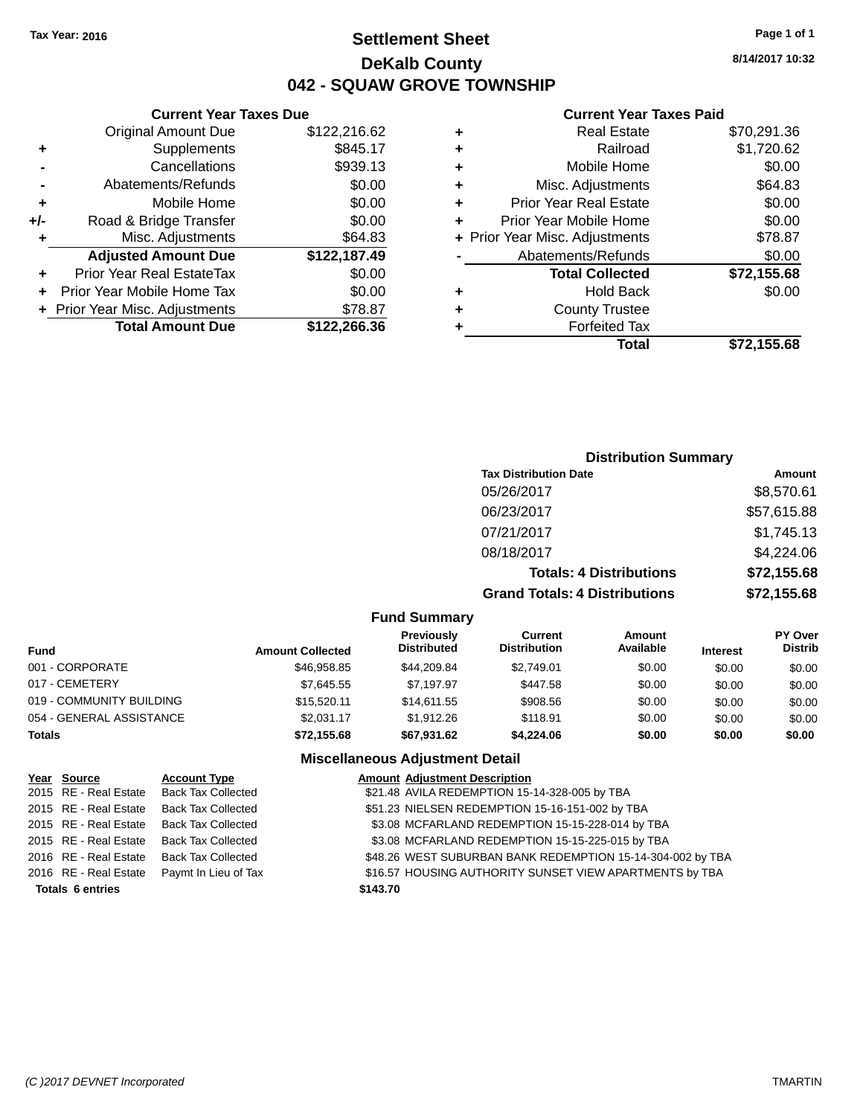# **Settlement Sheet Tax Year: 2016 Page 1 of 1 DeKalb County 042 - SQUAW GROVE TOWNSHIP**

**8/14/2017 10:32**

#### **Current Year Taxes Paid**

|       | <b>Current Year Taxes Due</b>  |              |
|-------|--------------------------------|--------------|
|       | <b>Original Amount Due</b>     | \$122,216.62 |
| ٠     | Supplements                    | \$845.17     |
|       | Cancellations                  | \$939.13     |
|       | Abatements/Refunds             | \$0.00       |
| ٠     | Mobile Home                    | \$0.00       |
| $+/-$ | Road & Bridge Transfer         | \$0.00       |
| ٠     | Misc. Adjustments              | \$64.83      |
|       | <b>Adjusted Amount Due</b>     | \$122,187.49 |
| ٠     | Prior Year Real EstateTax      | \$0.00       |
| ÷     | Prior Year Mobile Home Tax     | \$0.00       |
|       | + Prior Year Misc. Adjustments | \$78.87      |
|       | <b>Total Amount Due</b>        | \$122,266.36 |
|       |                                |              |

| \$1,720.62<br>Railroad<br>÷<br>\$0.00<br>Mobile Home<br>÷<br>\$64.83<br>Misc. Adjustments<br>٠<br>\$0.00<br><b>Prior Year Real Estate</b><br>٠<br>\$0.00<br>Prior Year Mobile Home<br>÷<br>\$78.87<br>+ Prior Year Misc. Adjustments<br>\$0.00<br>Abatements/Refunds<br>\$72,155.68<br><b>Total Collected</b><br>\$0.00<br><b>Hold Back</b><br>٠<br><b>County Trustee</b><br>٠<br><b>Forfeited Tax</b><br>٠ | ٠ | <b>Real Estate</b> | \$70,291.36 |
|-------------------------------------------------------------------------------------------------------------------------------------------------------------------------------------------------------------------------------------------------------------------------------------------------------------------------------------------------------------------------------------------------------------|---|--------------------|-------------|
|                                                                                                                                                                                                                                                                                                                                                                                                             |   |                    |             |
|                                                                                                                                                                                                                                                                                                                                                                                                             |   |                    |             |
|                                                                                                                                                                                                                                                                                                                                                                                                             |   |                    |             |
|                                                                                                                                                                                                                                                                                                                                                                                                             |   |                    |             |
|                                                                                                                                                                                                                                                                                                                                                                                                             |   |                    |             |
|                                                                                                                                                                                                                                                                                                                                                                                                             |   |                    |             |
|                                                                                                                                                                                                                                                                                                                                                                                                             |   |                    |             |
|                                                                                                                                                                                                                                                                                                                                                                                                             |   |                    |             |
|                                                                                                                                                                                                                                                                                                                                                                                                             |   |                    |             |
|                                                                                                                                                                                                                                                                                                                                                                                                             |   |                    |             |
|                                                                                                                                                                                                                                                                                                                                                                                                             |   |                    |             |
| \$72,155.68<br>Total                                                                                                                                                                                                                                                                                                                                                                                        |   |                    |             |

## **Distribution Summary Tax Distribution Date Amount** 05/26/2017 \$8,570.61 06/23/2017 \$57,615.88 07/21/2017 \$1,745.13 08/18/2017 \$4,224.06 **Totals: 4 Distributions \$72,155.68 Grand Totals: 4 Distributions \$72,155.68**

#### **Fund Summary**

| Fund                     | <b>Amount Collected</b> | Previously<br><b>Distributed</b> | Current<br><b>Distribution</b> | Amount<br>Available | <b>Interest</b> | <b>PY Over</b><br><b>Distrib</b> |
|--------------------------|-------------------------|----------------------------------|--------------------------------|---------------------|-----------------|----------------------------------|
| 001 - CORPORATE          | \$46,958.85             | \$44,209.84                      | \$2,749.01                     | \$0.00              | \$0.00          | \$0.00                           |
| 017 - CEMETERY           | \$7.645.55              | \$7.197.97                       | \$447.58                       | \$0.00              | \$0.00          | \$0.00                           |
| 019 - COMMUNITY BUILDING | \$15,520.11             | \$14,611,55                      | \$908.56                       | \$0.00              | \$0.00          | \$0.00                           |
| 054 - GENERAL ASSISTANCE | \$2.031.17              | \$1,912.26                       | \$118.91                       | \$0.00              | \$0.00          | \$0.00                           |
| <b>Totals</b>            | \$72,155.68             | \$67,931.62                      | \$4,224.06                     | \$0.00              | \$0.00          | \$0.00                           |

| Year Source             | <b>Account Type</b>                        |          | <b>Amount Adjustment Description</b>                       |
|-------------------------|--------------------------------------------|----------|------------------------------------------------------------|
|                         | 2015 RE - Real Estate Back Tax Collected   |          | \$21.48 AVILA REDEMPTION 15-14-328-005 by TBA              |
|                         | 2015 RE - Real Estate Back Tax Collected   |          | \$51.23 NIELSEN REDEMPTION 15-16-151-002 by TBA            |
|                         | 2015 RE - Real Estate Back Tax Collected   |          | \$3.08 MCFARLAND REDEMPTION 15-15-228-014 by TBA           |
|                         | 2015 RE - Real Estate Back Tax Collected   |          | \$3.08 MCFARLAND REDEMPTION 15-15-225-015 by TBA           |
|                         | 2016 RE - Real Estate Back Tax Collected   |          | \$48.26 WEST SUBURBAN BANK REDEMPTION 15-14-304-002 by TBA |
|                         | 2016 RE - Real Estate Paymt In Lieu of Tax |          | \$16.57 HOUSING AUTHORITY SUNSET VIEW APARTMENTS by TBA    |
| <b>Totals 6 entries</b> |                                            | \$143.70 |                                                            |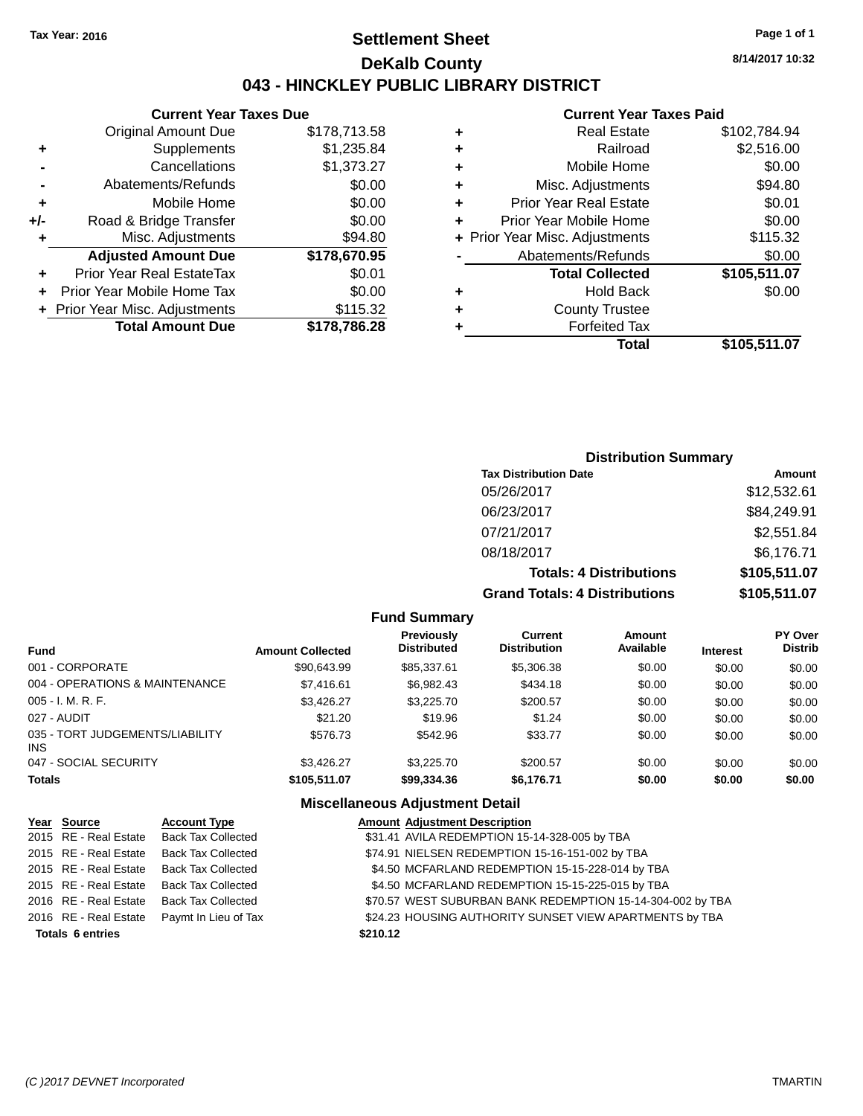# **Settlement Sheet Tax Year: 2016 Page 1 of 1 DeKalb County 043 - HINCKLEY PUBLIC LIBRARY DISTRICT**

**8/14/2017 10:32**

# **Current Year Taxes Paid**

|       | <b>Current Year Taxes Due</b>  |              |
|-------|--------------------------------|--------------|
|       | <b>Original Amount Due</b>     | \$178,713.58 |
| ٠     | Supplements                    | \$1,235.84   |
|       | Cancellations                  | \$1,373.27   |
|       | Abatements/Refunds             | \$0.00       |
| ٠     | Mobile Home                    | \$0.00       |
| $+/-$ | Road & Bridge Transfer         | \$0.00       |
| ٠     | Misc. Adjustments              | \$94.80      |
|       | <b>Adjusted Amount Due</b>     | \$178,670.95 |
| ٠     | Prior Year Real EstateTax      | \$0.01       |
|       | Prior Year Mobile Home Tax     | \$0.00       |
|       | + Prior Year Misc. Adjustments | \$115.32     |
|       | <b>Total Amount Due</b>        | \$178,786.28 |
|       |                                |              |

| ٠ | <b>Real Estate</b>             | \$102,784.94 |
|---|--------------------------------|--------------|
| ٠ | Railroad                       | \$2,516.00   |
| ٠ | Mobile Home                    | \$0.00       |
| ٠ | Misc. Adjustments              | \$94.80      |
| ٠ | <b>Prior Year Real Estate</b>  | \$0.01       |
| ÷ | Prior Year Mobile Home         | \$0.00       |
|   | + Prior Year Misc. Adjustments | \$115.32     |
|   | Abatements/Refunds             | \$0.00       |
|   | <b>Total Collected</b>         | \$105,511.07 |
| ٠ | <b>Hold Back</b>               | \$0.00       |
| ٠ | <b>County Trustee</b>          |              |
| ٠ | <b>Forfeited Tax</b>           |              |
|   | Total                          | \$105,511.07 |
|   |                                |              |

## **Distribution Summary Tax Distribution Date Amount** 05/26/2017 \$12,532.61 06/23/2017 \$84,249.91 07/21/2017 \$2,551.84 08/18/2017 \$6,176.71

 $Totals: 4 Dis$ **Grand Totals: 4 Distributions** 

| stributions | \$105,511.07 |
|-------------|--------------|
| stributions | \$105,511.07 |

### **Fund Summary**

| <b>Fund</b>                             | <b>Amount Collected</b> | <b>Previously</b><br><b>Distributed</b> | Current<br><b>Distribution</b> | <b>Amount</b><br>Available | <b>Interest</b> | <b>PY Over</b><br><b>Distrib</b> |
|-----------------------------------------|-------------------------|-----------------------------------------|--------------------------------|----------------------------|-----------------|----------------------------------|
| 001 - CORPORATE                         | \$90.643.99             | \$85,337.61                             | \$5,306.38                     | \$0.00                     | \$0.00          | \$0.00                           |
| 004 - OPERATIONS & MAINTENANCE          | \$7,416.61              | \$6.982.43                              | \$434.18                       | \$0.00                     | \$0.00          | \$0.00                           |
| $005 - I. M. R. F.$                     | \$3.426.27              | \$3,225.70                              | \$200.57                       | \$0.00                     | \$0.00          | \$0.00                           |
| 027 - AUDIT                             | \$21.20                 | \$19.96                                 | \$1.24                         | \$0.00                     | \$0.00          | \$0.00                           |
| 035 - TORT JUDGEMENTS/LIABILITY<br>INS. | \$576.73                | \$542.96                                | \$33.77                        | \$0.00                     | \$0.00          | \$0.00                           |
| 047 - SOCIAL SECURITY                   | \$3.426.27              | \$3,225,70                              | \$200.57                       | \$0.00                     | \$0.00          | \$0.00                           |
| <b>Totals</b>                           | \$105,511.07            | \$99,334.36                             | \$6,176.71                     | \$0.00                     | \$0.00          | \$0.00                           |

| Year Source             | <b>Account Type</b>                        | <b>Amount Adjustment Description</b>                       |
|-------------------------|--------------------------------------------|------------------------------------------------------------|
|                         | 2015 RE - Real Estate Back Tax Collected   | \$31.41 AVILA REDEMPTION 15-14-328-005 by TBA              |
| 2015 RE - Real Estate   | <b>Back Tax Collected</b>                  | \$74.91 NIELSEN REDEMPTION 15-16-151-002 by TBA            |
|                         | 2015 RE - Real Estate Back Tax Collected   | \$4.50 MCFARLAND REDEMPTION 15-15-228-014 by TBA           |
|                         | 2015 RE - Real Estate Back Tax Collected   | \$4.50 MCFARLAND REDEMPTION 15-15-225-015 by TBA           |
|                         | 2016 RE - Real Estate Back Tax Collected   | \$70.57 WEST SUBURBAN BANK REDEMPTION 15-14-304-002 by TBA |
|                         | 2016 RE - Real Estate Paymt In Lieu of Tax | \$24.23 HOUSING AUTHORITY SUNSET VIEW APARTMENTS by TBA    |
| <b>Totals 6 entries</b> |                                            | \$210.12                                                   |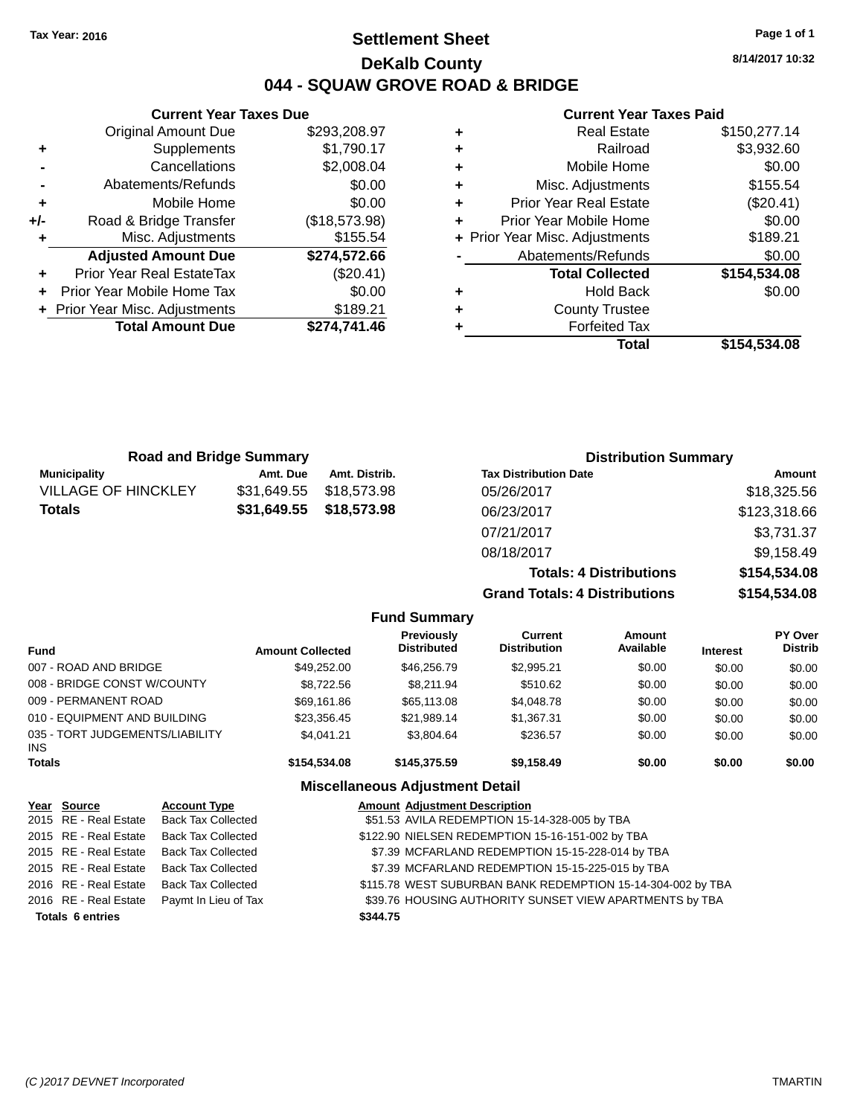# **Settlement Sheet Tax Year: 2016 Page 1 of 1 DeKalb County 044 - SQUAW GROVE ROAD & BRIDGE**

**8/14/2017 10:32**

## **Current Year Taxes Paid**

|       | <b>Current Year Taxes Due</b>  |               |  |  |  |  |  |
|-------|--------------------------------|---------------|--|--|--|--|--|
|       | <b>Original Amount Due</b>     | \$293,208.97  |  |  |  |  |  |
| ٠     | Supplements                    | \$1,790.17    |  |  |  |  |  |
|       | Cancellations                  | \$2,008.04    |  |  |  |  |  |
|       | Abatements/Refunds             | \$0.00        |  |  |  |  |  |
| ٠     | Mobile Home                    | \$0.00        |  |  |  |  |  |
| $+/-$ | Road & Bridge Transfer         | (\$18,573.98) |  |  |  |  |  |
| ٠     | Misc. Adjustments              | \$155.54      |  |  |  |  |  |
|       | <b>Adjusted Amount Due</b>     | \$274,572.66  |  |  |  |  |  |
| ٠     | Prior Year Real EstateTax      | (\$20.41)     |  |  |  |  |  |
|       | Prior Year Mobile Home Tax     | \$0.00        |  |  |  |  |  |
|       | + Prior Year Misc. Adjustments | \$189.21      |  |  |  |  |  |
|       | <b>Total Amount Due</b>        | \$274.741.46  |  |  |  |  |  |
|       |                                |               |  |  |  |  |  |

| ٠ | <b>Real Estate</b>             | \$150,277.14 |
|---|--------------------------------|--------------|
| ٠ | Railroad                       | \$3,932.60   |
| ٠ | Mobile Home                    | \$0.00       |
| ٠ | Misc. Adjustments              | \$155.54     |
| ٠ | <b>Prior Year Real Estate</b>  | (\$20.41)    |
| ÷ | Prior Year Mobile Home         | \$0.00       |
|   | + Prior Year Misc. Adjustments | \$189.21     |
|   | Abatements/Refunds             | \$0.00       |
|   | <b>Total Collected</b>         | \$154,534.08 |
| ٠ | Hold Back                      | \$0.00       |
| ٠ | <b>County Trustee</b>          |              |
| ٠ | <b>Forfeited Tax</b>           |              |
|   | Total                          | \$154,534.08 |
|   |                                |              |

| <b>Road and Bridge Summary</b> |             |               | <b>Distribution Summary</b>  |              |  |
|--------------------------------|-------------|---------------|------------------------------|--------------|--|
| Municipality                   | Amt. Due    | Amt. Distrib. | <b>Tax Distribution Date</b> | Amount       |  |
| <b>VILLAGE OF HINCKLEY</b>     | \$31.649.55 | \$18,573.98   | 05/26/2017                   | \$18,325.56  |  |
| <b>Totals</b>                  | \$31,649.55 | \$18,573.98   | 06/23/2017                   | \$123,318.66 |  |
|                                |             |               | 07/21/2017                   | \$3,731.37   |  |
|                                |             |               | 08/18/2017                   | \$9,158.49   |  |

**Totals: 4 Distributions \$154,534.08 Grand Totals: 4 Distributions \$154,534.08 Fund Summary**

| <b>Fund</b>                             | <b>Amount Collected</b> | <b>Previously</b><br><b>Distributed</b> | Current<br><b>Distribution</b> | Amount<br>Available | <b>Interest</b> | <b>PY Over</b><br><b>Distrib</b> |
|-----------------------------------------|-------------------------|-----------------------------------------|--------------------------------|---------------------|-----------------|----------------------------------|
| 007 - ROAD AND BRIDGE                   | \$49,252,00             | \$46,256,79                             | \$2,995.21                     | \$0.00              | \$0.00          | \$0.00                           |
| 008 - BRIDGE CONST W/COUNTY             | \$8.722.56              | \$8.211.94                              | \$510.62                       | \$0.00              | \$0.00          | \$0.00                           |
| 009 - PERMANENT ROAD                    | \$69,161.86             | \$65,113.08                             | \$4,048.78                     | \$0.00              | \$0.00          | \$0.00                           |
| 010 - EQUIPMENT AND BUILDING            | \$23.356.45             | \$21.989.14                             | \$1.367.31                     | \$0.00              | \$0.00          | \$0.00                           |
| 035 - TORT JUDGEMENTS/LIABILITY<br>INS. | \$4.041.21              | \$3.804.64                              | \$236.57                       | \$0.00              | \$0.00          | \$0.00                           |
| <b>Totals</b>                           | \$154,534.08            | \$145,375,59                            | \$9.158.49                     | \$0.00              | \$0.00          | \$0.00                           |
|                                         |                         | Miccollangous Adjustment Detail         |                                |                     |                 |                                  |

|                         |                                                                                                                                                                                                                                                                                                              | <b>Amount Adjustment Description</b>                        |
|-------------------------|--------------------------------------------------------------------------------------------------------------------------------------------------------------------------------------------------------------------------------------------------------------------------------------------------------------|-------------------------------------------------------------|
|                         |                                                                                                                                                                                                                                                                                                              | \$51.53 AVILA REDEMPTION 15-14-328-005 by TBA               |
|                         |                                                                                                                                                                                                                                                                                                              | \$122.90 NIELSEN REDEMPTION 15-16-151-002 by TBA            |
|                         |                                                                                                                                                                                                                                                                                                              | \$7.39 MCFARLAND REDEMPTION 15-15-228-014 by TBA            |
|                         |                                                                                                                                                                                                                                                                                                              | \$7.39 MCFARLAND REDEMPTION 15-15-225-015 by TBA            |
|                         |                                                                                                                                                                                                                                                                                                              | \$115.78 WEST SUBURBAN BANK REDEMPTION 15-14-304-002 by TBA |
|                         |                                                                                                                                                                                                                                                                                                              | \$39.76 HOUSING AUTHORITY SUNSET VIEW APARTMENTS by TBA     |
|                         | \$344.75                                                                                                                                                                                                                                                                                                     |                                                             |
| <b>Totals 6 entries</b> | Year Source<br><b>Account Type</b><br>2015 RE - Real Estate Back Tax Collected<br>2015 RE - Real Estate Back Tax Collected<br>2015 RE - Real Estate Back Tax Collected<br>2015 RE - Real Estate Back Tax Collected<br>2016 RE - Real Estate Back Tax Collected<br>2016 RE - Real Estate Paymt In Lieu of Tax |                                                             |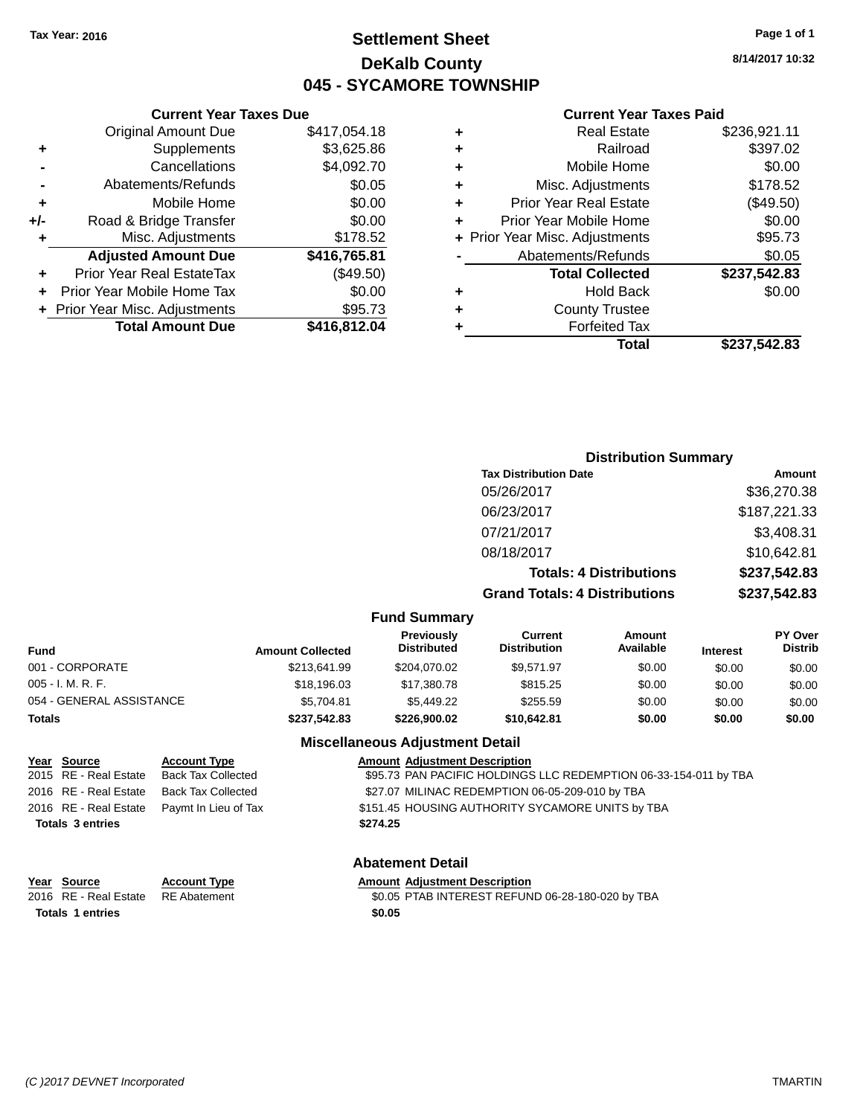# **Settlement Sheet Tax Year: 2016 Page 1 of 1 DeKalb County 045 - SYCAMORE TOWNSHIP**

**8/14/2017 10:32**

### **Current Year Taxes Paid**

|     | <b>Current Year Taxes Due</b>  |              |  |
|-----|--------------------------------|--------------|--|
|     | <b>Original Amount Due</b>     | \$417,054.18 |  |
| ٠   | Supplements                    | \$3,625.86   |  |
|     | Cancellations                  | \$4,092.70   |  |
|     | Abatements/Refunds             | \$0.05       |  |
| ٠   | Mobile Home                    | \$0.00       |  |
| +/- | Road & Bridge Transfer         | \$0.00       |  |
| ٠   | Misc. Adjustments              | \$178.52     |  |
|     | <b>Adjusted Amount Due</b>     | \$416,765.81 |  |
| ٠   | Prior Year Real EstateTax      | (\$49.50)    |  |
|     | Prior Year Mobile Home Tax     | \$0.00       |  |
|     | + Prior Year Misc. Adjustments | \$95.73      |  |
|     | <b>Total Amount Due</b>        | \$416,812.04 |  |
|     |                                |              |  |

| ٠ | <b>Real Estate</b>             | \$236,921.11 |
|---|--------------------------------|--------------|
| ٠ | Railroad                       | \$397.02     |
| ٠ | Mobile Home                    | \$0.00       |
| ٠ | Misc. Adjustments              | \$178.52     |
| ٠ | <b>Prior Year Real Estate</b>  | (\$49.50)    |
| ٠ | Prior Year Mobile Home         | \$0.00       |
|   | + Prior Year Misc. Adjustments | \$95.73      |
|   | Abatements/Refunds             | \$0.05       |
|   | <b>Total Collected</b>         | \$237,542.83 |
| ٠ | <b>Hold Back</b>               | \$0.00       |
| ٠ | <b>County Trustee</b>          |              |
| ٠ | <b>Forfeited Tax</b>           |              |
|   | Total                          | \$237,542.83 |
|   |                                |              |

|                          |                         |                                         |                                      | <b>Distribution Summary</b>    |                 |                           |
|--------------------------|-------------------------|-----------------------------------------|--------------------------------------|--------------------------------|-----------------|---------------------------|
|                          |                         |                                         | <b>Tax Distribution Date</b>         |                                |                 | Amount                    |
|                          |                         |                                         | 05/26/2017                           |                                |                 | \$36,270.38               |
|                          |                         |                                         | 06/23/2017                           |                                |                 | \$187,221.33              |
|                          |                         |                                         | 07/21/2017                           |                                |                 | \$3,408.31                |
|                          |                         |                                         | 08/18/2017                           |                                |                 | \$10,642.81               |
|                          |                         |                                         |                                      | <b>Totals: 4 Distributions</b> |                 | \$237,542.83              |
|                          |                         |                                         | <b>Grand Totals: 4 Distributions</b> |                                |                 | \$237,542.83              |
|                          |                         | <b>Fund Summary</b>                     |                                      |                                |                 |                           |
| <b>Fund</b>              | <b>Amount Collected</b> | <b>Previously</b><br><b>Distributed</b> | Current<br><b>Distribution</b>       | <b>Amount</b><br>Available     | <b>Interest</b> | PY Over<br><b>Distrib</b> |
| 001 - CORPORATE          | \$213.641.99            | \$204,070.02                            | \$9,571.97                           | \$0.00                         | \$0.00          | \$0.00                    |
| 005 - I. M. R. F.        | \$18,196.03             | \$17,380.78                             | \$815.25                             | \$0.00                         | \$0.00          | \$0.00                    |
| 054 - GENERAL ASSISTANCE | \$5,704.81              | \$5,449.22                              | \$255.59                             | \$0.00                         | \$0.00          | \$0.00                    |

#### **Totals \$237,542.83 \$226,900.02 \$10,642.81 \$0.00 \$0.00 \$0.00**

## **Miscellaneous Adjustment Detail**

| Year Source             | <b>Account Type</b>                        |          | <b>Amount Adjustment Description</b>                             |
|-------------------------|--------------------------------------------|----------|------------------------------------------------------------------|
| 2015 RE - Real Estate   | Back Tax Collected                         |          | \$95.73 PAN PACIFIC HOLDINGS LLC REDEMPTION 06-33-154-011 by TBA |
|                         | 2016 RE - Real Estate Back Tax Collected   |          | \$27.07 MILINAC REDEMPTION 06-05-209-010 by TBA                  |
|                         | 2016 RE - Real Estate Paymt In Lieu of Tax |          | \$151.45 HOUSING AUTHORITY SYCAMORE UNITS by TBA                 |
| <b>Totals 3 entries</b> |                                            | \$274.25 |                                                                  |
|                         |                                            |          |                                                                  |

**Year Source Account Type Account Type Amount Adjustment Description Totals 1 entries \$0.05**

# **Abatement Detail**

2016 RE - Real Estate RE Abatement \$0.05 PTAB INTEREST REFUND 06-28-180-020 by TBA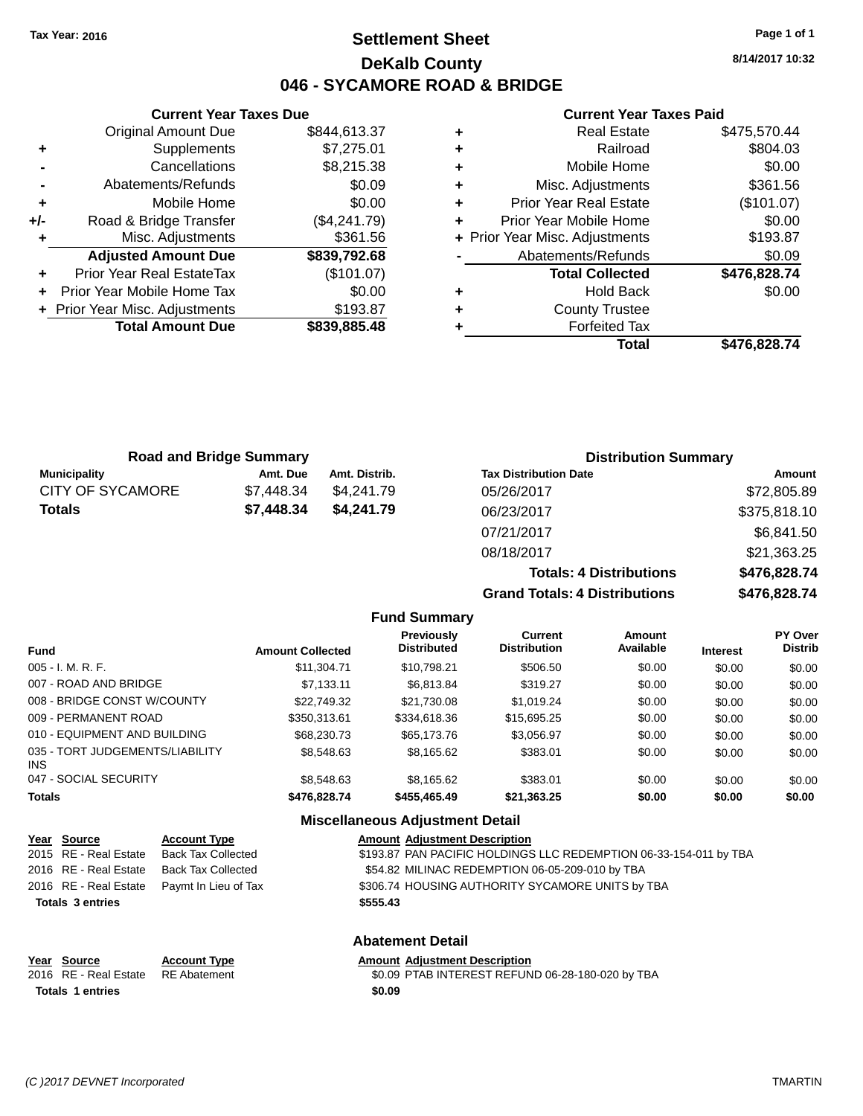# **Settlement Sheet Tax Year: 2016 Page 1 of 1 DeKalb County 046 - SYCAMORE ROAD & BRIDGE**

**8/14/2017 10:32**

| Real Estate                    | \$475,570.44 |
|--------------------------------|--------------|
| Railroad                       | \$804.03     |
| Mobile Home                    | \$0.00       |
| Misc. Adjustments              | \$361.56     |
| <b>Prior Year Real Estate</b>  | (\$101.07)   |
| Prior Year Mobile Home         | \$0.00       |
| + Prior Year Misc. Adjustments | \$193.87     |
| Abatements/Refunds             | \$0.09       |
| <b>Total Collected</b>         | \$476,828.74 |
| <b>Hold Back</b>               | \$0.00       |
| <b>County Trustee</b>          |              |
| <b>Forfeited Tax</b>           |              |
| Total                          | \$476.828.74 |
|                                |              |

|     | <b>Current Year Taxes Due</b>  |              |  |  |  |
|-----|--------------------------------|--------------|--|--|--|
|     | Original Amount Due            | \$844,613.37 |  |  |  |
| ٠   | Supplements                    | \$7,275.01   |  |  |  |
|     | Cancellations                  | \$8,215.38   |  |  |  |
|     | Abatements/Refunds             | \$0.09       |  |  |  |
| ٠   | Mobile Home                    | \$0.00       |  |  |  |
| +/- | Road & Bridge Transfer         | (\$4,241.79) |  |  |  |
|     | Misc. Adjustments              | \$361.56     |  |  |  |
|     | <b>Adjusted Amount Due</b>     | \$839,792.68 |  |  |  |
|     | Prior Year Real EstateTax      | (\$101.07)   |  |  |  |
|     | Prior Year Mobile Home Tax     | \$0.00       |  |  |  |
|     | + Prior Year Misc. Adjustments | \$193.87     |  |  |  |
|     | <b>Total Amount Due</b>        | \$839,885.48 |  |  |  |
|     |                                |              |  |  |  |

| <b>Road and Bridge Summary</b> |            |               | <b>Distribution Summary</b>          |              |  |  |
|--------------------------------|------------|---------------|--------------------------------------|--------------|--|--|
| <b>Municipality</b>            | Amt. Due   | Amt. Distrib. | <b>Tax Distribution Date</b>         | Amount       |  |  |
| CITY OF SYCAMORE               | \$7,448.34 | \$4,241.79    | 05/26/2017                           | \$72,805.89  |  |  |
| Totals                         | \$7,448.34 | \$4,241.79    | 06/23/2017                           | \$375,818.10 |  |  |
|                                |            |               | 07/21/2017                           | \$6,841.50   |  |  |
|                                |            |               | 08/18/2017                           | \$21,363.25  |  |  |
|                                |            |               | <b>Totals: 4 Distributions</b>       | \$476,828.74 |  |  |
|                                |            |               | <b>Grand Totals: 4 Distributions</b> | \$476,828.74 |  |  |

|                                         |                         | <b>Fund Summary</b>                     |                                       |                            |                 |                                  |
|-----------------------------------------|-------------------------|-----------------------------------------|---------------------------------------|----------------------------|-----------------|----------------------------------|
| <b>Fund</b>                             | <b>Amount Collected</b> | <b>Previously</b><br><b>Distributed</b> | <b>Current</b><br><b>Distribution</b> | <b>Amount</b><br>Available | <b>Interest</b> | <b>PY Over</b><br><b>Distrib</b> |
| $005 - I. M. R. F.$                     | \$11,304.71             | \$10.798.21                             | \$506.50                              | \$0.00                     | \$0.00          | \$0.00                           |
| 007 - ROAD AND BRIDGE                   | \$7.133.11              | \$6.813.84                              | \$319.27                              | \$0.00                     | \$0.00          | \$0.00                           |
| 008 - BRIDGE CONST W/COUNTY             | \$22.749.32             | \$21.730.08                             | \$1.019.24                            | \$0.00                     | \$0.00          | \$0.00                           |
| 009 - PERMANENT ROAD                    | \$350.313.61            | \$334,618,36                            | \$15,695.25                           | \$0.00                     | \$0.00          | \$0.00                           |
| 010 - EQUIPMENT AND BUILDING            | \$68,230,73             | \$65,173,76                             | \$3,056.97                            | \$0.00                     | \$0.00          | \$0.00                           |
| 035 - TORT JUDGEMENTS/LIABILITY<br>INS. | \$8,548.63              | \$8,165.62                              | \$383.01                              | \$0.00                     | \$0.00          | \$0.00                           |
| 047 - SOCIAL SECURITY                   | \$8,548,63              | \$8.165.62                              | \$383.01                              | \$0.00                     | \$0.00          | \$0.00                           |
| <b>Totals</b>                           | \$476,828.74            | \$455,465.49                            | \$21,363.25                           | \$0.00                     | \$0.00          | \$0.00                           |
|                                         |                         | Miccellenceus Adjustment Detail         |                                       |                            |                 |                                  |

|                         | <b>Miscellaneous Adjustment Detail</b> |                           |                                                                   |  |  |  |
|-------------------------|----------------------------------------|---------------------------|-------------------------------------------------------------------|--|--|--|
|                         | Year Source                            | <b>Account Type</b>       | <b>Amount Adjustment Description</b>                              |  |  |  |
|                         | 2015 RE - Real Estate                  | <b>Back Tax Collected</b> | \$193.87 PAN PACIFIC HOLDINGS LLC REDEMPTION 06-33-154-011 by TBA |  |  |  |
|                         | 2016 RE - Real Estate                  | <b>Back Tax Collected</b> | \$54.82 MILINAC REDEMPTION 06-05-209-010 by TBA                   |  |  |  |
|                         | 2016 RE - Real Estate                  | Paymt In Lieu of Tax      | \$306.74 HOUSING AUTHORITY SYCAMORE UNITS by TBA                  |  |  |  |
| <b>Totals 3 entries</b> |                                        |                           | \$555.43                                                          |  |  |  |
|                         |                                        |                           | <b>Abatement Detail</b>                                           |  |  |  |
|                         | Year Source                            | <b>Account Type</b>       | <b>Amount Adjustment Description</b>                              |  |  |  |
|                         | 2016 RE - Real Estate                  | <b>RE</b> Abatement       | \$0.09 PTAB INTEREST REFUND 06-28-180-020 by TBA                  |  |  |  |
|                         | <b>Totals 1 entries</b>                |                           | \$0.09                                                            |  |  |  |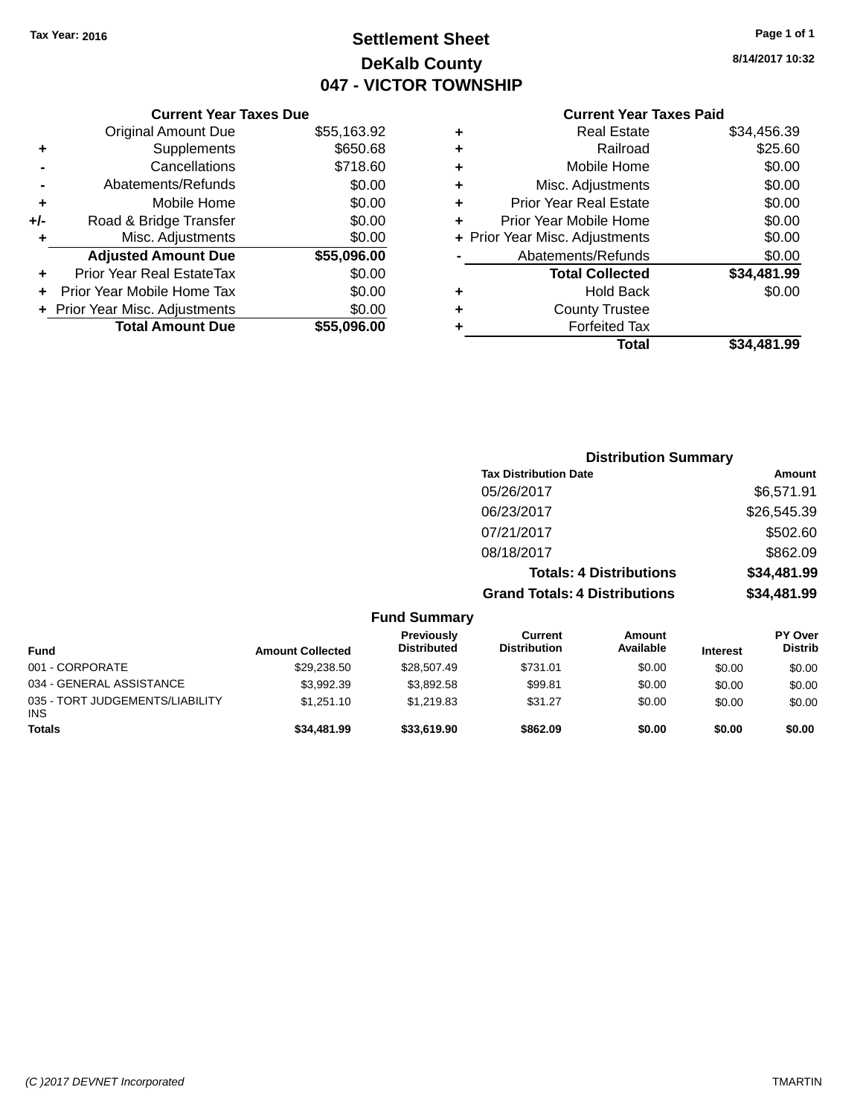# **Settlement Sheet Tax Year: 2016 Page 1 of 1 DeKalb County 047 - VICTOR TOWNSHIP**

**8/14/2017 10:32**

|     | <b>Current Year Taxes Due</b>    |             |
|-----|----------------------------------|-------------|
|     | <b>Original Amount Due</b>       | \$55,163.92 |
| ٠   | Supplements                      | \$650.68    |
|     | Cancellations                    | \$718.60    |
|     | Abatements/Refunds               | \$0.00      |
| ٠   | Mobile Home                      | \$0.00      |
| +/- | Road & Bridge Transfer           | \$0.00      |
| ٠   | Misc. Adjustments                | \$0.00      |
|     | <b>Adjusted Amount Due</b>       | \$55,096.00 |
|     | <b>Prior Year Real EstateTax</b> | \$0.00      |
| ٠   | Prior Year Mobile Home Tax       | \$0.00      |
|     | + Prior Year Misc. Adjustments   | \$0.00      |
|     | <b>Total Amount Due</b>          | \$55,096.00 |
|     |                                  |             |

| ٠ | <b>Real Estate</b>             | \$34,456.39 |
|---|--------------------------------|-------------|
| ٠ | Railroad                       | \$25.60     |
| ٠ | Mobile Home                    | \$0.00      |
| ٠ | Misc. Adjustments              | \$0.00      |
| ٠ | <b>Prior Year Real Estate</b>  | \$0.00      |
| ÷ | Prior Year Mobile Home         | \$0.00      |
|   | + Prior Year Misc. Adjustments | \$0.00      |
|   | Abatements/Refunds             | \$0.00      |
|   | <b>Total Collected</b>         | \$34,481.99 |
| ٠ | Hold Back                      | \$0.00      |
| ٠ | <b>County Trustee</b>          |             |
| ÷ | <b>Forfeited Tax</b>           |             |
|   | Total                          | \$34,481.99 |
|   |                                |             |

|                         |                                         |                                       | <b>Distribution Summary</b>    |                 |                                  |
|-------------------------|-----------------------------------------|---------------------------------------|--------------------------------|-----------------|----------------------------------|
|                         |                                         | <b>Tax Distribution Date</b>          |                                |                 | Amount                           |
|                         |                                         | 05/26/2017                            |                                |                 | \$6,571.91                       |
|                         |                                         | 06/23/2017                            |                                |                 | \$26,545.39                      |
|                         |                                         | 07/21/2017                            |                                |                 | \$502.60                         |
|                         |                                         | 08/18/2017                            |                                |                 | \$862.09                         |
|                         |                                         |                                       | <b>Totals: 4 Distributions</b> |                 | \$34,481.99                      |
|                         |                                         | <b>Grand Totals: 4 Distributions</b>  |                                |                 | \$34,481.99                      |
|                         | <b>Fund Summary</b>                     |                                       |                                |                 |                                  |
| <b>Amount Collected</b> | <b>Previously</b><br><b>Distributed</b> | <b>Current</b><br><b>Distribution</b> | Amount<br>Available            | <b>Interest</b> | <b>PY Over</b><br><b>Distrib</b> |
| \$29,238.50             | \$28.507.49                             | \$731.01                              | \$0.00                         | \$0.00          | \$0.00                           |

| <b>Fund</b>                                   | <b>Amount Collected</b> | . . <b>. .</b> .<br><b>Distributed</b> | <b>Distribution</b> | Available | <b>Interest</b> | <b>Distrib</b> |
|-----------------------------------------------|-------------------------|----------------------------------------|---------------------|-----------|-----------------|----------------|
| 001 - CORPORATE                               | \$29.238.50             | \$28,507.49                            | \$731.01            | \$0.00    | \$0.00          | \$0.00         |
| 034 - GENERAL ASSISTANCE                      | \$3.992.39              | \$3.892.58                             | \$99.81             | \$0.00    | \$0.00          | \$0.00         |
| 035 - TORT JUDGEMENTS/LIABILITY<br><b>INS</b> | \$1.251.10              | \$1.219.83                             | \$31.27             | \$0.00    | \$0.00          | \$0.00         |
| <b>Totals</b>                                 | \$34,481.99             | \$33,619.90                            | \$862.09            | \$0.00    | \$0.00          | \$0.00         |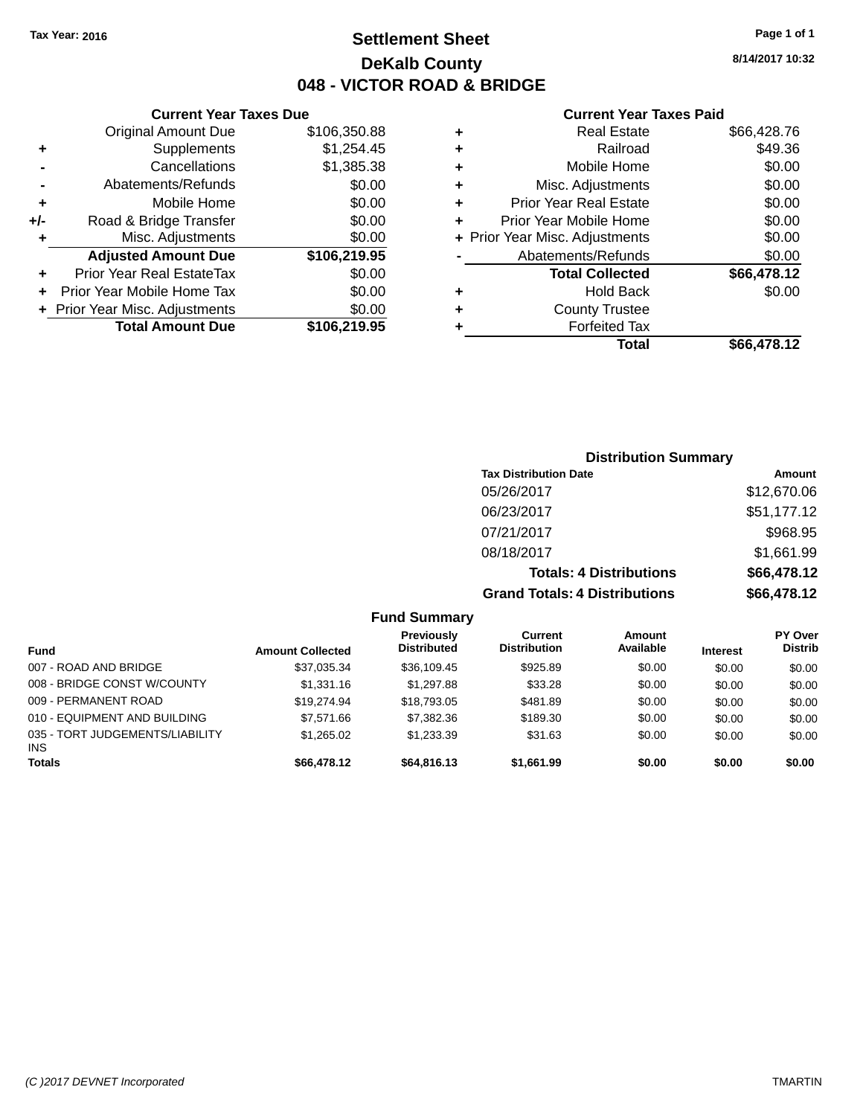# **Settlement Sheet Tax Year: 2016 Page 1 of 1 DeKalb County 048 - VICTOR ROAD & BRIDGE**

**8/14/2017 10:32**

|     | <b>Current Year Taxes Due</b>  |              |  |  |  |
|-----|--------------------------------|--------------|--|--|--|
|     | <b>Original Amount Due</b>     | \$106,350.88 |  |  |  |
| ٠   | Supplements                    | \$1,254.45   |  |  |  |
|     | Cancellations                  | \$1,385.38   |  |  |  |
| -   | Abatements/Refunds             | \$0.00       |  |  |  |
| ٠   | Mobile Home                    | \$0.00       |  |  |  |
| +/- | Road & Bridge Transfer         | \$0.00       |  |  |  |
| ٠   | Misc. Adjustments              | \$0.00       |  |  |  |
|     | <b>Adjusted Amount Due</b>     | \$106,219.95 |  |  |  |
| ٠   | Prior Year Real EstateTax      | \$0.00       |  |  |  |
|     | Prior Year Mobile Home Tax     | \$0.00       |  |  |  |
|     | + Prior Year Misc. Adjustments | \$0.00       |  |  |  |
|     | <b>Total Amount Due</b>        | \$106,219.95 |  |  |  |
|     |                                |              |  |  |  |

|   | <b>Real Estate</b>             | \$66,428.76 |
|---|--------------------------------|-------------|
| ٠ | Railroad                       | \$49.36     |
| ٠ | Mobile Home                    | \$0.00      |
| ٠ | Misc. Adjustments              | \$0.00      |
| ٠ | <b>Prior Year Real Estate</b>  | \$0.00      |
| ÷ | Prior Year Mobile Home         | \$0.00      |
|   | + Prior Year Misc. Adjustments | \$0.00      |
|   | Abatements/Refunds             | \$0.00      |
|   | <b>Total Collected</b>         | \$66,478.12 |
| ٠ | <b>Hold Back</b>               | \$0.00      |
|   | <b>County Trustee</b>          |             |
| ٠ | <b>Forfeited Tax</b>           |             |
|   | Total                          | \$66,478.12 |
|   |                                |             |

| <b>Distribution Summary</b>          |             |
|--------------------------------------|-------------|
| <b>Tax Distribution Date</b>         | Amount      |
| 05/26/2017                           | \$12,670.06 |
| 06/23/2017                           | \$51,177.12 |
| 07/21/2017                           | \$968.95    |
| 08/18/2017                           | \$1,661.99  |
| <b>Totals: 4 Distributions</b>       | \$66,478.12 |
| <b>Grand Totals: 4 Distributions</b> | \$66,478.12 |

|  | Fund Summary |  |
|--|--------------|--|
|--|--------------|--|

| <b>Fund</b>                                   | <b>Amount Collected</b> | Previously<br><b>Distributed</b> | Current<br><b>Distribution</b> | Amount<br>Available | <b>Interest</b> | <b>PY Over</b><br><b>Distrib</b> |
|-----------------------------------------------|-------------------------|----------------------------------|--------------------------------|---------------------|-----------------|----------------------------------|
| 007 - ROAD AND BRIDGE                         | \$37,035.34             | \$36,109.45                      | \$925.89                       | \$0.00              | \$0.00          | \$0.00                           |
| 008 - BRIDGE CONST W/COUNTY                   | \$1,331.16              | \$1,297.88                       | \$33.28                        | \$0.00              | \$0.00          | \$0.00                           |
| 009 - PERMANENT ROAD                          | \$19,274.94             | \$18,793,05                      | \$481.89                       | \$0.00              | \$0.00          | \$0.00                           |
| 010 - EQUIPMENT AND BUILDING                  | \$7,571.66              | \$7,382.36                       | \$189.30                       | \$0.00              | \$0.00          | \$0.00                           |
| 035 - TORT JUDGEMENTS/LIABILITY<br><b>INS</b> | \$1,265.02              | \$1.233.39                       | \$31.63                        | \$0.00              | \$0.00          | \$0.00                           |
| <b>Totals</b>                                 | \$66,478.12             | \$64,816,13                      | \$1,661.99                     | \$0.00              | \$0.00          | \$0.00                           |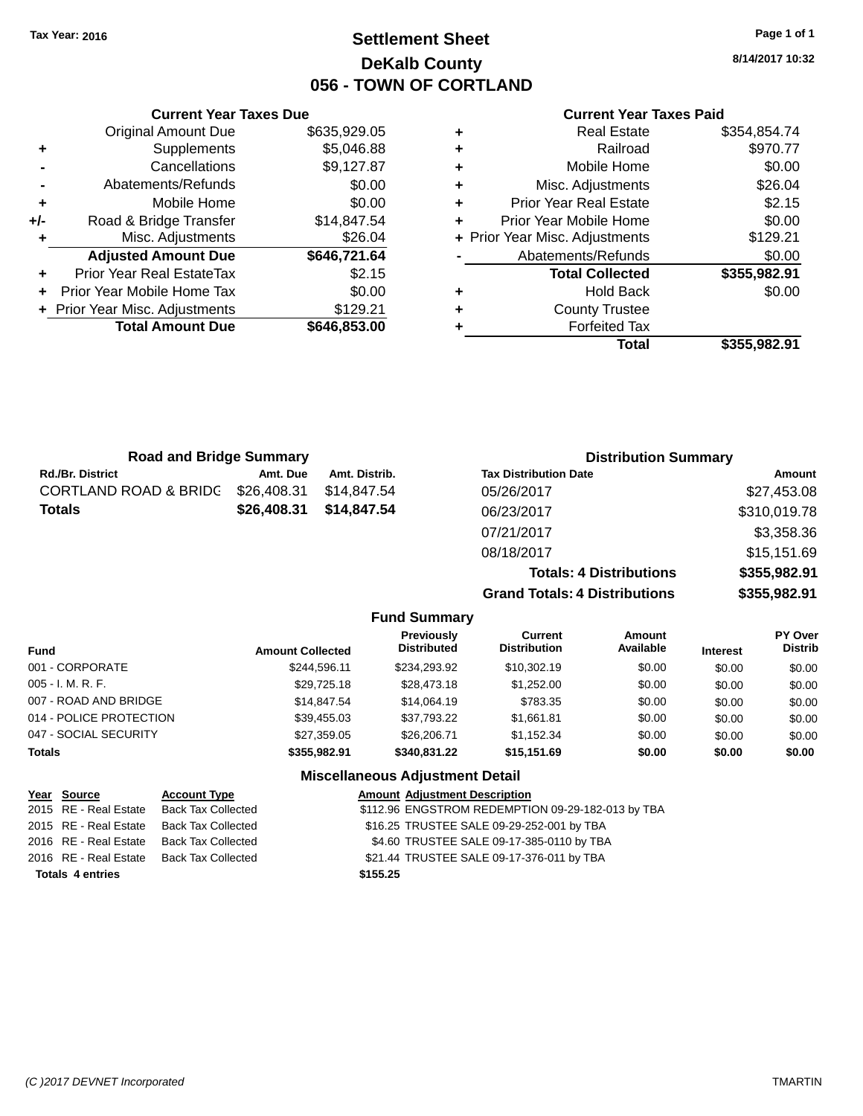# **Settlement Sheet Tax Year: 2016 Page 1 of 1 DeKalb County 056 - TOWN OF CORTLAND**

**8/14/2017 10:32**

|     | <b>Current Year Taxes Due</b>  |              |   |
|-----|--------------------------------|--------------|---|
|     | <b>Original Amount Due</b>     | \$635,929.05 | ٠ |
| ٠   | Supplements                    | \$5,046.88   | ٠ |
|     | Cancellations                  | \$9,127.87   | ٠ |
|     | Abatements/Refunds             | \$0.00       | ٠ |
|     | Mobile Home                    | \$0.00       | ٠ |
| +/- | Road & Bridge Transfer         | \$14,847.54  | ٠ |
| ٠   | Misc. Adjustments              | \$26.04      | ٠ |
|     | <b>Adjusted Amount Due</b>     | \$646,721.64 |   |
|     | Prior Year Real EstateTax      | \$2.15       |   |
|     | Prior Year Mobile Home Tax     | \$0.00       | ٠ |
|     | + Prior Year Misc. Adjustments | \$129.21     | ٠ |
|     | <b>Total Amount Due</b>        | \$646,853.00 |   |
|     |                                |              |   |

|   | <b>Real Estate</b>             | \$354,854.74 |
|---|--------------------------------|--------------|
| ÷ | Railroad                       | \$970.77     |
| ٠ | Mobile Home                    | \$0.00       |
| ٠ | Misc. Adjustments              | \$26.04      |
| ٠ | <b>Prior Year Real Estate</b>  | \$2.15       |
| ÷ | Prior Year Mobile Home         | \$0.00       |
|   | + Prior Year Misc. Adjustments | \$129.21     |
|   | Abatements/Refunds             | \$0.00       |
|   | <b>Total Collected</b>         | \$355,982.91 |
| ٠ | <b>Hold Back</b>               | \$0.00       |
| ٠ | <b>County Trustee</b>          |              |
| ٠ | <b>Forfeited Tax</b>           |              |
|   | Total                          | \$355,982.91 |
|   |                                |              |

| <b>Road and Bridge Summary</b> |             |               | <b>Distribution Summary</b>          |               |  |
|--------------------------------|-------------|---------------|--------------------------------------|---------------|--|
| <b>Rd./Br. District</b>        | Amt. Due    | Amt. Distrib. | <b>Tax Distribution Date</b>         | <b>Amount</b> |  |
| CORTLAND ROAD & BRIDC          | \$26,408.31 | \$14.847.54   | 05/26/2017                           | \$27,453.08   |  |
| Totals                         | \$26,408.31 | \$14,847,54   | 06/23/2017                           | \$310,019.78  |  |
|                                |             |               | 07/21/2017                           | \$3,358.36    |  |
|                                |             |               | 08/18/2017                           | \$15,151.69   |  |
|                                |             |               | <b>Totals: 4 Distributions</b>       | \$355,982.91  |  |
|                                |             |               | <b>Grand Totals: 4 Distributions</b> | \$355,982.91  |  |

|                         |                         | <b>Fund Summary</b>                     |                                       |                     |                 |                           |
|-------------------------|-------------------------|-----------------------------------------|---------------------------------------|---------------------|-----------------|---------------------------|
| <b>Fund</b>             | <b>Amount Collected</b> | <b>Previously</b><br><b>Distributed</b> | <b>Current</b><br><b>Distribution</b> | Amount<br>Available | <b>Interest</b> | PY Over<br><b>Distrib</b> |
| 001 - CORPORATE         | \$244.596.11            | \$234.293.92                            | \$10,302.19                           | \$0.00              | \$0.00          | \$0.00                    |
| $005 - I. M. R. F.$     | \$29,725.18             | \$28,473.18                             | \$1,252.00                            | \$0.00              | \$0.00          | \$0.00                    |
| 007 - ROAD AND BRIDGE   | \$14,847.54             | \$14,064.19                             | \$783.35                              | \$0.00              | \$0.00          | \$0.00                    |
| 014 - POLICE PROTECTION | \$39,455.03             | \$37.793.22                             | \$1,661.81                            | \$0.00              | \$0.00          | \$0.00                    |
| 047 - SOCIAL SECURITY   | \$27,359.05             | \$26,206,71                             | \$1,152.34                            | \$0.00              | \$0.00          | \$0.00                    |
| Totals                  | \$355,982.91            | \$340.831.22                            | \$15,151.69                           | \$0.00              | \$0.00          | \$0.00                    |
|                         |                         | <b>Miscellaneous Adjustment Detail</b>  |                                       |                     |                 |                           |

| Year Source             | <b>Account Type</b>                      | <b>Amount Adjustment Description</b>              |
|-------------------------|------------------------------------------|---------------------------------------------------|
|                         | 2015 RE - Real Estate Back Tax Collected | \$112.96 ENGSTROM REDEMPTION 09-29-182-013 by TBA |
| 2015 RE - Real Estate   | Back Tax Collected                       | \$16.25 TRUSTEE SALE 09-29-252-001 by TBA         |
| 2016 RE - Real Estate   | Back Tax Collected                       | \$4.60 TRUSTEE SALE 09-17-385-0110 by TBA         |
|                         | 2016 RE - Real Estate Back Tax Collected | \$21.44 TRUSTEE SALE 09-17-376-011 by TBA         |
| <b>Totals 4 entries</b> |                                          | \$155.25                                          |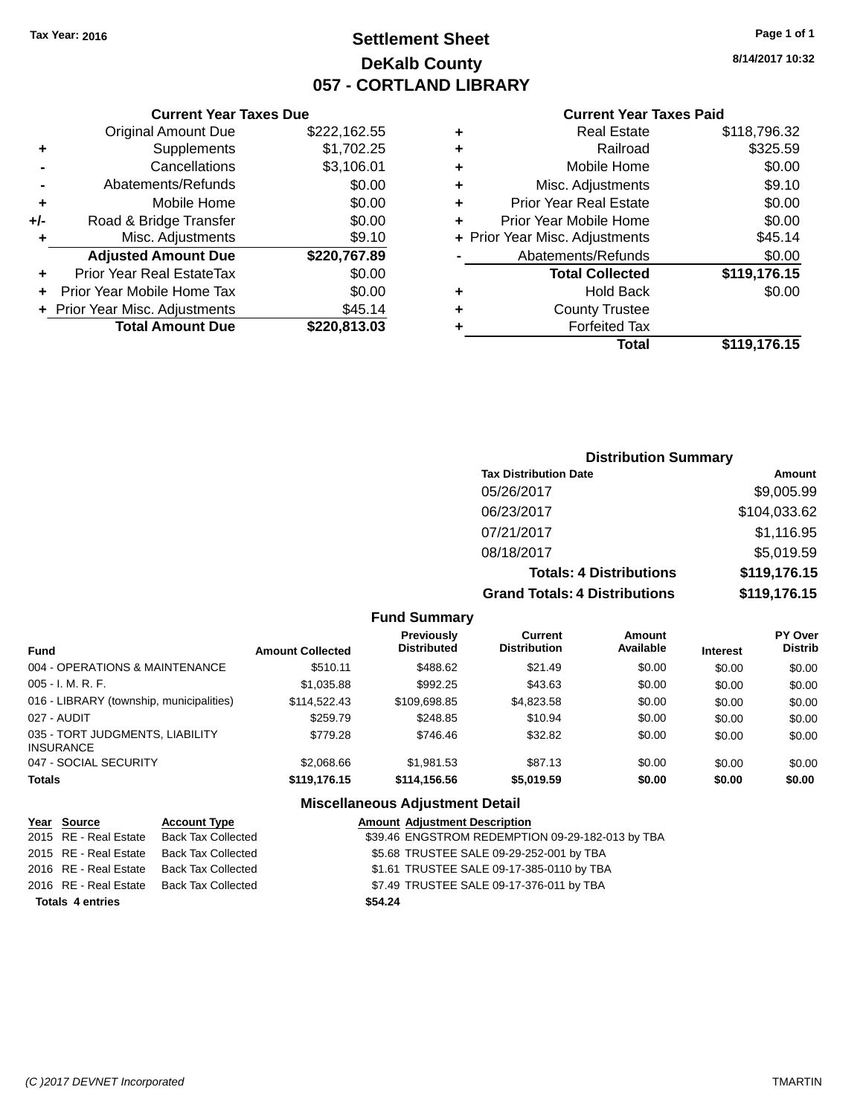# **Settlement Sheet Tax Year: 2016 Page 1 of 1 DeKalb County 057 - CORTLAND LIBRARY**

**8/14/2017 10:32**

#### **Current Year Taxes Paid**

|       | <b>Current Year Taxes Due</b>  |              |  |  |  |  |
|-------|--------------------------------|--------------|--|--|--|--|
|       | <b>Original Amount Due</b>     | \$222,162.55 |  |  |  |  |
| ٠     | \$1,702.25<br>Supplements      |              |  |  |  |  |
|       | \$3,106.01<br>Cancellations    |              |  |  |  |  |
|       | \$0.00<br>Abatements/Refunds   |              |  |  |  |  |
| ٠     | Mobile Home                    | \$0.00       |  |  |  |  |
| $+/-$ | Road & Bridge Transfer         | \$0.00       |  |  |  |  |
|       | \$9.10<br>Misc. Adjustments    |              |  |  |  |  |
|       | <b>Adjusted Amount Due</b>     | \$220,767.89 |  |  |  |  |
| ٠     | Prior Year Real EstateTax      | \$0.00       |  |  |  |  |
|       | Prior Year Mobile Home Tax     | \$0.00       |  |  |  |  |
|       | + Prior Year Misc. Adjustments | \$45.14      |  |  |  |  |
|       | <b>Total Amount Due</b>        | \$220,813.03 |  |  |  |  |
|       |                                |              |  |  |  |  |

| ٠ | <b>Real Estate</b>             | \$118,796.32 |
|---|--------------------------------|--------------|
| ٠ | Railroad                       | \$325.59     |
| ٠ | Mobile Home                    | \$0.00       |
| ٠ | Misc. Adjustments              | \$9.10       |
| ٠ | <b>Prior Year Real Estate</b>  | \$0.00       |
|   | Prior Year Mobile Home         | \$0.00       |
|   | + Prior Year Misc. Adjustments | \$45.14      |
|   | Abatements/Refunds             | \$0.00       |
|   | <b>Total Collected</b>         | \$119,176.15 |
| ٠ | <b>Hold Back</b>               | \$0.00       |
| ٠ | <b>County Trustee</b>          |              |
| ٠ | <b>Forfeited Tax</b>           |              |
|   | <b>Total</b>                   | \$119,176.15 |
|   |                                |              |

## **Distribution Summary Tax Distribution Date Amount** 05/26/2017 \$9,005.99 06/23/2017 \$104,033.62 07/21/2017 \$1,116.95 08/18/2017 \$5,019.59 **Totals: 4 Distributions \$119,176.15 Grand Totals: 4 Distributions \$119,176.15**

## **Fund Summary**

| <b>Fund</b>                                         | <b>Amount Collected</b> | <b>Previously</b><br><b>Distributed</b> | Current<br><b>Distribution</b> | Amount<br>Available | <b>Interest</b> | <b>PY Over</b><br><b>Distrib</b> |
|-----------------------------------------------------|-------------------------|-----------------------------------------|--------------------------------|---------------------|-----------------|----------------------------------|
| 004 - OPERATIONS & MAINTENANCE                      | \$510.11                | \$488.62                                | \$21.49                        | \$0.00              | \$0.00          | \$0.00                           |
| 005 - I. M. R. F.                                   | \$1,035.88              | \$992.25                                | \$43.63                        | \$0.00              | \$0.00          | \$0.00                           |
| 016 - LIBRARY (township, municipalities)            | \$114,522,43            | \$109,698.85                            | \$4,823.58                     | \$0.00              | \$0.00          | \$0.00                           |
| 027 - AUDIT                                         | \$259.79                | \$248.85                                | \$10.94                        | \$0.00              | \$0.00          | \$0.00                           |
| 035 - TORT JUDGMENTS, LIABILITY<br><b>INSURANCE</b> | \$779.28                | \$746.46                                | \$32.82                        | \$0.00              | \$0.00          | \$0.00                           |
| 047 - SOCIAL SECURITY                               | \$2,068.66              | \$1.981.53                              | \$87.13                        | \$0.00              | \$0.00          | \$0.00                           |
| <b>Totals</b>                                       | \$119,176,15            | \$114,156.56                            | \$5.019.59                     | \$0.00              | \$0.00          | \$0.00                           |

| Year Source             | <b>Account Type</b>       |         | <b>Amount Adjustment Description</b>             |
|-------------------------|---------------------------|---------|--------------------------------------------------|
| 2015 RE - Real Estate   | <b>Back Tax Collected</b> |         | \$39.46 ENGSTROM REDEMPTION 09-29-182-013 by TBA |
| 2015 RE - Real Estate   | Back Tax Collected        |         | \$5.68 TRUSTEE SALE 09-29-252-001 by TBA         |
| 2016 RE - Real Estate   | Back Tax Collected        |         | \$1.61 TRUSTEE SALE 09-17-385-0110 by TBA        |
| 2016 RE - Real Estate   | Back Tax Collected        |         | \$7.49 TRUSTEE SALE 09-17-376-011 by TBA         |
| <b>Totals 4 entries</b> |                           | \$54.24 |                                                  |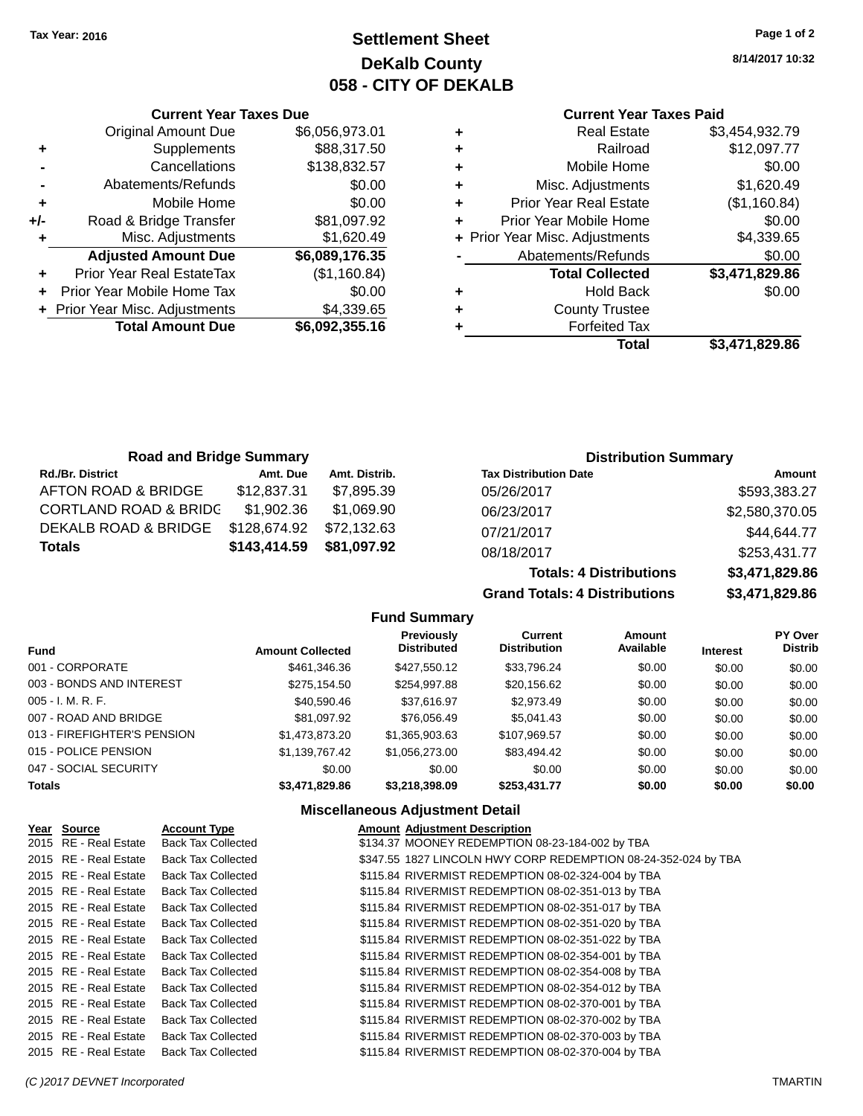# **Settlement Sheet Tax Year: 2016 Page 1 of 2 DeKalb County 058 - CITY OF DEKALB**

**8/14/2017 10:32**

## **Current Year Taxes Paid**

|   | <b>Real Estate</b>             | \$3,454,932.79 |
|---|--------------------------------|----------------|
| ٠ | Railroad                       | \$12,097.77    |
| ٠ | Mobile Home                    | \$0.00         |
| ٠ | Misc. Adjustments              | \$1,620.49     |
| ٠ | <b>Prior Year Real Estate</b>  | (\$1,160.84)   |
| ٠ | Prior Year Mobile Home         | \$0.00         |
|   | + Prior Year Misc. Adjustments | \$4,339.65     |
|   | Abatements/Refunds             | \$0.00         |
|   | <b>Total Collected</b>         | \$3,471,829.86 |
| ٠ | <b>Hold Back</b>               | \$0.00         |
| ٠ | <b>County Trustee</b>          |                |
|   | <b>Forfeited Tax</b>           |                |
|   | Total                          | \$3,471,829.86 |

**Totals: 4 Distributions \$3,471,829.86**

**Grand Totals: 4 Distributions \$3,471,829.86**

|     | <b>Current Year Taxes Due</b>                |                |  |  |  |  |
|-----|----------------------------------------------|----------------|--|--|--|--|
|     | <b>Original Amount Due</b>                   | \$6,056,973.01 |  |  |  |  |
| ٠   | Supplements                                  | \$88,317.50    |  |  |  |  |
|     | Cancellations                                | \$138,832.57   |  |  |  |  |
|     | Abatements/Refunds                           | \$0.00         |  |  |  |  |
| ٠   | Mobile Home                                  | \$0.00         |  |  |  |  |
| +/- | Road & Bridge Transfer                       | \$81,097.92    |  |  |  |  |
|     | Misc. Adjustments                            | \$1,620.49     |  |  |  |  |
|     | <b>Adjusted Amount Due</b>                   | \$6,089,176.35 |  |  |  |  |
| ÷   | Prior Year Real EstateTax                    | (\$1,160.84)   |  |  |  |  |
|     | Prior Year Mobile Home Tax                   | \$0.00         |  |  |  |  |
|     | \$4,339.65<br>+ Prior Year Misc. Adjustments |                |  |  |  |  |
|     | <b>Total Amount Due</b>                      | \$6,092,355.16 |  |  |  |  |
|     |                                              |                |  |  |  |  |

| <b>Road and Bridge Summary</b>   |              |               | <b>Distribution Summary</b>  |                |
|----------------------------------|--------------|---------------|------------------------------|----------------|
| <b>Rd./Br. District</b>          | Amt. Due     | Amt. Distrib. | <b>Tax Distribution Date</b> | Amount         |
| AFTON ROAD & BRIDGE              | \$12,837.31  | \$7.895.39    | 05/26/2017                   | \$593,383.27   |
| <b>CORTLAND ROAD &amp; BRIDC</b> | \$1,902.36   | \$1,069.90    | 06/23/2017                   | \$2,580,370.05 |
| DEKALB ROAD & BRIDGE             | \$128,674.92 | \$72,132.63   | 07/21/2017                   | \$44,644.77    |
| <b>Totals</b>                    | \$143,414.59 | \$81,097.92   | 08/18/2017                   | \$253,431.77   |

## **Fund Summary**

| Fund                        | <b>Amount Collected</b> | <b>Previously</b><br><b>Distributed</b> | <b>Current</b><br><b>Distribution</b> | Amount<br>Available | Interest | <b>PY Over</b><br><b>Distrib</b> |
|-----------------------------|-------------------------|-----------------------------------------|---------------------------------------|---------------------|----------|----------------------------------|
| 001 - CORPORATE             | \$461,346.36            | \$427,550.12                            | \$33,796.24                           | \$0.00              | \$0.00   | \$0.00                           |
| 003 - BONDS AND INTEREST    | \$275,154.50            | \$254,997.88                            | \$20,156.62                           | \$0.00              | \$0.00   | \$0.00                           |
| $005 - I. M. R. F.$         | \$40,590.46             | \$37,616.97                             | \$2,973.49                            | \$0.00              | \$0.00   | \$0.00                           |
| 007 - ROAD AND BRIDGE       | \$81,097.92             | \$76,056.49                             | \$5.041.43                            | \$0.00              | \$0.00   | \$0.00                           |
| 013 - FIREFIGHTER'S PENSION | \$1,473,873.20          | \$1,365,903.63                          | \$107,969.57                          | \$0.00              | \$0.00   | \$0.00                           |
| 015 - POLICE PENSION        | \$1,139,767.42          | \$1,056,273.00                          | \$83,494.42                           | \$0.00              | \$0.00   | \$0.00                           |
| 047 - SOCIAL SECURITY       | \$0.00                  | \$0.00                                  | \$0.00                                | \$0.00              | \$0.00   | \$0.00                           |
| <b>Totals</b>               | \$3,471,829.86          | \$3,218,398.09                          | \$253,431.77                          | \$0.00              | \$0.00   | \$0.00                           |
|                             |                         |                                         |                                       |                     |          |                                  |

| Year Source           | <b>Account Type</b>       | <b>Amount Adjustment Description</b>                           |
|-----------------------|---------------------------|----------------------------------------------------------------|
| 2015 RE - Real Estate | <b>Back Tax Collected</b> | \$134.37 MOONEY REDEMPTION 08-23-184-002 by TBA                |
| 2015 RE - Real Estate | <b>Back Tax Collected</b> | \$347.55 1827 LINCOLN HWY CORP REDEMPTION 08-24-352-024 by TBA |
| 2015 RE - Real Estate | <b>Back Tax Collected</b> | \$115.84 RIVERMIST REDEMPTION 08-02-324-004 by TBA             |
| 2015 RE - Real Estate | <b>Back Tax Collected</b> | \$115.84 RIVERMIST REDEMPTION 08-02-351-013 by TBA             |
| 2015 RE - Real Estate | <b>Back Tax Collected</b> | \$115.84 RIVERMIST REDEMPTION 08-02-351-017 by TBA             |
| 2015 RE - Real Estate | <b>Back Tax Collected</b> | \$115.84 RIVERMIST REDEMPTION 08-02-351-020 by TBA             |
| 2015 RE - Real Estate | <b>Back Tax Collected</b> | \$115.84 RIVERMIST REDEMPTION 08-02-351-022 by TBA             |
| 2015 RE - Real Estate | <b>Back Tax Collected</b> | \$115.84 RIVERMIST REDEMPTION 08-02-354-001 by TBA             |
| 2015 RE - Real Estate | <b>Back Tax Collected</b> | \$115.84 RIVERMIST REDEMPTION 08-02-354-008 by TBA             |
| 2015 RE - Real Estate | <b>Back Tax Collected</b> | \$115.84 RIVERMIST REDEMPTION 08-02-354-012 by TBA             |
| 2015 RE - Real Estate | <b>Back Tax Collected</b> | \$115.84 RIVERMIST REDEMPTION 08-02-370-001 by TBA             |
| 2015 RE - Real Estate | <b>Back Tax Collected</b> | \$115.84 RIVERMIST REDEMPTION 08-02-370-002 by TBA             |
| 2015 RE - Real Estate | <b>Back Tax Collected</b> | \$115.84 RIVERMIST REDEMPTION 08-02-370-003 by TBA             |
| 2015 RE - Real Estate | <b>Back Tax Collected</b> | \$115.84 RIVERMIST REDEMPTION 08-02-370-004 by TBA             |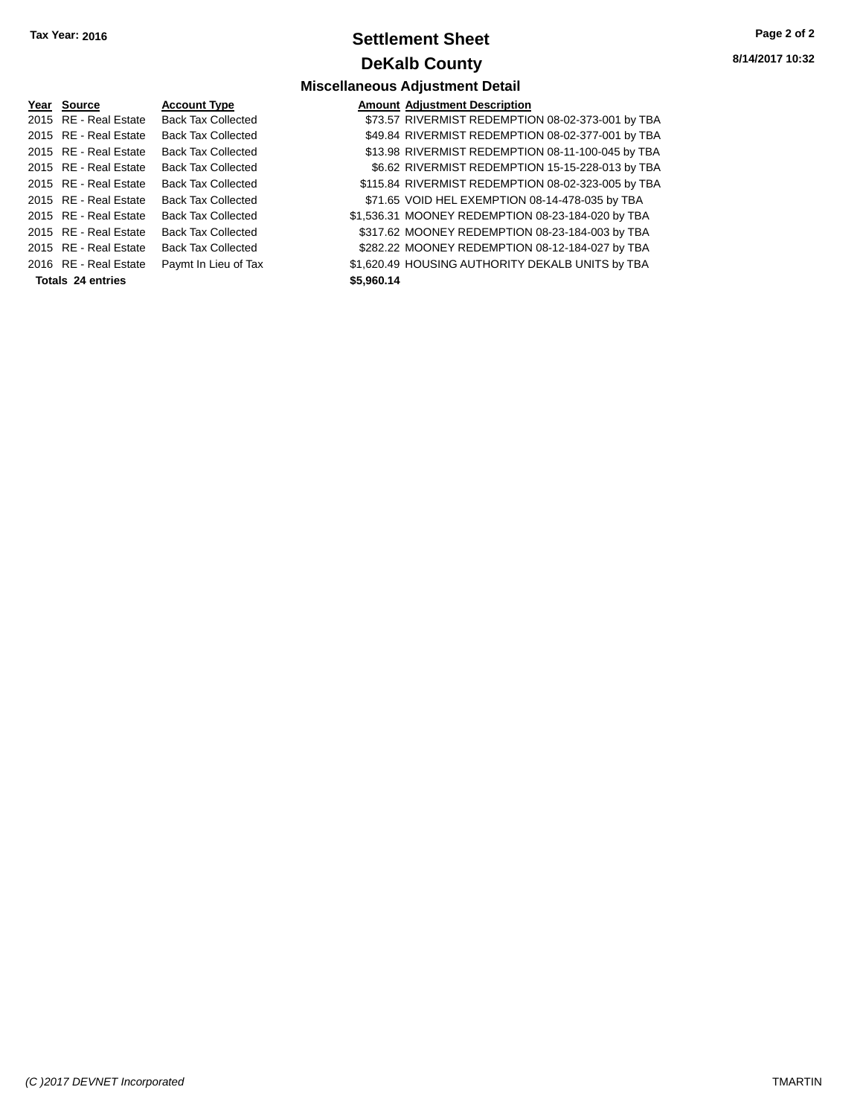# **Settlement Sheet Tax Year: 2016 Page 2 of 2 DeKalb County**

**Miscellaneous Adjustment Detail**

**8/14/2017 10:32**

#### **Year Source Account Type** 2015 RE - Real Estate Back Tax Collected 2015 RE - Real Estate Back Tax Collected 2015 RE - Real Estate Back Tax Collected 2015 RE - Real Estate Back Tax Collected 2015 RE - Real Estate Back Tax Collected 2015 RE - Real Estate Back Tax Collected 2015 RE - Real Estate Back Tax Collected 2015 RE - Real Estate Back Tax Collected 2015 RE - Real Estate Back Tax Collected 2016 RE - Real Estate Paymt In Lieu of Tax **Totals 24 entries \$5,960.14**

|            | <b>Amount Adjustment Description</b>               |
|------------|----------------------------------------------------|
|            | \$73.57 RIVERMIST REDEMPTION 08-02-373-001 by TBA  |
|            | \$49.84 RIVERMIST REDEMPTION 08-02-377-001 by TBA  |
|            | \$13.98 RIVERMIST REDEMPTION 08-11-100-045 by TBA  |
|            | \$6.62 RIVERMIST REDEMPTION 15-15-228-013 by TBA   |
|            | \$115.84 RIVERMIST REDEMPTION 08-02-323-005 by TBA |
|            | \$71.65 VOID HEL EXEMPTION 08-14-478-035 by TBA    |
|            | \$1,536.31 MOONEY REDEMPTION 08-23-184-020 by TBA  |
|            | \$317.62 MOONEY REDEMPTION 08-23-184-003 by TBA    |
|            | \$282.22 MOONEY REDEMPTION 08-12-184-027 by TBA    |
|            | \$1,620.49 HOUSING AUTHORITY DEKALB UNITS by TBA   |
| \$5,960.14 |                                                    |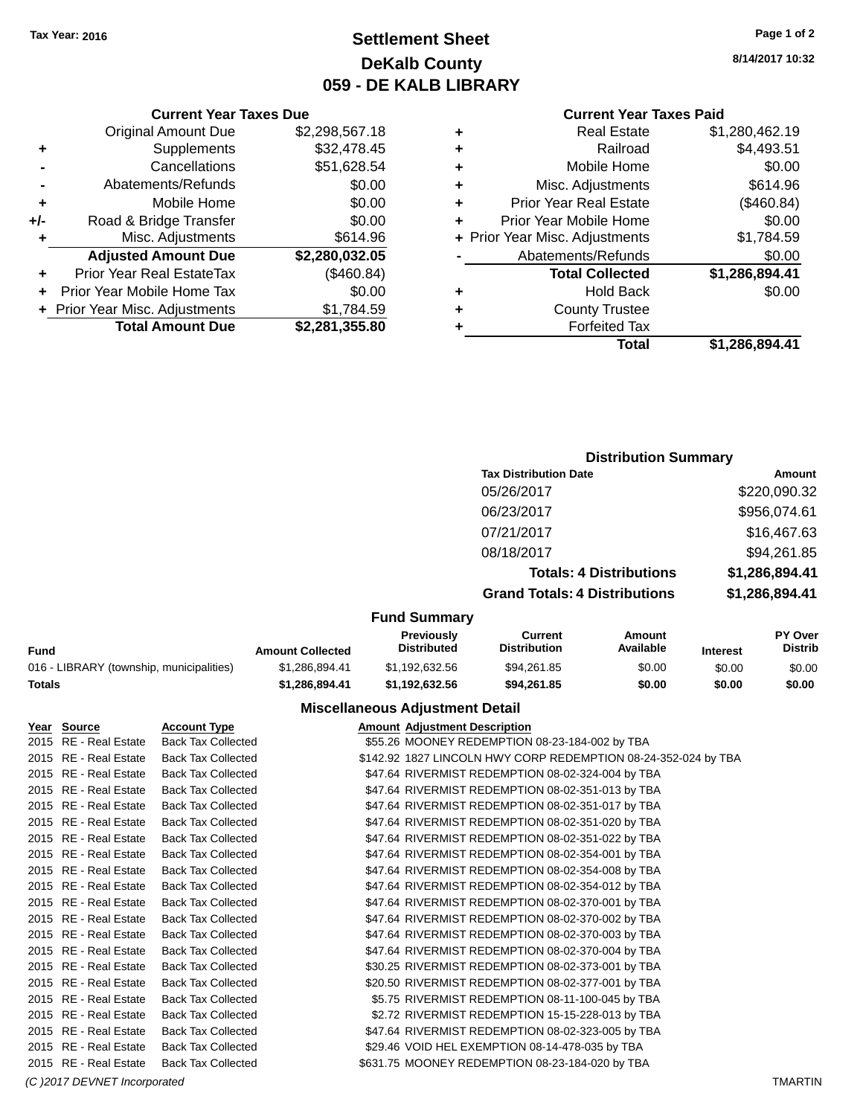# **Settlement Sheet Tax Year: 2016 Page 1 of 2 DeKalb County 059 - DE KALB LIBRARY**

**8/14/2017 10:32**

|     | <b>Current Year Taxes Due</b>  |                |
|-----|--------------------------------|----------------|
|     | <b>Original Amount Due</b>     | \$2,298,567.18 |
| ٠   | Supplements                    | \$32,478.45    |
|     | Cancellations                  | \$51,628.54    |
|     | Abatements/Refunds             | \$0.00         |
| ٠   | Mobile Home                    | \$0.00         |
| +/- | Road & Bridge Transfer         | \$0.00         |
| ٠   | Misc. Adjustments              | \$614.96       |
|     | <b>Adjusted Amount Due</b>     | \$2,280,032.05 |
|     | Prior Year Real EstateTax      | (\$460.84)     |
|     | Prior Year Mobile Home Tax     | \$0.00         |
|     | + Prior Year Misc. Adjustments | \$1,784.59     |
|     | <b>Total Amount Due</b>        | \$2,281,355.80 |
|     |                                |                |

## **Current Year Taxes Paid**

| ٠ | <b>Real Estate</b>             | \$1,280,462.19 |
|---|--------------------------------|----------------|
| ÷ | Railroad                       | \$4,493.51     |
| ٠ | Mobile Home                    | \$0.00         |
| ٠ | Misc. Adjustments              | \$614.96       |
| ٠ | <b>Prior Year Real Estate</b>  | (\$460.84)     |
| ٠ | Prior Year Mobile Home         | \$0.00         |
|   | + Prior Year Misc. Adjustments | \$1,784.59     |
|   | Abatements/Refunds             | \$0.00         |
|   | <b>Total Collected</b>         | \$1,286,894.41 |
| ٠ | <b>Hold Back</b>               | \$0.00         |
| ٠ | <b>County Trustee</b>          |                |
| ٠ | <b>Forfeited Tax</b>           |                |
|   | Total                          | \$1,286,894.41 |
|   |                                |                |

## **Distribution Summary**

| <b>Tax Distribution Date</b>         | Amount         |
|--------------------------------------|----------------|
| 05/26/2017                           | \$220,090.32   |
| 06/23/2017                           | \$956,074.61   |
| 07/21/2017                           | \$16,467.63    |
| 08/18/2017                           | \$94,261.85    |
| <b>Totals: 4 Distributions</b>       | \$1,286,894.41 |
| <b>Grand Totals: 4 Distributions</b> | \$1,286,894.41 |
|                                      |                |

## **Fund Summary**

| Fund                                     | <b>Amount Collected</b> | <b>Previously</b><br><b>Distributed</b> | Current<br><b>Distribution</b> | Amount<br>Available | <b>Interest</b> | <b>PY Over</b><br><b>Distrib</b> |
|------------------------------------------|-------------------------|-----------------------------------------|--------------------------------|---------------------|-----------------|----------------------------------|
| 016 - LIBRARY (township, municipalities) | \$1.286.894.41          | \$1.192.632.56                          | \$94.261.85                    | \$0.00              | \$0.00          | \$0.00                           |
| Totals                                   | \$1.286.894.41          | \$1.192.632.56                          | \$94.261.85                    | \$0.00              | \$0.00          | \$0.00                           |

## **Miscellaneous Adjustment Detail**

| Year Source           | <b>Account Type</b>       | <b>Amount Adjustment Description</b>                           |
|-----------------------|---------------------------|----------------------------------------------------------------|
| 2015 RE - Real Estate | <b>Back Tax Collected</b> | \$55.26 MOONEY REDEMPTION 08-23-184-002 by TBA                 |
| 2015 RE - Real Estate | <b>Back Tax Collected</b> | \$142.92 1827 LINCOLN HWY CORP REDEMPTION 08-24-352-024 by TBA |
| 2015 RE - Real Estate | <b>Back Tax Collected</b> | \$47.64 RIVERMIST REDEMPTION 08-02-324-004 by TBA              |
| 2015 RE - Real Estate | <b>Back Tax Collected</b> | \$47.64 RIVERMIST REDEMPTION 08-02-351-013 by TBA              |
| 2015 RE - Real Estate | <b>Back Tax Collected</b> | \$47.64 RIVERMIST REDEMPTION 08-02-351-017 by TBA              |
| 2015 RE - Real Estate | <b>Back Tax Collected</b> | \$47.64 RIVERMIST REDEMPTION 08-02-351-020 by TBA              |
| 2015 RE - Real Estate | <b>Back Tax Collected</b> | \$47.64 RIVERMIST REDEMPTION 08-02-351-022 by TBA              |
| 2015 RE - Real Estate | <b>Back Tax Collected</b> | \$47.64 RIVERMIST REDEMPTION 08-02-354-001 by TBA              |
| 2015 RE - Real Estate | <b>Back Tax Collected</b> | \$47.64 RIVERMIST REDEMPTION 08-02-354-008 by TBA              |
| 2015 RE - Real Estate | <b>Back Tax Collected</b> | \$47.64 RIVERMIST REDEMPTION 08-02-354-012 by TBA              |
| 2015 RE - Real Estate | <b>Back Tax Collected</b> | \$47.64 RIVERMIST REDEMPTION 08-02-370-001 by TBA              |
| 2015 RE - Real Estate | <b>Back Tax Collected</b> | \$47.64 RIVERMIST REDEMPTION 08-02-370-002 by TBA              |
| 2015 RE - Real Estate | <b>Back Tax Collected</b> | \$47.64 RIVERMIST REDEMPTION 08-02-370-003 by TBA              |
| 2015 RE - Real Estate | <b>Back Tax Collected</b> | \$47.64 RIVERMIST REDEMPTION 08-02-370-004 by TBA              |
| 2015 RE - Real Estate | <b>Back Tax Collected</b> | \$30.25 RIVERMIST REDEMPTION 08-02-373-001 by TBA              |
| 2015 RE - Real Estate | <b>Back Tax Collected</b> | \$20.50 RIVERMIST REDEMPTION 08-02-377-001 by TBA              |
| 2015 RE - Real Estate | <b>Back Tax Collected</b> | \$5.75 RIVERMIST REDEMPTION 08-11-100-045 by TBA               |
| 2015 RE - Real Estate | <b>Back Tax Collected</b> | \$2.72 RIVERMIST REDEMPTION 15-15-228-013 by TBA               |
| 2015 RE - Real Estate | <b>Back Tax Collected</b> | \$47.64 RIVERMIST REDEMPTION 08-02-323-005 by TBA              |
| 2015 RE - Real Estate | <b>Back Tax Collected</b> | \$29.46 VOID HEL EXEMPTION 08-14-478-035 by TBA                |
| 2015 RE - Real Estate | <b>Back Tax Collected</b> | \$631.75 MOONEY REDEMPTION 08-23-184-020 by TBA                |
|                       |                           |                                                                |

*(C )2017 DEVNET Incorporated* TMARTIN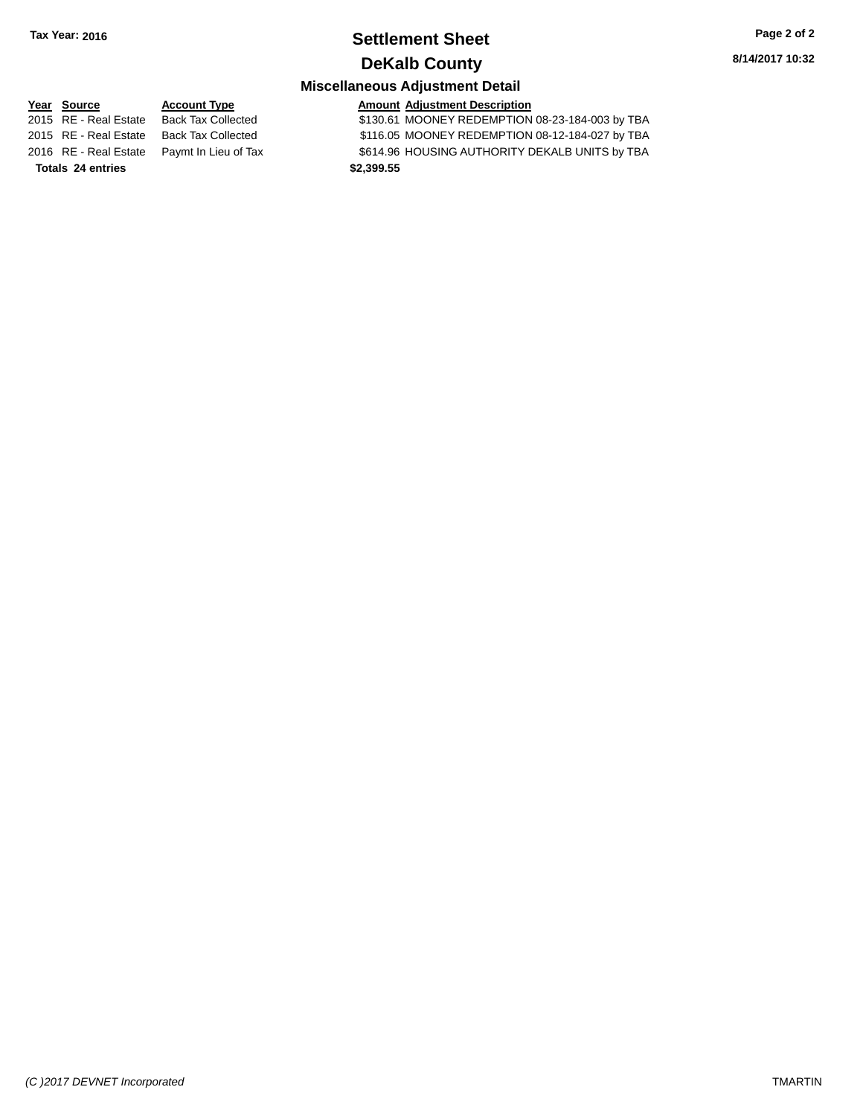## **Settlement Sheet Tax Year: 2016 Page 2 of 2 DeKalb County**

**8/14/2017 10:32**

## **Miscellaneous Adjustment Detail**

**Year** Source **Account Type Account Adjustment Description** 2015 RE - Real Estate Back Tax Collected \$130.61 MOONEY REDEMPTION 08-23-184-003 by TBA 2015 RE - Real Estate Back Tax Collected \$116.05 MOONEY REDEMPTION 08-12-184-027 by TBA 2016 RE - Real Estate Paymt In Lieu of Tax \$614.96 HOUSING AUTHORITY DEKALB UNITS by TBA **Totals 24 entries \$2,399.55**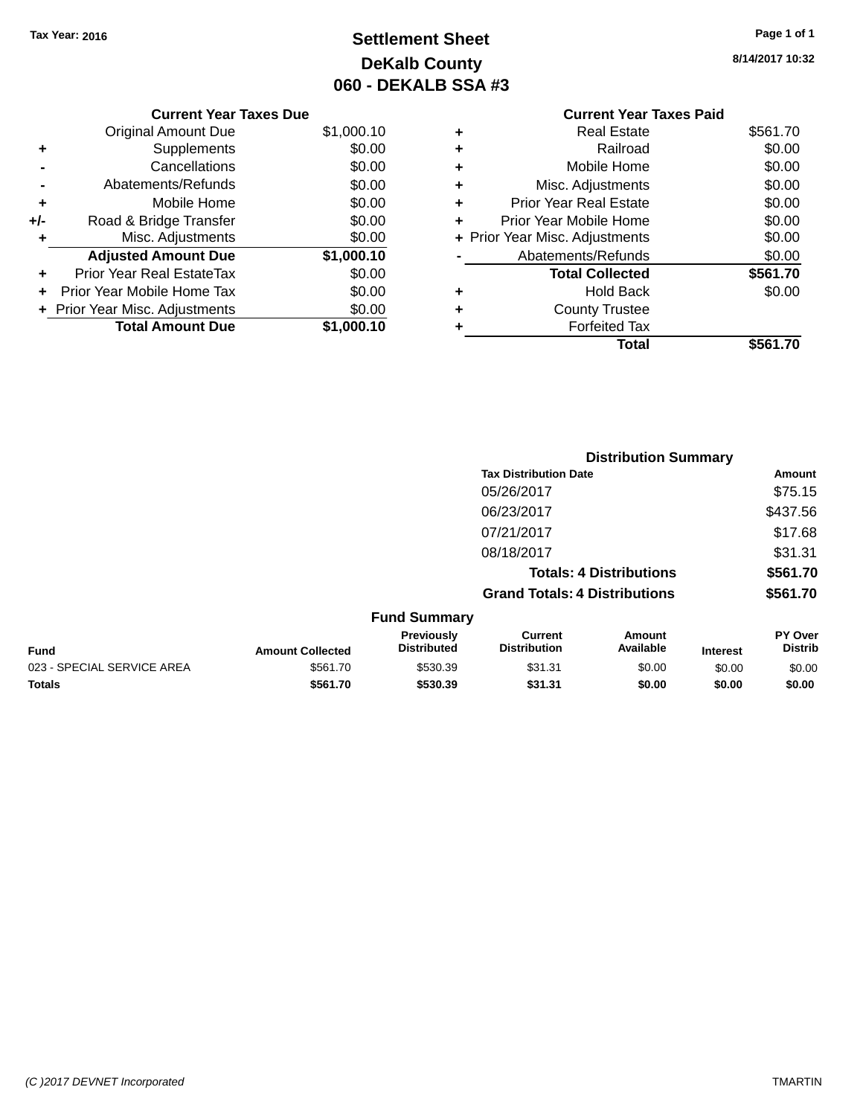# **Settlement Sheet Tax Year: 2016 Page 1 of 1 DeKalb County 060 - DEKALB SSA #3**

**8/14/2017 10:32**

|   | <b>Current Year Taxes Paid</b> |          |
|---|--------------------------------|----------|
| ٠ | <b>Real Estate</b>             | \$561.70 |
| ٠ | Railroad                       | \$0.00   |
| ٠ | Mobile Home                    | \$0.00   |
| ٠ | Misc. Adjustments              | \$0.00   |
| ٠ | <b>Prior Year Real Estate</b>  | \$0.00   |
| ٠ | Prior Year Mobile Home         | \$0.00   |
|   | + Prior Year Misc. Adjustments | \$0.00   |
|   | Abatements/Refunds             | \$0.00   |
|   | <b>Total Collected</b>         | \$561.70 |
| ٠ | Hold Back                      | \$0.00   |
|   | <b>County Trustee</b>          |          |
| ٠ | <b>Forfeited Tax</b>           |          |
|   | Total                          | \$561    |
|   |                                |          |

|     | <b>Current Year Taxes Due</b>    |            |
|-----|----------------------------------|------------|
|     | Original Amount Due              | \$1,000.10 |
| ٠   | Supplements                      | \$0.00     |
|     | Cancellations                    | \$0.00     |
|     | Abatements/Refunds               | \$0.00     |
| ٠   | Mobile Home                      | \$0.00     |
| +/- | Road & Bridge Transfer           | \$0.00     |
| ٠   | Misc. Adjustments                | \$0.00     |
|     | <b>Adjusted Amount Due</b>       | \$1,000.10 |
|     | <b>Prior Year Real EstateTax</b> | \$0.00     |
| ÷   | Prior Year Mobile Home Tax       | \$0.00     |
|     | + Prior Year Misc. Adjustments   | \$0.00     |
|     | <b>Total Amount Due</b>          | \$1.000.10 |
|     |                                  |            |

|                            |                         |                                         | <b>Distribution Summary</b>           |                                |                 |                                  |
|----------------------------|-------------------------|-----------------------------------------|---------------------------------------|--------------------------------|-----------------|----------------------------------|
|                            |                         |                                         | <b>Tax Distribution Date</b>          |                                |                 | Amount                           |
|                            |                         |                                         | 05/26/2017                            |                                |                 | \$75.15                          |
|                            |                         |                                         | 06/23/2017                            |                                |                 | \$437.56                         |
|                            |                         |                                         | 07/21/2017                            |                                |                 | \$17.68                          |
|                            |                         |                                         | 08/18/2017                            |                                |                 | \$31.31                          |
|                            |                         |                                         |                                       | <b>Totals: 4 Distributions</b> |                 | \$561.70                         |
|                            |                         |                                         | <b>Grand Totals: 4 Distributions</b>  |                                |                 | \$561.70                         |
|                            |                         | <b>Fund Summary</b>                     |                                       |                                |                 |                                  |
| <b>Fund</b>                | <b>Amount Collected</b> | <b>Previously</b><br><b>Distributed</b> | <b>Current</b><br><b>Distribution</b> | <b>Amount</b><br>Available     | <b>Interest</b> | <b>PY Over</b><br><b>Distrib</b> |
| 023 - SPECIAL SERVICE AREA | \$561.70                | \$530.39                                | \$31.31                               | \$0.00                         | \$0.00          | \$0.00                           |
| <b>Totals</b>              | \$561.70                | \$530.39                                | \$31.31                               | \$0.00                         | \$0.00          | \$0.00                           |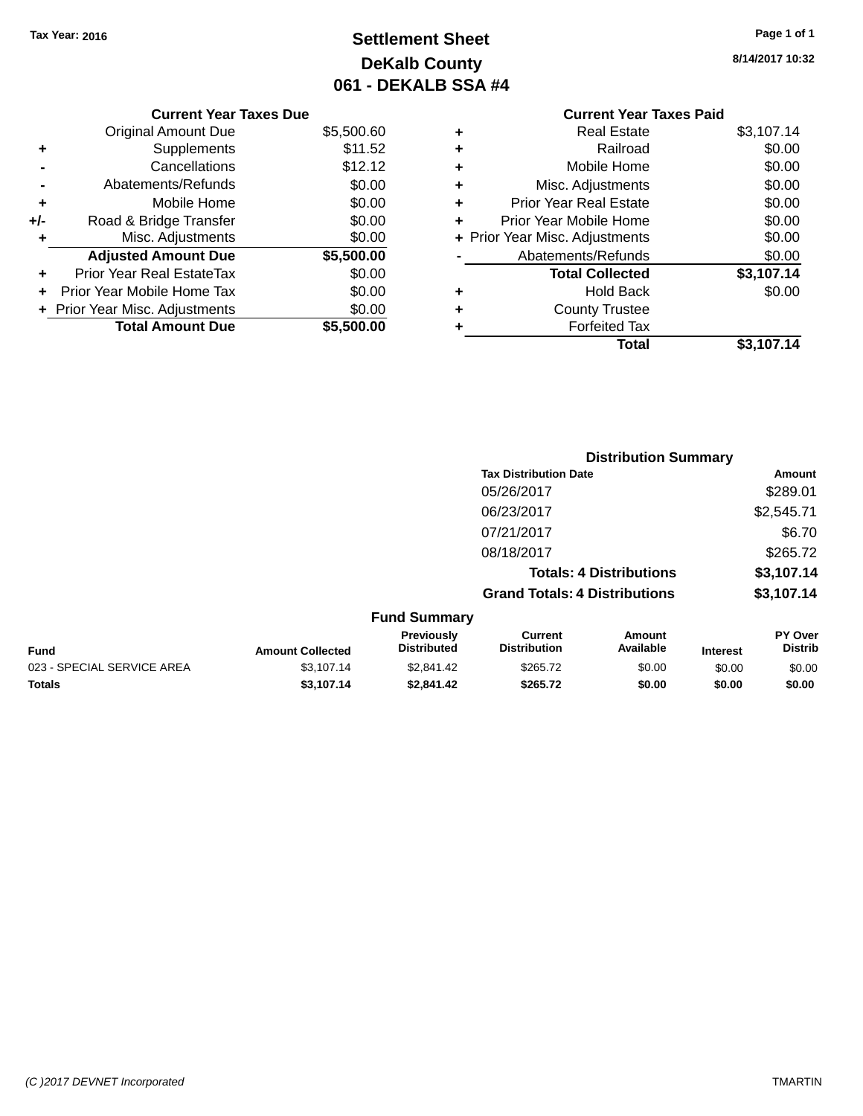**Current Year Taxes Due** Original Amount Due \$5,500.60

**Adjusted Amount Due \$5,500.00**

**Total Amount Due \$5,500.00**

**+** Supplements \$11.52 **-** Cancellations \$12.12 **-** Abatements/Refunds \$0.00 **+** Mobile Home \$0.00 **+/-** Road & Bridge Transfer \$0.00 **+** Misc. Adjustments \$0.00

**+** Prior Year Real EstateTax \$0.00 **+** Prior Year Mobile Home Tax \$0.00 **+** Prior Year Misc. Adjustments  $$0.00$ 

# **Settlement Sheet Tax Year: 2016 Page 1 of 1 DeKalb County 061 - DEKALB SSA #4**

**8/14/2017 10:32**

## **Current Year Taxes Paid +** Real Estate \$3,107.14 **+** Railroad \$0.00 **+** Mobile Home \$0.00 **+** Misc. Adjustments \$0.00 **+** Prior Year Real Estate \$0.00 **+** Prior Year Mobile Home \$0.00 **+ Prior Year Misc. Adjustments**  $$0.00$ Abatements/Refunds \$0.00 **Total Collected \$3,107.14 +** Hold Back \$0.00 **+** County Trustee **+** Forfeited Tax **Total \$3,107.14**

**Grand Totals: 4 Distributions \$3,107.14**

**Distribution Summary Tax Distribution Date Amount** 05/26/2017 \$289.01 06/23/2017 \$2,545.71 07/21/2017 \$6.70 08/18/2017 \$265.72 **Totals: 4 Distributions \$3,107.14**

**Fund Summary Fund Interest Amount Collected Distributed PY Over Distrib Amount Available Current Distribution Previously** 023 - SPECIAL SERVICE AREA  $$3,107.14$   $$2,841.42$   $$265.72$   $$0.00$   $$0.00$   $$0.00$ **Totals \$3,107.14 \$2,841.42 \$265.72 \$0.00 \$0.00 \$0.00**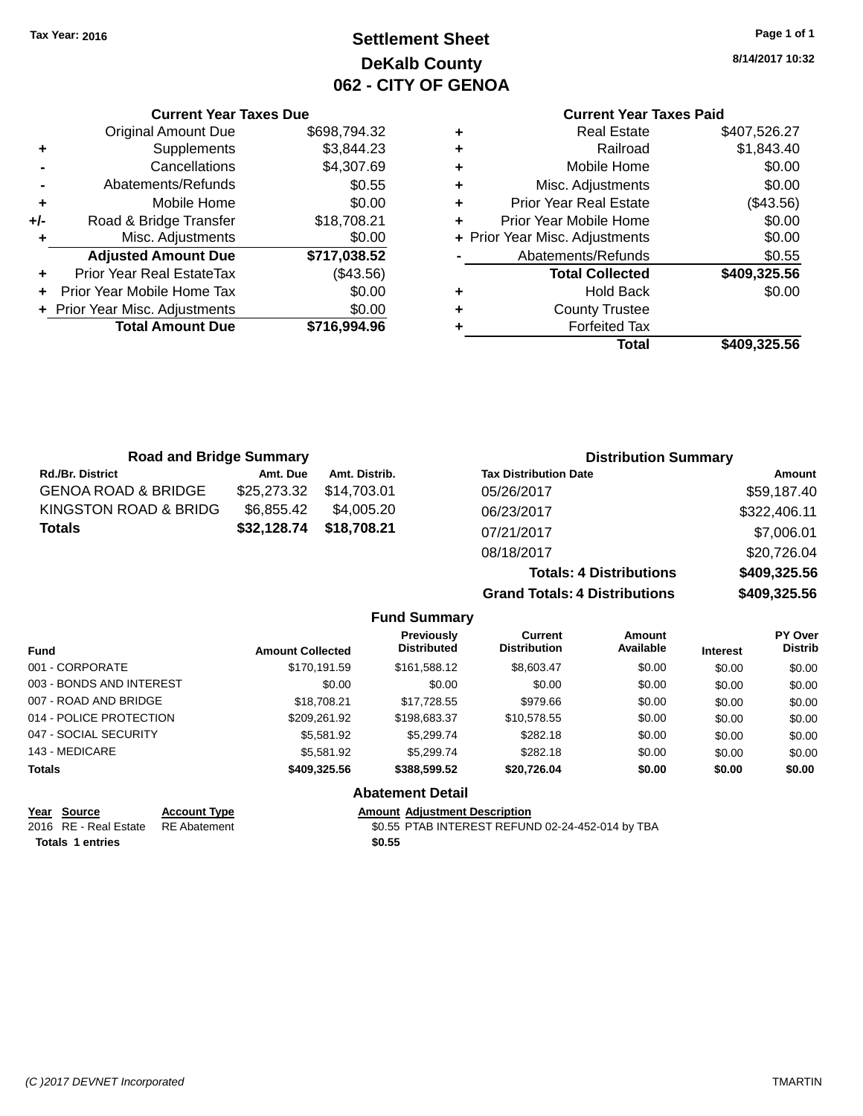**Current Year Taxes Due** Original Amount Due \$698,794.32

**Adjusted Amount Due \$717,038.52**

**Total Amount Due \$716,994.96**

**+** Supplements \$3,844.23 **-** Cancellations \$4,307.69 **-** Abatements/Refunds **\$0.55 +** Mobile Home \$0.00 **+/-** Road & Bridge Transfer \$18,708.21 **+** Misc. Adjustments \$0.00

**+** Prior Year Real EstateTax (\$43.56) **+** Prior Year Mobile Home Tax \$0.00 **+ Prior Year Misc. Adjustments**  $$0.00$ 

# **Settlement Sheet Tax Year: 2016 Page 1 of 1 DeKalb County 062 - CITY OF GENOA**

**8/14/2017 10:32**

|   | Abatements/Refunds                                       | \$0.55           |
|---|----------------------------------------------------------|------------------|
| ÷ | Prior Year Mobile Home<br>+ Prior Year Misc. Adjustments | \$0.00<br>\$0.00 |
| ÷ | <b>Prior Year Real Estate</b>                            | (\$43.56)        |
| ٠ | Misc. Adjustments                                        | \$0.00           |
| ٠ | Mobile Home                                              | \$0.00           |
| ٠ | Railroad                                                 | \$1,843.40       |
| ٠ | <b>Current Year Taxes Paid</b><br><b>Real Estate</b>     | \$407,526.27     |

| <b>Road and Bridge Summary</b> |             |               | <b>Distribution Summary</b>    |              |  |  |
|--------------------------------|-------------|---------------|--------------------------------|--------------|--|--|
| Rd./Br. District               | Amt. Due    | Amt. Distrib. | <b>Tax Distribution Date</b>   | Amount       |  |  |
| <b>GENOA ROAD &amp; BRIDGE</b> | \$25,273.32 | \$14.703.01   | 05/26/2017                     | \$59,187.40  |  |  |
| KINGSTON ROAD & BRIDG          | \$6,855.42  | \$4.005.20    | 06/23/2017                     | \$322,406.11 |  |  |
| Totals                         | \$32,128.74 | \$18,708.21   | 07/21/2017                     | \$7,006.01   |  |  |
|                                |             |               | 08/18/2017                     | \$20,726.04  |  |  |
|                                |             |               | <b>Totals: 4 Distributions</b> | \$409,325.56 |  |  |

**Grand Totals: 4 Distributions \$409,325.56**

|                          |                     |                         | <b>Fund Summary</b>                     |                                       |                     |                 |                           |
|--------------------------|---------------------|-------------------------|-----------------------------------------|---------------------------------------|---------------------|-----------------|---------------------------|
| <b>Fund</b>              |                     | <b>Amount Collected</b> | <b>Previously</b><br><b>Distributed</b> | <b>Current</b><br><b>Distribution</b> | Amount<br>Available | <b>Interest</b> | PY Over<br><b>Distrib</b> |
| 001 - CORPORATE          |                     | \$170.191.59            | \$161.588.12                            | \$8,603.47                            | \$0.00              | \$0.00          | \$0.00                    |
| 003 - BONDS AND INTEREST |                     | \$0.00                  | \$0.00                                  | \$0.00                                | \$0.00              | \$0.00          | \$0.00                    |
| 007 - ROAD AND BRIDGE    |                     | \$18,708.21             | \$17.728.55                             | \$979.66                              | \$0.00              | \$0.00          | \$0.00                    |
| 014 - POLICE PROTECTION  |                     | \$209.261.92            | \$198.683.37                            | \$10.578.55                           | \$0.00              | \$0.00          | \$0.00                    |
| 047 - SOCIAL SECURITY    |                     | \$5,581.92              | \$5.299.74                              | \$282.18                              | \$0.00              | \$0.00          | \$0.00                    |
| 143 - MEDICARE           |                     | \$5,581.92              | \$5.299.74                              | \$282.18                              | \$0.00              | \$0.00          | \$0.00                    |
| <b>Totals</b>            |                     | \$409,325.56            | \$388,599.52                            | \$20.726.04                           | \$0.00              | \$0.00          | \$0.00                    |
|                          |                     |                         | <b>Abatement Detail</b>                 |                                       |                     |                 |                           |
| Year<br><b>Source</b>    | <b>Account Type</b> |                         | <b>Amount Adiustment Description</b>    |                                       |                     |                 |                           |

| <b>IGAI JUULUG</b>    | Auuun          |
|-----------------------|----------------|
| 2016 RE - Real Estate | <b>RE Abat</b> |

**Totals 1 entries \$0.55**

2016 ement 2016 80.55 PTAB INTEREST REFUND 02-24-452-014 by TBA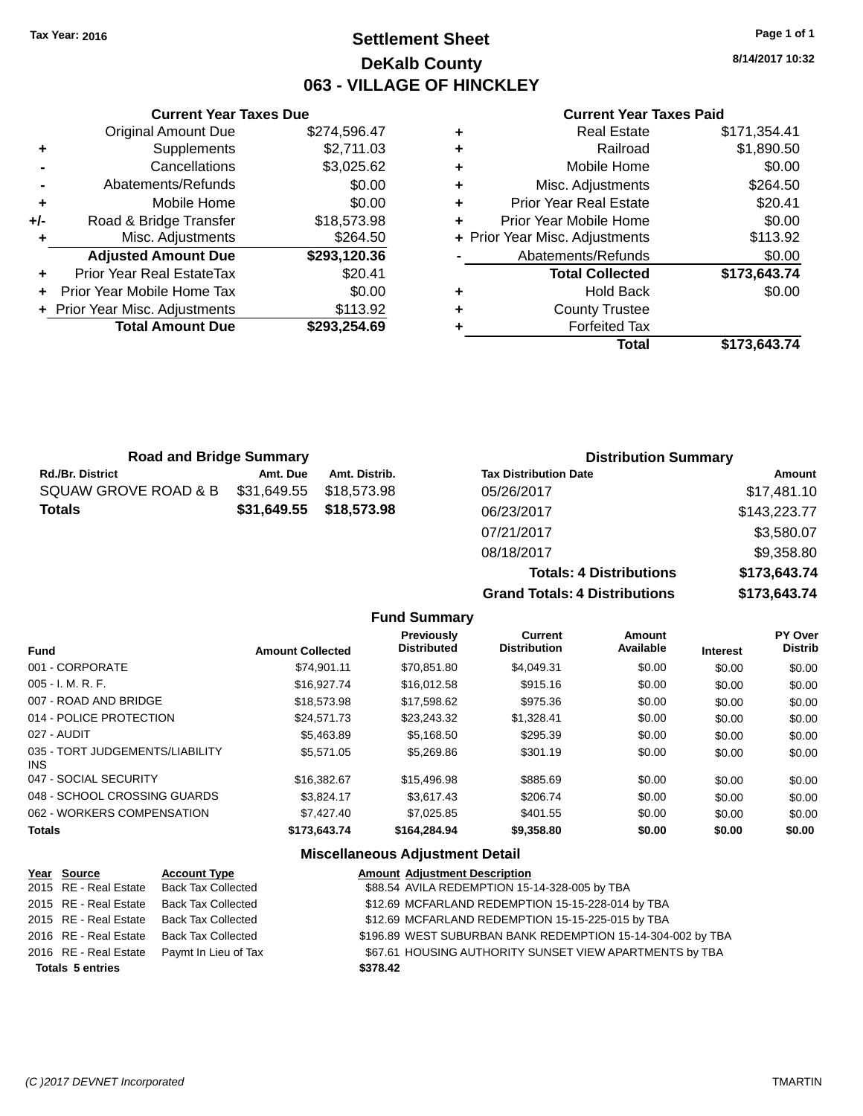# **Settlement Sheet Tax Year: 2016 Page 1 of 1 DeKalb County 063 - VILLAGE OF HINCKLEY**

**8/14/2017 10:32**

#### **Current Year Taxes Paid**

|     | <b>Current Year Taxes Due</b>  |              |
|-----|--------------------------------|--------------|
|     | <b>Original Amount Due</b>     | \$274,596.47 |
| ٠   | Supplements                    | \$2,711.03   |
|     | Cancellations                  | \$3,025.62   |
|     | Abatements/Refunds             | \$0.00       |
| ٠   | Mobile Home                    | \$0.00       |
| +/- | Road & Bridge Transfer         | \$18,573.98  |
| ٠   | Misc. Adjustments              | \$264.50     |
|     | <b>Adjusted Amount Due</b>     | \$293,120.36 |
| ٠   | Prior Year Real EstateTax      | \$20.41      |
|     | Prior Year Mobile Home Tax     | \$0.00       |
|     | + Prior Year Misc. Adjustments | \$113.92     |
|     | <b>Total Amount Due</b>        | \$293.254.69 |
|     |                                |              |

| ٠ | <b>Real Estate</b>             | \$171,354.41 |
|---|--------------------------------|--------------|
| ٠ | Railroad                       | \$1,890.50   |
| ٠ | Mobile Home                    | \$0.00       |
| ٠ | Misc. Adjustments              | \$264.50     |
| ٠ | <b>Prior Year Real Estate</b>  | \$20.41      |
| ٠ | Prior Year Mobile Home         | \$0.00       |
|   | + Prior Year Misc. Adjustments | \$113.92     |
|   | Abatements/Refunds             | \$0.00       |
|   | <b>Total Collected</b>         | \$173,643.74 |
| ٠ | <b>Hold Back</b>               | \$0.00       |
| ٠ | <b>County Trustee</b>          |              |
| ٠ | <b>Forfeited Tax</b>           |              |
|   | Total                          | \$173,643.74 |
|   |                                |              |

**Totals: 4 Distributions \$173,643.74**

**Grand Totals: 4 Distributions \$173,643.74**

| <b>Road and Bridge Summary</b> |             |                         | <b>Distribution Summary</b>  |              |  |
|--------------------------------|-------------|-------------------------|------------------------------|--------------|--|
| <b>Rd./Br. District</b>        | Amt. Due    | Amt. Distrib.           | <b>Tax Distribution Date</b> | Amount       |  |
| SQUAW GROVE ROAD & B           | \$31,649.55 | \$18.573.98             | 05/26/2017                   | \$17,481.10  |  |
| <b>Totals</b>                  |             | \$31,649.55 \$18,573.98 | 06/23/2017                   | \$143,223.77 |  |
|                                |             |                         | 07/21/2017                   | \$3,580.07   |  |
|                                |             |                         | 08/18/2017                   | \$9,358.80   |  |

**Fund Summary**

| Fund                                    | <b>Amount Collected</b> | Previously<br><b>Distributed</b> | <b>Current</b><br><b>Distribution</b> | Amount<br>Available | <b>Interest</b> | PY Over<br><b>Distrib</b> |
|-----------------------------------------|-------------------------|----------------------------------|---------------------------------------|---------------------|-----------------|---------------------------|
| 001 - CORPORATE                         | \$74.901.11             | \$70.851.80                      | \$4.049.31                            | \$0.00              | \$0.00          | \$0.00                    |
| $005 - I. M. R. F.$                     | \$16,927.74             | \$16,012.58                      | \$915.16                              | \$0.00              | \$0.00          | \$0.00                    |
| 007 - ROAD AND BRIDGE                   | \$18,573.98             | \$17.598.62                      | \$975.36                              | \$0.00              | \$0.00          | \$0.00                    |
| 014 - POLICE PROTECTION                 | \$24,571.73             | \$23.243.32                      | \$1,328.41                            | \$0.00              | \$0.00          | \$0.00                    |
| 027 - AUDIT                             | \$5,463.89              | \$5,168.50                       | \$295.39                              | \$0.00              | \$0.00          | \$0.00                    |
| 035 - TORT JUDGEMENTS/LIABILITY<br>INS. | \$5.571.05              | \$5,269.86                       | \$301.19                              | \$0.00              | \$0.00          | \$0.00                    |
| 047 - SOCIAL SECURITY                   | \$16,382.67             | \$15,496.98                      | \$885.69                              | \$0.00              | \$0.00          | \$0.00                    |
| 048 - SCHOOL CROSSING GUARDS            | \$3.824.17              | \$3.617.43                       | \$206.74                              | \$0.00              | \$0.00          | \$0.00                    |
| 062 - WORKERS COMPENSATION              | \$7,427.40              | \$7,025.85                       | \$401.55                              | \$0.00              | \$0.00          | \$0.00                    |
| <b>Totals</b>                           | \$173,643,74            | \$164,284,94                     | \$9,358.80                            | \$0.00              | \$0.00          | \$0.00                    |

| Year Source             | <b>Account Type</b>                        |          | <b>Amount Adjustment Description</b>                        |
|-------------------------|--------------------------------------------|----------|-------------------------------------------------------------|
| 2015 RE - Real Estate   | <b>Back Tax Collected</b>                  |          | \$88.54 AVILA REDEMPTION 15-14-328-005 by TBA               |
|                         | 2015 RE - Real Estate Back Tax Collected   |          | \$12.69 MCFARLAND REDEMPTION 15-15-228-014 by TBA           |
| 2015 RE - Real Estate   | <b>Back Tax Collected</b>                  |          | \$12.69 MCFARLAND REDEMPTION 15-15-225-015 by TBA           |
|                         | 2016 RE - Real Estate Back Tax Collected   |          | \$196.89 WEST SUBURBAN BANK REDEMPTION 15-14-304-002 by TBA |
|                         | 2016 RE - Real Estate Paymt In Lieu of Tax |          | \$67.61 HOUSING AUTHORITY SUNSET VIEW APARTMENTS by TBA     |
| <b>Totals 5 entries</b> |                                            | \$378.42 |                                                             |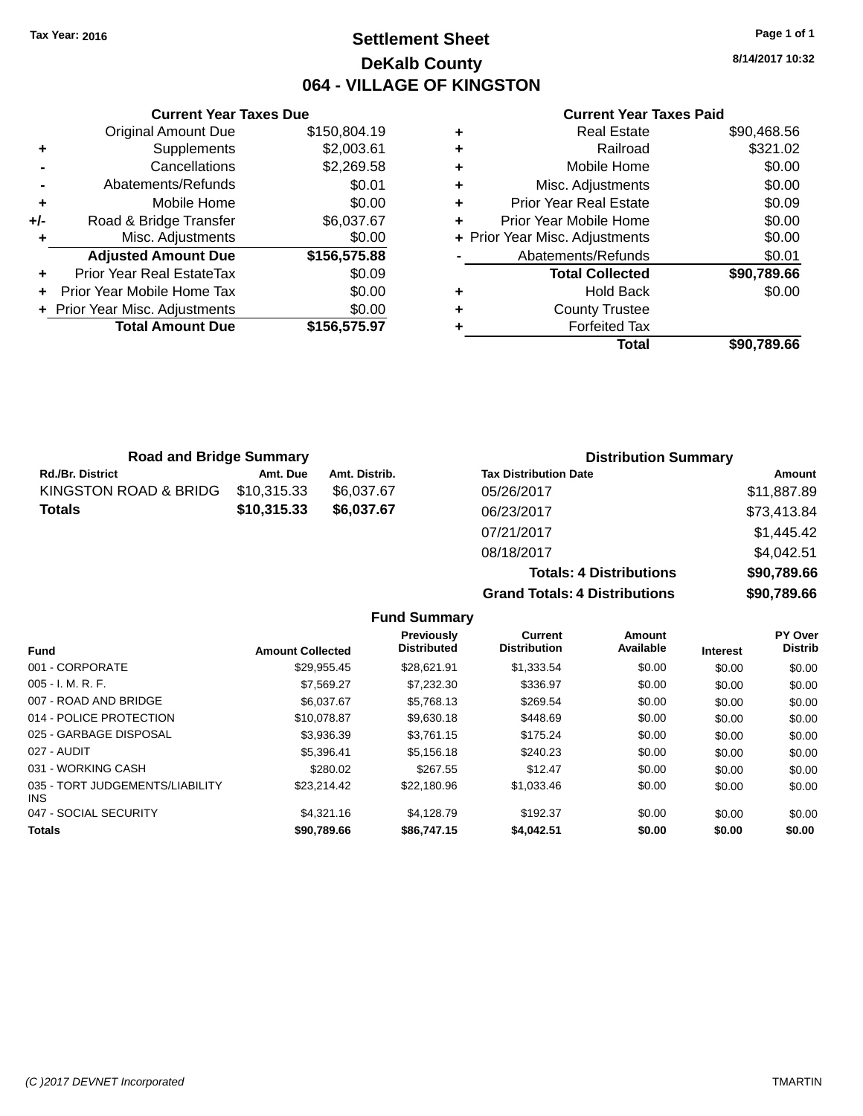# **Settlement Sheet Tax Year: 2016 Page 1 of 1 DeKalb County 064 - VILLAGE OF KINGSTON**

**8/14/2017 10:32**

|     | <b>Current Year Taxes Due</b>  |              |
|-----|--------------------------------|--------------|
|     | <b>Original Amount Due</b>     | \$150,804.19 |
| ٠   | Supplements                    | \$2,003.61   |
|     | Cancellations                  | \$2,269.58   |
|     | Abatements/Refunds             | \$0.01       |
| ÷   | Mobile Home                    | \$0.00       |
| +/- | Road & Bridge Transfer         | \$6,037.67   |
| ٠   | Misc. Adjustments              | \$0.00       |
|     | <b>Adjusted Amount Due</b>     | \$156,575.88 |
| ÷   | Prior Year Real EstateTax      | \$0.09       |
|     | Prior Year Mobile Home Tax     | \$0.00       |
|     | + Prior Year Misc. Adjustments | \$0.00       |
|     | <b>Total Amount Due</b>        | \$156,575.97 |
|     |                                |              |

|   | <b>Real Estate</b>             | \$90,468.56 |
|---|--------------------------------|-------------|
| ٠ | Railroad                       | \$321.02    |
| ٠ | Mobile Home                    | \$0.00      |
| ٠ | Misc. Adjustments              | \$0.00      |
| ٠ | <b>Prior Year Real Estate</b>  | \$0.09      |
| ٠ | Prior Year Mobile Home         | \$0.00      |
|   | + Prior Year Misc. Adjustments | \$0.00      |
|   | Abatements/Refunds             | \$0.01      |
|   | <b>Total Collected</b>         | \$90.789.66 |
| ٠ | <b>Hold Back</b>               | \$0.00      |
| ٠ | <b>County Trustee</b>          |             |
| ٠ | <b>Forfeited Tax</b>           |             |
|   | Total                          | \$90,789.66 |
|   |                                |             |

| <b>Road and Bridge Summary</b> |             |               | <b>Distribution Summary</b>  |             |  |
|--------------------------------|-------------|---------------|------------------------------|-------------|--|
| <b>Rd./Br. District</b>        | Amt. Due    | Amt. Distrib. | <b>Tax Distribution Date</b> | Amount      |  |
| KINGSTON ROAD & BRIDG          | \$10,315.33 | \$6.037.67    | 05/26/2017                   | \$11,887.89 |  |
| <b>Totals</b>                  | \$10,315.33 | \$6,037.67    | 06/23/2017                   | \$73,413.84 |  |
|                                |             |               | 07/21/2017                   | \$1,445.42  |  |

| <b>Grand Totals: 4 Distributions</b> | \$90,789.66 |
|--------------------------------------|-------------|
| <b>Totals: 4 Distributions</b>       | \$90,789.66 |
| 08/18/2017                           | \$4,042.51  |
| 07/21/2017                           | \$1,445.42  |
| 06/23/2017                           | \$73,413.84 |
| 05/26/2017                           | \$11,887.89 |
| Tax Distribution Date                | Amount      |

|                                               |                         | <b>Fund Summary</b>              |                                       |                     |                 |                                  |
|-----------------------------------------------|-------------------------|----------------------------------|---------------------------------------|---------------------|-----------------|----------------------------------|
| <b>Fund</b>                                   | <b>Amount Collected</b> | Previously<br><b>Distributed</b> | <b>Current</b><br><b>Distribution</b> | Amount<br>Available | <b>Interest</b> | <b>PY Over</b><br><b>Distrib</b> |
| 001 - CORPORATE                               | \$29,955.45             | \$28,621.91                      | \$1,333.54                            | \$0.00              | \$0.00          | \$0.00                           |
| $005 - I. M. R. F.$                           | \$7,569.27              | \$7,232.30                       | \$336.97                              | \$0.00              | \$0.00          | \$0.00                           |
| 007 - ROAD AND BRIDGE                         | \$6,037.67              | \$5,768.13                       | \$269.54                              | \$0.00              | \$0.00          | \$0.00                           |
| 014 - POLICE PROTECTION                       | \$10,078.87             | \$9,630.18                       | \$448.69                              | \$0.00              | \$0.00          | \$0.00                           |
| 025 - GARBAGE DISPOSAL                        | \$3.936.39              | \$3.761.15                       | \$175.24                              | \$0.00              | \$0.00          | \$0.00                           |
| 027 - AUDIT                                   | \$5.396.41              | \$5.156.18                       | \$240.23                              | \$0.00              | \$0.00          | \$0.00                           |
| 031 - WORKING CASH                            | \$280.02                | \$267.55                         | \$12.47                               | \$0.00              | \$0.00          | \$0.00                           |
| 035 - TORT JUDGEMENTS/LIABILITY<br><b>INS</b> | \$23.214.42             | \$22,180.96                      | \$1,033.46                            | \$0.00              | \$0.00          | \$0.00                           |
| 047 - SOCIAL SECURITY                         | \$4,321.16              | \$4.128.79                       | \$192.37                              | \$0.00              | \$0.00          | \$0.00                           |
| <b>Totals</b>                                 | \$90,789.66             | \$86,747.15                      | \$4,042.51                            | \$0.00              | \$0.00          | \$0.00                           |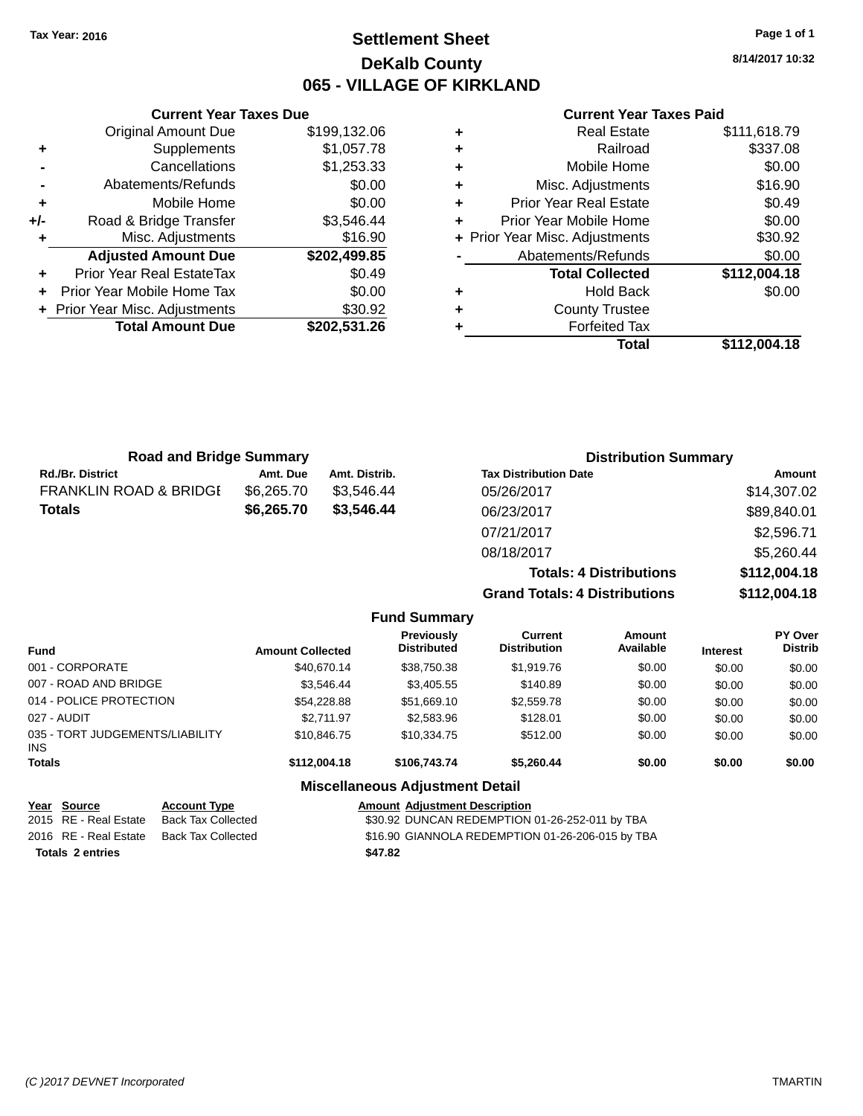# **Settlement Sheet Tax Year: 2016 Page 1 of 1 DeKalb County 065 - VILLAGE OF KIRKLAND**

**8/14/2017 10:32**

### **Current Year Taxes Paid**

|       | <b>Current Year Taxes Due</b> |              |
|-------|-------------------------------|--------------|
|       | <b>Original Amount Due</b>    | \$199,132.06 |
| ٠     | Supplements                   | \$1,057.78   |
|       | Cancellations                 | \$1,253.33   |
|       | Abatements/Refunds            | \$0.00       |
| ٠     | Mobile Home                   | \$0.00       |
| $+/-$ | Road & Bridge Transfer        | \$3,546.44   |
|       | Misc. Adjustments             | \$16.90      |
|       | <b>Adjusted Amount Due</b>    | \$202,499.85 |
| ٠     | Prior Year Real EstateTax     | \$0.49       |
|       | Prior Year Mobile Home Tax    | \$0.00       |
|       | Prior Year Misc. Adjustments  | \$30.92      |
|       | <b>Total Amount Due</b>       | \$202,531.26 |
|       |                               |              |

| ٠ | <b>Real Estate</b>             | \$111,618.79 |
|---|--------------------------------|--------------|
| ٠ | Railroad                       | \$337.08     |
| ٠ | Mobile Home                    | \$0.00       |
| ٠ | Misc. Adjustments              | \$16.90      |
| ٠ | <b>Prior Year Real Estate</b>  | \$0.49       |
| ٠ | Prior Year Mobile Home         | \$0.00       |
|   | + Prior Year Misc. Adjustments | \$30.92      |
|   | Abatements/Refunds             | \$0.00       |
|   | <b>Total Collected</b>         | \$112,004.18 |
| ٠ | <b>Hold Back</b>               | \$0.00       |
| ٠ | <b>County Trustee</b>          |              |
| ٠ | <b>Forfeited Tax</b>           |              |
|   | Total                          | \$112,004.18 |
|   |                                |              |

| <b>Road and Bridge Summary</b>    |            |               | <b>Distribution Summary</b>    |              |
|-----------------------------------|------------|---------------|--------------------------------|--------------|
| <b>Rd./Br. District</b>           | Amt. Due   | Amt. Distrib. | <b>Tax Distribution Date</b>   | Amount       |
| <b>FRANKLIN ROAD &amp; BRIDGI</b> | \$6,265.70 | \$3.546.44    | 05/26/2017                     | \$14,307.02  |
| <b>Totals</b>                     | \$6,265.70 | \$3,546.44    | 06/23/2017                     | \$89,840.01  |
|                                   |            |               | 07/21/2017                     | \$2,596.71   |
|                                   |            |               | 08/18/2017                     | \$5,260.44   |
|                                   |            |               | <b>Totals: 4 Distributions</b> | \$112,004.18 |

**Grand Totals: 4 Distributions \$112,004.18**

|                                         |                         | <b>Fund Summary</b>                     |                                       |                     |                 |                           |
|-----------------------------------------|-------------------------|-----------------------------------------|---------------------------------------|---------------------|-----------------|---------------------------|
| <b>Fund</b>                             | <b>Amount Collected</b> | <b>Previously</b><br><b>Distributed</b> | <b>Current</b><br><b>Distribution</b> | Amount<br>Available | <b>Interest</b> | PY Over<br><b>Distrib</b> |
| 001 - CORPORATE                         | \$40,670.14             | \$38,750.38                             | \$1,919.76                            | \$0.00              | \$0.00          | \$0.00                    |
| 007 - ROAD AND BRIDGE                   | \$3.546.44              | \$3,405.55                              | \$140.89                              | \$0.00              | \$0.00          | \$0.00                    |
| 014 - POLICE PROTECTION                 | \$54,228.88             | \$51,669.10                             | \$2,559.78                            | \$0.00              | \$0.00          | \$0.00                    |
| 027 - AUDIT                             | \$2.711.97              | \$2,583.96                              | \$128.01                              | \$0.00              | \$0.00          | \$0.00                    |
| 035 - TORT JUDGEMENTS/LIABILITY<br>INS. | \$10,846.75             | \$10.334.75                             | \$512.00                              | \$0.00              | \$0.00          | \$0.00                    |
| <b>Totals</b>                           | \$112.004.18            | \$106,743,74                            | \$5.260.44                            | \$0.00              | \$0.00          | \$0.00                    |
|                                         |                         | <b>Miscellaneous Adjustment Detail</b>  |                                       |                     |                 |                           |

| Year Source           | <b>Account Type</b> | <b>Amount Adjustment Description</b>             |  |
|-----------------------|---------------------|--------------------------------------------------|--|
| 2015 RE - Real Estate | Back Tax Collected  | \$30.92 DUNCAN REDEMPTION 01-26-252-011 by TBA   |  |
| 2016 RE - Real Estate | Back Tax Collected  | \$16.90 GIANNOLA REDEMPTION 01-26-206-015 by TBA |  |
| Totals 2 entries      |                     | \$47.82                                          |  |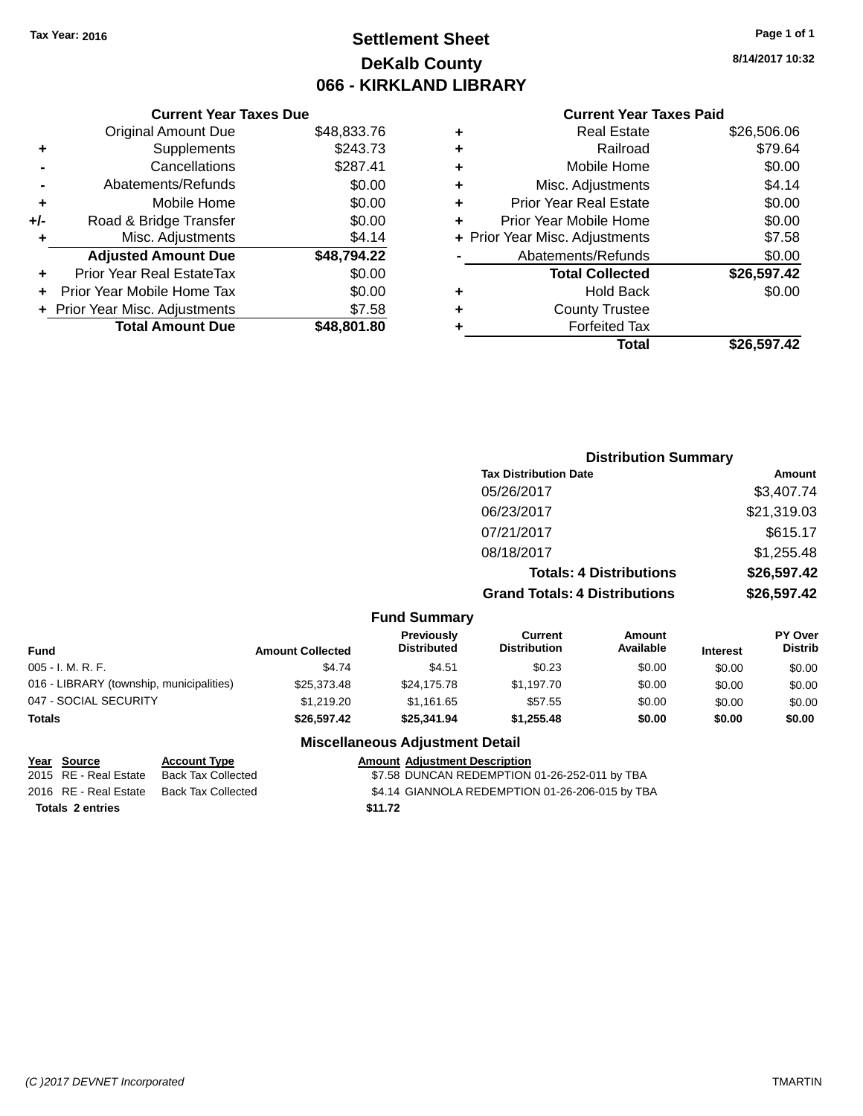# **Settlement Sheet Tax Year: 2016 Page 1 of 1 DeKalb County 066 - KIRKLAND LIBRARY**

## **Current Year Taxes Due**

|     | <b>Original Amount Due</b>       | \$48,833.76 |
|-----|----------------------------------|-------------|
| ٠   | Supplements                      | \$243.73    |
|     | Cancellations                    | \$287.41    |
|     | Abatements/Refunds               | \$0.00      |
| ٠   | Mobile Home                      | \$0.00      |
| +/- | Road & Bridge Transfer           | \$0.00      |
| ٠   | Misc. Adjustments                | \$4.14      |
|     | <b>Adjusted Amount Due</b>       | \$48,794.22 |
| ÷   | <b>Prior Year Real EstateTax</b> | \$0.00      |
|     | Prior Year Mobile Home Tax       | \$0.00      |
|     | + Prior Year Misc. Adjustments   | \$7.58      |
|     |                                  |             |

## **Current Year Taxes Paid**

| ٠ | <b>Real Estate</b>             | \$26,506.06 |
|---|--------------------------------|-------------|
| ٠ | Railroad                       | \$79.64     |
| ٠ | Mobile Home                    | \$0.00      |
| ٠ | Misc. Adjustments              | \$4.14      |
| ٠ | <b>Prior Year Real Estate</b>  | \$0.00      |
| ٠ | Prior Year Mobile Home         | \$0.00      |
|   | + Prior Year Misc. Adjustments | \$7.58      |
|   | Abatements/Refunds             | \$0.00      |
|   | <b>Total Collected</b>         | \$26,597.42 |
| ٠ | <b>Hold Back</b>               | \$0.00      |
| ٠ | <b>County Trustee</b>          |             |
| ٠ | <b>Forfeited Tax</b>           |             |
|   | Total                          | \$26,597.42 |
|   |                                |             |

## **Distribution Summary Tax Distribution Date Amount** 05/26/2017 \$3,407.74 06/23/2017 \$21,319.03 07/21/2017 \$615.17 08/18/2017 \$1,255.48 **Totals: 4 Distributions \$26,597.42 Grand Totals: 4 Distributions \$26,597.42**

## **Fund Summary**

| Fund                                     | <b>Amount Collected</b> | <b>Previously</b><br><b>Distributed</b> | Current<br><b>Distribution</b> | Amount<br>Available | <b>Interest</b> | <b>PY Over</b><br><b>Distrib</b> |
|------------------------------------------|-------------------------|-----------------------------------------|--------------------------------|---------------------|-----------------|----------------------------------|
| 005 - I. M. R. F.                        | \$4.74                  | \$4.51                                  | \$0.23                         | \$0.00              | \$0.00          | \$0.00                           |
| 016 - LIBRARY (township, municipalities) | \$25,373.48             | \$24.175.78                             | \$1.197.70                     | \$0.00              | \$0.00          | \$0.00                           |
| 047 - SOCIAL SECURITY                    | \$1,219,20              | \$1.161.65                              | \$57.55                        | \$0.00              | \$0.00          | \$0.00                           |
| Totals                                   | \$26,597.42             | \$25,341.94                             | \$1.255.48                     | \$0.00              | \$0.00          | \$0.00                           |

## **Miscellaneous Adjustment Detail**

| Year Source             | <b>Account Type</b> | <b>Amount Adiustment Description</b>            |
|-------------------------|---------------------|-------------------------------------------------|
| 2015 RE - Real Estate   | Back Tax Collected  | \$7.58 DUNCAN REDEMPTION 01-26-252-011 by TBA   |
| 2016 RE - Real Estate   | Back Tax Collected  | \$4.14 GIANNOLA REDEMPTION 01-26-206-015 by TBA |
| <b>Totals 2 entries</b> |                     | \$11.72                                         |

**8/14/2017 10:32**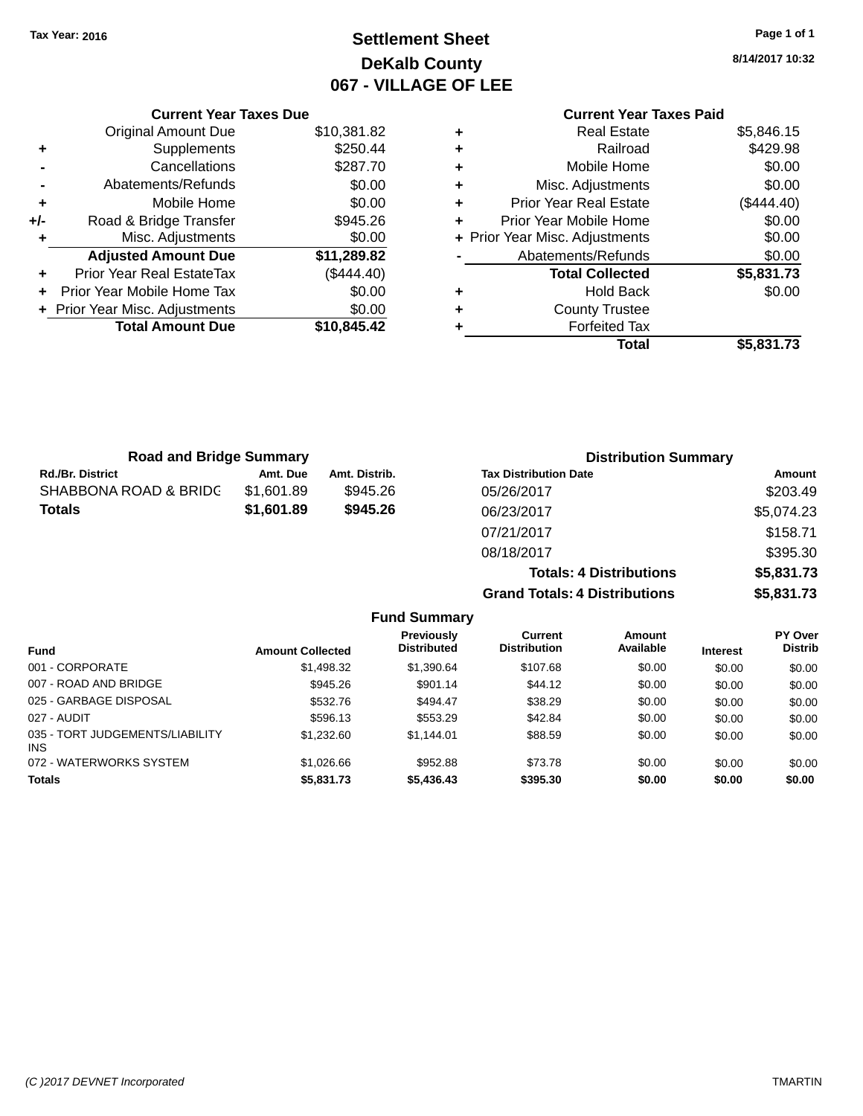# **Settlement Sheet Tax Year: 2016 Page 1 of 1 DeKalb County 067 - VILLAGE OF LEE**

**8/14/2017 10:32**

# **Current Year Taxes Paid**

|     | <b>Current Year Taxes Due</b>  |             |  |
|-----|--------------------------------|-------------|--|
|     | <b>Original Amount Due</b>     | \$10,381.82 |  |
| ٠   | Supplements                    | \$250.44    |  |
|     | Cancellations                  | \$287.70    |  |
|     | Abatements/Refunds             | \$0.00      |  |
| ٠   | Mobile Home                    | \$0.00      |  |
| +/- | Road & Bridge Transfer         | \$945.26    |  |
| ٠   | Misc. Adjustments              | \$0.00      |  |
|     | <b>Adjusted Amount Due</b>     | \$11,289.82 |  |
| ٠   | Prior Year Real EstateTax      | (\$444.40)  |  |
| ÷   | Prior Year Mobile Home Tax     | \$0.00      |  |
|     | + Prior Year Misc. Adjustments | \$0.00      |  |
|     | <b>Total Amount Due</b>        | \$10,845.42 |  |
|     |                                |             |  |

| ٠ | <b>Real Estate</b>             | \$5,846.15   |
|---|--------------------------------|--------------|
| ٠ | Railroad                       | \$429.98     |
| ٠ | Mobile Home                    | \$0.00       |
| ٠ | Misc. Adjustments              | \$0.00       |
| ٠ | <b>Prior Year Real Estate</b>  | $(\$444.40)$ |
| ٠ | Prior Year Mobile Home         | \$0.00       |
|   | + Prior Year Misc. Adjustments | \$0.00       |
|   | Abatements/Refunds             | \$0.00       |
|   | <b>Total Collected</b>         | \$5,831.73   |
| ٠ | Hold Back                      | \$0.00       |
| ٠ | <b>County Trustee</b>          |              |
| ٠ | <b>Forfeited Tax</b>           |              |
|   | Total                          | \$5,831.73   |
|   |                                |              |

| <b>Road and Bridge Summary</b> |            |               | <b>Distribution Summary</b>    |            |
|--------------------------------|------------|---------------|--------------------------------|------------|
| <b>Rd./Br. District</b>        | Amt. Due   | Amt. Distrib. | <b>Tax Distribution Date</b>   | Amount     |
| SHABBONA ROAD & BRIDC          | \$1,601.89 | \$945.26      | 05/26/2017                     | \$203.49   |
| <b>Totals</b>                  | \$1,601.89 | \$945.26      | 06/23/2017                     | \$5,074.23 |
|                                |            |               | 07/21/2017                     | \$158.71   |
|                                |            |               | 08/18/2017                     | \$395.30   |
|                                |            |               | <b>Totals: 4 Distributions</b> | \$5,831.73 |

**Grand Totals: 4 Distributions \$5,831.73**

|                                         |                         | <b>Fund Summary</b>                     |                                       |                     |                 |                                  |
|-----------------------------------------|-------------------------|-----------------------------------------|---------------------------------------|---------------------|-----------------|----------------------------------|
| <b>Fund</b>                             | <b>Amount Collected</b> | <b>Previously</b><br><b>Distributed</b> | <b>Current</b><br><b>Distribution</b> | Amount<br>Available | <b>Interest</b> | <b>PY Over</b><br><b>Distrib</b> |
| 001 - CORPORATE                         | \$1,498.32              | \$1,390.64                              | \$107.68                              | \$0.00              | \$0.00          | \$0.00                           |
| 007 - ROAD AND BRIDGE                   | \$945.26                | \$901.14                                | \$44.12                               | \$0.00              | \$0.00          | \$0.00                           |
| 025 - GARBAGE DISPOSAL                  | \$532.76                | \$494.47                                | \$38.29                               | \$0.00              | \$0.00          | \$0.00                           |
| 027 - AUDIT                             | \$596.13                | \$553.29                                | \$42.84                               | \$0.00              | \$0.00          | \$0.00                           |
| 035 - TORT JUDGEMENTS/LIABILITY<br>INS. | \$1,232.60              | \$1.144.01                              | \$88.59                               | \$0.00              | \$0.00          | \$0.00                           |
| 072 - WATERWORKS SYSTEM                 | \$1,026.66              | \$952.88                                | \$73.78                               | \$0.00              | \$0.00          | \$0.00                           |
| <b>Totals</b>                           | \$5,831.73              | \$5,436.43                              | \$395.30                              | \$0.00              | \$0.00          | \$0.00                           |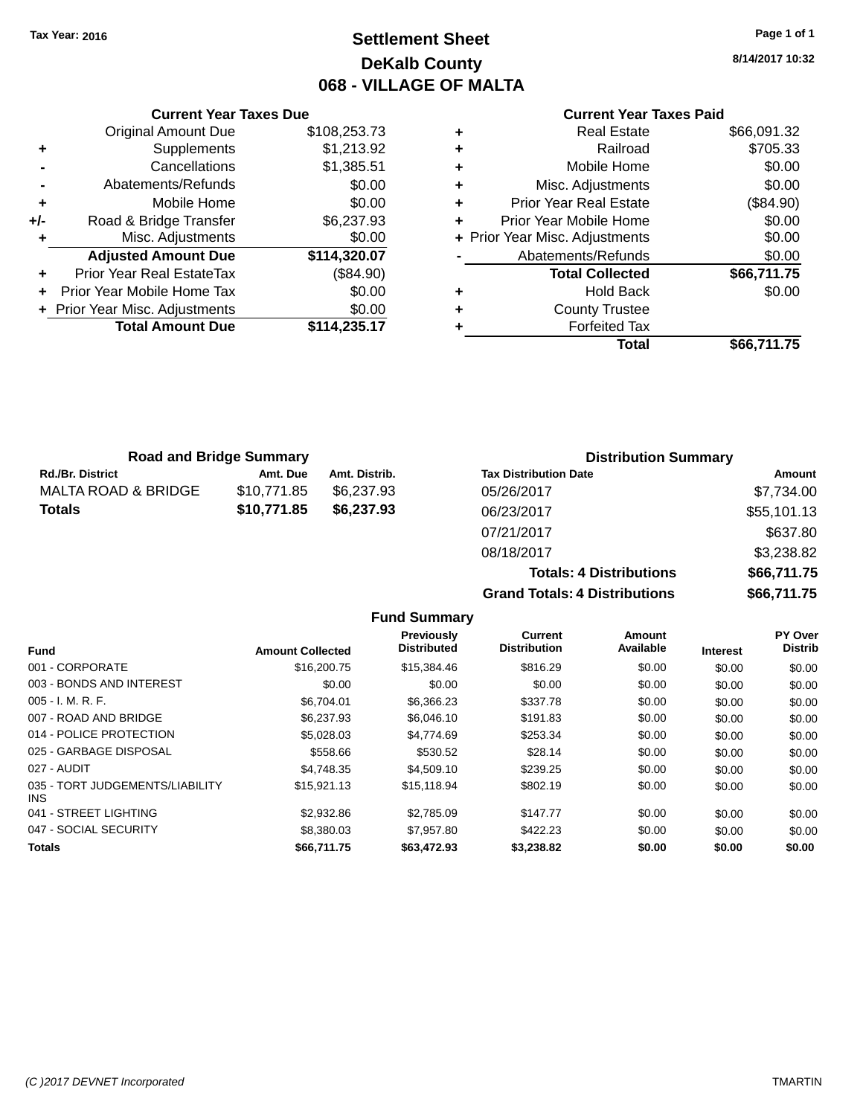# **Settlement Sheet Tax Year: 2016 Page 1 of 1 DeKalb County 068 - VILLAGE OF MALTA**

**8/14/2017 10:32**

|     | <b>Current Year Taxes Due</b>    |              |
|-----|----------------------------------|--------------|
|     | <b>Original Amount Due</b>       | \$108,253.73 |
| ٠   | Supplements                      | \$1,213.92   |
|     | Cancellations                    | \$1,385.51   |
|     | Abatements/Refunds               | \$0.00       |
| ٠   | Mobile Home                      | \$0.00       |
| +/- | Road & Bridge Transfer           | \$6,237.93   |
|     | Misc. Adjustments                | \$0.00       |
|     | <b>Adjusted Amount Due</b>       | \$114,320.07 |
|     | <b>Prior Year Real EstateTax</b> | (\$84.90)    |
|     | Prior Year Mobile Home Tax       | \$0.00       |
|     | + Prior Year Misc. Adjustments   | \$0.00       |
|     | <b>Total Amount Due</b>          | \$114,235.17 |
|     |                                  |              |

|   | <b>Real Estate</b>             | \$66,091.32 |
|---|--------------------------------|-------------|
| ٠ | Railroad                       | \$705.33    |
| ٠ | Mobile Home                    | \$0.00      |
| ٠ | Misc. Adjustments              | \$0.00      |
| ٠ | <b>Prior Year Real Estate</b>  | (\$84.90)   |
| ÷ | Prior Year Mobile Home         | \$0.00      |
|   | + Prior Year Misc. Adjustments | \$0.00      |
|   | Abatements/Refunds             | \$0.00      |
|   | <b>Total Collected</b>         | \$66,711.75 |
| ٠ | <b>Hold Back</b>               | \$0.00      |
| ٠ | <b>County Trustee</b>          |             |
| ٠ | <b>Forfeited Tax</b>           |             |
|   | Total                          | \$66,711.75 |
|   |                                |             |

| <b>Road and Bridge Summary</b> |             |               | <b>Distribution Summary</b>  |             |  |
|--------------------------------|-------------|---------------|------------------------------|-------------|--|
| <b>Rd./Br. District</b>        | Amt. Due    | Amt. Distrib. | <b>Tax Distribution Date</b> | Amount      |  |
| MALTA ROAD & BRIDGE            | \$10.771.85 | \$6.237.93    | 05/26/2017                   | \$7.734.00  |  |
| <b>Totals</b>                  | \$10,771.85 | \$6,237.93    | 06/23/2017                   | \$55,101.13 |  |
|                                |             |               | 07/21/2017                   | \$637.80    |  |

| <b>Grand Totals: 4 Distributions</b> |                                | \$66,711.75 |
|--------------------------------------|--------------------------------|-------------|
|                                      | <b>Totals: 4 Distributions</b> | \$66,711.75 |
| 08/18/2017                           |                                | \$3,238.82  |
| 07/21/2017                           |                                | \$637.80    |
| 06/23/2017                           |                                | \$55,101.13 |
|                                      |                                |             |

|                                         |                         | <b>Fund Summary</b>                     |                                |                     |                 |                           |
|-----------------------------------------|-------------------------|-----------------------------------------|--------------------------------|---------------------|-----------------|---------------------------|
| <b>Fund</b>                             | <b>Amount Collected</b> | <b>Previously</b><br><b>Distributed</b> | Current<br><b>Distribution</b> | Amount<br>Available | <b>Interest</b> | PY Over<br><b>Distrib</b> |
| 001 - CORPORATE                         | \$16,200.75             | \$15,384.46                             | \$816.29                       | \$0.00              | \$0.00          | \$0.00                    |
| 003 - BONDS AND INTEREST                | \$0.00                  | \$0.00                                  | \$0.00                         | \$0.00              | \$0.00          | \$0.00                    |
| $005 - I. M. R. F.$                     | \$6,704.01              | \$6,366.23                              | \$337.78                       | \$0.00              | \$0.00          | \$0.00                    |
| 007 - ROAD AND BRIDGE                   | \$6,237.93              | \$6,046.10                              | \$191.83                       | \$0.00              | \$0.00          | \$0.00                    |
| 014 - POLICE PROTECTION                 | \$5,028.03              | \$4,774.69                              | \$253.34                       | \$0.00              | \$0.00          | \$0.00                    |
| 025 - GARBAGE DISPOSAL                  | \$558.66                | \$530.52                                | \$28.14                        | \$0.00              | \$0.00          | \$0.00                    |
| 027 - AUDIT                             | \$4.748.35              | \$4,509.10                              | \$239.25                       | \$0.00              | \$0.00          | \$0.00                    |
| 035 - TORT JUDGEMENTS/LIABILITY<br>INS. | \$15,921.13             | \$15,118.94                             | \$802.19                       | \$0.00              | \$0.00          | \$0.00                    |
| 041 - STREET LIGHTING                   | \$2,932.86              | \$2,785.09                              | \$147.77                       | \$0.00              | \$0.00          | \$0.00                    |
| 047 - SOCIAL SECURITY                   | \$8,380.03              | \$7,957.80                              | \$422.23                       | \$0.00              | \$0.00          | \$0.00                    |
| Totals                                  | \$66,711.75             | \$63,472.93                             | \$3,238.82                     | \$0.00              | \$0.00          | \$0.00                    |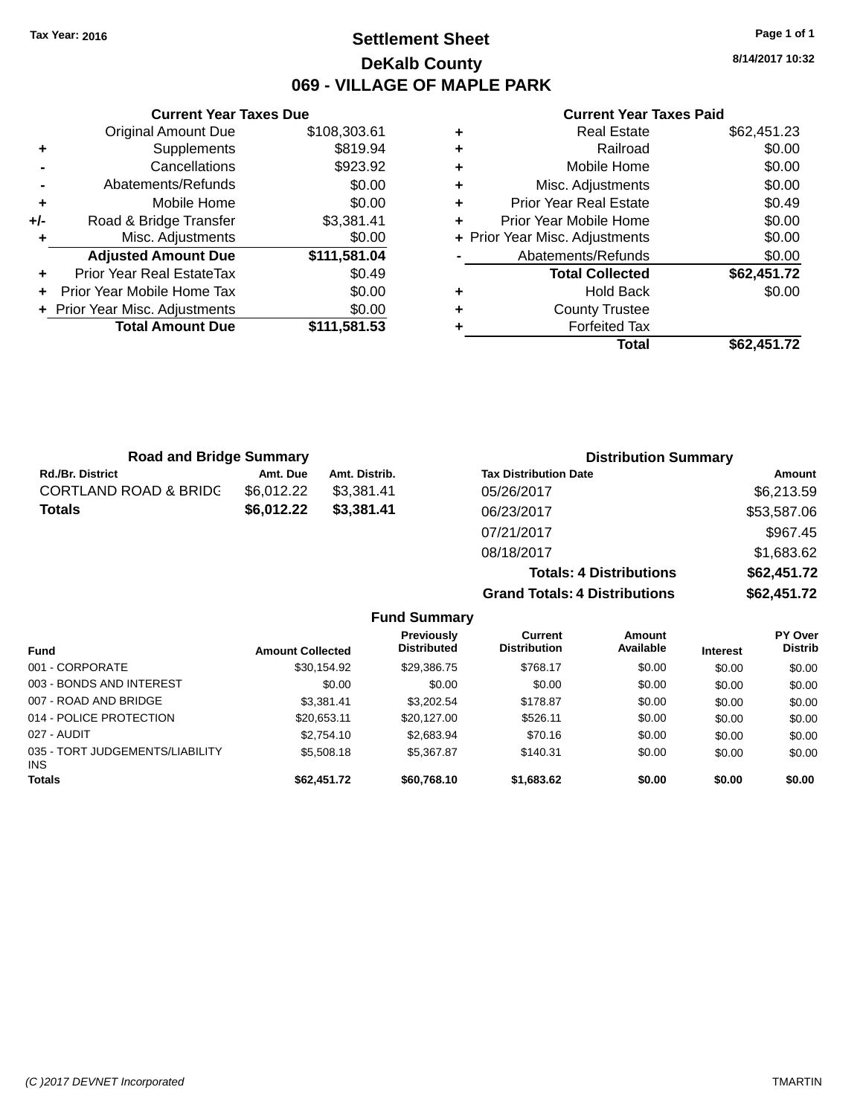# **Settlement Sheet Tax Year: 2016 Page 1 of 1 DeKalb County 069 - VILLAGE OF MAPLE PARK**

**8/14/2017 10:32**

| <b>Current Year Taxes Paid</b> |  |  |  |  |
|--------------------------------|--|--|--|--|
|--------------------------------|--|--|--|--|

|     | <b>Current Year Taxes Due</b>  |              |
|-----|--------------------------------|--------------|
|     | <b>Original Amount Due</b>     | \$108,303.61 |
| ٠   | Supplements                    | \$819.94     |
|     | Cancellations                  | \$923.92     |
|     | Abatements/Refunds             | \$0.00       |
| ÷   | Mobile Home                    | \$0.00       |
| +/- | Road & Bridge Transfer         | \$3,381.41   |
| ٠   | Misc. Adjustments              | \$0.00       |
|     | <b>Adjusted Amount Due</b>     | \$111,581.04 |
| ٠   | Prior Year Real EstateTax      | \$0.49       |
|     | Prior Year Mobile Home Tax     | \$0.00       |
|     | + Prior Year Misc. Adjustments | \$0.00       |
|     | <b>Total Amount Due</b>        | \$111,581.53 |
|     |                                |              |

| ٠ | Real Estate                    | \$62,451.23 |
|---|--------------------------------|-------------|
| ٠ | Railroad                       | \$0.00      |
| ٠ | Mobile Home                    | \$0.00      |
| ٠ | Misc. Adjustments              | \$0.00      |
| ٠ | <b>Prior Year Real Estate</b>  | \$0.49      |
| ٠ | Prior Year Mobile Home         | \$0.00      |
|   | + Prior Year Misc. Adjustments | \$0.00      |
|   | Abatements/Refunds             | \$0.00      |
|   | <b>Total Collected</b>         | \$62,451.72 |
| ٠ | Hold Back                      | \$0.00      |
| ٠ | <b>County Trustee</b>          |             |
|   | <b>Forfeited Tax</b>           |             |
|   | Total                          | \$62.451.72 |

| <b>Road and Bridge Summary</b>   |            |               | <b>Distribution Summary</b>    |             |  |
|----------------------------------|------------|---------------|--------------------------------|-------------|--|
| <b>Rd./Br. District</b>          | Amt. Due   | Amt. Distrib. | <b>Tax Distribution Date</b>   | Amount      |  |
| <b>CORTLAND ROAD &amp; BRIDC</b> | \$6,012.22 | \$3,381.41    | 05/26/2017                     | \$6,213.59  |  |
| <b>Totals</b>                    | \$6,012.22 | \$3,381.41    | 06/23/2017                     | \$53,587.06 |  |
|                                  |            |               | 07/21/2017                     | \$967.45    |  |
|                                  |            |               | 08/18/2017                     | \$1,683.62  |  |
|                                  |            |               | <b>Totals: 4 Distributions</b> | \$62,451.72 |  |

**Grand Totals: 4 Distributions \$62,451.72**

|                                         |                         | <b>Fund Summary</b>                     |                                       |                     |                 |                                  |
|-----------------------------------------|-------------------------|-----------------------------------------|---------------------------------------|---------------------|-----------------|----------------------------------|
| <b>Fund</b>                             | <b>Amount Collected</b> | <b>Previously</b><br><b>Distributed</b> | <b>Current</b><br><b>Distribution</b> | Amount<br>Available | <b>Interest</b> | <b>PY Over</b><br><b>Distrib</b> |
| 001 - CORPORATE                         | \$30,154.92             | \$29,386.75                             | \$768.17                              | \$0.00              | \$0.00          | \$0.00                           |
| 003 - BONDS AND INTEREST                | \$0.00                  | \$0.00                                  | \$0.00                                | \$0.00              | \$0.00          | \$0.00                           |
| 007 - ROAD AND BRIDGE                   | \$3.381.41              | \$3.202.54                              | \$178.87                              | \$0.00              | \$0.00          | \$0.00                           |
| 014 - POLICE PROTECTION                 | \$20.653.11             | \$20.127.00                             | \$526.11                              | \$0.00              | \$0.00          | \$0.00                           |
| 027 - AUDIT                             | \$2.754.10              | \$2,683.94                              | \$70.16                               | \$0.00              | \$0.00          | \$0.00                           |
| 035 - TORT JUDGEMENTS/LIABILITY<br>INS. | \$5,508.18              | \$5,367.87                              | \$140.31                              | \$0.00              | \$0.00          | \$0.00                           |
| <b>Totals</b>                           | \$62,451.72             | \$60,768.10                             | \$1,683.62                            | \$0.00              | \$0.00          | \$0.00                           |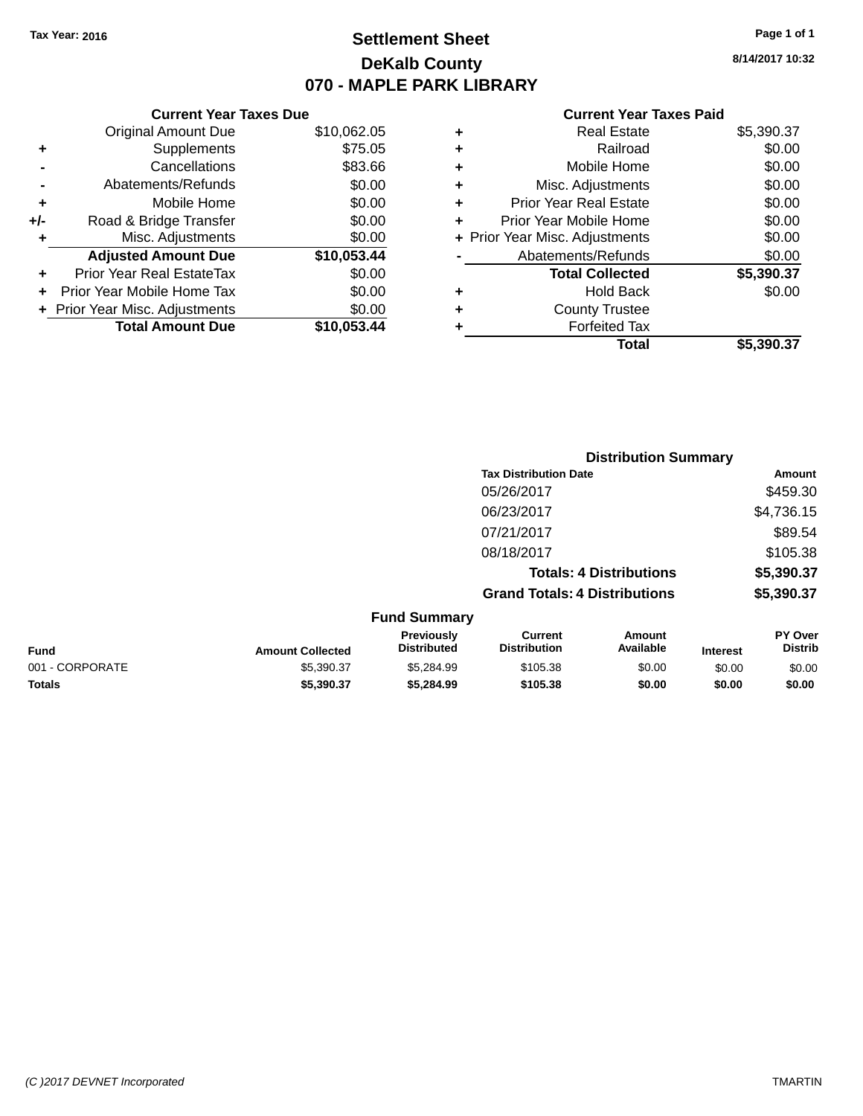# **Settlement Sheet Tax Year: 2016 Page 1 of 1 DeKalb County 070 - MAPLE PARK LIBRARY**

**8/14/2017 10:32**

## **Current Year Taxes Paid**

|     | <b>Current Year Taxes Due</b>  |             |
|-----|--------------------------------|-------------|
|     | <b>Original Amount Due</b>     | \$10,062.05 |
| ٠   | Supplements                    | \$75.05     |
|     | Cancellations                  | \$83.66     |
|     | Abatements/Refunds             | \$0.00      |
| ٠   | Mobile Home                    | \$0.00      |
| +/- | Road & Bridge Transfer         | \$0.00      |
| ٠   | Misc. Adjustments              | \$0.00      |
|     | <b>Adjusted Amount Due</b>     | \$10,053.44 |
| ٠   | Prior Year Real EstateTax      | \$0.00      |
|     | Prior Year Mobile Home Tax     | \$0.00      |
|     | + Prior Year Misc. Adjustments | \$0.00      |
|     | <b>Total Amount Due</b>        | \$10,053,44 |
|     |                                |             |

| ٠ | <b>Real Estate</b>             | \$5,390.37 |
|---|--------------------------------|------------|
| ٠ | Railroad                       | \$0.00     |
| ٠ | Mobile Home                    | \$0.00     |
| ٠ | Misc. Adjustments              | \$0.00     |
| ٠ | <b>Prior Year Real Estate</b>  | \$0.00     |
| ٠ | Prior Year Mobile Home         | \$0.00     |
|   | + Prior Year Misc. Adjustments | \$0.00     |
|   | Abatements/Refunds             | \$0.00     |
|   | <b>Total Collected</b>         | \$5,390.37 |
| ٠ | Hold Back                      | \$0.00     |
| ٠ | <b>County Trustee</b>          |            |
| ٠ | <b>Forfeited Tax</b>           |            |
|   | Total                          | \$5,390.37 |
|   |                                |            |

|                 |                         |                                         |                                       | <b>Distribution Summary</b>    |                 |                                  |
|-----------------|-------------------------|-----------------------------------------|---------------------------------------|--------------------------------|-----------------|----------------------------------|
|                 |                         |                                         | <b>Tax Distribution Date</b>          |                                |                 | Amount                           |
|                 |                         |                                         | 05/26/2017                            |                                |                 | \$459.30                         |
|                 |                         |                                         | 06/23/2017                            |                                |                 | \$4,736.15                       |
|                 |                         |                                         | 07/21/2017                            |                                |                 | \$89.54                          |
|                 |                         |                                         | 08/18/2017                            |                                |                 | \$105.38                         |
|                 |                         |                                         |                                       | <b>Totals: 4 Distributions</b> |                 | \$5,390.37                       |
|                 |                         |                                         | <b>Grand Totals: 4 Distributions</b>  |                                |                 | \$5,390.37                       |
|                 |                         | <b>Fund Summary</b>                     |                                       |                                |                 |                                  |
| <b>Fund</b>     | <b>Amount Collected</b> | <b>Previously</b><br><b>Distributed</b> | <b>Current</b><br><b>Distribution</b> | Amount<br>Available            | <b>Interest</b> | <b>PY Over</b><br><b>Distrib</b> |
| 001 - CORPORATE | \$5,390.37              | \$5,284.99                              | \$105.38                              | \$0.00                         | \$0.00          | \$0.00                           |

**Totals \$5,390.37 \$5,284.99 \$105.38 \$0.00 \$0.00 \$0.00**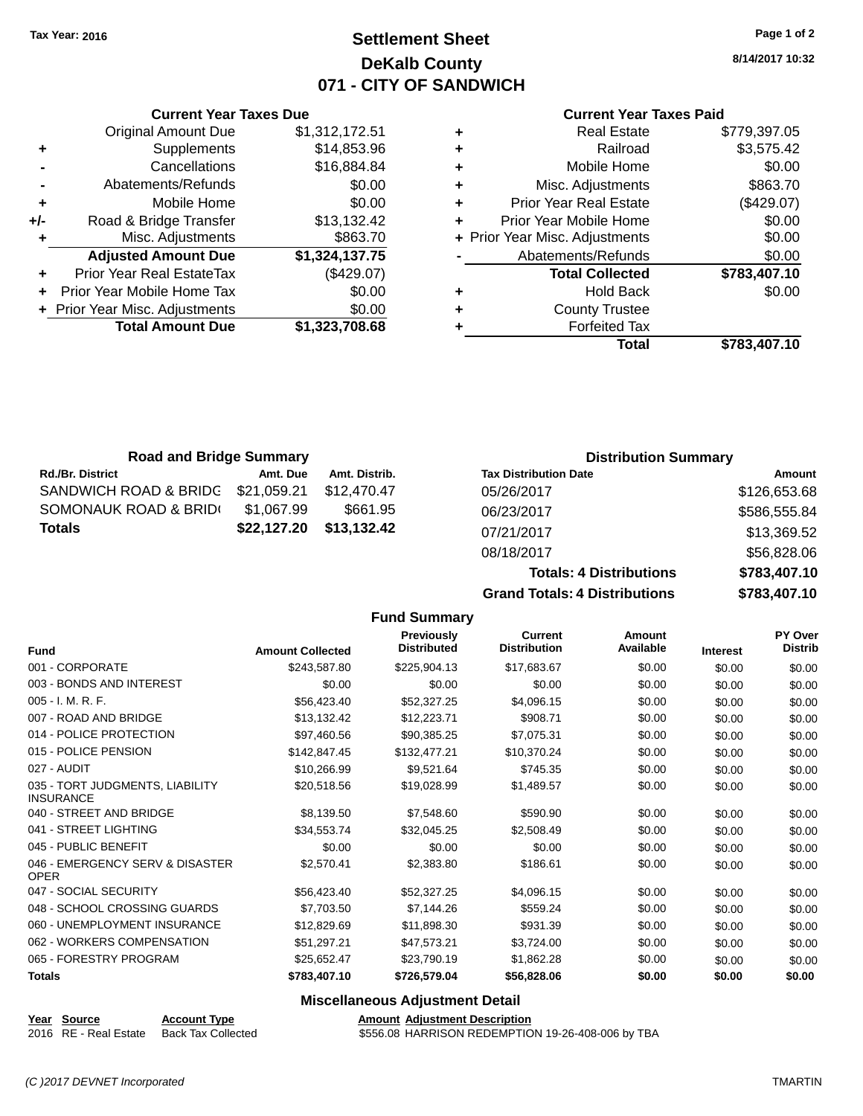# **Settlement Sheet Tax Year: 2016 Page 1 of 2 DeKalb County 071 - CITY OF SANDWICH**

**8/14/2017 10:32**

#### **Current Year Taxes Paid**

|   | <b>Real Estate</b>             | \$779,397.05 |
|---|--------------------------------|--------------|
| ٠ | Railroad                       | \$3,575.42   |
| ٠ | Mobile Home                    | \$0.00       |
| ٠ | Misc. Adjustments              | \$863.70     |
| ٠ | <b>Prior Year Real Estate</b>  | (\$429.07)   |
| ÷ | Prior Year Mobile Home         | \$0.00       |
|   | + Prior Year Misc. Adjustments | \$0.00       |
|   | Abatements/Refunds             | \$0.00       |
|   | <b>Total Collected</b>         | \$783,407.10 |
| ٠ | <b>Hold Back</b>               | \$0.00       |
| ٠ | <b>County Trustee</b>          |              |
|   | <b>Forfeited Tax</b>           |              |
|   | Total                          | \$783,407.10 |

|     | <b>Current Year Taxes Due</b>  |                |
|-----|--------------------------------|----------------|
|     | <b>Original Amount Due</b>     | \$1,312,172.51 |
| ٠   | Supplements                    | \$14,853.96    |
|     | Cancellations                  | \$16,884.84    |
|     | Abatements/Refunds             | \$0.00         |
| ٠   | Mobile Home                    | \$0.00         |
| +/- | Road & Bridge Transfer         | \$13,132.42    |
|     | Misc. Adjustments              | \$863.70       |
|     | <b>Adjusted Amount Due</b>     | \$1,324,137.75 |
| ÷   | Prior Year Real EstateTax      | (\$429.07)     |
|     | Prior Year Mobile Home Tax     | \$0.00         |
|     | + Prior Year Misc. Adjustments | \$0.00         |
|     | <b>Total Amount Due</b>        | \$1,323,708.68 |
|     |                                |                |

| <b>Road and Bridge Summary</b>    |             |               | <b>Distribution Summary</b>  |              |  |
|-----------------------------------|-------------|---------------|------------------------------|--------------|--|
| <b>Rd./Br. District</b>           | Amt. Due    | Amt. Distrib. | <b>Tax Distribution Date</b> | Amount       |  |
| SANDWICH ROAD & BRIDG \$21,059.21 |             | \$12.470.47   | 05/26/2017                   | \$126,653.68 |  |
| SOMONAUK ROAD & BRIDI             | \$1,067.99  | \$661.95      | 06/23/2017                   | \$586,555.84 |  |
| <b>Totals</b>                     | \$22,127.20 | \$13,132.42   | 07/21/2017                   | \$13,369.52  |  |
|                                   |             |               | 08/18/2017                   | \$56,828.06  |  |

**Fund Summary**

| <b>Grand Totals: 4 Distributions</b> | \$783,407.10 |
|--------------------------------------|--------------|
| <b>Totals: 4 Distributions</b>       | \$783,407.10 |
| 08/18/2017                           | \$56,828.06  |
| 07/21/2017                           | \$13,369.52  |
| <u>UULLULLU II</u>                   | wuu.uuu.u+   |

| <b>Fund</b>                                         | <b>Amount Collected</b> | Previously<br><b>Distributed</b> | <b>Current</b><br><b>Distribution</b> | Amount<br>Available | <b>Interest</b> | PY Over<br><b>Distrib</b> |
|-----------------------------------------------------|-------------------------|----------------------------------|---------------------------------------|---------------------|-----------------|---------------------------|
| 001 - CORPORATE                                     | \$243,587.80            | \$225,904.13                     | \$17,683.67                           | \$0.00              | \$0.00          | \$0.00                    |
| 003 - BONDS AND INTEREST                            | \$0.00                  | \$0.00                           | \$0.00                                | \$0.00              | \$0.00          | \$0.00                    |
| 005 - I. M. R. F.                                   | \$56,423.40             | \$52,327.25                      | \$4,096.15                            | \$0.00              | \$0.00          | \$0.00                    |
| 007 - ROAD AND BRIDGE                               | \$13,132.42             | \$12,223.71                      | \$908.71                              | \$0.00              | \$0.00          | \$0.00                    |
| 014 - POLICE PROTECTION                             | \$97,460.56             | \$90,385.25                      | \$7,075.31                            | \$0.00              | \$0.00          | \$0.00                    |
| 015 - POLICE PENSION                                | \$142,847.45            | \$132,477.21                     | \$10,370.24                           | \$0.00              | \$0.00          | \$0.00                    |
| 027 - AUDIT                                         | \$10,266.99             | \$9,521.64                       | \$745.35                              | \$0.00              | \$0.00          | \$0.00                    |
| 035 - TORT JUDGMENTS, LIABILITY<br><b>INSURANCE</b> | \$20,518.56             | \$19,028.99                      | \$1,489.57                            | \$0.00              | \$0.00          | \$0.00                    |
| 040 - STREET AND BRIDGE                             | \$8,139.50              | \$7,548.60                       | \$590.90                              | \$0.00              | \$0.00          | \$0.00                    |
| 041 - STREET LIGHTING                               | \$34,553.74             | \$32,045.25                      | \$2,508.49                            | \$0.00              | \$0.00          | \$0.00                    |
| 045 - PUBLIC BENEFIT                                | \$0.00                  | \$0.00                           | \$0.00                                | \$0.00              | \$0.00          | \$0.00                    |
| 046 - EMERGENCY SERV & DISASTER<br><b>OPER</b>      | \$2,570.41              | \$2,383.80                       | \$186.61                              | \$0.00              | \$0.00          | \$0.00                    |
| 047 - SOCIAL SECURITY                               | \$56,423.40             | \$52,327.25                      | \$4,096.15                            | \$0.00              | \$0.00          | \$0.00                    |
| 048 - SCHOOL CROSSING GUARDS                        | \$7,703.50              | \$7,144.26                       | \$559.24                              | \$0.00              | \$0.00          | \$0.00                    |
| 060 - UNEMPLOYMENT INSURANCE                        | \$12,829.69             | \$11,898.30                      | \$931.39                              | \$0.00              | \$0.00          | \$0.00                    |
| 062 - WORKERS COMPENSATION                          | \$51,297.21             | \$47,573.21                      | \$3,724.00                            | \$0.00              | \$0.00          | \$0.00                    |
| 065 - FORESTRY PROGRAM                              | \$25,652.47             | \$23,790.19                      | \$1,862.28                            | \$0.00              | \$0.00          | \$0.00                    |
| <b>Totals</b>                                       | \$783,407.10            | \$726,579.04                     | \$56,828.06                           | \$0.00              | \$0.00          | \$0.00                    |
|                                                     |                         |                                  |                                       |                     |                 |                           |

## **Miscellaneous Adjustment Detail**

**Year Source Account Type**<br>
2016 RE - Real Estate Back Tax Collected **Amount Adjustment Description**<br>
\$556.08 HARRISON REDEMPTIO

\$556.08 HARRISON REDEMPTION 19-26-408-006 by TBA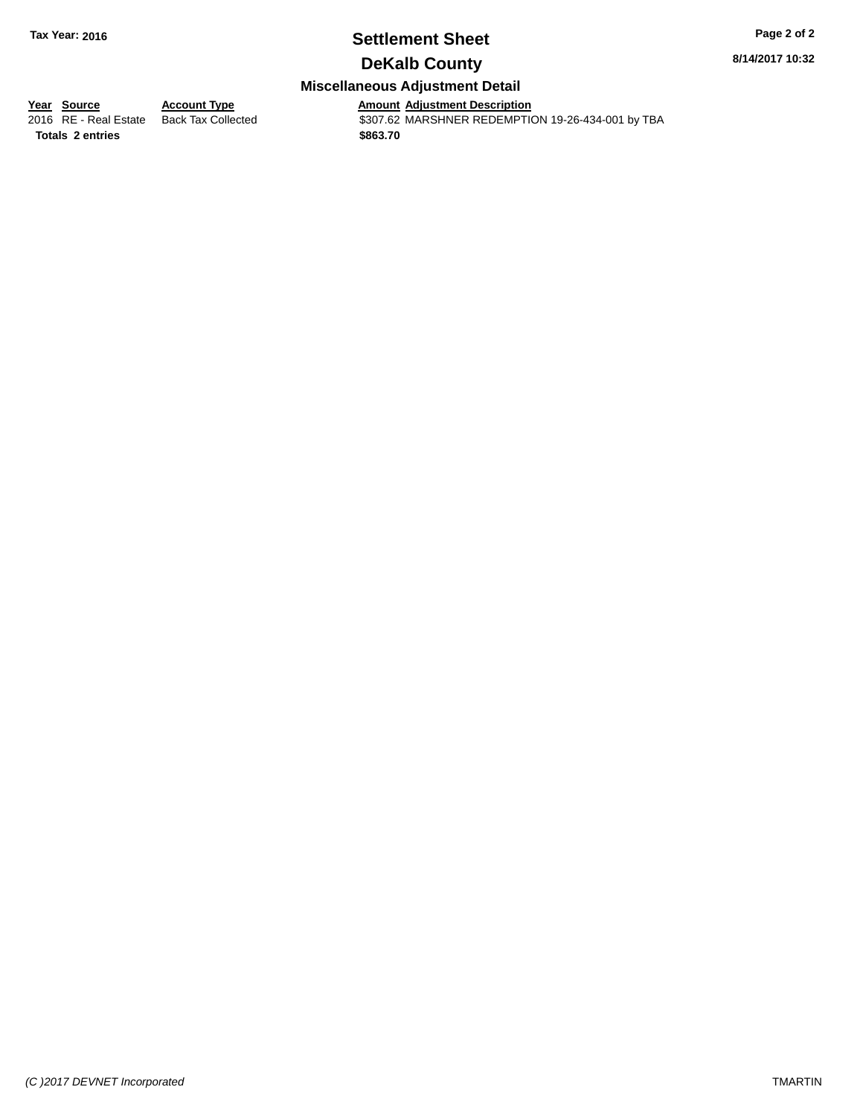# **Settlement Sheet Tax Year: 2016 Page 2 of 2**

**8/14/2017 10:32**

# **DeKalb County**

# **Miscellaneous Adjustment Detail**

**Totals 2 entries \$863.70**

**<u>Year Source</u> <b>Account Type**<br>
2016 RE - Real Estate Back Tax Collected

Amount Adjustment Description<br>\$307.62 MARSHNER REDEMPTION 19-26-434-001 by TBA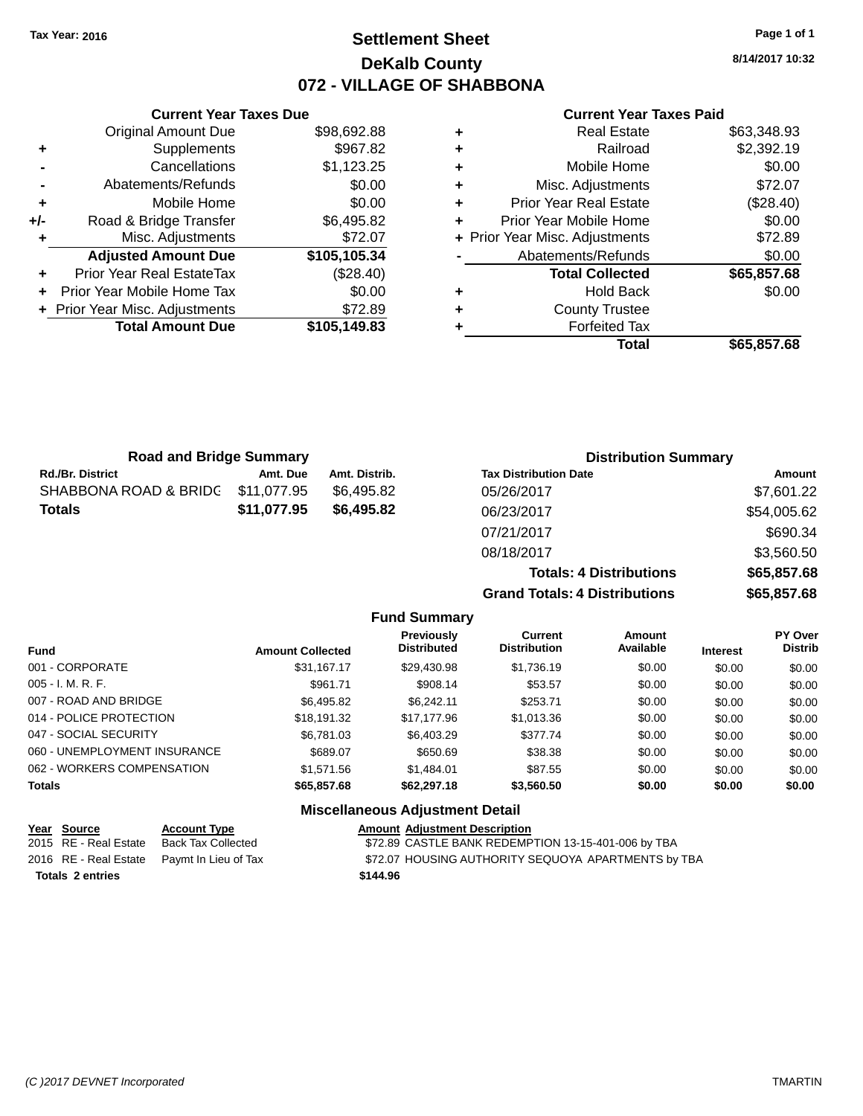# **Settlement Sheet Tax Year: 2016 Page 1 of 1 DeKalb County 072 - VILLAGE OF SHABBONA**

**8/14/2017 10:32**

#### **Current Year Taxes Paid**

|     | <b>Total Amount Due</b>        | \$105,149.83 |
|-----|--------------------------------|--------------|
|     | + Prior Year Misc. Adjustments | \$72.89      |
|     | Prior Year Mobile Home Tax     | \$0.00       |
| ٠   | Prior Year Real EstateTax      | (\$28.40)    |
|     | <b>Adjusted Amount Due</b>     | \$105,105.34 |
|     | Misc. Adjustments              | \$72.07      |
| +/- | Road & Bridge Transfer         | \$6,495.82   |
| ٠   | Mobile Home                    | \$0.00       |
|     | Abatements/Refunds             | \$0.00       |
|     | Cancellations                  | \$1,123.25   |
| ٠   | Supplements                    | \$967.82     |
|     | <b>Original Amount Due</b>     | \$98,692.88  |
|     |                                |              |

**Current Year Taxes Due**

|   | <b>Real Estate</b>             | \$63,348.93 |
|---|--------------------------------|-------------|
| ٠ | Railroad                       | \$2,392.19  |
| ÷ | Mobile Home                    | \$0.00      |
| ٠ | Misc. Adjustments              | \$72.07     |
| ٠ | <b>Prior Year Real Estate</b>  | (\$28.40)   |
| ٠ | Prior Year Mobile Home         | \$0.00      |
|   | + Prior Year Misc. Adjustments | \$72.89     |
|   | Abatements/Refunds             | \$0.00      |
|   | <b>Total Collected</b>         | \$65,857.68 |
| ٠ | <b>Hold Back</b>               | \$0.00      |
| ٠ | <b>County Trustee</b>          |             |
| ٠ | <b>Forfeited Tax</b>           |             |
|   | Total                          | \$65,857.68 |

| <b>Road and Bridge Summary</b> |             |               | <b>Distribution Summary</b>    |             |  |
|--------------------------------|-------------|---------------|--------------------------------|-------------|--|
| <b>Rd./Br. District</b>        | Amt. Due    | Amt. Distrib. | <b>Tax Distribution Date</b>   | Amount      |  |
| SHABBONA ROAD & BRIDC          | \$11,077.95 | \$6,495.82    | 05/26/2017                     | \$7,601.22  |  |
| <b>Totals</b>                  | \$11,077.95 | \$6,495.82    | 06/23/2017                     | \$54,005.62 |  |
|                                |             |               | 07/21/2017                     | \$690.34    |  |
|                                |             |               | 08/18/2017                     | \$3,560.50  |  |
|                                |             |               | <b>Totals: 4 Distributions</b> | \$65,857.68 |  |

**Grand Totals: 4 Distributions \$65,857.68 Fund Summary Fund Interest Amount Collected Distributed PY Over Distrib Amount Available Current Distribution Previously** 001 - CORPORATE \$31,167.17 \$29,430.98 \$1,736.19 \$0.00 \$0.00 \$0.00 005 - I. M. R. F. \$961.71 \$908.14 \$53.57 \$0.00 \$0.00 \$0.00 007 - ROAD AND BRIDGE \$6,495.82 \$6,495.82 \$6,242.11 \$253.71 \$0.00 \$0.00 \$0.00 \$0.00 014 - POLICE PROTECTION \$18,191.32 \$17,177.96 \$1,013.36 \$0.00 \$0.00 \$0.00 047 - SOCIAL SECURITY \$6,781.03 \$6,403.29 \$377.74 \$0.00 \$0.00 \$0.00 060 - UNEMPLOYMENT INSURANCE  $$689.07$   $$650.69$   $$38.38$   $$0.00$   $$0.00$   $$0.00$ 062 - WORKERS COMPENSATION \$1,571.56 \$1,484.01 \$87.55 \$0.00 \$0.00 \$0.00 \$0.00 **Totals \$65,857.68 \$62,297.18 \$3,560.50 \$0.00 \$0.00 \$0.00**

| Year Source             | <b>Account Type</b>                        | <b>Amount Adjustment Description</b>                |
|-------------------------|--------------------------------------------|-----------------------------------------------------|
| 2015 RE - Real Estate   | Back Tax Collected                         | \$72.89 CASTLE BANK REDEMPTION 13-15-401-006 by TBA |
|                         | 2016 RE - Real Estate Paymt In Lieu of Tax | \$72.07 HOUSING AUTHORITY SEQUOYA APARTMENTS by TBA |
| <b>Totals 2 entries</b> |                                            | \$144.96                                            |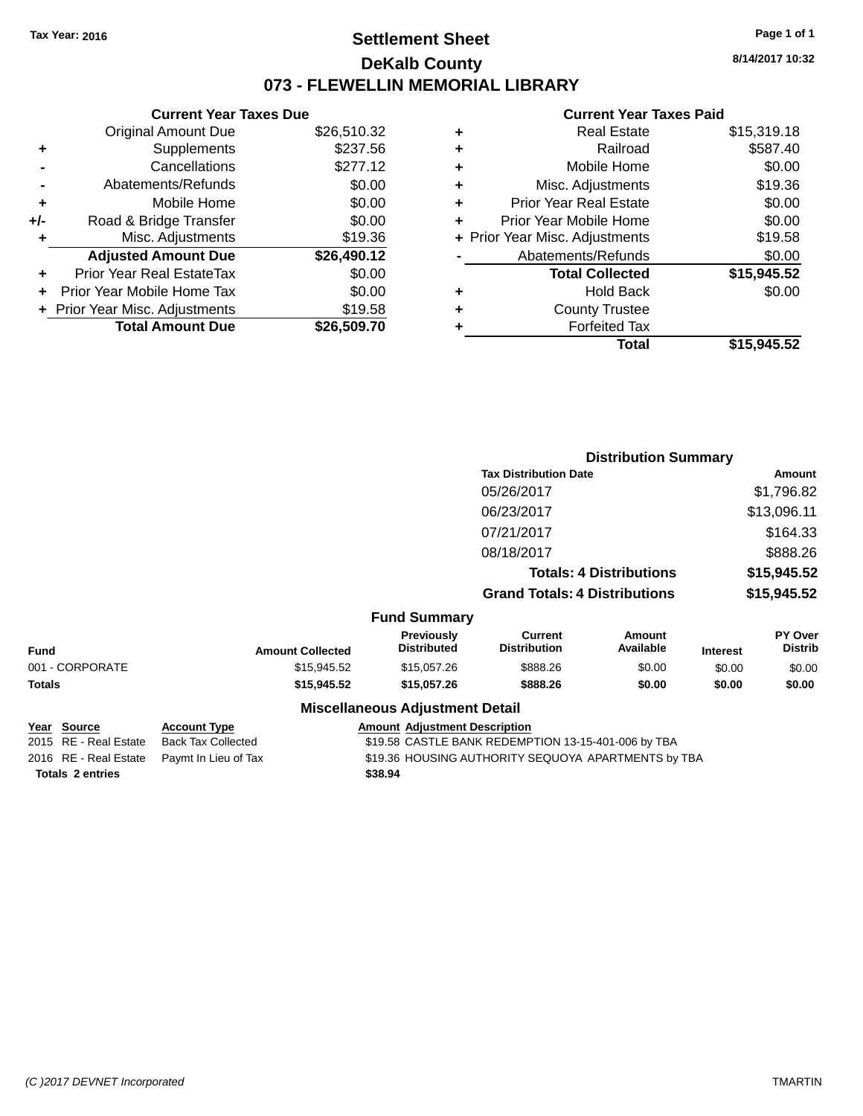# **Settlement Sheet Tax Year: 2016 Page 1 of 1 DeKalb County 073 - FLEWELLIN MEMORIAL LIBRARY**

**8/14/2017 10:32**

#### **Current Year Taxes Paid**

|     | <b>Current Year Taxes Due</b>    |             |
|-----|----------------------------------|-------------|
|     | Original Amount Due              | \$26,510.32 |
| ٠   | Supplements                      | \$237.56    |
|     | Cancellations                    | \$277.12    |
|     | Abatements/Refunds               | \$0.00      |
| ٠   | Mobile Home                      | \$0.00      |
| +/- | Road & Bridge Transfer           | \$0.00      |
| ٠   | Misc. Adjustments                | \$19.36     |
|     | <b>Adjusted Amount Due</b>       | \$26,490.12 |
| ٠   | <b>Prior Year Real EstateTax</b> | \$0.00      |
| ÷   | Prior Year Mobile Home Tax       | \$0.00      |
|     | + Prior Year Misc. Adjustments   | \$19.58     |
|     | <b>Total Amount Due</b>          | \$26,509.70 |
|     |                                  |             |

| ٠ | <b>Real Estate</b>             | \$15,319.18 |
|---|--------------------------------|-------------|
| ٠ | Railroad                       | \$587.40    |
| ٠ | Mobile Home                    | \$0.00      |
| ٠ | Misc. Adjustments              | \$19.36     |
| ٠ | <b>Prior Year Real Estate</b>  | \$0.00      |
|   | Prior Year Mobile Home         | \$0.00      |
|   | + Prior Year Misc. Adjustments | \$19.58     |
|   | Abatements/Refunds             | \$0.00      |
|   | <b>Total Collected</b>         | \$15,945.52 |
| ٠ | Hold Back                      | \$0.00      |
| ٠ | <b>County Trustee</b>          |             |
| ٠ | <b>Forfeited Tax</b>           |             |
|   | Total                          | \$15,945.52 |
|   |                                |             |

|                 |                         |                                        | <b>Distribution Summary</b>          |                                |                 |                           |
|-----------------|-------------------------|----------------------------------------|--------------------------------------|--------------------------------|-----------------|---------------------------|
|                 |                         |                                        | <b>Tax Distribution Date</b>         |                                |                 | Amount                    |
|                 |                         |                                        | 05/26/2017                           |                                |                 | \$1,796.82                |
|                 |                         |                                        | 06/23/2017                           |                                |                 | \$13,096.11               |
|                 |                         |                                        | 07/21/2017                           |                                |                 | \$164.33                  |
|                 |                         |                                        | 08/18/2017                           |                                |                 | \$888.26                  |
|                 |                         |                                        |                                      | <b>Totals: 4 Distributions</b> |                 | \$15,945.52               |
|                 |                         |                                        | <b>Grand Totals: 4 Distributions</b> |                                |                 | \$15,945.52               |
|                 |                         | <b>Fund Summary</b>                    |                                      |                                |                 |                           |
| <b>Fund</b>     | <b>Amount Collected</b> | Previously<br><b>Distributed</b>       | Current<br><b>Distribution</b>       | <b>Amount</b><br>Available     | <b>Interest</b> | PY Over<br><b>Distrib</b> |
| 001 - CORPORATE | \$15,945.52             | \$15,057.26                            | \$888.26                             | \$0.00                         | \$0.00          | \$0.00                    |
| <b>Totals</b>   | \$15,945.52             | \$15,057.26                            | \$888.26                             | \$0.00                         | \$0.00          | \$0.00                    |
|                 |                         | <b>Miscellaneous Adjustment Detail</b> |                                      |                                |                 |                           |

|                         | Year Source           | <b>Account Type</b>                        | <b>Amount Adjustment Description</b>                |
|-------------------------|-----------------------|--------------------------------------------|-----------------------------------------------------|
|                         | 2015 RE - Real Estate | Back Tax Collected                         | \$19.58 CASTLE BANK REDEMPTION 13-15-401-006 by TBA |
|                         |                       | 2016 RE - Real Estate Paymt In Lieu of Tax | \$19.36 HOUSING AUTHORITY SEQUOYA APARTMENTS by TBA |
| <b>Totals 2 entries</b> |                       |                                            | \$38.94                                             |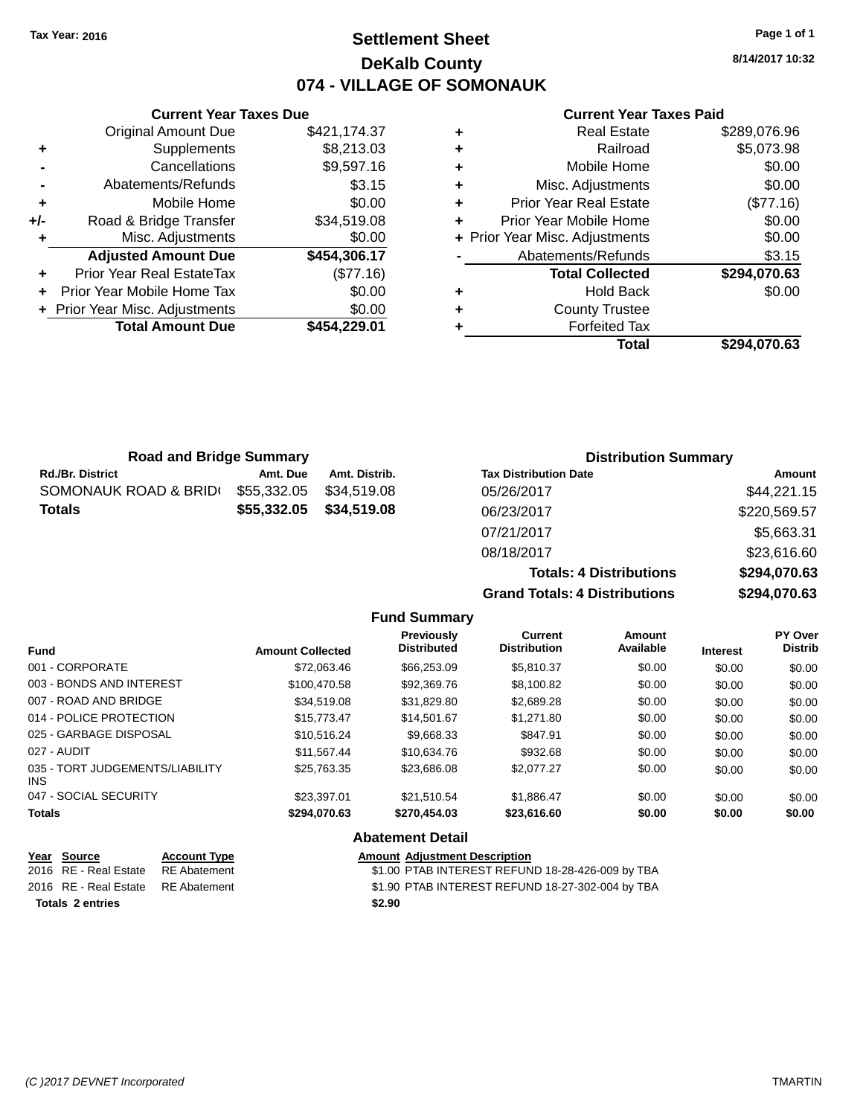# **Settlement Sheet Tax Year: 2016 Page 1 of 1 DeKalb County 074 - VILLAGE OF SOMONAUK**

**8/14/2017 10:32**

## **Current Year Taxes Paid**

|       | <b>Current Year Taxes Due</b>    |              |  |  |  |
|-------|----------------------------------|--------------|--|--|--|
|       | <b>Original Amount Due</b>       | \$421,174.37 |  |  |  |
| ٠     | Supplements                      | \$8,213.03   |  |  |  |
|       | Cancellations                    | \$9,597.16   |  |  |  |
|       | Abatements/Refunds               | \$3.15       |  |  |  |
| ٠     | Mobile Home                      | \$0.00       |  |  |  |
| $+/-$ | Road & Bridge Transfer           | \$34,519.08  |  |  |  |
|       | Misc. Adjustments                | \$0.00       |  |  |  |
|       | <b>Adjusted Amount Due</b>       | \$454,306.17 |  |  |  |
| ÷     | <b>Prior Year Real EstateTax</b> | (\$77.16)    |  |  |  |
|       | Prior Year Mobile Home Tax       | \$0.00       |  |  |  |
|       | + Prior Year Misc. Adjustments   | \$0.00       |  |  |  |
|       | <b>Total Amount Due</b>          | \$454,229.01 |  |  |  |
|       |                                  |              |  |  |  |

| <b>Road and Bridge Summary</b> |             |               | <b>Distribution Summary</b>    |              |
|--------------------------------|-------------|---------------|--------------------------------|--------------|
| <b>Rd./Br. District</b>        | Amt. Due    | Amt. Distrib. | <b>Tax Distribution Date</b>   | Amount       |
| SOMONAUK ROAD & BRID(          | \$55,332.05 | \$34.519.08   | 05/26/2017                     | \$44,221.15  |
| <b>Totals</b>                  | \$55,332.05 | \$34,519.08   | 06/23/2017                     | \$220,569.57 |
|                                |             |               | 07/21/2017                     | \$5,663.31   |
|                                |             |               | 08/18/2017                     | \$23,616.60  |
|                                |             |               | <b>Totals: 4 Distributions</b> | \$294,070.63 |

**Fund Summary**

 $Grand$ 

|        | Totals: 4 Distributions | \$294,070.63   |
|--------|-------------------------|----------------|
|        | Totals: 4 Distributions | \$294,070.63   |
| urrent | <b>Amount</b>           | <b>PY Over</b> |

| <b>Fund</b>                                                                                  | <b>Amount Collected</b> | <b>Previously</b><br><b>Distributed</b> | <b>Current</b><br><b>Distribution</b>            | <b>Amount</b><br>Available | <b>Interest</b> | PY Over<br><b>Distrib</b> |
|----------------------------------------------------------------------------------------------|-------------------------|-----------------------------------------|--------------------------------------------------|----------------------------|-----------------|---------------------------|
| 001 - CORPORATE                                                                              | \$72.063.46             | \$66,253.09                             | \$5,810.37                                       | \$0.00                     | \$0.00          | \$0.00                    |
| 003 - BONDS AND INTEREST                                                                     | \$100.470.58            | \$92,369.76                             | \$8,100.82                                       | \$0.00                     | \$0.00          | \$0.00                    |
| 007 - ROAD AND BRIDGE                                                                        | \$34,519.08             | \$31,829.80                             | \$2,689.28                                       | \$0.00                     | \$0.00          | \$0.00                    |
| 014 - POLICE PROTECTION                                                                      | \$15,773.47             | \$14,501.67                             | \$1,271.80                                       | \$0.00                     | \$0.00          | \$0.00                    |
| 025 - GARBAGE DISPOSAL                                                                       | \$10.516.24             | \$9,668.33                              | \$847.91                                         | \$0.00                     | \$0.00          | \$0.00                    |
| 027 - AUDIT                                                                                  | \$11,567.44             | \$10,634.76                             | \$932.68                                         | \$0.00                     | \$0.00          | \$0.00                    |
| 035 - TORT JUDGEMENTS/LIABILITY<br>INS.                                                      | \$25,763.35             | \$23,686.08                             | \$2,077.27                                       | \$0.00                     | \$0.00          | \$0.00                    |
| 047 - SOCIAL SECURITY                                                                        | \$23,397.01             | \$21,510.54                             | \$1,886.47                                       | \$0.00                     | \$0.00          | \$0.00                    |
| <b>Totals</b>                                                                                | \$294.070.63            | \$270,454.03                            | \$23,616,60                                      | \$0.00                     | \$0.00          | \$0.00                    |
|                                                                                              |                         | <b>Abatement Detail</b>                 |                                                  |                            |                 |                           |
| Year<br><b>Source</b><br><b>Account Type</b><br>2016 RF - Real Estate<br><b>RF</b> Abatement |                         | <b>Amount Adiustment Description</b>    | \$1.00 PTAB INTEREST REFUND 18-28-426-009 by TBA |                            |                 |                           |

| <b>Totals 2 entries</b> |                                    |  | \$2.90 |                                                  |  |  |
|-------------------------|------------------------------------|--|--------|--------------------------------------------------|--|--|
|                         | 2016 RE - Real Estate RE Abatement |  |        | \$1.90 PTAB INTEREST REFUND 18-27-302-004 by TBA |  |  |
|                         | 2016 RE - Real Estate RE Abatement |  |        | \$1.00 PTAB INTEREST REFUND 18-28-426-009 by TBA |  |  |
|                         |                                    |  |        |                                                  |  |  |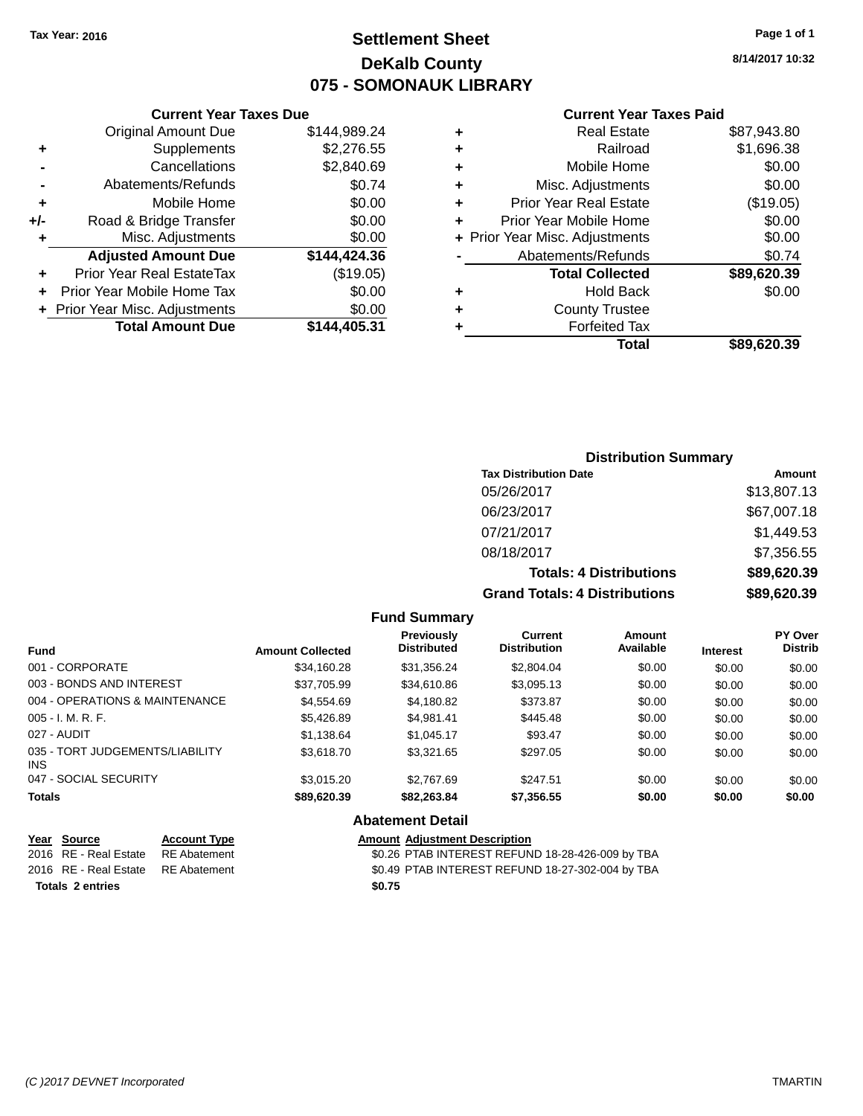# **Settlement Sheet Tax Year: 2016 Page 1 of 1 DeKalb County 075 - SOMONAUK LIBRARY**

**8/14/2017 10:32**

#### **Current Year Taxes Paid**

|       | <b>Current Year Taxes Due</b>  |              |
|-------|--------------------------------|--------------|
|       | <b>Original Amount Due</b>     | \$144,989.24 |
| ٠     | Supplements                    | \$2,276.55   |
|       | Cancellations                  | \$2,840.69   |
|       | Abatements/Refunds             | \$0.74       |
| ٠     | Mobile Home                    | \$0.00       |
| $+/-$ | Road & Bridge Transfer         | \$0.00       |
| ٠     | Misc. Adjustments              | \$0.00       |
|       | <b>Adjusted Amount Due</b>     | \$144,424.36 |
| ٠     | Prior Year Real EstateTax      | (\$19.05)    |
| ÷     | Prior Year Mobile Home Tax     | \$0.00       |
|       | + Prior Year Misc. Adjustments | \$0.00       |
|       | <b>Total Amount Due</b>        | \$144.405.31 |
|       |                                |              |

| ٠ | <b>Real Estate</b>             | \$87,943.80 |
|---|--------------------------------|-------------|
| ٠ | Railroad                       | \$1,696.38  |
| ٠ | Mobile Home                    | \$0.00      |
| ٠ | Misc. Adjustments              | \$0.00      |
| ٠ | <b>Prior Year Real Estate</b>  | (\$19.05)   |
| ٠ | Prior Year Mobile Home         | \$0.00      |
|   | + Prior Year Misc. Adjustments | \$0.00      |
|   | Abatements/Refunds             | \$0.74      |
|   | <b>Total Collected</b>         | \$89,620.39 |
| ٠ | <b>Hold Back</b>               | \$0.00      |
| ٠ | <b>County Trustee</b>          |             |
| ٠ | <b>Forfeited Tax</b>           |             |
|   | Total                          | \$89,620,39 |

# **Distribution Summary Tax Distribution Date Amount** 05/26/2017 \$13,807.13 06/23/2017 \$67,007.18 07/21/2017 \$1,449.53 08/18/2017 \$7,356.55 **Totals: 4 Distributions \$89,620.39 Grand Totals: 4 Distributions \$89,620.39**

#### **Fund Summary**

| <b>Fund</b>                             | <b>Amount Collected</b> | <b>Previously</b><br><b>Distributed</b> | Current<br><b>Distribution</b> | Amount<br>Available | <b>Interest</b> | <b>PY Over</b><br><b>Distrib</b> |
|-----------------------------------------|-------------------------|-----------------------------------------|--------------------------------|---------------------|-----------------|----------------------------------|
| 001 - CORPORATE                         | \$34,160.28             | \$31,356.24                             | \$2,804.04                     | \$0.00              | \$0.00          | \$0.00                           |
| 003 - BONDS AND INTEREST                | \$37.705.99             | \$34,610.86                             | \$3,095.13                     | \$0.00              | \$0.00          | \$0.00                           |
| 004 - OPERATIONS & MAINTENANCE          | \$4,554.69              | \$4,180.82                              | \$373.87                       | \$0.00              | \$0.00          | \$0.00                           |
| $005 - I. M. R. F.$                     | \$5,426.89              | \$4,981.41                              | \$445.48                       | \$0.00              | \$0.00          | \$0.00                           |
| 027 - AUDIT                             | \$1,138.64              | \$1,045.17                              | \$93.47                        | \$0.00              | \$0.00          | \$0.00                           |
| 035 - TORT JUDGEMENTS/LIABILITY<br>INS. | \$3,618.70              | \$3.321.65                              | \$297.05                       | \$0.00              | \$0.00          | \$0.00                           |
| 047 - SOCIAL SECURITY                   | \$3.015.20              | \$2,767.69                              | \$247.51                       | \$0.00              | \$0.00          | \$0.00                           |
| <b>Totals</b>                           | \$89,620.39             | \$82,263.84                             | \$7,356.55                     | \$0.00              | \$0.00          | \$0.00                           |

## **Abatement Detail**

| Year Source                        | <b>Account Type</b> | <b>Amount Adjustment Description</b>             |
|------------------------------------|---------------------|--------------------------------------------------|
| 2016 RE - Real Estate RE Abatement |                     | \$0.26 PTAB INTEREST REFUND 18-28-426-009 by TBA |
| 2016 RE - Real Estate RE Abatement |                     | \$0.49 PTAB INTEREST REFUND 18-27-302-004 by TBA |
| <b>Totals 2 entries</b>            |                     | \$0.75                                           |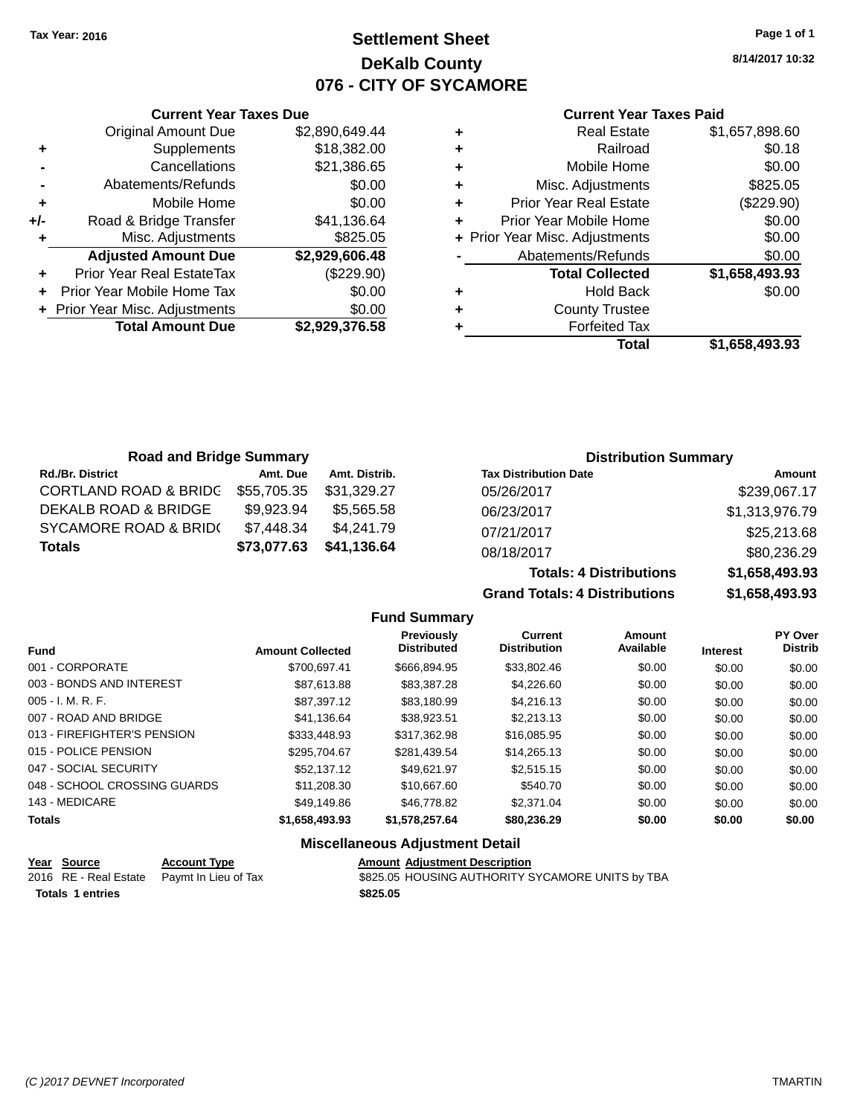# **Settlement Sheet Tax Year: 2016 Page 1 of 1 DeKalb County 076 - CITY OF SYCAMORE**

**8/14/2017 10:32**

### **Current Year Taxes Paid**

|       | <b>Current Year Taxes Due</b>  |                |  |  |  |  |
|-------|--------------------------------|----------------|--|--|--|--|
|       | <b>Original Amount Due</b>     | \$2,890,649.44 |  |  |  |  |
| ٠     | Supplements                    | \$18,382.00    |  |  |  |  |
|       | Cancellations                  | \$21,386.65    |  |  |  |  |
|       | Abatements/Refunds             | \$0.00         |  |  |  |  |
| ٠     | Mobile Home                    | \$0.00         |  |  |  |  |
| $+/-$ | Road & Bridge Transfer         | \$41,136.64    |  |  |  |  |
| ٠     | Misc. Adjustments              | \$825.05       |  |  |  |  |
|       | <b>Adjusted Amount Due</b>     | \$2,929,606.48 |  |  |  |  |
| ÷     | Prior Year Real EstateTax      | (\$229.90)     |  |  |  |  |
|       | Prior Year Mobile Home Tax     | \$0.00         |  |  |  |  |
|       | + Prior Year Misc. Adjustments | \$0.00         |  |  |  |  |
|       | <b>Total Amount Due</b>        | \$2,929,376.58 |  |  |  |  |
|       |                                |                |  |  |  |  |

| ٠ | <b>Real Estate</b>             | \$1,657,898.60 |
|---|--------------------------------|----------------|
| ٠ | Railroad                       | \$0.18         |
| ٠ | Mobile Home                    | \$0.00         |
| ٠ | Misc. Adjustments              | \$825.05       |
| ٠ | <b>Prior Year Real Estate</b>  | (\$229.90)     |
| ÷ | Prior Year Mobile Home         | \$0.00         |
|   | + Prior Year Misc. Adjustments | \$0.00         |
|   | Abatements/Refunds             | \$0.00         |
|   | <b>Total Collected</b>         | \$1,658,493.93 |
| ٠ | <b>Hold Back</b>               | \$0.00         |
| ٠ | <b>County Trustee</b>          |                |
| ٠ | <b>Forfeited Tax</b>           |                |
|   | Total                          | \$1,658,493.93 |
|   |                                |                |

| <b>Road and Bridge Summary</b>   |             |               | <b>Distribution Summary</b>  |                |
|----------------------------------|-------------|---------------|------------------------------|----------------|
| <b>Rd./Br. District</b>          | Amt. Due    | Amt. Distrib. | <b>Tax Distribution Date</b> | Amount         |
| <b>CORTLAND ROAD &amp; BRIDG</b> | \$55,705.35 | \$31,329.27   | 05/26/2017                   | \$239,067.17   |
| DEKALB ROAD & BRIDGE             | \$9,923.94  | \$5.565.58    | 06/23/2017                   | \$1,313,976.79 |
| <b>SYCAMORE ROAD &amp; BRID(</b> | \$7,448.34  | \$4,241.79    | 07/21/2017                   | \$25,213.68    |
| <b>Totals</b>                    | \$73,077.63 | \$41,136.64   | 08/18/2017                   | \$80,236.29    |

|                  |                                         | <b>Totals: 4 Distributions</b>        |                            | \$1,658,493.93  |                                  |
|------------------|-----------------------------------------|---------------------------------------|----------------------------|-----------------|----------------------------------|
|                  |                                         | <b>Grand Totals: 4 Distributions</b>  |                            |                 | \$1,658,493.93                   |
|                  | <b>Fund Summary</b>                     |                                       |                            |                 |                                  |
| <b>Collected</b> | <b>Previously</b><br><b>Distributed</b> | <b>Current</b><br><b>Distribution</b> | <b>Amount</b><br>Available | <b>Interest</b> | <b>PY Over</b><br><b>Distrib</b> |
| 700 CO7 11       | $CCEC$ $OOM$ $DE$                       | <b>COO CCD</b>                        | 0000                       | 0000            | 0000                             |

| <b>Fund</b>                  | <b>Amount Collected</b> | <b>Distributed</b> | <b>Distribution</b> | Available | <b>Interest</b> | <b>Distrib</b> |
|------------------------------|-------------------------|--------------------|---------------------|-----------|-----------------|----------------|
| 001 - CORPORATE              | \$700.697.41            | \$666.894.95       | \$33,802.46         | \$0.00    | \$0.00          | \$0.00         |
| 003 - BONDS AND INTEREST     | \$87,613.88             | \$83,387.28        | \$4,226.60          | \$0.00    | \$0.00          | \$0.00         |
| $005 - I. M. R. F.$          | \$87,397.12             | \$83,180.99        | \$4,216.13          | \$0.00    | \$0.00          | \$0.00         |
| 007 - ROAD AND BRIDGE        | \$41,136.64             | \$38,923.51        | \$2,213.13          | \$0.00    | \$0.00          | \$0.00         |
| 013 - FIREFIGHTER'S PENSION  | \$333,448.93            | \$317.362.98       | \$16,085.95         | \$0.00    | \$0.00          | \$0.00         |
| 015 - POLICE PENSION         | \$295.704.67            | \$281,439.54       | \$14,265.13         | \$0.00    | \$0.00          | \$0.00         |
| 047 - SOCIAL SECURITY        | \$52,137,12             | \$49.621.97        | \$2,515.15          | \$0.00    | \$0.00          | \$0.00         |
| 048 - SCHOOL CROSSING GUARDS | \$11,208.30             | \$10,667.60        | \$540.70            | \$0.00    | \$0.00          | \$0.00         |
| 143 - MEDICARE               | \$49,149.86             | \$46,778.82        | \$2,371.04          | \$0.00    | \$0.00          | \$0.00         |
| <b>Totals</b>                | \$1,658,493.93          | \$1,578,257.64     | \$80,236.29         | \$0.00    | \$0.00          | \$0.00         |

## **Miscellaneous Adjustment Detail**

| Year Source             | <b>Account Type</b>                        | <b>Amount Adiustment Description</b>             |
|-------------------------|--------------------------------------------|--------------------------------------------------|
|                         | 2016 RE - Real Estate Paymt In Lieu of Tax | \$825.05 HOUSING AUTHORITY SYCAMORE UNITS by TBA |
| <b>Totals 1 entries</b> |                                            | \$825.05                                         |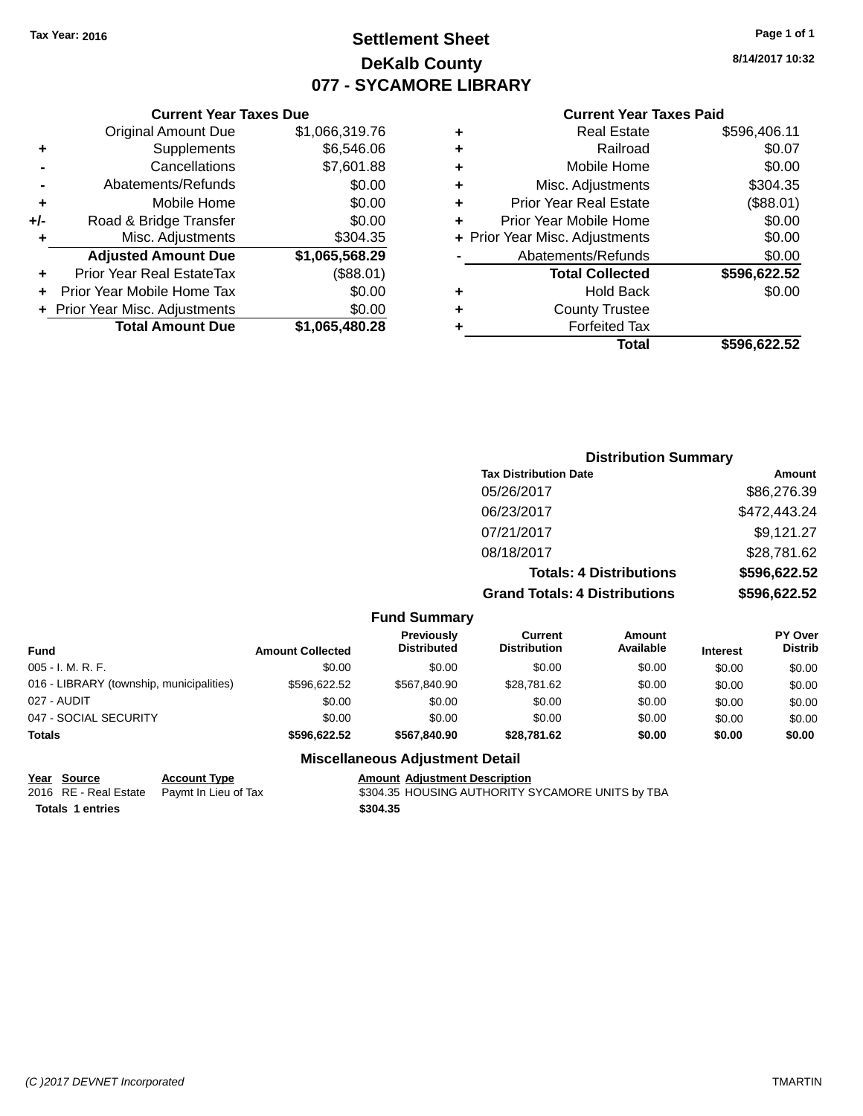# **Settlement Sheet Tax Year: 2016 Page 1 of 1 DeKalb County 077 - SYCAMORE LIBRARY**

**8/14/2017 10:32**

### **Current Year Taxes Paid**

| ٠ | <b>Real Estate</b>             | \$596,406.11 |
|---|--------------------------------|--------------|
| ٠ | Railroad                       | \$0.07       |
| ÷ | Mobile Home                    | \$0.00       |
| ٠ | Misc. Adjustments              | \$304.35     |
| ÷ | <b>Prior Year Real Estate</b>  | (\$88.01)    |
| ٠ | Prior Year Mobile Home         | \$0.00       |
|   | + Prior Year Misc. Adjustments | \$0.00       |
|   | Abatements/Refunds             | \$0.00       |
|   | <b>Total Collected</b>         | \$596,622.52 |
| ٠ | <b>Hold Back</b>               | \$0.00       |
| ٠ | <b>County Trustee</b>          |              |
| ٠ | <b>Forfeited Tax</b>           |              |
|   | Total                          | \$596,622.52 |
|   |                                |              |

|     | <b>Current Year Taxes Due</b>    |                |
|-----|----------------------------------|----------------|
|     | <b>Original Amount Due</b>       | \$1,066,319.76 |
| ٠   | Supplements                      | \$6,546.06     |
|     | Cancellations                    | \$7,601.88     |
|     | Abatements/Refunds               | \$0.00         |
| ٠   | Mobile Home                      | \$0.00         |
| +/- | Road & Bridge Transfer           | \$0.00         |
| ٠   | Misc. Adjustments                | \$304.35       |
|     | <b>Adjusted Amount Due</b>       | \$1,065,568.29 |
| ٠   | <b>Prior Year Real EstateTax</b> | (\$88.01)      |
| ÷   | Prior Year Mobile Home Tax       | \$0.00         |
|     | + Prior Year Misc. Adjustments   | \$0.00         |
|     | <b>Total Amount Due</b>          | \$1,065,480.28 |
|     |                                  |                |

| <b>Distribution Summary</b>          |              |
|--------------------------------------|--------------|
| <b>Tax Distribution Date</b>         | Amount       |
| 05/26/2017                           | \$86,276.39  |
| 06/23/2017                           | \$472,443.24 |
| 07/21/2017                           | \$9,121.27   |
| 08/18/2017                           | \$28,781.62  |
| <b>Totals: 4 Distributions</b>       | \$596,622.52 |
| <b>Grand Totals: 4 Distributions</b> | \$596,622.52 |

## **Fund Summary**

| Fund                                     | <b>Amount Collected</b> | <b>Previously</b><br><b>Distributed</b> | Current<br><b>Distribution</b> | Amount<br>Available | <b>Interest</b> | <b>PY Over</b><br><b>Distrib</b> |
|------------------------------------------|-------------------------|-----------------------------------------|--------------------------------|---------------------|-----------------|----------------------------------|
| 005 - I. M. R. F.                        | \$0.00                  | \$0.00                                  | \$0.00                         | \$0.00              | \$0.00          | \$0.00                           |
| 016 - LIBRARY (township, municipalities) | \$596.622.52            | \$567,840.90                            | \$28,781.62                    | \$0.00              | \$0.00          | \$0.00                           |
| 027 - AUDIT                              | \$0.00                  | \$0.00                                  | \$0.00                         | \$0.00              | \$0.00          | \$0.00                           |
| 047 - SOCIAL SECURITY                    | \$0.00                  | \$0.00                                  | \$0.00                         | \$0.00              | \$0.00          | \$0.00                           |
| <b>Totals</b>                            | \$596.622.52            | \$567,840,90                            | \$28,781.62                    | \$0.00              | \$0.00          | \$0.00                           |

## **Miscellaneous Adjustment Detail**

| Year Source             | <b>Account Type</b>                        | <b>Amount Adjustment Description</b>             |
|-------------------------|--------------------------------------------|--------------------------------------------------|
|                         | 2016 RE - Real Estate Paymt In Lieu of Tax | \$304.35 HOUSING AUTHORITY SYCAMORE UNITS by TBA |
| <b>Totals 1 entries</b> |                                            | \$304.35                                         |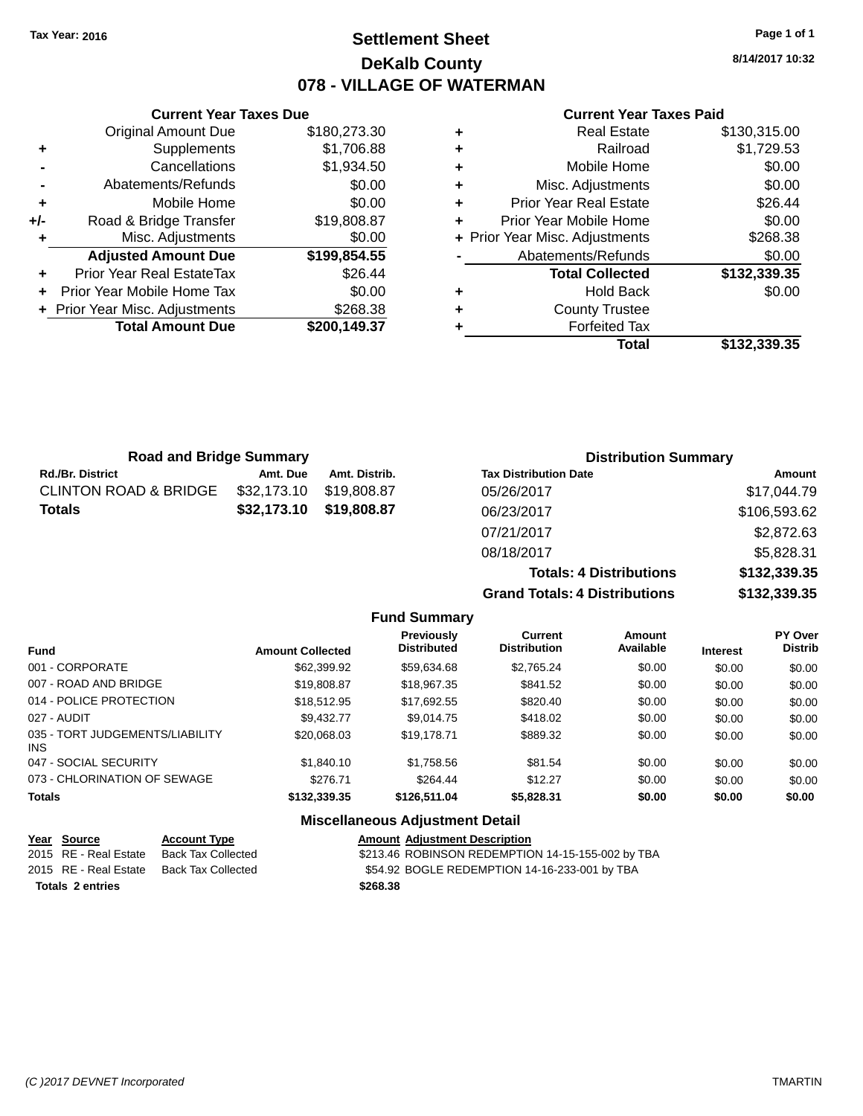# **Settlement Sheet Tax Year: 2016 Page 1 of 1 DeKalb County 078 - VILLAGE OF WATERMAN**

**8/14/2017 10:32**

#### **Current Year Taxes Paid**

|       | <b>Original Amount Due</b>     | \$180,273.30 |
|-------|--------------------------------|--------------|
| ٠     | Supplements                    | \$1,706.88   |
|       | Cancellations                  | \$1,934.50   |
|       | Abatements/Refunds             | \$0.00       |
| ٠     | Mobile Home                    | \$0.00       |
| $+/-$ | Road & Bridge Transfer         | \$19,808.87  |
| ٠     | Misc. Adjustments              | \$0.00       |
|       | <b>Adjusted Amount Due</b>     | \$199,854.55 |
| ٠     | Prior Year Real EstateTax      | \$26.44      |
|       | Prior Year Mobile Home Tax     | \$0.00       |
|       | + Prior Year Misc. Adjustments | \$268.38     |
|       | <b>Total Amount Due</b>        | \$200,149.37 |
|       |                                |              |

**Current Year Taxes Due**

| <b>Real Estate</b>             | \$130,315.00 |
|--------------------------------|--------------|
| Railroad                       | \$1,729.53   |
| Mobile Home                    | \$0.00       |
| Misc. Adjustments              | \$0.00       |
| <b>Prior Year Real Estate</b>  | \$26.44      |
| Prior Year Mobile Home         | \$0.00       |
| + Prior Year Misc. Adjustments | \$268.38     |
| Abatements/Refunds             | \$0.00       |
| <b>Total Collected</b>         | \$132,339.35 |
| <b>Hold Back</b>               | \$0.00       |
| <b>County Trustee</b>          |              |
| <b>Forfeited Tax</b>           |              |
| Total                          | \$132,339.35 |
|                                |              |

| <b>Road and Bridge Summary</b> |             |               | <b>Distribution Summary</b>    |              |
|--------------------------------|-------------|---------------|--------------------------------|--------------|
| Rd./Br. District               | Amt. Due    | Amt. Distrib. | <b>Tax Distribution Date</b>   | Amount       |
| CLINTON ROAD & BRIDGE          | \$32,173.10 | \$19,808.87   | 05/26/2017                     | \$17,044.79  |
| Totals                         | \$32,173.10 | \$19,808.87   | 06/23/2017                     | \$106,593.62 |
|                                |             |               | 07/21/2017                     | \$2,872.63   |
|                                |             |               | 08/18/2017                     | \$5,828.31   |
|                                |             |               | <b>Totals: 4 Distributions</b> | \$132,339.35 |

**Grand Totals: 4 Distributions \$132,339.35**

|                                         |                         | <b>Fund Summary</b>                    |                                       |                     |                 |                           |
|-----------------------------------------|-------------------------|----------------------------------------|---------------------------------------|---------------------|-----------------|---------------------------|
| <b>Fund</b>                             | <b>Amount Collected</b> | Previously<br><b>Distributed</b>       | <b>Current</b><br><b>Distribution</b> | Amount<br>Available | <b>Interest</b> | PY Over<br><b>Distrib</b> |
| 001 - CORPORATE                         | \$62,399.92             | \$59.634.68                            | \$2.765.24                            | \$0.00              | \$0.00          | \$0.00                    |
| 007 - ROAD AND BRIDGE                   | \$19,808.87             | \$18,967.35                            | \$841.52                              | \$0.00              | \$0.00          | \$0.00                    |
| 014 - POLICE PROTECTION                 | \$18.512.95             | \$17,692.55                            | \$820.40                              | \$0.00              | \$0.00          | \$0.00                    |
| 027 - AUDIT                             | \$9.432.77              | \$9.014.75                             | \$418.02                              | \$0.00              | \$0.00          | \$0.00                    |
| 035 - TORT JUDGEMENTS/LIABILITY<br>INS. | \$20,068.03             | \$19,178.71                            | \$889.32                              | \$0.00              | \$0.00          | \$0.00                    |
| 047 - SOCIAL SECURITY                   | \$1,840.10              | \$1,758.56                             | \$81.54                               | \$0.00              | \$0.00          | \$0.00                    |
| 073 - CHLORINATION OF SEWAGE            | \$276.71                | \$264.44                               | \$12.27                               | \$0.00              | \$0.00          | \$0.00                    |
| <b>Totals</b>                           | \$132,339.35            | \$126,511.04                           | \$5,828.31                            | \$0.00              | \$0.00          | \$0.00                    |
|                                         |                         | <b>Miscellaneous Adjustment Detail</b> |                                       |                     |                 |                           |

#### **Year Source Account Type Amount Adjustment Description** \$213.46 ROBINSON REDEMPTION 14-15-155-002 by TBA 2015 RE - Real Estate Back Tax Collected \$54.92 BOGLE REDEMPTION 14-16-233-001 by TBA **Totals 2 entries \$268.38**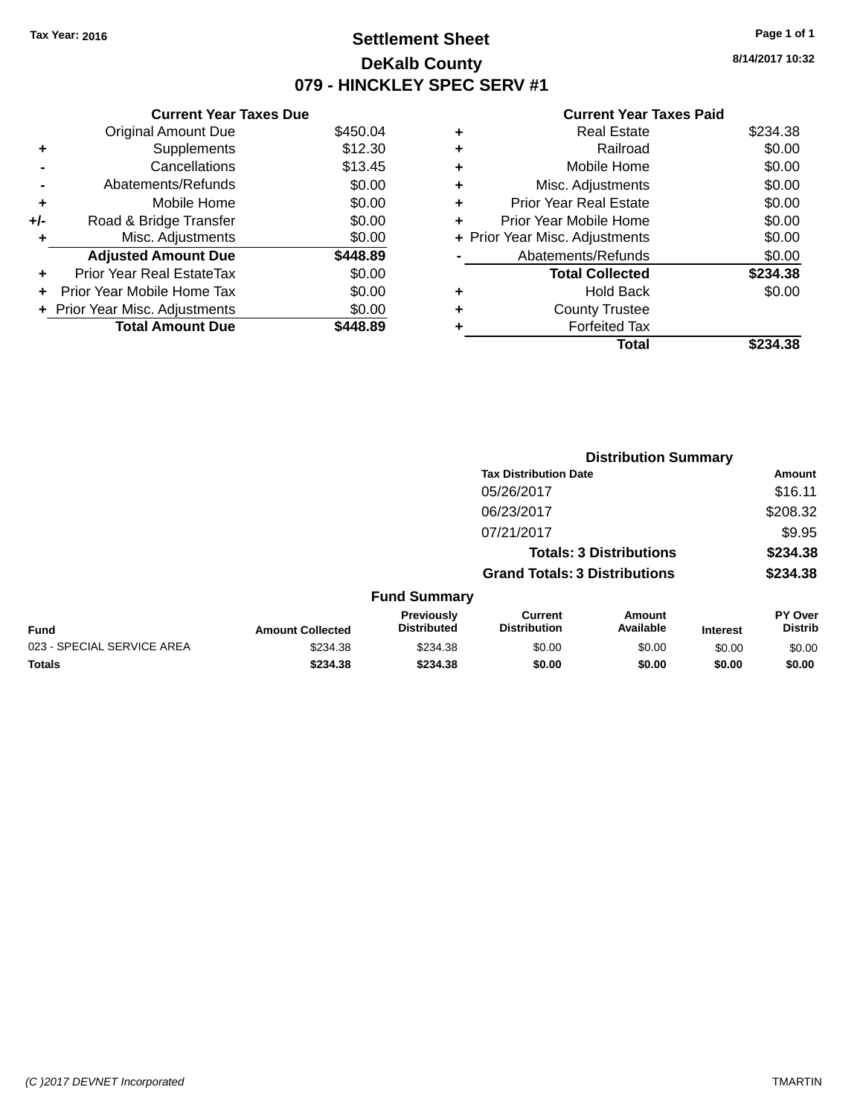# **Settlement Sheet Tax Year: 2016 Page 1 of 1 DeKalb County 079 - HINCKLEY SPEC SERV #1**

**8/14/2017 10:32**

#### **Current Year Taxes Paid**

|     | <b>Current Year Taxes Due</b>  |          |
|-----|--------------------------------|----------|
|     | <b>Original Amount Due</b>     | \$450.04 |
| ٠   | Supplements                    | \$12.30  |
|     | Cancellations                  | \$13.45  |
|     | Abatements/Refunds             | \$0.00   |
| ٠   | Mobile Home                    | \$0.00   |
| +/- | Road & Bridge Transfer         | \$0.00   |
| ٠   | Misc. Adjustments              | \$0.00   |
|     | <b>Adjusted Amount Due</b>     | \$448.89 |
| ٠   | Prior Year Real EstateTax      | \$0.00   |
| ÷   | Prior Year Mobile Home Tax     | \$0.00   |
|     | + Prior Year Misc. Adjustments | \$0.00   |
|     | <b>Total Amount Due</b>        | 48.89    |

|   | <b>Total</b>                   | \$234.38 |
|---|--------------------------------|----------|
|   | <b>Forfeited Tax</b>           |          |
| ٠ | <b>County Trustee</b>          |          |
| ٠ | <b>Hold Back</b>               | \$0.00   |
|   | <b>Total Collected</b>         | \$234.38 |
|   | Abatements/Refunds             | \$0.00   |
|   | + Prior Year Misc. Adjustments | \$0.00   |
| ٠ | Prior Year Mobile Home         | \$0.00   |
| ٠ | <b>Prior Year Real Estate</b>  | \$0.00   |
| ٠ | Misc. Adjustments              | \$0.00   |
| ٠ | Mobile Home                    | \$0.00   |
| ٠ | Railroad                       | \$0.00   |
| ٠ | <b>Real Estate</b>             | \$234.38 |
|   |                                |          |

|                            |                         |                                  |                                       | <b>Distribution Summary</b>    |                 |                           |
|----------------------------|-------------------------|----------------------------------|---------------------------------------|--------------------------------|-----------------|---------------------------|
|                            |                         |                                  | <b>Tax Distribution Date</b>          |                                |                 | <b>Amount</b>             |
|                            |                         |                                  | 05/26/2017                            |                                |                 | \$16.11                   |
|                            |                         |                                  | 06/23/2017                            |                                |                 | \$208.32                  |
|                            |                         |                                  | 07/21/2017                            |                                |                 | \$9.95                    |
|                            |                         |                                  |                                       | <b>Totals: 3 Distributions</b> |                 | \$234.38                  |
|                            |                         |                                  | <b>Grand Totals: 3 Distributions</b>  |                                |                 | \$234.38                  |
|                            |                         | <b>Fund Summary</b>              |                                       |                                |                 |                           |
| <b>Fund</b>                | <b>Amount Collected</b> | Previously<br><b>Distributed</b> | <b>Current</b><br><b>Distribution</b> | Amount<br>Available            | <b>Interest</b> | PY Over<br><b>Distrib</b> |
| 023 - SPECIAL SERVICE AREA | \$234.38                | \$234.38                         | \$0.00                                | \$0.00                         | \$0.00          | \$0.00                    |
| <b>Totals</b>              | \$234.38                | \$234.38                         | \$0.00                                | \$0.00                         | \$0.00          | \$0.00                    |
|                            |                         |                                  |                                       |                                |                 |                           |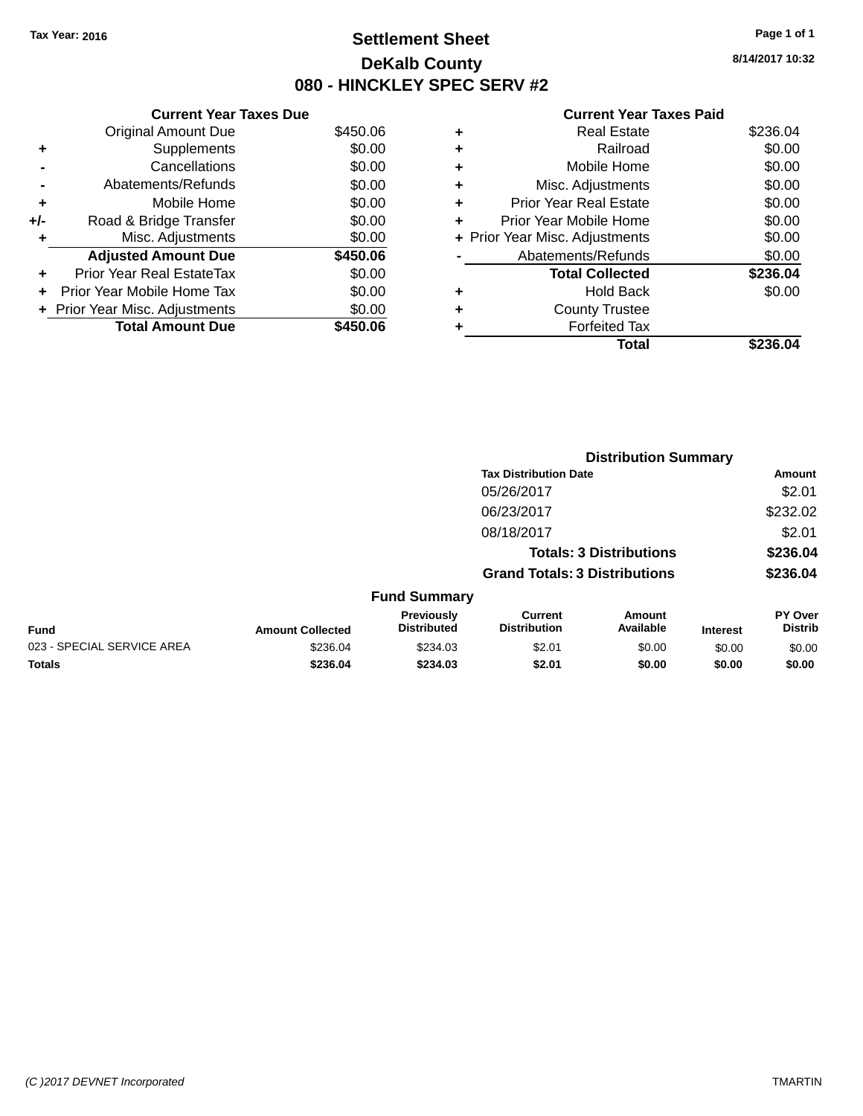# **Settlement Sheet Tax Year: 2016 Page 1 of 1 DeKalb County 080 - HINCKLEY SPEC SERV #2**

**8/14/2017 10:32**

#### **Current Year Taxes Paid**

|       | <b>Current Year Taxes Due</b> |          |
|-------|-------------------------------|----------|
|       | <b>Original Amount Due</b>    | \$450.06 |
| ٠     | Supplements                   | \$0.00   |
|       | Cancellations                 | \$0.00   |
|       | Abatements/Refunds            | \$0.00   |
| ٠     | Mobile Home                   | \$0.00   |
| $+/-$ | Road & Bridge Transfer        | \$0.00   |
| ٠     | Misc. Adjustments             | \$0.00   |
|       | <b>Adjusted Amount Due</b>    | \$450.06 |
| ٠     | Prior Year Real EstateTax     | \$0.00   |
| ÷     | Prior Year Mobile Home Tax    | \$0.00   |
|       | Prior Year Misc. Adjustments  | \$0.00   |
|       | <b>Total Amount Due</b>       | \$450.06 |

|   | <b>Total</b>                   | \$236.04 |
|---|--------------------------------|----------|
|   | <b>Forfeited Tax</b>           |          |
| ٠ | <b>County Trustee</b>          |          |
| ٠ | Hold Back                      | \$0.00   |
|   | <b>Total Collected</b>         | \$236.04 |
|   | Abatements/Refunds             | \$0.00   |
|   | + Prior Year Misc. Adjustments | \$0.00   |
| ٠ | Prior Year Mobile Home         | \$0.00   |
| ٠ | <b>Prior Year Real Estate</b>  | \$0.00   |
| + | Misc. Adjustments              | \$0.00   |
| ٠ | Mobile Home                    | \$0.00   |
| ٠ | Railroad                       | \$0.00   |
| ٠ | <b>Real Estate</b>             | \$236.04 |
|   |                                |          |

|                            |                         |                                         |                                       | <b>Distribution Summary</b>    |                 |                           |
|----------------------------|-------------------------|-----------------------------------------|---------------------------------------|--------------------------------|-----------------|---------------------------|
|                            |                         |                                         | <b>Tax Distribution Date</b>          |                                |                 | <b>Amount</b>             |
|                            |                         |                                         | 05/26/2017                            |                                |                 | \$2.01                    |
|                            |                         |                                         | 06/23/2017                            |                                |                 | \$232.02                  |
|                            |                         |                                         | 08/18/2017                            |                                |                 | \$2.01                    |
|                            |                         |                                         |                                       | <b>Totals: 3 Distributions</b> |                 | \$236.04                  |
|                            |                         |                                         | <b>Grand Totals: 3 Distributions</b>  |                                |                 | \$236.04                  |
|                            |                         | <b>Fund Summary</b>                     |                                       |                                |                 |                           |
| <b>Fund</b>                | <b>Amount Collected</b> | <b>Previously</b><br><b>Distributed</b> | <b>Current</b><br><b>Distribution</b> | Amount<br>Available            | <b>Interest</b> | PY Over<br><b>Distrib</b> |
| 023 - SPECIAL SERVICE AREA | \$236.04                | \$234.03                                | \$2.01                                | \$0.00                         | \$0.00          | \$0.00                    |
| <b>Totals</b>              | \$236.04                | \$234.03                                | \$2.01                                | \$0.00                         | \$0.00          | \$0.00                    |
|                            |                         |                                         |                                       |                                |                 |                           |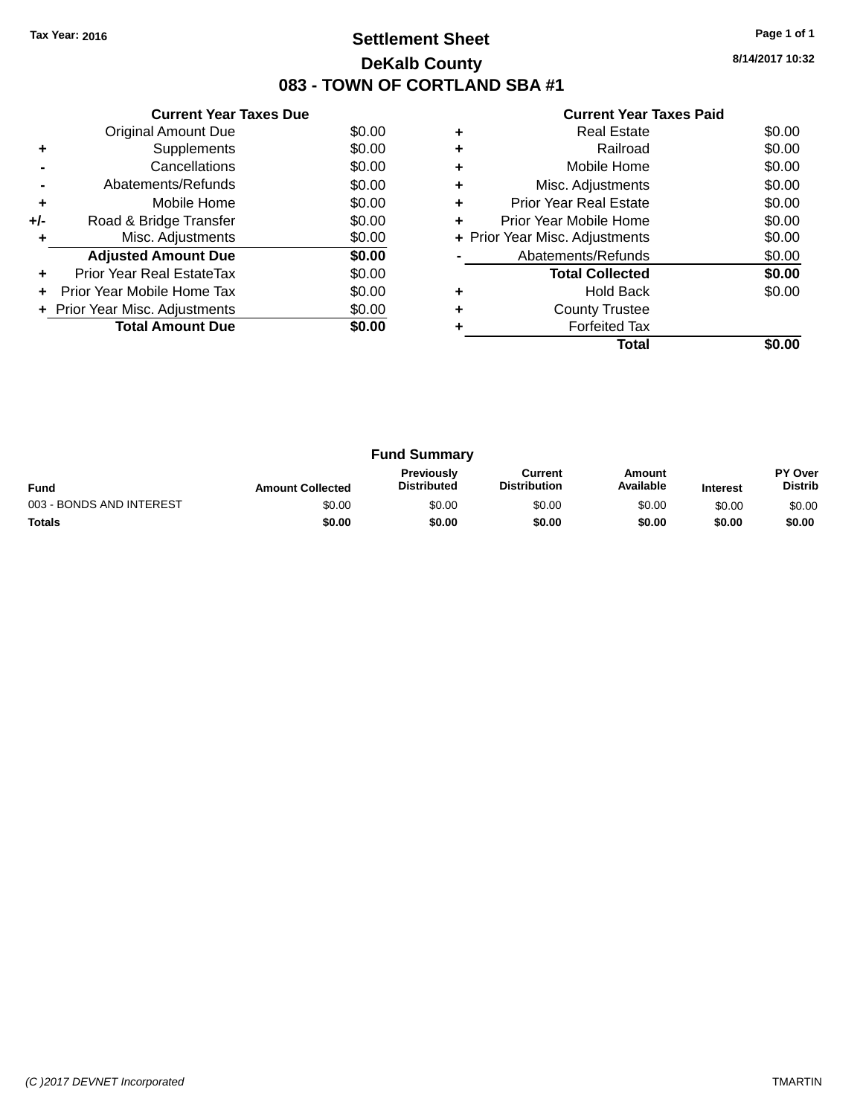# **Settlement Sheet Tax Year: 2016 Page 1 of 1 DeKalb County 083 - TOWN OF CORTLAND SBA #1**

**8/14/2017 10:32**

| <b>Current Year Taxes Paid</b> |
|--------------------------------|
|--------------------------------|

|     | <b>Current Year Taxes Due</b>  |        |
|-----|--------------------------------|--------|
|     | Original Amount Due            | \$0.00 |
| ٠   | Supplements                    | \$0.00 |
|     | Cancellations                  | \$0.00 |
|     | Abatements/Refunds             | \$0.00 |
| ٠   | Mobile Home                    | \$0.00 |
| +/- | Road & Bridge Transfer         | \$0.00 |
|     | Misc. Adjustments              | \$0.00 |
|     | <b>Adjusted Amount Due</b>     | \$0.00 |
| ÷   | Prior Year Real EstateTax      | \$0.00 |
|     | Prior Year Mobile Home Tax     | \$0.00 |
|     | + Prior Year Misc. Adjustments | \$0.00 |
|     | <b>Total Amount Due</b>        | \$0.00 |
|     |                                |        |

|   | Total                          |        |
|---|--------------------------------|--------|
|   | <b>Forfeited Tax</b>           |        |
|   | <b>County Trustee</b>          |        |
|   | <b>Hold Back</b>               | \$0.00 |
|   | <b>Total Collected</b>         | \$0.00 |
|   | Abatements/Refunds             | \$0.00 |
|   | + Prior Year Misc. Adjustments | \$0.00 |
| ٠ | Prior Year Mobile Home         | \$0.00 |
| ÷ | <b>Prior Year Real Estate</b>  | \$0.00 |
| ٠ | Misc. Adjustments              | \$0.00 |
|   | Mobile Home                    | \$0.00 |
|   | Railroad                       | \$0.00 |
|   | <b>Real Estate</b>             | \$0.00 |

|                          |                         | <b>Fund Summary</b>                     |                                |                     |                 |                                  |
|--------------------------|-------------------------|-----------------------------------------|--------------------------------|---------------------|-----------------|----------------------------------|
| <b>Fund</b>              | <b>Amount Collected</b> | <b>Previously</b><br><b>Distributed</b> | Current<br><b>Distribution</b> | Amount<br>Available | <b>Interest</b> | <b>PY Over</b><br><b>Distrib</b> |
| 003 - BONDS AND INTEREST | \$0.00                  | \$0.00                                  | \$0.00                         | \$0.00              | \$0.00          | \$0.00                           |
| <b>Totals</b>            | \$0.00                  | \$0.00                                  | \$0.00                         | \$0.00              | \$0.00          | \$0.00                           |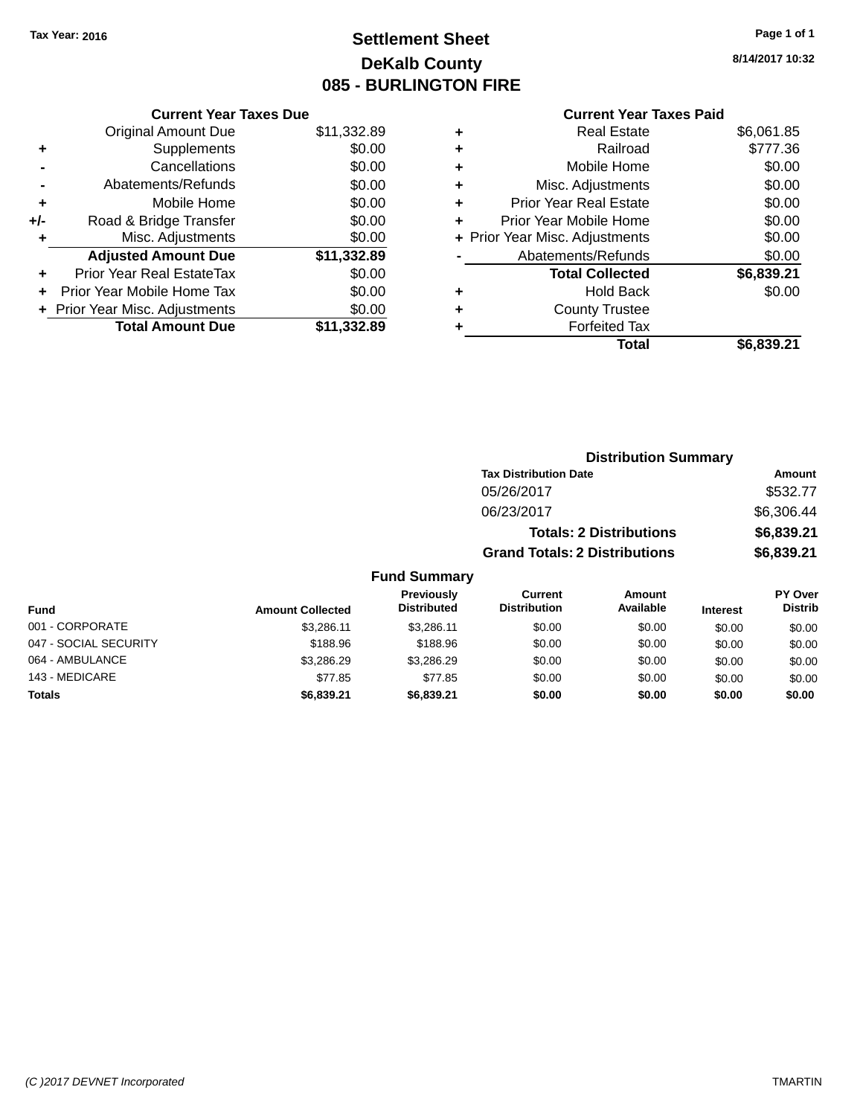# **Settlement Sheet Tax Year: 2016 Page 1 of 1 DeKalb County 085 - BURLINGTON FIRE**

**8/14/2017 10:32**

|       | <b>Current Year Taxes Due</b>  |             |
|-------|--------------------------------|-------------|
|       | <b>Original Amount Due</b>     | \$11,332.89 |
| ٠     | Supplements                    | \$0.00      |
|       | Cancellations                  | \$0.00      |
|       | Abatements/Refunds             | \$0.00      |
| ٠     | Mobile Home                    | \$0.00      |
| $+/-$ | Road & Bridge Transfer         | \$0.00      |
| ٠     | Misc. Adjustments              | \$0.00      |
|       | <b>Adjusted Amount Due</b>     | \$11,332.89 |
|       | Prior Year Real EstateTax      | \$0.00      |
| ٠     | Prior Year Mobile Home Tax     | \$0.00      |
|       | + Prior Year Misc. Adjustments | \$0.00      |
|       | <b>Total Amount Due</b>        | \$11.332.89 |

## **Current Year Taxes Paid**

| ٠ | <b>Real Estate</b>             | \$6,061.85 |
|---|--------------------------------|------------|
| ٠ | Railroad                       | \$777.36   |
| ÷ | Mobile Home                    | \$0.00     |
| ٠ | Misc. Adjustments              | \$0.00     |
| ٠ | <b>Prior Year Real Estate</b>  | \$0.00     |
| ٠ | Prior Year Mobile Home         | \$0.00     |
|   | + Prior Year Misc. Adjustments | \$0.00     |
|   | Abatements/Refunds             | \$0.00     |
|   | <b>Total Collected</b>         | \$6,839.21 |
| ٠ | Hold Back                      | \$0.00     |
| ٠ | <b>County Trustee</b>          |            |
| ٠ | <b>Forfeited Tax</b>           |            |
|   | Total                          | \$6,839.21 |
|   |                                |            |

|                                         |                                      | <b>Distribution Summary</b>    |          |                                  |
|-----------------------------------------|--------------------------------------|--------------------------------|----------|----------------------------------|
|                                         | <b>Tax Distribution Date</b>         |                                |          | Amount                           |
|                                         | 05/26/2017                           |                                |          | \$532.77                         |
|                                         | 06/23/2017                           |                                |          | \$6,306.44                       |
|                                         |                                      | <b>Totals: 2 Distributions</b> |          | \$6,839.21                       |
|                                         | <b>Grand Totals: 2 Distributions</b> |                                |          | \$6,839.21                       |
| <b>Fund Summary</b>                     |                                      |                                |          |                                  |
| <b>Previously</b><br><b>Distributed</b> | Current<br><b>Distribution</b>       | Amount<br>Available            | Interest | <b>PY Over</b><br><b>Distrib</b> |

| Fund                  | <b>Amount Collected</b> | <b>Previously</b><br><b>Distributed</b> | current<br><b>Distribution</b> | Amount<br>Available | <b>Interest</b> | <b>PT OVER</b><br><b>Distrib</b> |
|-----------------------|-------------------------|-----------------------------------------|--------------------------------|---------------------|-----------------|----------------------------------|
| 001 - CORPORATE       | \$3.286.11              | \$3.286.11                              | \$0.00                         | \$0.00              | \$0.00          | \$0.00                           |
| 047 - SOCIAL SECURITY | \$188.96                | \$188.96                                | \$0.00                         | \$0.00              | \$0.00          | \$0.00                           |
| 064 - AMBULANCE       | \$3.286.29              | \$3.286.29                              | \$0.00                         | \$0.00              | \$0.00          | \$0.00                           |
| 143 - MEDICARE        | \$77.85                 | \$77.85                                 | \$0.00                         | \$0.00              | \$0.00          | \$0.00                           |
| <b>Totals</b>         | \$6,839.21              | \$6,839,21                              | \$0.00                         | \$0.00              | \$0.00          | \$0.00                           |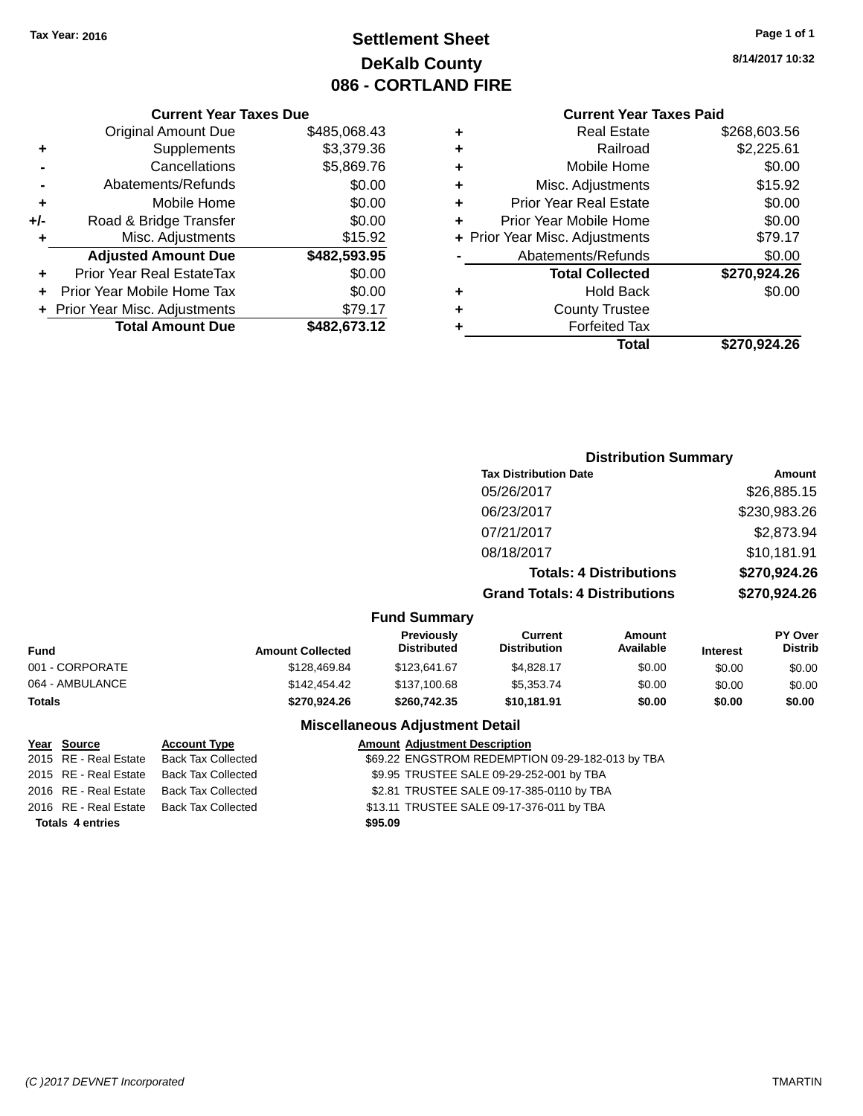# **Settlement Sheet Tax Year: 2016 Page 1 of 1 DeKalb County 086 - CORTLAND FIRE**

**8/14/2017 10:32**

## **Current Year Taxes Paid**

|     | <b>Current Year Taxes Due</b>  |              |
|-----|--------------------------------|--------------|
|     | <b>Original Amount Due</b>     | \$485,068.43 |
| ٠   | Supplements                    | \$3,379.36   |
|     | Cancellations                  | \$5,869.76   |
|     | Abatements/Refunds             | \$0.00       |
| ٠   | Mobile Home                    | \$0.00       |
| +/- | Road & Bridge Transfer         | \$0.00       |
|     | Misc. Adjustments              | \$15.92      |
|     | <b>Adjusted Amount Due</b>     | \$482,593.95 |
| ٠   | Prior Year Real EstateTax      | \$0.00       |
|     | Prior Year Mobile Home Tax     | \$0.00       |
|     | + Prior Year Misc. Adjustments | \$79.17      |
|     | <b>Total Amount Due</b>        | \$482,673.12 |
|     |                                |              |

|   | <b>Real Estate</b>             | \$268,603.56 |
|---|--------------------------------|--------------|
| ٠ | Railroad                       | \$2,225.61   |
| ٠ | Mobile Home                    | \$0.00       |
| ٠ | Misc. Adjustments              | \$15.92      |
| ٠ | <b>Prior Year Real Estate</b>  | \$0.00       |
| ٠ | Prior Year Mobile Home         | \$0.00       |
|   | + Prior Year Misc. Adjustments | \$79.17      |
|   | Abatements/Refunds             | \$0.00       |
|   | <b>Total Collected</b>         | \$270,924.26 |
| ٠ | <b>Hold Back</b>               | \$0.00       |
| ٠ | <b>County Trustee</b>          |              |
| ٠ | <b>Forfeited Tax</b>           |              |
|   | Total                          | \$270.924.26 |
|   |                                |              |

|                                    | <b>Distribution Summary</b>          |                                |                                |  |
|------------------------------------|--------------------------------------|--------------------------------|--------------------------------|--|
|                                    | <b>Tax Distribution Date</b>         | Amount                         |                                |  |
|                                    | 05/26/2017                           |                                | \$26,885.15                    |  |
|                                    | 06/23/2017                           |                                | \$230,983.26                   |  |
|                                    | 07/21/2017                           |                                | \$2,873.94                     |  |
|                                    | 08/18/2017                           |                                | \$10,181.91                    |  |
|                                    |                                      | <b>Totals: 4 Distributions</b> | \$270,924.26                   |  |
|                                    | <b>Grand Totals: 4 Distributions</b> |                                | \$270,924.26                   |  |
| <b>Fund Summary</b>                |                                      |                                |                                |  |
| <b>Previously</b><br>Diatoile de d | Current<br>Distribution              | Amount<br>$A - A$              | <b>PY Over</b><br><b>DEALL</b> |  |

| <b>Fund</b>     | <b>Amount Collected</b> | .<br><b>Distributed</b> | -------<br><b>Distribution</b> | .<br>Available | <b>Interest</b> | .<br><b>Distrib</b> |
|-----------------|-------------------------|-------------------------|--------------------------------|----------------|-----------------|---------------------|
| 001 - CORPORATE | \$128,469.84            | \$123.641.67            | \$4.828.17                     | \$0.00         | \$0.00          | \$0.00              |
| 064 - AMBULANCE | \$142,454.42            | \$137,100.68            | \$5.353.74                     | \$0.00         | \$0.00          | \$0.00              |
| <b>Totals</b>   | \$270.924.26            | \$260.742.35            | \$10.181.91                    | \$0.00         | \$0.00          | \$0.00              |
|                 |                         |                         |                                |                |                 |                     |

**Totals 4 entries \$95.09**

**Miscellaneous Adjustment Detail Year Source Account Type Amount Adjustment Description** \$69.22 ENGSTROM REDEMPTION 09-29-182-013 by TBA 2015 RE - Real Estate Back Tax Collected \$9.95 TRUSTEE SALE 09-29-252-001 by TBA 2016 RE - Real Estate Back Tax Collected \$2.81 TRUSTEE SALE 09-17-385-0110 by TBA 2016 RE - Real Estate Back Tax Collected \$13.11 TRUSTEE SALE 09-17-376-011 by TBA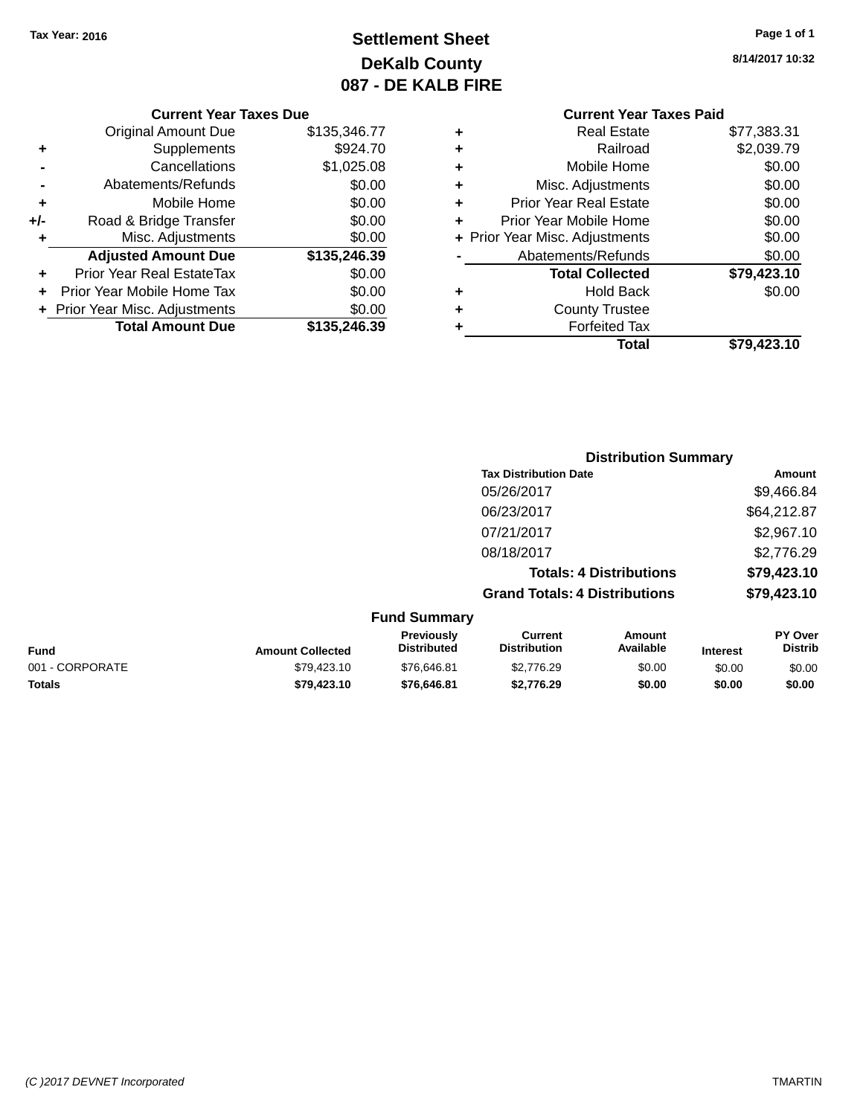# **Settlement Sheet Tax Year: 2016 Page 1 of 1 DeKalb County 087 - DE KALB FIRE**

**8/14/2017 10:32**

# **Current Year Taxes Paid +** Real Estate \$77,383.31

|     | <b>Original Amount Due</b>       | \$135,346.77 |
|-----|----------------------------------|--------------|
| ٠   | Supplements                      | \$924.70     |
|     | Cancellations                    | \$1,025.08   |
|     | Abatements/Refunds               | \$0.00       |
| ÷   | Mobile Home                      | \$0.00       |
| +/- | Road & Bridge Transfer           | \$0.00       |
| ٠   | Misc. Adjustments                | \$0.00       |
|     | <b>Adjusted Amount Due</b>       | \$135,246.39 |
| ٠   | <b>Prior Year Real EstateTax</b> | \$0.00       |
|     | Prior Year Mobile Home Tax       | \$0.00       |
|     | + Prior Year Misc. Adjustments   | \$0.00       |
|     | <b>Total Amount Due</b>          | \$135,246.39 |

**Current Year Taxes Due**

|   | Total                          | \$79,423.10         |
|---|--------------------------------|---------------------|
|   | <b>Forfeited Tax</b>           |                     |
| ÷ | <b>County Trustee</b>          |                     |
| ٠ | <b>Hold Back</b>               | \$0.00              |
|   | <b>Total Collected</b>         | \$79,423.10         |
|   | Abatements/Refunds             | \$0.00              |
|   | + Prior Year Misc. Adjustments | \$0.00              |
| ٠ | Prior Year Mobile Home         | \$0.00              |
| ٠ | <b>Prior Year Real Estate</b>  | \$0.00              |
| ٠ | Misc. Adjustments              | \$0.00              |
| ٠ | Mobile Home                    | \$0.00              |
| ÷ | Railroad                       | \$2,039.79          |
| Ŧ | NGAI CSIAIG                    | <b>JI 1,000.</b> JI |

|                     |                                      | <b>Distribution Summary</b>    |                |
|---------------------|--------------------------------------|--------------------------------|----------------|
|                     | <b>Tax Distribution Date</b>         |                                | Amount         |
|                     | 05/26/2017                           |                                | \$9,466.84     |
|                     | 06/23/2017                           |                                | \$64,212.87    |
|                     | 07/21/2017                           |                                | \$2,967.10     |
|                     | 08/18/2017                           |                                | \$2,776.29     |
|                     |                                      | <b>Totals: 4 Distributions</b> | \$79,423.10    |
|                     | <b>Grand Totals: 4 Distributions</b> |                                | \$79,423.10    |
| <b>Fund Summary</b> |                                      |                                |                |
| <b>Previously</b>   | Current                              | Amount                         | <b>PY Over</b> |

| <b>Fund</b>     | <b>Amount Collected</b> | <b>Previously</b><br><b>Distributed</b> | Current<br><b>Distribution</b> | Amount<br>Available | <b>Interest</b> | <b>PY Over</b><br>Distrib |
|-----------------|-------------------------|-----------------------------------------|--------------------------------|---------------------|-----------------|---------------------------|
| 001 - CORPORATE | \$79.423.10             | \$76,646.81                             | \$2,776.29                     | \$0.00              | \$0.00          | \$0.00                    |
| <b>Totals</b>   | \$79.423.10             | \$76,646.81                             | \$2,776.29                     | \$0.00              | \$0.00          | \$0.00                    |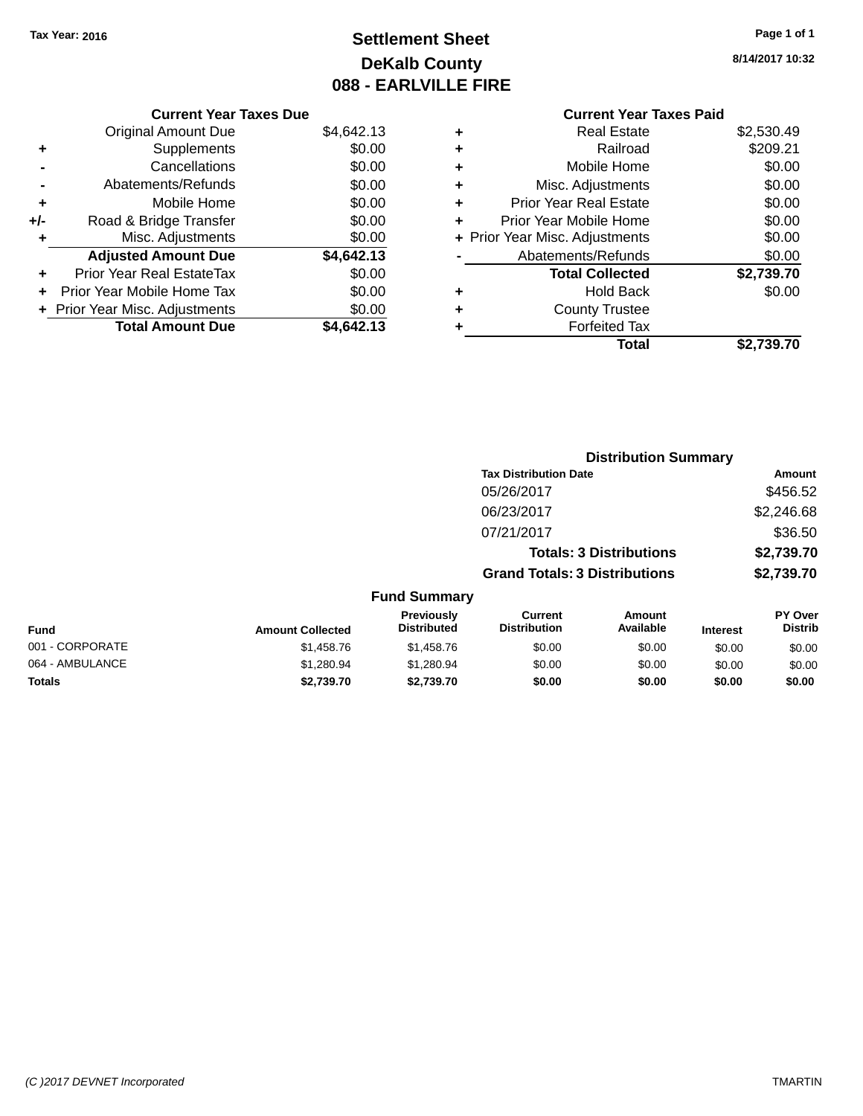# **Settlement Sheet Tax Year: 2016 Page 1 of 1 DeKalb County 088 - EARLVILLE FIRE**

**8/14/2017 10:32**

|     | <b>Current Year Taxes Due</b>  |            |
|-----|--------------------------------|------------|
|     | <b>Original Amount Due</b>     | \$4,642.13 |
| ÷   | Supplements                    | \$0.00     |
|     | Cancellations                  | \$0.00     |
|     | Abatements/Refunds             | \$0.00     |
| ٠   | Mobile Home                    | \$0.00     |
| +/- | Road & Bridge Transfer         | \$0.00     |
| ٠   | Misc. Adjustments              | \$0.00     |
|     | <b>Adjusted Amount Due</b>     | \$4,642.13 |
| ٠   | Prior Year Real EstateTax      | \$0.00     |
| ÷   | Prior Year Mobile Home Tax     | \$0.00     |
|     | + Prior Year Misc. Adjustments | \$0.00     |
|     | <b>Total Amount Due</b>        | \$4.642.13 |

# **Current Year Taxes Paid**

| ٠ | <b>Real Estate</b>             | \$2,530.49 |
|---|--------------------------------|------------|
| ٠ | Railroad                       | \$209.21   |
| ٠ | Mobile Home                    | \$0.00     |
| ٠ | Misc. Adjustments              | \$0.00     |
| ٠ | <b>Prior Year Real Estate</b>  | \$0.00     |
| ٠ | Prior Year Mobile Home         | \$0.00     |
|   | + Prior Year Misc. Adjustments | \$0.00     |
|   | Abatements/Refunds             | \$0.00     |
|   | <b>Total Collected</b>         | \$2,739.70 |
| ٠ | <b>Hold Back</b>               | \$0.00     |
| ٠ | <b>County Trustee</b>          |            |
| ٠ | <b>Forfeited Tax</b>           |            |
|   | Total                          | \$2,739.70 |
|   |                                |            |

|                 |                         | <b>Distribution Summary</b>      |                                      |                                |                 |                                  |  |
|-----------------|-------------------------|----------------------------------|--------------------------------------|--------------------------------|-----------------|----------------------------------|--|
|                 |                         |                                  | <b>Tax Distribution Date</b>         |                                |                 | Amount                           |  |
|                 |                         |                                  | 05/26/2017                           |                                |                 | \$456.52                         |  |
|                 |                         |                                  | 06/23/2017                           |                                |                 | \$2,246.68                       |  |
|                 |                         |                                  | 07/21/2017                           |                                |                 | \$36.50                          |  |
|                 |                         |                                  |                                      | <b>Totals: 3 Distributions</b> |                 | \$2,739.70                       |  |
|                 |                         |                                  | <b>Grand Totals: 3 Distributions</b> |                                |                 | \$2,739.70                       |  |
|                 |                         | <b>Fund Summary</b>              |                                      |                                |                 |                                  |  |
| Fund            | <b>Amount Collected</b> | Previously<br><b>Distributed</b> | Current<br><b>Distribution</b>       | <b>Amount</b><br>Available     | <b>Interest</b> | <b>PY Over</b><br><b>Distrib</b> |  |
| 001 - CORPORATE | \$1,458.76              | \$1,458.76                       | \$0.00                               | \$0.00                         | \$0.00          | \$0.00                           |  |
| 064 - AMBULANCE | \$1,280.94              | \$1,280.94                       | \$0.00                               | \$0.00                         | \$0.00          | \$0.00                           |  |
| <b>Totals</b>   | \$2,739.70              | \$2,739.70                       | \$0.00                               | \$0.00                         | \$0.00          | \$0.00                           |  |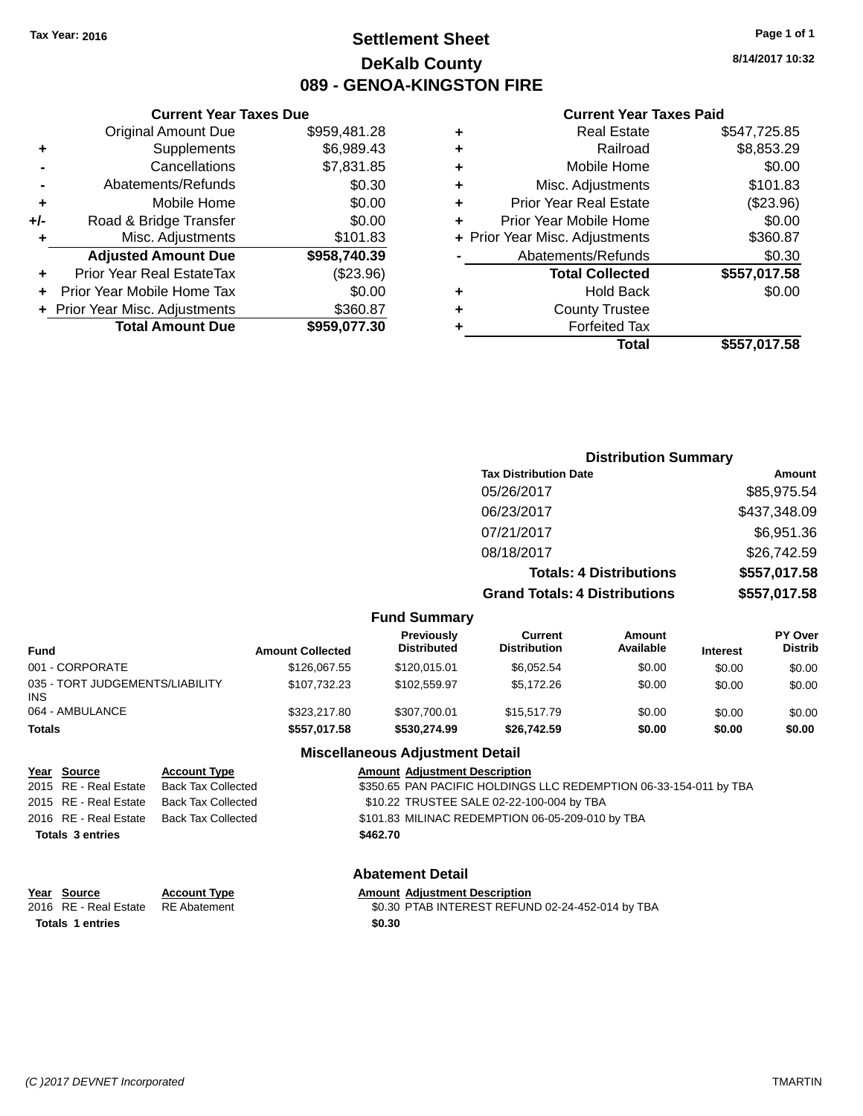# **Settlement Sheet Tax Year: 2016 Page 1 of 1 DeKalb County 089 - GENOA-KINGSTON FIRE**

**8/14/2017 10:32**

### **Current Year Taxes Paid**

|     | <b>Total Amount Due</b>          | \$959,077.30 |   |
|-----|----------------------------------|--------------|---|
|     | + Prior Year Misc. Adjustments   | \$360.87     | ٠ |
|     | Prior Year Mobile Home Tax       | \$0.00       |   |
| ÷   | <b>Prior Year Real EstateTax</b> | (\$23.96)    |   |
|     | <b>Adjusted Amount Due</b>       | \$958,740.39 |   |
| ٠   | Misc. Adjustments                | \$101.83     | ٠ |
| +/- | Road & Bridge Transfer           | \$0.00       | ٠ |
| ٠   | Mobile Home                      | \$0.00       | ٠ |
|     | Abatements/Refunds               | \$0.30       | ٠ |
|     | Cancellations                    | \$7,831.85   | ٠ |
| ٠   | Supplements                      | \$6,989.43   | ٠ |
|     | <b>Original Amount Due</b>       | \$959,481.28 | ٠ |
|     |                                  |              |   |

**Current Year Taxes Due**

|   | <b>Real Estate</b>             | \$547,725.85 |
|---|--------------------------------|--------------|
| ٠ | Railroad                       | \$8,853.29   |
| ٠ | Mobile Home                    | \$0.00       |
| ٠ | Misc. Adjustments              | \$101.83     |
| ٠ | <b>Prior Year Real Estate</b>  | (\$23.96)    |
|   | Prior Year Mobile Home         | \$0.00       |
|   | + Prior Year Misc. Adjustments | \$360.87     |
|   | Abatements/Refunds             | \$0.30       |
|   | <b>Total Collected</b>         | \$557,017.58 |
|   | <b>Hold Back</b>               | \$0.00       |
|   | <b>County Trustee</b>          |              |
|   | <b>Forfeited Tax</b>           |              |
|   | Total                          | \$557.017.58 |
|   |                                |              |

|                                                   |                                                  |                         |                                         |                                                                   | <b>Distribution Summary</b>    |                 |                           |
|---------------------------------------------------|--------------------------------------------------|-------------------------|-----------------------------------------|-------------------------------------------------------------------|--------------------------------|-----------------|---------------------------|
|                                                   |                                                  |                         |                                         | <b>Tax Distribution Date</b>                                      |                                |                 | Amount                    |
|                                                   |                                                  |                         |                                         | 05/26/2017                                                        |                                |                 | \$85,975.54               |
|                                                   |                                                  |                         |                                         | 06/23/2017                                                        |                                |                 | \$437,348.09              |
|                                                   |                                                  |                         |                                         | 07/21/2017                                                        |                                |                 | \$6,951.36                |
|                                                   |                                                  |                         |                                         | 08/18/2017                                                        |                                |                 | \$26,742.59               |
|                                                   |                                                  |                         |                                         |                                                                   | <b>Totals: 4 Distributions</b> |                 | \$557,017.58              |
|                                                   |                                                  |                         |                                         | <b>Grand Totals: 4 Distributions</b>                              |                                |                 | \$557,017.58              |
|                                                   |                                                  |                         | <b>Fund Summary</b>                     |                                                                   |                                |                 |                           |
| <b>Fund</b>                                       |                                                  | <b>Amount Collected</b> | <b>Previously</b><br><b>Distributed</b> | <b>Current</b><br><b>Distribution</b>                             | <b>Amount</b><br>Available     | <b>Interest</b> | PY Over<br><b>Distrib</b> |
| 001 - CORPORATE                                   |                                                  | \$126,067.55            | \$120,015.01                            | \$6,052.54                                                        | \$0.00                         | \$0.00          | \$0.00                    |
| 035 - TORT JUDGEMENTS/LIABILITY<br><b>INS</b>     |                                                  | \$107,732.23            | \$102,559.97                            | \$5,172.26                                                        | \$0.00                         | \$0.00          | \$0.00                    |
| 064 - AMBULANCE                                   |                                                  | \$323,217.80            | \$307,700.01                            | \$15,517.79                                                       | \$0.00                         | \$0.00          | \$0.00                    |
| <b>Totals</b>                                     |                                                  | \$557,017.58            | \$530,274.99                            | \$26,742.59                                                       | \$0.00                         | \$0.00          | \$0.00                    |
|                                                   |                                                  |                         | <b>Miscellaneous Adjustment Detail</b>  |                                                                   |                                |                 |                           |
| <b>Source</b><br>Year<br>RE - Real Estate<br>2015 | <b>Account Type</b><br><b>Back Tax Collected</b> |                         | <b>Amount Adjustment Description</b>    | \$350.65 PAN PACIFIC HOLDINGS LLC REDEMPTION 06-33-154-011 by TBA |                                |                 |                           |
| OOLE DE Deel Fetete                               | Dool: Toy Colloctod                              |                         |                                         | $0.40.22$ TDUCTEF CALE 02.32.400.004 by TDA                       |                                |                 |                           |

# 2015 RE - Real Estate Back Tax Collected \$350.65 PAN PACIFIC HOLDINGS LLC REDEMPTION 06-33-154-011 by TBA 2015 RE - Real Estate Back Tax Collected \$10.22 TRUSTEE SALE 02-22-100-004 by TBA 2016 RE - Real Estate Back Tax Collected \$101.83 MILINAC REDEMPTION 06-05-209-010 by TBA **Totals 3 entries \$462.70 Abatement Detail Year Source Account Type Amount Adjustment Description** 2016 RE - Real Estate RE Abatement \$0.30 PTAB INTEREST REFUND 02-24-452-014 by TBA

**Totals 1 entries \$0.30**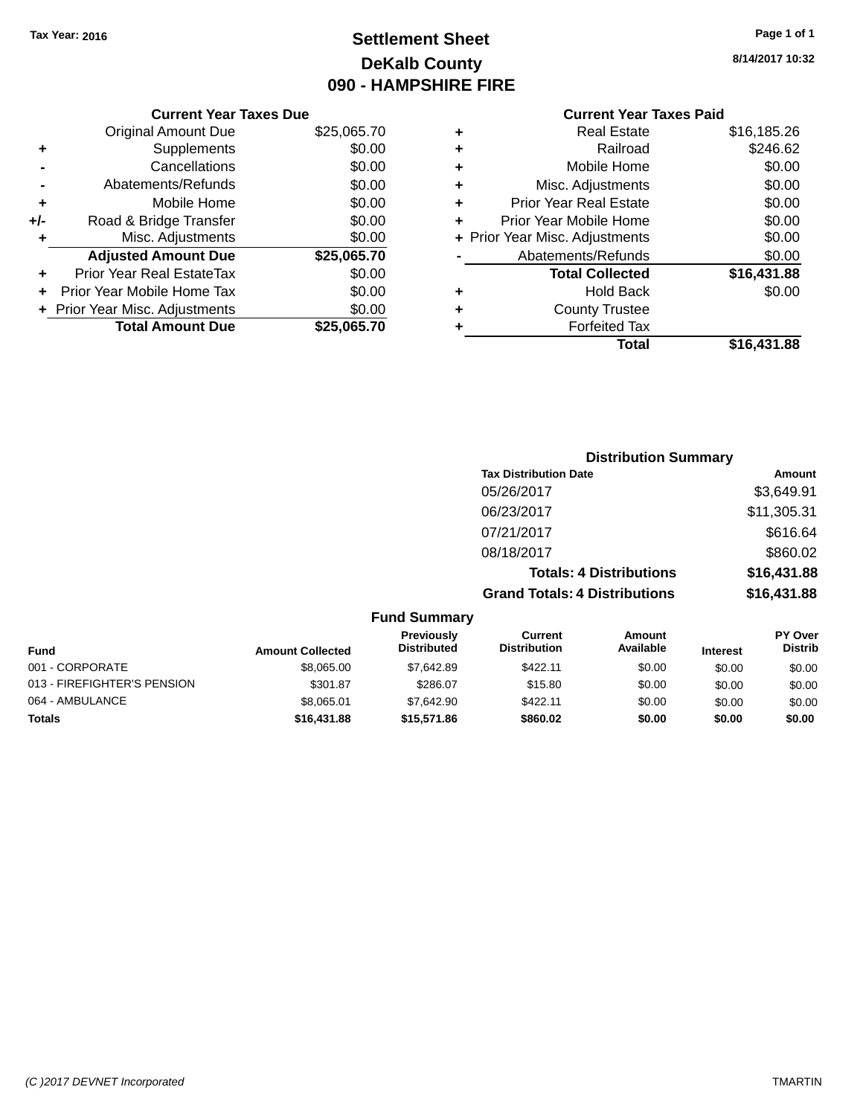# **Settlement Sheet Tax Year: 2016 Page 1 of 1 DeKalb County 090 - HAMPSHIRE FIRE**

**8/14/2017 10:32**

# **Current Year Taxes Paid**

|       | <b>Current Year Taxes Due</b>  |             |
|-------|--------------------------------|-------------|
|       | <b>Original Amount Due</b>     | \$25,065.70 |
| ٠     | Supplements                    | \$0.00      |
|       | Cancellations                  | \$0.00      |
|       | Abatements/Refunds             | \$0.00      |
| ٠     | Mobile Home                    | \$0.00      |
| $+/-$ | Road & Bridge Transfer         | \$0.00      |
| ٠     | Misc. Adjustments              | \$0.00      |
|       | <b>Adjusted Amount Due</b>     | \$25,065.70 |
| ÷     | Prior Year Real EstateTax      | \$0.00      |
|       | Prior Year Mobile Home Tax     | \$0.00      |
|       | + Prior Year Misc. Adjustments | \$0.00      |
|       | <b>Total Amount Due</b>        | \$25,065.70 |
|       |                                |             |

|   | <b>Real Estate</b>             | \$16,185.26 |
|---|--------------------------------|-------------|
| ٠ | Railroad                       | \$246.62    |
| ٠ | Mobile Home                    | \$0.00      |
| ٠ | Misc. Adjustments              | \$0.00      |
| ٠ | <b>Prior Year Real Estate</b>  | \$0.00      |
|   | Prior Year Mobile Home         | \$0.00      |
|   | + Prior Year Misc. Adjustments | \$0.00      |
|   | Abatements/Refunds             | \$0.00      |
|   | <b>Total Collected</b>         | \$16,431.88 |
| ٠ | Hold Back                      | \$0.00      |
| ٠ | <b>County Trustee</b>          |             |
|   | <b>Forfeited Tax</b>           |             |
|   | Total                          | \$16,431.88 |
|   |                                |             |

|                     | <b>Distribution Summary</b>          |             |
|---------------------|--------------------------------------|-------------|
|                     | <b>Tax Distribution Date</b>         | Amount      |
|                     | 05/26/2017                           | \$3,649.91  |
|                     | 06/23/2017                           | \$11,305.31 |
|                     | 07/21/2017                           | \$616.64    |
|                     | 08/18/2017                           | \$860.02    |
|                     | <b>Totals: 4 Distributions</b>       | \$16,431.88 |
|                     | <b>Grand Totals: 4 Distributions</b> | \$16,431.88 |
| <b>Fund Summary</b> |                                      |             |

| <b>Fund</b>                 | <b>Amount Collected</b> | <b>Previously</b><br><b>Distributed</b> | Current<br><b>Distribution</b> | Amount<br>Available | <b>Interest</b> | <b>PY Over</b><br><b>Distrib</b> |
|-----------------------------|-------------------------|-----------------------------------------|--------------------------------|---------------------|-----------------|----------------------------------|
| 001 - CORPORATE             | \$8,065,00              | \$7.642.89                              | \$422.11                       | \$0.00              | \$0.00          | \$0.00                           |
| 013 - FIREFIGHTER'S PENSION | \$301.87                | \$286.07                                | \$15.80                        | \$0.00              | \$0.00          | \$0.00                           |
| 064 - AMBULANCE             | \$8.065.01              | \$7.642.90                              | \$422.11                       | \$0.00              | \$0.00          | \$0.00                           |
| <b>Totals</b>               | \$16,431.88             | \$15,571.86                             | \$860.02                       | \$0.00              | \$0.00          | \$0.00                           |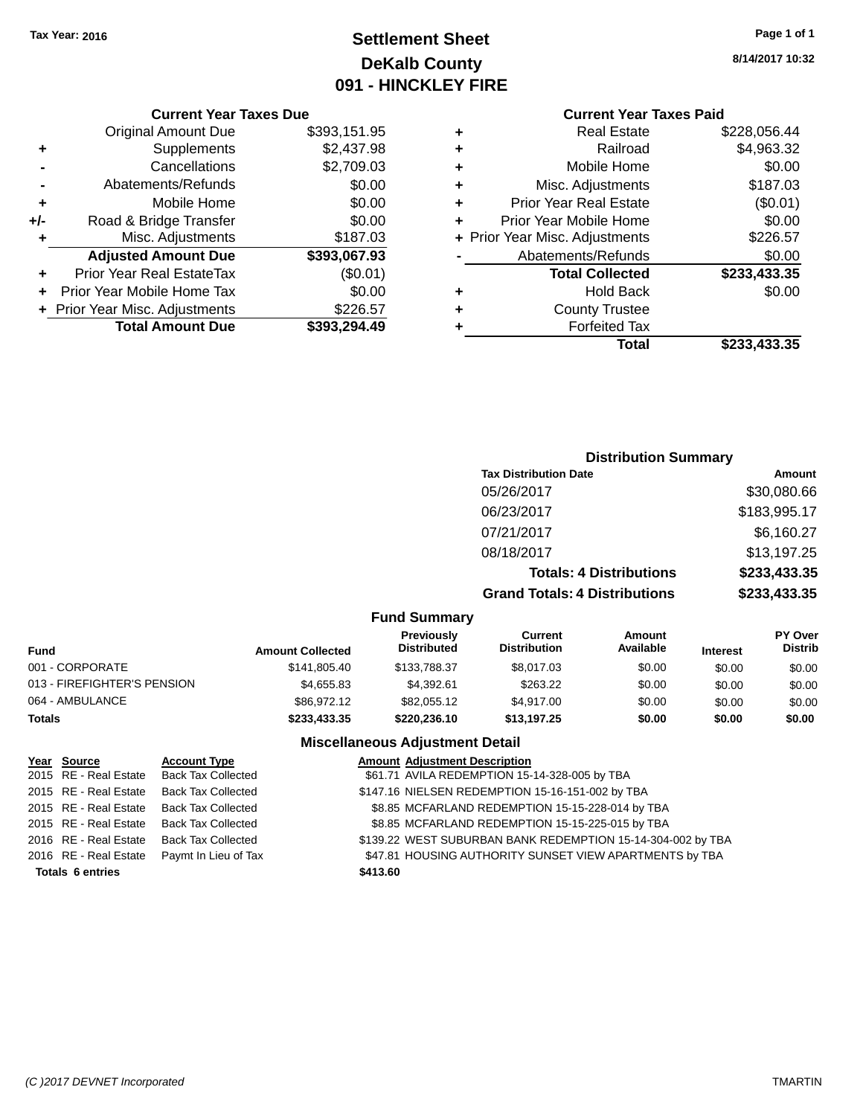# **Settlement Sheet Tax Year: 2016 Page 1 of 1 DeKalb County 091 - HINCKLEY FIRE**

**8/14/2017 10:32**

#### **Current Year Taxes Due**

|     | <b>Original Amount Due</b>       | \$393,151.95 |
|-----|----------------------------------|--------------|
| ٠   | Supplements                      | \$2,437.98   |
|     | Cancellations                    | \$2,709.03   |
|     | Abatements/Refunds               | \$0.00       |
| ٠   | Mobile Home                      | \$0.00       |
| +/- | Road & Bridge Transfer           | \$0.00       |
| ٠   | Misc. Adjustments                | \$187.03     |
|     | <b>Adjusted Amount Due</b>       | \$393,067.93 |
|     | <b>Prior Year Real EstateTax</b> | (\$0.01)     |
|     | Prior Year Mobile Home Tax       | \$0.00       |
|     | + Prior Year Misc. Adjustments   | \$226.57     |
|     | <b>Total Amount Due</b>          | \$393.294.49 |

## **Current Year Taxes Paid**

| ٠ | <b>Real Estate</b>             | \$228,056.44 |
|---|--------------------------------|--------------|
| ٠ | Railroad                       | \$4,963.32   |
| ٠ | Mobile Home                    | \$0.00       |
| ٠ | Misc. Adjustments              | \$187.03     |
| ٠ | <b>Prior Year Real Estate</b>  | (\$0.01)     |
| ٠ | Prior Year Mobile Home         | \$0.00       |
|   | + Prior Year Misc. Adjustments | \$226.57     |
|   | Abatements/Refunds             | \$0.00       |
|   | <b>Total Collected</b>         | \$233,433.35 |
| ٠ | <b>Hold Back</b>               | \$0.00       |
| ٠ | <b>County Trustee</b>          |              |
| ٠ | <b>Forfeited Tax</b>           |              |
|   | Total                          | \$233,433.35 |
|   |                                |              |

# **Distribution Summary Tax Distribution Date Amount** 05/26/2017 \$30,080.66 06/23/2017 \$183,995.17 07/21/2017 \$6,160.27 08/18/2017 \$13,197.25 **Totals: 4 Distributions \$233,433.35 Grand Totals: 4 Distributions \$233,433.35**

#### **Fund Summary**

| Fund                        | <b>Amount Collected</b> | <b>Previously</b><br><b>Distributed</b> | Current<br><b>Distribution</b> | Amount<br>Available | <b>Interest</b> | <b>PY Over</b><br><b>Distrib</b> |
|-----------------------------|-------------------------|-----------------------------------------|--------------------------------|---------------------|-----------------|----------------------------------|
| 001 - CORPORATE             | \$141.805.40            | \$133,788,37                            | \$8,017.03                     | \$0.00              | \$0.00          | \$0.00                           |
| 013 - FIREFIGHTER'S PENSION | \$4.655.83              | \$4.392.61                              | \$263.22                       | \$0.00              | \$0.00          | \$0.00                           |
| 064 - AMBULANCE             | \$86,972.12             | \$82,055.12                             | \$4.917.00                     | \$0.00              | \$0.00          | \$0.00                           |
| Totals                      | \$233,433,35            | \$220,236.10                            | \$13.197.25                    | \$0.00              | \$0.00          | \$0.00                           |

## **Miscellaneous Adjustment Detail**

| Year Source             | <b>Account Type</b>                      | <b>Amount Adjustment Description</b>                        |
|-------------------------|------------------------------------------|-------------------------------------------------------------|
| 2015 RE - Real Estate   | Back Tax Collected                       | \$61.71 AVILA REDEMPTION 15-14-328-005 by TBA               |
| 2015 RE - Real Estate   | <b>Back Tax Collected</b>                | \$147.16 NIELSEN REDEMPTION 15-16-151-002 by TBA            |
| 2015 RE - Real Estate   | Back Tax Collected                       | \$8.85 MCFARLAND REDEMPTION 15-15-228-014 by TBA            |
|                         | 2015 RE - Real Estate Back Tax Collected | \$8.85 MCFARLAND REDEMPTION 15-15-225-015 by TBA            |
| 2016 RE - Real Estate   | <b>Back Tax Collected</b>                | \$139.22 WEST SUBURBAN BANK REDEMPTION 15-14-304-002 by TBA |
| 2016 RE - Real Estate   | Paymt In Lieu of Tax                     | \$47.81 HOUSING AUTHORITY SUNSET VIEW APARTMENTS by TBA     |
| <b>Totals 6 entries</b> |                                          | \$413.60                                                    |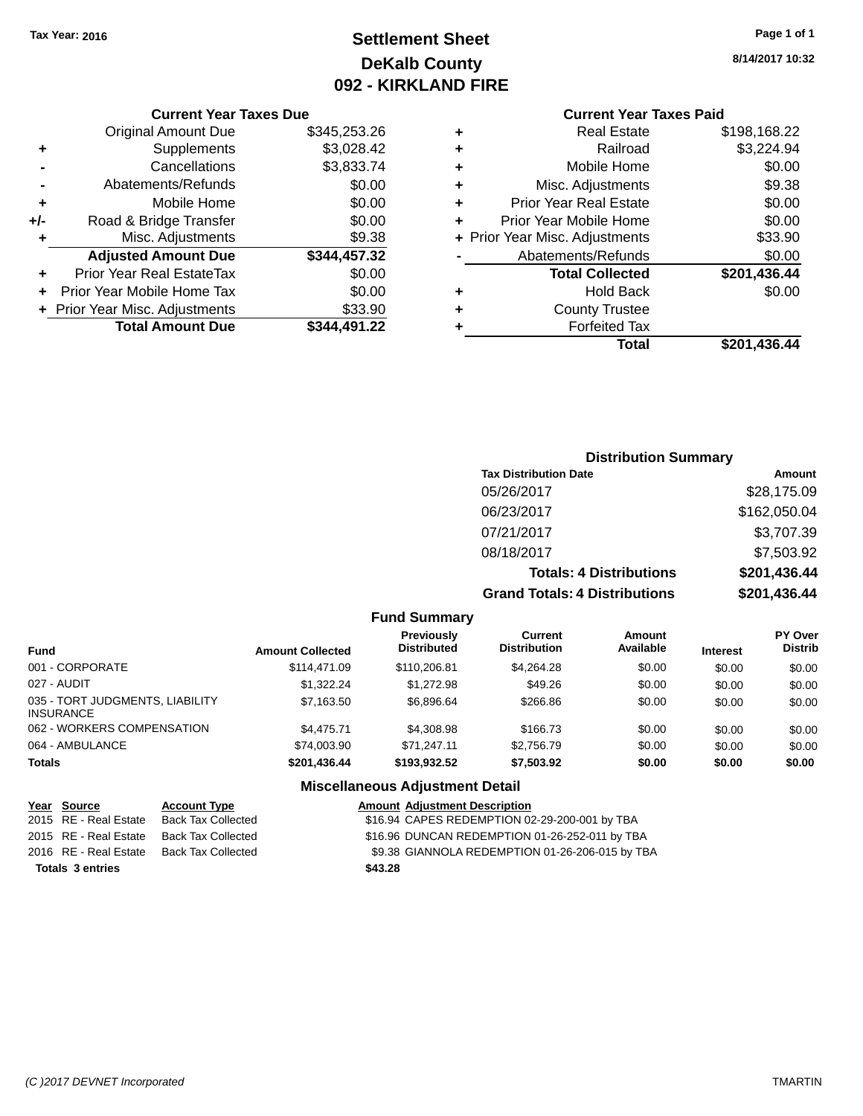# **Settlement Sheet Tax Year: 2016 Page 1 of 1 DeKalb County 092 - KIRKLAND FIRE**

**8/14/2017 10:32**

#### **Current Year Taxes Due**

|     | <b>Original Amount Due</b>     | \$345,253.26 |
|-----|--------------------------------|--------------|
| ٠   | Supplements                    | \$3,028.42   |
|     | Cancellations                  | \$3,833.74   |
|     | Abatements/Refunds             | \$0.00       |
| ٠   | Mobile Home                    | \$0.00       |
| +/- | Road & Bridge Transfer         | \$0.00       |
| ٠   | Misc. Adjustments              | \$9.38       |
|     | <b>Adjusted Amount Due</b>     | \$344,457.32 |
| ÷   | Prior Year Real EstateTax      | \$0.00       |
|     | Prior Year Mobile Home Tax     | \$0.00       |
|     | + Prior Year Misc. Adjustments | \$33.90      |
|     | <b>Total Amount Due</b>        | \$344,491.22 |

# **Current Year Taxes Paid**

| ٠ | <b>Real Estate</b>             | \$198,168.22 |
|---|--------------------------------|--------------|
| ٠ | Railroad                       | \$3,224.94   |
| ٠ | Mobile Home                    | \$0.00       |
| ٠ | Misc. Adjustments              | \$9.38       |
| ٠ | <b>Prior Year Real Estate</b>  | \$0.00       |
| ٠ | Prior Year Mobile Home         | \$0.00       |
|   | + Prior Year Misc. Adjustments | \$33.90      |
|   | Abatements/Refunds             | \$0.00       |
|   | <b>Total Collected</b>         | \$201,436.44 |
| ٠ | <b>Hold Back</b>               | \$0.00       |
| ٠ | <b>County Trustee</b>          |              |
| ٠ | <b>Forfeited Tax</b>           |              |
|   | Total                          | \$201,436.44 |
|   |                                |              |

## **Distribution Summary Tax Distribution Date Amount** 05/26/2017 \$28,175.09 06/23/2017 \$162,050.04 07/21/2017 \$3,707.39 08/18/2017 \$7,503.92 **Totals: 4 Distributions \$201,436.44 Grand Totals: 4 Distributions \$201,436.44**

#### **Fund Summary Fund Interest Amount Collected Distributed PY Over Distrib Amount Available Current Distribution Previously** 001 - CORPORATE 6 \$114,471.09 \$110,206.81 \$4,264.28 \$0.00 \$0.00 \$0.00 027 - AUDIT \$1,322.24 \$1,272.98 \$49.26 \$0.00 \$0.00 \$0.00 035 - TORT JUDGMENTS, LIABILITY INSURANCE \$7,163.50 \$6,896.64 \$266.86 \$0.00 \$0.00 \$0.00 062 - WORKERS COMPENSATION \$4,475.71 \$4,308.98 \$166.73 \$0.00 \$0.00 \$0.00 064 - AMBULANCE \$74,003.90 \$71,247.11 \$2,756.79 \$0.00 \$0.00 \$0.00 **Totals \$201,436.44 \$193,932.52 \$7,503.92 \$0.00 \$0.00 \$0.00**

## **Miscellaneous Adjustment Detail**

| Year Source             | <b>Account Type</b>       | <b>Amount Adjustment Description</b>            |
|-------------------------|---------------------------|-------------------------------------------------|
| 2015 RE - Real Estate   | <b>Back Tax Collected</b> | \$16.94 CAPES REDEMPTION 02-29-200-001 by TBA   |
| 2015 RE - Real Estate   | Back Tax Collected        | \$16.96 DUNCAN REDEMPTION 01-26-252-011 by TBA  |
| 2016 RE - Real Estate   | Back Tax Collected        | \$9.38 GIANNOLA REDEMPTION 01-26-206-015 by TBA |
| <b>Totals 3 entries</b> |                           | \$43.28                                         |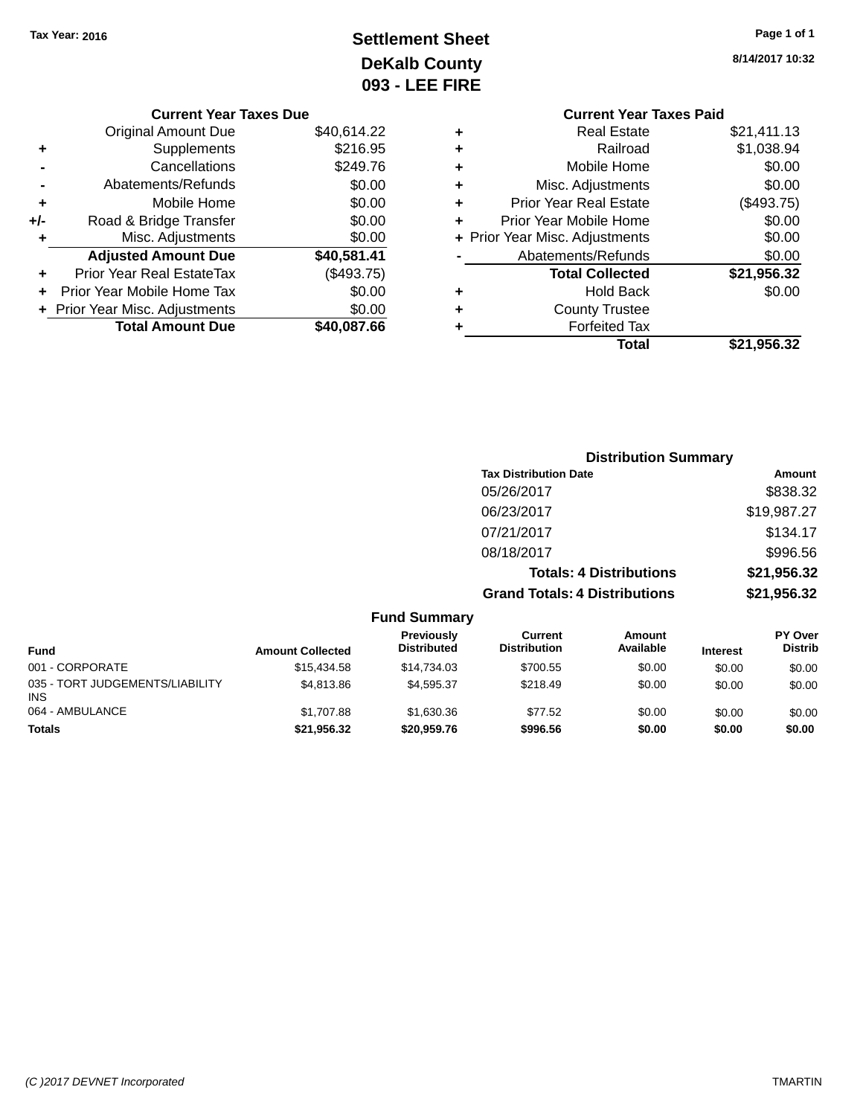# **Settlement Sheet Tax Year: 2016 Page 1 of 1 DeKalb County 093 - LEE FIRE**

| <b>IIILY</b><br><b>IRE</b> |                                |             |
|----------------------------|--------------------------------|-------------|
|                            | <b>Current Year Taxes Paid</b> |             |
| ٠                          | <b>Real Estate</b>             | \$21,411.13 |
| ٠                          | Railroad                       | \$1,038.94  |
| ٠                          | Mobile Home                    | \$0.00      |

| ٠ | <b>Forfeited Tax</b><br>Total  | \$21,956.32      |
|---|--------------------------------|------------------|
| ÷ | <b>County Trustee</b>          |                  |
| ٠ | <b>Hold Back</b>               | \$0.00           |
|   | <b>Total Collected</b>         | \$21,956.32      |
|   | Abatements/Refunds             | \$0.00           |
|   | + Prior Year Misc. Adjustments | \$0.00           |
| ÷ | Prior Year Mobile Home         | \$0.00           |
| ÷ | <b>Prior Year Real Estate</b>  | (\$493.75)       |
| ÷ | Misc. Adjustments              | \$0.00           |
| ÷ | Mobile Home                    | \$0.00           |
| ٠ | Raliload                       | <b>DI,USO.94</b> |

|     | <b>Current Year Taxes Due</b>    |             |
|-----|----------------------------------|-------------|
|     | Original Amount Due              | \$40,614.22 |
| ٠   | Supplements                      | \$216.95    |
|     | Cancellations                    | \$249.76    |
|     | Abatements/Refunds               | \$0.00      |
| ٠   | Mobile Home                      | \$0.00      |
| +/- | Road & Bridge Transfer           | \$0.00      |
| ٠   | Misc. Adjustments                | \$0.00      |
|     | <b>Adjusted Amount Due</b>       | \$40,581.41 |
|     | <b>Prior Year Real EstateTax</b> | (\$493.75)  |
|     | Prior Year Mobile Home Tax       | \$0.00      |
|     | + Prior Year Misc. Adjustments   | \$0.00      |
|     | <b>Total Amount Due</b>          | \$40.087.66 |

| <b>Distribution Summary</b>          |             |
|--------------------------------------|-------------|
| <b>Tax Distribution Date</b>         | Amount      |
| 05/26/2017                           | \$838.32    |
| 06/23/2017                           | \$19,987.27 |
| 07/21/2017                           | \$134.17    |
| 08/18/2017                           | \$996.56    |
| <b>Totals: 4 Distributions</b>       | \$21,956.32 |
| <b>Grand Totals: 4 Distributions</b> | \$21,956.32 |
|                                      |             |

|                                               |                         | <b>Fund Summary</b>              |                                |                            |                 |                                  |
|-----------------------------------------------|-------------------------|----------------------------------|--------------------------------|----------------------------|-----------------|----------------------------------|
| <b>Fund</b>                                   | <b>Amount Collected</b> | Previously<br><b>Distributed</b> | Current<br><b>Distribution</b> | <b>Amount</b><br>Available | <b>Interest</b> | <b>PY Over</b><br><b>Distrib</b> |
| 001 - CORPORATE                               | \$15,434.58             | \$14.734.03                      | \$700.55                       | \$0.00                     | \$0.00          | \$0.00                           |
| 035 - TORT JUDGEMENTS/LIABILITY<br><b>INS</b> | \$4,813.86              | \$4.595.37                       | \$218.49                       | \$0.00                     | \$0.00          | \$0.00                           |
| 064 - AMBULANCE                               | \$1,707.88              | \$1.630.36                       | \$77.52                        | \$0.00                     | \$0.00          | \$0.00                           |
| <b>Totals</b>                                 | \$21,956.32             | \$20,959.76                      | \$996.56                       | \$0.00                     | \$0.00          | \$0.00                           |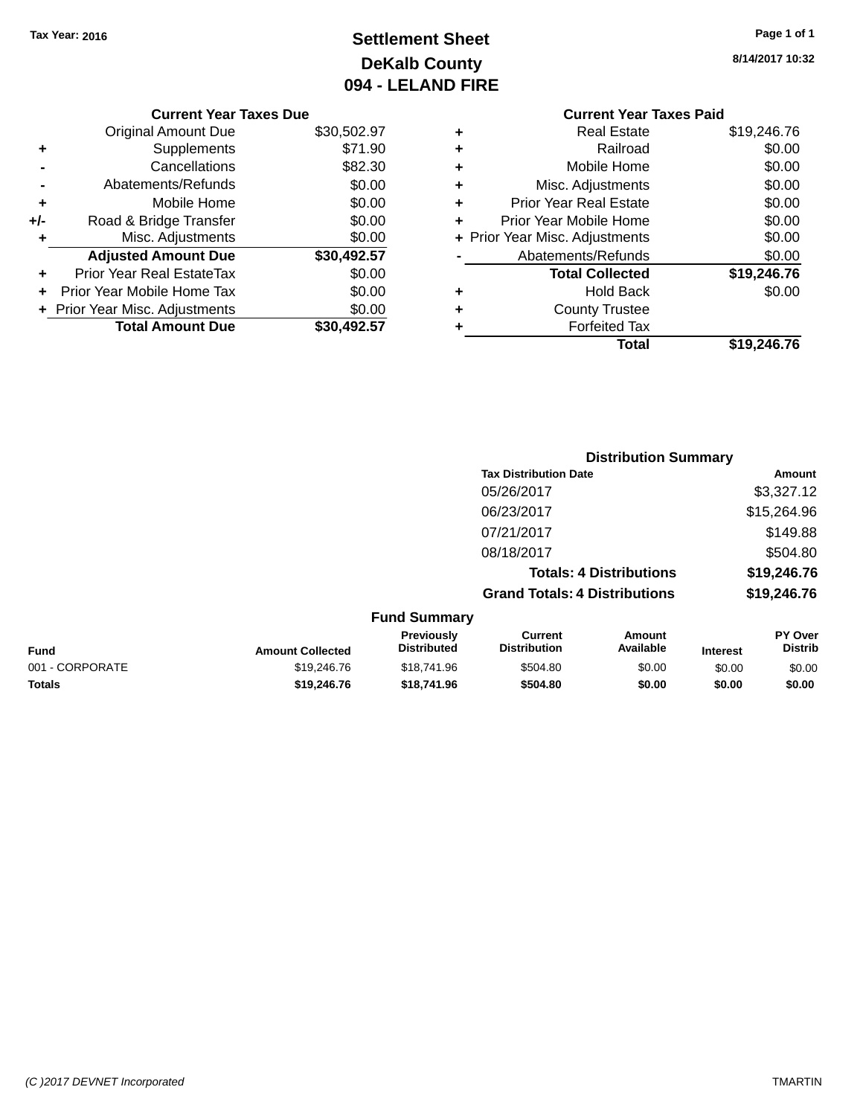# **Settlement Sheet Tax Year: 2016 Page 1 of 1 DeKalb County 094 - LELAND FIRE**

**8/14/2017 10:32**

# **Current Year Taxes Due**

|     | <b>Original Amount Due</b>     | \$30,502.97 |
|-----|--------------------------------|-------------|
|     | Supplements                    | \$71.90     |
|     | Cancellations                  | \$82.30     |
|     | Abatements/Refunds             | \$0.00      |
| ٠   | Mobile Home                    | \$0.00      |
| +/- | Road & Bridge Transfer         | \$0.00      |
| ٠   | Misc. Adjustments              | \$0.00      |
|     | <b>Adjusted Amount Due</b>     | \$30,492.57 |
|     | Prior Year Real EstateTax      | \$0.00      |
|     | Prior Year Mobile Home Tax     | \$0.00      |
|     | + Prior Year Misc. Adjustments | \$0.00      |
|     | <b>Total Amount Due</b>        | \$30.492.57 |

## **Current Year Taxes Paid +** Real Estate \$19,246.76 **+** Railroad \$0.00 **+** Mobile Home \$0.00 **+** Misc. Adjustments \$0.00 **+** Prior Year Real Estate \$0.00 **+** Prior Year Mobile Home \$0.00 **+ Prior Year Misc. Adjustments**  $$0.00$ **-** Abatements/Refunds \$0.00 **Total Collected \$19,246.76 +** Hold Back \$0.00 **+** County Trustee **+** Forfeited Tax

**Total \$19,246.76**

|                     |                                      | <b>Distribution Summary</b>    |                |
|---------------------|--------------------------------------|--------------------------------|----------------|
|                     | <b>Tax Distribution Date</b>         |                                | Amount         |
|                     | 05/26/2017                           |                                | \$3,327.12     |
|                     | 06/23/2017                           |                                | \$15,264.96    |
|                     | 07/21/2017                           |                                | \$149.88       |
|                     | 08/18/2017                           |                                | \$504.80       |
|                     |                                      | <b>Totals: 4 Distributions</b> | \$19,246.76    |
|                     | <b>Grand Totals: 4 Distributions</b> |                                | \$19,246.76    |
| <b>Fund Summary</b> |                                      |                                |                |
| <b>Drovioushi</b>   | $r_{\text{irr}}$                     | $Ann_{num+}$                   | <b>DV Over</b> |

| <b>Fund</b>     | <b>Amount Collected</b> | Previously<br><b>Distributed</b> | Current<br><b>Distribution</b> | Amount<br>Available | <b>Interest</b> | <b>PY Over</b><br>Distrib |
|-----------------|-------------------------|----------------------------------|--------------------------------|---------------------|-----------------|---------------------------|
| 001 - CORPORATE | \$19,246,76             | \$18,741.96                      | \$504.80                       | \$0.00              | \$0.00          | \$0.00                    |
| <b>Totals</b>   | \$19.246.76             | \$18,741.96                      | \$504.80                       | \$0.00              | \$0.00          | \$0.00                    |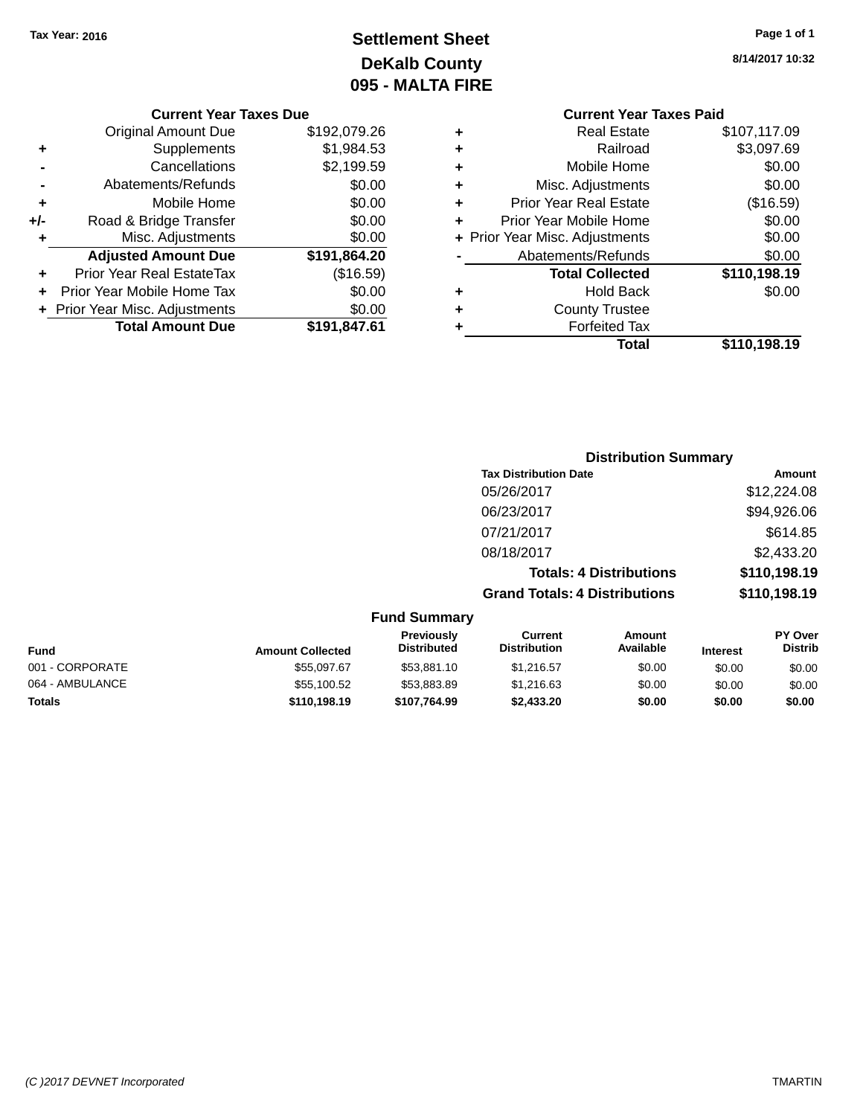# **Settlement Sheet Tax Year: 2016 Page 1 of 1 DeKalb County 095 - MALTA FIRE**

**8/14/2017 10:32**

## **Current Year Taxes Due**

|       | <b>Total Amount Due</b>        | \$191,847.61 |
|-------|--------------------------------|--------------|
|       | + Prior Year Misc. Adjustments | \$0.00       |
|       | Prior Year Mobile Home Tax     | \$0.00       |
|       | Prior Year Real EstateTax      | (\$16.59)    |
|       | <b>Adjusted Amount Due</b>     | \$191,864.20 |
| ٠     | Misc. Adjustments              | \$0.00       |
| $+/-$ | Road & Bridge Transfer         | \$0.00       |
| ٠     | Mobile Home                    | \$0.00       |
|       | Abatements/Refunds             | \$0.00       |
|       | Cancellations                  | \$2,199.59   |
| ٠     | Supplements                    | \$1,984.53   |
|       | <b>Original Amount Due</b>     | \$192,079.26 |

# **Current Year Taxes Paid**

| ٠ | <b>Real Estate</b>             | \$107,117.09 |
|---|--------------------------------|--------------|
| ٠ | Railroad                       | \$3,097.69   |
| ٠ | Mobile Home                    | \$0.00       |
| ٠ | Misc. Adjustments              | \$0.00       |
| ٠ | <b>Prior Year Real Estate</b>  | (\$16.59)    |
| ٠ | Prior Year Mobile Home         | \$0.00       |
|   | + Prior Year Misc. Adjustments | \$0.00       |
|   | Abatements/Refunds             | \$0.00       |
|   | <b>Total Collected</b>         | \$110,198.19 |
| ٠ | <b>Hold Back</b>               | \$0.00       |
| ٠ | <b>County Trustee</b>          |              |
|   | <b>Forfeited Tax</b>           |              |
|   | Total                          | \$110,198.19 |
|   |                                |              |

# **Distribution Summary Tax Distribution Date Amount** 05/26/2017 \$12,224.08 06/23/2017 \$94,926.06 07/21/2017 \$614.85 08/18/2017 \$2,433.20 **Totals: 4 Distributions \$110,198.19 Grand Totals: 4 Distributions \$110,198.19 Fund Summary**

| <b>Fund</b>     | <b>Amount Collected</b> | <b>Previously</b><br><b>Distributed</b> | Current<br><b>Distribution</b> | Amount<br>Available | <b>Interest</b> | <b>PY Over</b><br><b>Distrib</b> |
|-----------------|-------------------------|-----------------------------------------|--------------------------------|---------------------|-----------------|----------------------------------|
| 001 - CORPORATE | \$55,097.67             | \$53,881.10                             | \$1,216.57                     | \$0.00              | \$0.00          | \$0.00                           |
| 064 - AMBULANCE | \$55,100.52             | \$53,883.89                             | \$1,216,63                     | \$0.00              | \$0.00          | \$0.00                           |
| <b>Totals</b>   | \$110,198.19            | \$107.764.99                            | \$2,433,20                     | \$0.00              | \$0.00          | \$0.00                           |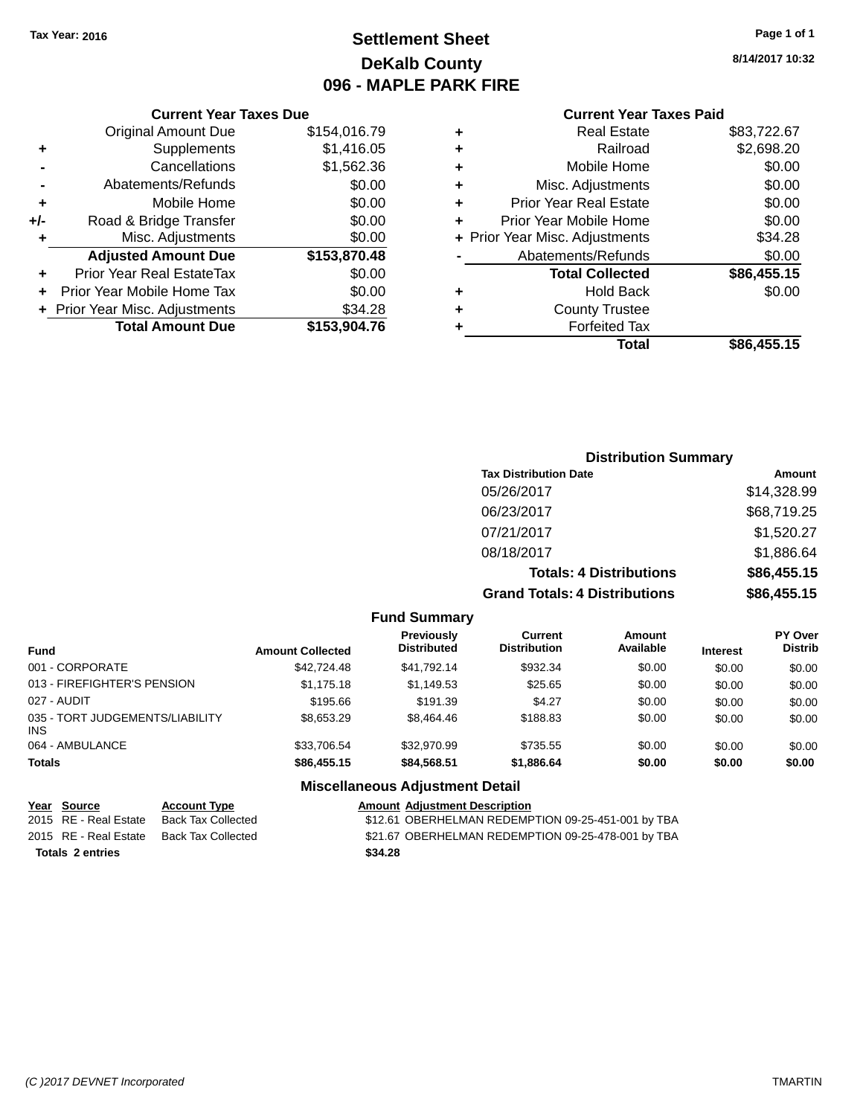# **Settlement Sheet Tax Year: 2016 Page 1 of 1 DeKalb County 096 - MAPLE PARK FIRE**

**8/14/2017 10:32**

## **Current Year Taxes Paid**

|     |                                  |              |   | Total                          | \$86,455.15 |
|-----|----------------------------------|--------------|---|--------------------------------|-------------|
|     | <b>Total Amount Due</b>          | \$153,904.76 |   | <b>Forfeited Tax</b>           |             |
|     | + Prior Year Misc. Adjustments   | \$34.28      | ٠ | <b>County Trustee</b>          |             |
| $+$ | Prior Year Mobile Home Tax       | \$0.00       | ٠ | <b>Hold Back</b>               | \$0.00      |
| ÷.  | <b>Prior Year Real EstateTax</b> | \$0.00       |   | <b>Total Collected</b>         | \$86,455.15 |
|     | <b>Adjusted Amount Due</b>       | \$153,870.48 |   | Abatements/Refunds             | \$0.00      |
|     | Misc. Adjustments                | \$0.00       |   | + Prior Year Misc. Adjustments | \$34.28     |
| +/- | Road & Bridge Transfer           | \$0.00       | ٠ | Prior Year Mobile Home         | \$0.00      |
| ٠   | Mobile Home                      | \$0.00       | ٠ | <b>Prior Year Real Estate</b>  | \$0.00      |
|     | Abatements/Refunds               | \$0.00       | ٠ | Misc. Adjustments              | \$0.00      |
|     | Cancellations                    | \$1,562.36   | ٠ | Mobile Home                    | \$0.00      |
| ٠   | Supplements                      | \$1,416.05   | ٠ | Railroad                       | \$2,698.20  |
|     | <b>Original Amount Due</b>       | \$154,016.79 | ٠ | <b>Real Estate</b>             | \$83,722.67 |
|     |                                  |              |   |                                |             |

# **Distribution Summary**

| <b>Tax Distribution Date</b>         | Amount      |
|--------------------------------------|-------------|
| 05/26/2017                           | \$14,328.99 |
| 06/23/2017                           | \$68,719.25 |
| 07/21/2017                           | \$1,520.27  |
| 08/18/2017                           | \$1,886.64  |
| <b>Totals: 4 Distributions</b>       | \$86,455.15 |
| <b>Grand Totals: 4 Distributions</b> | \$86,455.15 |

#### **Fund Summary**

| <b>Fund</b>                             | <b>Amount Collected</b> | <b>Previously</b><br><b>Distributed</b> | Current<br><b>Distribution</b> | <b>Amount</b><br>Available | <b>Interest</b> | <b>PY Over</b><br><b>Distrib</b> |
|-----------------------------------------|-------------------------|-----------------------------------------|--------------------------------|----------------------------|-----------------|----------------------------------|
| 001 - CORPORATE                         | \$42,724.48             | \$41.792.14                             | \$932.34                       | \$0.00                     | \$0.00          | \$0.00                           |
| 013 - FIREFIGHTER'S PENSION             | \$1,175,18              | \$1,149.53                              | \$25.65                        | \$0.00                     | \$0.00          | \$0.00                           |
| 027 - AUDIT                             | \$195.66                | \$191.39                                | \$4.27                         | \$0.00                     | \$0.00          | \$0.00                           |
| 035 - TORT JUDGEMENTS/LIABILITY<br>INS. | \$8.653.29              | \$8,464.46                              | \$188.83                       | \$0.00                     | \$0.00          | \$0.00                           |
| 064 - AMBULANCE                         | \$33.706.54             | \$32,970.99                             | \$735.55                       | \$0.00                     | \$0.00          | \$0.00                           |
| <b>Totals</b>                           | \$86,455.15             | \$84,568.51                             | \$1,886.64                     | \$0.00                     | \$0.00          | \$0.00                           |

# **Miscellaneous Adjustment Detail**

| Year Source           | <b>Account Type</b>       | <b>Amount Adjustment Description</b> |
|-----------------------|---------------------------|--------------------------------------|
| 2015 RE - Real Estate | Back Tax Collected        | \$12.61 OBERHELMAN REDEMF            |
| 2015 RE - Real Estate | <b>Back Tax Collected</b> | \$21.67 OBERHELMAN REDEMF            |

**Totals 2 entries \$34.28**

**Current Year Taxes Due**

2015 RE - Real Estate Back Tax Collected \$12.61 OBERHELMAN REDEMPTION 09-25-451-001 by TBA 2015 ack Tax Collected Tax - Real Estate Back Tax Collected \$21.67 OBERHELMAN REDEMPTION 09-25-478-001 by TBA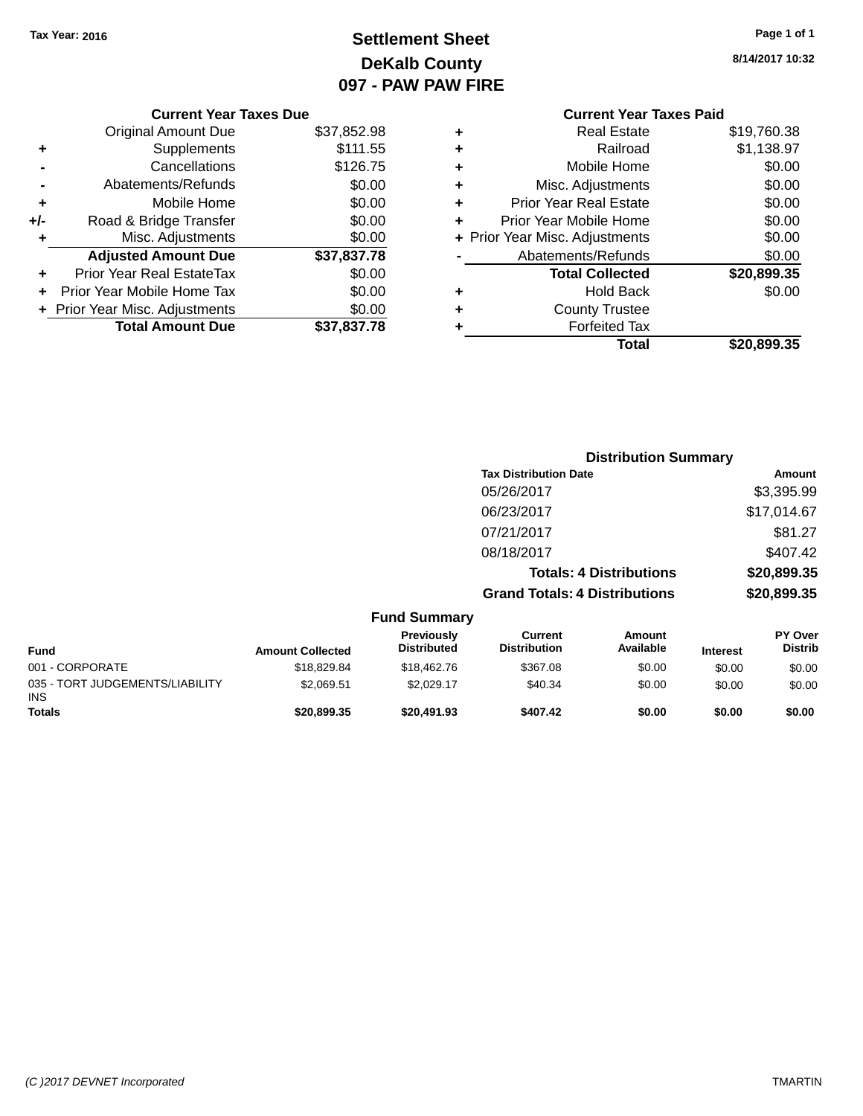# **Settlement Sheet Tax Year: 2016 Page 1 of 1 DeKalb County 097 - PAW PAW FIRE**

**8/14/2017 10:32**

|     | <b>Current Year Taxes Due</b>  |             |
|-----|--------------------------------|-------------|
|     | <b>Original Amount Due</b>     | \$37,852.98 |
| ٠   | Supplements                    | \$111.55    |
|     | Cancellations                  | \$126.75    |
|     | Abatements/Refunds             | \$0.00      |
| ٠   | Mobile Home                    | \$0.00      |
| +/- | Road & Bridge Transfer         | \$0.00      |
| ٠   | Misc. Adjustments              | \$0.00      |
|     | <b>Adjusted Amount Due</b>     | \$37,837.78 |
|     | Prior Year Real EstateTax      | \$0.00      |
| ÷   | Prior Year Mobile Home Tax     | \$0.00      |
|     | + Prior Year Misc. Adjustments | \$0.00      |
|     | <b>Total Amount Due</b>        | \$37,837.78 |
|     |                                |             |

# **Current Year Taxes Paid +** Real Estate \$19,760.38 **+** Railroad \$1,138.97 **+** Mobile Home \$0.00 **+** Misc. Adjustments \$0.00 **+** Prior Year Real Estate \$0.00 **+** Prior Year Mobile Home \$0.00 **+ Prior Year Misc. Adjustments**  $$0.00$ **-** Abatements/Refunds \$0.00 **Total Collected \$20,899.35 +** Hold Back \$0.00 **+** County Trustee **+** Forfeited Tax **Total \$20,899.35**

|                                         |                         |                                  |                                       | <b>Distribution Summary</b>    |                 |                                  |
|-----------------------------------------|-------------------------|----------------------------------|---------------------------------------|--------------------------------|-----------------|----------------------------------|
|                                         |                         |                                  | <b>Tax Distribution Date</b>          |                                |                 | Amount                           |
|                                         |                         |                                  | 05/26/2017                            |                                |                 | \$3,395.99                       |
|                                         |                         |                                  | 06/23/2017                            |                                |                 | \$17,014.67                      |
|                                         |                         |                                  | 07/21/2017                            |                                |                 | \$81.27                          |
|                                         |                         |                                  | 08/18/2017                            |                                |                 | \$407.42                         |
|                                         |                         |                                  |                                       | <b>Totals: 4 Distributions</b> |                 | \$20,899.35                      |
|                                         |                         |                                  | <b>Grand Totals: 4 Distributions</b>  |                                |                 | \$20,899.35                      |
|                                         |                         | <b>Fund Summary</b>              |                                       |                                |                 |                                  |
| Fund                                    | <b>Amount Collected</b> | Previously<br><b>Distributed</b> | <b>Current</b><br><b>Distribution</b> | Amount<br>Available            | <b>Interest</b> | <b>PY Over</b><br><b>Distrib</b> |
| 001 - CORPORATE                         | \$18,829.84             | \$18,462.76                      | \$367.08                              | \$0.00                         | \$0.00          | \$0.00                           |
| 035 - TORT JUDGEMENTS/LIABILITY<br>INS. | \$2,069.51              | \$2,029.17                       | \$40.34                               | \$0.00                         | \$0.00          | \$0.00                           |
| Totals                                  | \$20,899,35             | \$20,491.93                      | \$407.42                              | \$0.00                         | \$0.00          | \$0.00                           |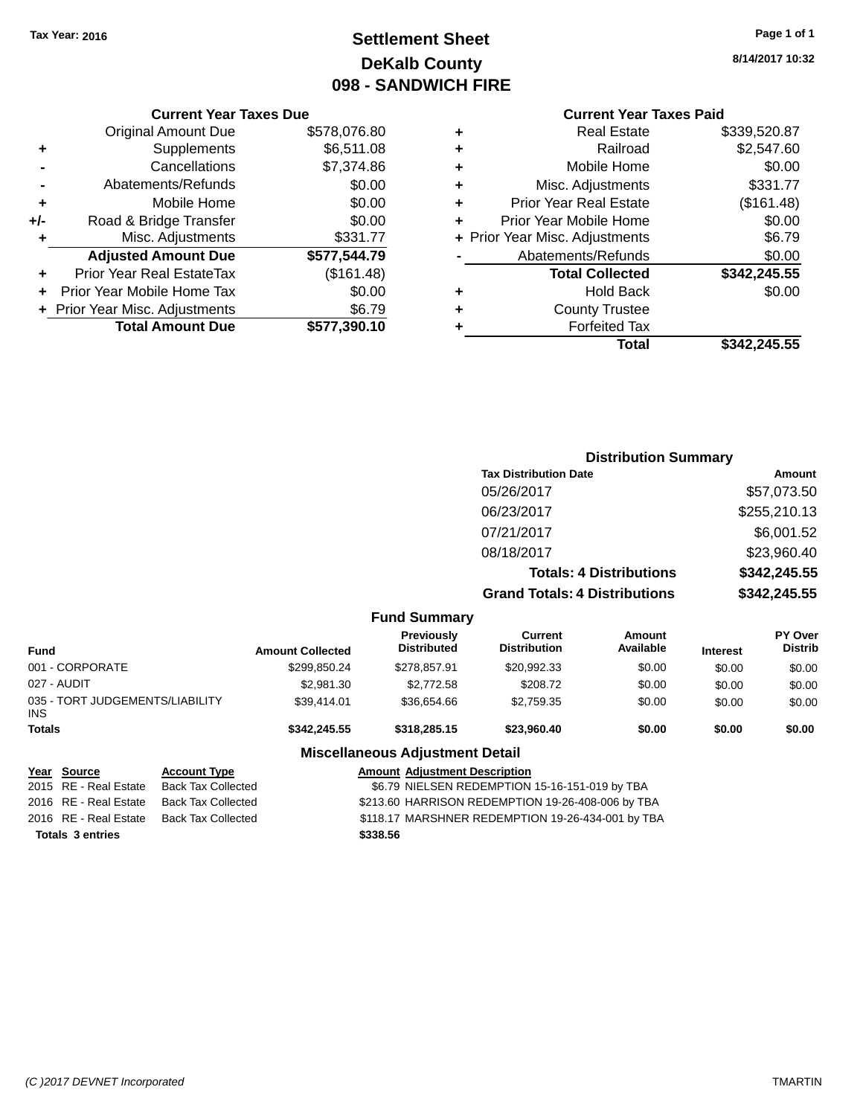# **Settlement Sheet Tax Year: 2016 Page 1 of 1 DeKalb County 098 - SANDWICH FIRE**

**8/14/2017 10:32**

# **Current Year Taxes Paid**

|     | <b>Current Year Taxes Due</b>  |              |
|-----|--------------------------------|--------------|
|     | <b>Original Amount Due</b>     | \$578,076.80 |
| ٠   | Supplements                    | \$6,511.08   |
|     | Cancellations                  | \$7,374.86   |
|     | Abatements/Refunds             | \$0.00       |
| ٠   | Mobile Home                    | \$0.00       |
| +/- | Road & Bridge Transfer         | \$0.00       |
| ٠   | Misc. Adjustments              | \$331.77     |
|     | <b>Adjusted Amount Due</b>     | \$577,544.79 |
|     | Prior Year Real EstateTax      | (\$161.48)   |
|     | Prior Year Mobile Home Tax     | \$0.00       |
|     | + Prior Year Misc. Adjustments | \$6.79       |
|     | <b>Total Amount Due</b>        | \$577,390.10 |
|     |                                |              |

|   | <b>Real Estate</b>             | \$339,520.87 |
|---|--------------------------------|--------------|
| ٠ | Railroad                       | \$2,547.60   |
| ٠ | Mobile Home                    | \$0.00       |
| ٠ | Misc. Adjustments              | \$331.77     |
| ٠ | <b>Prior Year Real Estate</b>  | (\$161.48)   |
| ٠ | Prior Year Mobile Home         | \$0.00       |
|   | + Prior Year Misc. Adjustments | \$6.79       |
|   | Abatements/Refunds             | \$0.00       |
|   | <b>Total Collected</b>         | \$342,245.55 |
| ٠ | Hold Back                      | \$0.00       |
| ٠ | <b>County Trustee</b>          |              |
| ٠ | <b>Forfeited Tax</b>           |              |
|   | Total                          | \$342.245.55 |
|   |                                |              |

|                         |                                  | <b>Distribution Summary</b>           |                                |          |                                  |
|-------------------------|----------------------------------|---------------------------------------|--------------------------------|----------|----------------------------------|
|                         |                                  | <b>Tax Distribution Date</b>          |                                |          | Amount                           |
|                         |                                  | 05/26/2017                            |                                |          | \$57,073.50                      |
|                         |                                  | 06/23/2017                            |                                |          | \$255,210.13                     |
|                         |                                  | 07/21/2017                            |                                |          | \$6,001.52                       |
|                         |                                  | 08/18/2017                            |                                |          | \$23,960.40                      |
|                         |                                  |                                       | <b>Totals: 4 Distributions</b> |          | \$342,245.55                     |
|                         |                                  | <b>Grand Totals: 4 Distributions</b>  |                                |          | \$342,245.55                     |
|                         | <b>Fund Summary</b>              |                                       |                                |          |                                  |
| <b>Amount Collected</b> | Previously<br><b>Distributed</b> | <b>Current</b><br><b>Distribution</b> | Amount<br>Available            | Interest | <b>PY Over</b><br><b>Distrib</b> |

| <b>Fund</b>                                   | <b>Amount Collected</b> | <b>Previously</b><br><b>Distributed</b> | Current<br><b>Distribution</b> | Amount<br>Available | <b>Interest</b> | <b>PY Over</b><br><b>Distrib</b> |
|-----------------------------------------------|-------------------------|-----------------------------------------|--------------------------------|---------------------|-----------------|----------------------------------|
| 001 - CORPORATE                               | \$299,850.24            | \$278.857.91                            | \$20,992.33                    | \$0.00              | \$0.00          | \$0.00                           |
| 027 - AUDIT                                   | \$2,981.30              | \$2,772.58                              | \$208.72                       | \$0.00              | \$0.00          | \$0.00                           |
| 035 - TORT JUDGEMENTS/LIABILITY<br><b>INS</b> | \$39.414.01             | \$36,654.66                             | \$2,759.35                     | \$0.00              | \$0.00          | \$0.00                           |
| <b>Totals</b>                                 | \$342.245.55            | \$318,285.15                            | \$23,960,40                    | \$0.00              | \$0.00          | \$0.00                           |
|                                               |                         |                                         |                                |                     |                 |                                  |

# **Miscellaneous Adjustment Detail**

| Year Source             | <b>Account Type</b> | <b>Amount Adjustment Description</b>              |
|-------------------------|---------------------|---------------------------------------------------|
| 2015 RE - Real Estate   | Back Tax Collected  | \$6.79 NIELSEN REDEMPTION 15-16-151-019 by TBA    |
| 2016 RE - Real Estate   | Back Tax Collected  | \$213.60 HARRISON REDEMPTION 19-26-408-006 by TBA |
| 2016 RE - Real Estate   | Back Tax Collected  | \$118.17 MARSHNER REDEMPTION 19-26-434-001 by TBA |
| <b>Totals 3 entries</b> |                     | \$338.56                                          |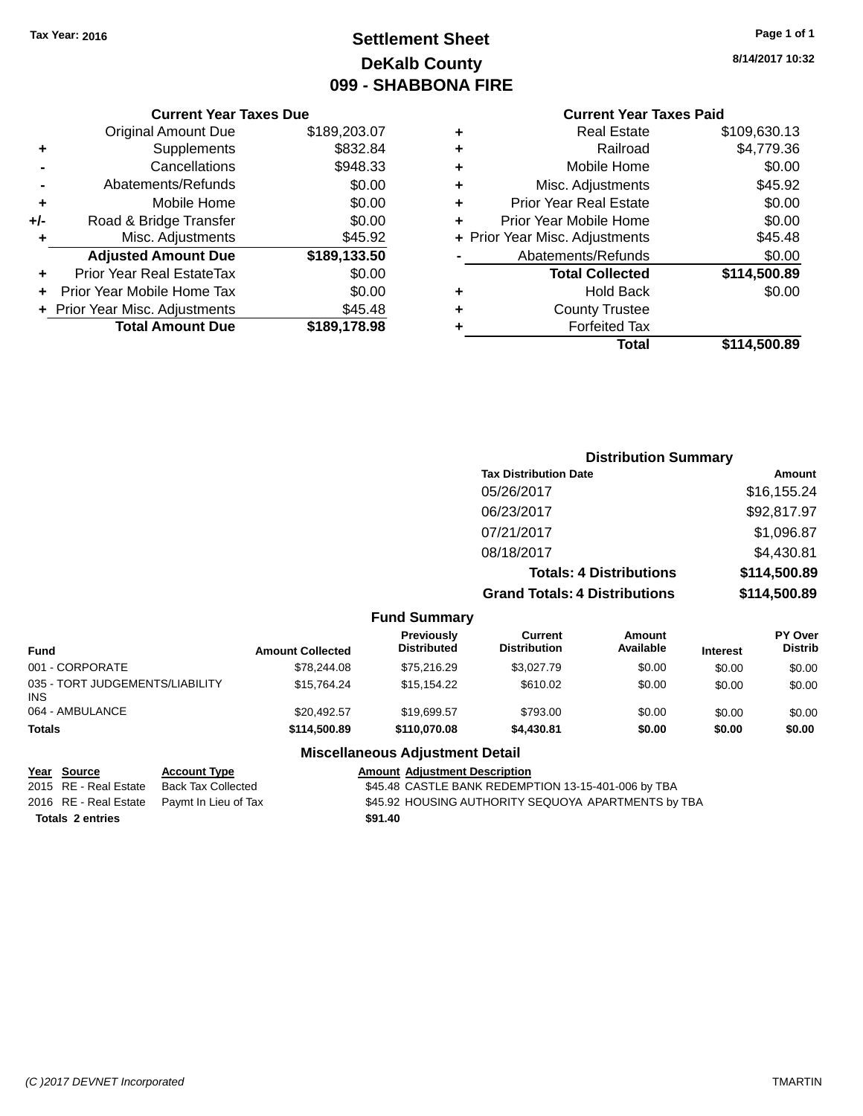# **Settlement Sheet Tax Year: 2016 Page 1 of 1 DeKalb County 099 - SHABBONA FIRE**

## **8/14/2017 10:32**

## **Current Year Taxes Paid**

|     | <b>Current Year Taxes Due</b>  |              |   |                  |
|-----|--------------------------------|--------------|---|------------------|
|     | <b>Original Amount Due</b>     | \$189,203.07 |   |                  |
|     | Supplements                    | \$832.84     | ٠ |                  |
|     | Cancellations                  | \$948.33     | ٠ |                  |
|     | Abatements/Refunds             | \$0.00       |   | Mis              |
|     | Mobile Home                    | \$0.00       | ٠ | Prior Y          |
| +/- | Road & Bridge Transfer         | \$0.00       |   | <b>Prior Yea</b> |
|     | Misc. Adjustments              | \$45.92      |   | + Prior Year Mis |
|     | <b>Adjusted Amount Due</b>     | \$189,133.50 |   | Abate            |
|     | Prior Year Real EstateTax      | \$0.00       |   |                  |
|     | Prior Year Mobile Home Tax     | \$0.00       | ٠ |                  |
|     | + Prior Year Misc. Adjustments | \$45.48      |   |                  |
|     | <b>Total Amount Due</b>        | \$189,178.98 |   |                  |
|     |                                |              |   |                  |

|   | <b>Real Estate</b>             | \$109,630.13 |
|---|--------------------------------|--------------|
| ٠ | Railroad                       | \$4,779.36   |
| ٠ | Mobile Home                    | \$0.00       |
| ٠ | Misc. Adjustments              | \$45.92      |
| ٠ | <b>Prior Year Real Estate</b>  | \$0.00       |
| ÷ | Prior Year Mobile Home         | \$0.00       |
|   | + Prior Year Misc. Adjustments | \$45.48      |
|   | Abatements/Refunds             | \$0.00       |
|   | <b>Total Collected</b>         | \$114,500.89 |
| ٠ | <b>Hold Back</b>               | \$0.00       |
| ٠ | <b>County Trustee</b>          |              |
|   | <b>Forfeited Tax</b>           |              |
|   | Total                          | \$114,500.89 |
|   |                                |              |

# **Distribution Summary Tax Distribution Date Amount** 05/26/2017 \$16,155.24 06/23/2017 \$92,817.97 07/21/2017 \$1,096.87 08/18/2017 \$4,430.81 **Totals: 4 Distributions \$114,500.89 Grand Totals: 4 Distributions \$114,500.89 Fund Summary**

| Fund                                   | <b>Amount Collected</b> | <b>Previously</b><br><b>Distributed</b> | Current<br><b>Distribution</b> | Amount<br>Available | <b>Interest</b> | <b>PY Over</b><br><b>Distrib</b> |
|----------------------------------------|-------------------------|-----------------------------------------|--------------------------------|---------------------|-----------------|----------------------------------|
| 001 - CORPORATE                        | \$78,244.08             | \$75,216.29                             | \$3.027.79                     | \$0.00              | \$0.00          | \$0.00                           |
| 035 - TORT JUDGEMENTS/LIABILITY<br>INS | \$15.764.24             | \$15,154.22                             | \$610.02                       | \$0.00              | \$0.00          | \$0.00                           |
| 064 - AMBULANCE                        | \$20.492.57             | \$19.699.57                             | \$793.00                       | \$0.00              | \$0.00          | \$0.00                           |
| Totals                                 | \$114,500.89            | \$110,070,08                            | \$4,430.81                     | \$0.00              | \$0.00          | \$0.00                           |

## **Miscellaneous Adjustment Detail**

| Year Source             | <b>Account Type</b>                        | Amount  |
|-------------------------|--------------------------------------------|---------|
| 2015 RE - Real Estate   | Back Tax Collected                         | \$45.48 |
|                         | 2016 RE - Real Estate Paymt In Lieu of Tax | \$45.92 |
| <b>Totals 2 entries</b> |                                            | \$91.40 |

# **Amount Adjustment Description** \$45.48 CASTLE BANK REDEMPTION 13-15-401-006 by TBA \$45.92 HOUSING AUTHORITY SEQUOYA APARTMENTS by TBA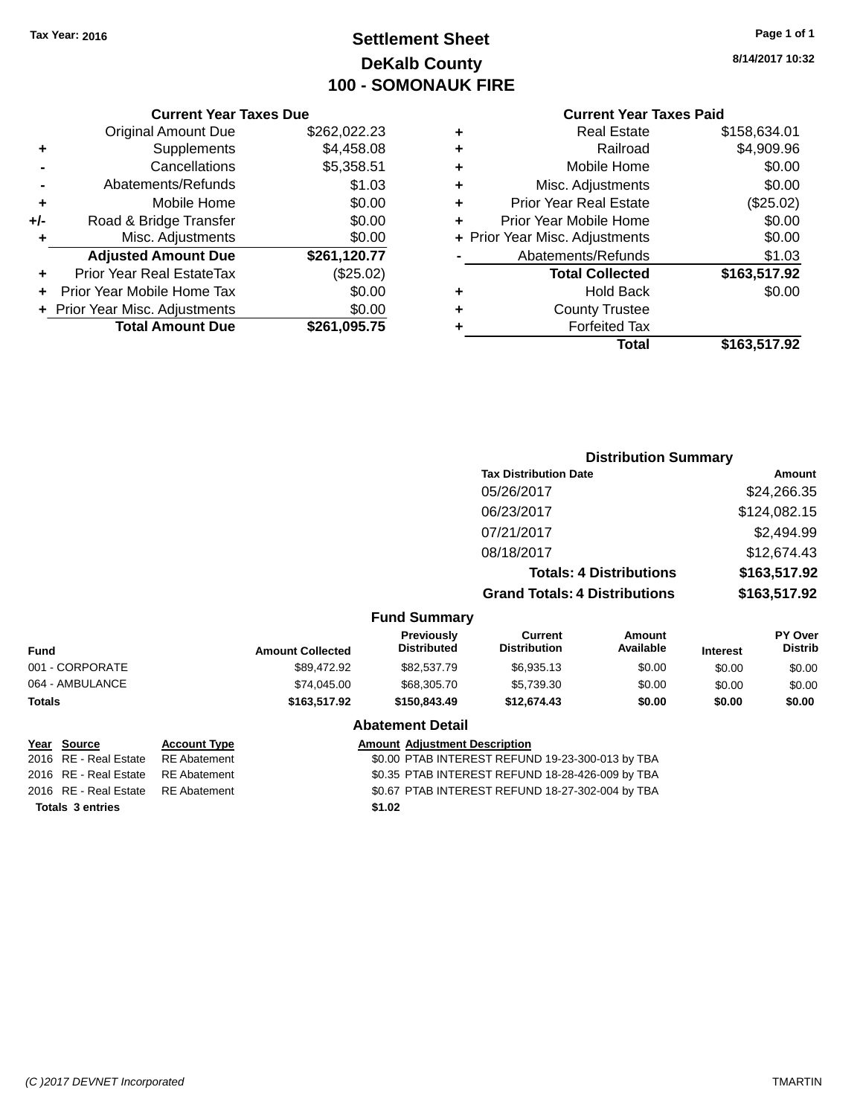# **Settlement Sheet Tax Year: 2016 Page 1 of 1 DeKalb County 100 - SOMONAUK FIRE**

**8/14/2017 10:32**

#### **Current Year Taxes Due**

|       | <b>Original Amount Due</b>     | \$262,022.23 |
|-------|--------------------------------|--------------|
| ٠     | Supplements                    | \$4,458.08   |
|       | Cancellations                  | \$5,358.51   |
|       | Abatements/Refunds             | \$1.03       |
| ٠     | Mobile Home                    | \$0.00       |
| $+/-$ | Road & Bridge Transfer         | \$0.00       |
| ÷     | Misc. Adjustments              | \$0.00       |
|       | <b>Adjusted Amount Due</b>     | \$261,120.77 |
|       | Prior Year Real EstateTax      | (\$25.02)    |
|       | Prior Year Mobile Home Tax     | \$0.00       |
|       | + Prior Year Misc. Adjustments | \$0.00       |
|       | <b>Total Amount Due</b>        | \$261,095.75 |

#### **Current Year Taxes Paid**

| ٠ | <b>Real Estate</b>             | \$158,634.01 |
|---|--------------------------------|--------------|
| ٠ | Railroad                       | \$4,909.96   |
| ٠ | Mobile Home                    | \$0.00       |
| ٠ | Misc. Adjustments              | \$0.00       |
| ٠ | <b>Prior Year Real Estate</b>  | (\$25.02)    |
| ٠ | Prior Year Mobile Home         | \$0.00       |
|   | + Prior Year Misc. Adjustments | \$0.00       |
|   | Abatements/Refunds             | \$1.03       |
|   | <b>Total Collected</b>         | \$163,517.92 |
| ٠ | Hold Back                      | \$0.00       |
| ٠ | <b>County Trustee</b>          |              |
| ٠ | <b>Forfeited Tax</b>           |              |
|   | Total                          | \$163,517.92 |
|   |                                |              |

#### **Distribution Summary Tax Distribution Date Amount** 05/26/2017 \$24,266.35 06/23/2017 \$124,082.15 07/21/2017 \$2,494.99 08/18/2017 \$12,674.43 **Totals: 4 Distributions \$163,517.92 Grand Totals: 4 Distributions \$163,517.92 Fund Summary Fund Interest Amount Collected Distributed PY Over Distrib Amount Available Current Distribution Previously** 001 - CORPORATE \$89,472.92 \$82,537.79 \$6,935.13 \$0.00 \$0.00 \$0.00 064 - AMBULANCE \$74,045.00 \$68,305.70 \$5,739.30 \$0.00 \$0.00 \$0.00 **Totals \$163,517.92 \$150,843.49 \$12,674.43 \$0.00 \$0.00 \$0.00 Abatement Detail Year Source Account Type Amount Adjustment Description**

**Totals 3 entries \$1.02**

2016 RE - Real Estate RE Abatement \$0.00 PTAB INTEREST REFUND 19-23-300-013 by TBA 2016 RE - Real Estate RE Abatement \$0.35 PTAB INTEREST REFUND 18-28-426-009 by TBA 2016 RE - Real Estate RE Abatement \$0.67 PTAB INTEREST REFUND 18-27-302-004 by TBA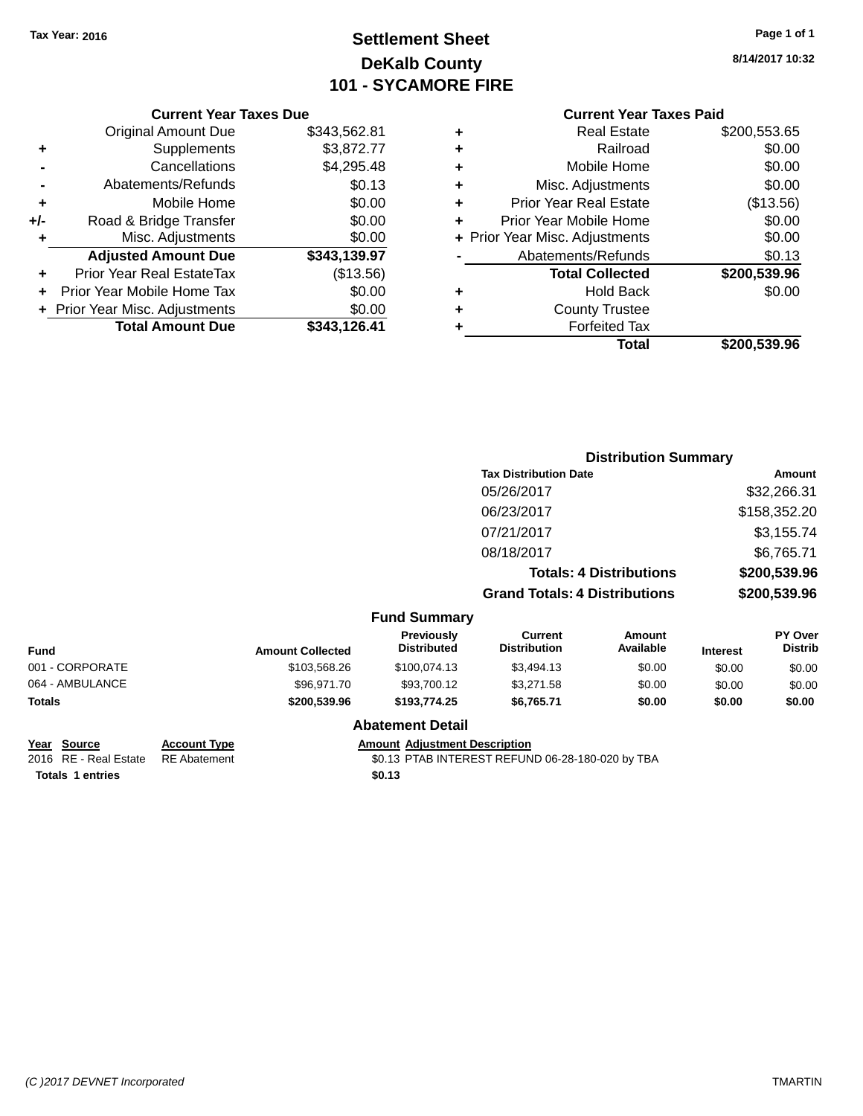# **Settlement Sheet Tax Year: 2016 Page 1 of 1 DeKalb County 101 - SYCAMORE FIRE**

**8/14/2017 10:32**

## **Current Year Taxes Paid**

|     | <b>Current Year Taxes Due</b>  |              |
|-----|--------------------------------|--------------|
|     | <b>Original Amount Due</b>     | \$343,562.81 |
| ٠   | Supplements                    | \$3,872.77   |
|     | Cancellations                  | \$4,295.48   |
|     | Abatements/Refunds             | \$0.13       |
| ٠   | Mobile Home                    | \$0.00       |
| +/- | Road & Bridge Transfer         | \$0.00       |
| ٠   | Misc. Adjustments              | \$0.00       |
|     | <b>Adjusted Amount Due</b>     | \$343,139.97 |
| ٠   | Prior Year Real EstateTax      | (\$13.56)    |
|     | Prior Year Mobile Home Tax     | \$0.00       |
|     | + Prior Year Misc. Adjustments | \$0.00       |
|     | <b>Total Amount Due</b>        | \$343,126.41 |

|   | <b>Real Estate</b>             | \$200,553.65 |
|---|--------------------------------|--------------|
| ٠ | Railroad                       | \$0.00       |
| ٠ | Mobile Home                    | \$0.00       |
| ٠ | Misc. Adjustments              | \$0.00       |
| ٠ | <b>Prior Year Real Estate</b>  | (\$13.56)    |
| ÷ | Prior Year Mobile Home         | \$0.00       |
|   | + Prior Year Misc. Adjustments | \$0.00       |
|   | Abatements/Refunds             | \$0.13       |
|   | <b>Total Collected</b>         | \$200,539.96 |
| ٠ | <b>Hold Back</b>               | \$0.00       |
| ÷ | <b>County Trustee</b>          |              |
| ٠ | <b>Forfeited Tax</b>           |              |
|   | Total                          | \$200,539.96 |
|   |                                |              |

|                 |              |                         |                                         | <b>Distribution Summary</b>           |                                |                 |                           |
|-----------------|--------------|-------------------------|-----------------------------------------|---------------------------------------|--------------------------------|-----------------|---------------------------|
|                 |              |                         |                                         | <b>Tax Distribution Date</b>          |                                |                 | Amount                    |
|                 |              |                         |                                         | 05/26/2017                            |                                |                 | \$32,266.31               |
|                 |              |                         |                                         | 06/23/2017                            |                                |                 | \$158,352.20              |
|                 |              |                         |                                         | 07/21/2017                            |                                |                 | \$3,155.74                |
|                 |              |                         |                                         | 08/18/2017                            |                                |                 | \$6,765.71                |
|                 |              |                         |                                         |                                       | <b>Totals: 4 Distributions</b> |                 | \$200,539.96              |
|                 |              |                         |                                         | <b>Grand Totals: 4 Distributions</b>  |                                |                 | \$200,539.96              |
|                 |              |                         | <b>Fund Summary</b>                     |                                       |                                |                 |                           |
| <b>Fund</b>     |              | <b>Amount Collected</b> | <b>Previously</b><br><b>Distributed</b> | <b>Current</b><br><b>Distribution</b> | Amount<br>Available            | <b>Interest</b> | PY Over<br><b>Distrib</b> |
| 001 - CORPORATE |              | \$103,568.26            | \$100,074.13                            | \$3,494.13                            | \$0.00                         | \$0.00          | \$0.00                    |
| 064 - AMBULANCE |              | \$96,971.70             | \$93,700.12                             | \$3,271.58                            | \$0.00                         | \$0.00          | \$0.00                    |
| <b>Totals</b>   |              | \$200,539.96            | \$193,774.25                            | \$6,765.71                            | \$0.00                         | \$0.00          | \$0.00                    |
|                 |              |                         | <b>Abatement Detail</b>                 |                                       |                                |                 |                           |
| Voor Course     | Agogunt Tung |                         | Amount, Adjustment Description          |                                       |                                |                 |                           |

**<u>Year Source</u> <b>Account Type**<br>
2016 RE - Real Estate RE Abatement

Amount Adjustment Description<br>\$0.13 PTAB INTEREST REFUND 06-28-180-020 by TBA **Totals 1 entries \$0.13**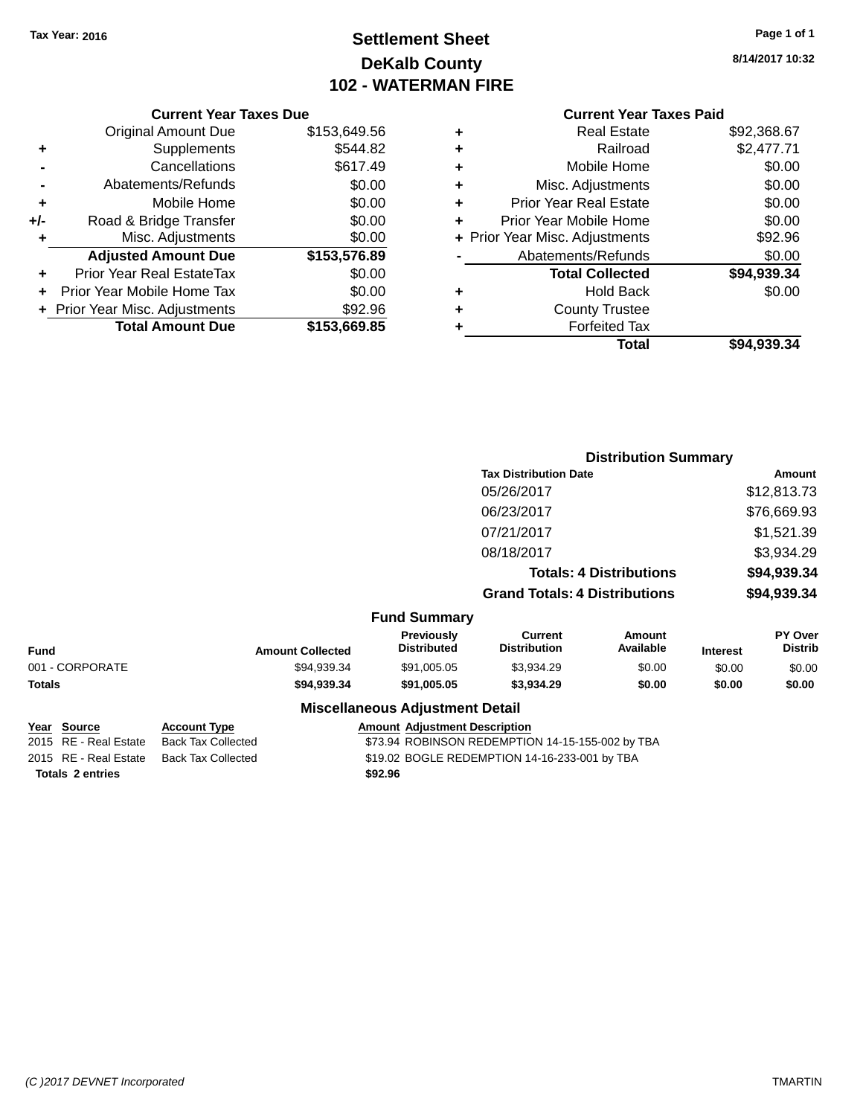# **Settlement Sheet Tax Year: 2016 Page 1 of 1 DeKalb County 102 - WATERMAN FIRE**

**8/14/2017 10:32**

#### **Current Year Taxes Due**

|     | <b>Original Amount Due</b>     | \$153,649.56 |
|-----|--------------------------------|--------------|
| ٠   | Supplements                    | \$544.82     |
|     | Cancellations                  | \$617.49     |
|     | Abatements/Refunds             | \$0.00       |
| ٠   | Mobile Home                    | \$0.00       |
| +/- | Road & Bridge Transfer         | \$0.00       |
| ٠   | Misc. Adjustments              | \$0.00       |
|     | <b>Adjusted Amount Due</b>     | \$153,576.89 |
| ÷   | Prior Year Real EstateTax      | \$0.00       |
|     | Prior Year Mobile Home Tax     | \$0.00       |
|     | + Prior Year Misc. Adjustments | \$92.96      |
|     | <b>Total Amount Due</b>        | \$153,669.85 |

## **Current Year Taxes Paid +** Real Estate \$92,368.67

|   | <b>Total</b>                   | \$94,939.34 |
|---|--------------------------------|-------------|
| ٠ | <b>Forfeited Tax</b>           |             |
| ٠ | <b>County Trustee</b>          |             |
| ٠ | <b>Hold Back</b>               | \$0.00      |
|   | <b>Total Collected</b>         | \$94,939.34 |
|   | Abatements/Refunds             | \$0.00      |
|   | + Prior Year Misc. Adjustments | \$92.96     |
| ٠ | Prior Year Mobile Home         | \$0.00      |
| ٠ | <b>Prior Year Real Estate</b>  | \$0.00      |
| ٠ | Misc. Adjustments              | \$0.00      |
| ٠ | Mobile Home                    | \$0.00      |
| ÷ | Railroad                       | \$2,477.71  |
| Ŧ | NGAI CSIAIG                    | JYZ,JUO.UT  |

|                 |                         |                                        | <b>Distribution Summary</b>           |                                |                 |                           |
|-----------------|-------------------------|----------------------------------------|---------------------------------------|--------------------------------|-----------------|---------------------------|
|                 |                         |                                        | <b>Tax Distribution Date</b>          |                                |                 | Amount                    |
|                 |                         |                                        | 05/26/2017                            |                                |                 | \$12,813.73               |
|                 |                         |                                        | 06/23/2017                            |                                |                 | \$76,669.93               |
|                 |                         |                                        | 07/21/2017                            |                                |                 | \$1,521.39                |
|                 |                         |                                        | 08/18/2017                            |                                |                 | \$3,934.29                |
|                 |                         |                                        |                                       | <b>Totals: 4 Distributions</b> |                 | \$94,939.34               |
|                 |                         |                                        | <b>Grand Totals: 4 Distributions</b>  |                                |                 | \$94,939.34               |
|                 |                         | <b>Fund Summary</b>                    |                                       |                                |                 |                           |
| <b>Fund</b>     | <b>Amount Collected</b> | Previously<br><b>Distributed</b>       | <b>Current</b><br><b>Distribution</b> | Amount<br>Available            | <b>Interest</b> | PY Over<br><b>Distrib</b> |
| 001 - CORPORATE | \$94,939.34             | \$91,005.05                            | \$3,934.29                            | \$0.00                         | \$0.00          | \$0.00                    |
| <b>Totals</b>   | \$94,939.34             | \$91,005.05                            | \$3,934.29                            | \$0.00                         | \$0.00          | \$0.00                    |
|                 |                         | <b>Miscellaneous Adjustment Detail</b> |                                       |                                |                 |                           |

|                  | Year Source           | <b>Account Type</b> | <b>Amount Adjustment Description</b>             |
|------------------|-----------------------|---------------------|--------------------------------------------------|
|                  | 2015 RE - Real Estate | Back Tax Collected  | \$73.94 ROBINSON REDEMPTION 14-15-155-002 by TBA |
|                  | 2015 RE - Real Estate | Back Tax Collected  | \$19.02 BOGLE REDEMPTION 14-16-233-001 by TBA    |
| Totals 2 entries |                       |                     | \$92.96                                          |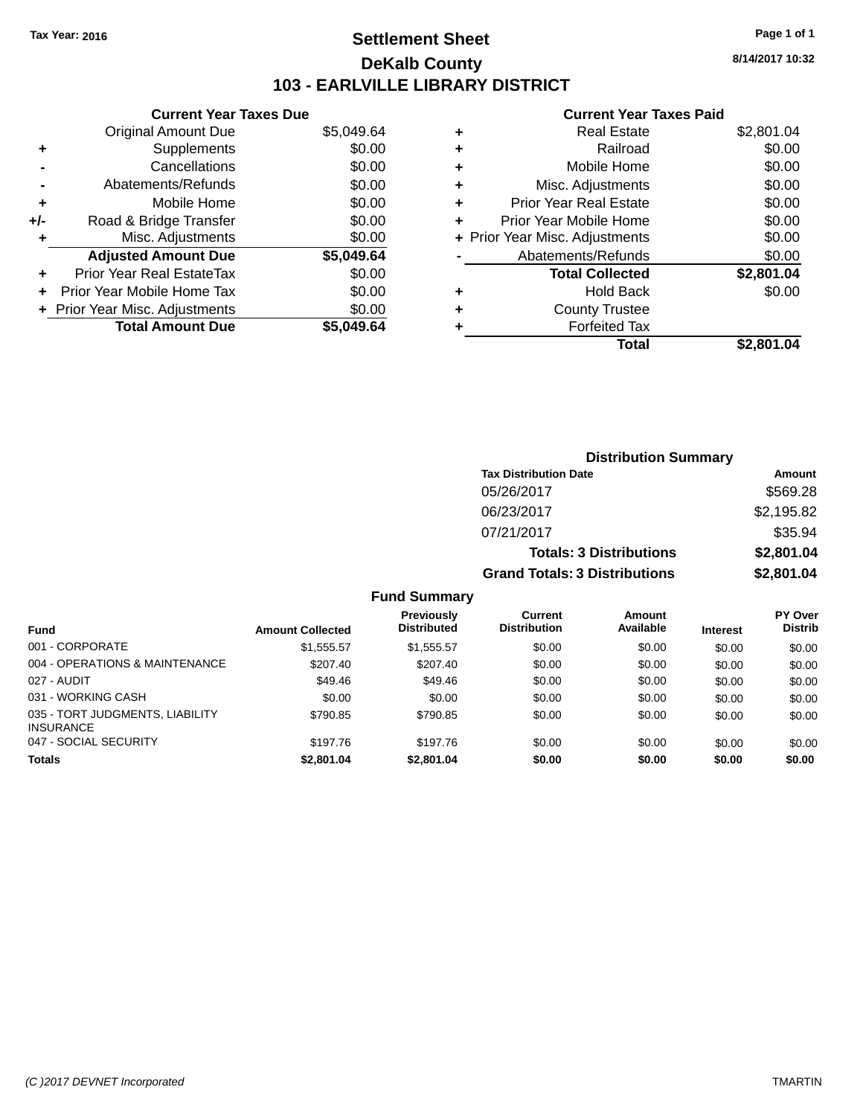# **Settlement Sheet Tax Year: 2016 Page 1 of 1 DeKalb County 103 - EARLVILLE LIBRARY DISTRICT**

**8/14/2017 10:32**

## **Current Year Taxes Paid**

|     | <b>Current Year Taxes Due</b> |            |
|-----|-------------------------------|------------|
|     | <b>Original Amount Due</b>    | \$5,049.64 |
| ٠   | Supplements                   | \$0.00     |
|     | Cancellations                 | \$0.00     |
|     | Abatements/Refunds            | \$0.00     |
| ٠   | Mobile Home                   | \$0.00     |
| +/- | Road & Bridge Transfer        | \$0.00     |
| ٠   | Misc. Adjustments             | \$0.00     |
|     | <b>Adjusted Amount Due</b>    | \$5,049.64 |
| ÷   | Prior Year Real EstateTax     | \$0.00     |
| ÷   | Prior Year Mobile Home Tax    | \$0.00     |
|     | Prior Year Misc. Adjustments  | \$0.00     |
|     | <b>Total Amount Due</b>       | \$5.049.64 |

|   | <b>Real Estate</b>             | \$2,801.04 |
|---|--------------------------------|------------|
| ٠ | Railroad                       | \$0.00     |
| ٠ | Mobile Home                    | \$0.00     |
| ٠ | Misc. Adjustments              | \$0.00     |
| ٠ | <b>Prior Year Real Estate</b>  | \$0.00     |
| ٠ | Prior Year Mobile Home         | \$0.00     |
|   | + Prior Year Misc. Adjustments | \$0.00     |
|   | Abatements/Refunds             | \$0.00     |
|   | <b>Total Collected</b>         | \$2,801.04 |
| ٠ | <b>Hold Back</b>               | \$0.00     |
| ٠ | <b>County Trustee</b>          |            |
| ٠ | <b>Forfeited Tax</b>           |            |
|   | <b>Total</b>                   | \$2,801.04 |
|   |                                |            |

| <b>Distribution Summary</b>          |            |  |  |  |
|--------------------------------------|------------|--|--|--|
| <b>Tax Distribution Date</b>         | Amount     |  |  |  |
| 05/26/2017                           | \$569.28   |  |  |  |
| 06/23/2017                           | \$2,195.82 |  |  |  |
| 07/21/2017                           | \$35.94    |  |  |  |
| <b>Totals: 3 Distributions</b>       | \$2,801.04 |  |  |  |
| <b>Grand Totals: 3 Distributions</b> | \$2,801.04 |  |  |  |

## **Fund Summary**

|                                                     |                         | <b>Previously</b>  | Current             | Amount    |                 | <b>PY Over</b> |
|-----------------------------------------------------|-------------------------|--------------------|---------------------|-----------|-----------------|----------------|
| Fund                                                | <b>Amount Collected</b> | <b>Distributed</b> | <b>Distribution</b> | Available | <b>Interest</b> | <b>Distrib</b> |
| 001 - CORPORATE                                     | \$1,555.57              | \$1,555.57         | \$0.00              | \$0.00    | \$0.00          | \$0.00         |
| 004 - OPERATIONS & MAINTENANCE                      | \$207.40                | \$207.40           | \$0.00              | \$0.00    | \$0.00          | \$0.00         |
| 027 - AUDIT                                         | \$49.46                 | \$49.46            | \$0.00              | \$0.00    | \$0.00          | \$0.00         |
| 031 - WORKING CASH                                  | \$0.00                  | \$0.00             | \$0.00              | \$0.00    | \$0.00          | \$0.00         |
| 035 - TORT JUDGMENTS, LIABILITY<br><b>INSURANCE</b> | \$790.85                | \$790.85           | \$0.00              | \$0.00    | \$0.00          | \$0.00         |
| 047 - SOCIAL SECURITY                               | \$197.76                | \$197.76           | \$0.00              | \$0.00    | \$0.00          | \$0.00         |
| <b>Totals</b>                                       | \$2,801.04              | \$2,801.04         | \$0.00              | \$0.00    | \$0.00          | \$0.00         |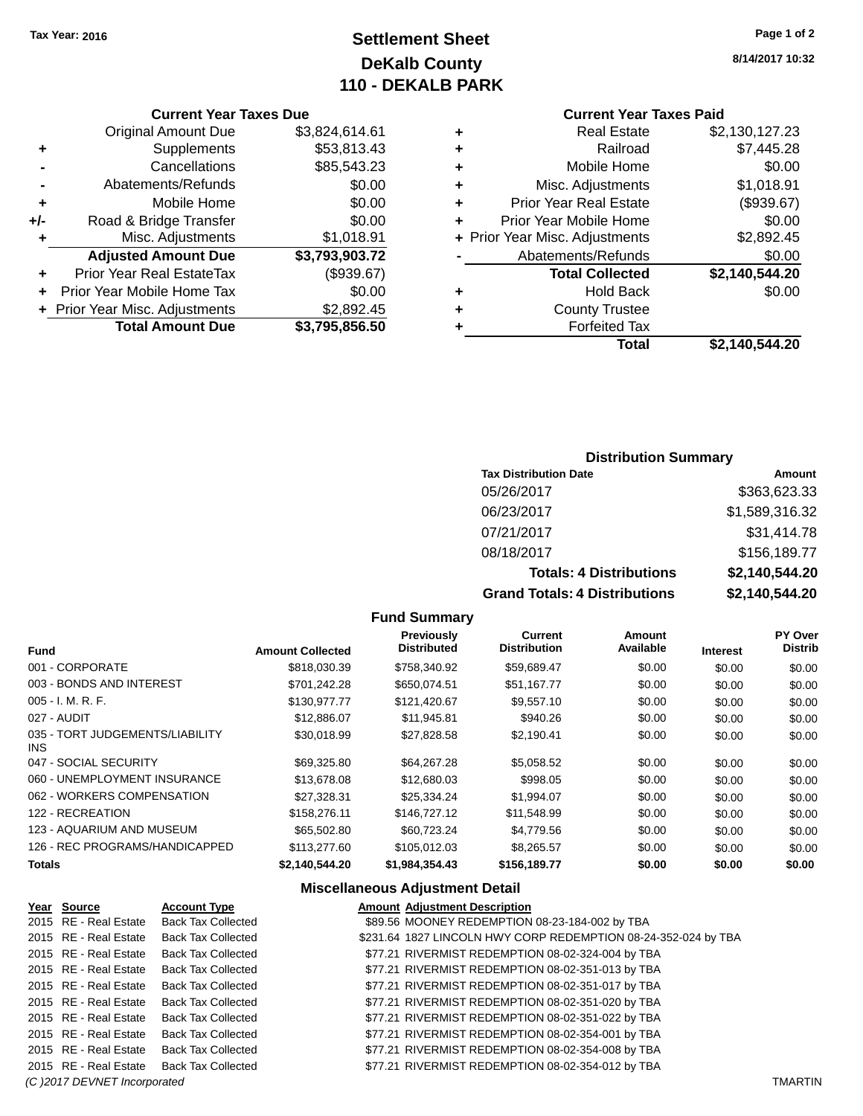# **Settlement Sheet Tax Year: 2016 Page 1 of 2 DeKalb County 110 - DEKALB PARK**

## **Current Year Taxes Due**

|     | <b>Original Amount Due</b>       | \$3,824,614.61 |
|-----|----------------------------------|----------------|
| ٠   | Supplements                      | \$53,813.43    |
|     | Cancellations                    | \$85,543.23    |
|     | Abatements/Refunds               | \$0.00         |
| ٠   | Mobile Home                      | \$0.00         |
| +/- | Road & Bridge Transfer           | \$0.00         |
| ٠   | Misc. Adjustments                | \$1,018.91     |
|     | <b>Adjusted Amount Due</b>       | \$3,793,903.72 |
| ÷   | <b>Prior Year Real EstateTax</b> | (\$939.67)     |
|     | Prior Year Mobile Home Tax       | \$0.00         |
|     | + Prior Year Misc. Adjustments   | \$2,892.45     |
|     | <b>Total Amount Due</b>          | \$3,795,856.50 |

## **Current Year Taxes Paid**

| ٠ | <b>Real Estate</b>             | \$2,130,127.23 |
|---|--------------------------------|----------------|
| ٠ | Railroad                       | \$7,445.28     |
| ٠ | Mobile Home                    | \$0.00         |
| ٠ | Misc. Adjustments              | \$1,018.91     |
| ٠ | <b>Prior Year Real Estate</b>  | (\$939.67)     |
| ÷ | Prior Year Mobile Home         | \$0.00         |
|   | + Prior Year Misc. Adjustments | \$2,892.45     |
|   | Abatements/Refunds             | \$0.00         |
|   | <b>Total Collected</b>         | \$2,140,544.20 |
| ٠ | <b>Hold Back</b>               | \$0.00         |
| ٠ | <b>County Trustee</b>          |                |
| ٠ | <b>Forfeited Tax</b>           |                |
|   | Total                          | \$2,140,544.20 |
|   |                                |                |

## **Distribution Summary**

| <b>Tax Distribution Date</b>         | Amount         |
|--------------------------------------|----------------|
| 05/26/2017                           | \$363,623.33   |
| 06/23/2017                           | \$1,589,316.32 |
| 07/21/2017                           | \$31,414.78    |
| 08/18/2017                           | \$156,189.77   |
| <b>Totals: 4 Distributions</b>       | \$2,140,544.20 |
| <b>Grand Totals: 4 Distributions</b> | \$2,140,544.20 |

## **Fund Summary**

| <b>Fund</b>                             | <b>Amount Collected</b> | <b>Previously</b><br><b>Distributed</b> | Current<br><b>Distribution</b> | Amount<br>Available | <b>Interest</b> | PY Over<br><b>Distrib</b> |
|-----------------------------------------|-------------------------|-----------------------------------------|--------------------------------|---------------------|-----------------|---------------------------|
| 001 - CORPORATE                         | \$818,030.39            | \$758,340.92                            | \$59,689.47                    | \$0.00              | \$0.00          | \$0.00                    |
| 003 - BONDS AND INTEREST                | \$701.242.28            | \$650.074.51                            | \$51,167.77                    | \$0.00              | \$0.00          | \$0.00                    |
| $005 - I. M. R. F.$                     | \$130,977.77            | \$121,420.67                            | \$9,557.10                     | \$0.00              | \$0.00          | \$0.00                    |
| 027 - AUDIT                             | \$12,886.07             | \$11,945.81                             | \$940.26                       | \$0.00              | \$0.00          | \$0.00                    |
| 035 - TORT JUDGEMENTS/LIABILITY<br>INS. | \$30.018.99             | \$27.828.58                             | \$2.190.41                     | \$0.00              | \$0.00          | \$0.00                    |
| 047 - SOCIAL SECURITY                   | \$69.325.80             | \$64.267.28                             | \$5,058.52                     | \$0.00              | \$0.00          | \$0.00                    |
| 060 - UNEMPLOYMENT INSURANCE            | \$13,678,08             | \$12,680.03                             | \$998.05                       | \$0.00              | \$0.00          | \$0.00                    |
| 062 - WORKERS COMPENSATION              | \$27.328.31             | \$25.334.24                             | \$1,994.07                     | \$0.00              | \$0.00          | \$0.00                    |
| 122 - RECREATION                        | \$158,276.11            | \$146,727.12                            | \$11.548.99                    | \$0.00              | \$0.00          | \$0.00                    |
| 123 - AQUARIUM AND MUSEUM               | \$65,502.80             | \$60,723.24                             | \$4,779.56                     | \$0.00              | \$0.00          | \$0.00                    |
| 126 - REC PROGRAMS/HANDICAPPED          | \$113,277,60            | \$105,012.03                            | \$8,265.57                     | \$0.00              | \$0.00          | \$0.00                    |
| <b>Totals</b>                           | \$2.140.544.20          | \$1.984.354.43                          | \$156,189.77                   | \$0.00              | \$0.00          | \$0.00                    |

## **Miscellaneous Adjustment Detail**

| Year Source                  | <b>Account Type</b>       | <b>Amount Adjustment Description</b>                           |                |
|------------------------------|---------------------------|----------------------------------------------------------------|----------------|
| 2015 RE - Real Estate        | <b>Back Tax Collected</b> | \$89.56 MOONEY REDEMPTION 08-23-184-002 by TBA                 |                |
| 2015 RE - Real Estate        | <b>Back Tax Collected</b> | \$231.64 1827 LINCOLN HWY CORP REDEMPTION 08-24-352-024 by TBA |                |
| 2015 RE - Real Estate        | <b>Back Tax Collected</b> | \$77.21 RIVERMIST REDEMPTION 08-02-324-004 by TBA              |                |
| 2015 RE - Real Estate        | Back Tax Collected        | \$77.21 RIVERMIST REDEMPTION 08-02-351-013 by TBA              |                |
| 2015 RE - Real Estate        | Back Tax Collected        | \$77.21 RIVERMIST REDEMPTION 08-02-351-017 by TBA              |                |
| 2015 RE - Real Estate        | <b>Back Tax Collected</b> | \$77.21 RIVERMIST REDEMPTION 08-02-351-020 by TBA              |                |
| 2015 RE - Real Estate        | <b>Back Tax Collected</b> | \$77.21 RIVERMIST REDEMPTION 08-02-351-022 by TBA              |                |
| 2015 RE - Real Estate        | Back Tax Collected        | \$77.21 RIVERMIST REDEMPTION 08-02-354-001 by TBA              |                |
| 2015 RE - Real Estate        | Back Tax Collected        | \$77.21 RIVERMIST REDEMPTION 08-02-354-008 by TBA              |                |
| 2015 RE - Real Estate        | Back Tax Collected        | \$77.21 RIVERMIST REDEMPTION 08-02-354-012 by TBA              |                |
| (C) 2017 DEVNET Incorporated |                           |                                                                | <b>TMARTIN</b> |

**8/14/2017 10:32**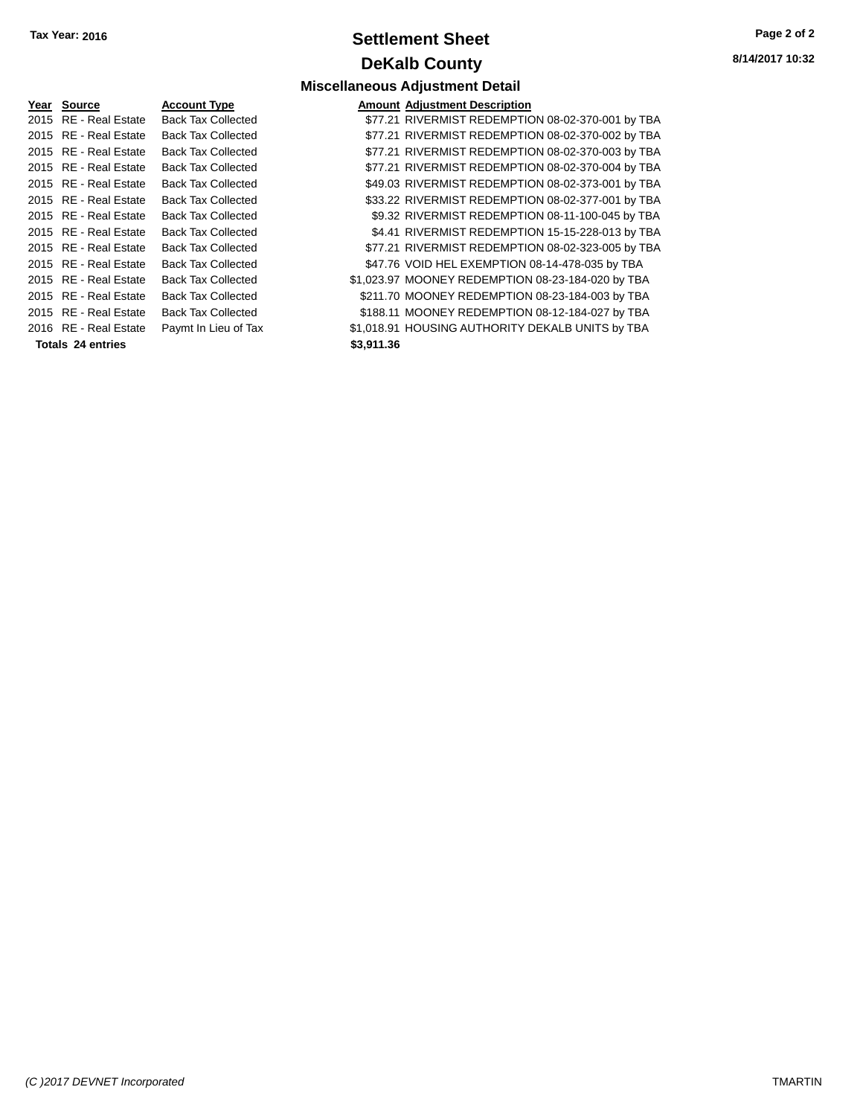# **Settlement Sheet Tax Year: 2016 Page 2 of 2 DeKalb County**

**Miscellaneous Adjustment Detail**

**8/14/2017 10:32**

| Year | Source                   | Account T∖  |
|------|--------------------------|-------------|
| 2015 | <b>RE</b> - Real Estate  | Back Tax C  |
| 2015 | <b>RE</b> - Real Estate  | Back Tax C  |
| 2015 | <b>RE</b> - Real Estate  | Back Tax C  |
| 2015 | <b>RE</b> - Real Estate  | Back Tax C  |
| 2015 | <b>RE</b> - Real Estate  | Back Tax C  |
| 2015 | <b>RE</b> - Real Estate  | Back Tax C  |
| 2015 | <b>RE</b> - Real Estate  | Back Tax C  |
| 2015 | <b>RE</b> - Real Estate  | Back Tax C  |
| 2015 | <b>RE</b> - Real Estate  | Back Tax C  |
| 2015 | <b>RE</b> - Real Estate  | Back Tax C  |
| 2015 | <b>RE</b> - Real Estate  | Back Tax C  |
| 2015 | <b>RE</b> - Real Estate  | Back Tax C  |
| 2015 | RF - Real Estate         | Back Tax C  |
| 2016 | RE - Real Estate         | Paymt In Li |
|      | <b>Totals 24 entries</b> |             |

| <b>Account Type</b>       | <b>Amount Adjustment Description</b> |
|---------------------------|--------------------------------------|
| <b>Back Tax Collected</b> | \$77.21 RIVERMIST REDEMPTIC          |
| <b>Back Tax Collected</b> | \$77.21 RIVERMIST REDEMPTIC          |
| <b>Back Tax Collected</b> | \$77.21 RIVERMIST REDEMPTIC          |
| <b>Back Tax Collected</b> | \$77.21 RIVERMIST REDEMPTIC          |
| <b>Back Tax Collected</b> | \$49.03 RIVERMIST REDEMPTIC          |
| <b>Back Tax Collected</b> | \$33.22 RIVERMIST REDEMPTIC          |
| <b>Back Tax Collected</b> | \$9.32 RIVERMIST REDEMPTIC           |
| <b>Back Tax Collected</b> | \$4.41 RIVERMIST REDEMPTIC           |
| <b>Back Tax Collected</b> | \$77.21 RIVERMIST REDEMPTIC          |
| <b>Back Tax Collected</b> | \$47.76 VOID HEL EXEMPTION 0         |
| <b>Back Tax Collected</b> | \$1,023.97 MOONEY REDEMPTION         |
| <b>Back Tax Collected</b> | \$211.70 MOONEY REDEMPTION           |
| <b>Back Tax Collected</b> | \$188.11 MOONEY REDEMPTION           |
| Paymt In Lieu of Tax      | \$1,018.91 HOUSING AUTHORITY D       |

|                   | 2015 RE - Real Estate<br>2015 RE - Real Estate | <b>Back Tax Collected</b><br><b>Back Tax Collected</b> |  | \$77.21 RIVERMIST REDEMPTION 08-02-323-005 by TBA<br>\$47.76 VOID HEL EXEMPTION 08-14-478-035 by TBA |
|-------------------|------------------------------------------------|--------------------------------------------------------|--|------------------------------------------------------------------------------------------------------|
|                   | 2015 RE - Real Estate                          | <b>Back Tax Collected</b>                              |  | \$1,023.97 MOONEY REDEMPTION 08-23-184-020 by TBA                                                    |
|                   | 2015 RE - Real Estate                          | <b>Back Tax Collected</b>                              |  | \$211.70 MOONEY REDEMPTION 08-23-184-003 by TBA                                                      |
|                   | 2015 RE - Real Estate                          | <b>Back Tax Collected</b>                              |  | \$188.11 MOONEY REDEMPTION 08-12-184-027 by TBA                                                      |
|                   | 2016 RE - Real Estate                          | Paymt In Lieu of Tax                                   |  | \$1,018.91 HOUSING AUTHORITY DEKALB UNITS by TBA                                                     |
| Totals 24 entries |                                                | \$3,911.36                                             |  |                                                                                                      |
|                   |                                                |                                                        |  |                                                                                                      |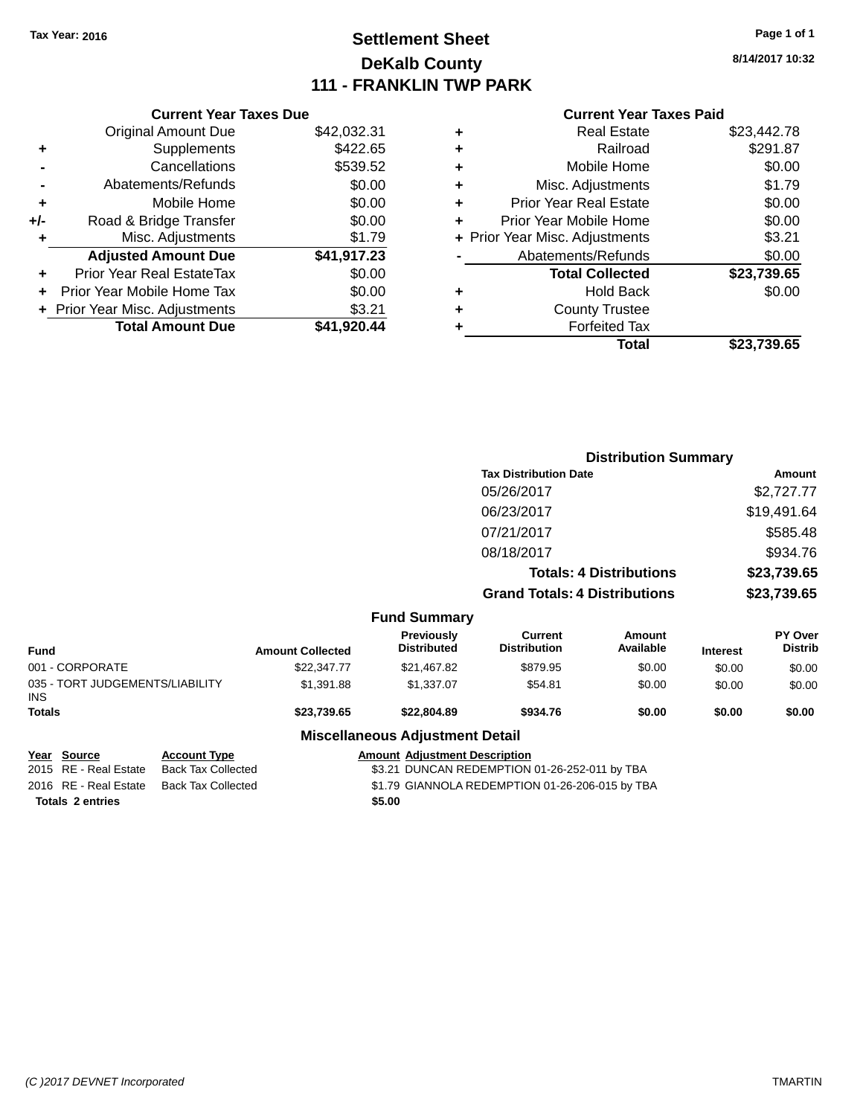# **Settlement Sheet Tax Year: 2016 Page 1 of 1 DeKalb County 111 - FRANKLIN TWP PARK**

**8/14/2017 10:32**

## **Current Year Taxes Paid**

| <b>Current Year Taxes Due</b>  |             |  |  |  |
|--------------------------------|-------------|--|--|--|
| <b>Original Amount Due</b>     | \$42,032.31 |  |  |  |
| Supplements                    | \$422.65    |  |  |  |
| Cancellations                  | \$539.52    |  |  |  |
| Abatements/Refunds             | \$0.00      |  |  |  |
| Mobile Home                    | \$0.00      |  |  |  |
| Road & Bridge Transfer         | \$0.00      |  |  |  |
| Misc. Adjustments              | \$1.79      |  |  |  |
| <b>Adjusted Amount Due</b>     | \$41,917.23 |  |  |  |
| Prior Year Real EstateTax      | \$0.00      |  |  |  |
| Prior Year Mobile Home Tax     | \$0.00      |  |  |  |
| + Prior Year Misc. Adjustments | \$3.21      |  |  |  |
| <b>Total Amount Due</b>        | \$41.920.44 |  |  |  |
|                                |             |  |  |  |

| ٠ | <b>Real Estate</b>             | \$23,442.78 |
|---|--------------------------------|-------------|
| ٠ | Railroad                       | \$291.87    |
| ٠ | Mobile Home                    | \$0.00      |
| ٠ | Misc. Adjustments              | \$1.79      |
| ٠ | <b>Prior Year Real Estate</b>  | \$0.00      |
|   | Prior Year Mobile Home         | \$0.00      |
|   | + Prior Year Misc. Adjustments | \$3.21      |
|   | Abatements/Refunds             | \$0.00      |
|   | <b>Total Collected</b>         | \$23,739.65 |
| ٠ | <b>Hold Back</b>               | \$0.00      |
| ٠ | <b>County Trustee</b>          |             |
|   | <b>Forfeited Tax</b>           |             |
|   | Total                          | \$23.739.65 |
|   |                                |             |

|                                               |                         |                                         | <b>Distribution Summary</b>           |                                |                 |                                  |
|-----------------------------------------------|-------------------------|-----------------------------------------|---------------------------------------|--------------------------------|-----------------|----------------------------------|
|                                               |                         |                                         | <b>Tax Distribution Date</b>          |                                |                 | Amount                           |
|                                               |                         |                                         | 05/26/2017                            |                                |                 | \$2,727.77                       |
|                                               |                         |                                         | 06/23/2017                            |                                |                 | \$19,491.64                      |
|                                               |                         |                                         | 07/21/2017                            |                                |                 | \$585.48                         |
|                                               |                         |                                         | 08/18/2017                            |                                |                 | \$934.76                         |
|                                               |                         |                                         |                                       | <b>Totals: 4 Distributions</b> |                 | \$23,739.65                      |
|                                               |                         |                                         | <b>Grand Totals: 4 Distributions</b>  |                                |                 | \$23,739.65                      |
|                                               |                         | <b>Fund Summary</b>                     |                                       |                                |                 |                                  |
| <b>Fund</b>                                   | <b>Amount Collected</b> | <b>Previously</b><br><b>Distributed</b> | <b>Current</b><br><b>Distribution</b> | <b>Amount</b><br>Available     | <b>Interest</b> | <b>PY Over</b><br><b>Distrib</b> |
| 001 - CORPORATE                               | \$22,347.77             | \$21,467.82                             | \$879.95                              | \$0.00                         | \$0.00          | \$0.00                           |
| 035 - TORT JUDGEMENTS/LIABILITY<br><b>INS</b> | \$1,391.88              | \$1,337.07                              | \$54.81                               | \$0.00                         | \$0.00          | \$0.00                           |
| Totals                                        | \$23,739.65             | \$22,804.89                             | \$934.76                              | \$0.00                         | \$0.00          | \$0.00                           |
|                                               |                         | <b>Miscellaneous Adjustment Detail</b>  |                                       |                                |                 |                                  |

#### iscellaneous Adjust **Year Source Account Type Amount Adjustment Description**

| <u>rear source</u>      | ACCOUNT TYPE       | Alliount Adjustment Description                 |
|-------------------------|--------------------|-------------------------------------------------|
| 2015 RE - Real Estate   | Back Tax Collected | \$3.21 DUNCAN REDEMPTION 01-26-252-011 by TBA   |
| 2016 RE - Real Estate   | Back Tax Collected | \$1.79 GIANNOLA REDEMPTION 01-26-206-015 by TBA |
| <b>Totals 2 entries</b> |                    | \$5.00                                          |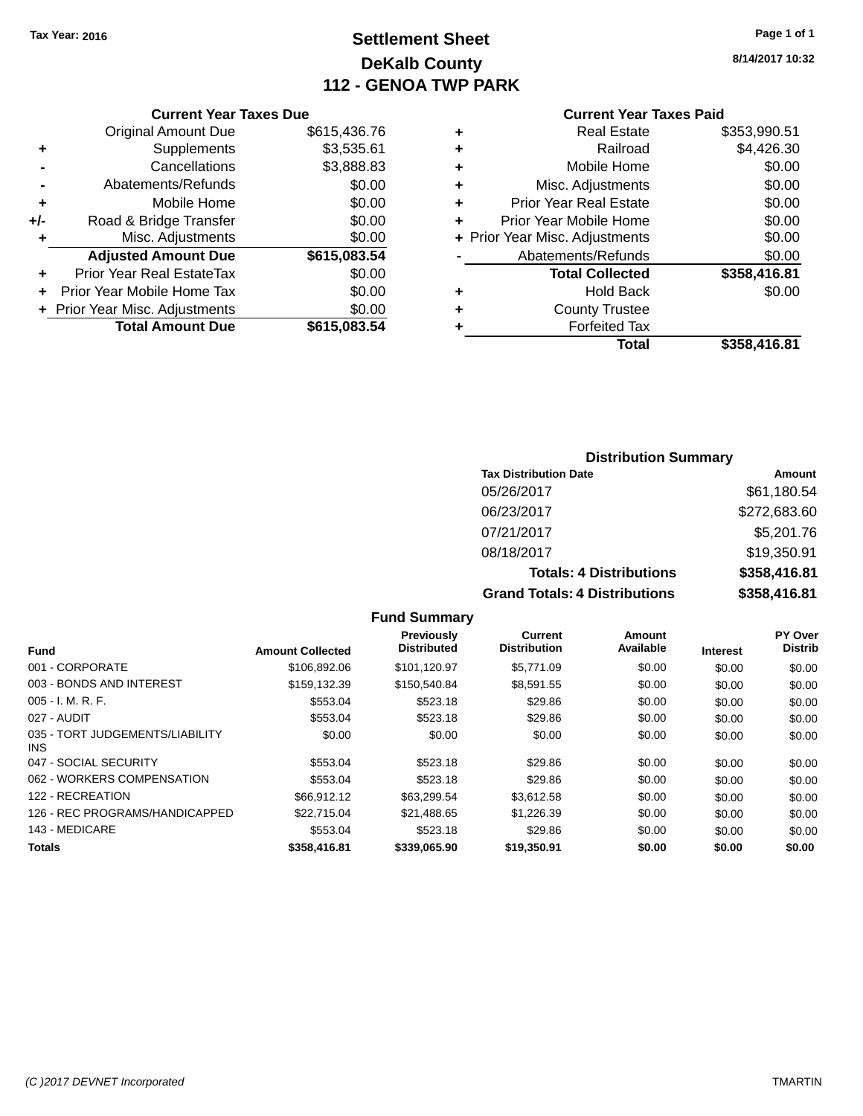# **Settlement Sheet Tax Year: 2016 Page 1 of 1 DeKalb County 112 - GENOA TWP PARK**

**8/14/2017 10:32**

#### **Current Year Taxes Paid**

|                 |   | Total                          | \$358.416.81 |
|-----------------|---|--------------------------------|--------------|
| $\frac{10}{4}$  |   | <b>Forfeited Tax</b>           |              |
|                 |   | <b>County Trustee</b>          |              |
| 10              | ٠ | <b>Hold Back</b>               | \$0.00       |
| 0               |   | <b>Total Collected</b>         | \$358,416.81 |
|                 |   | Abatements/Refunds             | \$0.00       |
| $\frac{10}{14}$ |   | + Prior Year Misc. Adjustments | \$0.00       |
| 0               |   | Prior Year Mobile Home         | \$0.00       |
| 10              | ٠ | <b>Prior Year Real Estate</b>  | \$0.00       |
| 10              | ٠ | Misc. Adjustments              | \$0.00       |
| 13              | ٠ | Mobile Home                    | \$0.00       |
| $\mathbf{1}$    | ٠ | Railroad                       | \$4,426.30   |
| ΄6              | ٠ | <b>Real Estate</b>             | \$353,990.51 |
|                 |   |                                |              |

|       | <b>Original Amount Due</b>     | \$615,436.76 |
|-------|--------------------------------|--------------|
| ٠     | Supplements                    | \$3,535.61   |
|       | Cancellations                  | \$3,888.83   |
|       | Abatements/Refunds             | \$0.00       |
| ÷     | Mobile Home                    | \$0.00       |
| $+/-$ | Road & Bridge Transfer         | \$0.00       |
| ٠     | Misc. Adjustments              | \$0.00       |
|       | <b>Adjusted Amount Due</b>     | \$615,083.54 |
| ٠     | Prior Year Real EstateTax      | \$0.00       |
|       | Prior Year Mobile Home Tax     | \$0.00       |
|       | + Prior Year Misc. Adjustments | \$0.00       |
|       | <b>Total Amount Due</b>        | \$615,083.54 |
|       |                                |              |

**Current Year Taxes Due**

| <b>Distribution Summary</b> |  |
|-----------------------------|--|
|-----------------------------|--|

| <b>Tax Distribution Date</b>         | Amount       |
|--------------------------------------|--------------|
| 05/26/2017                           | \$61,180.54  |
| 06/23/2017                           | \$272,683.60 |
| 07/21/2017                           | \$5,201.76   |
| 08/18/2017                           | \$19,350.91  |
| <b>Totals: 4 Distributions</b>       | \$358,416.81 |
| <b>Grand Totals: 4 Distributions</b> | \$358,416.81 |

#### **Fund Summary Fund Interest Amount Collected Distributed PY Over Distrib Amount Available Current Distribution Previously** 001 - CORPORATE \$106,892.06 \$101,120.97 \$5,771.09 \$0.00 \$0.00 \$0.00 003 - BONDS AND INTEREST \$159,132.39 \$150,540.84 \$8,591.55 \$0.00 \$0.00 \$0.00 005 - I. M. R. F. \$553.04 \$523.18 \$29.86 \$0.00 \$0.00 \$0.00 027 - AUDIT \$553.04 \$523.18 \$29.86 \$0.00 \$0.00 \$0.00 035 - TORT JUDGEMENTS/LIABILITY INS \$0.00 \$0.00 \$0.00 \$0.00 \$0.00 \$0.00 047 - SOCIAL SECURITY \$553.04 \$523.18 \$29.86 \$0.00 \$0.00 \$0.00 \$0.00 \$0.00 \$0.00 \$0.00 \$0.00 \$0.00 062 - WORKERS COMPENSATION \$553.04 \$523.18 \$29.86 \$0.00 \$0.00 \$0.00 \$0.00 122 - RECREATION 60.00 \$66,912.12 \$63,299.54 \$3,612.58 \$0.00 \$0.00 \$0.00 \$0.00 126 - REC PROGRAMS/HANDICAPPED \$22,715.04 \$21,488.65 \$1,226.39 \$0.00 \$0.00 \$0.00 \$0.00 143 - MEDICARE \$553.04 \$523.18 \$29.86 \$0.00 \$0.00 \$0.00 **Totals \$358,416.81 \$339,065.90 \$19,350.91 \$0.00 \$0.00 \$0.00**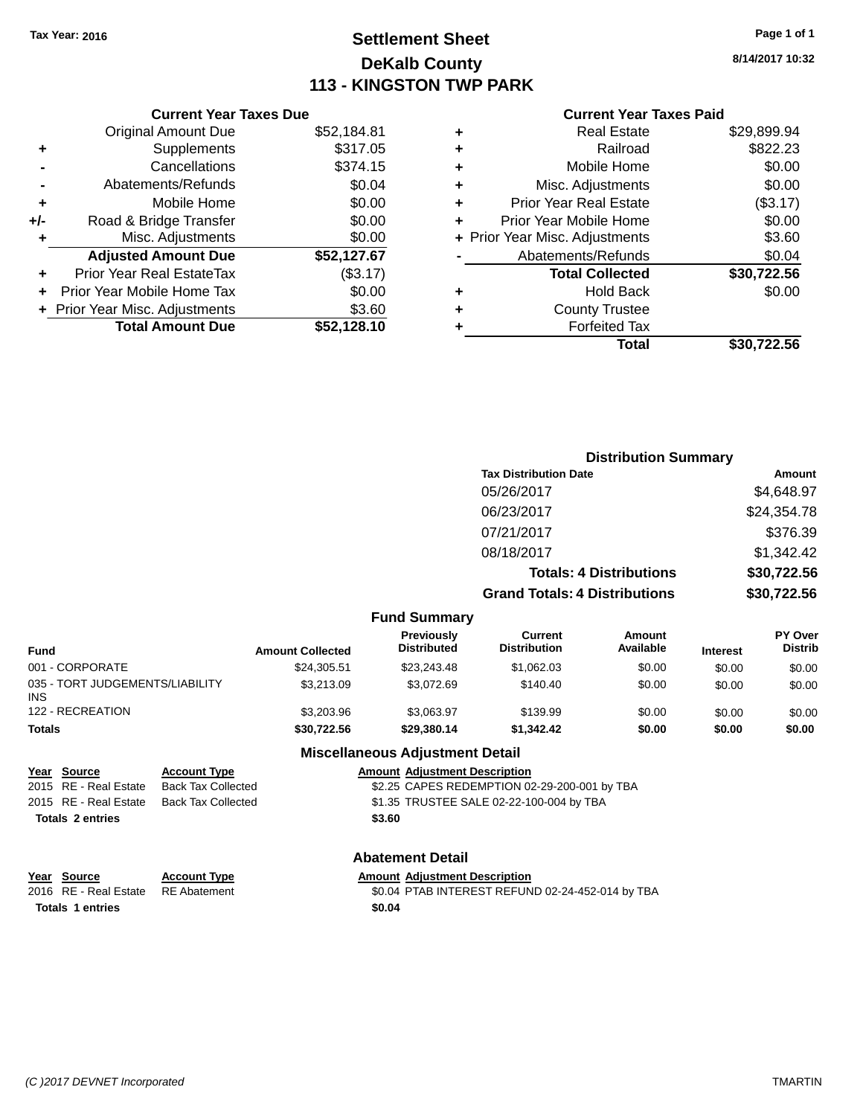# **Settlement Sheet Tax Year: 2016 Page 1 of 1 DeKalb County 113 - KINGSTON TWP PARK**

**8/14/2017 10:32**

## **Current Year Taxes Paid**

|     | <b>Current Year Taxes Due</b>  |             |
|-----|--------------------------------|-------------|
|     | <b>Original Amount Due</b>     | \$52,184.81 |
| ٠   | Supplements                    | \$317.05    |
|     | Cancellations                  | \$374.15    |
|     | Abatements/Refunds             | \$0.04      |
| ٠   | Mobile Home                    | \$0.00      |
| +/- | Road & Bridge Transfer         | \$0.00      |
|     | Misc. Adjustments              | \$0.00      |
|     | <b>Adjusted Amount Due</b>     | \$52,127.67 |
| ٠   | Prior Year Real EstateTax      | (\$3.17)    |
|     | Prior Year Mobile Home Tax     | \$0.00      |
|     | + Prior Year Misc. Adjustments | \$3.60      |
|     | <b>Total Amount Due</b>        | \$52,128.10 |
|     |                                |             |

| ٠ | <b>Real Estate</b>             | \$29,899.94 |
|---|--------------------------------|-------------|
| ٠ | Railroad                       | \$822.23    |
| ٠ | Mobile Home                    | \$0.00      |
| ٠ | Misc. Adjustments              | \$0.00      |
| ٠ | <b>Prior Year Real Estate</b>  | (\$3.17)    |
|   | Prior Year Mobile Home         | \$0.00      |
|   | + Prior Year Misc. Adjustments | \$3.60      |
|   | Abatements/Refunds             | \$0.04      |
|   | <b>Total Collected</b>         | \$30,722.56 |
| ٠ | Hold Back                      | \$0.00      |
| ٠ | <b>County Trustee</b>          |             |
| ٠ | <b>Forfeited Tax</b>           |             |
|   | Total                          | \$30.722.56 |
|   |                                |             |

|                                         |                         |                                         | <b>Distribution Summary</b>           |                                |                 |                           |  |
|-----------------------------------------|-------------------------|-----------------------------------------|---------------------------------------|--------------------------------|-----------------|---------------------------|--|
|                                         |                         |                                         | <b>Tax Distribution Date</b>          |                                |                 | <b>Amount</b>             |  |
|                                         |                         |                                         | 05/26/2017                            |                                |                 | \$4,648.97                |  |
|                                         |                         |                                         | 06/23/2017                            |                                |                 | \$24,354.78               |  |
|                                         |                         |                                         | 07/21/2017                            |                                |                 | \$376.39                  |  |
|                                         |                         |                                         | 08/18/2017                            |                                |                 | \$1,342.42                |  |
|                                         |                         |                                         |                                       | <b>Totals: 4 Distributions</b> |                 | \$30,722.56               |  |
|                                         |                         |                                         | <b>Grand Totals: 4 Distributions</b>  |                                |                 | \$30,722.56               |  |
|                                         |                         | <b>Fund Summary</b>                     |                                       |                                |                 |                           |  |
| <b>Fund</b>                             | <b>Amount Collected</b> | <b>Previously</b><br><b>Distributed</b> | <b>Current</b><br><b>Distribution</b> | <b>Amount</b><br>Available     | <b>Interest</b> | PY Over<br><b>Distrib</b> |  |
| 001 - CORPORATE                         | \$24,305.51             | \$23,243.48                             | \$1,062.03                            | \$0.00                         | \$0.00          | \$0.00                    |  |
| 035 - TORT JUDGEMENTS/LIABILITY<br>INS. | \$3,213.09              | \$3,072.69                              | \$140.40                              | \$0.00                         | \$0.00          | \$0.00                    |  |
| 122 - RECREATION                        | \$3,203.96              | \$3,063.97                              | \$139.99                              | \$0.00                         | \$0.00          | \$0.00                    |  |
| Totals                                  | \$30,722.56             | \$29,380.14                             | \$1,342.42                            | \$0.00                         | \$0.00          | \$0.00                    |  |
|                                         |                         |                                         |                                       |                                |                 |                           |  |

#### **Miscellaneous Adjustment Detail**

| Year Source             | <b>Account Type</b>       | Amount |
|-------------------------|---------------------------|--------|
| 2015 RE - Real Estate   | <b>Back Tax Collected</b> | \$2.25 |
| 2015 RE - Real Estate   | Back Tax Collected        | \$1.35 |
| <b>Totals 2 entries</b> |                           | \$3.60 |

035 INS

**<u>Amount Adjustment Description</u><br>Fax Collected <b>Account Advisor** S2.25 CAPES REDEMPTION 02 \$2.25 CAPES REDEMPTION 02-29-200-001 by TBA Fax Collected **\$1.35 TRUSTEE SALE 02-22-100-004 by TBA** 

## **Abatement Detail**

|  | <b>Amount Adiustment Description</b> |
|--|--------------------------------------|
|  |                                      |

**Year Source Account Type Amount Adjustment Description**<br>2016 RE - Real Estate RE Abatement **Amount 1998** 1999 **AMOUNT ADDINTEREST REFUN** \$0.04 PTAB INTEREST REFUND 02-24-452-014 by TBA **Totals 1 entries \$0.04**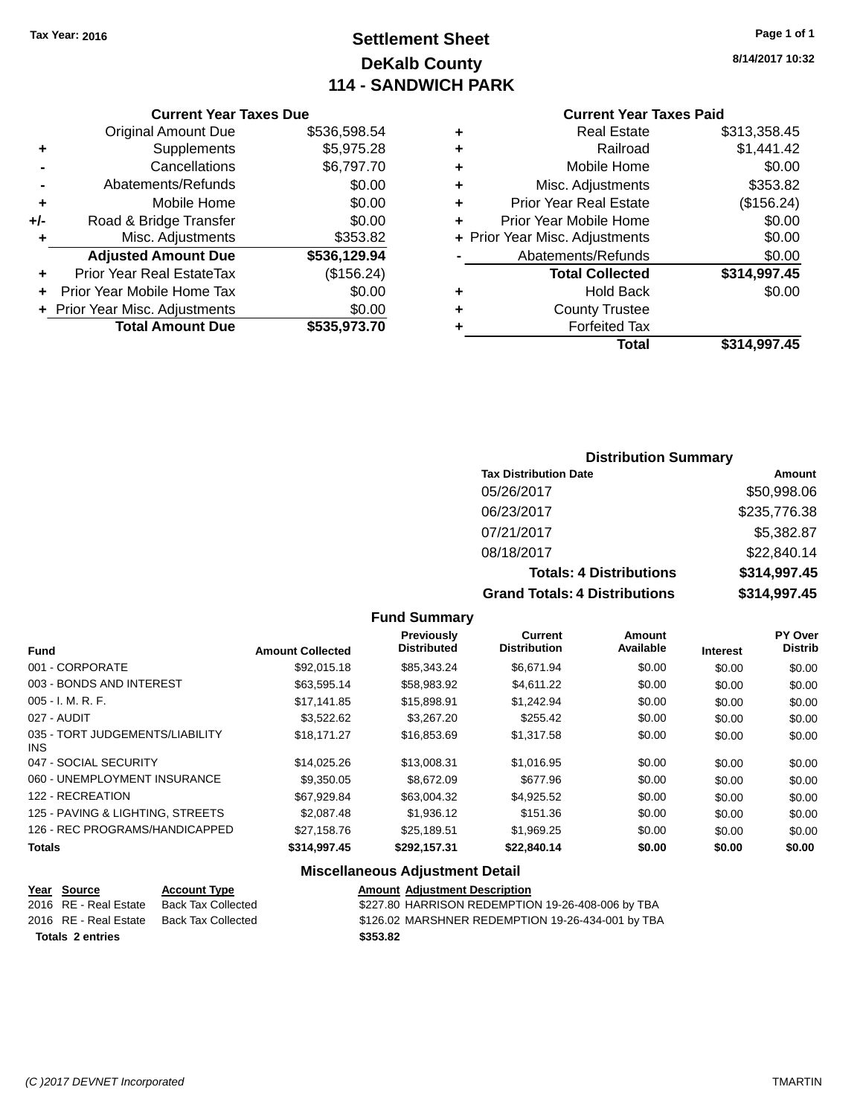# **Settlement Sheet Tax Year: 2016 Page 1 of 1 DeKalb County 114 - SANDWICH PARK**

**8/14/2017 10:32**

## **Current Year Taxes Paid**

|     | <b>Current Year Taxes Due</b>  |              |  |  |  |  |
|-----|--------------------------------|--------------|--|--|--|--|
|     | <b>Original Amount Due</b>     | \$536,598.54 |  |  |  |  |
| ٠   | Supplements                    | \$5,975.28   |  |  |  |  |
|     | Cancellations                  | \$6,797.70   |  |  |  |  |
|     | Abatements/Refunds             | \$0.00       |  |  |  |  |
| ٠   | Mobile Home                    | \$0.00       |  |  |  |  |
| +/- | Road & Bridge Transfer         | \$0.00       |  |  |  |  |
| ٠   | Misc. Adjustments              | \$353.82     |  |  |  |  |
|     | <b>Adjusted Amount Due</b>     | \$536,129.94 |  |  |  |  |
| ٠   | Prior Year Real EstateTax      | (\$156.24)   |  |  |  |  |
| ÷   | Prior Year Mobile Home Tax     | \$0.00       |  |  |  |  |
|     | + Prior Year Misc. Adjustments | \$0.00       |  |  |  |  |
|     | <b>Total Amount Due</b>        | \$535,973.70 |  |  |  |  |
|     |                                |              |  |  |  |  |

|   | <b>Real Estate</b>             | \$313,358.45 |
|---|--------------------------------|--------------|
| ٠ | Railroad                       | \$1,441.42   |
| ٠ | Mobile Home                    | \$0.00       |
| ٠ | Misc. Adjustments              | \$353.82     |
| ٠ | <b>Prior Year Real Estate</b>  | (\$156.24)   |
|   | Prior Year Mobile Home         | \$0.00       |
|   | + Prior Year Misc. Adjustments | \$0.00       |
|   | Abatements/Refunds             | \$0.00       |
|   | <b>Total Collected</b>         | \$314,997.45 |
| ٠ | <b>Hold Back</b>               | \$0.00       |
| ٠ | <b>County Trustee</b>          |              |
| ٠ | <b>Forfeited Tax</b>           |              |
|   | Total                          | \$314,997.45 |
|   |                                |              |

# **Distribution Summary**

| <b>Tax Distribution Date</b>         | Amount       |
|--------------------------------------|--------------|
| 05/26/2017                           | \$50,998.06  |
| 06/23/2017                           | \$235,776.38 |
| 07/21/2017                           | \$5,382.87   |
| 08/18/2017                           | \$22,840.14  |
| <b>Totals: 4 Distributions</b>       | \$314,997.45 |
| <b>Grand Totals: 4 Distributions</b> | \$314,997.45 |

## **Fund Summary**

|                                               |                         | <b>Previously</b><br><b>Distributed</b> | <b>Current</b><br><b>Distribution</b> | Amount<br>Available |                 | PY Over<br><b>Distrib</b> |
|-----------------------------------------------|-------------------------|-----------------------------------------|---------------------------------------|---------------------|-----------------|---------------------------|
| <b>Fund</b>                                   | <b>Amount Collected</b> |                                         |                                       |                     | <b>Interest</b> |                           |
| 001 - CORPORATE                               | \$92,015.18             | \$85,343.24                             | \$6.671.94                            | \$0.00              | \$0.00          | \$0.00                    |
| 003 - BONDS AND INTEREST                      | \$63.595.14             | \$58.983.92                             | \$4.611.22                            | \$0.00              | \$0.00          | \$0.00                    |
| $005 - I. M. R. F.$                           | \$17.141.85             | \$15,898.91                             | \$1,242.94                            | \$0.00              | \$0.00          | \$0.00                    |
| 027 - AUDIT                                   | \$3,522.62              | \$3,267.20                              | \$255.42                              | \$0.00              | \$0.00          | \$0.00                    |
| 035 - TORT JUDGEMENTS/LIABILITY<br><b>INS</b> | \$18.171.27             | \$16,853.69                             | \$1,317.58                            | \$0.00              | \$0.00          | \$0.00                    |
| 047 - SOCIAL SECURITY                         | \$14.025.26             | \$13.008.31                             | \$1.016.95                            | \$0.00              | \$0.00          | \$0.00                    |
| 060 - UNEMPLOYMENT INSURANCE                  | \$9,350.05              | \$8,672.09                              | \$677.96                              | \$0.00              | \$0.00          | \$0.00                    |
| 122 - RECREATION                              | \$67,929.84             | \$63.004.32                             | \$4,925.52                            | \$0.00              | \$0.00          | \$0.00                    |
| 125 - PAVING & LIGHTING, STREETS              | \$2,087.48              | \$1,936.12                              | \$151.36                              | \$0.00              | \$0.00          | \$0.00                    |
| 126 - REC PROGRAMS/HANDICAPPED                | \$27.158.76             | \$25.189.51                             | \$1.969.25                            | \$0.00              | \$0.00          | \$0.00                    |
| <b>Totals</b>                                 | \$314,997.45            | \$292.157.31                            | \$22,840.14                           | \$0.00              | \$0.00          | \$0.00                    |

## **Miscellaneous Adjustment Detail**

| Year Source             | <b>Account Type</b> | <b>Amount Adiustment Description</b>              |
|-------------------------|---------------------|---------------------------------------------------|
| 2016 RE - Real Estate   | Back Tax Collected  | \$227.80 HARRISON REDEMPTION 19-26-408-006 by TBA |
| 2016 RE - Real Estate   | Back Tax Collected  | \$126.02 MARSHNER REDEMPTION 19-26-434-001 by TBA |
| <b>Totals 2 entries</b> |                     | \$353.82                                          |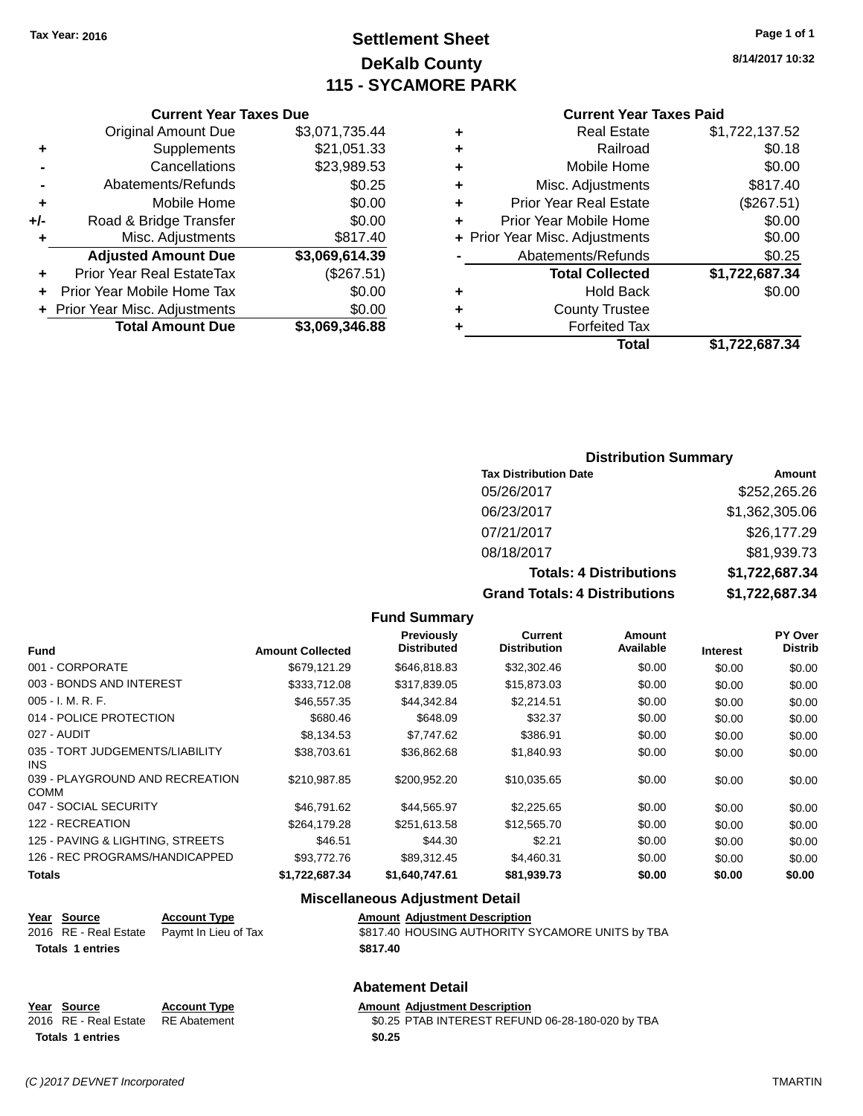# **Settlement Sheet Tax Year: 2016 Page 1 of 1 DeKalb County 115 - SYCAMORE PARK**

**8/14/2017 10:32**

## **Current Year Taxes Paid**

| ٠ | Real Estate                    | \$1,722,137.52 |
|---|--------------------------------|----------------|
| ٠ | Railroad                       | \$0.18         |
| ٠ | Mobile Home                    | \$0.00         |
| ٠ | Misc. Adjustments              | \$817.40       |
| ÷ | <b>Prior Year Real Estate</b>  | (\$267.51)     |
| ÷ | Prior Year Mobile Home         | \$0.00         |
|   | + Prior Year Misc. Adjustments | \$0.00         |
|   | Abatements/Refunds             | \$0.25         |
|   | <b>Total Collected</b>         | \$1,722,687.34 |
|   | Hold Back                      | \$0.00         |
| ÷ | <b>County Trustee</b>          |                |
|   | <b>Forfeited Tax</b>           |                |
|   | Total                          | \$1.722.687.34 |

## **Current Year Taxes Due** Original Amount Due \$3,071,735.44<br>Supplements \$21,051.33 **+** Supplements **-** Cancellations \$23,989.53 **-** Abatements/Refunds \$0.25 **+** Mobile Home \$0.00 **+/-** Road & Bridge Transfer \$0.00 **+** Misc. Adjustments \$817.40 **Adjusted Amount Due \$3,069,614.39 +** Prior Year Real EstateTax (\$267.51) **+** Prior Year Mobile Home Tax \$0.00 **+** Prior Year Misc. Adjustments \$0.00<br> **Total Amount Due** \$3,069,346.88 **Total Amount Due**

## **Distribution Summary**

| <b>Tax Distribution Date</b>         | Amount         |
|--------------------------------------|----------------|
| 05/26/2017                           | \$252,265.26   |
| 06/23/2017                           | \$1,362,305.06 |
| 07/21/2017                           | \$26,177.29    |
| 08/18/2017                           | \$81,939.73    |
| <b>Totals: 4 Distributions</b>       | \$1,722,687.34 |
| <b>Grand Totals: 4 Distributions</b> | \$1,722,687.34 |

#### **Fund Summary**

| <b>Fund</b>                             | <b>Amount Collected</b> | <b>Previously</b><br><b>Distributed</b> | <b>Current</b><br><b>Distribution</b> | Amount<br>Available | <b>Interest</b> | <b>PY Over</b><br><b>Distrib</b> |
|-----------------------------------------|-------------------------|-----------------------------------------|---------------------------------------|---------------------|-----------------|----------------------------------|
| 001 - CORPORATE                         | \$679.121.29            | \$646,818.83                            | \$32,302.46                           | \$0.00              | \$0.00          | \$0.00                           |
| 003 - BONDS AND INTEREST                | \$333,712.08            | \$317.839.05                            | \$15,873.03                           | \$0.00              | \$0.00          | \$0.00                           |
| $005 - I. M. R. F.$                     | \$46,557.35             | \$44.342.84                             | \$2.214.51                            | \$0.00              | \$0.00          | \$0.00                           |
| 014 - POLICE PROTECTION                 | \$680.46                | \$648.09                                | \$32.37                               | \$0.00              | \$0.00          | \$0.00                           |
| 027 - AUDIT                             | \$8,134.53              | \$7,747.62                              | \$386.91                              | \$0.00              | \$0.00          | \$0.00                           |
| 035 - TORT JUDGEMENTS/LIABILITY<br>INS. | \$38,703.61             | \$36,862.68                             | \$1,840.93                            | \$0.00              | \$0.00          | \$0.00                           |
| 039 - PLAYGROUND AND RECREATION<br>COMM | \$210.987.85            | \$200,952.20                            | \$10,035.65                           | \$0.00              | \$0.00          | \$0.00                           |
| 047 - SOCIAL SECURITY                   | \$46,791.62             | \$44,565.97                             | \$2,225.65                            | \$0.00              | \$0.00          | \$0.00                           |
| 122 - RECREATION                        | \$264,179.28            | \$251,613.58                            | \$12,565.70                           | \$0.00              | \$0.00          | \$0.00                           |
| 125 - PAVING & LIGHTING, STREETS        | \$46.51                 | \$44.30                                 | \$2.21                                | \$0.00              | \$0.00          | \$0.00                           |
| 126 - REC PROGRAMS/HANDICAPPED          | \$93,772.76             | \$89,312.45                             | \$4,460.31                            | \$0.00              | \$0.00          | \$0.00                           |
| <b>Totals</b>                           | \$1,722,687.34          | \$1,640,747.61                          | \$81,939.73                           | \$0.00              | \$0.00          | \$0.00                           |

## **Miscellaneous Adjustment Detail**

| <u>Year Source</u>      | <b>Account Type</b>                        | <b>Amount Adjustment Description</b>             |
|-------------------------|--------------------------------------------|--------------------------------------------------|
|                         | 2016 RE - Real Estate Paymt In Lieu of Tax | \$817.40 HOUSING AUTHORITY SYCAMORE UNITS by TBA |
| <b>Totals 1 entries</b> |                                            | \$817.40                                         |

## **Abatement Detail**

| Year Source                        | <b>Account Type</b> | <b>Amount Adiustment Description</b>             |
|------------------------------------|---------------------|--------------------------------------------------|
| 2016 RE - Real Estate RE Abatement |                     | \$0.25 PTAB INTEREST REFUND 06-28-180-020 by TBA |
| <b>Totals 1 entries</b>            |                     | \$0.25                                           |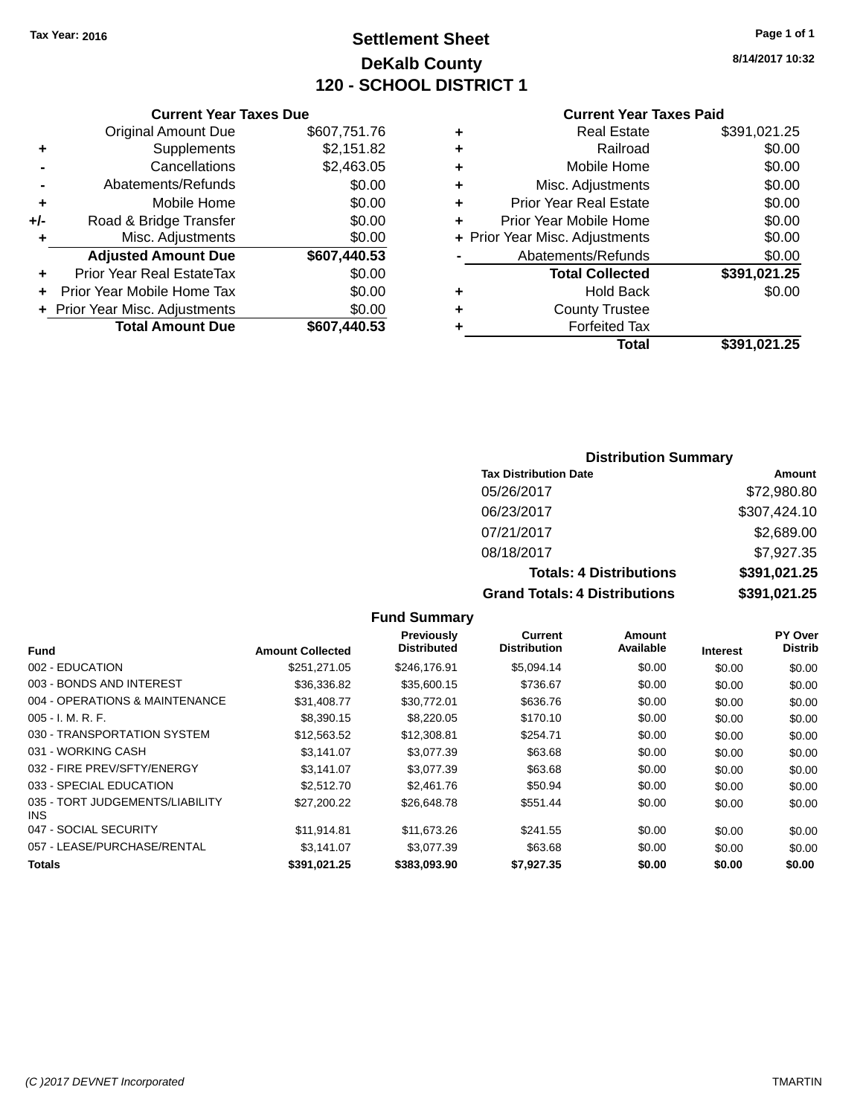# **Settlement Sheet Tax Year: 2016 Page 1 of 1 DeKalb County 120 - SCHOOL DISTRICT 1**

**8/14/2017 10:32**

## **Current Year Taxes Paid**

|     | <b>Current Year Taxes Due</b>  |              |  |  |  |  |
|-----|--------------------------------|--------------|--|--|--|--|
|     | <b>Original Amount Due</b>     | \$607,751.76 |  |  |  |  |
| ٠   | Supplements                    | \$2,151.82   |  |  |  |  |
|     | Cancellations                  | \$2,463.05   |  |  |  |  |
|     | Abatements/Refunds             | \$0.00       |  |  |  |  |
| ٠   | Mobile Home                    | \$0.00       |  |  |  |  |
| +/- | Road & Bridge Transfer         | \$0.00       |  |  |  |  |
| ٠   | Misc. Adjustments              | \$0.00       |  |  |  |  |
|     | <b>Adjusted Amount Due</b>     | \$607,440.53 |  |  |  |  |
| ÷   | Prior Year Real EstateTax      | \$0.00       |  |  |  |  |
|     | Prior Year Mobile Home Tax     | \$0.00       |  |  |  |  |
|     | + Prior Year Misc. Adjustments | \$0.00       |  |  |  |  |
|     | <b>Total Amount Due</b>        | \$607,440.53 |  |  |  |  |
|     |                                |              |  |  |  |  |

|   | <b>Real Estate</b>             | \$391,021.25 |
|---|--------------------------------|--------------|
| ٠ | Railroad                       | \$0.00       |
| ٠ | Mobile Home                    | \$0.00       |
| ٠ | Misc. Adjustments              | \$0.00       |
| ٠ | <b>Prior Year Real Estate</b>  | \$0.00       |
| ٠ | Prior Year Mobile Home         | \$0.00       |
|   | + Prior Year Misc. Adjustments | \$0.00       |
|   | Abatements/Refunds             | \$0.00       |
|   | <b>Total Collected</b>         | \$391,021.25 |
| ٠ | Hold Back                      | \$0.00       |
| ٠ | <b>County Trustee</b>          |              |
| ٠ | <b>Forfeited Tax</b>           |              |
|   | Total                          | \$391,021.25 |
|   |                                |              |

## **Distribution Summary**

| <b>Tax Distribution Date</b>         | Amount       |
|--------------------------------------|--------------|
| 05/26/2017                           | \$72,980.80  |
| 06/23/2017                           | \$307,424.10 |
| 07/21/2017                           | \$2,689.00   |
| 08/18/2017                           | \$7,927.35   |
| <b>Totals: 4 Distributions</b>       | \$391,021.25 |
| <b>Grand Totals: 4 Distributions</b> | \$391,021.25 |

## **Fund Summary**

|                                         |                         | Previously         | Current             | Amount    |                 | PY Over        |
|-----------------------------------------|-------------------------|--------------------|---------------------|-----------|-----------------|----------------|
| <b>Fund</b>                             | <b>Amount Collected</b> | <b>Distributed</b> | <b>Distribution</b> | Available | <b>Interest</b> | <b>Distrib</b> |
| 002 - EDUCATION                         | \$251.271.05            | \$246.176.91       | \$5.094.14          | \$0.00    | \$0.00          | \$0.00         |
| 003 - BONDS AND INTEREST                | \$36,336.82             | \$35,600.15        | \$736.67            | \$0.00    | \$0.00          | \$0.00         |
| 004 - OPERATIONS & MAINTENANCE          | \$31.408.77             | \$30,772.01        | \$636.76            | \$0.00    | \$0.00          | \$0.00         |
| $005 - I. M. R. F.$                     | \$8,390.15              | \$8,220.05         | \$170.10            | \$0.00    | \$0.00          | \$0.00         |
| 030 - TRANSPORTATION SYSTEM             | \$12,563.52             | \$12,308.81        | \$254.71            | \$0.00    | \$0.00          | \$0.00         |
| 031 - WORKING CASH                      | \$3.141.07              | \$3.077.39         | \$63.68             | \$0.00    | \$0.00          | \$0.00         |
| 032 - FIRE PREV/SFTY/ENERGY             | \$3.141.07              | \$3,077.39         | \$63.68             | \$0.00    | \$0.00          | \$0.00         |
| 033 - SPECIAL EDUCATION                 | \$2,512.70              | \$2,461.76         | \$50.94             | \$0.00    | \$0.00          | \$0.00         |
| 035 - TORT JUDGEMENTS/LIABILITY<br>INS. | \$27,200.22             | \$26,648.78        | \$551.44            | \$0.00    | \$0.00          | \$0.00         |
| 047 - SOCIAL SECURITY                   | \$11.914.81             | \$11,673,26        | \$241.55            | \$0.00    | \$0.00          | \$0.00         |
| 057 - LEASE/PURCHASE/RENTAL             | \$3.141.07              | \$3.077.39         | \$63.68             | \$0.00    | \$0.00          | \$0.00         |
| <b>Totals</b>                           | \$391.021.25            | \$383.093.90       | \$7.927.35          | \$0.00    | \$0.00          | \$0.00         |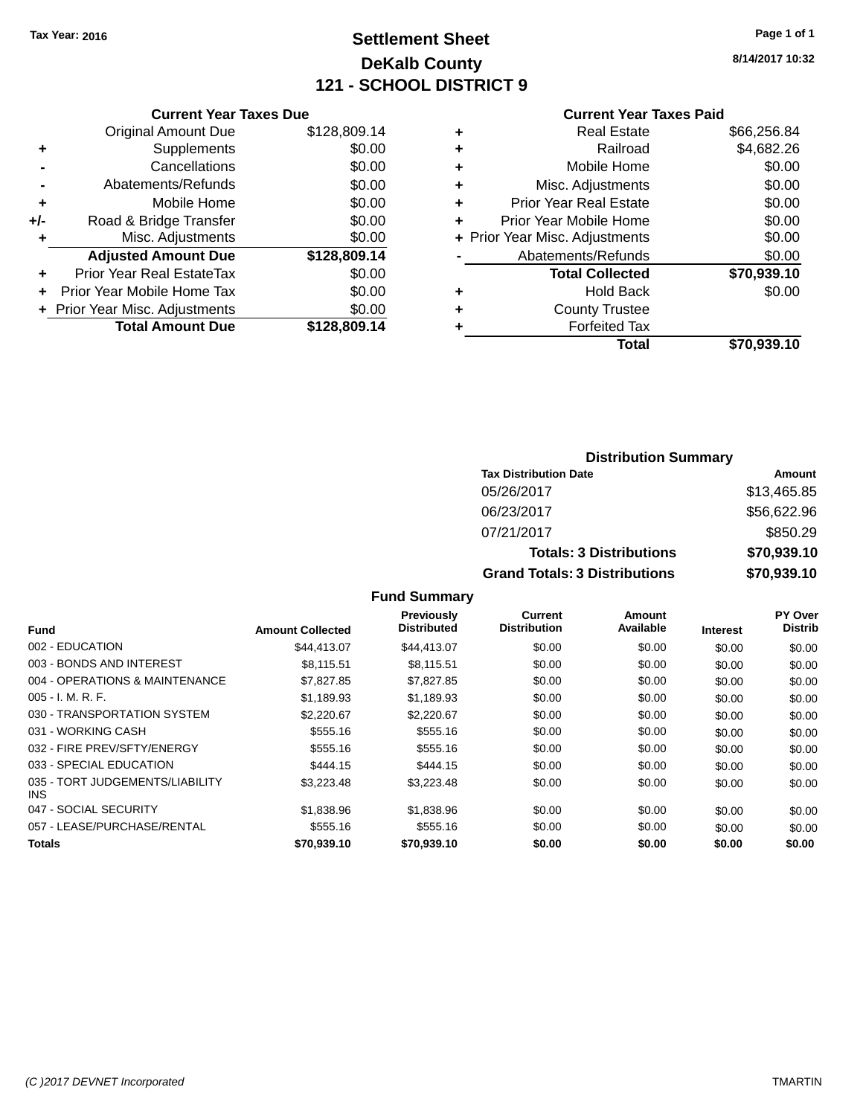# **Settlement Sheet Tax Year: 2016 Page 1 of 1 DeKalb County 121 - SCHOOL DISTRICT 9**

**8/14/2017 10:32**

### **Current Year Taxes Paid**

|       | <b>Current Year Taxes Due</b>  |              |
|-------|--------------------------------|--------------|
|       | <b>Original Amount Due</b>     | \$128,809.14 |
| ٠     | Supplements                    | \$0.00       |
|       | Cancellations                  | \$0.00       |
|       | Abatements/Refunds             | \$0.00       |
| ٠     | Mobile Home                    | \$0.00       |
| $+/-$ | Road & Bridge Transfer         | \$0.00       |
| ٠     | Misc. Adjustments              | \$0.00       |
|       | <b>Adjusted Amount Due</b>     | \$128,809.14 |
| ٠     | Prior Year Real EstateTax      | \$0.00       |
|       | Prior Year Mobile Home Tax     | \$0.00       |
|       | + Prior Year Misc. Adjustments | \$0.00       |
|       | <b>Total Amount Due</b>        | \$128,809.14 |
|       |                                |              |

| ٠ | <b>Real Estate</b>             | \$66,256.84 |
|---|--------------------------------|-------------|
| ٠ | Railroad                       | \$4,682.26  |
| ٠ | Mobile Home                    | \$0.00      |
| ٠ | Misc. Adjustments              | \$0.00      |
| ٠ | <b>Prior Year Real Estate</b>  | \$0.00      |
| ÷ | Prior Year Mobile Home         | \$0.00      |
|   | + Prior Year Misc. Adjustments | \$0.00      |
|   | Abatements/Refunds             | \$0.00      |
|   | <b>Total Collected</b>         | \$70,939.10 |
| ٠ | Hold Back                      | \$0.00      |
| ٠ | <b>County Trustee</b>          |             |
| ٠ | <b>Forfeited Tax</b>           |             |
|   | Total                          | \$70,939.10 |
|   |                                |             |

## **Distribution Summary Tax Distribution Date Amount** 05/26/2017 \$13,465.85 06/23/2017 \$56,622.96 07/21/2017 \$850.29 **Totals: 3 Distributions \$70,939.10 Grand Totals: 3 Distributions \$70,939.10**

| <b>Fund</b>                             | <b>Amount Collected</b> | <b>Previously</b><br><b>Distributed</b> | Current<br><b>Distribution</b> | Amount<br>Available | <b>Interest</b> | <b>PY Over</b><br><b>Distrib</b> |
|-----------------------------------------|-------------------------|-----------------------------------------|--------------------------------|---------------------|-----------------|----------------------------------|
| 002 - EDUCATION                         | \$44,413.07             | \$44,413.07                             | \$0.00                         | \$0.00              | \$0.00          | \$0.00                           |
| 003 - BONDS AND INTEREST                | \$8.115.51              | \$8.115.51                              | \$0.00                         | \$0.00              | \$0.00          | \$0.00                           |
| 004 - OPERATIONS & MAINTENANCE          | \$7,827.85              | \$7,827.85                              | \$0.00                         | \$0.00              | \$0.00          | \$0.00                           |
| $005 - I. M. R. F.$                     | \$1.189.93              | \$1,189.93                              | \$0.00                         | \$0.00              | \$0.00          | \$0.00                           |
| 030 - TRANSPORTATION SYSTEM             | \$2,220.67              | \$2,220.67                              | \$0.00                         | \$0.00              | \$0.00          | \$0.00                           |
| 031 - WORKING CASH                      | \$555.16                | \$555.16                                | \$0.00                         | \$0.00              | \$0.00          | \$0.00                           |
| 032 - FIRE PREV/SFTY/ENERGY             | \$555.16                | \$555.16                                | \$0.00                         | \$0.00              | \$0.00          | \$0.00                           |
| 033 - SPECIAL EDUCATION                 | \$444.15                | \$444.15                                | \$0.00                         | \$0.00              | \$0.00          | \$0.00                           |
| 035 - TORT JUDGEMENTS/LIABILITY<br>INS. | \$3,223,48              | \$3,223.48                              | \$0.00                         | \$0.00              | \$0.00          | \$0.00                           |
| 047 - SOCIAL SECURITY                   | \$1,838.96              | \$1,838.96                              | \$0.00                         | \$0.00              | \$0.00          | \$0.00                           |
| 057 - LEASE/PURCHASE/RENTAL             | \$555.16                | \$555.16                                | \$0.00                         | \$0.00              | \$0.00          | \$0.00                           |
| <b>Totals</b>                           | \$70,939.10             | \$70,939.10                             | \$0.00                         | \$0.00              | \$0.00          | \$0.00                           |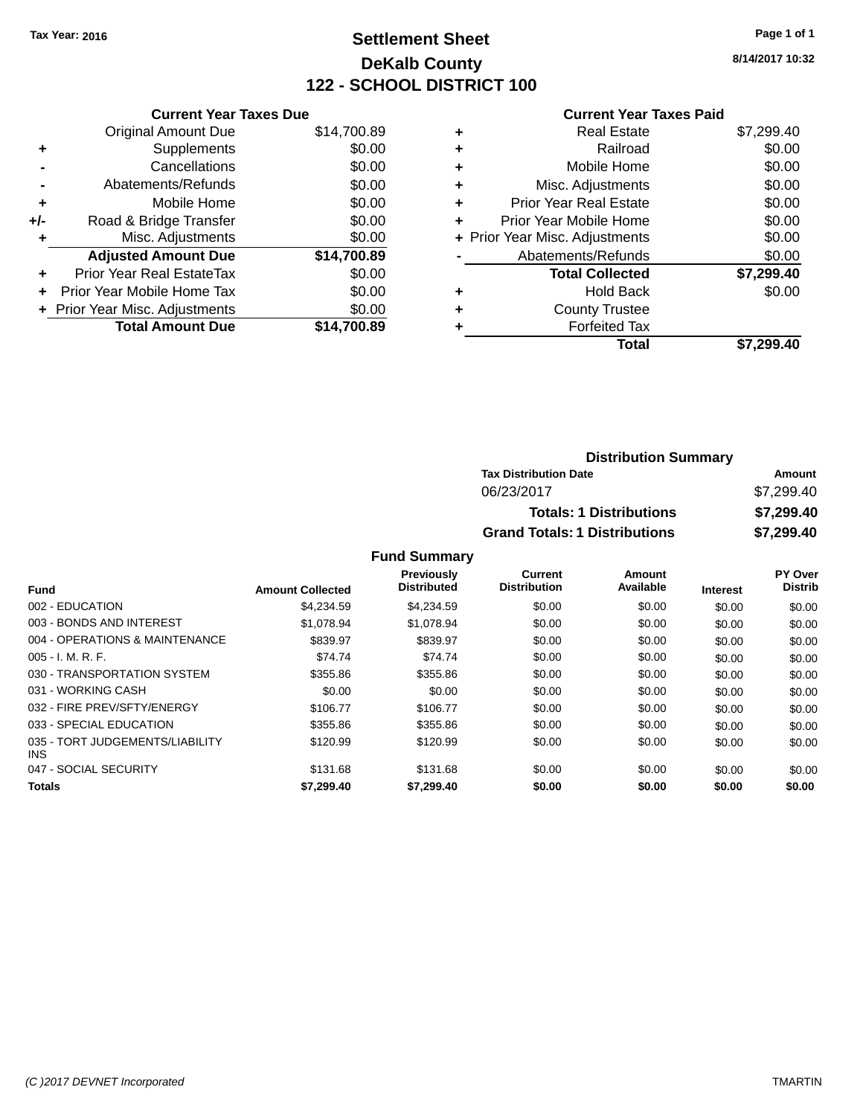# **Settlement Sheet Tax Year: 2016 Page 1 of 1 DeKalb County 122 - SCHOOL DISTRICT 100**

**8/14/2017 10:32**

#### **Current Year Taxes Paid**

|       | <b>Current Year Taxes Due</b>  |             |
|-------|--------------------------------|-------------|
|       | <b>Original Amount Due</b>     | \$14,700.89 |
| ٠     | Supplements                    | \$0.00      |
|       | Cancellations                  | \$0.00      |
|       | Abatements/Refunds             | \$0.00      |
| ٠     | Mobile Home                    | \$0.00      |
| $+/-$ | Road & Bridge Transfer         | \$0.00      |
|       | Misc. Adjustments              | \$0.00      |
|       | <b>Adjusted Amount Due</b>     | \$14,700.89 |
| ٠     | Prior Year Real EstateTax      | \$0.00      |
|       | Prior Year Mobile Home Tax     | \$0.00      |
|       | + Prior Year Misc. Adjustments | \$0.00      |
|       | <b>Total Amount Due</b>        | \$14.700.89 |
|       |                                |             |

| ٠ | <b>Real Estate</b>             | \$7,299.40 |
|---|--------------------------------|------------|
| ٠ | Railroad                       | \$0.00     |
| ٠ | Mobile Home                    | \$0.00     |
| ٠ | Misc. Adjustments              | \$0.00     |
| ٠ | <b>Prior Year Real Estate</b>  | \$0.00     |
| ÷ | Prior Year Mobile Home         | \$0.00     |
|   | + Prior Year Misc. Adjustments | \$0.00     |
|   | Abatements/Refunds             | \$0.00     |
|   | <b>Total Collected</b>         | \$7,299.40 |
| ٠ | <b>Hold Back</b>               | \$0.00     |
| ٠ | <b>County Trustee</b>          |            |
| ٠ | <b>Forfeited Tax</b>           |            |
|   | Total                          | \$7.299.40 |
|   |                                |            |

| <b>Distribution Summary</b>          |            |
|--------------------------------------|------------|
| <b>Tax Distribution Date</b>         | Amount     |
| 06/23/2017                           | \$7,299.40 |
| <b>Totals: 1 Distributions</b>       | \$7,299.40 |
| <b>Grand Totals: 1 Distributions</b> | \$7,299.40 |

| <b>Fund</b>                                   | <b>Amount Collected</b> | <b>Previously</b><br><b>Distributed</b> | Current<br><b>Distribution</b> | Amount<br>Available | <b>Interest</b> | PY Over<br><b>Distrib</b> |
|-----------------------------------------------|-------------------------|-----------------------------------------|--------------------------------|---------------------|-----------------|---------------------------|
| 002 - EDUCATION                               | \$4,234.59              | \$4,234.59                              | \$0.00                         | \$0.00              | \$0.00          | \$0.00                    |
| 003 - BONDS AND INTEREST                      | \$1.078.94              | \$1.078.94                              | \$0.00                         | \$0.00              | \$0.00          | \$0.00                    |
| 004 - OPERATIONS & MAINTENANCE                | \$839.97                | \$839.97                                | \$0.00                         | \$0.00              | \$0.00          | \$0.00                    |
| $005 - I. M. R. F.$                           | \$74.74                 | \$74.74                                 | \$0.00                         | \$0.00              | \$0.00          | \$0.00                    |
| 030 - TRANSPORTATION SYSTEM                   | \$355.86                | \$355.86                                | \$0.00                         | \$0.00              | \$0.00          | \$0.00                    |
| 031 - WORKING CASH                            | \$0.00                  | \$0.00                                  | \$0.00                         | \$0.00              | \$0.00          | \$0.00                    |
| 032 - FIRE PREV/SFTY/ENERGY                   | \$106.77                | \$106.77                                | \$0.00                         | \$0.00              | \$0.00          | \$0.00                    |
| 033 - SPECIAL EDUCATION                       | \$355.86                | \$355.86                                | \$0.00                         | \$0.00              | \$0.00          | \$0.00                    |
| 035 - TORT JUDGEMENTS/LIABILITY<br><b>INS</b> | \$120.99                | \$120.99                                | \$0.00                         | \$0.00              | \$0.00          | \$0.00                    |
| 047 - SOCIAL SECURITY                         | \$131.68                | \$131.68                                | \$0.00                         | \$0.00              | \$0.00          | \$0.00                    |
| Totals                                        | \$7,299.40              | \$7,299.40                              | \$0.00                         | \$0.00              | \$0.00          | \$0.00                    |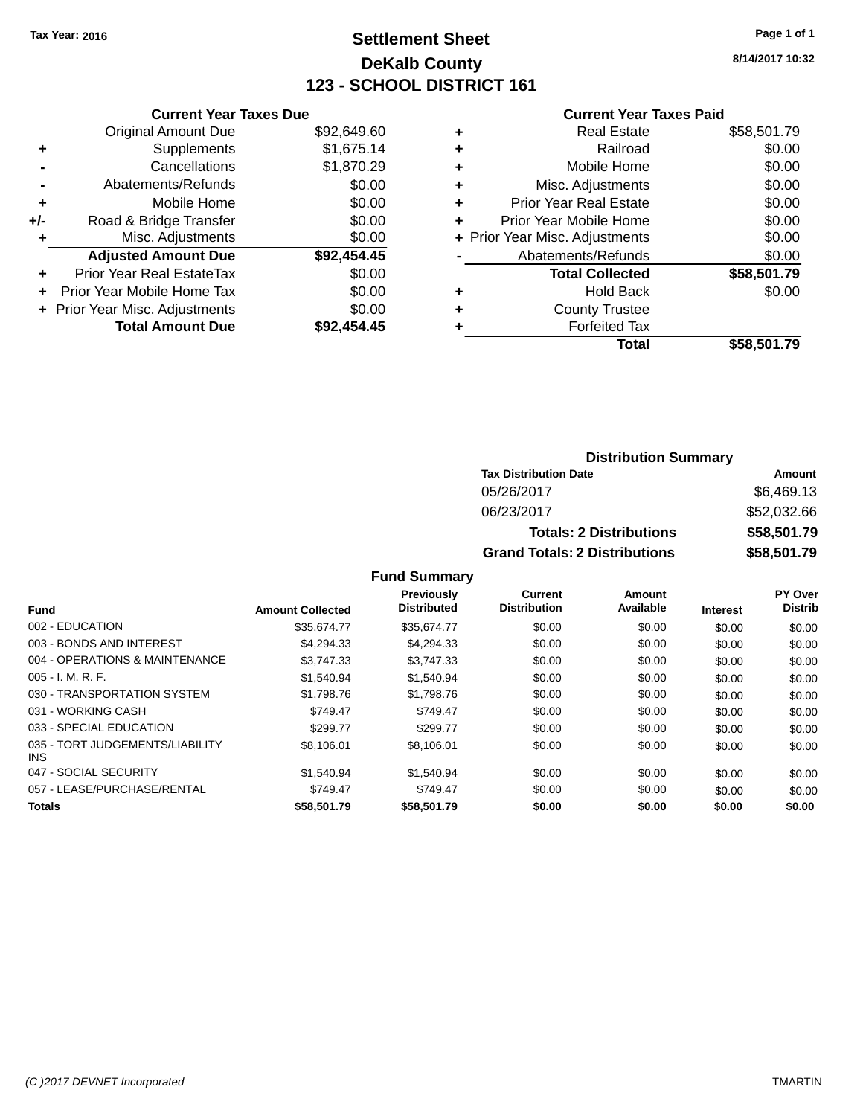# **Settlement Sheet Tax Year: 2016 Page 1 of 1 DeKalb County 123 - SCHOOL DISTRICT 161**

**8/14/2017 10:32**

#### **Current Year Taxes Paid**

|     | <b>Current Year Taxes Due</b>  |             |
|-----|--------------------------------|-------------|
|     | <b>Original Amount Due</b>     | \$92,649.60 |
| ٠   | Supplements                    | \$1,675.14  |
|     | Cancellations                  | \$1,870.29  |
|     | Abatements/Refunds             | \$0.00      |
| ٠   | Mobile Home                    | \$0.00      |
| +/- | Road & Bridge Transfer         | \$0.00      |
|     | Misc. Adjustments              | \$0.00      |
|     | <b>Adjusted Amount Due</b>     | \$92,454.45 |
| ÷   | Prior Year Real EstateTax      | \$0.00      |
| ÷   | Prior Year Mobile Home Tax     | \$0.00      |
|     | + Prior Year Misc. Adjustments | \$0.00      |
|     | <b>Total Amount Due</b>        | \$92.454.45 |

|   | <b>Real Estate</b>             | \$58,501.79 |
|---|--------------------------------|-------------|
| ٠ | Railroad                       | \$0.00      |
| ٠ | Mobile Home                    | \$0.00      |
| ٠ | Misc. Adjustments              | \$0.00      |
| ٠ | <b>Prior Year Real Estate</b>  | \$0.00      |
|   | Prior Year Mobile Home         | \$0.00      |
|   | + Prior Year Misc. Adjustments | \$0.00      |
|   | Abatements/Refunds             | \$0.00      |
|   | <b>Total Collected</b>         | \$58,501.79 |
| ٠ | <b>Hold Back</b>               | \$0.00      |
|   | <b>County Trustee</b>          |             |
| ٠ | <b>Forfeited Tax</b>           |             |
|   | Total                          | \$58,501.79 |
|   |                                |             |

### **Distribution Summary Tax Distribution Date Amount** 05/26/2017 \$6,469.13 06/23/2017 \$52,032.66 **Totals: 2 Distributions \$58,501.79 Grand Totals: 2 Distributions \$58,501.79**

| Fund                                    | <b>Amount Collected</b> | <b>Previously</b><br><b>Distributed</b> | Current<br><b>Distribution</b> | Amount<br>Available | <b>Interest</b> | PY Over<br><b>Distrib</b> |
|-----------------------------------------|-------------------------|-----------------------------------------|--------------------------------|---------------------|-----------------|---------------------------|
|                                         |                         |                                         |                                |                     |                 |                           |
| 002 - EDUCATION                         | \$35,674.77             | \$35,674.77                             | \$0.00                         | \$0.00              | \$0.00          | \$0.00                    |
| 003 - BONDS AND INTEREST                | \$4.294.33              | \$4,294.33                              | \$0.00                         | \$0.00              | \$0.00          | \$0.00                    |
| 004 - OPERATIONS & MAINTENANCE          | \$3.747.33              | \$3.747.33                              | \$0.00                         | \$0.00              | \$0.00          | \$0.00                    |
| $005 - I. M. R. F.$                     | \$1.540.94              | \$1.540.94                              | \$0.00                         | \$0.00              | \$0.00          | \$0.00                    |
| 030 - TRANSPORTATION SYSTEM             | \$1,798.76              | \$1,798.76                              | \$0.00                         | \$0.00              | \$0.00          | \$0.00                    |
| 031 - WORKING CASH                      | \$749.47                | \$749.47                                | \$0.00                         | \$0.00              | \$0.00          | \$0.00                    |
| 033 - SPECIAL EDUCATION                 | \$299.77                | \$299.77                                | \$0.00                         | \$0.00              | \$0.00          | \$0.00                    |
| 035 - TORT JUDGEMENTS/LIABILITY<br>INS. | \$8,106.01              | \$8,106.01                              | \$0.00                         | \$0.00              | \$0.00          | \$0.00                    |
| 047 - SOCIAL SECURITY                   | \$1.540.94              | \$1.540.94                              | \$0.00                         | \$0.00              | \$0.00          | \$0.00                    |
| 057 - LEASE/PURCHASE/RENTAL             | \$749.47                | \$749.47                                | \$0.00                         | \$0.00              | \$0.00          | \$0.00                    |
| <b>Totals</b>                           | \$58,501.79             | \$58,501.79                             | \$0.00                         | \$0.00              | \$0.00          | \$0.00                    |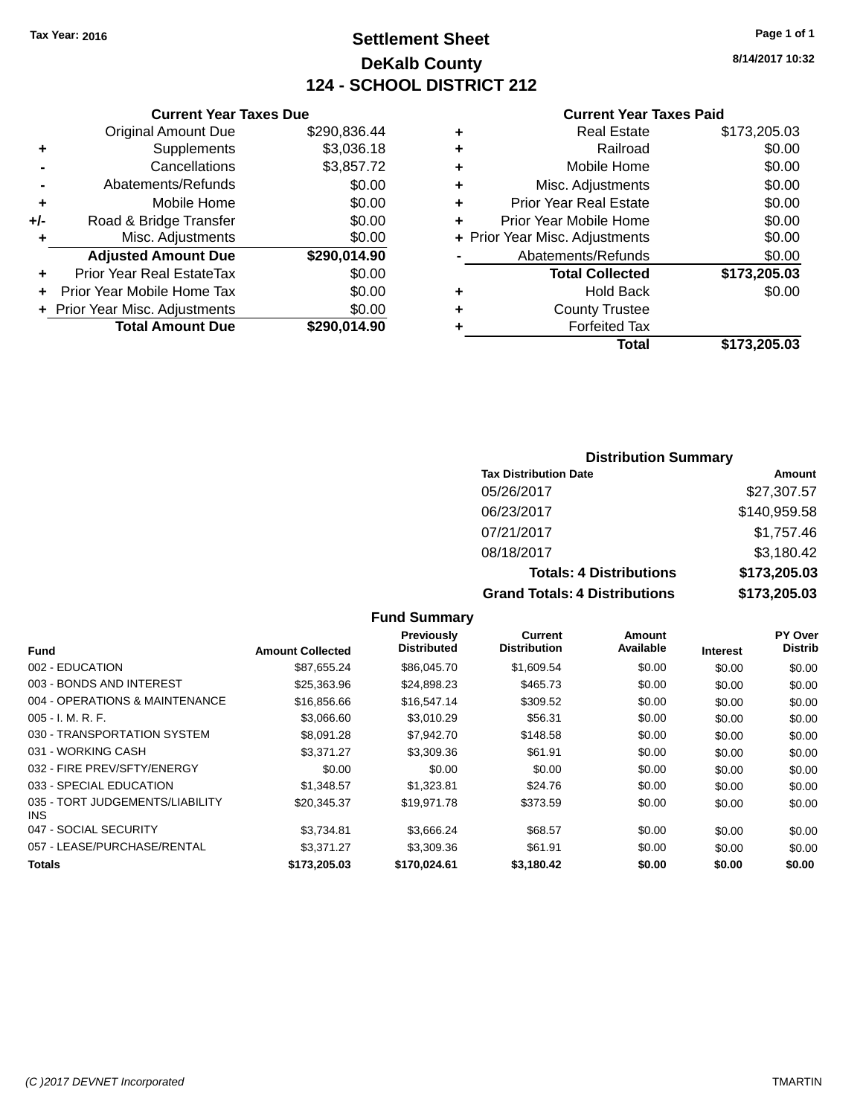# **Settlement Sheet Tax Year: 2016 Page 1 of 1 DeKalb County 124 - SCHOOL DISTRICT 212**

**8/14/2017 10:32**

#### **Current Year Taxes Paid**

|     | <b>Original Amount Due</b>     | \$290,836.44 |
|-----|--------------------------------|--------------|
| ٠   | Supplements                    | \$3,036.18   |
|     | Cancellations                  | \$3,857.72   |
|     | Abatements/Refunds             | \$0.00       |
| ÷   | Mobile Home                    | \$0.00       |
| +/- | Road & Bridge Transfer         | \$0.00       |
| ٠   | Misc. Adjustments              | \$0.00       |
|     | <b>Adjusted Amount Due</b>     | \$290,014.90 |
| ÷   | Prior Year Real EstateTax      | \$0.00       |
| ٠   | Prior Year Mobile Home Tax     | \$0.00       |
|     | + Prior Year Misc. Adjustments | \$0.00       |
|     | <b>Total Amount Due</b>        | \$290,014.90 |
|     |                                |              |

**Current Year Taxes Due**

|   | <b>Real Estate</b>             | \$173,205.03 |
|---|--------------------------------|--------------|
| ٠ | Railroad                       | \$0.00       |
| ٠ | Mobile Home                    | \$0.00       |
| ٠ | Misc. Adjustments              | \$0.00       |
| ٠ | <b>Prior Year Real Estate</b>  | \$0.00       |
| ٠ | Prior Year Mobile Home         | \$0.00       |
|   | + Prior Year Misc. Adjustments | \$0.00       |
|   | Abatements/Refunds             | \$0.00       |
|   | <b>Total Collected</b>         | \$173,205.03 |
| ٠ | <b>Hold Back</b>               | \$0.00       |
| ٠ | <b>County Trustee</b>          |              |
| ٠ | <b>Forfeited Tax</b>           |              |
|   | Total                          | \$173,205.03 |
|   |                                |              |

## **Distribution Summary**

| <b>Tax Distribution Date</b>         | Amount       |
|--------------------------------------|--------------|
| 05/26/2017                           | \$27,307.57  |
| 06/23/2017                           | \$140,959.58 |
| 07/21/2017                           | \$1,757.46   |
| 08/18/2017                           | \$3,180.42   |
| <b>Totals: 4 Distributions</b>       | \$173,205.03 |
| <b>Grand Totals: 4 Distributions</b> | \$173,205.03 |

#### **Fund Interest Amount Collected Distributed PY Over Distrib Amount Available Current Distribution Previously** 002 - EDUCATION \$87,655.24 \$86,045.70 \$1,609.54 \$0.00 \$0.00 \$0.00 003 - BONDS AND INTEREST 60.00 \$25,363.96 \$24,898.23 \$465.73 \$0.00 \$0.00 \$0.00 \$0.00 004 - OPERATIONS & MAINTENANCE \$16,856.66 \$16,547.14 \$309.52 \$0.00 \$0.00 \$0.00 005 - I. M. R. F. \$3,066.60 \$3,010.29 \$56.31 \$0.00 \$0.00 \$0.00 030 - TRANSPORTATION SYSTEM \$8,091.28 \$7,942.70 \$148.58 \$0.00 \$0.00 \$0.00 \$0.00 031 - WORKING CASH \$3,371.27 \$3,309.36 \$61.91 \$0.00 \$0.00 \$0.00 032 - FIRE PREV/SFTY/ENERGY  $$0.00$   $$0.00$   $$0.00$   $$0.00$   $$0.00$   $$0.00$   $$0.00$   $$0.00$ 033 - SPECIAL EDUCATION \$1,348.57 \$1,323.81 \$24.76 \$0.00 \$0.00 \$0.00 \$0.00 035 - TORT JUDGEMENTS/LIABILITY INS \$20,345.37 \$19,971.78 \$373.59 \$0.00 \$0.00 \$0.00 047 - SOCIAL SECURITY 63,734.81 \$3,734.81 \$3,666.24 \$68.57 \$0.00 \$0.00 \$0.00 \$0.00 057 - LEASE/PURCHASE/RENTAL \$3,371.27 \$3,309.36 \$61.91 \$0.00 \$0.00 \$0.00 \$0.00 **Totals \$173,205.03 \$170,024.61 \$3,180.42 \$0.00 \$0.00 \$0.00**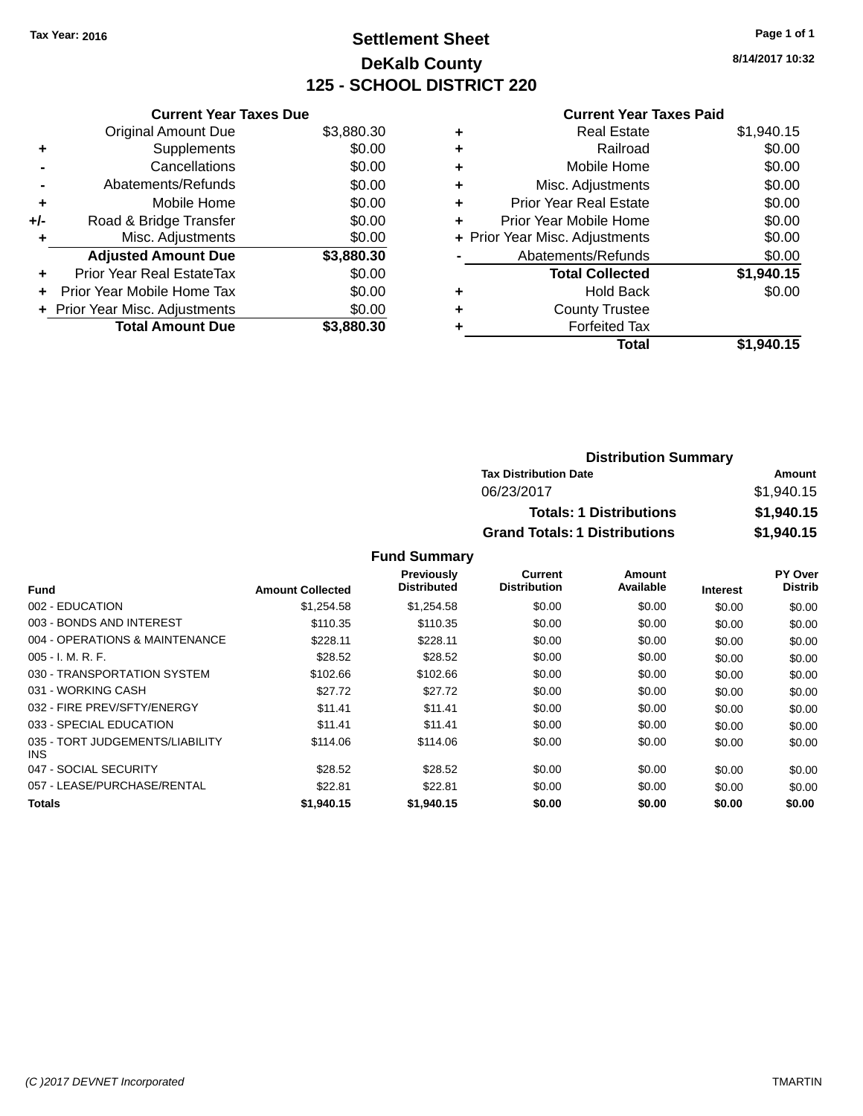# **Settlement Sheet Tax Year: 2016 Page 1 of 1 DeKalb County 125 - SCHOOL DISTRICT 220**

**8/14/2017 10:32**

#### **Current Year Taxes Paid**

|     | <b>Current Year Taxes Due</b>  |            |
|-----|--------------------------------|------------|
|     | <b>Original Amount Due</b>     | \$3,880.30 |
| ÷   | Supplements                    | \$0.00     |
|     | Cancellations                  | \$0.00     |
|     | Abatements/Refunds             | \$0.00     |
| ٠   | Mobile Home                    | \$0.00     |
| +/- | Road & Bridge Transfer         | \$0.00     |
| ٠   | Misc. Adjustments              | \$0.00     |
|     | <b>Adjusted Amount Due</b>     | \$3,880.30 |
| ÷   | Prior Year Real EstateTax      | \$0.00     |
| ÷   | Prior Year Mobile Home Tax     | \$0.00     |
|     | + Prior Year Misc. Adjustments | \$0.00     |
|     | <b>Total Amount Due</b>        | \$3,880.30 |

|   | <b>Real Estate</b>             | \$1,940.15 |
|---|--------------------------------|------------|
| ٠ | Railroad                       | \$0.00     |
| ٠ | Mobile Home                    | \$0.00     |
| ٠ | Misc. Adjustments              | \$0.00     |
| ٠ | <b>Prior Year Real Estate</b>  | \$0.00     |
| ٠ | Prior Year Mobile Home         | \$0.00     |
|   | + Prior Year Misc. Adjustments | \$0.00     |
|   | Abatements/Refunds             | \$0.00     |
|   | <b>Total Collected</b>         | \$1,940.15 |
| ٠ | <b>Hold Back</b>               | \$0.00     |
| ٠ | <b>County Trustee</b>          |            |
| ٠ | <b>Forfeited Tax</b>           |            |
|   | Total                          | \$1,940.15 |
|   |                                |            |

| <b>Distribution Summary</b>          |            |
|--------------------------------------|------------|
| <b>Tax Distribution Date</b>         | Amount     |
| 06/23/2017                           | \$1,940.15 |
| <b>Totals: 1 Distributions</b>       | \$1,940.15 |
| <b>Grand Totals: 1 Distributions</b> | \$1,940.15 |

| <b>Fund</b>                             | <b>Amount Collected</b> | Previously<br><b>Distributed</b> | Current<br><b>Distribution</b> | Amount<br>Available | <b>Interest</b> | PY Over<br><b>Distrib</b> |
|-----------------------------------------|-------------------------|----------------------------------|--------------------------------|---------------------|-----------------|---------------------------|
| 002 - EDUCATION                         | \$1,254.58              | \$1,254.58                       | \$0.00                         | \$0.00              | \$0.00          | \$0.00                    |
| 003 - BONDS AND INTEREST                | \$110.35                | \$110.35                         | \$0.00                         | \$0.00              | \$0.00          | \$0.00                    |
| 004 - OPERATIONS & MAINTENANCE          | \$228.11                | \$228.11                         | \$0.00                         | \$0.00              | \$0.00          | \$0.00                    |
| $005 - I. M. R. F.$                     | \$28.52                 | \$28.52                          | \$0.00                         | \$0.00              | \$0.00          | \$0.00                    |
| 030 - TRANSPORTATION SYSTEM             | \$102.66                | \$102.66                         | \$0.00                         | \$0.00              | \$0.00          | \$0.00                    |
| 031 - WORKING CASH                      | \$27.72                 | \$27.72                          | \$0.00                         | \$0.00              | \$0.00          | \$0.00                    |
| 032 - FIRE PREV/SFTY/ENERGY             | \$11.41                 | \$11.41                          | \$0.00                         | \$0.00              | \$0.00          | \$0.00                    |
| 033 - SPECIAL EDUCATION                 | \$11.41                 | \$11.41                          | \$0.00                         | \$0.00              | \$0.00          | \$0.00                    |
| 035 - TORT JUDGEMENTS/LIABILITY<br>INS. | \$114.06                | \$114.06                         | \$0.00                         | \$0.00              | \$0.00          | \$0.00                    |
| 047 - SOCIAL SECURITY                   | \$28.52                 | \$28.52                          | \$0.00                         | \$0.00              | \$0.00          | \$0.00                    |
| 057 - LEASE/PURCHASE/RENTAL             | \$22.81                 | \$22.81                          | \$0.00                         | \$0.00              | \$0.00          | \$0.00                    |
| Totals                                  | \$1,940.15              | \$1,940.15                       | \$0.00                         | \$0.00              | \$0.00          | \$0.00                    |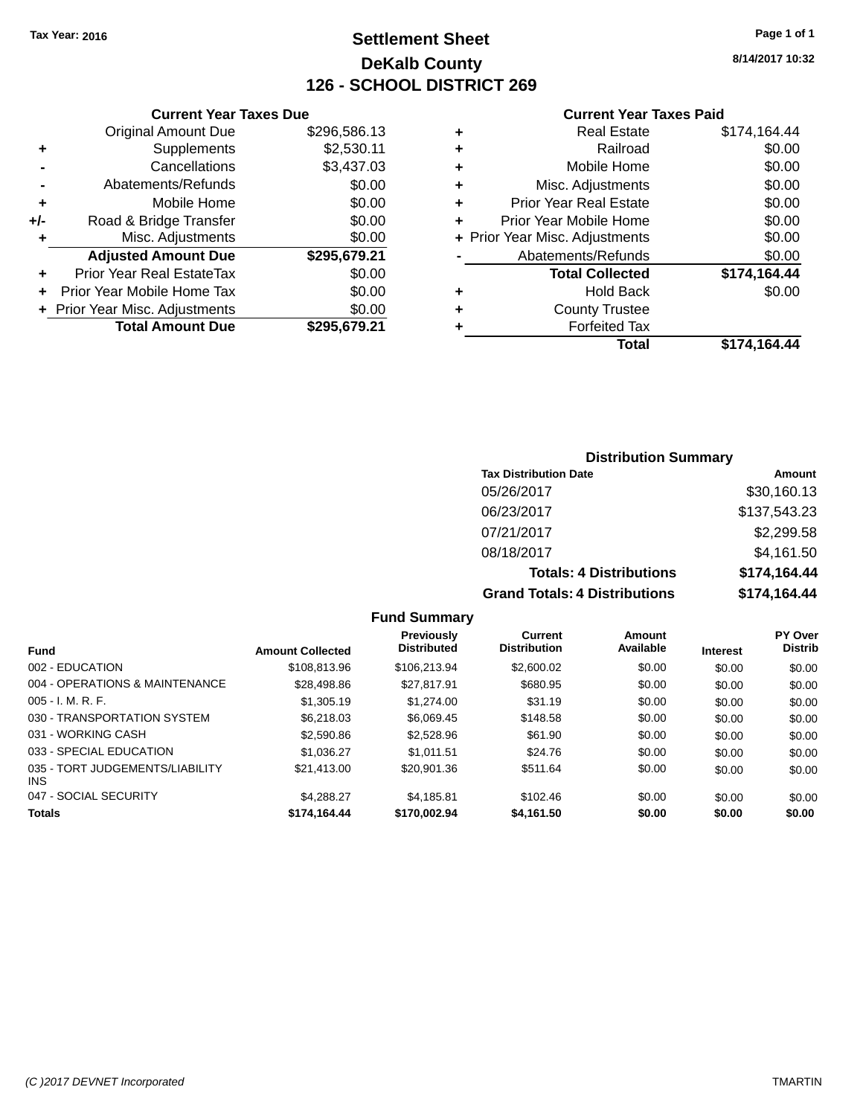# **Settlement Sheet Tax Year: 2016 Page 1 of 1 DeKalb County 126 - SCHOOL DISTRICT 269**

**8/14/2017 10:32**

#### **Current Year Taxes Paid**

| <b>Original Amount Due</b>     | \$296,586.13 |                               |
|--------------------------------|--------------|-------------------------------|
| Supplements                    | \$2,530.11   |                               |
| Cancellations                  | \$3,437.03   | ٠                             |
| Abatements/Refunds             | \$0.00       | ٠                             |
| Mobile Home                    | \$0.00       | ٠                             |
| Road & Bridge Transfer         | \$0.00       | ٠                             |
| Misc. Adjustments              | \$0.00       | ٠                             |
| <b>Adjusted Amount Due</b>     | \$295,679.21 |                               |
| Prior Year Real EstateTax      | \$0.00       |                               |
| Prior Year Mobile Home Tax     | \$0.00       |                               |
| + Prior Year Misc. Adjustments | \$0.00       | ٠                             |
| <b>Total Amount Due</b>        | \$295,679.21 |                               |
|                                |              | <b>Current Year Taxes Due</b> |

| ٠ | <b>Real Estate</b>             | \$174,164.44 |
|---|--------------------------------|--------------|
| ٠ | Railroad                       | \$0.00       |
| ٠ | Mobile Home                    | \$0.00       |
| ٠ | Misc. Adjustments              | \$0.00       |
| ٠ | <b>Prior Year Real Estate</b>  | \$0.00       |
| ٠ | Prior Year Mobile Home         | \$0.00       |
|   | + Prior Year Misc. Adjustments | \$0.00       |
|   | Abatements/Refunds             | \$0.00       |
|   | <b>Total Collected</b>         | \$174,164.44 |
| ٠ | Hold Back                      | \$0.00       |
| ٠ | <b>County Trustee</b>          |              |
| ٠ | <b>Forfeited Tax</b>           |              |
|   | Total                          | \$174,164.44 |
|   |                                |              |

## **Distribution Summary Tax Distribution Date Amount** 05/26/2017 \$30,160.13 06/23/2017 \$137,543.23 07/21/2017 \$2,299.58 08/18/2017 \$4,161.50 **Totals: 4 Distributions \$174,164.44 Grand Totals: 4 Distributions \$174,164.44**

#### **Fund Summary Fund Interest Amount Collected Distributed PY Over Distrib Amount Available Current Distribution Previously** 002 - EDUCATION \$108,813.96 \$106,213.94 \$2,600.02 \$0.00 \$0.00 \$0.00 004 - OPERATIONS & MAINTENANCE \$28,498.86 \$27,817.91 \$680.95 \$0.00 \$0.00 \$0.00 \$0.00 005 - I. M. R. F. \$1,305.19 \$1,274.00 \$31.19 \$0.00 \$0.00 \$0.00 030 - TRANSPORTATION SYSTEM \$6,218.03 \$6,069.45 \$148.58 \$0.00 \$0.00 \$0.00 \$0.00 031 - WORKING CASH \$2,590.86 \$2,528.96 \$61.90 \$0.00 \$0.00 \$0.00 033 - SPECIAL EDUCATION \$1,036.27 \$1,011.51 \$24.76 \$0.00 \$0.00 \$0.00 \$0.00 035 - TORT JUDGEMENTS/LIABILITY INS \$21,413.00 \$20,901.36 \$511.64 \$0.00 \$0.00 \$0.00 047 - SOCIAL SECURITY \$4,288.27 \$4,185.81 \$102.46 \$0.00 \$0.00 \$0.00 \$0.00 **Totals \$174,164.44 \$170,002.94 \$4,161.50 \$0.00 \$0.00 \$0.00**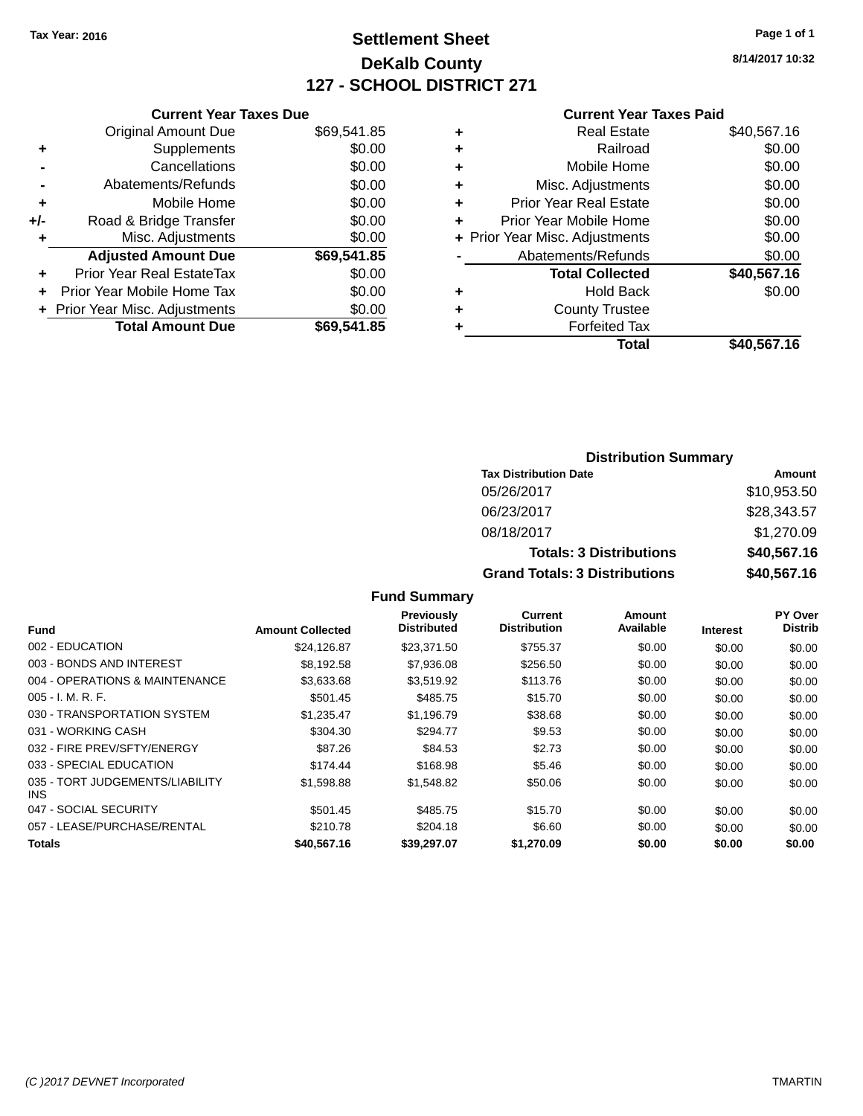# **Settlement Sheet Tax Year: 2016 Page 1 of 1 DeKalb County 127 - SCHOOL DISTRICT 271**

**8/14/2017 10:32**

#### **Current Year Taxes Paid**

|     | <b>Current Year Taxes Due</b>  |             |
|-----|--------------------------------|-------------|
|     | <b>Original Amount Due</b>     | \$69,541.85 |
| ÷   | Supplements                    | \$0.00      |
|     | Cancellations                  | \$0.00      |
|     | Abatements/Refunds             | \$0.00      |
| ٠   | Mobile Home                    | \$0.00      |
| +/- | Road & Bridge Transfer         | \$0.00      |
| ٠   | Misc. Adjustments              | \$0.00      |
|     | <b>Adjusted Amount Due</b>     | \$69,541.85 |
| ÷   | Prior Year Real EstateTax      | \$0.00      |
|     | Prior Year Mobile Home Tax     | \$0.00      |
|     | + Prior Year Misc. Adjustments | \$0.00      |
|     | <b>Total Amount Due</b>        | \$69,541.85 |
|     |                                |             |

| ٠ | <b>Real Estate</b>             | \$40,567.16 |
|---|--------------------------------|-------------|
| ٠ | Railroad                       | \$0.00      |
| ٠ | Mobile Home                    | \$0.00      |
| ٠ | Misc. Adjustments              | \$0.00      |
| ٠ | <b>Prior Year Real Estate</b>  | \$0.00      |
| ÷ | Prior Year Mobile Home         | \$0.00      |
|   | + Prior Year Misc. Adjustments | \$0.00      |
|   | Abatements/Refunds             | \$0.00      |
|   | <b>Total Collected</b>         | \$40,567.16 |
| ٠ | <b>Hold Back</b>               | \$0.00      |
| ٠ | <b>County Trustee</b>          |             |
| ٠ | <b>Forfeited Tax</b>           |             |
|   | Total                          | \$40,567.16 |
|   |                                |             |

## **Distribution Summary Tax Distribution Date Amount** 05/26/2017 \$10,953.50 06/23/2017 \$28,343.57 08/18/2017 \$1,270.09 **Totals: 3 Distributions \$40,567.16 Grand Totals: 3 Distributions \$40,567.16**

| Fund                                    | <b>Amount Collected</b> | <b>Previously</b><br><b>Distributed</b> | Current<br><b>Distribution</b> | Amount<br>Available | <b>Interest</b> | PY Over<br><b>Distrib</b> |
|-----------------------------------------|-------------------------|-----------------------------------------|--------------------------------|---------------------|-----------------|---------------------------|
| 002 - EDUCATION                         | \$24,126.87             | \$23,371.50                             | \$755.37                       | \$0.00              | \$0.00          | \$0.00                    |
| 003 - BONDS AND INTEREST                | \$8,192.58              | \$7,936.08                              | \$256.50                       | \$0.00              | \$0.00          | \$0.00                    |
| 004 - OPERATIONS & MAINTENANCE          | \$3,633.68              | \$3,519.92                              | \$113.76                       | \$0.00              | \$0.00          | \$0.00                    |
| $005 - I. M. R. F.$                     | \$501.45                | \$485.75                                | \$15.70                        | \$0.00              | \$0.00          | \$0.00                    |
| 030 - TRANSPORTATION SYSTEM             | \$1,235.47              | \$1,196.79                              | \$38.68                        | \$0.00              | \$0.00          | \$0.00                    |
| 031 - WORKING CASH                      | \$304.30                | \$294.77                                | \$9.53                         | \$0.00              | \$0.00          | \$0.00                    |
| 032 - FIRE PREV/SFTY/ENERGY             | \$87.26                 | \$84.53                                 | \$2.73                         | \$0.00              | \$0.00          | \$0.00                    |
| 033 - SPECIAL EDUCATION                 | \$174.44                | \$168.98                                | \$5.46                         | \$0.00              | \$0.00          | \$0.00                    |
| 035 - TORT JUDGEMENTS/LIABILITY<br>INS. | \$1,598.88              | \$1,548.82                              | \$50.06                        | \$0.00              | \$0.00          | \$0.00                    |
| 047 - SOCIAL SECURITY                   | \$501.45                | \$485.75                                | \$15.70                        | \$0.00              | \$0.00          | \$0.00                    |
| 057 - LEASE/PURCHASE/RENTAL             | \$210.78                | \$204.18                                | \$6.60                         | \$0.00              | \$0.00          | \$0.00                    |
| Totals                                  | \$40,567.16             | \$39,297.07                             | \$1,270.09                     | \$0.00              | \$0.00          | \$0.00                    |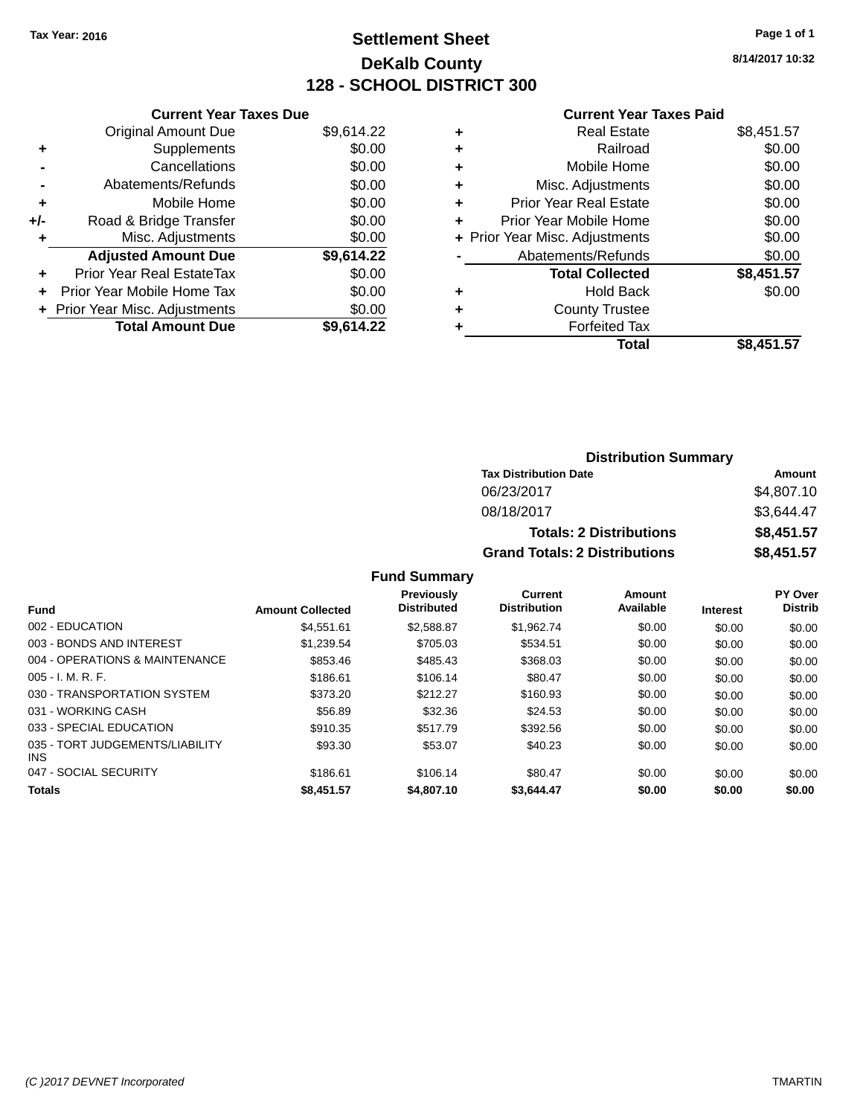# **Settlement Sheet Tax Year: 2016 Page 1 of 1 DeKalb County 128 - SCHOOL DISTRICT 300**

**8/14/2017 10:32**

### **Current Year Taxes Paid**

|     | <b>Current Year Taxes Due</b>  |            |
|-----|--------------------------------|------------|
|     | <b>Original Amount Due</b>     | \$9,614.22 |
| ٠   | Supplements                    | \$0.00     |
|     | Cancellations                  | \$0.00     |
|     | Abatements/Refunds             | \$0.00     |
| ٠   | Mobile Home                    | \$0.00     |
| +/- | Road & Bridge Transfer         | \$0.00     |
| ٠   | Misc. Adjustments              | \$0.00     |
|     | <b>Adjusted Amount Due</b>     | \$9,614.22 |
| ٠   | Prior Year Real EstateTax      | \$0.00     |
| ÷   | Prior Year Mobile Home Tax     | \$0.00     |
|     | + Prior Year Misc. Adjustments | \$0.00     |
|     | <b>Total Amount Due</b>        | \$9.614.22 |

| ٠ | <b>Real Estate</b>             | \$8,451.57 |
|---|--------------------------------|------------|
| ٠ | Railroad                       | \$0.00     |
| ٠ | Mobile Home                    | \$0.00     |
| ٠ | Misc. Adjustments              | \$0.00     |
| ٠ | <b>Prior Year Real Estate</b>  | \$0.00     |
| ÷ | Prior Year Mobile Home         | \$0.00     |
|   | + Prior Year Misc. Adjustments | \$0.00     |
|   | Abatements/Refunds             | \$0.00     |
|   | <b>Total Collected</b>         | \$8,451.57 |
| ٠ | <b>Hold Back</b>               | \$0.00     |
| ٠ | <b>County Trustee</b>          |            |
| ٠ | <b>Forfeited Tax</b>           |            |
|   | Total                          | \$8,451.57 |
|   |                                |            |

| <b>Distribution Summary</b>          |            |  |  |  |
|--------------------------------------|------------|--|--|--|
| <b>Tax Distribution Date</b>         | Amount     |  |  |  |
| 06/23/2017                           | \$4,807.10 |  |  |  |
| 08/18/2017                           | \$3,644.47 |  |  |  |
| <b>Totals: 2 Distributions</b>       | \$8,451.57 |  |  |  |
| <b>Grand Totals: 2 Distributions</b> | \$8,451.57 |  |  |  |

|                                               |                         | <b>Previously</b><br><b>Distributed</b> | Current<br><b>Distribution</b> | Amount<br>Available |                 | PY Over<br><b>Distrib</b> |
|-----------------------------------------------|-------------------------|-----------------------------------------|--------------------------------|---------------------|-----------------|---------------------------|
| <b>Fund</b>                                   | <b>Amount Collected</b> |                                         |                                |                     | <b>Interest</b> |                           |
| 002 - EDUCATION                               | \$4.551.61              | \$2.588.87                              | \$1.962.74                     | \$0.00              | \$0.00          | \$0.00                    |
| 003 - BONDS AND INTEREST                      | \$1.239.54              | \$705.03                                | \$534.51                       | \$0.00              | \$0.00          | \$0.00                    |
| 004 - OPERATIONS & MAINTENANCE                | \$853.46                | \$485.43                                | \$368.03                       | \$0.00              | \$0.00          | \$0.00                    |
| $005 - I. M. R. F.$                           | \$186.61                | \$106.14                                | \$80.47                        | \$0.00              | \$0.00          | \$0.00                    |
| 030 - TRANSPORTATION SYSTEM                   | \$373.20                | \$212.27                                | \$160.93                       | \$0.00              | \$0.00          | \$0.00                    |
| 031 - WORKING CASH                            | \$56.89                 | \$32.36                                 | \$24.53                        | \$0.00              | \$0.00          | \$0.00                    |
| 033 - SPECIAL EDUCATION                       | \$910.35                | \$517.79                                | \$392.56                       | \$0.00              | \$0.00          | \$0.00                    |
| 035 - TORT JUDGEMENTS/LIABILITY<br><b>INS</b> | \$93.30                 | \$53.07                                 | \$40.23                        | \$0.00              | \$0.00          | \$0.00                    |
| 047 - SOCIAL SECURITY                         | \$186.61                | \$106.14                                | \$80.47                        | \$0.00              | \$0.00          | \$0.00                    |
| <b>Totals</b>                                 | \$8,451.57              | \$4,807.10                              | \$3.644.47                     | \$0.00              | \$0.00          | \$0.00                    |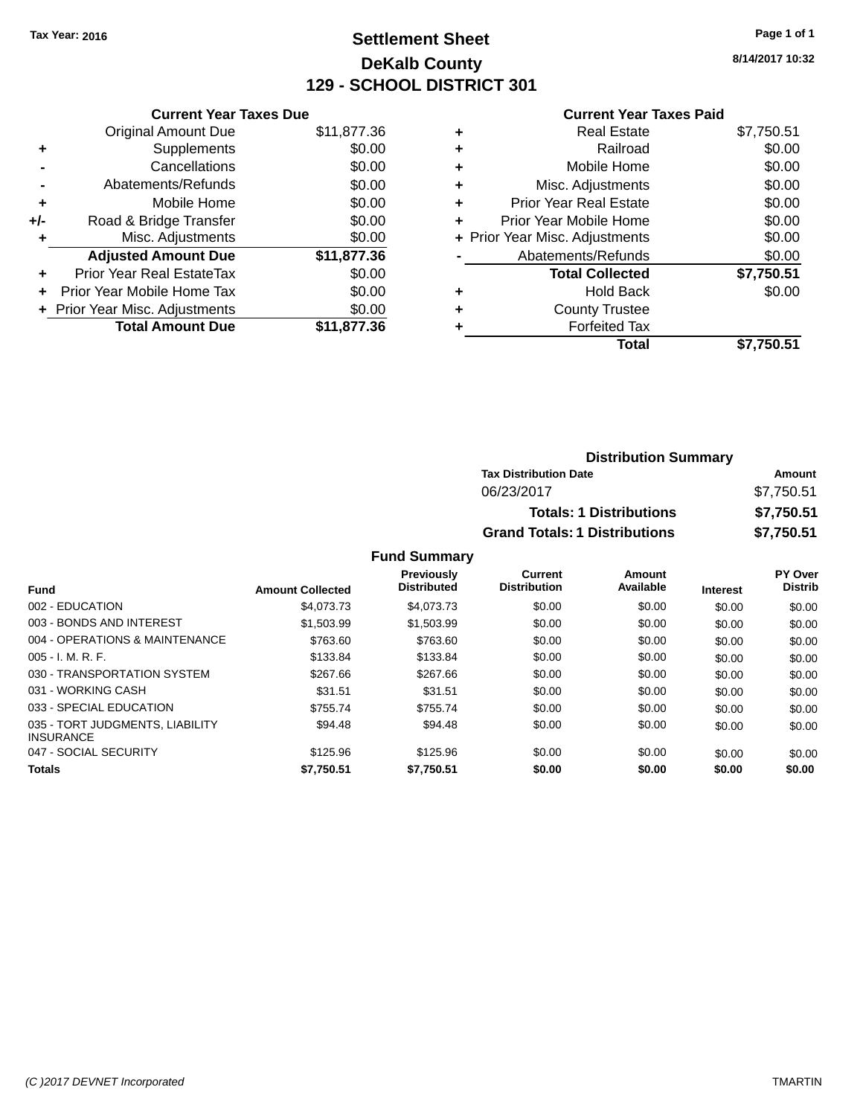# **Settlement Sheet Tax Year: 2016 Page 1 of 1 DeKalb County 129 - SCHOOL DISTRICT 301**

**8/14/2017 10:32**

#### **Current Year Taxes Paid**

|     | <b>Current Year Taxes Due</b>  |             |
|-----|--------------------------------|-------------|
|     | <b>Original Amount Due</b>     | \$11,877.36 |
| ٠   | Supplements                    | \$0.00      |
|     | Cancellations                  | \$0.00      |
|     | Abatements/Refunds             | \$0.00      |
| ٠   | Mobile Home                    | \$0.00      |
| +/- | Road & Bridge Transfer         | \$0.00      |
|     | Misc. Adjustments              | \$0.00      |
|     | <b>Adjusted Amount Due</b>     | \$11,877.36 |
| ÷   | Prior Year Real EstateTax      | \$0.00      |
|     | Prior Year Mobile Home Tax     | \$0.00      |
|     | + Prior Year Misc. Adjustments | \$0.00      |
|     | <b>Total Amount Due</b>        | \$11,877.36 |
|     |                                |             |

|   | <b>Real Estate</b>             | \$7,750.51 |
|---|--------------------------------|------------|
| ٠ | Railroad                       | \$0.00     |
| ٠ | Mobile Home                    | \$0.00     |
| ٠ | Misc. Adjustments              | \$0.00     |
| ٠ | <b>Prior Year Real Estate</b>  | \$0.00     |
| ٠ | Prior Year Mobile Home         | \$0.00     |
|   | + Prior Year Misc. Adjustments | \$0.00     |
|   | Abatements/Refunds             | \$0.00     |
|   | <b>Total Collected</b>         | \$7,750.51 |
| ٠ | <b>Hold Back</b>               | \$0.00     |
|   | <b>County Trustee</b>          |            |
| ٠ | <b>Forfeited Tax</b>           |            |
|   | Total                          | \$7,750.51 |
|   |                                |            |

| <b>Distribution Summary</b>          |            |
|--------------------------------------|------------|
| <b>Tax Distribution Date</b>         | Amount     |
| 06/23/2017                           | \$7,750.51 |
| <b>Totals: 1 Distributions</b>       | \$7,750.51 |
| <b>Grand Totals: 1 Distributions</b> | \$7,750.51 |

| <b>Fund</b>                                         | <b>Amount Collected</b> | <b>Previously</b><br><b>Distributed</b> | Current<br><b>Distribution</b> | Amount<br>Available | <b>Interest</b> | PY Over<br><b>Distrib</b> |
|-----------------------------------------------------|-------------------------|-----------------------------------------|--------------------------------|---------------------|-----------------|---------------------------|
| 002 - EDUCATION                                     | \$4,073,73              | \$4,073,73                              | \$0.00                         | \$0.00              | \$0.00          | \$0.00                    |
| 003 - BONDS AND INTEREST                            | \$1,503.99              | \$1,503.99                              | \$0.00                         | \$0.00              | \$0.00          | \$0.00                    |
| 004 - OPERATIONS & MAINTENANCE                      | \$763.60                | \$763.60                                | \$0.00                         | \$0.00              | \$0.00          | \$0.00                    |
| $005 - I. M. R. F.$                                 | \$133.84                | \$133.84                                | \$0.00                         | \$0.00              | \$0.00          | \$0.00                    |
| 030 - TRANSPORTATION SYSTEM                         | \$267.66                | \$267.66                                | \$0.00                         | \$0.00              | \$0.00          | \$0.00                    |
| 031 - WORKING CASH                                  | \$31.51                 | \$31.51                                 | \$0.00                         | \$0.00              | \$0.00          | \$0.00                    |
| 033 - SPECIAL EDUCATION                             | \$755.74                | \$755.74                                | \$0.00                         | \$0.00              | \$0.00          | \$0.00                    |
| 035 - TORT JUDGMENTS, LIABILITY<br><b>INSURANCE</b> | \$94.48                 | \$94.48                                 | \$0.00                         | \$0.00              | \$0.00          | \$0.00                    |
| 047 - SOCIAL SECURITY                               | \$125.96                | \$125.96                                | \$0.00                         | \$0.00              | \$0.00          | \$0.00                    |
| <b>Totals</b>                                       | \$7,750.51              | \$7,750.51                              | \$0.00                         | \$0.00              | \$0.00          | \$0.00                    |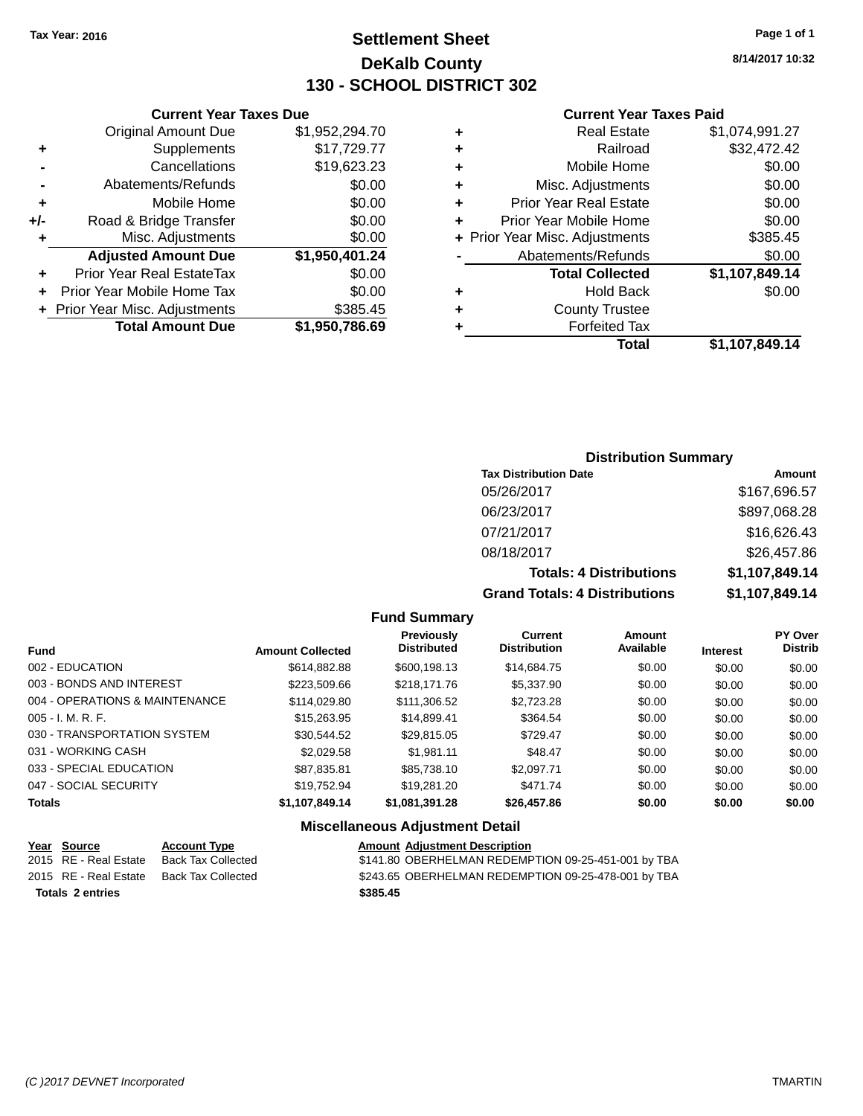# **Settlement Sheet Tax Year: 2016 Page 1 of 1 DeKalb County 130 - SCHOOL DISTRICT 302**

**8/14/2017 10:32**

### **Current Year Taxes Paid**

|     | <b>Current Year Taxes Due</b>    |                |  |  |  |
|-----|----------------------------------|----------------|--|--|--|
|     | <b>Original Amount Due</b>       | \$1,952,294.70 |  |  |  |
| ٠   | Supplements                      | \$17,729.77    |  |  |  |
|     | Cancellations                    | \$19,623.23    |  |  |  |
|     | Abatements/Refunds               | \$0.00         |  |  |  |
| ٠   | Mobile Home                      | \$0.00         |  |  |  |
| +/- | Road & Bridge Transfer           | \$0.00         |  |  |  |
| ٠   | Misc. Adjustments                | \$0.00         |  |  |  |
|     | <b>Adjusted Amount Due</b>       | \$1,950,401.24 |  |  |  |
| ٠   | <b>Prior Year Real EstateTax</b> | \$0.00         |  |  |  |
|     | Prior Year Mobile Home Tax       | \$0.00         |  |  |  |
|     | + Prior Year Misc. Adjustments   | \$385.45       |  |  |  |
|     | <b>Total Amount Due</b>          | \$1,950,786.69 |  |  |  |
|     |                                  |                |  |  |  |

| ٠ | <b>Real Estate</b>             | \$1,074,991.27 |
|---|--------------------------------|----------------|
| ٠ | Railroad                       | \$32,472.42    |
| ٠ | Mobile Home                    | \$0.00         |
| ٠ | Misc. Adjustments              | \$0.00         |
| ٠ | <b>Prior Year Real Estate</b>  | \$0.00         |
| ٠ | Prior Year Mobile Home         | \$0.00         |
|   | + Prior Year Misc. Adjustments | \$385.45       |
|   | Abatements/Refunds             | \$0.00         |
|   | <b>Total Collected</b>         | \$1,107,849.14 |
| ٠ | <b>Hold Back</b>               | \$0.00         |
| ٠ | <b>County Trustee</b>          |                |
| ٠ | <b>Forfeited Tax</b>           |                |
|   | Total                          | \$1,107,849.14 |
|   |                                |                |

# **Distribution Summary**

| <b>Tax Distribution Date</b>         | Amount         |
|--------------------------------------|----------------|
| 05/26/2017                           | \$167,696.57   |
| 06/23/2017                           | \$897,068.28   |
| 07/21/2017                           | \$16,626.43    |
| 08/18/2017                           | \$26,457.86    |
| <b>Totals: 4 Distributions</b>       | \$1,107,849.14 |
| <b>Grand Totals: 4 Distributions</b> | \$1,107,849.14 |

### **Fund Summary**

| <b>Fund</b>                    | <b>Amount Collected</b> | <b>Previously</b><br><b>Distributed</b> | <b>Current</b><br><b>Distribution</b> | Amount<br>Available | <b>Interest</b> | <b>PY Over</b><br><b>Distrib</b> |
|--------------------------------|-------------------------|-----------------------------------------|---------------------------------------|---------------------|-----------------|----------------------------------|
| 002 - EDUCATION                | \$614,882,88            | \$600,198.13                            | \$14,684.75                           | \$0.00              | \$0.00          | \$0.00                           |
| 003 - BONDS AND INTEREST       | \$223,509.66            | \$218,171.76                            | \$5,337.90                            | \$0.00              | \$0.00          | \$0.00                           |
| 004 - OPERATIONS & MAINTENANCE | \$114,029.80            | \$111,306.52                            | \$2,723.28                            | \$0.00              | \$0.00          | \$0.00                           |
| $005 - I. M. R. F.$            | \$15,263,95             | \$14,899.41                             | \$364.54                              | \$0.00              | \$0.00          | \$0.00                           |
| 030 - TRANSPORTATION SYSTEM    | \$30,544.52             | \$29,815.05                             | \$729.47                              | \$0.00              | \$0.00          | \$0.00                           |
| 031 - WORKING CASH             | \$2,029.58              | \$1.981.11                              | \$48.47                               | \$0.00              | \$0.00          | \$0.00                           |
| 033 - SPECIAL EDUCATION        | \$87,835.81             | \$85,738,10                             | \$2.097.71                            | \$0.00              | \$0.00          | \$0.00                           |
| 047 - SOCIAL SECURITY          | \$19.752.94             | \$19,281.20                             | \$471.74                              | \$0.00              | \$0.00          | \$0.00                           |
| <b>Totals</b>                  | \$1,107,849.14          | \$1,081,391.28                          | \$26,457.86                           | \$0.00              | \$0.00          | \$0.00                           |

| Year Source             | <b>Account Type</b> | <b>Amount Adjustment Description</b>                |
|-------------------------|---------------------|-----------------------------------------------------|
| 2015 RE - Real Estate   | Back Tax Collected  | \$141.80 OBERHELMAN REDEMPTION 09-25-451-001 by TBA |
| 2015 RE - Real Estate   | Back Tax Collected  | \$243.65 OBERHELMAN REDEMPTION 09-25-478-001 by TBA |
| <b>Totals 2 entries</b> |                     | \$385.45                                            |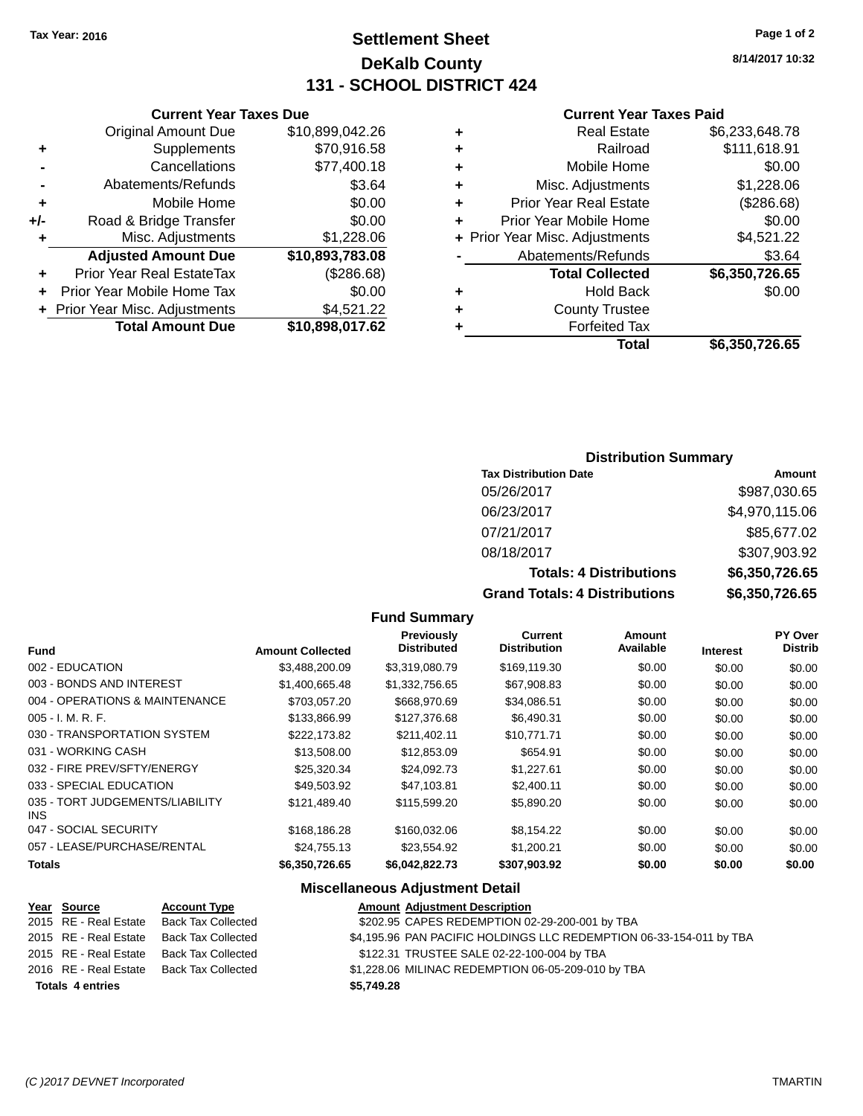**Current Year Taxes Due**

# **Settlement Sheet Tax Year: 2016 Page 1 of 2 DeKalb County 131 - SCHOOL DISTRICT 424**

**8/14/2017 10:32**

#### **Current Year Taxes Paid**

|     |                                  |                 |   | <b>Total</b>                   | \$6,350,726.65 |
|-----|----------------------------------|-----------------|---|--------------------------------|----------------|
|     | <b>Total Amount Due</b>          | \$10,898,017.62 |   | <b>Forfeited Tax</b>           |                |
|     | + Prior Year Misc. Adjustments   | \$4,521.22      | ÷ | <b>County Trustee</b>          |                |
| ÷.  | Prior Year Mobile Home Tax       | \$0.00          | ٠ | <b>Hold Back</b>               | \$0.00         |
| ÷.  | <b>Prior Year Real EstateTax</b> | (\$286.68)      |   | <b>Total Collected</b>         | \$6,350,726.65 |
|     | <b>Adjusted Amount Due</b>       | \$10,893,783.08 |   | Abatements/Refunds             | \$3.64         |
|     | Misc. Adjustments                | \$1,228.06      |   | + Prior Year Misc. Adjustments | \$4,521.22     |
| +/- | Road & Bridge Transfer           | \$0.00          | ٠ | Prior Year Mobile Home         | \$0.00         |
| ٠   | Mobile Home                      | \$0.00          | ٠ | <b>Prior Year Real Estate</b>  | (\$286.68)     |
|     | Abatements/Refunds               | \$3.64          | ٠ | Misc. Adjustments              | \$1,228.06     |
|     | Cancellations                    | \$77,400.18     | ٠ | Mobile Home                    | \$0.00         |
| ٠   | Supplements                      | \$70,916.58     | ٠ | Railroad                       | \$111,618.91   |
|     | <b>Original Amount Due</b>       | \$10,899,042.26 | ٠ | <b>Real Estate</b>             | \$6,233,648.78 |
|     |                                  |                 |   |                                |                |

### **Distribution Summary**

| <b>Tax Distribution Date</b>         | Amount         |
|--------------------------------------|----------------|
| 05/26/2017                           | \$987,030.65   |
| 06/23/2017                           | \$4,970,115.06 |
| 07/21/2017                           | \$85,677.02    |
| 08/18/2017                           | \$307,903.92   |
| <b>Totals: 4 Distributions</b>       | \$6,350,726.65 |
| <b>Grand Totals: 4 Distributions</b> | \$6,350,726.65 |

#### **Fund Summary**

|                                               |                         | <b>Previously</b>  | Current             | Amount    |                 | PY Over        |
|-----------------------------------------------|-------------------------|--------------------|---------------------|-----------|-----------------|----------------|
| <b>Fund</b>                                   | <b>Amount Collected</b> | <b>Distributed</b> | <b>Distribution</b> | Available | <b>Interest</b> | <b>Distrib</b> |
| 002 - EDUCATION                               | \$3,488,200.09          | \$3,319,080.79     | \$169,119.30        | \$0.00    | \$0.00          | \$0.00         |
| 003 - BONDS AND INTEREST                      | \$1,400,665.48          | \$1,332,756.65     | \$67,908.83         | \$0.00    | \$0.00          | \$0.00         |
| 004 - OPERATIONS & MAINTENANCE                | \$703.057.20            | \$668,970.69       | \$34,086.51         | \$0.00    | \$0.00          | \$0.00         |
| $005 - I. M. R. F.$                           | \$133,866.99            | \$127,376.68       | \$6,490.31          | \$0.00    | \$0.00          | \$0.00         |
| 030 - TRANSPORTATION SYSTEM                   | \$222.173.82            | \$211,402.11       | \$10,771.71         | \$0.00    | \$0.00          | \$0.00         |
| 031 - WORKING CASH                            | \$13,508.00             | \$12,853.09        | \$654.91            | \$0.00    | \$0.00          | \$0.00         |
| 032 - FIRE PREV/SFTY/ENERGY                   | \$25,320.34             | \$24,092.73        | \$1,227.61          | \$0.00    | \$0.00          | \$0.00         |
| 033 - SPECIAL EDUCATION                       | \$49,503.92             | \$47.103.81        | \$2,400.11          | \$0.00    | \$0.00          | \$0.00         |
| 035 - TORT JUDGEMENTS/LIABILITY<br><b>INS</b> | \$121.489.40            | \$115,599.20       | \$5,890.20          | \$0.00    | \$0.00          | \$0.00         |
| 047 - SOCIAL SECURITY                         | \$168,186.28            | \$160,032.06       | \$8,154.22          | \$0.00    | \$0.00          | \$0.00         |
| 057 - LEASE/PURCHASE/RENTAL                   | \$24.755.13             | \$23.554.92        | \$1.200.21          | \$0.00    | \$0.00          | \$0.00         |
| <b>Totals</b>                                 | \$6,350,726.65          | \$6,042,822.73     | \$307,903.92        | \$0.00    | \$0.00          | \$0.00         |

| Year Source             | <b>Account Type</b>                      | <b>Amount Adjustment Description</b>                                |
|-------------------------|------------------------------------------|---------------------------------------------------------------------|
| 2015 RE - Real Estate   | Back Tax Collected                       | \$202.95 CAPES REDEMPTION 02-29-200-001 by TBA                      |
| 2015 RE - Real Estate   | Back Tax Collected                       | \$4,195.96 PAN PACIFIC HOLDINGS LLC REDEMPTION 06-33-154-011 by TBA |
|                         | 2015 RE - Real Estate Back Tax Collected | \$122.31 TRUSTEE SALE 02-22-100-004 by TBA                          |
|                         | 2016 RE - Real Estate Back Tax Collected | \$1,228.06 MILINAC REDEMPTION 06-05-209-010 by TBA                  |
| <b>Totals 4 entries</b> |                                          | \$5.749.28                                                          |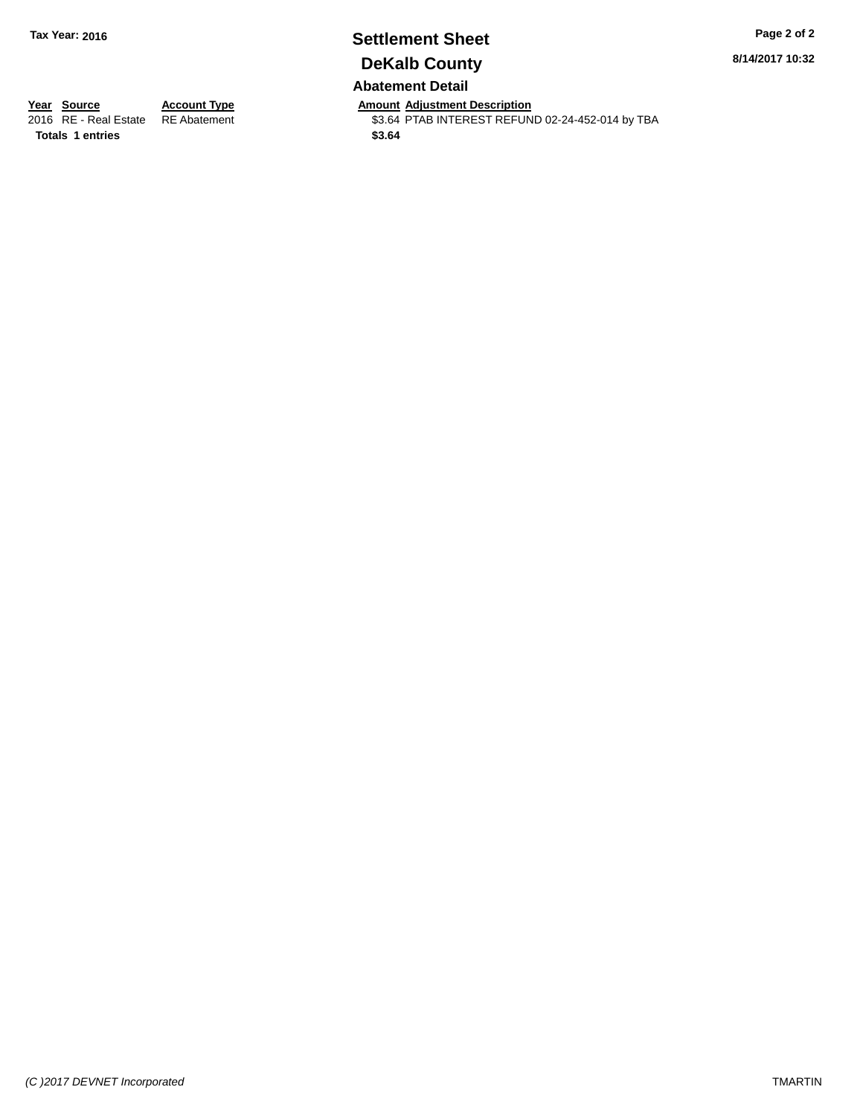# **Settlement Sheet Tax Year: 2016 Page 2 of 2 DeKalb County Abatement Detail**

**8/14/2017 10:32**

**Totals 1 entries \$3.64**

**Year Source Account Type Anneurs Amount Adjustment Description**<br>2016 RE - Real Estate RE Abatement **Adjustment** \$3.64 PTAB INTEREST REFUN \$3.64 PTAB INTEREST REFUND 02-24-452-014 by TBA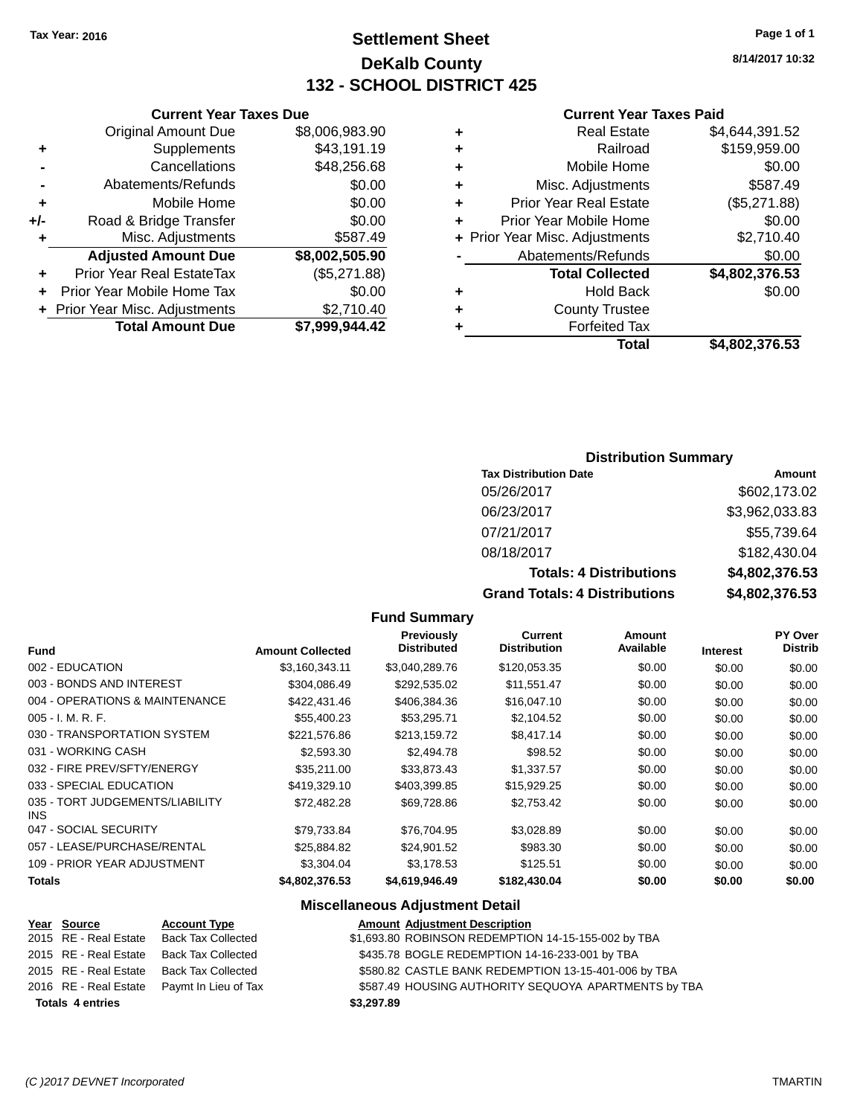# **Settlement Sheet Tax Year: 2016 Page 1 of 1 DeKalb County 132 - SCHOOL DISTRICT 425**

**8/14/2017 10:32**

### **Current Year Taxes Paid**

| ٠ | <b>Real Estate</b>             | \$4,644,391.52 |
|---|--------------------------------|----------------|
| ٠ | Railroad                       | \$159,959.00   |
| ٠ | Mobile Home                    | \$0.00         |
| ٠ | Misc. Adjustments              | \$587.49       |
| ٠ | <b>Prior Year Real Estate</b>  | (\$5,271.88)   |
| ÷ | Prior Year Mobile Home         | \$0.00         |
|   | + Prior Year Misc. Adjustments | \$2,710.40     |
|   | Abatements/Refunds             | \$0.00         |
|   | <b>Total Collected</b>         | \$4,802,376.53 |
| ٠ | <b>Hold Back</b>               | \$0.00         |
| ٠ | <b>County Trustee</b>          |                |
|   | <b>Forfeited Tax</b>           |                |
|   | Total                          | \$4,802,376.53 |

|     | <b>Current Year Taxes Due</b>    |                |
|-----|----------------------------------|----------------|
|     | <b>Original Amount Due</b>       | \$8,006,983.90 |
| ٠   | Supplements                      | \$43,191.19    |
|     | Cancellations                    | \$48,256.68    |
|     | Abatements/Refunds               | \$0.00         |
| ٠   | Mobile Home                      | \$0.00         |
| +/- | Road & Bridge Transfer           | \$0.00         |
| ٠   | Misc. Adjustments                | \$587.49       |
|     | <b>Adjusted Amount Due</b>       | \$8,002,505.90 |
| ÷   | <b>Prior Year Real EstateTax</b> | (\$5,271.88)   |
| ٠   | Prior Year Mobile Home Tax       | \$0.00         |
|     | + Prior Year Misc. Adjustments   | \$2,710.40     |
|     | <b>Total Amount Due</b>          | \$7,999,944.42 |
|     |                                  |                |

### **Distribution Summary**

| <b>Tax Distribution Date</b>         | Amount         |
|--------------------------------------|----------------|
| 05/26/2017                           | \$602,173.02   |
| 06/23/2017                           | \$3,962,033.83 |
| 07/21/2017                           | \$55,739.64    |
| 08/18/2017                           | \$182,430.04   |
| <b>Totals: 4 Distributions</b>       | \$4,802,376.53 |
| <b>Grand Totals: 4 Distributions</b> | \$4,802,376.53 |

### **Fund Summary**

| <b>Fund</b>                             | <b>Amount Collected</b> | <b>Previously</b><br><b>Distributed</b> | Current<br><b>Distribution</b> | Amount<br>Available | <b>Interest</b> | PY Over<br><b>Distrib</b> |
|-----------------------------------------|-------------------------|-----------------------------------------|--------------------------------|---------------------|-----------------|---------------------------|
|                                         |                         |                                         |                                |                     |                 |                           |
| 002 - EDUCATION                         | \$3,160,343.11          | \$3,040,289.76                          | \$120,053.35                   | \$0.00              | \$0.00          | \$0.00                    |
| 003 - BONDS AND INTEREST                | \$304.086.49            | \$292.535.02                            | \$11,551.47                    | \$0.00              | \$0.00          | \$0.00                    |
| 004 - OPERATIONS & MAINTENANCE          | \$422,431,46            | \$406,384.36                            | \$16,047.10                    | \$0.00              | \$0.00          | \$0.00                    |
| $005 - I. M. R. F.$                     | \$55,400.23             | \$53.295.71                             | \$2,104.52                     | \$0.00              | \$0.00          | \$0.00                    |
| 030 - TRANSPORTATION SYSTEM             | \$221,576.86            | \$213,159.72                            | \$8,417.14                     | \$0.00              | \$0.00          | \$0.00                    |
| 031 - WORKING CASH                      | \$2,593,30              | \$2,494.78                              | \$98.52                        | \$0.00              | \$0.00          | \$0.00                    |
| 032 - FIRE PREV/SFTY/ENERGY             | \$35,211.00             | \$33.873.43                             | \$1,337.57                     | \$0.00              | \$0.00          | \$0.00                    |
| 033 - SPECIAL EDUCATION                 | \$419,329.10            | \$403,399.85                            | \$15,929.25                    | \$0.00              | \$0.00          | \$0.00                    |
| 035 - TORT JUDGEMENTS/LIABILITY<br>INS. | \$72.482.28             | \$69.728.86                             | \$2,753.42                     | \$0.00              | \$0.00          | \$0.00                    |
| 047 - SOCIAL SECURITY                   | \$79.733.84             | \$76.704.95                             | \$3.028.89                     | \$0.00              | \$0.00          | \$0.00                    |
| 057 - LEASE/PURCHASE/RENTAL             | \$25.884.82             | \$24.901.52                             | \$983.30                       | \$0.00              | \$0.00          | \$0.00                    |
| 109 - PRIOR YEAR ADJUSTMENT             | \$3,304.04              | \$3,178.53                              | \$125.51                       | \$0.00              | \$0.00          | \$0.00                    |
| <b>Totals</b>                           | \$4.802.376.53          | \$4.619.946.49                          | \$182.430.04                   | \$0.00              | \$0.00          | \$0.00                    |

| Year Source             | <b>Account Type</b>                        | <b>Amount Adjustment Description</b>                 |
|-------------------------|--------------------------------------------|------------------------------------------------------|
| 2015 RE - Real Estate   | <b>Back Tax Collected</b>                  | \$1,693.80 ROBINSON REDEMPTION 14-15-155-002 by TBA  |
| 2015 RE - Real Estate   | <b>Back Tax Collected</b>                  | \$435.78 BOGLE REDEMPTION 14-16-233-001 by TBA       |
| 2015 RE - Real Estate   | <b>Back Tax Collected</b>                  | \$580.82 CASTLE BANK REDEMPTION 13-15-401-006 by TBA |
|                         | 2016 RE - Real Estate Paymt In Lieu of Tax | \$587.49 HOUSING AUTHORITY SEQUOYA APARTMENTS by TBA |
| <b>Totals 4 entries</b> |                                            | \$3,297.89                                           |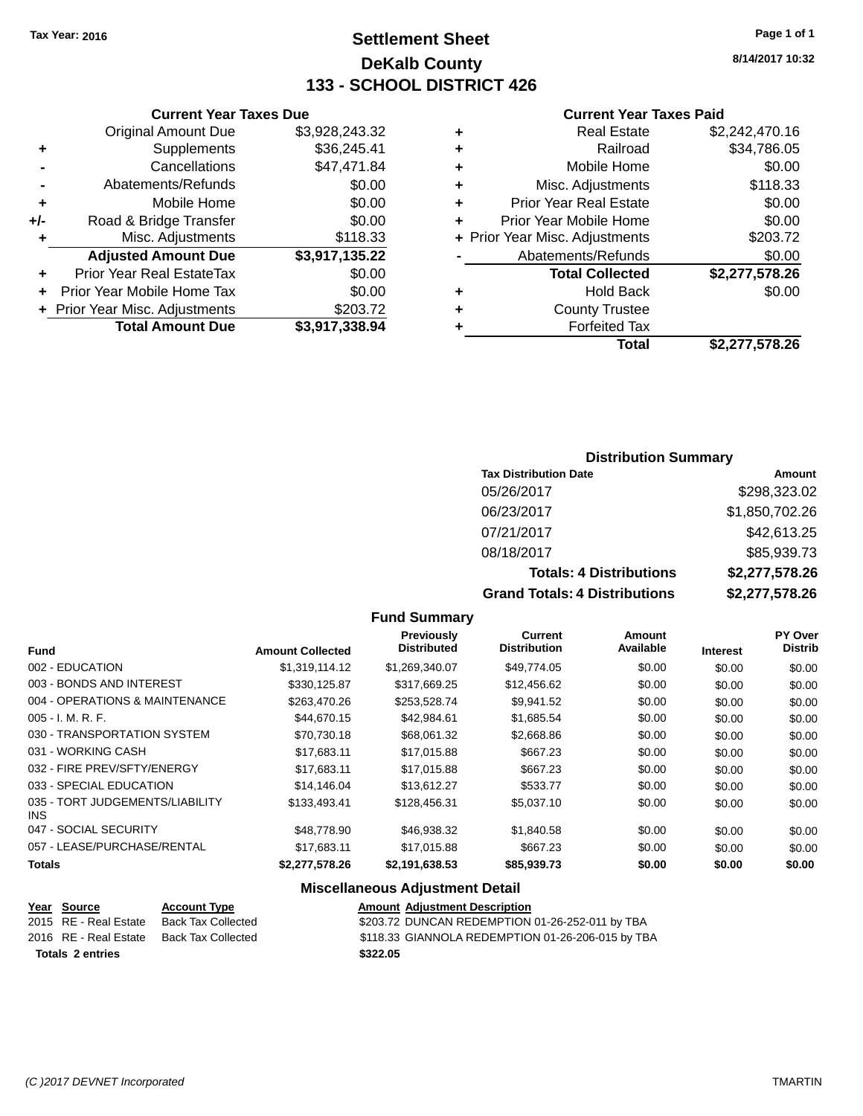# **Settlement Sheet Tax Year: 2016 Page 1 of 1 DeKalb County 133 - SCHOOL DISTRICT 426**

**8/14/2017 10:32**

#### **Current Year Taxes Paid**

|     | <b>Current Year Taxes Due</b>  |                |
|-----|--------------------------------|----------------|
|     | <b>Original Amount Due</b>     | \$3,928,243.32 |
| ٠   | Supplements                    | \$36,245.41    |
|     | Cancellations                  | \$47,471.84    |
|     | Abatements/Refunds             | \$0.00         |
| ٠   | Mobile Home                    | \$0.00         |
| +/- | Road & Bridge Transfer         | \$0.00         |
| ٠   | Misc. Adjustments              | \$118.33       |
|     | <b>Adjusted Amount Due</b>     | \$3,917,135.22 |
| ٠   | Prior Year Real EstateTax      | \$0.00         |
| ÷   | Prior Year Mobile Home Tax     | \$0.00         |
|     | + Prior Year Misc. Adjustments | \$203.72       |
|     | <b>Total Amount Due</b>        | \$3,917,338.94 |
|     |                                |                |

|   | <b>Real Estate</b>             | \$2,242,470.16 |
|---|--------------------------------|----------------|
| ٠ | Railroad                       | \$34,786.05    |
| ٠ | Mobile Home                    | \$0.00         |
| ٠ | Misc. Adjustments              | \$118.33       |
| ٠ | <b>Prior Year Real Estate</b>  | \$0.00         |
| ٠ | Prior Year Mobile Home         | \$0.00         |
|   | + Prior Year Misc. Adjustments | \$203.72       |
|   | Abatements/Refunds             | \$0.00         |
|   | <b>Total Collected</b>         | \$2,277,578.26 |
| ٠ | <b>Hold Back</b>               | \$0.00         |
| ٠ | <b>County Trustee</b>          |                |
| ٠ | <b>Forfeited Tax</b>           |                |
|   | Total                          | \$2,277,578.26 |
|   |                                |                |

### **Distribution Summary**

| <b>Tax Distribution Date</b>         | Amount         |
|--------------------------------------|----------------|
| 05/26/2017                           | \$298,323.02   |
| 06/23/2017                           | \$1,850,702.26 |
| 07/21/2017                           | \$42,613.25    |
| 08/18/2017                           | \$85,939.73    |
| <b>Totals: 4 Distributions</b>       | \$2,277,578.26 |
| <b>Grand Totals: 4 Distributions</b> | \$2,277,578.26 |

### **Fund Summary**

| <b>Fund</b>                             | <b>Amount Collected</b> | <b>Previously</b><br><b>Distributed</b> | Current<br><b>Distribution</b> | <b>Amount</b><br>Available | <b>Interest</b> | <b>PY Over</b><br><b>Distrib</b> |
|-----------------------------------------|-------------------------|-----------------------------------------|--------------------------------|----------------------------|-----------------|----------------------------------|
|                                         |                         |                                         |                                |                            |                 |                                  |
| 002 - EDUCATION                         | \$1.319.114.12          | \$1,269,340.07                          | \$49.774.05                    | \$0.00                     | \$0.00          | \$0.00                           |
| 003 - BONDS AND INTEREST                | \$330,125.87            | \$317,669.25                            | \$12,456.62                    | \$0.00                     | \$0.00          | \$0.00                           |
| 004 - OPERATIONS & MAINTENANCE          | \$263,470.26            | \$253,528.74                            | \$9,941.52                     | \$0.00                     | \$0.00          | \$0.00                           |
| $005 - I. M. R. F.$                     | \$44,670.15             | \$42,984.61                             | \$1,685.54                     | \$0.00                     | \$0.00          | \$0.00                           |
| 030 - TRANSPORTATION SYSTEM             | \$70.730.18             | \$68,061.32                             | \$2,668.86                     | \$0.00                     | \$0.00          | \$0.00                           |
| 031 - WORKING CASH                      | \$17.683.11             | \$17,015.88                             | \$667.23                       | \$0.00                     | \$0.00          | \$0.00                           |
| 032 - FIRE PREV/SFTY/ENERGY             | \$17.683.11             | \$17,015.88                             | \$667.23                       | \$0.00                     | \$0.00          | \$0.00                           |
| 033 - SPECIAL EDUCATION                 | \$14.146.04             | \$13,612.27                             | \$533.77                       | \$0.00                     | \$0.00          | \$0.00                           |
| 035 - TORT JUDGEMENTS/LIABILITY<br>INS. | \$133,493.41            | \$128,456.31                            | \$5,037.10                     | \$0.00                     | \$0.00          | \$0.00                           |
| 047 - SOCIAL SECURITY                   | \$48,778.90             | \$46,938.32                             | \$1,840.58                     | \$0.00                     | \$0.00          | \$0.00                           |
| 057 - LEASE/PURCHASE/RENTAL             | \$17.683.11             | \$17,015.88                             | \$667.23                       | \$0.00                     | \$0.00          | \$0.00                           |
| <b>Totals</b>                           | \$2,277,578.26          | \$2,191,638.53                          | \$85,939.73                    | \$0.00                     | \$0.00          | \$0.00                           |

|                         | Year Source           | <b>Account Type</b> | <b>Amount Adiustment Description</b>              |
|-------------------------|-----------------------|---------------------|---------------------------------------------------|
|                         | 2015 RE - Real Estate | Back Tax Collected  | \$203.72 DUNCAN REDEMPTION 01-26-252-011 by TBA   |
|                         | 2016 RE - Real Estate | Back Tax Collected  | \$118.33 GIANNOLA REDEMPTION 01-26-206-015 by TBA |
| <b>Totals 2 entries</b> |                       |                     | \$322.05                                          |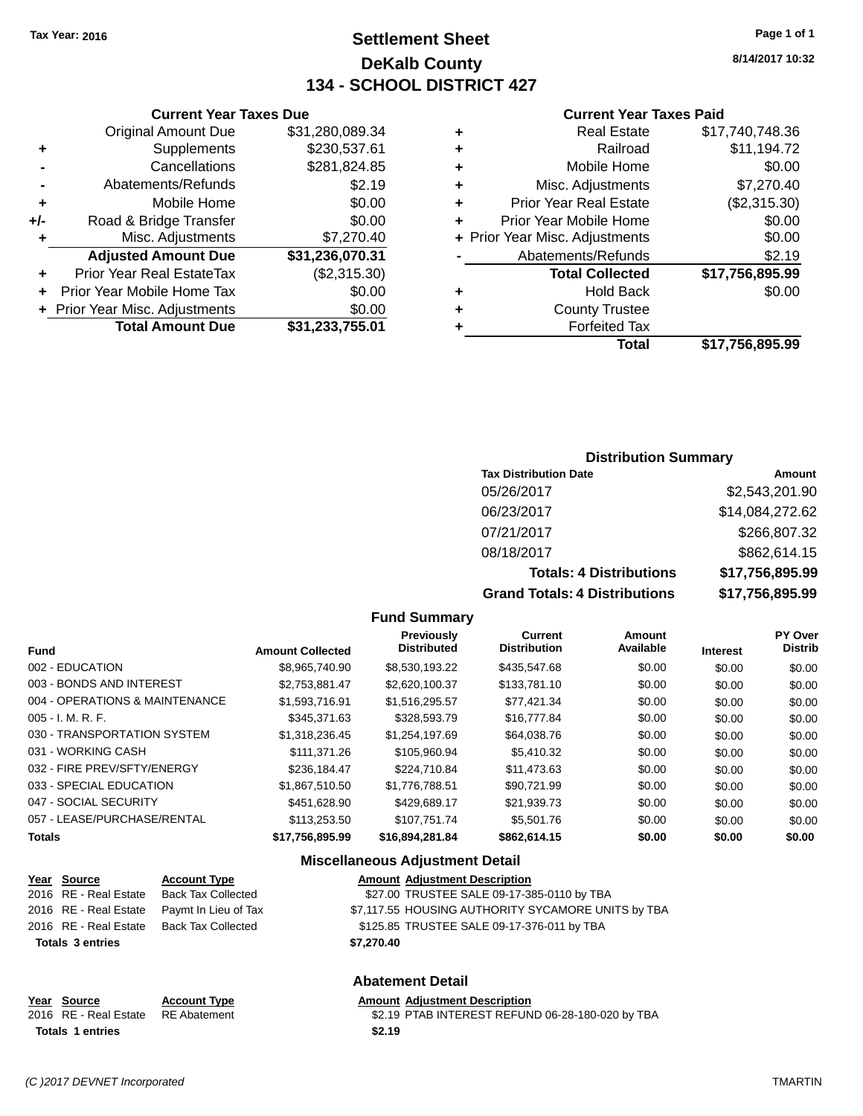# **Settlement Sheet Tax Year: 2016 Page 1 of 1 DeKalb County 134 - SCHOOL DISTRICT 427**

**8/14/2017 10:32**

### **Current Year Taxes Paid**

|   | Total                          | \$17,756,895.99 |
|---|--------------------------------|-----------------|
|   | <b>Forfeited Tax</b>           |                 |
| ٠ | <b>County Trustee</b>          |                 |
| ٠ | <b>Hold Back</b>               | \$0.00          |
|   | <b>Total Collected</b>         | \$17,756,895.99 |
|   | Abatements/Refunds             | \$2.19          |
|   | + Prior Year Misc. Adjustments | \$0.00          |
| ÷ | Prior Year Mobile Home         | \$0.00          |
| ٠ | <b>Prior Year Real Estate</b>  | (\$2,315.30)    |
| ٠ | Misc. Adjustments              | \$7,270.40      |
| ٠ | Mobile Home                    | \$0.00          |
|   | Railroad                       | \$11,194.72     |
| ٠ | <b>Real Estate</b>             | \$17,740,748.36 |
|   |                                |                 |

|     | <b>Current Year Taxes Due</b>    |                 |
|-----|----------------------------------|-----------------|
|     | <b>Original Amount Due</b>       | \$31,280,089.34 |
| ٠   | Supplements                      | \$230,537.61    |
|     | Cancellations                    | \$281,824.85    |
|     | Abatements/Refunds               | \$2.19          |
| ٠   | Mobile Home                      | \$0.00          |
| +/- | Road & Bridge Transfer           | \$0.00          |
| ٠   | Misc. Adjustments                | \$7,270.40      |
|     | <b>Adjusted Amount Due</b>       | \$31,236,070.31 |
|     | <b>Prior Year Real EstateTax</b> | (\$2,315.30)    |
|     | Prior Year Mobile Home Tax       | \$0.00          |
|     | + Prior Year Misc. Adjustments   | \$0.00          |
|     | <b>Total Amount Due</b>          | \$31,233,755.01 |

### **Distribution Summary**

| <b>Tax Distribution Date</b>         | Amount          |
|--------------------------------------|-----------------|
| 05/26/2017                           | \$2,543,201.90  |
| 06/23/2017                           | \$14,084,272.62 |
| 07/21/2017                           | \$266,807.32    |
| 08/18/2017                           | \$862,614.15    |
| <b>Totals: 4 Distributions</b>       | \$17,756,895.99 |
| <b>Grand Totals: 4 Distributions</b> | \$17,756,895.99 |

#### **Fund Summary**

| <b>Fund</b>                    | <b>Amount Collected</b> | <b>Previously</b><br><b>Distributed</b> | Current<br><b>Distribution</b> | Amount<br>Available | <b>Interest</b> | PY Over<br><b>Distrib</b> |
|--------------------------------|-------------------------|-----------------------------------------|--------------------------------|---------------------|-----------------|---------------------------|
| 002 - EDUCATION                | \$8,965,740.90          | \$8,530,193.22                          | \$435,547,68                   | \$0.00              | \$0.00          | \$0.00                    |
| 003 - BONDS AND INTEREST       | \$2,753,881.47          | \$2,620,100.37                          | \$133,781.10                   | \$0.00              | \$0.00          | \$0.00                    |
| 004 - OPERATIONS & MAINTENANCE | \$1.593.716.91          | \$1,516,295.57                          | \$77,421.34                    | \$0.00              | \$0.00          | \$0.00                    |
| $005 - I. M. R. F.$            | \$345,371,63            | \$328,593.79                            | \$16,777.84                    | \$0.00              | \$0.00          | \$0.00                    |
| 030 - TRANSPORTATION SYSTEM    | \$1,318,236.45          | \$1,254,197.69                          | \$64,038.76                    | \$0.00              | \$0.00          | \$0.00                    |
| 031 - WORKING CASH             | \$111,371,26            | \$105.960.94                            | \$5,410.32                     | \$0.00              | \$0.00          | \$0.00                    |
| 032 - FIRE PREV/SFTY/ENERGY    | \$236.184.47            | \$224.710.84                            | \$11.473.63                    | \$0.00              | \$0.00          | \$0.00                    |
| 033 - SPECIAL EDUCATION        | \$1.867.510.50          | \$1.776.788.51                          | \$90.721.99                    | \$0.00              | \$0.00          | \$0.00                    |
| 047 - SOCIAL SECURITY          | \$451,628,90            | \$429.689.17                            | \$21.939.73                    | \$0.00              | \$0.00          | \$0.00                    |
| 057 - LEASE/PURCHASE/RENTAL    | \$113,253,50            | \$107.751.74                            | \$5,501.76                     | \$0.00              | \$0.00          | \$0.00                    |
| <b>Totals</b>                  | \$17,756,895.99         | \$16,894,281.84                         | \$862.614.15                   | \$0.00              | \$0.00          | \$0.00                    |

### **Miscellaneous Adjustment Detail**

|                         | Year Source           | <b>Account Type</b>                      | <b>Amount Adjustment Description</b>               |
|-------------------------|-----------------------|------------------------------------------|----------------------------------------------------|
|                         |                       | 2016 RE - Real Estate Back Tax Collected | \$27.00 TRUSTEE SALE 09-17-385-0110 by TBA         |
|                         | 2016 RE - Real Estate | Paymt In Lieu of Tax                     | \$7,117.55 HOUSING AUTHORITY SYCAMORE UNITS by TBA |
|                         |                       | 2016 RE - Real Estate Back Tax Collected | \$125.85 TRUSTEE SALE 09-17-376-011 by TBA         |
| <b>Totals 3 entries</b> |                       |                                          | \$7,270.40                                         |
|                         |                       |                                          |                                                    |
|                         |                       |                                          |                                                    |

### **Abatement Detail**

| Year Source             | <b>Account Type</b> |        | <b>Amount Adiustment Description</b> |
|-------------------------|---------------------|--------|--------------------------------------|
| 2016 RE - Real Estate   | RE Abatement        |        | \$2.19 PTAB INTEREST REFUN           |
| <b>Totals 1 entries</b> |                     | \$2.19 |                                      |

| mount Adjustment Description) |  |
|-------------------------------|--|
|-------------------------------|--|

nt 32.19 PTAB INTEREST REFUND 06-28-180-020 by TBA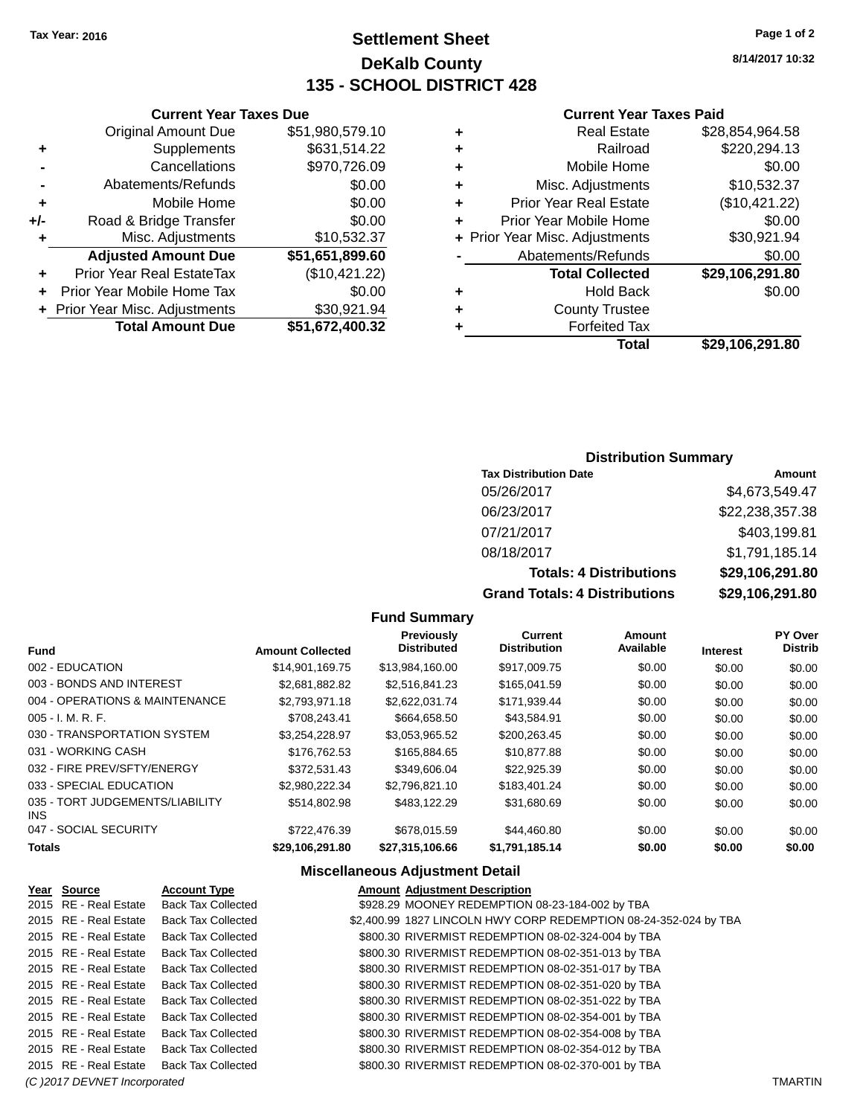# **Settlement Sheet Tax Year: 2016 Page 1 of 2 DeKalb County 135 - SCHOOL DISTRICT 428**

**8/14/2017 10:32**

### **Current Year Taxes Paid**

| ٠ | <b>Real Estate</b>             | \$28,854,964.58 |
|---|--------------------------------|-----------------|
| ٠ | Railroad                       | \$220,294.13    |
| ٠ | Mobile Home                    | \$0.00          |
| ٠ | Misc. Adjustments              | \$10,532.37     |
| ٠ | <b>Prior Year Real Estate</b>  | (\$10,421.22)   |
|   | Prior Year Mobile Home         | \$0.00          |
|   | + Prior Year Misc. Adjustments | \$30,921.94     |
|   | Abatements/Refunds             | \$0.00          |
|   | <b>Total Collected</b>         | \$29,106,291.80 |
| ٠ | <b>Hold Back</b>               | \$0.00          |
| ٠ | <b>County Trustee</b>          |                 |
|   | <b>Forfeited Tax</b>           |                 |
|   | Total                          | \$29,106,291.80 |

### **Current Year Taxes Due** Original Amount Due \$51,980,579.10 **+** Supplements \$631,514.22 **-** Cancellations \$970,726.09 **-** Abatements/Refunds \$0.00 **+** Mobile Home \$0.00 **+/-** Road & Bridge Transfer \$0.00<br> **+** Misc. Adjustments \$10,532.37 **+** Misc. Adjustments **Adjusted Amount Due \$51,651,899.60 +** Prior Year Real EstateTax (\$10,421.22) **+** Prior Year Mobile Home Tax \$0.00 **+ Prior Year Misc. Adjustments \$30,921.94 Total Amount Due \$51,672,400.32**

### **Distribution Summary**

| <b>Tax Distribution Date</b>         | Amount          |
|--------------------------------------|-----------------|
| 05/26/2017                           | \$4,673,549.47  |
| 06/23/2017                           | \$22,238,357.38 |
| 07/21/2017                           | \$403,199.81    |
| 08/18/2017                           | \$1,791,185.14  |
| <b>Totals: 4 Distributions</b>       | \$29,106,291.80 |
| <b>Grand Totals: 4 Distributions</b> | \$29,106,291.80 |

#### **Fund Summary**

|                                               |                         | <b>Previously</b>  | <b>Current</b>      | <b>Amount</b> |                 | <b>PY Over</b> |
|-----------------------------------------------|-------------------------|--------------------|---------------------|---------------|-----------------|----------------|
| <b>Fund</b>                                   | <b>Amount Collected</b> | <b>Distributed</b> | <b>Distribution</b> | Available     | <b>Interest</b> | <b>Distrib</b> |
| 002 - EDUCATION                               | \$14,901,169.75         | \$13,984,160.00    | \$917,009.75        | \$0.00        | \$0.00          | \$0.00         |
| 003 - BONDS AND INTEREST                      | \$2.681.882.82          | \$2.516.841.23     | \$165,041,59        | \$0.00        | \$0.00          | \$0.00         |
| 004 - OPERATIONS & MAINTENANCE                | \$2,793,971.18          | \$2.622.031.74     | \$171,939.44        | \$0.00        | \$0.00          | \$0.00         |
| $005 - I. M. R. F.$                           | \$708.243.41            | \$664,658.50       | \$43.584.91         | \$0.00        | \$0.00          | \$0.00         |
| 030 - TRANSPORTATION SYSTEM                   | \$3,254,228.97          | \$3,053,965.52     | \$200,263.45        | \$0.00        | \$0.00          | \$0.00         |
| 031 - WORKING CASH                            | \$176,762,53            | \$165,884,65       | \$10,877.88         | \$0.00        | \$0.00          | \$0.00         |
| 032 - FIRE PREV/SFTY/ENERGY                   | \$372.531.43            | \$349,606.04       | \$22.925.39         | \$0.00        | \$0.00          | \$0.00         |
| 033 - SPECIAL EDUCATION                       | \$2.980.222.34          | \$2,796,821.10     | \$183,401.24        | \$0.00        | \$0.00          | \$0.00         |
| 035 - TORT JUDGEMENTS/LIABILITY<br><b>INS</b> | \$514,802.98            | \$483,122.29       | \$31,680.69         | \$0.00        | \$0.00          | \$0.00         |
| 047 - SOCIAL SECURITY                         | \$722,476.39            | \$678,015.59       | \$44,460.80         | \$0.00        | \$0.00          | \$0.00         |
| <b>Totals</b>                                 | \$29,106,291.80         | \$27,315,106.66    | \$1,791,185.14      | \$0.00        | \$0.00          | \$0.00         |

| Year Source                  | <b>Account Type</b>       | <b>Amount Adiustment Description</b>                             |                |
|------------------------------|---------------------------|------------------------------------------------------------------|----------------|
| 2015 RE - Real Estate        | <b>Back Tax Collected</b> | \$928.29 MOONEY REDEMPTION 08-23-184-002 by TBA                  |                |
| 2015 RE - Real Estate        | <b>Back Tax Collected</b> | \$2,400.99 1827 LINCOLN HWY CORP REDEMPTION 08-24-352-024 by TBA |                |
| 2015 RE - Real Estate        | <b>Back Tax Collected</b> | \$800.30 RIVERMIST REDEMPTION 08-02-324-004 by TBA               |                |
| 2015 RE - Real Estate        | <b>Back Tax Collected</b> | \$800.30 RIVERMIST REDEMPTION 08-02-351-013 by TBA               |                |
| 2015 RE - Real Estate        | <b>Back Tax Collected</b> | \$800.30 RIVERMIST REDEMPTION 08-02-351-017 by TBA               |                |
| 2015 RE - Real Estate        | <b>Back Tax Collected</b> | \$800.30 RIVERMIST REDEMPTION 08-02-351-020 by TBA               |                |
| 2015 RE - Real Estate        | <b>Back Tax Collected</b> | \$800.30 RIVERMIST REDEMPTION 08-02-351-022 by TBA               |                |
| 2015 RE - Real Estate        | <b>Back Tax Collected</b> | \$800.30 RIVERMIST REDEMPTION 08-02-354-001 by TBA               |                |
| 2015 RE - Real Estate        | <b>Back Tax Collected</b> | \$800.30 RIVERMIST REDEMPTION 08-02-354-008 by TBA               |                |
| 2015 RE - Real Estate        | <b>Back Tax Collected</b> | \$800.30 RIVERMIST REDEMPTION 08-02-354-012 by TBA               |                |
| 2015 RE - Real Estate        | <b>Back Tax Collected</b> | \$800.30 RIVERMIST REDEMPTION 08-02-370-001 by TBA               |                |
| (C) 2017 DEVNET Incorporated |                           |                                                                  | <b>TMARTIN</b> |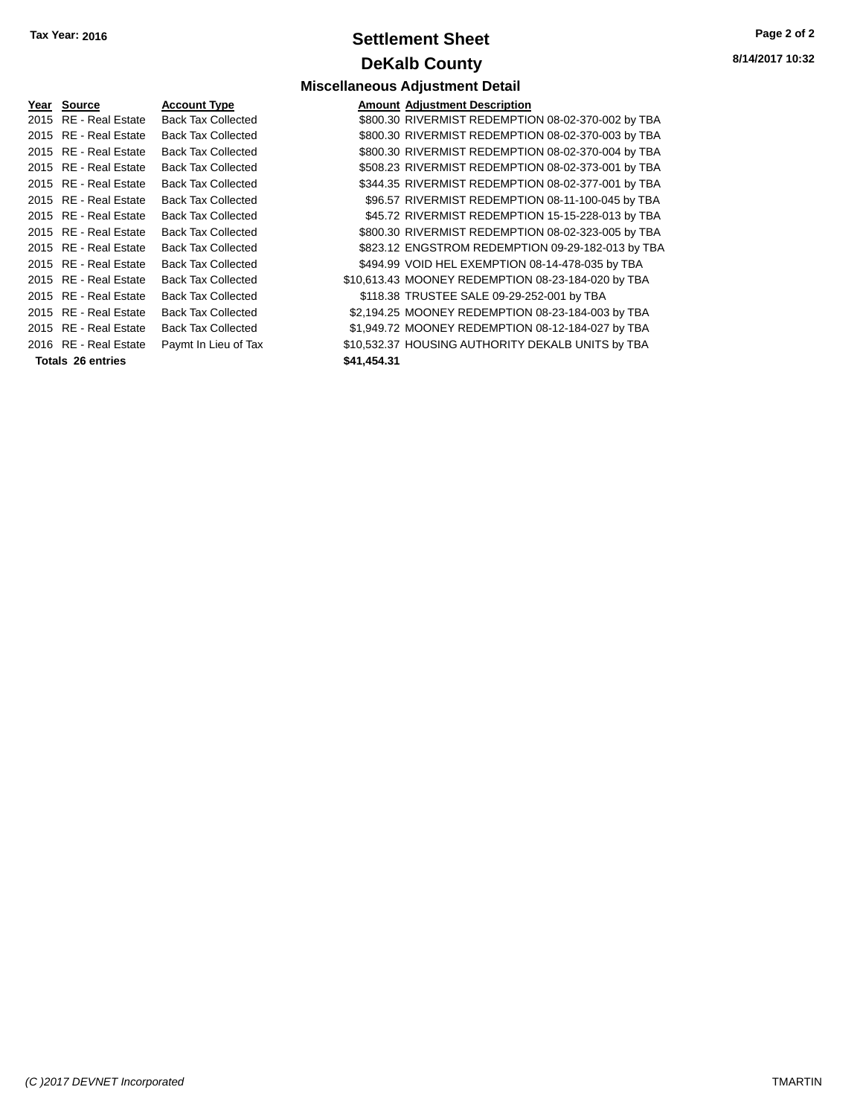# **Settlement Sheet Tax Year: 2016 Page 2 of 2 DeKalb County**

**8/14/2017 10:32**

| <u>Year</u> | <b>Source</b>           | <b>Account Type</b>       | Amount      |
|-------------|-------------------------|---------------------------|-------------|
| 2015        | <b>RE</b> - Real Estate | <b>Back Tax Collected</b> | \$800.30    |
| 2015        | <b>RE</b> - Real Estate | <b>Back Tax Collected</b> | \$800.30    |
| 2015        | <b>RE</b> - Real Estate | <b>Back Tax Collected</b> | \$800.30    |
| 2015        | <b>RE</b> - Real Estate | <b>Back Tax Collected</b> | \$508.23    |
|             | 2015 RE - Real Estate   | <b>Back Tax Collected</b> | \$344.35    |
|             | 2015 RE - Real Estate   | <b>Back Tax Collected</b> | \$96.57     |
|             | 2015 RE - Real Estate   | <b>Back Tax Collected</b> | \$45.72     |
|             | 2015 RE - Real Estate   | <b>Back Tax Collected</b> | \$800.30    |
|             | 2015 RE - Real Estate   | <b>Back Tax Collected</b> | \$823.12    |
|             | 2015 RE - Real Estate   | <b>Back Tax Collected</b> | \$494.99    |
| 2015        | RE - Real Estate        | <b>Back Tax Collected</b> | \$10,613.43 |
|             | 2015 RE - Real Estate   | <b>Back Tax Collected</b> | \$118.38    |
| 2015        | <b>RE</b> - Real Estate | <b>Back Tax Collected</b> | \$2,194.25  |
|             | 2015 RE - Real Estate   | <b>Back Tax Collected</b> | \$1,949.72  |
|             | 2016 RE - Real Estate   | Paymt In Lieu of Tax      | \$10,532.37 |
|             | Totals 26 entries       |                           | \$41,454.31 |

**Miscellaneous Adjustment Detail PEARELY CONTENTS ACCOUNT ADDEN AMOUNT Adjustment Description** Ilected **\$800.30 RIVERMIST REDEMPTION 08-02-370-002 by TBA** Ilected **\$800.30 RIVERMIST REDEMPTION 08-02-370-003 by TBA** Ilected **\$800.30 RIVERMIST REDEMPTION 08-02-370-004 by TBA** Ilected **\$508.23 RIVERMIST REDEMPTION 08-02-373-001 by TBA** llected **\$344.35 RIVERMIST REDEMPTION 08-02-377-001 by TBA** Ilected **\$96.57 RIVERMIST REDEMPTION 08-11-100-045 by TBA** llected **\$45.72 RIVERMIST REDEMPTION 15-15-228-013 by TBA** Ilected \$800.30 RIVERMIST REDEMPTION 08-02-323-005 by TBA llected **3823.12 ENGSTROM REDEMPTION 09-29-182-013 by TBA** llected **\$494.99 VOID HEL EXEMPTION 08-14-478-035 by TBA** Ilected \$10,613.43 MOONEY REDEMPTION 08-23-184-020 by TBA 10016 Rected \$118.38 TRUSTEE SALE 09-29-252-001 by TBA llected **62.194.25 MOONEY REDEMPTION 08-23-184-003 by TBA** llected **\$1,949.72 MOONEY REDEMPTION 08-12-184-027 by TBA** u of Tax  $$10,532.37$  HOUSING AUTHORITY DEKALB UNITS by TBA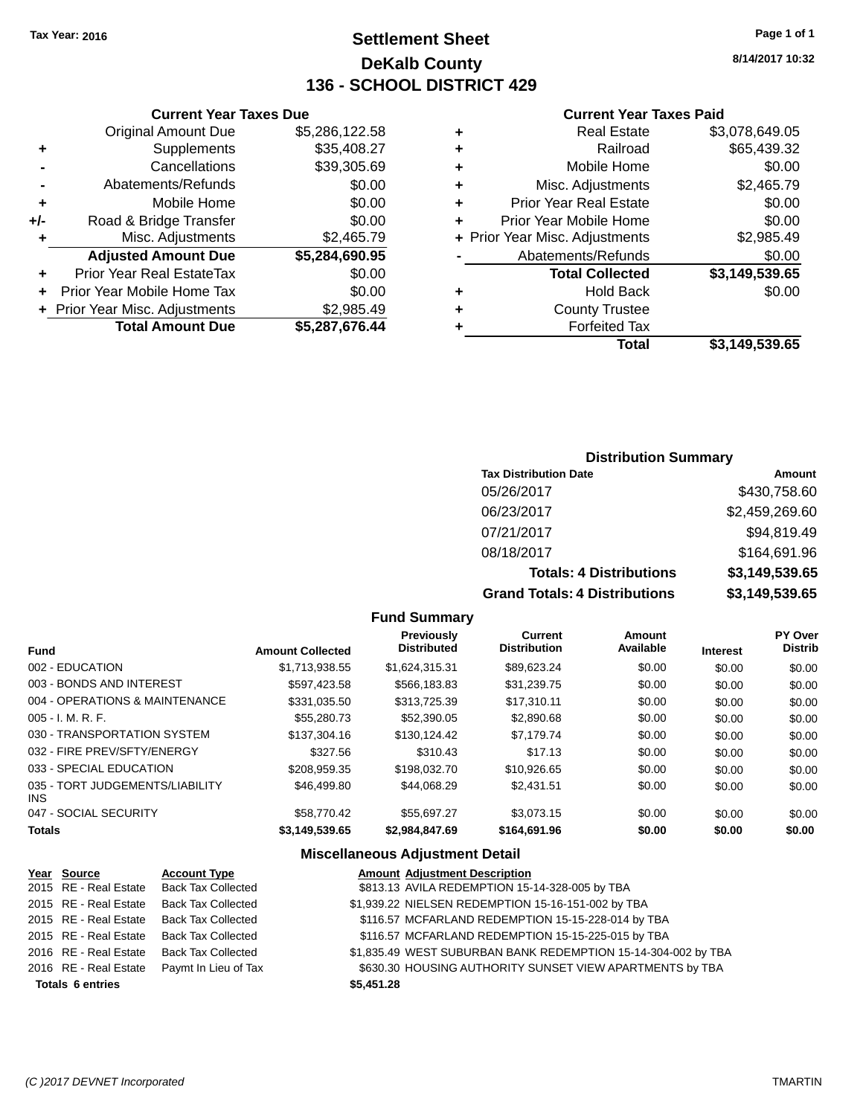# **Settlement Sheet Tax Year: 2016 Page 1 of 1 DeKalb County 136 - SCHOOL DISTRICT 429**

**8/14/2017 10:32**

### **Current Year Taxes Paid**

|     | <b>Current Year Taxes Due</b>  |                |
|-----|--------------------------------|----------------|
|     | <b>Original Amount Due</b>     | \$5,286,122.58 |
| ٠   | Supplements                    | \$35,408.27    |
|     | Cancellations                  | \$39,305.69    |
|     | Abatements/Refunds             | \$0.00         |
| ٠   | Mobile Home                    | \$0.00         |
| +/- | Road & Bridge Transfer         | \$0.00         |
| ٠   | Misc. Adjustments              | \$2,465.79     |
|     | <b>Adjusted Amount Due</b>     | \$5,284,690.95 |
| ٠   | Prior Year Real EstateTax      | \$0.00         |
|     | Prior Year Mobile Home Tax     | \$0.00         |
|     | + Prior Year Misc. Adjustments | \$2,985.49     |
|     | <b>Total Amount Due</b>        | \$5,287,676.44 |
|     |                                |                |

|   | <b>Real Estate</b>             | \$3,078,649.05 |
|---|--------------------------------|----------------|
| ٠ | Railroad                       | \$65,439.32    |
| ٠ | Mobile Home                    | \$0.00         |
| ٠ | Misc. Adjustments              | \$2,465.79     |
| ٠ | <b>Prior Year Real Estate</b>  | \$0.00         |
| ٠ | Prior Year Mobile Home         | \$0.00         |
|   | + Prior Year Misc. Adjustments | \$2,985.49     |
|   | Abatements/Refunds             | \$0.00         |
|   | <b>Total Collected</b>         | \$3,149,539.65 |
| ٠ | <b>Hold Back</b>               | \$0.00         |
| ٠ | <b>County Trustee</b>          |                |
| ٠ | <b>Forfeited Tax</b>           |                |
|   | Total                          | \$3,149,539.65 |

### **Distribution Summary**

| <b>Tax Distribution Date</b>         | Amount         |
|--------------------------------------|----------------|
| 05/26/2017                           | \$430,758.60   |
| 06/23/2017                           | \$2,459,269.60 |
| 07/21/2017                           | \$94,819.49    |
| 08/18/2017                           | \$164,691.96   |
| <b>Totals: 4 Distributions</b>       | \$3,149,539.65 |
| <b>Grand Totals: 4 Distributions</b> | \$3,149,539.65 |

### **Fund Summary**

| Fund                                    | <b>Amount Collected</b> | <b>Previously</b><br><b>Distributed</b> | Current<br><b>Distribution</b> | Amount<br>Available | <b>Interest</b> | <b>PY Over</b><br><b>Distrib</b> |
|-----------------------------------------|-------------------------|-----------------------------------------|--------------------------------|---------------------|-----------------|----------------------------------|
| 002 - EDUCATION                         | \$1,713,938.55          | \$1,624,315.31                          | \$89.623.24                    | \$0.00              | \$0.00          | \$0.00                           |
| 003 - BONDS AND INTEREST                | \$597.423.58            | \$566.183.83                            | \$31.239.75                    | \$0.00              | \$0.00          | \$0.00                           |
| 004 - OPERATIONS & MAINTENANCE          | \$331.035.50            | \$313,725.39                            | \$17.310.11                    | \$0.00              | \$0.00          | \$0.00                           |
| 005 - I. M. R. F.                       | \$55,280.73             | \$52,390.05                             | \$2,890.68                     | \$0.00              | \$0.00          | \$0.00                           |
| 030 - TRANSPORTATION SYSTEM             | \$137,304.16            | \$130.124.42                            | \$7.179.74                     | \$0.00              | \$0.00          | \$0.00                           |
| 032 - FIRE PREV/SFTY/ENERGY             | \$327.56                | \$310.43                                | \$17.13                        | \$0.00              | \$0.00          | \$0.00                           |
| 033 - SPECIAL EDUCATION                 | \$208.959.35            | \$198,032.70                            | \$10.926.65                    | \$0.00              | \$0.00          | \$0.00                           |
| 035 - TORT JUDGEMENTS/LIABILITY<br>INS. | \$46,499.80             | \$44.068.29                             | \$2.431.51                     | \$0.00              | \$0.00          | \$0.00                           |
| 047 - SOCIAL SECURITY                   | \$58,770.42             | \$55.697.27                             | \$3.073.15                     | \$0.00              | \$0.00          | \$0.00                           |
| <b>Totals</b>                           | \$3,149,539.65          | \$2,984,847.69                          | \$164,691.96                   | \$0.00              | \$0.00          | \$0.00                           |

| Year Source             | <b>Account Type</b>       | <b>Amount Adjustment Description</b>                          |
|-------------------------|---------------------------|---------------------------------------------------------------|
| 2015 RE - Real Estate   | <b>Back Tax Collected</b> | \$813.13 AVILA REDEMPTION 15-14-328-005 by TBA                |
| 2015 RE - Real Estate   | <b>Back Tax Collected</b> | \$1,939.22 NIELSEN REDEMPTION 15-16-151-002 by TBA            |
| 2015 RE - Real Estate   | <b>Back Tax Collected</b> | \$116.57 MCFARLAND REDEMPTION 15-15-228-014 by TBA            |
| 2015 RE - Real Estate   | <b>Back Tax Collected</b> | \$116.57 MCFARLAND REDEMPTION 15-15-225-015 by TBA            |
| 2016 RE - Real Estate   | <b>Back Tax Collected</b> | \$1,835.49 WEST SUBURBAN BANK REDEMPTION 15-14-304-002 by TBA |
| 2016 RE - Real Estate   | Paymt In Lieu of Tax      | \$630.30 HOUSING AUTHORITY SUNSET VIEW APARTMENTS by TBA      |
| <b>Totals 6 entries</b> |                           | \$5,451.28                                                    |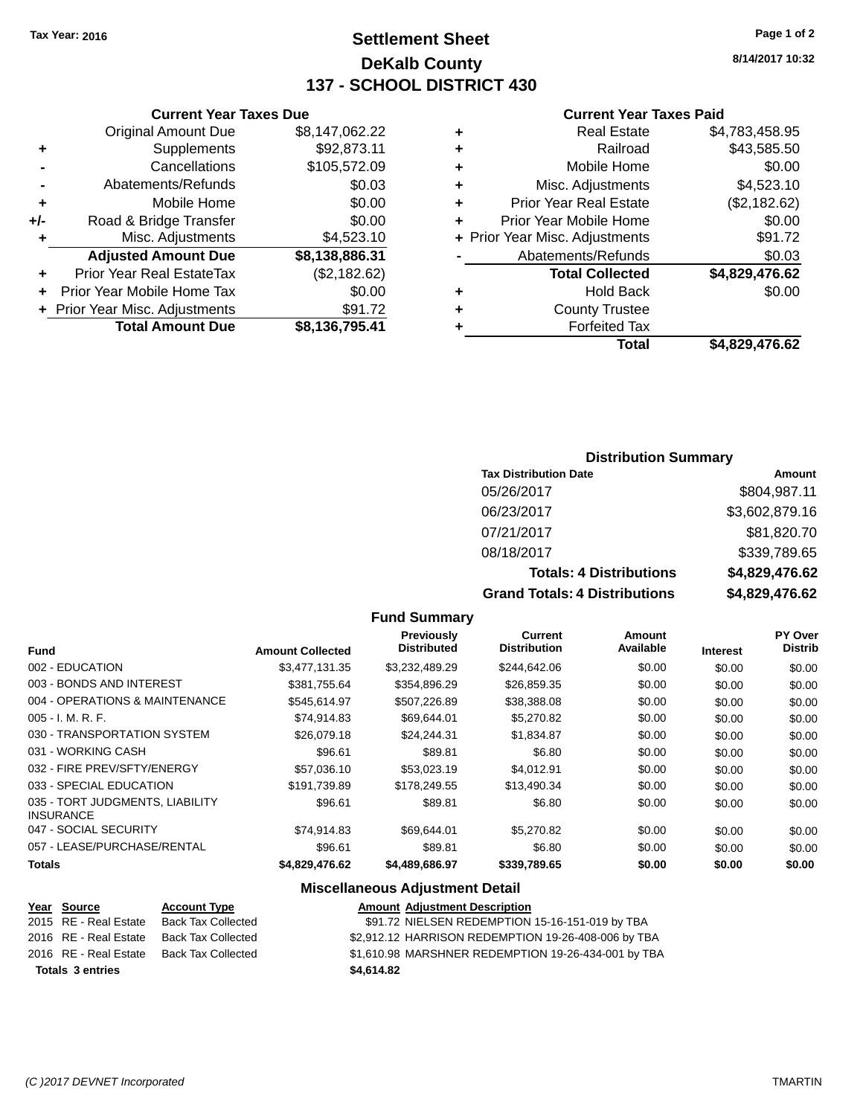# **Settlement Sheet Tax Year: 2016 Page 1 of 2 DeKalb County 137 - SCHOOL DISTRICT 430**

**8/14/2017 10:32**

### **Current Year Taxes Paid**

|   | Total                          | \$4.829.476.62 |
|---|--------------------------------|----------------|
|   | <b>Forfeited Tax</b>           |                |
| ٠ | <b>County Trustee</b>          |                |
| ٠ | <b>Hold Back</b>               | \$0.00         |
|   | <b>Total Collected</b>         | \$4,829,476.62 |
|   | Abatements/Refunds             | \$0.03         |
|   | + Prior Year Misc. Adjustments | \$91.72        |
| ٠ | Prior Year Mobile Home         | \$0.00         |
| ٠ | <b>Prior Year Real Estate</b>  | (\$2,182.62)   |
| ٠ | Misc. Adjustments              | \$4,523.10     |
| ٠ | Mobile Home                    | \$0.00         |
|   | Railroad                       | \$43,585.50    |
| ٠ | <b>Real Estate</b>             | \$4,783,458.95 |
|   |                                |                |

|     | <b>Current Year Taxes Due</b>    |                |
|-----|----------------------------------|----------------|
|     | <b>Original Amount Due</b>       | \$8,147,062.22 |
| ٠   | Supplements                      | \$92,873.11    |
|     | Cancellations                    | \$105,572.09   |
|     | Abatements/Refunds               | \$0.03         |
| ٠   | Mobile Home                      | \$0.00         |
| +/- | Road & Bridge Transfer           | \$0.00         |
| ٠   | Misc. Adjustments                | \$4,523.10     |
|     | <b>Adjusted Amount Due</b>       | \$8,138,886.31 |
|     | <b>Prior Year Real EstateTax</b> | (\$2,182.62)   |
|     | Prior Year Mobile Home Tax       | \$0.00         |
|     | + Prior Year Misc. Adjustments   | \$91.72        |
|     | <b>Total Amount Due</b>          | \$8,136,795.41 |

### **Distribution Summary**

| <b>Tax Distribution Date</b>         | Amount         |
|--------------------------------------|----------------|
| 05/26/2017                           | \$804,987.11   |
| 06/23/2017                           | \$3,602,879.16 |
| 07/21/2017                           | \$81,820.70    |
| 08/18/2017                           | \$339,789.65   |
| <b>Totals: 4 Distributions</b>       | \$4,829,476.62 |
| <b>Grand Totals: 4 Distributions</b> | \$4,829,476.62 |

#### **Fund Summary**

|                                                     |                         | Previously<br><b>Distributed</b> | <b>Current</b><br><b>Distribution</b> | Amount<br>Available |                 | PY Over<br><b>Distrib</b> |
|-----------------------------------------------------|-------------------------|----------------------------------|---------------------------------------|---------------------|-----------------|---------------------------|
| <b>Fund</b>                                         | <b>Amount Collected</b> |                                  |                                       |                     | <b>Interest</b> |                           |
| 002 - EDUCATION                                     | \$3,477,131,35          | \$3,232,489.29                   | \$244,642.06                          | \$0.00              | \$0.00          | \$0.00                    |
| 003 - BONDS AND INTEREST                            | \$381.755.64            | \$354,896.29                     | \$26,859.35                           | \$0.00              | \$0.00          | \$0.00                    |
| 004 - OPERATIONS & MAINTENANCE                      | \$545.614.97            | \$507,226.89                     | \$38,388.08                           | \$0.00              | \$0.00          | \$0.00                    |
| $005 - I. M. R. F.$                                 | \$74,914.83             | \$69.644.01                      | \$5,270.82                            | \$0.00              | \$0.00          | \$0.00                    |
| 030 - TRANSPORTATION SYSTEM                         | \$26,079.18             | \$24.244.31                      | \$1,834.87                            | \$0.00              | \$0.00          | \$0.00                    |
| 031 - WORKING CASH                                  | \$96.61                 | \$89.81                          | \$6.80                                | \$0.00              | \$0.00          | \$0.00                    |
| 032 - FIRE PREV/SFTY/ENERGY                         | \$57,036.10             | \$53,023.19                      | \$4.012.91                            | \$0.00              | \$0.00          | \$0.00                    |
| 033 - SPECIAL EDUCATION                             | \$191.739.89            | \$178,249.55                     | \$13.490.34                           | \$0.00              | \$0.00          | \$0.00                    |
| 035 - TORT JUDGMENTS, LIABILITY<br><b>INSURANCE</b> | \$96.61                 | \$89.81                          | \$6.80                                | \$0.00              | \$0.00          | \$0.00                    |
| 047 - SOCIAL SECURITY                               | \$74,914.83             | \$69,644.01                      | \$5,270.82                            | \$0.00              | \$0.00          | \$0.00                    |
| 057 - LEASE/PURCHASE/RENTAL                         | \$96.61                 | \$89.81                          | \$6.80                                | \$0.00              | \$0.00          | \$0.00                    |
| <b>Totals</b>                                       | \$4,829,476.62          | \$4,489,686.97                   | \$339,789.65                          | \$0.00              | \$0.00          | \$0.00                    |

| Year Source             | <b>Account Type</b> | <b>Amount Adjustment Description</b>                |
|-------------------------|---------------------|-----------------------------------------------------|
| 2015 RE - Real Estate   | Back Tax Collected  | \$91.72 NIELSEN REDEMPTION 15-16-151-019 by TBA     |
| 2016 RE - Real Estate   | Back Tax Collected  | \$2,912.12 HARRISON REDEMPTION 19-26-408-006 by TBA |
| 2016 RE - Real Estate   | Back Tax Collected  | \$1,610.98 MARSHNER REDEMPTION 19-26-434-001 by TBA |
| <b>Totals 3 entries</b> |                     | \$4.614.82                                          |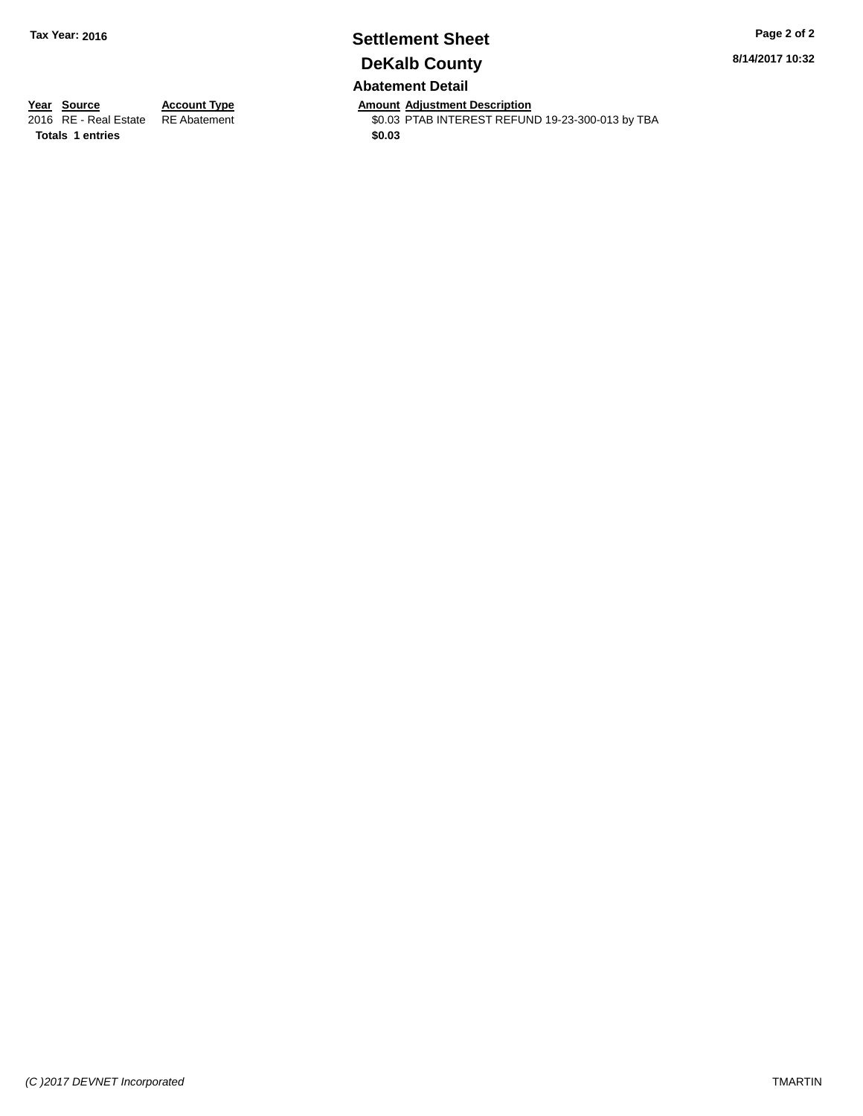## **Settlement Sheet Tax Year: 2016 Page 2 of 2 DeKalb County Abatement Detail**

**8/14/2017 10:32**

**Totals 1 entries \$0.03**

**Year Source Account Type Anneurs Amount Adjustment Description**<br>2016 RE - Real Estate RE Abatement **Account 1998 AMOUNTEREST REFUN** \$0.03 PTAB INTEREST REFUND 19-23-300-013 by TBA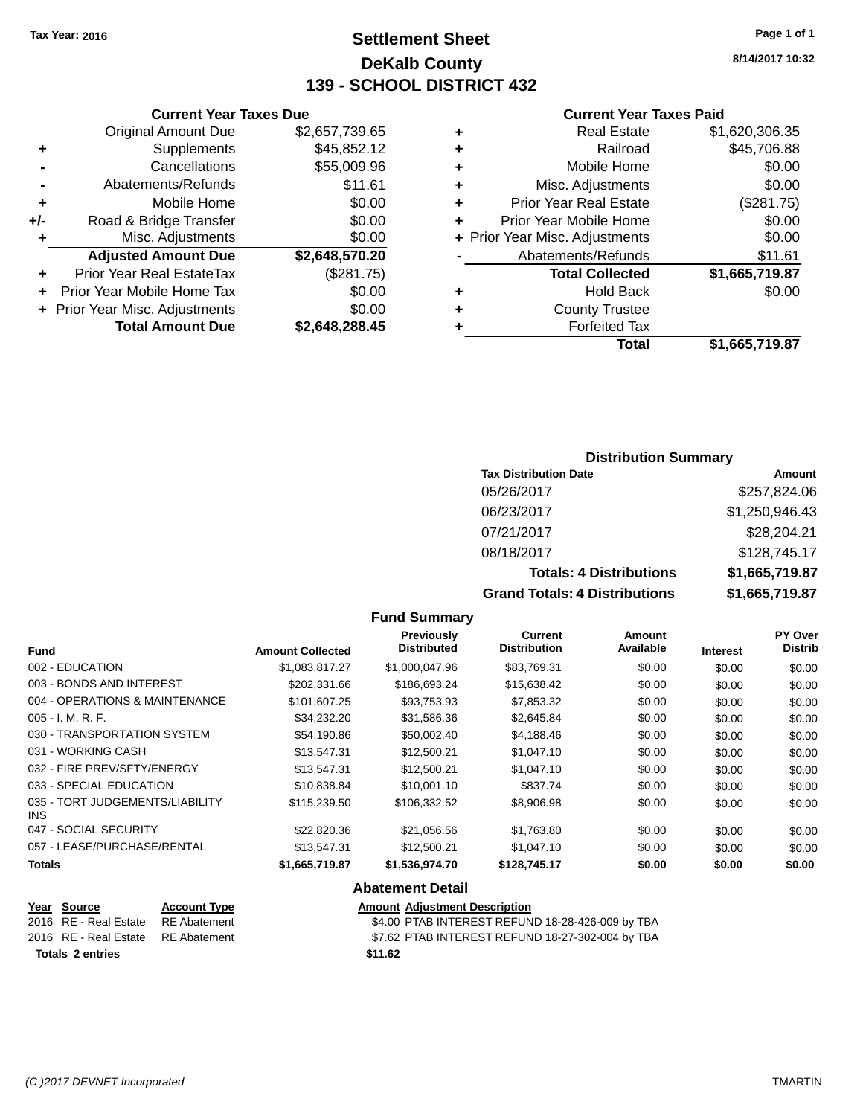# **Settlement Sheet Tax Year: 2016 Page 1 of 1 DeKalb County 139 - SCHOOL DISTRICT 432**

**8/14/2017 10:32**

#### **Current Year Taxes Paid**

|   | <b>Real Estate</b>             | \$1,620,306.35 |
|---|--------------------------------|----------------|
| ٠ | Railroad                       | \$45,706.88    |
| ٠ | Mobile Home                    | \$0.00         |
| ٠ | Misc. Adjustments              | \$0.00         |
| ٠ | <b>Prior Year Real Estate</b>  | (\$281.75)     |
| ٠ | Prior Year Mobile Home         | \$0.00         |
|   | + Prior Year Misc. Adjustments | \$0.00         |
|   | Abatements/Refunds             | \$11.61        |
|   | <b>Total Collected</b>         | \$1,665,719.87 |
| ٠ | <b>Hold Back</b>               | \$0.00         |
| ٠ | <b>County Trustee</b>          |                |
| ٠ | <b>Forfeited Tax</b>           |                |
|   | Total                          | \$1,665,719.87 |
|   |                                |                |

### **Distribution Summary**

| <b>Tax Distribution Date</b>         | Amount         |
|--------------------------------------|----------------|
| 05/26/2017                           | \$257,824.06   |
| 06/23/2017                           | \$1,250,946.43 |
| 07/21/2017                           | \$28,204.21    |
| 08/18/2017                           | \$128,745.17   |
| <b>Totals: 4 Distributions</b>       | \$1,665,719.87 |
| <b>Grand Totals: 4 Distributions</b> | \$1,665,719.87 |

### **Fund Summary**

|                                         |                         | Previously         | <b>Current</b>      | Amount    |                 | PY Over        |
|-----------------------------------------|-------------------------|--------------------|---------------------|-----------|-----------------|----------------|
| <b>Fund</b>                             | <b>Amount Collected</b> | <b>Distributed</b> | <b>Distribution</b> | Available | <b>Interest</b> | <b>Distrib</b> |
| 002 - EDUCATION                         | \$1,083,817.27          | \$1,000,047.96     | \$83,769.31         | \$0.00    | \$0.00          | \$0.00         |
| 003 - BONDS AND INTEREST                | \$202,331.66            | \$186,693.24       | \$15,638.42         | \$0.00    | \$0.00          | \$0.00         |
| 004 - OPERATIONS & MAINTENANCE          | \$101,607.25            | \$93,753.93        | \$7,853.32          | \$0.00    | \$0.00          | \$0.00         |
| $005 - I. M. R. F.$                     | \$34,232.20             | \$31,586.36        | \$2,645.84          | \$0.00    | \$0.00          | \$0.00         |
| 030 - TRANSPORTATION SYSTEM             | \$54,190.86             | \$50,002.40        | \$4,188.46          | \$0.00    | \$0.00          | \$0.00         |
| 031 - WORKING CASH                      | \$13,547.31             | \$12,500.21        | \$1,047.10          | \$0.00    | \$0.00          | \$0.00         |
| 032 - FIRE PREV/SFTY/ENERGY             | \$13,547.31             | \$12,500.21        | \$1,047.10          | \$0.00    | \$0.00          | \$0.00         |
| 033 - SPECIAL EDUCATION                 | \$10,838.84             | \$10,001.10        | \$837.74            | \$0.00    | \$0.00          | \$0.00         |
| 035 - TORT JUDGEMENTS/LIABILITY<br>INS. | \$115,239.50            | \$106.332.52       | \$8,906.98          | \$0.00    | \$0.00          | \$0.00         |
| 047 - SOCIAL SECURITY                   | \$22,820.36             | \$21,056.56        | \$1,763.80          | \$0.00    | \$0.00          | \$0.00         |
| 057 - LEASE/PURCHASE/RENTAL             | \$13,547.31             | \$12,500.21        | \$1,047.10          | \$0.00    | \$0.00          | \$0.00         |
| <b>Totals</b>                           | \$1,665,719.87          | \$1,536,974.70     | \$128,745.17        | \$0.00    | \$0.00          | \$0.00         |

### **Abatement Detail**

| Year Source                        | <b>Account Type</b> | <b>Amount Adjustment Description</b>             |
|------------------------------------|---------------------|--------------------------------------------------|
| 2016 RE - Real Estate              | RE Abatement        | \$4.00 PTAB INTEREST REFUND 18-28-426-009 by TBA |
| 2016 RE - Real Estate RE Abatement |                     | \$7.62 PTAB INTEREST REFUND 18-27-302-004 by TBA |
| Totals 2 entries                   |                     | \$11.62                                          |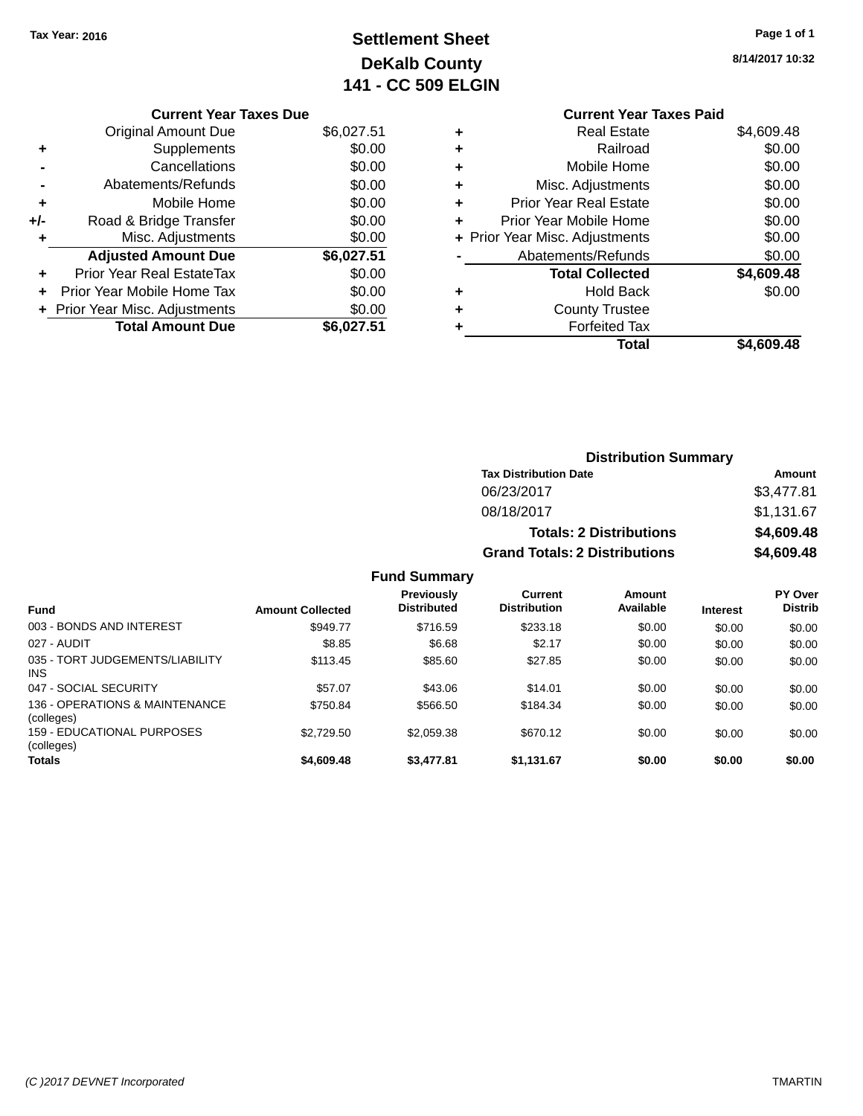# **Settlement Sheet Tax Year: 2016 Page 1 of 1 DeKalb County 141 - CC 509 ELGIN**

| 8/14/2017 10:32 |  |
|-----------------|--|

### **Current Year Taxes Paid +** Real Estate \$4,609.48 **+** Railroad \$0.00 **+** Mobile Home \$0.00 **+** Misc. Adjustments \$0.00 **+** Prior Year Real Estate \$0.00

|   | Total                          | \$4,609.48 |
|---|--------------------------------|------------|
| ÷ | <b>Forfeited Tax</b>           |            |
| ÷ | <b>County Trustee</b>          |            |
| ٠ | <b>Hold Back</b>               | \$0.00     |
|   | <b>Total Collected</b>         | \$4,609.48 |
|   | Abatements/Refunds             | \$0.00     |
|   | + Prior Year Misc. Adjustments | \$0.00     |
|   | Prior Year Mobile Home         | \$0.00     |
|   |                                |            |

|     | <b>Original Amount Due</b>     | \$6,027.51 |
|-----|--------------------------------|------------|
| ٠   | Supplements                    | \$0.00     |
|     | Cancellations                  | \$0.00     |
|     | Abatements/Refunds             | \$0.00     |
| ٠   | Mobile Home                    | \$0.00     |
| +/- | Road & Bridge Transfer         | \$0.00     |
| ٠   | Misc. Adjustments              | \$0.00     |
|     | <b>Adjusted Amount Due</b>     | \$6,027.51 |
| ٠   | Prior Year Real EstateTax      | \$0.00     |
| ٠   | Prior Year Mobile Home Tax     | \$0.00     |
|     | + Prior Year Misc. Adjustments | \$0.00     |
|     | <b>Total Amount Due</b>        | \$6,027.51 |

**Current Year Taxes Due**

### **Distribution Summary Tax Distribution Date Amount** 06/23/2017 \$3,477.81 08/18/2017 \$1,131.67

## **Totals: 2 Distributions \$4,609.48 Grand Totals: 2 Distributions \$4,609.48**

| <b>Fund</b>                                   | <b>Amount Collected</b> | <b>Previously</b><br><b>Distributed</b> | Current<br><b>Distribution</b> | Amount<br>Available | <b>Interest</b> | PY Over<br><b>Distrib</b> |
|-----------------------------------------------|-------------------------|-----------------------------------------|--------------------------------|---------------------|-----------------|---------------------------|
| 003 - BONDS AND INTEREST                      | \$949.77                | \$716.59                                | \$233.18                       | \$0.00              | \$0.00          | \$0.00                    |
| 027 - AUDIT                                   | \$8.85                  | \$6.68                                  | \$2.17                         | \$0.00              | \$0.00          | \$0.00                    |
| 035 - TORT JUDGEMENTS/LIABILITY<br><b>INS</b> | \$113.45                | \$85.60                                 | \$27.85                        | \$0.00              | \$0.00          | \$0.00                    |
| 047 - SOCIAL SECURITY                         | \$57.07                 | \$43.06                                 | \$14.01                        | \$0.00              | \$0.00          | \$0.00                    |
| 136 - OPERATIONS & MAINTENANCE<br>(colleges)  | \$750.84                | \$566.50                                | \$184.34                       | \$0.00              | \$0.00          | \$0.00                    |
| 159 - EDUCATIONAL PURPOSES<br>(colleges)      | \$2.729.50              | \$2.059.38                              | \$670.12                       | \$0.00              | \$0.00          | \$0.00                    |
| <b>Totals</b>                                 | \$4,609.48              | \$3,477.81                              | \$1,131.67                     | \$0.00              | \$0.00          | \$0.00                    |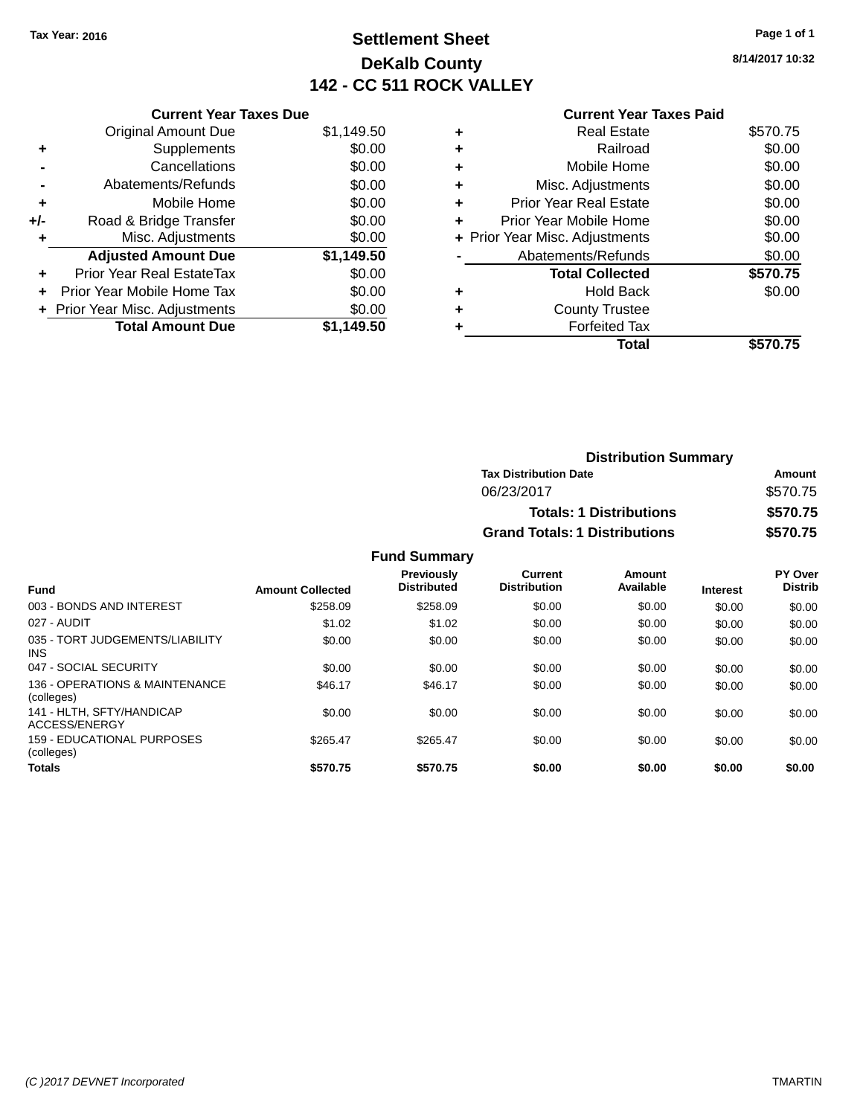# **Settlement Sheet Tax Year: 2016 Page 1 of 1 DeKalb County 142 - CC 511 ROCK VALLEY**

**8/14/2017 10:32**

|     | <b>Current Year Taxes Due</b>    |            |
|-----|----------------------------------|------------|
|     | <b>Original Amount Due</b>       | \$1,149.50 |
| ٠   | Supplements                      | \$0.00     |
|     | Cancellations                    | \$0.00     |
|     | Abatements/Refunds               | \$0.00     |
| ٠   | Mobile Home                      | \$0.00     |
| +/- | Road & Bridge Transfer           | \$0.00     |
|     | Misc. Adjustments                | \$0.00     |
|     | <b>Adjusted Amount Due</b>       | \$1,149.50 |
|     | <b>Prior Year Real EstateTax</b> | \$0.00     |
| ÷   | Prior Year Mobile Home Tax       | \$0.00     |
|     | + Prior Year Misc. Adjustments   | \$0.00     |
|     | <b>Total Amount Due</b>          | \$1.149.50 |

### **Current Year Taxes Paid**

|   | <b>Forfeited Tax</b><br>Total  | \$570.75 |
|---|--------------------------------|----------|
| ٠ | <b>County Trustee</b>          |          |
| ٠ | Hold Back                      | \$0.00   |
|   | <b>Total Collected</b>         | \$570.75 |
|   | Abatements/Refunds             | \$0.00   |
|   | + Prior Year Misc. Adjustments | \$0.00   |
| ٠ | Prior Year Mobile Home         | \$0.00   |
| ٠ | <b>Prior Year Real Estate</b>  | \$0.00   |
| ٠ | Misc. Adjustments              | \$0.00   |
| ٠ | Mobile Home                    | \$0.00   |
| ٠ | Railroad                       | \$0.00   |
|   | <b>Real Estate</b>             | \$570.75 |

| <b>Distribution Summary</b>          |          |  |  |
|--------------------------------------|----------|--|--|
| <b>Tax Distribution Date</b>         | Amount   |  |  |
| 06/23/2017                           | \$570.75 |  |  |
| <b>Totals: 1 Distributions</b>       | \$570.75 |  |  |
| <b>Grand Totals: 1 Distributions</b> | \$570.75 |  |  |

| <b>Fund</b>                                   | <b>Amount Collected</b> | <b>Previously</b><br><b>Distributed</b> | <b>Current</b><br><b>Distribution</b> | Amount<br>Available | <b>Interest</b> | PY Over<br><b>Distrib</b> |
|-----------------------------------------------|-------------------------|-----------------------------------------|---------------------------------------|---------------------|-----------------|---------------------------|
| 003 - BONDS AND INTEREST                      | \$258.09                | \$258.09                                | \$0.00                                | \$0.00              | \$0.00          | \$0.00                    |
| 027 - AUDIT                                   | \$1.02                  | \$1.02                                  | \$0.00                                | \$0.00              | \$0.00          | \$0.00                    |
| 035 - TORT JUDGEMENTS/LIABILITY<br><b>INS</b> | \$0.00                  | \$0.00                                  | \$0.00                                | \$0.00              | \$0.00          | \$0.00                    |
| 047 - SOCIAL SECURITY                         | \$0.00                  | \$0.00                                  | \$0.00                                | \$0.00              | \$0.00          | \$0.00                    |
| 136 - OPERATIONS & MAINTENANCE<br>(colleges)  | \$46.17                 | \$46.17                                 | \$0.00                                | \$0.00              | \$0.00          | \$0.00                    |
| 141 - HLTH, SFTY/HANDICAP<br>ACCESS/ENERGY    | \$0.00                  | \$0.00                                  | \$0.00                                | \$0.00              | \$0.00          | \$0.00                    |
| 159 - EDUCATIONAL PURPOSES<br>(colleges)      | \$265.47                | \$265.47                                | \$0.00                                | \$0.00              | \$0.00          | \$0.00                    |
| <b>Totals</b>                                 | \$570.75                | \$570.75                                | \$0.00                                | \$0.00              | \$0.00          | \$0.00                    |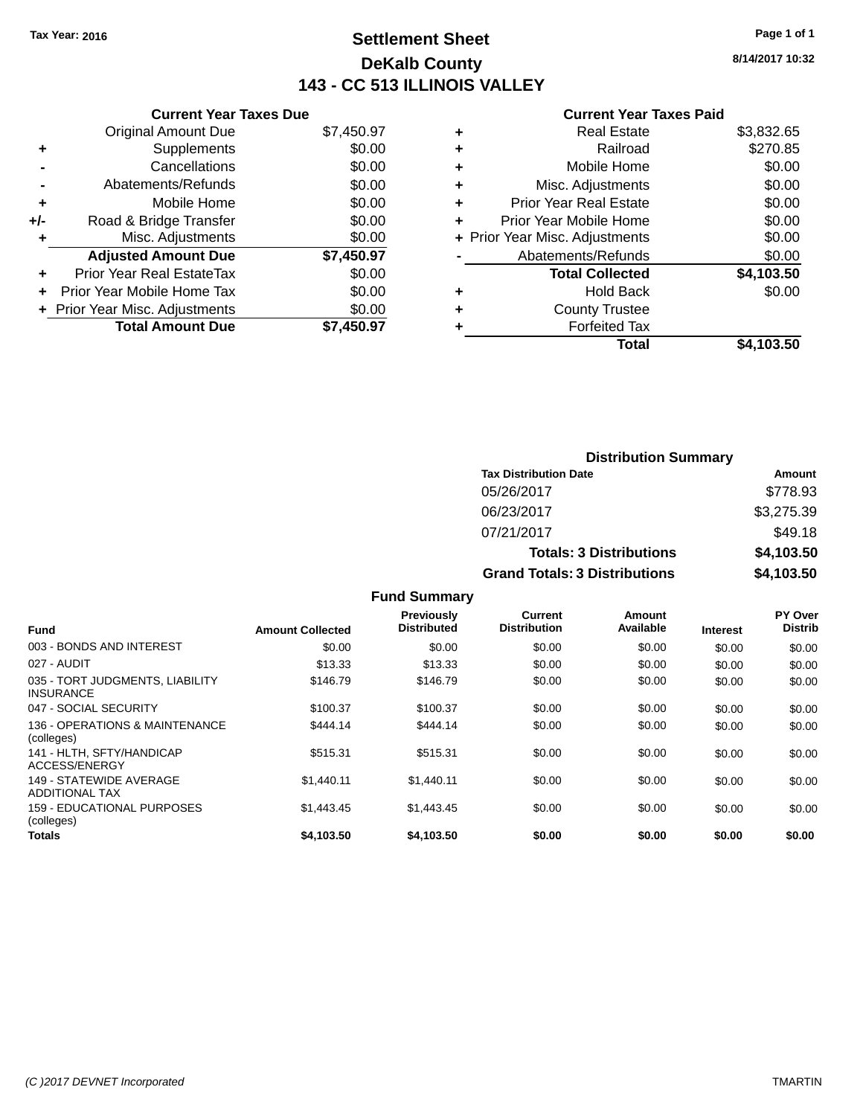# **Settlement Sheet Tax Year: 2016 Page 1 of 1 DeKalb County 143 - CC 513 ILLINOIS VALLEY**

**8/14/2017 10:32**

#### **Current Year Taxes Paid**

| \$7,450.97 |
|------------|
| \$0.00     |
| \$0.00     |
| \$0.00     |
| \$0.00     |
| \$0.00     |
| \$0.00     |
| \$7,450.97 |
| \$0.00     |
| \$0.00     |
| \$0.00     |
| \$7,450.97 |
|            |

|   | <b>Real Estate</b>             | \$3,832.65 |
|---|--------------------------------|------------|
| ٠ | Railroad                       | \$270.85   |
| ٠ | Mobile Home                    | \$0.00     |
| ٠ | Misc. Adjustments              | \$0.00     |
| ٠ | <b>Prior Year Real Estate</b>  | \$0.00     |
| ٠ | Prior Year Mobile Home         | \$0.00     |
|   | + Prior Year Misc. Adjustments | \$0.00     |
|   | Abatements/Refunds             | \$0.00     |
|   | <b>Total Collected</b>         | \$4,103.50 |
| ٠ | Hold Back                      | \$0.00     |
| ٠ | <b>County Trustee</b>          |            |
| ٠ | <b>Forfeited Tax</b>           |            |
|   | Total                          | \$4,103.50 |
|   |                                |            |

| <b>Distribution Summary</b>          |            |  |  |  |
|--------------------------------------|------------|--|--|--|
| <b>Tax Distribution Date</b>         | Amount     |  |  |  |
| 05/26/2017                           | \$778.93   |  |  |  |
| 06/23/2017                           | \$3,275.39 |  |  |  |
| 07/21/2017                           | \$49.18    |  |  |  |
| <b>Totals: 3 Distributions</b>       | \$4,103.50 |  |  |  |
| <b>Grand Totals: 3 Distributions</b> | \$4,103.50 |  |  |  |

| <b>Fund</b>                                         | <b>Amount Collected</b> | Previously<br><b>Distributed</b> | Current<br><b>Distribution</b> | Amount<br>Available | <b>Interest</b> | <b>PY Over</b><br><b>Distrib</b> |
|-----------------------------------------------------|-------------------------|----------------------------------|--------------------------------|---------------------|-----------------|----------------------------------|
| 003 - BONDS AND INTEREST                            | \$0.00                  | \$0.00                           | \$0.00                         | \$0.00              | \$0.00          | \$0.00                           |
| 027 - AUDIT                                         | \$13.33                 | \$13.33                          | \$0.00                         | \$0.00              | \$0.00          | \$0.00                           |
| 035 - TORT JUDGMENTS, LIABILITY<br><b>INSURANCE</b> | \$146.79                | \$146.79                         | \$0.00                         | \$0.00              | \$0.00          | \$0.00                           |
| 047 - SOCIAL SECURITY                               | \$100.37                | \$100.37                         | \$0.00                         | \$0.00              | \$0.00          | \$0.00                           |
| 136 - OPERATIONS & MAINTENANCE<br>(colleges)        | \$444.14                | \$444.14                         | \$0.00                         | \$0.00              | \$0.00          | \$0.00                           |
| 141 - HLTH, SFTY/HANDICAP<br>ACCESS/ENERGY          | \$515.31                | \$515.31                         | \$0.00                         | \$0.00              | \$0.00          | \$0.00                           |
| 149 - STATEWIDE AVERAGE<br><b>ADDITIONAL TAX</b>    | \$1,440.11              | \$1,440.11                       | \$0.00                         | \$0.00              | \$0.00          | \$0.00                           |
| 159 - EDUCATIONAL PURPOSES<br>(colleges)            | \$1.443.45              | \$1.443.45                       | \$0.00                         | \$0.00              | \$0.00          | \$0.00                           |
| <b>Totals</b>                                       | \$4,103.50              | \$4,103.50                       | \$0.00                         | \$0.00              | \$0.00          | \$0.00                           |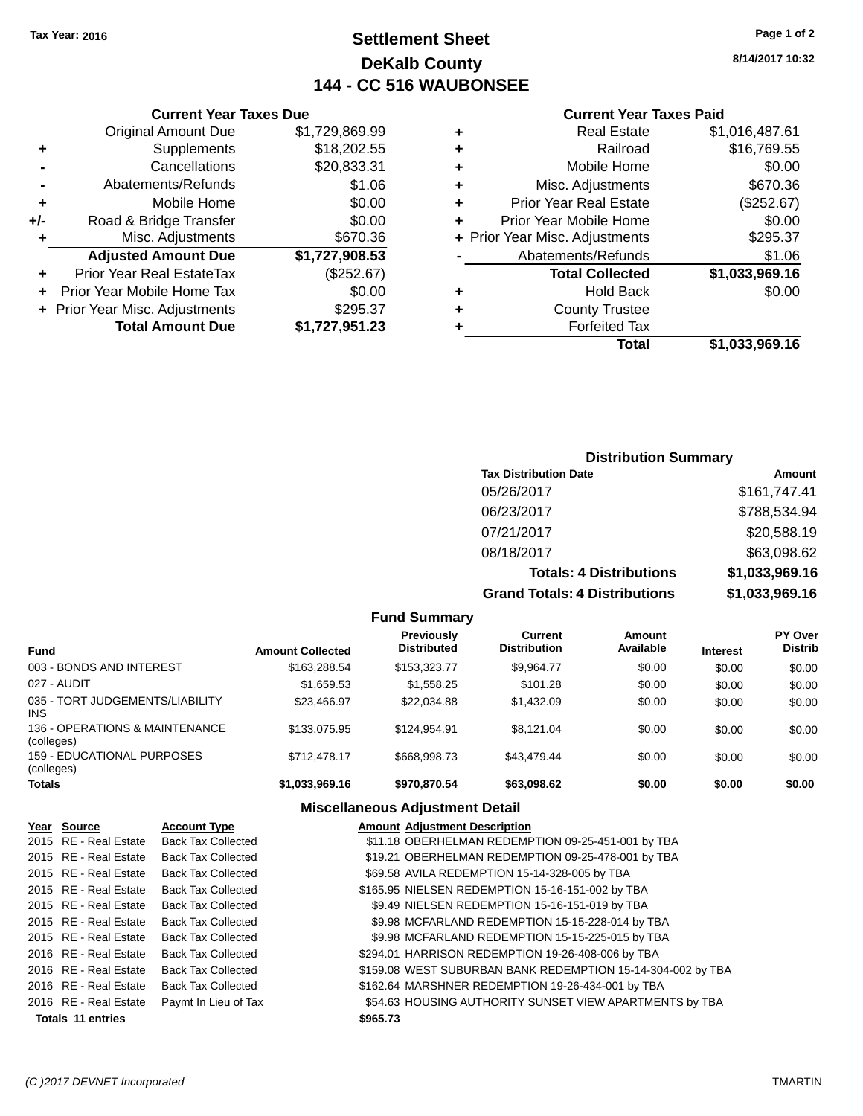# **Settlement Sheet Tax Year: 2016 Page 1 of 2 DeKalb County 144 - CC 516 WAUBONSEE**

**8/14/2017 10:32**

### **Current Year Taxes Paid**

### **Current Year Taxes Due** Original Amount Due \$1,729,869.9 **+** Supplements \$18,202.55 **-** Cancellations \$20,833.3 **-** Abatements/Refunds \$1.0 **+** Mobile Home \$0.0 **+/-** Road & Bridge Transfer \$0.0 **+** Misc. Adjustments \$670.3 **Adjusted Amount Due \$1,727,908.53 +** Prior Year Real EstateTax (\$252.67) **+** Prior Year Mobile Home Tax \$0.0 **+ Prior Year Misc. Adjustments \$295.3 Total Amount Due \$1,727,951.23**

### **Distribution Summary**

| <b>Tax Distribution Date</b>         | Amount         |
|--------------------------------------|----------------|
| 05/26/2017                           | \$161,747.41   |
| 06/23/2017                           | \$788,534.94   |
| 07/21/2017                           | \$20,588.19    |
| 08/18/2017                           | \$63,098.62    |
| <b>Totals: 4 Distributions</b>       | \$1,033,969.16 |
| <b>Grand Totals: 4 Distributions</b> | \$1,033,969.16 |

|                                               |                         | <b>Fund Summary</b>              |                                |                     |                 |                           |
|-----------------------------------------------|-------------------------|----------------------------------|--------------------------------|---------------------|-----------------|---------------------------|
| <b>Fund</b>                                   | <b>Amount Collected</b> | Previously<br><b>Distributed</b> | Current<br><b>Distribution</b> | Amount<br>Available | <b>Interest</b> | PY Over<br><b>Distrib</b> |
| 003 - BONDS AND INTEREST                      | \$163,288.54            | \$153,323,77                     | \$9.964.77                     | \$0.00              | \$0.00          | \$0.00                    |
| 027 - AUDIT                                   | \$1.659.53              | \$1,558,25                       | \$101.28                       | \$0.00              | \$0.00          | \$0.00                    |
| 035 - TORT JUDGEMENTS/LIABILITY<br><b>INS</b> | \$23,466.97             | \$22.034.88                      | \$1,432.09                     | \$0.00              | \$0.00          | \$0.00                    |
| 136 - OPERATIONS & MAINTENANCE<br>(colleges)  | \$133,075.95            | \$124.954.91                     | \$8.121.04                     | \$0.00              | \$0.00          | \$0.00                    |
| 159 - FDUCATIONAL PURPOSES<br>(colleges)      | \$712,478.17            | \$668,998.73                     | \$43.479.44                    | \$0.00              | \$0.00          | \$0.00                    |
| <b>Totals</b>                                 | \$1,033,969.16          | \$970.870.54                     | \$63,098.62                    | \$0.00              | \$0.00          | \$0.00                    |

| Year Source              | <b>Account Type</b>       |          | <b>Amount Adiustment Description</b>                        |
|--------------------------|---------------------------|----------|-------------------------------------------------------------|
| 2015 RE - Real Estate    | <b>Back Tax Collected</b> |          | \$11.18 OBERHELMAN REDEMPTION 09-25-451-001 by TBA          |
| 2015 RE - Real Estate    | <b>Back Tax Collected</b> |          | \$19.21 OBERHELMAN REDEMPTION 09-25-478-001 by TBA          |
| 2015 RE - Real Estate    | <b>Back Tax Collected</b> |          | \$69.58 AVILA REDEMPTION 15-14-328-005 by TBA               |
| 2015 RE - Real Estate    | <b>Back Tax Collected</b> |          | \$165.95 NIELSEN REDEMPTION 15-16-151-002 by TBA            |
| 2015 RE - Real Estate    | <b>Back Tax Collected</b> |          | \$9.49 NIELSEN REDEMPTION 15-16-151-019 by TBA              |
| 2015 RE - Real Estate    | <b>Back Tax Collected</b> |          | \$9.98 MCFARLAND REDEMPTION 15-15-228-014 by TBA            |
| 2015 RE - Real Estate    | <b>Back Tax Collected</b> |          | \$9.98 MCFARLAND REDEMPTION 15-15-225-015 by TBA            |
| 2016 RE - Real Estate    | <b>Back Tax Collected</b> |          | \$294.01 HARRISON REDEMPTION 19-26-408-006 by TBA           |
| 2016 RE - Real Estate    | <b>Back Tax Collected</b> |          | \$159.08 WEST SUBURBAN BANK REDEMPTION 15-14-304-002 by TBA |
| 2016 RE - Real Estate    | <b>Back Tax Collected</b> |          | \$162.64 MARSHNER REDEMPTION 19-26-434-001 by TBA           |
| 2016 RE - Real Estate    | Paymt In Lieu of Tax      |          | \$54.63 HOUSING AUTHORITY SUNSET VIEW APARTMENTS by TBA     |
| <b>Totals 11 entries</b> |                           | \$965.73 |                                                             |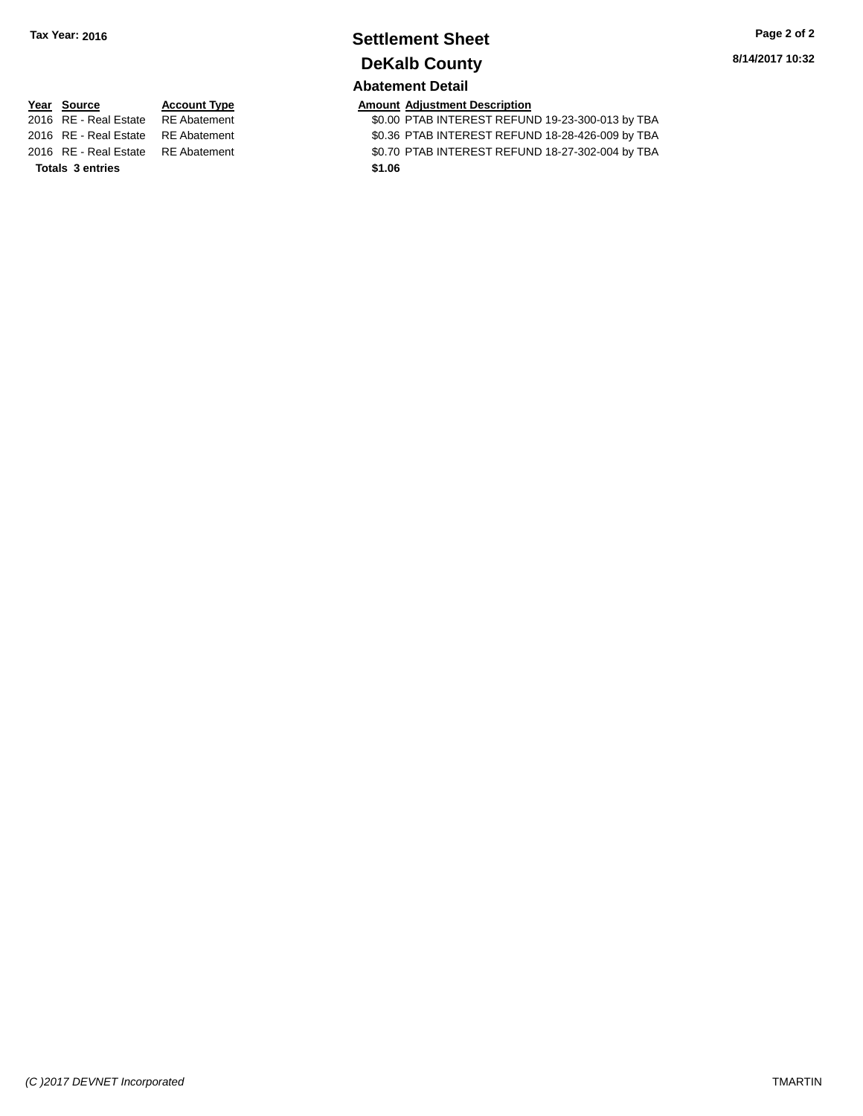## **Settlement Sheet Tax Year: 2016 Page 2 of 2 DeKalb County Abatement Detail**

**Totals 3 entries \$1.06**

**Year Source Account Type Amount Adjustment Description**<br>2016 RE - Real Estate RE Abatement \$0.00 PTAB INTEREST REFUN \$0.00 PTAB INTEREST REFUND 19-23-300-013 by TBA 2016 RE - Real Estate RE Abatement \$0.36 PTAB INTEREST REFUND 18-28-426-009 by TBA 2016 RE - Real Estate RE Abatement \$0.70 PTAB INTEREST REFUND 18-27-302-004 by TBA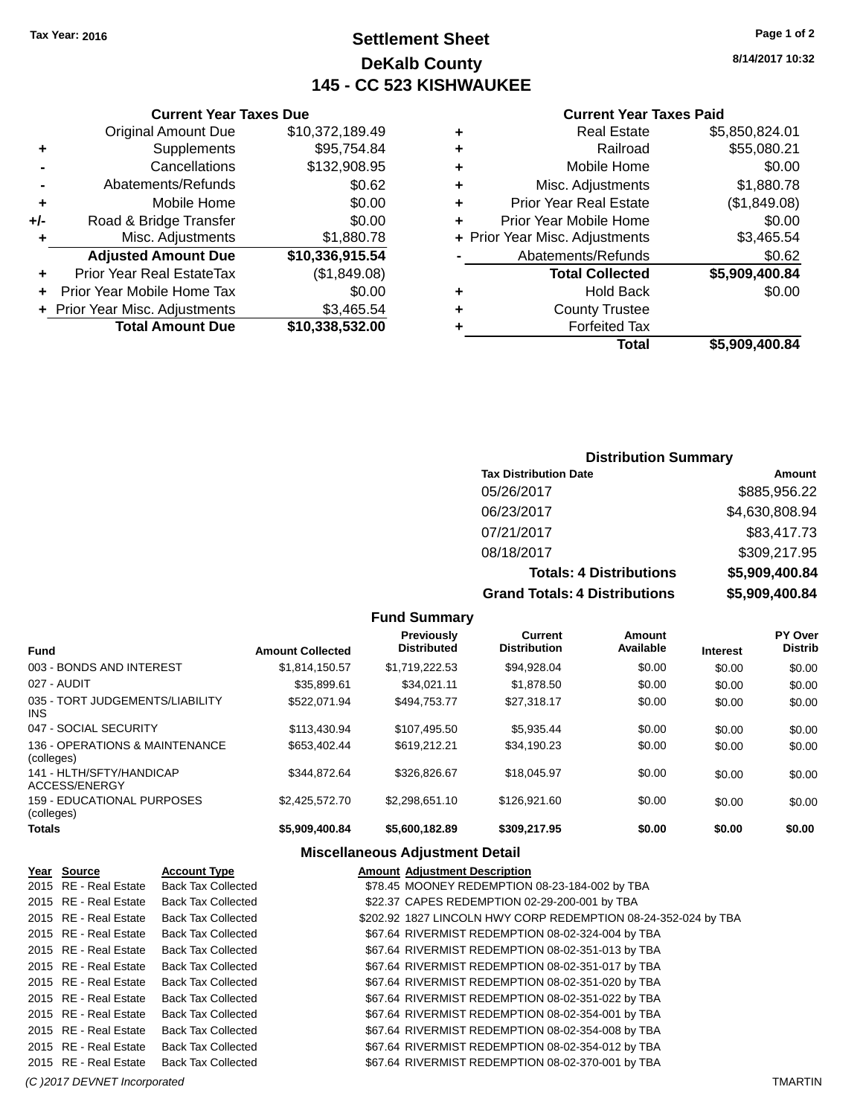# **Settlement Sheet Tax Year: 2016 Page 1 of 2 DeKalb County 145 - CC 523 KISHWAUKEE**

**8/14/2017 10:32**

### **Current Year Taxes Paid**

| ٠ | <b>Real Estate</b>             | \$5,850,824.01 |
|---|--------------------------------|----------------|
| ٠ | Railroad                       | \$55,080.21    |
| ٠ | Mobile Home                    | \$0.00         |
| ٠ | Misc. Adjustments              | \$1,880.78     |
| ٠ | <b>Prior Year Real Estate</b>  | (\$1,849.08)   |
| ٠ | Prior Year Mobile Home         | \$0.00         |
|   | + Prior Year Misc. Adjustments | \$3,465.54     |
|   | Abatements/Refunds             | \$0.62         |
|   | <b>Total Collected</b>         | \$5,909,400.84 |
| ٠ | <b>Hold Back</b>               | \$0.00         |
| ٠ | <b>County Trustee</b>          |                |
|   | <b>Forfeited Tax</b>           |                |
|   | Total                          | \$5,909,400.84 |

|     | <b>Current Year Taxes Due</b>    |                 |
|-----|----------------------------------|-----------------|
|     | <b>Original Amount Due</b>       | \$10,372,189.49 |
| ٠   | Supplements                      | \$95,754.84     |
|     | Cancellations                    | \$132,908.95    |
|     | Abatements/Refunds               | \$0.62          |
| ÷   | Mobile Home                      | \$0.00          |
| +/- | Road & Bridge Transfer           | \$0.00          |
| ٠   | Misc. Adjustments                | \$1,880.78      |
|     | <b>Adjusted Amount Due</b>       | \$10,336,915.54 |
|     | <b>Prior Year Real EstateTax</b> | (\$1,849.08)    |
|     | Prior Year Mobile Home Tax       | \$0.00          |
|     | + Prior Year Misc. Adjustments   | \$3,465.54      |
|     | <b>Total Amount Due</b>          | \$10,338,532.00 |

### **Distribution Summary**

| <b>Tax Distribution Date</b>         | Amount         |
|--------------------------------------|----------------|
| 05/26/2017                           | \$885,956.22   |
| 06/23/2017                           | \$4,630,808.94 |
| 07/21/2017                           | \$83,417.73    |
| 08/18/2017                           | \$309,217.95   |
| <b>Totals: 4 Distributions</b>       | \$5,909,400.84 |
| <b>Grand Totals: 4 Distributions</b> | \$5,909,400.84 |

|                                              |                         | <b>Fund Summary</b>              |                                       |                     |                 |                           |
|----------------------------------------------|-------------------------|----------------------------------|---------------------------------------|---------------------|-----------------|---------------------------|
| <b>Fund</b>                                  | <b>Amount Collected</b> | Previously<br><b>Distributed</b> | <b>Current</b><br><b>Distribution</b> | Amount<br>Available | <b>Interest</b> | PY Over<br><b>Distrib</b> |
| 003 - BONDS AND INTEREST                     | \$1.814.150.57          | \$1.719.222.53                   | \$94.928.04                           | \$0.00              | \$0.00          | \$0.00                    |
| 027 - AUDIT                                  | \$35.899.61             | \$34.021.11                      | \$1,878.50                            | \$0.00              | \$0.00          | \$0.00                    |
| 035 - TORT JUDGEMENTS/LIABILITY<br>INS.      | \$522.071.94            | \$494,753.77                     | \$27,318.17                           | \$0.00              | \$0.00          | \$0.00                    |
| 047 - SOCIAL SECURITY                        | \$113,430.94            | \$107.495.50                     | \$5.935.44                            | \$0.00              | \$0.00          | \$0.00                    |
| 136 - OPERATIONS & MAINTENANCE<br>(colleges) | \$653.402.44            | \$619,212.21                     | \$34.190.23                           | \$0.00              | \$0.00          | \$0.00                    |
| 141 - HLTH/SFTY/HANDICAP<br>ACCESS/ENERGY    | \$344.872.64            | \$326.826.67                     | \$18,045.97                           | \$0.00              | \$0.00          | \$0.00                    |
| 159 - EDUCATIONAL PURPOSES<br>(colleges)     | \$2.425.572.70          | \$2.298.651.10                   | \$126,921,60                          | \$0.00              | \$0.00          | \$0.00                    |
| <b>Totals</b>                                | \$5,909,400.84          | \$5,600,182.89                   | \$309,217.95                          | \$0.00              | \$0.00          | \$0.00                    |

| Year Source           | <b>Account Type</b>       | <b>Amount Adjustment Description</b>                           |
|-----------------------|---------------------------|----------------------------------------------------------------|
| 2015 RE - Real Estate | <b>Back Tax Collected</b> | \$78.45 MOONEY REDEMPTION 08-23-184-002 by TBA                 |
| 2015 RE - Real Estate | <b>Back Tax Collected</b> | \$22.37 CAPES REDEMPTION 02-29-200-001 by TBA                  |
| 2015 RE - Real Estate | Back Tax Collected        | \$202.92 1827 LINCOLN HWY CORP REDEMPTION 08-24-352-024 by TBA |
| 2015 RE - Real Estate | Back Tax Collected        | \$67.64 RIVERMIST REDEMPTION 08-02-324-004 by TBA              |
| 2015 RE - Real Estate | Back Tax Collected        | \$67.64 RIVERMIST REDEMPTION 08-02-351-013 by TBA              |
| 2015 RE - Real Estate | <b>Back Tax Collected</b> | \$67.64 RIVERMIST REDEMPTION 08-02-351-017 by TBA              |
| 2015 RE - Real Estate | Back Tax Collected        | \$67.64 RIVERMIST REDEMPTION 08-02-351-020 by TBA              |
| 2015 RE - Real Estate | <b>Back Tax Collected</b> | \$67.64 RIVERMIST REDEMPTION 08-02-351-022 by TBA              |
| 2015 RE - Real Estate | <b>Back Tax Collected</b> | \$67.64 RIVERMIST REDEMPTION 08-02-354-001 by TBA              |
| 2015 RE - Real Estate | <b>Back Tax Collected</b> | \$67.64 RIVERMIST REDEMPTION 08-02-354-008 by TBA              |
| 2015 RE - Real Estate | <b>Back Tax Collected</b> | \$67.64 RIVERMIST REDEMPTION 08-02-354-012 by TBA              |
| 2015 RE - Real Estate | <b>Back Tax Collected</b> | \$67.64 RIVERMIST REDEMPTION 08-02-370-001 by TBA              |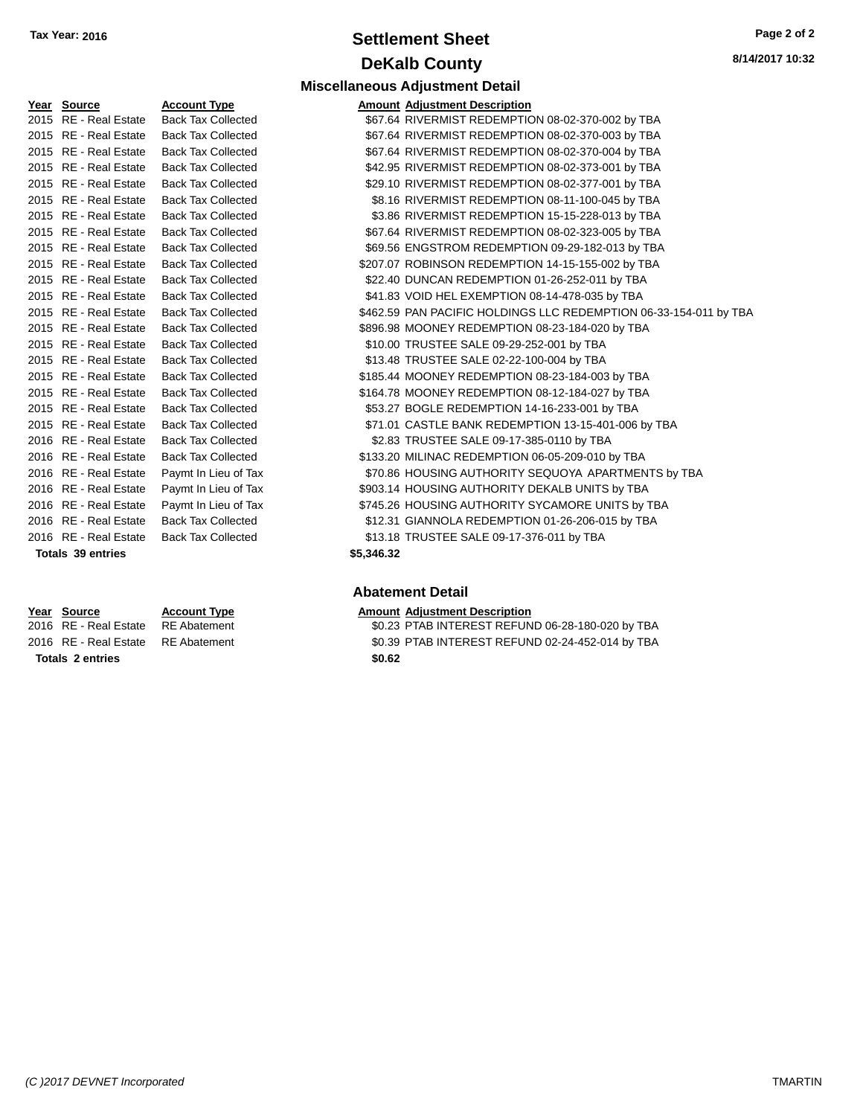# **Settlement Sheet Tax Year: 2016 Page 2 of 2 DeKalb County**

**Miscellaneous Adjustment Detail**

| Year | Source                  | <b>Account Type</b>       |
|------|-------------------------|---------------------------|
| 2015 | RF - Real Estate        | <b>Back Tax Collected</b> |
| 2015 | <b>RE</b> - Real Estate | <b>Back Tax Collected</b> |
| 2015 | <b>RE</b> - Real Estate | <b>Back Tax Collected</b> |
| 2015 | <b>RE</b> - Real Estate | <b>Back Tax Collected</b> |
| 2015 | <b>RE</b> - Real Estate | <b>Back Tax Collected</b> |
| 2015 | RF - Real Estate        | <b>Back Tax Collected</b> |
| 2015 | <b>RE</b> - Real Estate | <b>Back Tax Collected</b> |
| 2015 | <b>RE</b> - Real Estate | <b>Back Tax Collected</b> |
| 2015 | <b>RE</b> - Real Estate | <b>Back Tax Collected</b> |
| 2015 | <b>RE</b> - Real Estate | <b>Back Tax Collected</b> |
| 2015 | <b>RE</b> - Real Estate | <b>Back Tax Collected</b> |
| 2015 | RF - Real Estate        | <b>Back Tax Collected</b> |
| 2015 | RF - Real Estate        | <b>Back Tax Collected</b> |
| 2015 | <b>RE</b> - Real Estate | <b>Back Tax Collected</b> |
| 2015 | <b>RE</b> - Real Estate | <b>Back Tax Collected</b> |
| 2015 | <b>RE</b> - Real Estate | <b>Back Tax Collected</b> |
| 2015 | <b>RE</b> - Real Estate | <b>Back Tax Collected</b> |
| 2015 | <b>RE</b> - Real Estate | <b>Back Tax Collected</b> |
| 2015 | <b>RE</b> - Real Estate | <b>Back Tax Collected</b> |
| 2015 | <b>RE</b> - Real Estate | <b>Back Tax Collected</b> |
| 2016 | <b>RE</b> - Real Estate | <b>Back Tax Collected</b> |
| 2016 | <b>RE</b> - Real Estate | <b>Back Tax Collected</b> |
| 2016 | <b>RE</b> - Real Estate | Paymt In Lieu of Tax      |
| 2016 | <b>RE</b> - Real Estate | Paymt In Lieu of Tax      |
| 2016 | <b>RE</b> - Real Estate | Paymt In Lieu of Tax      |
| 2016 | <b>RE</b> - Real Estate | <b>Back Tax Collected</b> |
| 2016 | <b>RE</b> - Real Estate | <b>Back Tax Collected</b> |

**Totals 2 entries \$0.62**

| Year Source              | <b>Account Type</b>       | <b>Amount Adjustment Description</b>                              |
|--------------------------|---------------------------|-------------------------------------------------------------------|
| 2015 RE - Real Estate    | <b>Back Tax Collected</b> | \$67.64 RIVERMIST REDEMPTION 08-02-370-002 by TBA                 |
| 2015 RE - Real Estate    | <b>Back Tax Collected</b> | \$67.64 RIVERMIST REDEMPTION 08-02-370-003 by TBA                 |
| 2015 RE - Real Estate    | <b>Back Tax Collected</b> | \$67.64 RIVERMIST REDEMPTION 08-02-370-004 by TBA                 |
| 2015 RE - Real Estate    | <b>Back Tax Collected</b> | \$42.95 RIVERMIST REDEMPTION 08-02-373-001 by TBA                 |
| 2015 RE - Real Estate    | <b>Back Tax Collected</b> | \$29.10 RIVERMIST REDEMPTION 08-02-377-001 by TBA                 |
| 2015 RE - Real Estate    | <b>Back Tax Collected</b> | \$8.16 RIVERMIST REDEMPTION 08-11-100-045 by TBA                  |
| 2015 RE - Real Estate    | <b>Back Tax Collected</b> | \$3.86 RIVERMIST REDEMPTION 15-15-228-013 by TBA                  |
| 2015 RE - Real Estate    | <b>Back Tax Collected</b> | \$67.64 RIVERMIST REDEMPTION 08-02-323-005 by TBA                 |
| 2015 RE - Real Estate    | <b>Back Tax Collected</b> | \$69.56 ENGSTROM REDEMPTION 09-29-182-013 by TBA                  |
| 2015 RE - Real Estate    | <b>Back Tax Collected</b> | \$207.07 ROBINSON REDEMPTION 14-15-155-002 by TBA                 |
| 2015 RE - Real Estate    | <b>Back Tax Collected</b> | \$22.40 DUNCAN REDEMPTION 01-26-252-011 by TBA                    |
| 2015 RE - Real Estate    | <b>Back Tax Collected</b> | \$41.83 VOID HEL EXEMPTION 08-14-478-035 by TBA                   |
| 2015 RE - Real Estate    | <b>Back Tax Collected</b> | \$462.59 PAN PACIFIC HOLDINGS LLC REDEMPTION 06-33-154-011 by TBA |
| 2015 RE - Real Estate    | <b>Back Tax Collected</b> | \$896.98 MOONEY REDEMPTION 08-23-184-020 by TBA                   |
| 2015 RE - Real Estate    | <b>Back Tax Collected</b> | \$10.00 TRUSTEE SALE 09-29-252-001 by TBA                         |
| 2015 RE - Real Estate    | <b>Back Tax Collected</b> | \$13.48 TRUSTEE SALE 02-22-100-004 by TBA                         |
| 2015 RE - Real Estate    | <b>Back Tax Collected</b> | \$185.44 MOONEY REDEMPTION 08-23-184-003 by TBA                   |
| 2015 RE - Real Estate    | <b>Back Tax Collected</b> | \$164.78 MOONEY REDEMPTION 08-12-184-027 by TBA                   |
| 2015 RE - Real Estate    | <b>Back Tax Collected</b> | \$53.27 BOGLE REDEMPTION 14-16-233-001 by TBA                     |
| 2015 RE - Real Estate    | <b>Back Tax Collected</b> | \$71.01 CASTLE BANK REDEMPTION 13-15-401-006 by TBA               |
| 2016 RE - Real Estate    | <b>Back Tax Collected</b> | \$2.83 TRUSTEE SALE 09-17-385-0110 by TBA                         |
| 2016 RE - Real Estate    | <b>Back Tax Collected</b> | \$133.20 MILINAC REDEMPTION 06-05-209-010 by TBA                  |
| 2016 RE - Real Estate    | Paymt In Lieu of Tax      | \$70.86 HOUSING AUTHORITY SEQUOYA APARTMENTS by TBA               |
| 2016 RE - Real Estate    | Paymt In Lieu of Tax      | \$903.14 HOUSING AUTHORITY DEKALB UNITS by TBA                    |
| 2016 RE - Real Estate    | Paymt In Lieu of Tax      | \$745.26 HOUSING AUTHORITY SYCAMORE UNITS by TBA                  |
| 2016 RE - Real Estate    | <b>Back Tax Collected</b> | \$12.31 GIANNOLA REDEMPTION 01-26-206-015 by TBA                  |
| 2016 RE - Real Estate    | <b>Back Tax Collected</b> | \$13.18 TRUSTEE SALE 09-17-376-011 by TBA                         |
| <b>Totals 39 entries</b> | \$5,346.32                |                                                                   |

### **Abatement Detail**

### **Year** Source **Account Type Account Adjustment Description**

- 2016 RE Real Estate RE Abatement \$0.23 PTAB INTEREST REFUND 06-28-180-020 by TBA
- 2016 RE Real Estate RE Abatement \$0.39 PTAB INTEREST REFUND 02-24-452-014 by TBA
	-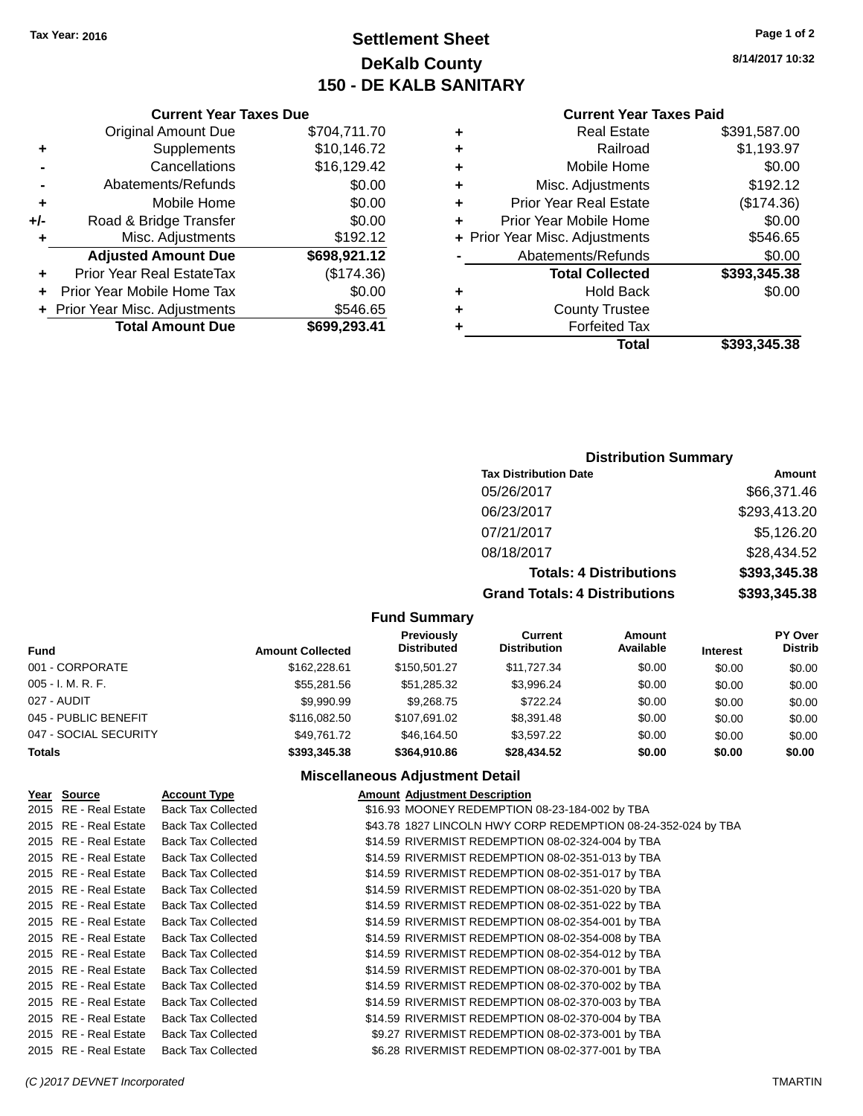# **Settlement Sheet Tax Year: 2016 Page 1 of 2 DeKalb County 150 - DE KALB SANITARY**

**8/14/2017 10:32**

#### **Current Year Taxes Paid**

| ٠ | <b>Real Estate</b>             | \$391,587.00 |
|---|--------------------------------|--------------|
| ٠ | Railroad                       | \$1,193.97   |
| ٠ | Mobile Home                    | \$0.00       |
| ٠ | Misc. Adjustments              | \$192.12     |
| ٠ | <b>Prior Year Real Estate</b>  | (\$174.36)   |
| ÷ | Prior Year Mobile Home         | \$0.00       |
|   | + Prior Year Misc. Adjustments | \$546.65     |
|   | Abatements/Refunds             | \$0.00       |
|   | <b>Total Collected</b>         | \$393,345.38 |
| ÷ | <b>Hold Back</b>               | \$0.00       |
| ٠ | <b>County Trustee</b>          |              |
|   | <b>Forfeited Tax</b>           |              |
|   | <b>Total</b>                   | \$393,345.38 |

### **Current Year Taxes Due** Original Amount Due \$704,711.70 **+** Supplements \$10,146.72 **-** Cancellations \$16,129.42 **-** Abatements/Refunds \$0.00 **+** Mobile Home \$0.00 **+/-** Road & Bridge Transfer \$0.00 **+** Misc. Adjustments \$192.12 **Adjusted Amount Due \$698,921.12 +** Prior Year Real EstateTax (\$174.36) **+** Prior Year Mobile Home Tax \$0.00 **+ Prior Year Misc. Adjustments \$546.65 Total Amount Due \$699,293.41**

### **Distribution Summary**

| <b>Tax Distribution Date</b>         | Amount       |
|--------------------------------------|--------------|
| 05/26/2017                           | \$66,371.46  |
| 06/23/2017                           | \$293,413.20 |
| 07/21/2017                           | \$5,126.20   |
| 08/18/2017                           | \$28,434.52  |
| <b>Totals: 4 Distributions</b>       | \$393,345.38 |
| <b>Grand Totals: 4 Distributions</b> | \$393,345.38 |

#### **Fund Summary**

| Fund                  | <b>Amount Collected</b> | Previously<br><b>Distributed</b> | Current<br><b>Distribution</b> | Amount<br>Available | <b>Interest</b> | <b>PY Over</b><br><b>Distrib</b> |
|-----------------------|-------------------------|----------------------------------|--------------------------------|---------------------|-----------------|----------------------------------|
| 001 - CORPORATE       | \$162,228.61            | \$150.501.27                     | \$11,727,34                    | \$0.00              | \$0.00          | \$0.00                           |
| 005 - I. M. R. F.     | \$55,281.56             | \$51,285.32                      | \$3.996.24                     | \$0.00              | \$0.00          | \$0.00                           |
| 027 - AUDIT           | \$9,990.99              | \$9.268.75                       | \$722.24                       | \$0.00              | \$0.00          | \$0.00                           |
| 045 - PUBLIC BENEFIT  | \$116,082.50            | \$107.691.02                     | \$8.391.48                     | \$0.00              | \$0.00          | \$0.00                           |
| 047 - SOCIAL SECURITY | \$49.761.72             | \$46.164.50                      | \$3.597.22                     | \$0.00              | \$0.00          | \$0.00                           |
| <b>Totals</b>         | \$393,345,38            | \$364,910.86                     | \$28,434.52                    | \$0.00              | \$0.00          | \$0.00                           |

| Year Source           | <b>Account Type</b>       | <b>Amount Adjustment Description</b>                          |  |
|-----------------------|---------------------------|---------------------------------------------------------------|--|
| 2015 RE - Real Estate | <b>Back Tax Collected</b> | \$16.93 MOONEY REDEMPTION 08-23-184-002 by TBA                |  |
| 2015 RE - Real Estate | <b>Back Tax Collected</b> | \$43.78 1827 LINCOLN HWY CORP REDEMPTION 08-24-352-024 by TBA |  |
| 2015 RE - Real Estate | <b>Back Tax Collected</b> | \$14.59 RIVERMIST REDEMPTION 08-02-324-004 by TBA             |  |
| 2015 RE - Real Estate | <b>Back Tax Collected</b> | \$14.59 RIVERMIST REDEMPTION 08-02-351-013 by TBA             |  |
| 2015 RE - Real Estate | <b>Back Tax Collected</b> | \$14.59 RIVERMIST REDEMPTION 08-02-351-017 by TBA             |  |
| 2015 RE - Real Estate | <b>Back Tax Collected</b> | \$14.59 RIVERMIST REDEMPTION 08-02-351-020 by TBA             |  |
| 2015 RE - Real Estate | <b>Back Tax Collected</b> | \$14.59 RIVERMIST REDEMPTION 08-02-351-022 by TBA             |  |
| 2015 RE - Real Estate | <b>Back Tax Collected</b> | \$14.59 RIVERMIST REDEMPTION 08-02-354-001 by TBA             |  |
| 2015 RE - Real Estate | <b>Back Tax Collected</b> | \$14.59 RIVERMIST REDEMPTION 08-02-354-008 by TBA             |  |
| 2015 RE - Real Estate | <b>Back Tax Collected</b> | \$14.59 RIVERMIST REDEMPTION 08-02-354-012 by TBA             |  |
| 2015 RE - Real Estate | <b>Back Tax Collected</b> | \$14.59 RIVERMIST REDEMPTION 08-02-370-001 by TBA             |  |
| 2015 RE - Real Estate | <b>Back Tax Collected</b> | \$14.59 RIVERMIST REDEMPTION 08-02-370-002 by TBA             |  |
| 2015 RE - Real Estate | <b>Back Tax Collected</b> | \$14.59 RIVERMIST REDEMPTION 08-02-370-003 by TBA             |  |
| 2015 RE - Real Estate | <b>Back Tax Collected</b> | \$14.59 RIVERMIST REDEMPTION 08-02-370-004 by TBA             |  |
| 2015 RE - Real Estate | <b>Back Tax Collected</b> | \$9.27 RIVERMIST REDEMPTION 08-02-373-001 by TBA              |  |
| 2015 RE - Real Estate | <b>Back Tax Collected</b> | \$6.28 RIVERMIST REDEMPTION 08-02-377-001 by TBA              |  |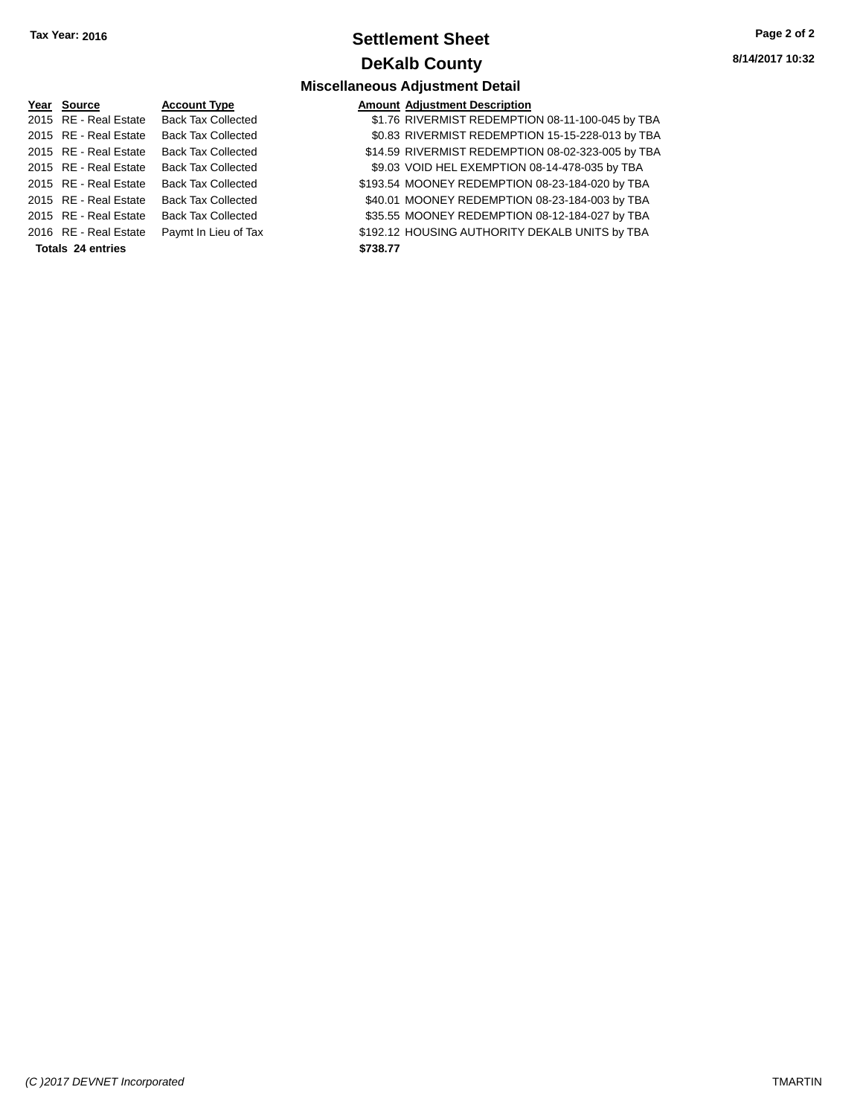# **Settlement Sheet Tax Year: 2016 Page 2 of 2 DeKalb County**

**8/14/2017 10:32**

### **Miscellaneous Adjustment Detail**

| Year Source           | <b>Account Type</b>       | <b>Amount Adjustment Description</b> |
|-----------------------|---------------------------|--------------------------------------|
| 2015 RE - Real Estate | <b>Back Tax Collected</b> | \$1.76 RIVERMIST REDEMPTIC           |
| 2015 RE - Real Estate | <b>Back Tax Collected</b> | \$0.83 RIVERMIST REDEMPTIC           |
| 2015 RE - Real Estate | <b>Back Tax Collected</b> | \$14.59 RIVERMIST REDEMPTIC          |
| 2015 RE - Real Estate | <b>Back Tax Collected</b> | \$9.03 VOID HEL EXEMPTION O          |
| 2015 RE - Real Estate | <b>Back Tax Collected</b> | \$193.54 MOONEY REDEMPTION           |
| 2015 RE - Real Estate | <b>Back Tax Collected</b> | \$40.01 MOONEY REDEMPTION            |
| 2015 RE - Real Estate | <b>Back Tax Collected</b> | \$35.55 MOONEY REDEMPTION            |
| 2016 RE - Real Estate | Paymt In Lieu of Tax      | \$192.12 HOUSING AUTHORITY D         |
| $T - 1 - 0$           |                           |                                      |

### Collected  $$1.76$  RIVERMIST REDEMPTION 08-11-100-045 by TBA Collected \$0.83 RIVERMIST REDEMPTION 15-15-228-013 by TBA 2015 RE - Real Estate Back Tax Collected \$14.59 RIVERMIST REDEMPTION 08-02-323-005 by TBA 2015 RE - Real Estate Back Tax Collected \$9.03 VOID HEL EXEMPTION 08-14-478-035 by TBA Collected \$193.54 MOONEY REDEMPTION 08-23-184-020 by TBA

Collected \$40.01 MOONEY REDEMPTION 08-23-184-003 by TBA Collected \$35.55 MOONEY REDEMPTION 08-12-184-027 by TBA

Lieu of Tax **Case Act Act Act ACT - Real Estate Payme In Lieu of Tax** \$192.12 HOUSING AUTHORITY DEKALB UNITS by TBA

**Totals 24 entries \$738.77**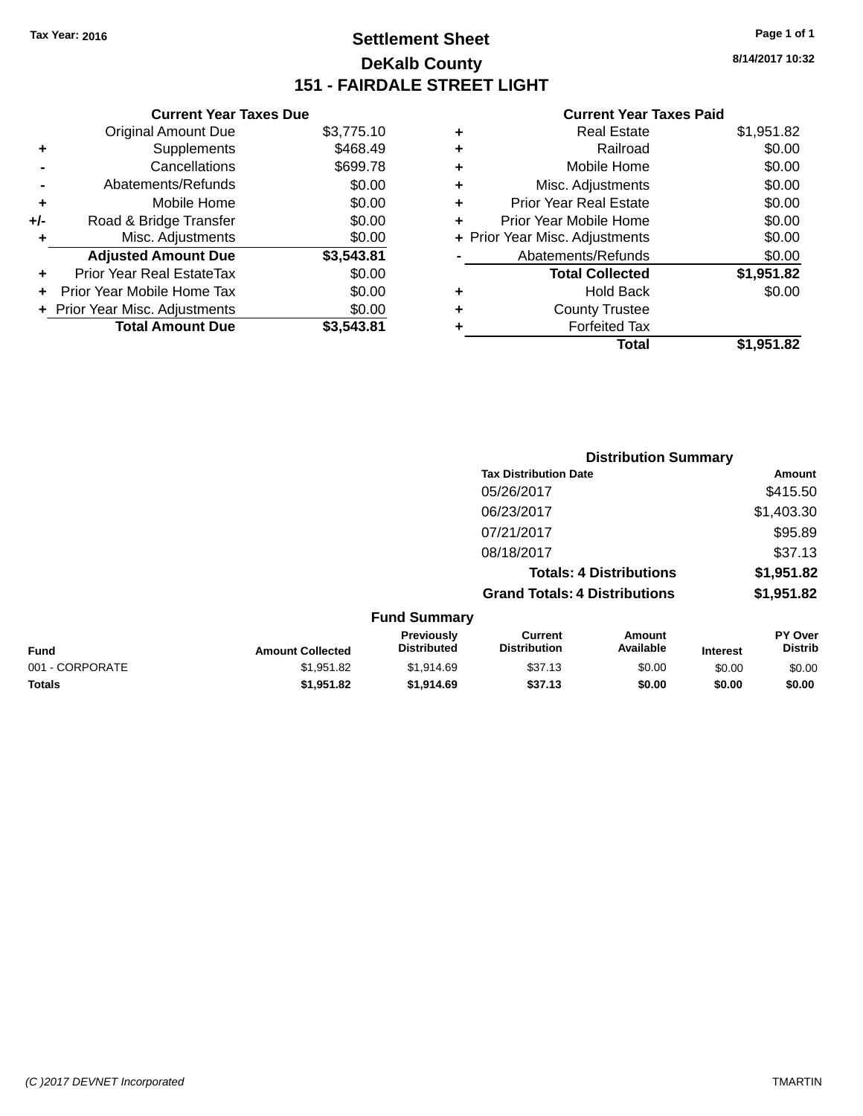# **Settlement Sheet Tax Year: 2016 Page 1 of 1 DeKalb County 151 - FAIRDALE STREET LIGHT**

**8/14/2017 10:32**

|       | <b>Current Year Taxes Due</b>  |            |
|-------|--------------------------------|------------|
|       | <b>Original Amount Due</b>     | \$3,775.10 |
| ٠     | Supplements                    | \$468.49   |
|       | Cancellations                  | \$699.78   |
|       | Abatements/Refunds             | \$0.00     |
| ٠     | Mobile Home                    | \$0.00     |
| $+/-$ | Road & Bridge Transfer         | \$0.00     |
| ٠     | Misc. Adjustments              | \$0.00     |
|       | <b>Adjusted Amount Due</b>     | \$3,543.81 |
| ÷     | Prior Year Real EstateTax      | \$0.00     |
|       | Prior Year Mobile Home Tax     | \$0.00     |
|       | + Prior Year Misc. Adjustments | \$0.00     |
|       | <b>Total Amount Due</b>        | \$3.543.81 |

| ٠ | <b>Real Estate</b>             | \$1,951.82 |
|---|--------------------------------|------------|
| ٠ | Railroad                       | \$0.00     |
| ٠ | Mobile Home                    | \$0.00     |
| ٠ | Misc. Adjustments              | \$0.00     |
| ÷ | <b>Prior Year Real Estate</b>  | \$0.00     |
| ÷ | Prior Year Mobile Home         | \$0.00     |
|   | + Prior Year Misc. Adjustments | \$0.00     |
|   | Abatements/Refunds             | \$0.00     |
|   | <b>Total Collected</b>         | \$1,951.82 |
| ٠ | <b>Hold Back</b>               | \$0.00     |
| ٠ | <b>County Trustee</b>          |            |
| ٠ | <b>Forfeited Tax</b>           |            |
|   | Total                          | \$1,951.82 |
|   |                                |            |

|                 |                         |                                  |                                       | <b>Distribution Summary</b>    |                 |                           |
|-----------------|-------------------------|----------------------------------|---------------------------------------|--------------------------------|-----------------|---------------------------|
|                 |                         |                                  | <b>Tax Distribution Date</b>          |                                |                 | Amount                    |
|                 |                         |                                  | 05/26/2017                            |                                |                 | \$415.50                  |
|                 |                         |                                  | 06/23/2017                            |                                |                 | \$1,403.30                |
|                 |                         |                                  | 07/21/2017                            |                                |                 | \$95.89                   |
|                 |                         |                                  | 08/18/2017                            |                                |                 | \$37.13                   |
|                 |                         |                                  |                                       | <b>Totals: 4 Distributions</b> |                 | \$1,951.82                |
|                 |                         |                                  | <b>Grand Totals: 4 Distributions</b>  |                                |                 | \$1,951.82                |
|                 |                         | <b>Fund Summary</b>              |                                       |                                |                 |                           |
| <b>Fund</b>     | <b>Amount Collected</b> | Previously<br><b>Distributed</b> | <b>Current</b><br><b>Distribution</b> | Amount<br>Available            | <b>Interest</b> | PY Over<br><b>Distrib</b> |
| 001 - CORPORATE | \$1,951.82              | \$1,914.69                       | \$37.13                               | \$0.00                         | \$0.00          | \$0.00                    |
| <b>Totals</b>   | \$1,951.82              | \$1,914.69                       | \$37.13                               | \$0.00                         | \$0.00          | \$0.00                    |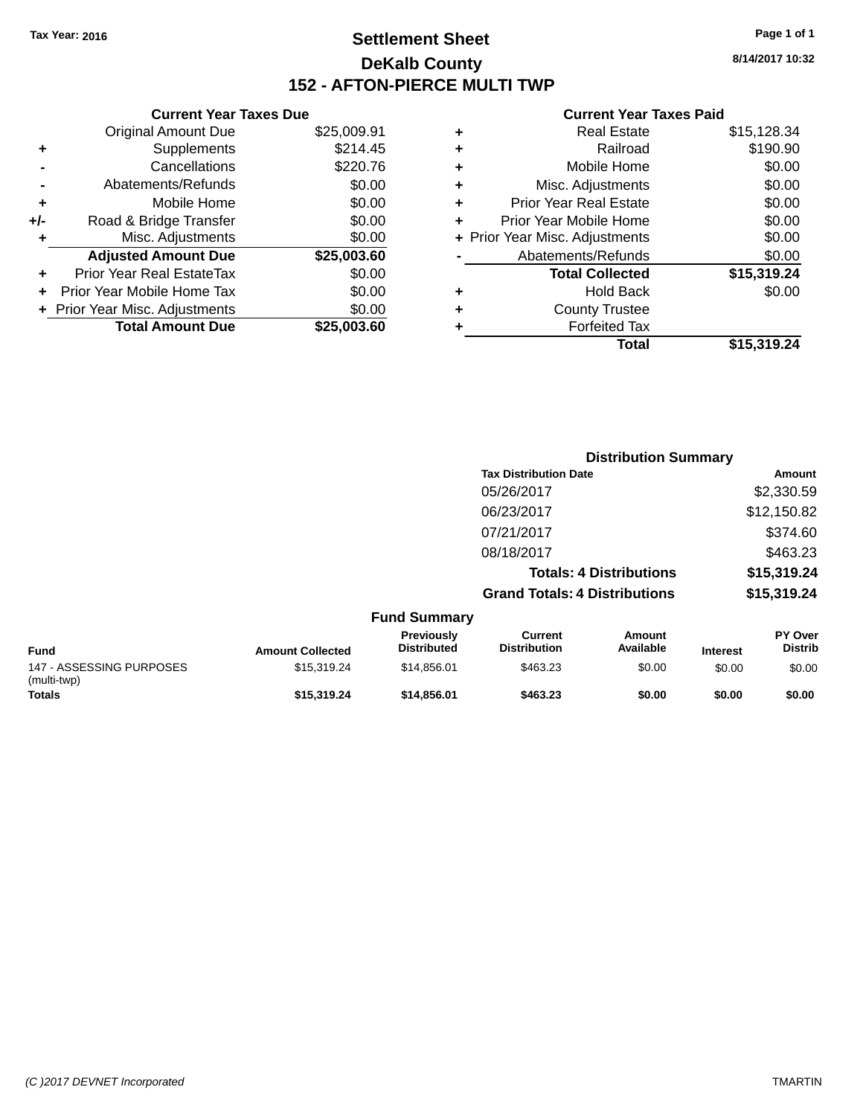# **Settlement Sheet Tax Year: 2016 Page 1 of 1 DeKalb County 152 - AFTON-PIERCE MULTI TWP**

**8/14/2017 10:32**

|     | <b>Current Year Taxes Due</b>  |             |  |  |  |
|-----|--------------------------------|-------------|--|--|--|
|     | <b>Original Amount Due</b>     | \$25,009.91 |  |  |  |
| ٠   | Supplements                    | \$214.45    |  |  |  |
|     | Cancellations                  | \$220.76    |  |  |  |
|     | Abatements/Refunds             | \$0.00      |  |  |  |
| ٠   | Mobile Home                    | \$0.00      |  |  |  |
| +/- | Road & Bridge Transfer         | \$0.00      |  |  |  |
| ٠   | Misc. Adjustments              | \$0.00      |  |  |  |
|     | <b>Adjusted Amount Due</b>     | \$25,003.60 |  |  |  |
| ÷   | Prior Year Real EstateTax      | \$0.00      |  |  |  |
|     | Prior Year Mobile Home Tax     | \$0.00      |  |  |  |
|     | + Prior Year Misc. Adjustments | \$0.00      |  |  |  |
|     | <b>Total Amount Due</b>        | \$25.003.60 |  |  |  |
|     |                                |             |  |  |  |

| ٠ | <b>Real Estate</b>             | \$15,128.34 |
|---|--------------------------------|-------------|
| ٠ | Railroad                       | \$190.90    |
| ٠ | Mobile Home                    | \$0.00      |
| ٠ | Misc. Adjustments              | \$0.00      |
| ٠ | <b>Prior Year Real Estate</b>  | \$0.00      |
| ٠ | Prior Year Mobile Home         | \$0.00      |
|   | + Prior Year Misc. Adjustments | \$0.00      |
|   | Abatements/Refunds             | \$0.00      |
|   | <b>Total Collected</b>         | \$15,319.24 |
| ٠ | <b>Hold Back</b>               | \$0.00      |
| ٠ | <b>County Trustee</b>          |             |
| ٠ | <b>Forfeited Tax</b>           |             |
|   | Total                          | \$15,319.24 |
|   |                                |             |

|                                         |                         |                                  | <b>Distribution Summary</b>           |                                |                 |                           |
|-----------------------------------------|-------------------------|----------------------------------|---------------------------------------|--------------------------------|-----------------|---------------------------|
|                                         |                         |                                  | <b>Tax Distribution Date</b>          |                                |                 | Amount                    |
|                                         |                         |                                  | 05/26/2017                            |                                |                 | \$2,330.59                |
|                                         |                         |                                  | 06/23/2017                            |                                |                 | \$12,150.82               |
|                                         |                         |                                  | 07/21/2017                            |                                |                 | \$374.60                  |
|                                         |                         |                                  | 08/18/2017                            |                                |                 | \$463.23                  |
|                                         |                         |                                  |                                       | <b>Totals: 4 Distributions</b> |                 | \$15,319.24               |
|                                         |                         |                                  | <b>Grand Totals: 4 Distributions</b>  |                                |                 | \$15,319.24               |
|                                         |                         | <b>Fund Summary</b>              |                                       |                                |                 |                           |
| <b>Fund</b>                             | <b>Amount Collected</b> | Previously<br><b>Distributed</b> | <b>Current</b><br><b>Distribution</b> | Amount<br>Available            | <b>Interest</b> | PY Over<br><b>Distrib</b> |
| 147 - ASSESSING PURPOSES<br>(multi-twp) | \$15,319.24             | \$14,856.01                      | \$463.23                              | \$0.00                         | \$0.00          | \$0.00                    |
| Totals                                  | \$15,319.24             | \$14,856.01                      | \$463.23                              | \$0.00                         | \$0.00          | \$0.00                    |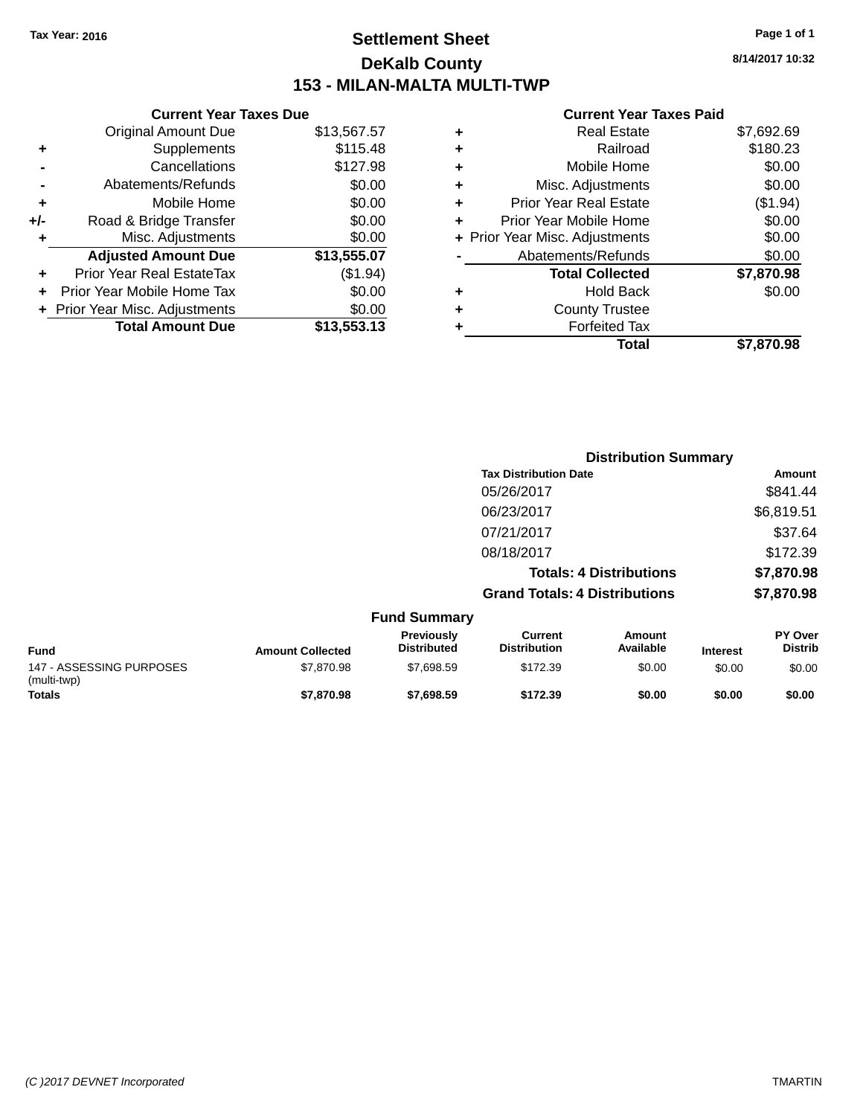# **Settlement Sheet Tax Year: 2016 Page 1 of 1 DeKalb County 153 - MILAN-MALTA MULTI-TWP**

**8/14/2017 10:32**

|     | <b>Current Year Taxes Due</b>  |             |
|-----|--------------------------------|-------------|
|     | <b>Original Amount Due</b>     | \$13,567.57 |
| ٠   | Supplements                    | \$115.48    |
|     | Cancellations                  | \$127.98    |
|     | Abatements/Refunds             | \$0.00      |
| ٠   | Mobile Home                    | \$0.00      |
| +/- | Road & Bridge Transfer         | \$0.00      |
| ٠   | Misc. Adjustments              | \$0.00      |
|     | <b>Adjusted Amount Due</b>     | \$13,555.07 |
| ٠   | Prior Year Real EstateTax      | (\$1.94)    |
|     | Prior Year Mobile Home Tax     | \$0.00      |
|     | + Prior Year Misc. Adjustments | \$0.00      |
|     | <b>Total Amount Due</b>        | \$13,553.13 |
|     |                                |             |

|   | <b>Real Estate</b>             | \$7,692.69 |
|---|--------------------------------|------------|
| ٠ | Railroad                       | \$180.23   |
| ٠ | Mobile Home                    | \$0.00     |
| ٠ | Misc. Adjustments              | \$0.00     |
| ٠ | <b>Prior Year Real Estate</b>  | (\$1.94)   |
|   | Prior Year Mobile Home         | \$0.00     |
|   | + Prior Year Misc. Adjustments | \$0.00     |
|   | Abatements/Refunds             | \$0.00     |
|   | <b>Total Collected</b>         | \$7,870.98 |
| ٠ | Hold Back                      | \$0.00     |
| ٠ | <b>County Trustee</b>          |            |
| ٠ | <b>Forfeited Tax</b>           |            |
|   | Total                          | \$7.870.98 |
|   |                                |            |

|                                         |                         |                                  | <b>Distribution Summary</b>           |                                |                 |                                  |  |
|-----------------------------------------|-------------------------|----------------------------------|---------------------------------------|--------------------------------|-----------------|----------------------------------|--|
|                                         |                         |                                  | <b>Tax Distribution Date</b>          |                                |                 | Amount                           |  |
|                                         |                         |                                  | 05/26/2017                            |                                |                 | \$841.44                         |  |
|                                         |                         |                                  | 06/23/2017                            |                                |                 | \$6,819.51                       |  |
|                                         |                         |                                  | 07/21/2017                            |                                |                 | \$37.64                          |  |
|                                         |                         |                                  | 08/18/2017                            |                                |                 | \$172.39                         |  |
|                                         |                         |                                  |                                       | <b>Totals: 4 Distributions</b> |                 | \$7,870.98                       |  |
|                                         |                         |                                  | <b>Grand Totals: 4 Distributions</b>  |                                |                 | \$7,870.98                       |  |
|                                         |                         | <b>Fund Summary</b>              |                                       |                                |                 |                                  |  |
| <b>Fund</b>                             | <b>Amount Collected</b> | Previously<br><b>Distributed</b> | <b>Current</b><br><b>Distribution</b> | <b>Amount</b><br>Available     | <b>Interest</b> | <b>PY Over</b><br><b>Distrib</b> |  |
| 147 - ASSESSING PURPOSES<br>(multi-twp) | \$7,870.98              | \$7,698.59                       | \$172.39                              | \$0.00                         | \$0.00          | \$0.00                           |  |
| Totals                                  | \$7.870.98              | \$7.698.59                       | \$172.39                              | \$0.00                         | \$0.00          | \$0.00                           |  |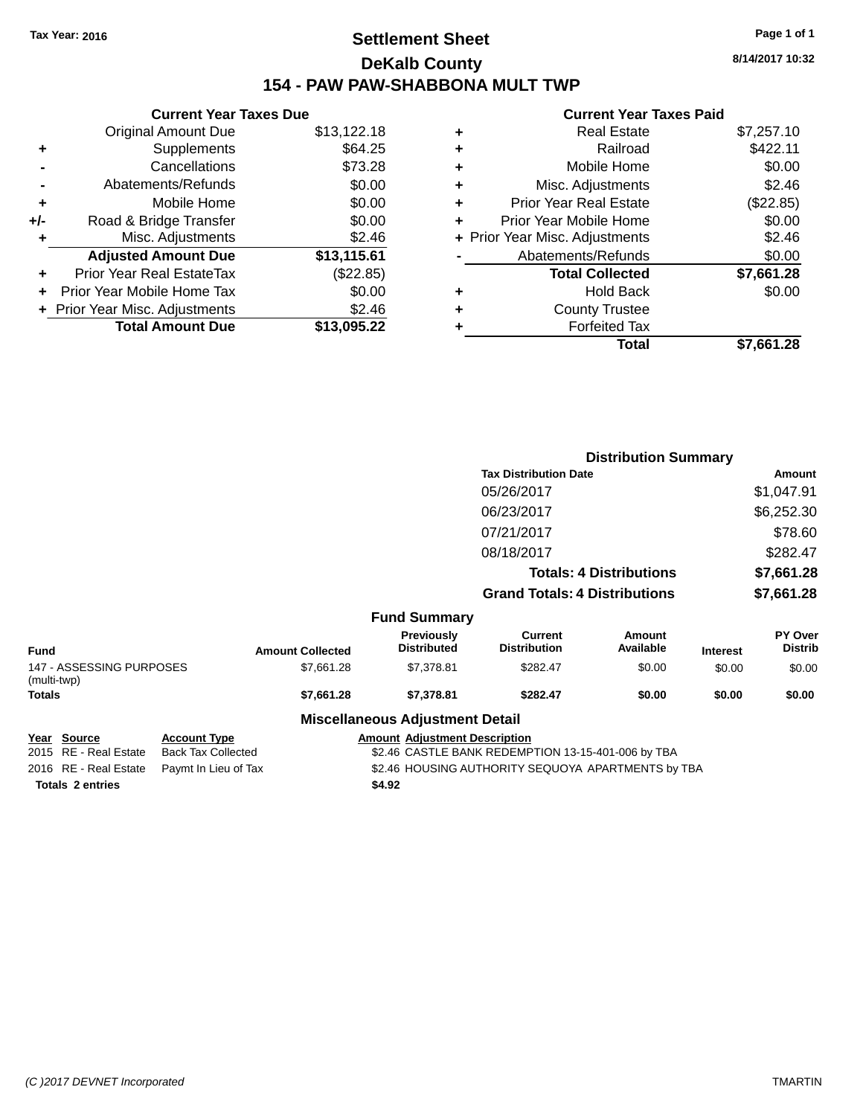# **Settlement Sheet Tax Year: 2016 Page 1 of 1 DeKalb County 154 - PAW PAW-SHABBONA MULT TWP**

|     | <b>Current Year Taxes Due</b>  |             |
|-----|--------------------------------|-------------|
|     | <b>Original Amount Due</b>     | \$13,122.18 |
| ٠   | Supplements                    | \$64.25     |
|     | Cancellations                  | \$73.28     |
|     | Abatements/Refunds             | \$0.00      |
| ٠   | Mobile Home                    | \$0.00      |
| +/- | Road & Bridge Transfer         | \$0.00      |
| ٠   | Misc. Adjustments              | \$2.46      |
|     | <b>Adjusted Amount Due</b>     | \$13,115.61 |
| ٠   | Prior Year Real EstateTax      | (\$22.85)   |
|     | Prior Year Mobile Home Tax     | \$0.00      |
|     | + Prior Year Misc. Adjustments | \$2.46      |
|     | <b>Total Amount Due</b>        | \$13,095.22 |

#### **Current Year Taxes Paid**

|   | <b>Real Estate</b>             | \$7,257.10 |
|---|--------------------------------|------------|
| ٠ | Railroad                       | \$422.11   |
| ٠ | Mobile Home                    | \$0.00     |
| ٠ | Misc. Adjustments              | \$2.46     |
| ٠ | <b>Prior Year Real Estate</b>  | (\$22.85)  |
|   | Prior Year Mobile Home         | \$0.00     |
|   | + Prior Year Misc. Adjustments | \$2.46     |
|   | Abatements/Refunds             | \$0.00     |
|   | <b>Total Collected</b>         | \$7,661.28 |
| ٠ | Hold Back                      | \$0.00     |
| ٠ | <b>County Trustee</b>          |            |
| ٠ | <b>Forfeited Tax</b>           |            |
|   | Total                          | \$7,661.28 |
|   |                                |            |

|                                         |                         |                                        | <b>Distribution Summary</b>           |                                |                 |                           |
|-----------------------------------------|-------------------------|----------------------------------------|---------------------------------------|--------------------------------|-----------------|---------------------------|
|                                         |                         |                                        | <b>Tax Distribution Date</b>          |                                |                 | Amount                    |
|                                         |                         |                                        | 05/26/2017                            |                                |                 | \$1,047.91                |
|                                         |                         |                                        | 06/23/2017                            |                                |                 | \$6,252.30                |
|                                         |                         |                                        | 07/21/2017                            |                                |                 | \$78.60                   |
|                                         |                         |                                        | 08/18/2017                            |                                |                 | \$282.47                  |
|                                         |                         |                                        |                                       | <b>Totals: 4 Distributions</b> |                 | \$7,661.28                |
|                                         |                         |                                        | <b>Grand Totals: 4 Distributions</b>  |                                |                 | \$7,661.28                |
|                                         |                         | <b>Fund Summary</b>                    |                                       |                                |                 |                           |
| <b>Fund</b>                             | <b>Amount Collected</b> | Previously<br><b>Distributed</b>       | <b>Current</b><br><b>Distribution</b> | Amount<br>Available            | <b>Interest</b> | PY Over<br><b>Distrib</b> |
| 147 - ASSESSING PURPOSES<br>(multi-twp) | \$7,661.28              | \$7,378.81                             | \$282.47                              | \$0.00                         | \$0.00          | \$0.00                    |
| <b>Totals</b>                           | \$7,661.28              | \$7,378.81                             | \$282.47                              | \$0.00                         | \$0.00          | \$0.00                    |
|                                         |                         | <b>Miscellaneous Adjustment Detail</b> |                                       |                                |                 |                           |

**Totals 2 entries \$4.92**

**Year Source Account Type Amount Adjustment Description**<br>2015 RE - Real Estate Back Tax Collected \$2.46 CASTLE BANK REDEMP \$2.46 CASTLE BANK REDEMPTION 13-15-401-006 by TBA 2016 RE - Real Estate Paymt In Lieu of Tax \$2.46 HOUSING AUTHORITY SEQUOYA APARTMENTS by TBA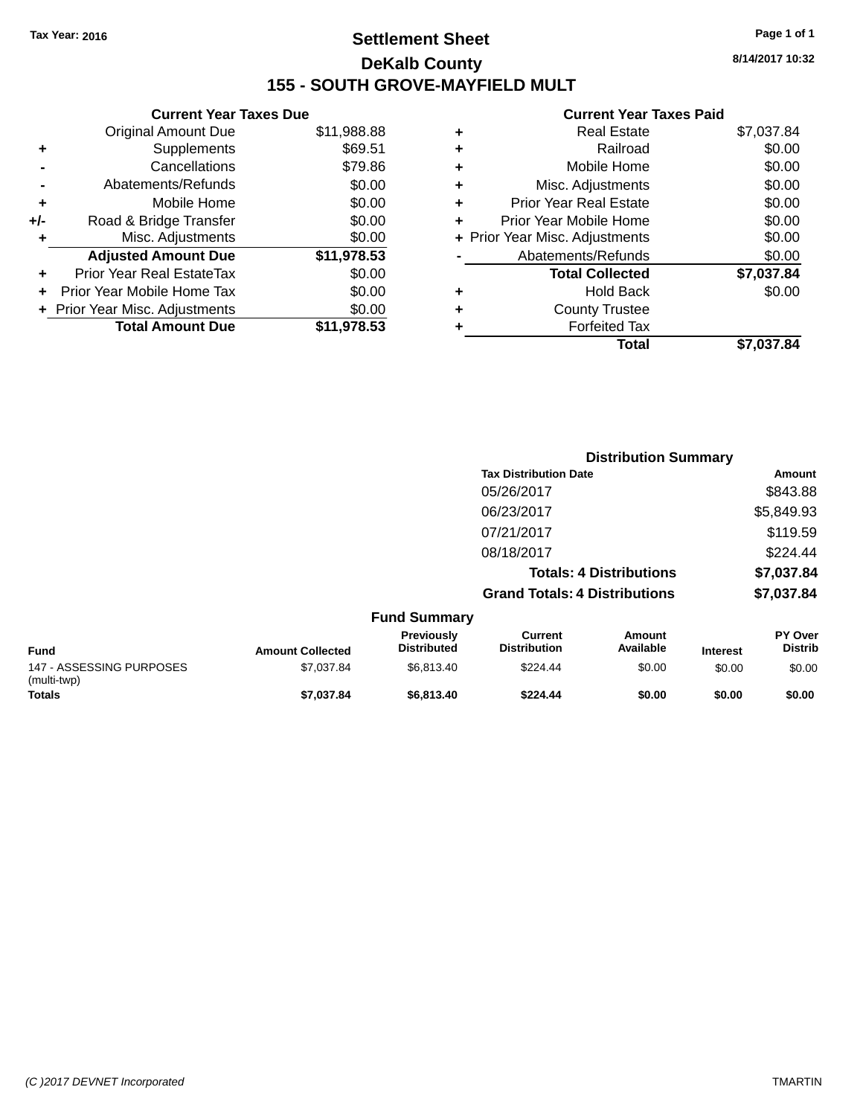# **Settlement Sheet Tax Year: 2016 Page 1 of 1 DeKalb County 155 - SOUTH GROVE-MAYFIELD MULT**

**8/14/2017 10:32**

|       | <b>Current Year Taxes Due</b>  |             |
|-------|--------------------------------|-------------|
|       | <b>Original Amount Due</b>     | \$11,988.88 |
| ٠     | Supplements                    | \$69.51     |
|       | Cancellations                  | \$79.86     |
|       | Abatements/Refunds             | \$0.00      |
| ÷     | Mobile Home                    | \$0.00      |
| $+/-$ | Road & Bridge Transfer         | \$0.00      |
|       | Misc. Adjustments              | \$0.00      |
|       | <b>Adjusted Amount Due</b>     | \$11,978.53 |
| ٠     | Prior Year Real EstateTax      | \$0.00      |
|       | Prior Year Mobile Home Tax     | \$0.00      |
|       | + Prior Year Misc. Adjustments | \$0.00      |
|       | <b>Total Amount Due</b>        | \$11.978.53 |
|       |                                |             |

|   | <b>Real Estate</b>             | \$7,037.84 |
|---|--------------------------------|------------|
| ٠ | Railroad                       | \$0.00     |
| ٠ | Mobile Home                    | \$0.00     |
| ٠ | Misc. Adjustments              | \$0.00     |
| ٠ | <b>Prior Year Real Estate</b>  | \$0.00     |
| ٠ | Prior Year Mobile Home         | \$0.00     |
|   | + Prior Year Misc. Adjustments | \$0.00     |
|   | Abatements/Refunds             | \$0.00     |
|   | <b>Total Collected</b>         | \$7,037.84 |
| ٠ | Hold Back                      | \$0.00     |
| ٠ | <b>County Trustee</b>          |            |
|   | <b>Forfeited Tax</b>           |            |
|   | Total                          | \$7,037.84 |
|   |                                |            |

|                                         |                         |                                  | <b>Distribution Summary</b>           |                                |                 |                                  |  |
|-----------------------------------------|-------------------------|----------------------------------|---------------------------------------|--------------------------------|-----------------|----------------------------------|--|
|                                         |                         |                                  | <b>Tax Distribution Date</b>          |                                |                 | <b>Amount</b>                    |  |
|                                         |                         |                                  | 05/26/2017                            |                                |                 | \$843.88                         |  |
|                                         |                         |                                  | 06/23/2017                            |                                |                 | \$5,849.93                       |  |
|                                         |                         |                                  | 07/21/2017                            |                                |                 | \$119.59                         |  |
|                                         |                         |                                  | 08/18/2017                            |                                |                 | \$224.44                         |  |
|                                         |                         |                                  |                                       | <b>Totals: 4 Distributions</b> |                 | \$7,037.84                       |  |
|                                         |                         |                                  | <b>Grand Totals: 4 Distributions</b>  |                                |                 | \$7,037.84                       |  |
|                                         |                         | <b>Fund Summary</b>              |                                       |                                |                 |                                  |  |
| <b>Fund</b>                             | <b>Amount Collected</b> | Previously<br><b>Distributed</b> | <b>Current</b><br><b>Distribution</b> | <b>Amount</b><br>Available     | <b>Interest</b> | <b>PY Over</b><br><b>Distrib</b> |  |
| 147 - ASSESSING PURPOSES<br>(multi-twp) | \$7,037.84              | \$6,813.40                       | \$224.44                              | \$0.00                         | \$0.00          | \$0.00                           |  |
| Totals                                  | \$7,037.84              | \$6,813.40                       | \$224.44                              | \$0.00                         | \$0.00          | \$0.00                           |  |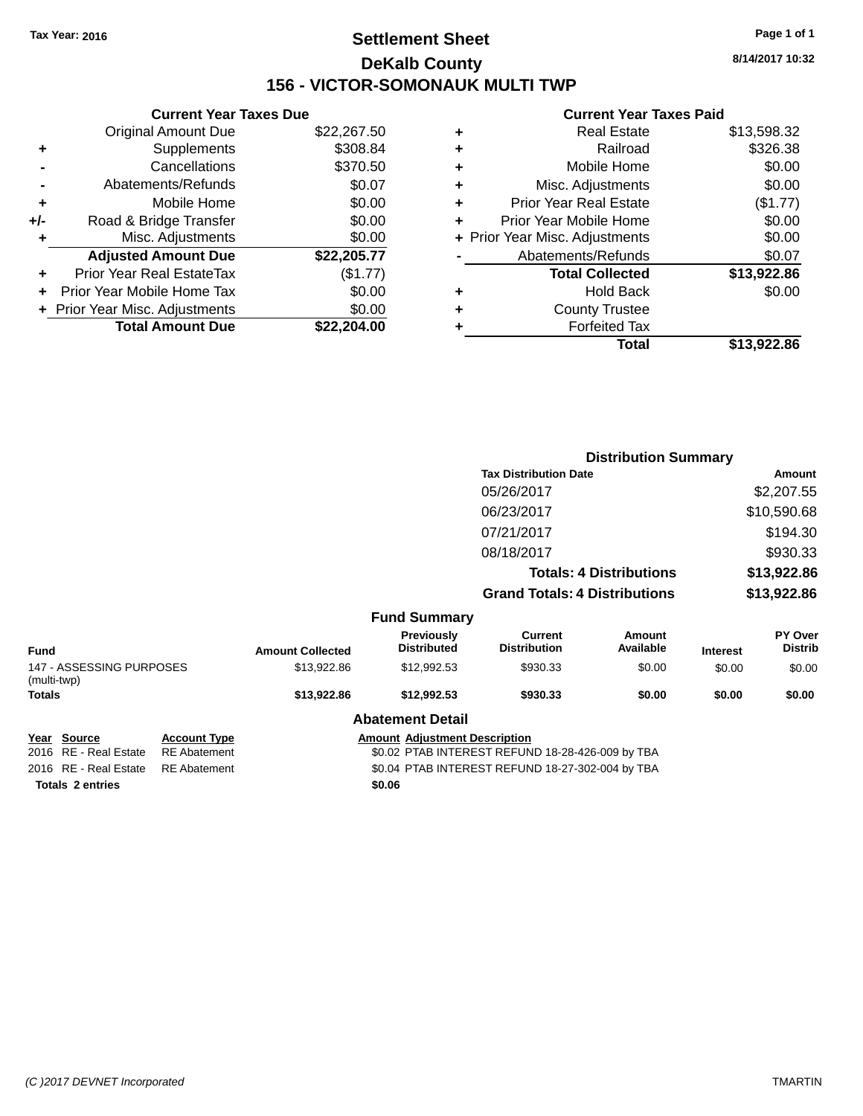# **Settlement Sheet Tax Year: 2016 Page 1 of 1 DeKalb County 156 - VICTOR-SOMONAUK MULTI TWP**

**8/14/2017 10:32**

#### **Current Year Taxes Paid**

|     | <b>Current Year Taxes Due</b>  |             |
|-----|--------------------------------|-------------|
|     | <b>Original Amount Due</b>     | \$22,267.50 |
| ٠   | Supplements                    | \$308.84    |
|     | Cancellations                  | \$370.50    |
|     | Abatements/Refunds             | \$0.07      |
| ٠   | Mobile Home                    | \$0.00      |
| +/- | Road & Bridge Transfer         | \$0.00      |
|     | Misc. Adjustments              | \$0.00      |
|     | <b>Adjusted Amount Due</b>     | \$22,205.77 |
| ٠   | Prior Year Real EstateTax      | (\$1.77)    |
|     | Prior Year Mobile Home Tax     | \$0.00      |
|     | + Prior Year Misc. Adjustments | \$0.00      |
|     | <b>Total Amount Due</b>        | \$22.204.00 |
|     |                                |             |

| ٠ | <b>Real Estate</b>             | \$13,598.32 |
|---|--------------------------------|-------------|
| ٠ | Railroad                       | \$326.38    |
| ٠ | Mobile Home                    | \$0.00      |
| ٠ | Misc. Adjustments              | \$0.00      |
| ٠ | <b>Prior Year Real Estate</b>  | (\$1.77)    |
| ÷ | Prior Year Mobile Home         | \$0.00      |
|   | + Prior Year Misc. Adjustments | \$0.00      |
|   | Abatements/Refunds             | \$0.07      |
|   | <b>Total Collected</b>         | \$13,922.86 |
| ٠ | Hold Back                      | \$0.00      |
| ٠ | <b>County Trustee</b>          |             |
| ٠ | <b>Forfeited Tax</b>           |             |
|   | Total                          | \$13,922.86 |
|   |                                |             |

|                                                |                                            |                                                                                          |                                         | <b>Distribution Summary</b>           |                            |                 |                           |  |  |
|------------------------------------------------|--------------------------------------------|------------------------------------------------------------------------------------------|-----------------------------------------|---------------------------------------|----------------------------|-----------------|---------------------------|--|--|
|                                                | <b>Tax Distribution Date</b>               |                                                                                          |                                         | Amount                                |                            |                 |                           |  |  |
| 05/26/2017                                     |                                            |                                                                                          |                                         | \$2,207.55                            |                            |                 |                           |  |  |
|                                                | 06/23/2017                                 |                                                                                          |                                         | \$10,590.68                           |                            |                 |                           |  |  |
|                                                | 07/21/2017                                 |                                                                                          | \$194.30                                |                                       |                            |                 |                           |  |  |
|                                                |                                            |                                                                                          |                                         | 08/18/2017                            |                            | \$930.33        |                           |  |  |
|                                                | <b>Totals: 4 Distributions</b>             |                                                                                          |                                         | \$13,922.86                           |                            |                 |                           |  |  |
|                                                | <b>Grand Totals: 4 Distributions</b>       |                                                                                          |                                         | \$13,922.86                           |                            |                 |                           |  |  |
| <b>Fund Summary</b>                            |                                            |                                                                                          |                                         |                                       |                            |                 |                           |  |  |
| <b>Fund</b>                                    |                                            | <b>Amount Collected</b>                                                                  | <b>Previously</b><br><b>Distributed</b> | <b>Current</b><br><b>Distribution</b> | <b>Amount</b><br>Available | <b>Interest</b> | PY Over<br><b>Distrib</b> |  |  |
| 147 - ASSESSING PURPOSES<br>(multi-twp)        |                                            | \$13,922.86                                                                              | \$12,992.53                             | \$930.33                              | \$0.00                     | \$0.00          | \$0.00                    |  |  |
| <b>Totals</b>                                  |                                            | \$13,922.86                                                                              | \$12,992.53                             | \$930.33                              | \$0.00                     | \$0.00          | \$0.00                    |  |  |
|                                                |                                            |                                                                                          | <b>Abatement Detail</b>                 |                                       |                            |                 |                           |  |  |
| <b>Source</b><br>Year<br>2016 RE - Real Estate | <b>Account Type</b><br><b>RE</b> Abatement | <b>Amount Adjustment Description</b><br>\$0.02 PTAB INTEREST REFUND 18-28-426-009 by TBA |                                         |                                       |                            |                 |                           |  |  |

**Totals 2 entries \$0.06**

2016 RE - Real Estate RE Abatement \$0.04 PTAB INTEREST REFUND 18-27-302-004 by TBA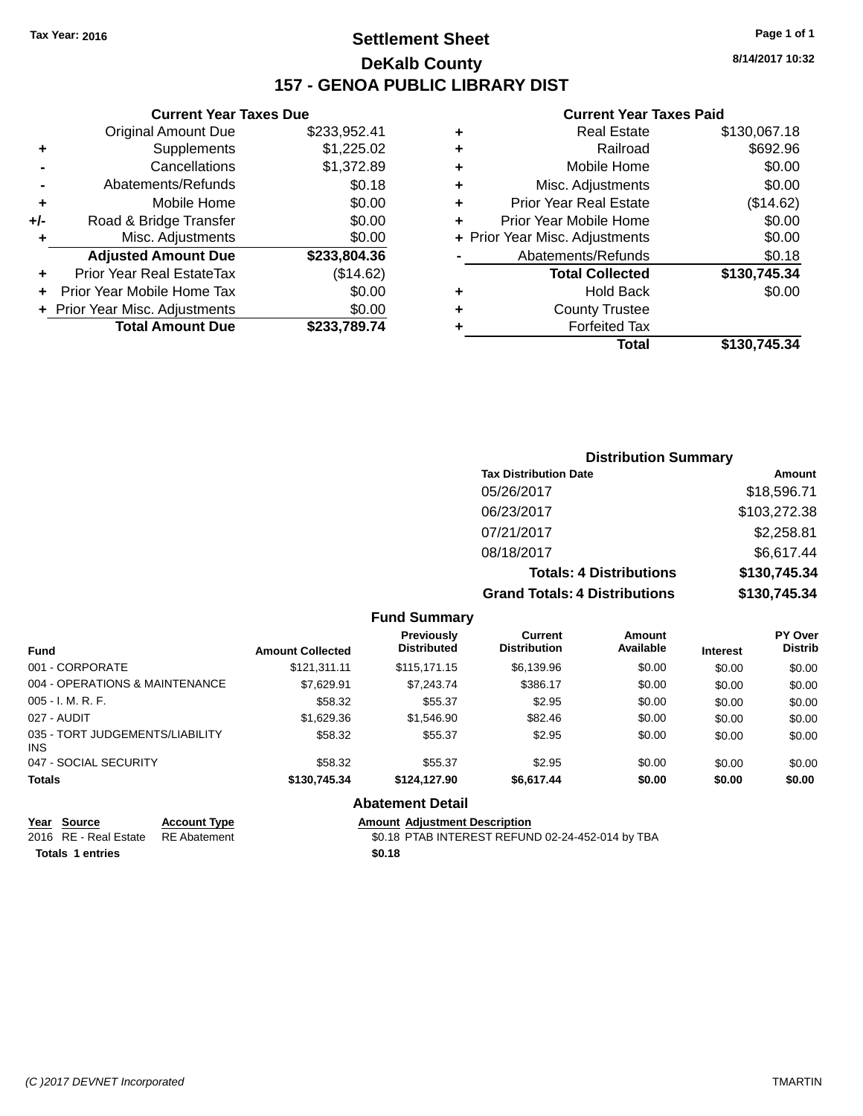# **Settlement Sheet Tax Year: 2016 Page 1 of 1 DeKalb County 157 - GENOA PUBLIC LIBRARY DIST**

#### **Current Year Taxes Due**

|       | <b>Original Amount Due</b>     | \$233,952.41 |
|-------|--------------------------------|--------------|
| ٠     | Supplements                    | \$1,225.02   |
|       | Cancellations                  | \$1,372.89   |
|       | Abatements/Refunds             | \$0.18       |
| ٠     | Mobile Home                    | \$0.00       |
| $+/-$ | Road & Bridge Transfer         | \$0.00       |
| ٠     | Misc. Adjustments              | \$0.00       |
|       | <b>Adjusted Amount Due</b>     | \$233,804.36 |
|       | Prior Year Real EstateTax      | (\$14.62)    |
|       | Prior Year Mobile Home Tax     | \$0.00       |
|       | + Prior Year Misc. Adjustments | \$0.00       |
|       | <b>Total Amount Due</b>        | \$233,789.74 |
|       |                                |              |

#### **Current Year Taxes Paid**

|   | <b>Real Estate</b>             | \$130,067.18 |
|---|--------------------------------|--------------|
| ٠ | Railroad                       | \$692.96     |
| ٠ | Mobile Home                    | \$0.00       |
| ٠ | Misc. Adjustments              | \$0.00       |
| ٠ | <b>Prior Year Real Estate</b>  | (\$14.62)    |
| ٠ | Prior Year Mobile Home         | \$0.00       |
|   | + Prior Year Misc. Adjustments | \$0.00       |
|   | Abatements/Refunds             | \$0.18       |
|   | <b>Total Collected</b>         | \$130,745.34 |
| ٠ | <b>Hold Back</b>               | \$0.00       |
| ٠ | <b>County Trustee</b>          |              |
| ٠ | <b>Forfeited Tax</b>           |              |
|   | Total                          | \$130,745.34 |
|   |                                |              |

#### **Distribution Summary Tax Distribution Date Amount** 05/26/2017 \$18,596.71 06/23/2017 \$103,272.38 07/21/2017 \$2,258.81 08/18/2017 \$6,617.44 **Totals: 4 Distributions \$130,745.34 Grand Totals: 4 Distributions \$130,745.34**

|                                         |                         | <b>Fund Summary</b>              |                                |                     |                 |                                  |
|-----------------------------------------|-------------------------|----------------------------------|--------------------------------|---------------------|-----------------|----------------------------------|
| <b>Fund</b>                             | <b>Amount Collected</b> | Previously<br><b>Distributed</b> | Current<br><b>Distribution</b> | Amount<br>Available | <b>Interest</b> | <b>PY Over</b><br><b>Distrib</b> |
| 001 - CORPORATE                         | \$121.311.11            | \$115,171.15                     | \$6,139.96                     | \$0.00              | \$0.00          | \$0.00                           |
| 004 - OPERATIONS & MAINTENANCE          | \$7,629.91              | \$7,243.74                       | \$386.17                       | \$0.00              | \$0.00          | \$0.00                           |
| $005 - I. M. R. F.$                     | \$58.32                 | \$55.37                          | \$2.95                         | \$0.00              | \$0.00          | \$0.00                           |
| 027 - AUDIT                             | \$1,629.36              | \$1,546.90                       | \$82.46                        | \$0.00              | \$0.00          | \$0.00                           |
| 035 - TORT JUDGEMENTS/LIABILITY<br>INS. | \$58.32                 | \$55.37                          | \$2.95                         | \$0.00              | \$0.00          | \$0.00                           |
| 047 - SOCIAL SECURITY                   | \$58.32                 | \$55.37                          | \$2.95                         | \$0.00              | \$0.00          | \$0.00                           |
| <b>Totals</b>                           | \$130,745.34            | \$124,127.90                     | \$6,617.44                     | \$0.00              | \$0.00          | \$0.00                           |
|                                         |                         | <b>Abatement Detail</b>          |                                |                     |                 |                                  |

| Year Source                        | <b>Account Type</b> | <b>Amount Adiustment Description</b>             |
|------------------------------------|---------------------|--------------------------------------------------|
| 2016 RE - Real Estate RE Abatement |                     | \$0.18 PTAB INTEREST REFUND 02-24-452-014 by TBA |
| <b>Totals 1 entries</b>            |                     | \$0.18                                           |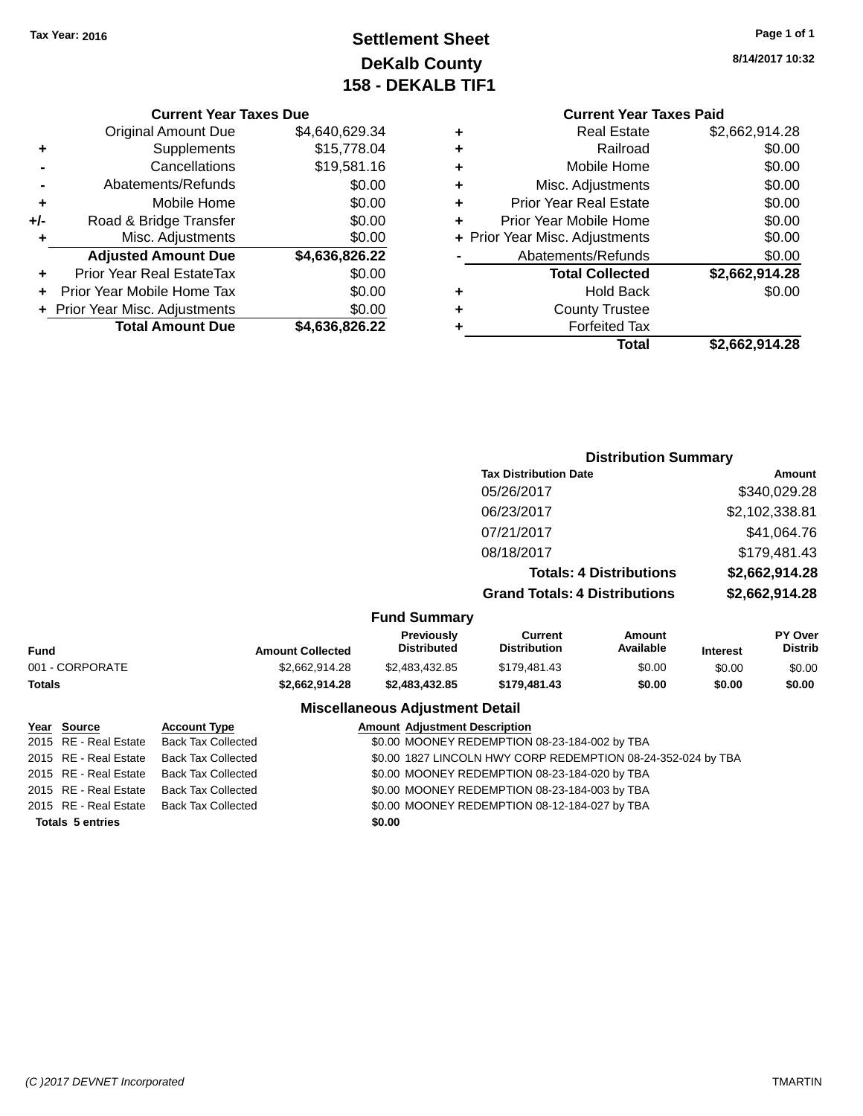# **Settlement Sheet Tax Year: 2016 Page 1 of 1 DeKalb County 158 - DEKALB TIF1**

**8/14/2017 10:32**

#### **Current Year Taxes Due**

|       | <b>Original Amount Due</b>     | \$4,640,629.34 |
|-------|--------------------------------|----------------|
| ٠     | Supplements                    | \$15,778.04    |
|       | Cancellations                  | \$19,581.16    |
|       | Abatements/Refunds             | \$0.00         |
| ٠     | Mobile Home                    | \$0.00         |
| $+/-$ | Road & Bridge Transfer         | \$0.00         |
| ٠     | Misc. Adjustments              | \$0.00         |
|       | <b>Adjusted Amount Due</b>     | \$4,636,826.22 |
| ٠     | Prior Year Real EstateTax      | \$0.00         |
|       | Prior Year Mobile Home Tax     | \$0.00         |
|       | + Prior Year Misc. Adjustments | \$0.00         |
|       | <b>Total Amount Due</b>        | \$4,636,826.22 |

#### **Current Year Taxes Paid +** Real Estate \$2,662,914.28 **+** Railroad \$0.00 **+** Mobile Home \$0.00 **+** Misc. Adjustments \$0.00 **+** Prior Year Real Estate \$0.00 **+** Prior Year Mobile Home \$0.00 **+ Prior Year Misc. Adjustments**  $$0.00$ **-** Abatements/Refunds \$0.00 **Total Collected \$2,662,914.28 +** Hold Back \$0.00 **+** County Trustee

**Total \$2,662,914.28**

|            | <b>Distribution Summary</b>          |                |
|------------|--------------------------------------|----------------|
|            | <b>Tax Distribution Date</b>         | Amount         |
|            | 05/26/2017                           | \$340,029.28   |
|            | 06/23/2017                           | \$2,102,338.81 |
|            | 07/21/2017                           | \$41,064.76    |
|            | 08/18/2017                           | \$179,481.43   |
|            | <b>Totals: 4 Distributions</b>       | \$2,662,914.28 |
|            | <b>Grand Totals: 4 Distributions</b> | \$2,662,914.28 |
| ıd Summarv |                                      |                |

**+** Forfeited Tax

#### **Fund Summary**

| Fund            | <b>Amount Collected</b> | <b>Previously</b><br><b>Distributed</b> | Current<br><b>Distribution</b> | Amount<br>Available | <b>Interest</b> | <b>PY Over</b><br><b>Distrib</b> |
|-----------------|-------------------------|-----------------------------------------|--------------------------------|---------------------|-----------------|----------------------------------|
| 001 - CORPORATE | \$2.662.914.28          | \$2.483.432.85                          | \$179.481.43                   | \$0.00              | \$0.00          | \$0.00                           |
| Totals          | \$2.662.914.28          | \$2,483,432,85                          | \$179,481,43                   | \$0.00              | \$0.00          | \$0.00                           |

#### **Miscellaneous Adjustment Detail**

| Year Source             | <b>Account Type</b>                      |        | <b>Amount Adjustment Description</b>                         |
|-------------------------|------------------------------------------|--------|--------------------------------------------------------------|
|                         | 2015 RE - Real Estate Back Tax Collected |        | \$0.00 MOONEY REDEMPTION 08-23-184-002 by TBA                |
|                         | 2015 RE - Real Estate Back Tax Collected |        | \$0.00 1827 LINCOLN HWY CORP REDEMPTION 08-24-352-024 by TBA |
|                         | 2015 RE - Real Estate Back Tax Collected |        | \$0.00 MOONEY REDEMPTION 08-23-184-020 by TBA                |
|                         | 2015 RE - Real Estate Back Tax Collected |        | \$0.00 MOONEY REDEMPTION 08-23-184-003 by TBA                |
|                         | 2015 RE - Real Estate Back Tax Collected |        | \$0.00 MOONEY REDEMPTION 08-12-184-027 by TBA                |
| <b>Totals 5 entries</b> |                                          | \$0.00 |                                                              |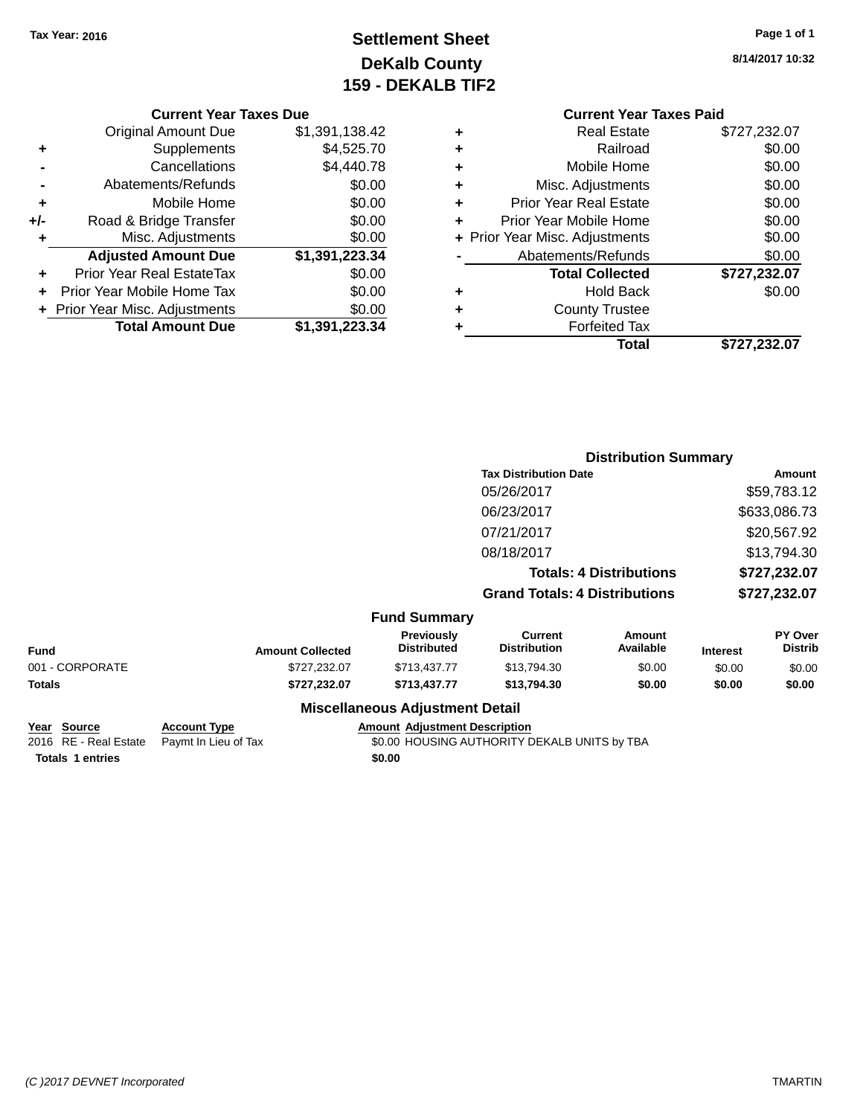# **Settlement Sheet Tax Year: 2016 Page 1 of 1 DeKalb County 159 - DEKALB TIF2**

| <b>Current Year Taxes Due</b> |
|-------------------------------|
|-------------------------------|

|     | <b>Original Amount Due</b>       | \$1,391,138.42 |
|-----|----------------------------------|----------------|
| ٠   | Supplements                      | \$4,525.70     |
|     | Cancellations                    | \$4,440.78     |
|     | Abatements/Refunds               | \$0.00         |
| ÷   | Mobile Home                      | \$0.00         |
| +/- | Road & Bridge Transfer           | \$0.00         |
| ٠   | Misc. Adjustments                | \$0.00         |
|     | <b>Adjusted Amount Due</b>       | \$1,391,223.34 |
|     | <b>Prior Year Real EstateTax</b> | \$0.00         |
|     | Prior Year Mobile Home Tax       | \$0.00         |
|     | + Prior Year Misc. Adjustments   | \$0.00         |
|     | <b>Total Amount Due</b>          | \$1,391,223.34 |

|   | <b>Current Year Taxes Paid</b> |              |
|---|--------------------------------|--------------|
| ٠ | <b>Real Estate</b>             | \$727,232.07 |
|   | Railroad                       | \$0.00       |
| ٠ | Mobile Home                    | \$0.00       |
| ٠ | Misc. Adjustments              | \$0.00       |
| ٠ | <b>Prior Year Real Estate</b>  | \$0.00       |
| ٠ | Prior Year Mobile Home         | \$0.00       |
|   | + Prior Year Misc. Adjustments | \$0.00       |
|   | Abatements/Refunds             | \$0.00       |
|   | <b>Total Collected</b>         | \$727,232.07 |
| ٠ | <b>Hold Back</b>               | \$0.00       |
|   | <b>County Trustee</b>          |              |
|   | <b>Forfeited Tax</b>           |              |
|   | Total                          | \$727,232.07 |
|   |                                |              |

|                 |                              |                         |                                        |                                       | <b>Distribution Summary</b>    |                 |                           |  |
|-----------------|------------------------------|-------------------------|----------------------------------------|---------------------------------------|--------------------------------|-----------------|---------------------------|--|
|                 | <b>Tax Distribution Date</b> |                         |                                        |                                       |                                |                 | Amount                    |  |
|                 |                              |                         |                                        | 05/26/2017                            |                                |                 | \$59,783.12               |  |
|                 |                              |                         |                                        | 06/23/2017                            |                                |                 | \$633,086.73              |  |
|                 |                              |                         |                                        | 07/21/2017                            |                                |                 | \$20,567.92               |  |
|                 |                              |                         |                                        | 08/18/2017                            |                                |                 | \$13,794.30               |  |
|                 |                              |                         |                                        |                                       | <b>Totals: 4 Distributions</b> |                 | \$727,232.07              |  |
|                 |                              |                         |                                        | <b>Grand Totals: 4 Distributions</b>  |                                | \$727,232.07    |                           |  |
|                 |                              |                         | <b>Fund Summary</b>                    |                                       |                                |                 |                           |  |
| <b>Fund</b>     |                              | <b>Amount Collected</b> | Previously<br><b>Distributed</b>       | <b>Current</b><br><b>Distribution</b> | <b>Amount</b><br>Available     | <b>Interest</b> | PY Over<br><b>Distrib</b> |  |
| 001 - CORPORATE |                              | \$727,232.07            | \$713,437.77                           | \$13,794.30                           | \$0.00                         | \$0.00          | \$0.00                    |  |
| <b>Totals</b>   |                              | \$727,232.07            | \$713,437.77                           | \$13,794.30                           | \$0.00                         | \$0.00          | \$0.00                    |  |
|                 |                              |                         | <b>Miscellaneous Adjustment Detail</b> |                                       |                                |                 |                           |  |
| Voor Course     | Account Type                 |                         | Amount, Adjustment Description         |                                       |                                |                 |                           |  |

| rear Source             | ACCOUNT IVDE                               | Amount Adiustment Description                |
|-------------------------|--------------------------------------------|----------------------------------------------|
|                         | 2016 RE - Real Estate Paymt In Lieu of Tax | \$0.00 HOUSING AUTHORITY DEKALB UNITS by TBA |
| <b>Totals 1 entries</b> |                                            | \$0.00                                       |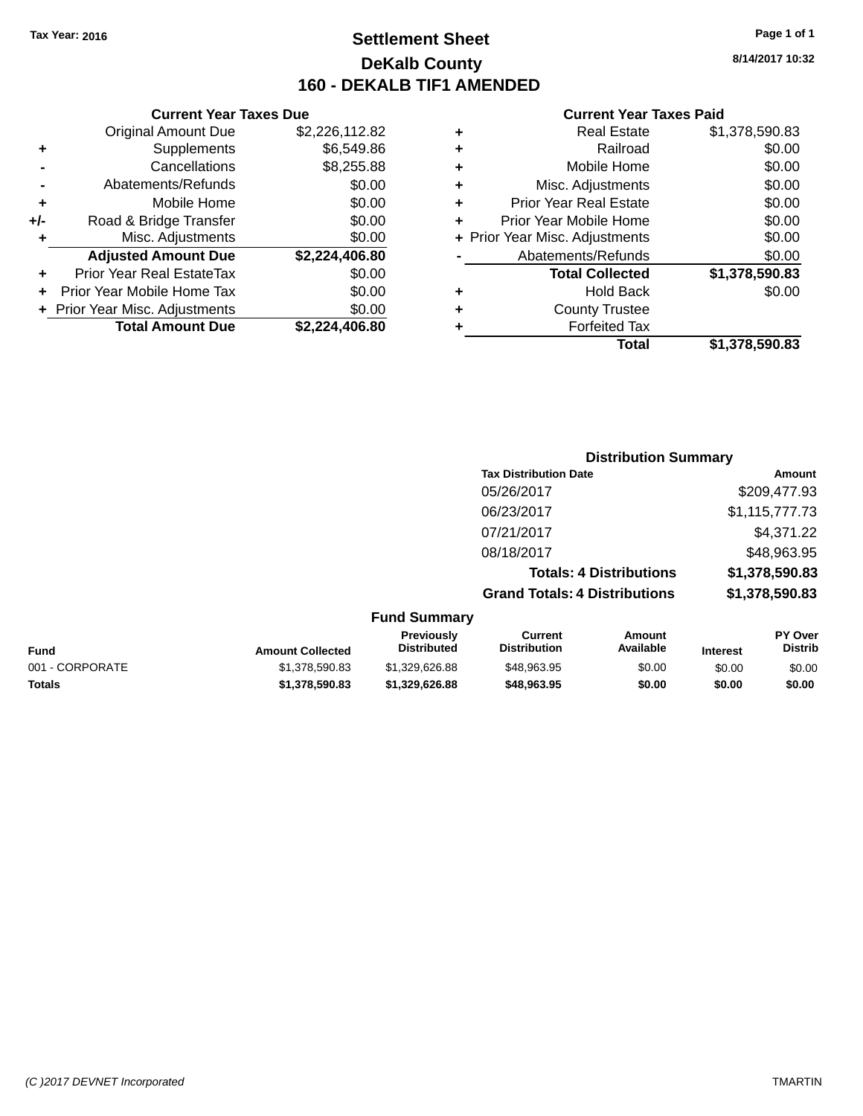# **Settlement Sheet Tax Year: 2016 Page 1 of 1 DeKalb County 160 - DEKALB TIF1 AMENDED**

**8/14/2017 10:32**

#### **Current Year Taxes Paid**

|     | <b>Original Amount Due</b>       | \$2,226,112.82 |
|-----|----------------------------------|----------------|
| ٠   | Supplements                      | \$6,549.86     |
|     | Cancellations                    | \$8,255.88     |
| -   | Abatements/Refunds               | \$0.00         |
| ÷   | Mobile Home                      | \$0.00         |
| +/- | Road & Bridge Transfer           | \$0.00         |
| ٠   | Misc. Adjustments                | \$0.00         |
|     | <b>Adjusted Amount Due</b>       | \$2,224,406.80 |
| ٠   | <b>Prior Year Real EstateTax</b> | \$0.00         |
| ٠   | Prior Year Mobile Home Tax       | \$0.00         |
|     | + Prior Year Misc. Adjustments   | \$0.00         |
|     | <b>Total Amount Due</b>          | \$2,224,406.80 |
|     |                                  |                |

**Current Year Taxes Due**

|   | <b>Real Estate</b>             | \$1,378,590.83 |
|---|--------------------------------|----------------|
| ٠ | Railroad                       | \$0.00         |
| ٠ | Mobile Home                    | \$0.00         |
| ٠ | Misc. Adjustments              | \$0.00         |
| ٠ | <b>Prior Year Real Estate</b>  | \$0.00         |
| ٠ | Prior Year Mobile Home         | \$0.00         |
|   | + Prior Year Misc. Adjustments | \$0.00         |
|   | Abatements/Refunds             | \$0.00         |
|   | <b>Total Collected</b>         | \$1,378,590.83 |
| ٠ | Hold Back                      | \$0.00         |
|   | <b>County Trustee</b>          |                |
| ٠ | <b>Forfeited Tax</b>           |                |
|   | Total                          | \$1,378,590.83 |
|   |                                |                |

### **Distribution Summary Tax Distribution Date Amount** 05/26/2017 \$209,477.93 06/23/2017 \$1,115,777.73 07/21/2017 \$4,371.22 08/18/2017 \$48,963.95 **Totals: 4 Distributions \$1,378,590.83 Grand Totals: 4 Distributions \$1,378,590.83 Fund Summary**

| Fund            | <b>Amount Collected</b> | <b>Previously</b><br><b>Distributed</b> | Current<br>Distribution | Amount<br>Available | <b>Interest</b> | <b>PY Over</b><br><b>Distrib</b> |
|-----------------|-------------------------|-----------------------------------------|-------------------------|---------------------|-----------------|----------------------------------|
| 001 - CORPORATE | \$1,378,590.83          | \$1,329,626,88                          | \$48,963.95             | \$0.00              | \$0.00          | \$0.00                           |
| <b>Totals</b>   | \$1,378,590,83          | \$1.329.626.88                          | \$48,963,95             | \$0.00              | \$0.00          | \$0.00                           |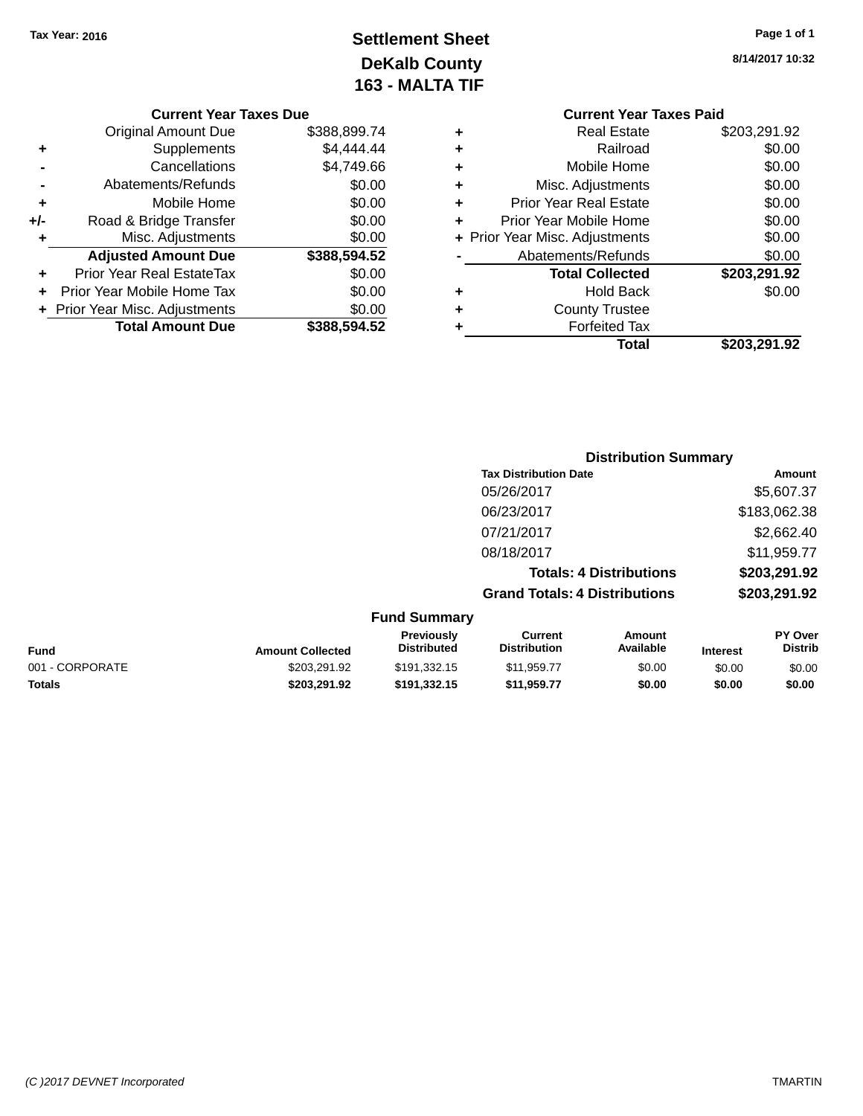# **Settlement Sheet Tax Year: 2016 Page 1 of 1 DeKalb County 163 - MALTA TIF**

#### **Current Year Taxes Due** Original Amount Due \$388,899.74 **+** Supplements \$4,444.44 **-** Cancellations \$4,749.66 **-** Abatements/Refunds \$0.00 **+** Mobile Home \$0.00 **+/-** Road & Bridge Transfer \$0.00<br> **+** Misc. Adjustments \$0.00 **+** Misc. Adjustments **Adjusted Amount Due \$388,594.52 +** Prior Year Real EstateTax \$0.00 **+** Prior Year Mobile Home Tax \$0.00 **+ Prior Year Misc. Adjustments**  $$0.00$ **Total Amount Due \$388,594.52**

|   | <b>Current Year Taxes Paid</b> |              |  |  |  |  |
|---|--------------------------------|--------------|--|--|--|--|
| ÷ | <b>Real Estate</b>             | \$203,291.92 |  |  |  |  |
|   | Railroad                       | \$0.00       |  |  |  |  |
| ٠ | Mobile Home                    | \$0.00       |  |  |  |  |
|   | Misc. Adjustments              | \$0.00       |  |  |  |  |
| ÷ | <b>Prior Year Real Estate</b>  | \$0.00       |  |  |  |  |
| ٠ | Prior Year Mobile Home         | \$0.00       |  |  |  |  |
| ÷ | Prior Year Misc. Adjustments   | \$0.00       |  |  |  |  |
|   | Abatements/Refunds             | \$0.00       |  |  |  |  |
|   | <b>Total Collected</b>         | \$203,291.92 |  |  |  |  |
|   | Hold Back                      | \$0.00       |  |  |  |  |
|   | <b>County Trustee</b>          |              |  |  |  |  |
|   | <b>Forfeited Tax</b>           |              |  |  |  |  |
|   | Total                          | \$203,291.92 |  |  |  |  |
|   |                                |              |  |  |  |  |

| <b>Distribution Summary</b>          |              |
|--------------------------------------|--------------|
| <b>Tax Distribution Date</b>         | Amount       |
| 05/26/2017                           | \$5,607.37   |
| 06/23/2017                           | \$183,062.38 |
| 07/21/2017                           | \$2,662.40   |
| 08/18/2017                           | \$11,959.77  |
| <b>Totals: 4 Distributions</b>       | \$203,291.92 |
| <b>Grand Totals: 4 Distributions</b> | \$203,291.92 |
|                                      |              |
|                                      |              |

| Fund            | <b>Amount Collected</b> | <b>Previously</b><br><b>Distributed</b> | Current<br><b>Distribution</b> | Amount<br>Available | <b>Interest</b> | <b>PY Over</b><br><b>Distrib</b> |
|-----------------|-------------------------|-----------------------------------------|--------------------------------|---------------------|-----------------|----------------------------------|
| 001 - CORPORATE | \$203.291.92            | \$191.332.15                            | \$11.959.77                    | \$0.00              | \$0.00          | \$0.00                           |
| Totals          | \$203.291.92            | \$191.332.15                            | \$11.959.77                    | \$0.00              | \$0.00          | \$0.00                           |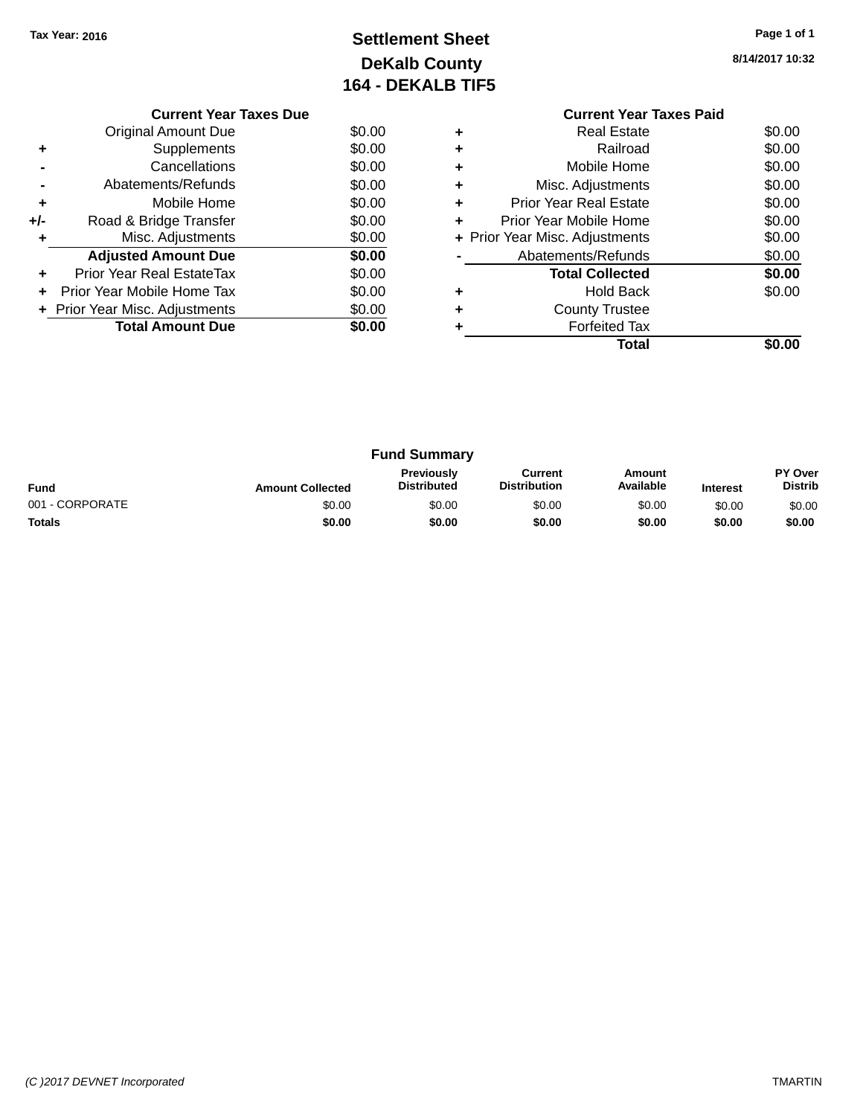# **Settlement Sheet Tax Year: 2016 Page 1 of 1 DeKalb County 164 - DEKALB TIF5**

**8/14/2017 10:32**

|       | <b>Current Year Taxes Due</b>  |        |  |  |  |  |  |
|-------|--------------------------------|--------|--|--|--|--|--|
|       | <b>Original Amount Due</b>     | \$0.00 |  |  |  |  |  |
|       | Supplements                    | \$0.00 |  |  |  |  |  |
|       | Cancellations                  | \$0.00 |  |  |  |  |  |
|       | Abatements/Refunds             | \$0.00 |  |  |  |  |  |
| ٠     | Mobile Home                    | \$0.00 |  |  |  |  |  |
| $+/-$ | Road & Bridge Transfer         | \$0.00 |  |  |  |  |  |
| ÷     | Misc. Adjustments              | \$0.00 |  |  |  |  |  |
|       | <b>Adjusted Amount Due</b>     | \$0.00 |  |  |  |  |  |
| ٠     | Prior Year Real EstateTax      | \$0.00 |  |  |  |  |  |
|       | Prior Year Mobile Home Tax     | \$0.00 |  |  |  |  |  |
|       | + Prior Year Misc. Adjustments | \$0.00 |  |  |  |  |  |
|       | <b>Total Amount Due</b>        | \$0.00 |  |  |  |  |  |
|       |                                |        |  |  |  |  |  |

#### **Current Year Taxes Paid +** Real Estate \$0.00 **+** Railroad \$0.00 **+** Mobile Home \$0.00 **+** Misc. Adjustments \$0.00 **+** Prior Year Real Estate \$0.00 **+** Prior Year Mobile Home \$0.00<br> **+** Prior Year Misc. Adjustments \$0.00 **+ Prior Year Misc. Adjustments -** Abatements/Refunds \$0.00 **Total Collected \$0.00 +** Hold Back \$0.00 **+** County Trustee **+** Forfeited Tax **Total \$0.00**

| <b>Fund Summary</b> |                         |                                         |                                |                     |                 |                                  |
|---------------------|-------------------------|-----------------------------------------|--------------------------------|---------------------|-----------------|----------------------------------|
| Fund                | <b>Amount Collected</b> | <b>Previously</b><br><b>Distributed</b> | Current<br><b>Distribution</b> | Amount<br>Available | <b>Interest</b> | <b>PY Over</b><br><b>Distrib</b> |
| 001 - CORPORATE     | \$0.00                  | \$0.00                                  | \$0.00                         | \$0.00              | \$0.00          | \$0.00                           |
| <b>Totals</b>       | \$0.00                  | \$0.00                                  | \$0.00                         | \$0.00              | \$0.00          | \$0.00                           |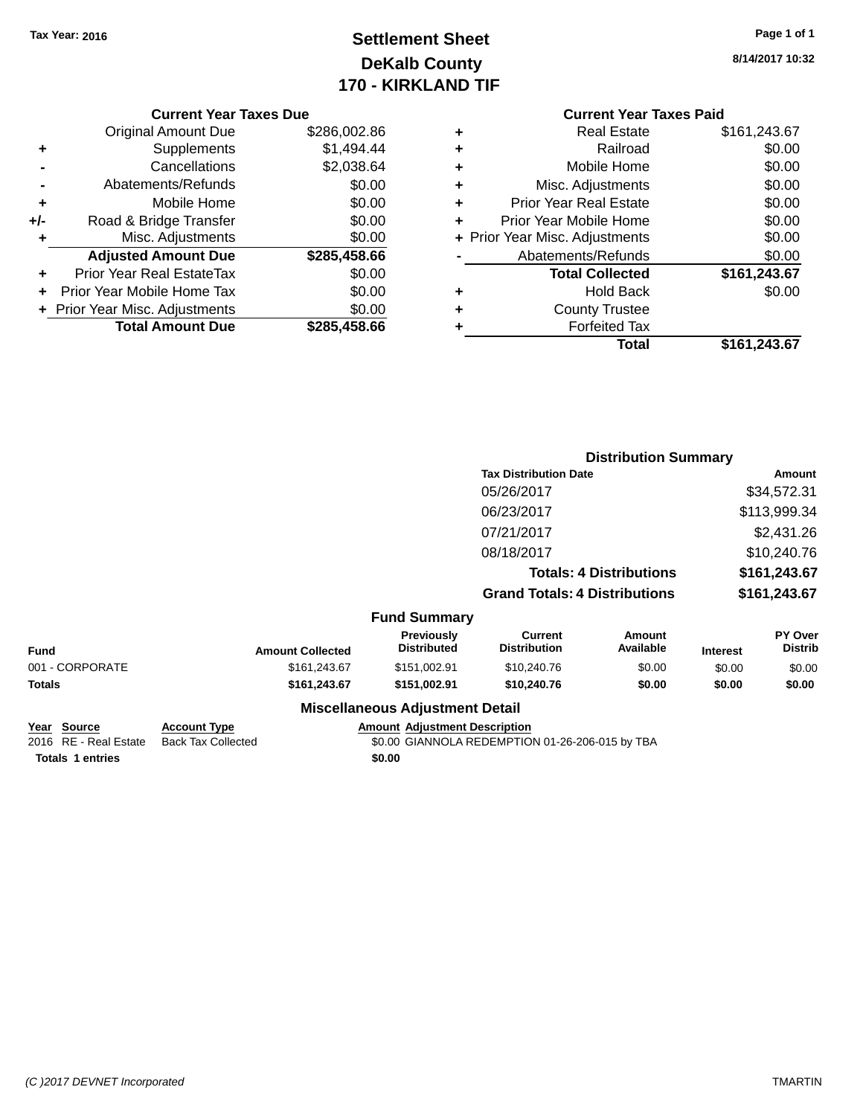# **Settlement Sheet Tax Year: 2016 Page 1 of 1 DeKalb County 170 - KIRKLAND TIF**

| <b>Current Year Taxes Paid</b> |                                |              |  |  |  |
|--------------------------------|--------------------------------|--------------|--|--|--|
| ٠                              | Real Estate                    | \$161,243.67 |  |  |  |
| ٠                              | Railroad                       | \$0.00       |  |  |  |
| ٠                              | Mobile Home                    | \$0.00       |  |  |  |
| ٠                              | Misc. Adjustments              | \$0.00       |  |  |  |
| ٠                              | <b>Prior Year Real Estate</b>  | \$0.00       |  |  |  |
| ÷                              | Prior Year Mobile Home         | \$0.00       |  |  |  |
|                                | + Prior Year Misc. Adjustments | \$0.00       |  |  |  |
|                                | Abatements/Refunds             | \$0.00       |  |  |  |
|                                | <b>Total Collected</b>         | \$161,243.67 |  |  |  |
| ٠                              | Hold Back                      | \$0.00       |  |  |  |
|                                | <b>County Trustee</b>          |              |  |  |  |
|                                | <b>Forfeited Tax</b>           |              |  |  |  |
|                                | Total                          | \$161,243.67 |  |  |  |

|     | <b>Current Year Taxes Due</b>    |              |  |  |  |
|-----|----------------------------------|--------------|--|--|--|
|     | <b>Original Amount Due</b>       | \$286,002.86 |  |  |  |
| ٠   | Supplements                      | \$1,494.44   |  |  |  |
|     | Cancellations                    | \$2,038.64   |  |  |  |
|     | Abatements/Refunds               | \$0.00       |  |  |  |
| ٠   | Mobile Home                      | \$0.00       |  |  |  |
| +/- | Road & Bridge Transfer           | \$0.00       |  |  |  |
| ٠   | Misc. Adjustments                | \$0.00       |  |  |  |
|     | <b>Adjusted Amount Due</b>       | \$285,458.66 |  |  |  |
|     | <b>Prior Year Real EstateTax</b> | \$0.00       |  |  |  |
|     | Prior Year Mobile Home Tax       | \$0.00       |  |  |  |
|     | + Prior Year Misc. Adjustments   | \$0.00       |  |  |  |
|     | <b>Total Amount Due</b>          | \$285,458.66 |  |  |  |

|                 |                     |                         |                                         | <b>Distribution Summary</b>          |                                |                 |                                  |
|-----------------|---------------------|-------------------------|-----------------------------------------|--------------------------------------|--------------------------------|-----------------|----------------------------------|
|                 |                     |                         |                                         | <b>Tax Distribution Date</b>         |                                | Amount          |                                  |
|                 |                     |                         |                                         | 05/26/2017                           |                                |                 | \$34,572.31                      |
|                 |                     |                         |                                         | 06/23/2017                           |                                |                 | \$113,999.34                     |
|                 |                     |                         |                                         | 07/21/2017                           |                                |                 | \$2,431.26                       |
|                 |                     |                         |                                         | 08/18/2017                           |                                |                 | \$10,240.76                      |
|                 |                     |                         |                                         |                                      | <b>Totals: 4 Distributions</b> |                 | \$161,243.67                     |
|                 |                     |                         |                                         | <b>Grand Totals: 4 Distributions</b> |                                | \$161,243.67    |                                  |
|                 |                     |                         | <b>Fund Summary</b>                     |                                      |                                |                 |                                  |
| <b>Fund</b>     |                     | <b>Amount Collected</b> | <b>Previously</b><br><b>Distributed</b> | Current<br><b>Distribution</b>       | Amount<br>Available            | <b>Interest</b> | <b>PY Over</b><br><b>Distrib</b> |
| 001 - CORPORATE |                     | \$161,243.67            | \$151,002.91                            | \$10,240.76                          | \$0.00                         | \$0.00          | \$0.00                           |
| <b>Totals</b>   |                     | \$161,243.67            | \$151,002.91                            | \$10,240.76                          | \$0.00                         | \$0.00          | \$0.00                           |
|                 |                     |                         | <b>Miscellaneous Adjustment Detail</b>  |                                      |                                |                 |                                  |
| Year Source     | <b>Account Type</b> |                         | <b>Amount Adjustment Description</b>    |                                      |                                |                 |                                  |

|                         | <b>IGAI JUULUG</b> | AGGOUIL IVDE                             | Allivulli Aulustilleilt Describtion             |
|-------------------------|--------------------|------------------------------------------|-------------------------------------------------|
|                         |                    | 2016 RE - Real Estate Back Tax Collected | \$0.00 GIANNOLA REDEMPTION 01-26-206-015 by TBA |
| <b>Totals 1 entries</b> |                    |                                          | \$0.00                                          |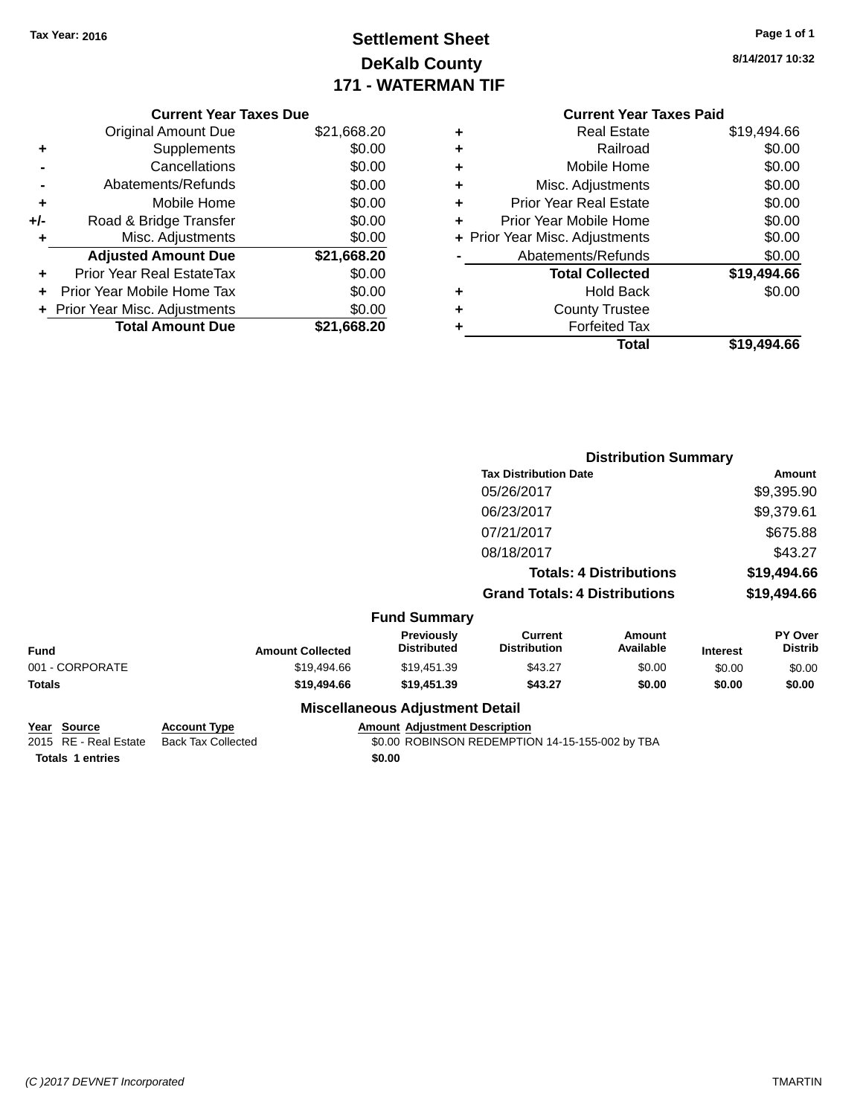# **Settlement Sheet Tax Year: 2016 Page 1 of 1 DeKalb County 171 - WATERMAN TIF**

| Page 1 of 1 |  |
|-------------|--|
|-------------|--|

|     | <b>Current Year Taxes Due</b>  |             |
|-----|--------------------------------|-------------|
|     | <b>Original Amount Due</b>     | \$21,668.20 |
| ٠   | Supplements                    | \$0.00      |
|     | Cancellations                  | \$0.00      |
|     | Abatements/Refunds             | \$0.00      |
| ٠   | Mobile Home                    | \$0.00      |
| +/- | Road & Bridge Transfer         | \$0.00      |
| ٠   | Misc. Adjustments              | \$0.00      |
|     | <b>Adjusted Amount Due</b>     | \$21,668.20 |
| ٠   | Prior Year Real EstateTax      | \$0.00      |
|     | Prior Year Mobile Home Tax     | \$0.00      |
|     | + Prior Year Misc. Adjustments | \$0.00      |
|     | <b>Total Amount Due</b>        | \$21,668.20 |
|     |                                |             |

|   | <b>Current Year Taxes Paid</b> |             |
|---|--------------------------------|-------------|
| ÷ | Real Estate                    | \$19,494.66 |
| ÷ | Railroad                       | \$0.00      |
| ÷ | Mobile Home                    | \$0.00      |
| ٠ | Misc. Adjustments              | \$0.00      |
| ٠ | <b>Prior Year Real Estate</b>  | \$0.00      |
| ٠ | Prior Year Mobile Home         | \$0.00      |
|   | + Prior Year Misc. Adjustments | \$0.00      |
|   | Abatements/Refunds             | \$0.00      |
|   | <b>Total Collected</b>         | \$19,494.66 |
| ٠ | Hold Back                      | \$0.00      |
|   | <b>County Trustee</b>          |             |
|   | <b>Forfeited Tax</b>           |             |
|   | Total                          | \$19,494.66 |

|                 |              |                         |                                        | <b>Distribution Summary</b>           |                                |                 |                           |
|-----------------|--------------|-------------------------|----------------------------------------|---------------------------------------|--------------------------------|-----------------|---------------------------|
|                 |              |                         |                                        | <b>Tax Distribution Date</b>          |                                |                 | <b>Amount</b>             |
|                 |              |                         |                                        | 05/26/2017                            |                                |                 | \$9,395.90                |
|                 |              |                         |                                        | 06/23/2017                            |                                |                 | \$9,379.61                |
|                 |              |                         |                                        | 07/21/2017                            |                                |                 | \$675.88                  |
|                 |              |                         |                                        | 08/18/2017                            |                                |                 | \$43.27                   |
|                 |              |                         |                                        |                                       | <b>Totals: 4 Distributions</b> |                 | \$19,494.66               |
|                 |              |                         |                                        | <b>Grand Totals: 4 Distributions</b>  |                                |                 | \$19,494.66               |
|                 |              |                         | <b>Fund Summary</b>                    |                                       |                                |                 |                           |
| <b>Fund</b>     |              | <b>Amount Collected</b> | Previously<br><b>Distributed</b>       | <b>Current</b><br><b>Distribution</b> | <b>Amount</b><br>Available     | <b>Interest</b> | PY Over<br><b>Distrib</b> |
| 001 - CORPORATE |              | \$19,494.66             | \$19,451.39                            | \$43.27                               | \$0.00                         | \$0.00          | \$0.00                    |
| <b>Totals</b>   |              | \$19,494.66             | \$19,451.39                            | \$43.27                               | \$0.00                         | \$0.00          | \$0.00                    |
|                 |              |                         | <b>Miscellaneous Adjustment Detail</b> |                                       |                                |                 |                           |
| Voor Course     | Account Type |                         | Amount Adjustment Description          |                                       |                                |                 |                           |

| <u>rear source</u>      | ACCOUNT IVDE                             | Amount Agiustment Description                   |
|-------------------------|------------------------------------------|-------------------------------------------------|
|                         | 2015 RE - Real Estate Back Tax Collected | \$0.00 ROBINSON REDEMPTION 14-15-155-002 by TBA |
| <b>Totals 1 entries</b> |                                          | \$0.00                                          |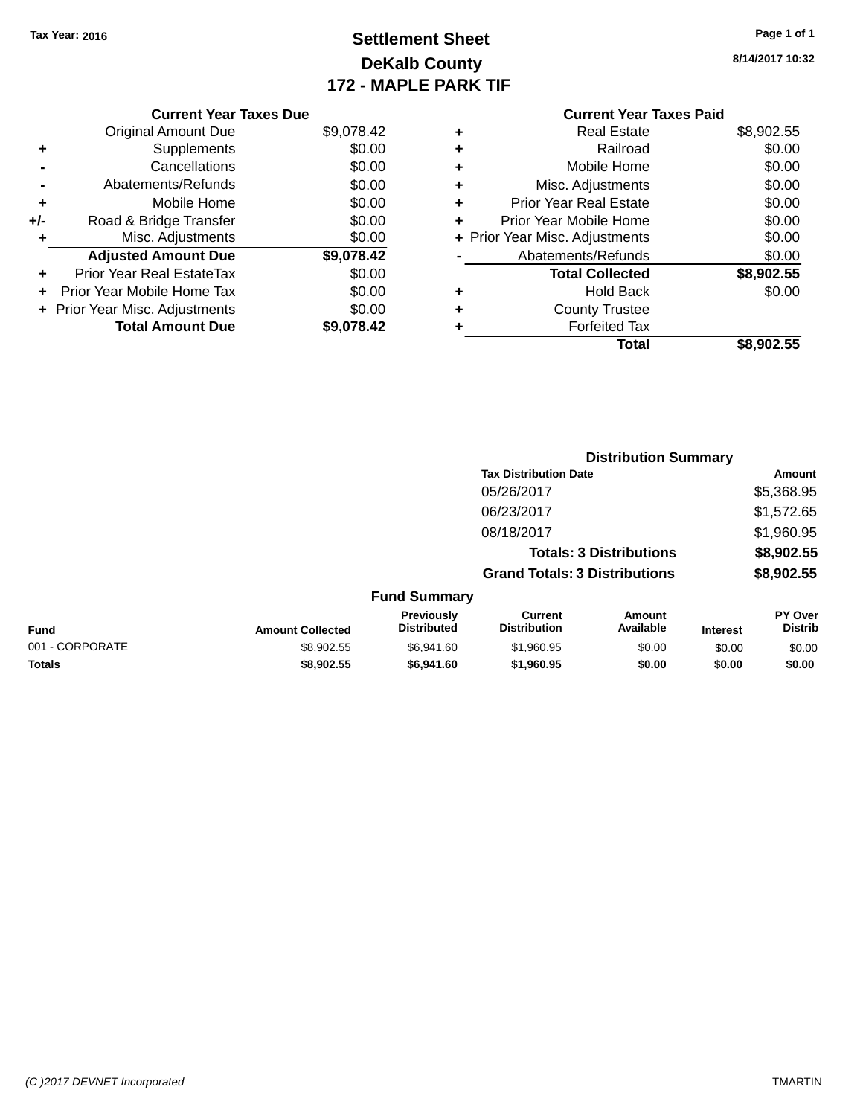# **Settlement Sheet Tax Year: 2016 Page 1 of 1 DeKalb County 172 - MAPLE PARK TIF**

#### **8/14/2017 10:32**

|   | <b>Current Year Taxes Paid</b> |            |
|---|--------------------------------|------------|
| ٠ | <b>Real Estate</b>             | \$8,902.55 |
| ٠ | Railroad                       | \$0.00     |
| ٠ | Mobile Home                    | \$0.00     |
| ٠ | Misc. Adjustments              | \$0.00     |
| ٠ | <b>Prior Year Real Estate</b>  | \$0.00     |
| ٠ | Prior Year Mobile Home         | \$0.00     |
|   | + Prior Year Misc. Adjustments | \$0.00     |
|   | Abatements/Refunds             | \$0.00     |
|   | <b>Total Collected</b>         | \$8,902.55 |
| ٠ | Hold Back                      | \$0.00     |
| ٠ | <b>County Trustee</b>          |            |
| ٠ | <b>Forfeited Tax</b>           |            |
|   | Total                          | \$8,902.55 |

**Distribution Summary**

|     | <b>Current Year Taxes Due</b>    |            |
|-----|----------------------------------|------------|
|     | <b>Original Amount Due</b>       | \$9,078.42 |
| ٠   | Supplements                      | \$0.00     |
|     | Cancellations                    | \$0.00     |
|     | Abatements/Refunds               | \$0.00     |
| ٠   | Mobile Home                      | \$0.00     |
| +/- | Road & Bridge Transfer           | \$0.00     |
| ٠   | Misc. Adjustments                | \$0.00     |
|     | <b>Adjusted Amount Due</b>       | \$9,078.42 |
| ٠   | <b>Prior Year Real EstateTax</b> | \$0.00     |
|     | Prior Year Mobile Home Tax       | \$0.00     |
|     | + Prior Year Misc. Adjustments   | \$0.00     |
|     | <b>Total Amount Due</b>          | \$9.078.42 |

|                 |                         |                                  | <b>Tax Distribution Date</b>          |                                |                 | Amount                    |
|-----------------|-------------------------|----------------------------------|---------------------------------------|--------------------------------|-----------------|---------------------------|
|                 |                         | 05/26/2017                       |                                       |                                | \$5,368.95      |                           |
|                 |                         |                                  | 06/23/2017                            |                                |                 | \$1,572.65                |
|                 |                         |                                  | 08/18/2017                            |                                |                 | \$1,960.95                |
|                 |                         |                                  |                                       | <b>Totals: 3 Distributions</b> |                 | \$8,902.55                |
|                 |                         |                                  | <b>Grand Totals: 3 Distributions</b>  |                                |                 | \$8,902.55                |
|                 |                         | <b>Fund Summary</b>              |                                       |                                |                 |                           |
| <b>Fund</b>     | <b>Amount Collected</b> | Previously<br><b>Distributed</b> | <b>Current</b><br><b>Distribution</b> | Amount<br>Available            | <b>Interest</b> | PY Over<br><b>Distrib</b> |
| 001 - CORPORATE | \$8,902.55              | \$6,941.60                       | \$1,960.95                            | \$0.00                         | \$0.00          | \$0.00                    |
| <b>Totals</b>   | \$8,902.55              | \$6,941.60                       | \$1,960.95                            | \$0.00                         | \$0.00          | \$0.00                    |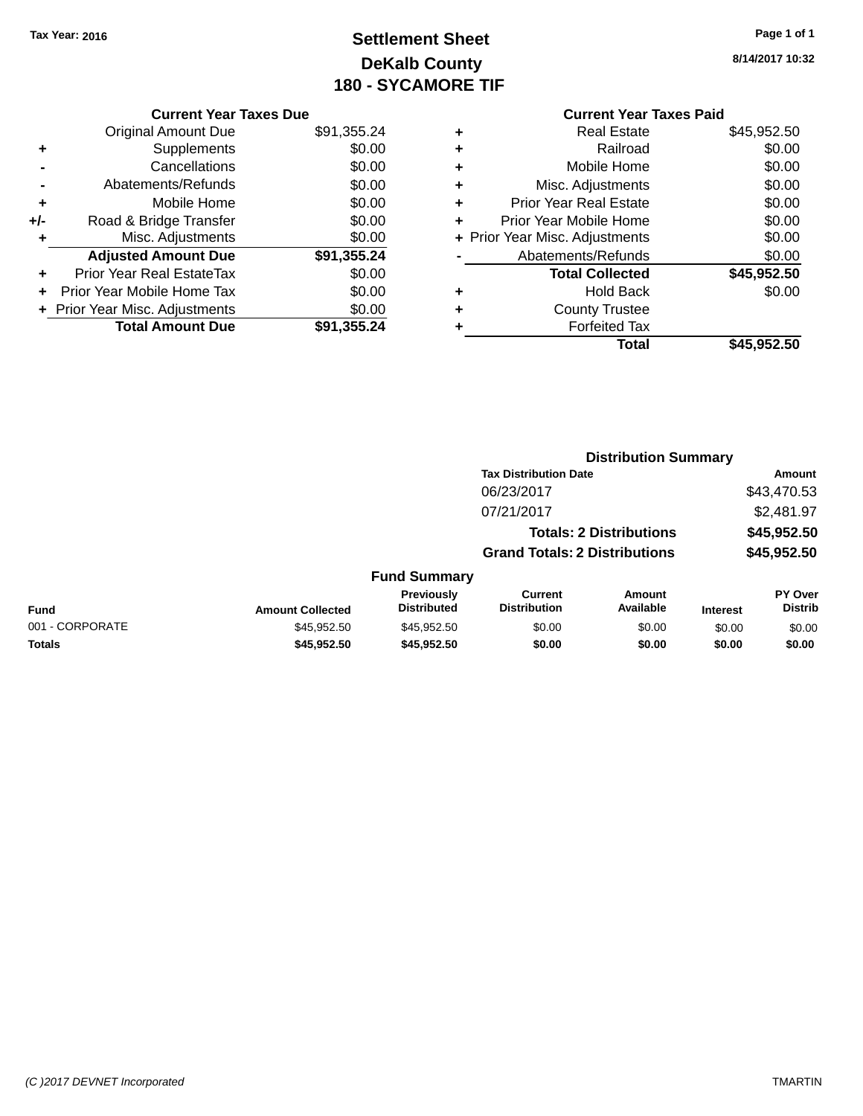# **Settlement Sheet Tax Year: 2016 Page 1 of 1 DeKalb County 180 - SYCAMORE TIF**

| Page 1 of 1 |  |  |  |
|-------------|--|--|--|
|-------------|--|--|--|

**8/14/2017 10:32**

|     | <b>Current Year Taxes Due</b>  |             |  |  |
|-----|--------------------------------|-------------|--|--|
|     | <b>Original Amount Due</b>     | \$91,355.24 |  |  |
| ٠   | Supplements                    | \$0.00      |  |  |
|     | Cancellations                  | \$0.00      |  |  |
|     | Abatements/Refunds             | \$0.00      |  |  |
| ٠   | Mobile Home                    | \$0.00      |  |  |
| +/- | Road & Bridge Transfer         | \$0.00      |  |  |
|     | Misc. Adjustments              | \$0.00      |  |  |
|     | <b>Adjusted Amount Due</b>     | \$91,355.24 |  |  |
| ٠   | Prior Year Real EstateTax      | \$0.00      |  |  |
|     | Prior Year Mobile Home Tax     | \$0.00      |  |  |
|     | + Prior Year Misc. Adjustments | \$0.00      |  |  |
|     | <b>Total Amount Due</b>        | \$91,355.24 |  |  |
|     |                                |             |  |  |

#### **Current Year Taxes Paid +** Real Estate \$45,952.50

|   | Total                          | \$45,952.50 |
|---|--------------------------------|-------------|
|   | <b>Forfeited Tax</b>           |             |
| ٠ | <b>County Trustee</b>          |             |
| ٠ | <b>Hold Back</b>               | \$0.00      |
|   | <b>Total Collected</b>         | \$45,952.50 |
|   | Abatements/Refunds             | \$0.00      |
|   | + Prior Year Misc. Adjustments | \$0.00      |
| ÷ | Prior Year Mobile Home         | \$0.00      |
| ٠ | Prior Year Real Estate         | \$0.00      |
| ٠ | Misc. Adjustments              | \$0.00      |
| ٠ | Mobile Home                    | \$0.00      |
| ÷ | Railroad                       | \$0.00      |
| Ŧ | NGAI CSIAIG                    | ง4ט,ອວ∠.ວບ  |

|                 |                         |                                  | <b>Distribution Summary</b>           |                                |                 |                           |
|-----------------|-------------------------|----------------------------------|---------------------------------------|--------------------------------|-----------------|---------------------------|
|                 |                         |                                  | <b>Tax Distribution Date</b>          |                                |                 | Amount                    |
|                 |                         |                                  | 06/23/2017                            |                                |                 | \$43,470.53               |
|                 |                         |                                  | 07/21/2017                            |                                |                 | \$2,481.97                |
|                 |                         |                                  |                                       | <b>Totals: 2 Distributions</b> |                 | \$45,952.50               |
|                 |                         |                                  | <b>Grand Totals: 2 Distributions</b>  |                                |                 | \$45,952.50               |
|                 |                         | <b>Fund Summary</b>              |                                       |                                |                 |                           |
| <b>Fund</b>     | <b>Amount Collected</b> | Previously<br><b>Distributed</b> | <b>Current</b><br><b>Distribution</b> | Amount<br>Available            | <b>Interest</b> | PY Over<br><b>Distrib</b> |
| 001 - CORPORATE | \$45.952.50             | \$45.952.50                      | \$0.00                                | \$0.00                         | \$0.00          | \$0.00                    |
| <b>Totals</b>   | \$45,952.50             | \$45,952.50                      | \$0.00                                | \$0.00                         | \$0.00          | \$0.00                    |
|                 |                         |                                  |                                       |                                |                 |                           |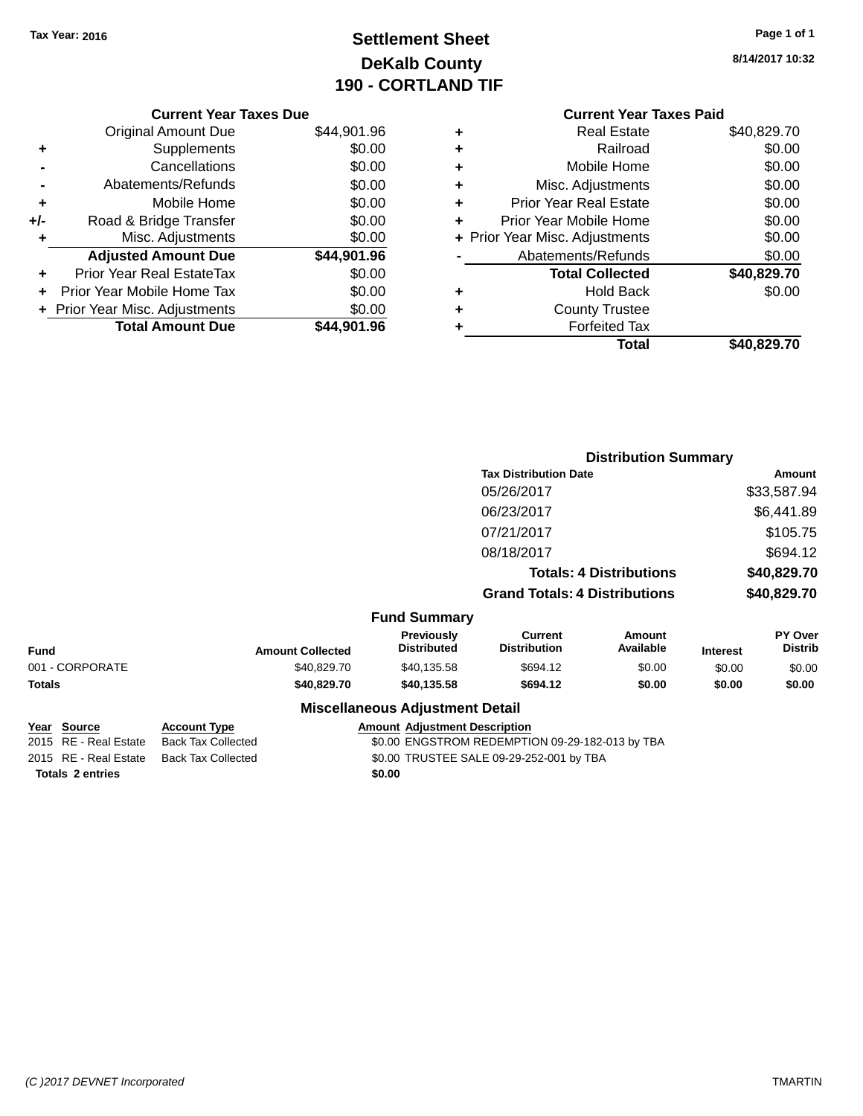# **Settlement Sheet Tax Year: 2016 Page 1 of 1 DeKalb County 190 - CORTLAND TIF**

|     | <b>Current Year Taxes Due</b> |             |
|-----|-------------------------------|-------------|
|     | <b>Original Amount Due</b>    | \$44,901.96 |
| ٠   | Supplements                   | \$0.00      |
|     | Cancellations                 | \$0.00      |
|     | Abatements/Refunds            | \$0.00      |
| ٠   | Mobile Home                   | \$0.00      |
| +/- | Road & Bridge Transfer        | \$0.00      |
| ٠   | Misc. Adjustments             | \$0.00      |
|     | <b>Adjusted Amount Due</b>    | \$44,901.96 |
| ÷   | Prior Year Real EstateTax     | \$0.00      |
|     | Prior Year Mobile Home Tax    | \$0.00      |
|     |                               |             |

**+ Prior Year Misc. Adjustments**  $$0.00$ 

**Total Amount Due \$44,901.96**

**8/14/2017 10:32**

#### **Current Year Taxes Paid +** Real Estate \$40,829.70 **+** Railroad \$0.00 **+** Mobile Home \$0.00 **+** Misc. Adjustments \$0.00 **+** Prior Year Real Estate \$0.00 **+** Prior Year Mobile Home \$0.00 **+ Prior Year Misc. Adjustments**  $$0.00$ **-** Abatements/Refunds \$0.00 **Total Collected \$40,829.70 +** Hold Back \$0.00 **+** County Trustee **+** Forfeited Tax **Total \$40,829.70**

|                                   |                |                         |                                        | <b>Distribution Summary</b>           |                                |                 |                           |  |
|-----------------------------------|----------------|-------------------------|----------------------------------------|---------------------------------------|--------------------------------|-----------------|---------------------------|--|
|                                   |                |                         |                                        | <b>Tax Distribution Date</b>          |                                |                 | <b>Amount</b>             |  |
|                                   |                |                         |                                        | 05/26/2017                            |                                |                 | \$33,587.94               |  |
|                                   |                |                         |                                        | 06/23/2017                            |                                |                 | \$6,441.89                |  |
|                                   |                |                         |                                        | 07/21/2017                            |                                |                 | \$105.75                  |  |
|                                   |                |                         |                                        | 08/18/2017                            |                                |                 | \$694.12                  |  |
|                                   |                |                         |                                        |                                       | <b>Totals: 4 Distributions</b> |                 | \$40,829.70               |  |
|                                   |                |                         |                                        | <b>Grand Totals: 4 Distributions</b>  |                                |                 | \$40,829.70               |  |
|                                   |                |                         | <b>Fund Summary</b>                    |                                       |                                |                 |                           |  |
| <b>Fund</b>                       |                | <b>Amount Collected</b> | Previously<br><b>Distributed</b>       | <b>Current</b><br><b>Distribution</b> | <b>Amount</b><br>Available     | <b>Interest</b> | PY Over<br><b>Distrib</b> |  |
| 001 - CORPORATE                   |                | \$40,829.70             | \$40,135.58                            | \$694.12                              | \$0.00                         | \$0.00          | \$0.00                    |  |
| <b>Totals</b>                     |                | \$40,829.70             | \$40,135.58                            | \$694.12                              | \$0.00                         | \$0.00          | \$0.00                    |  |
|                                   |                |                         | <b>Miscellaneous Adjustment Detail</b> |                                       |                                |                 |                           |  |
| $V_{\text{max}}$ $C_{\text{max}}$ | Accessod Trees |                         | Americal Adjustment Description        |                                       |                                |                 |                           |  |

| <u>rear source</u>    | ACCOUNT TYPE       | AINQUIR AGJUSTINENT DESCRIPTION                 |
|-----------------------|--------------------|-------------------------------------------------|
| 2015 RE - Real Estate | Back Tax Collected | \$0.00 ENGSTROM REDEMPTION 09-29-182-013 by TBA |
| 2015 RE - Real Estate | Back Tax Collected | \$0.00 TRUSTEE SALE 09-29-252-001 by TBA        |
| Totals 2 entries      |                    | \$0.00                                          |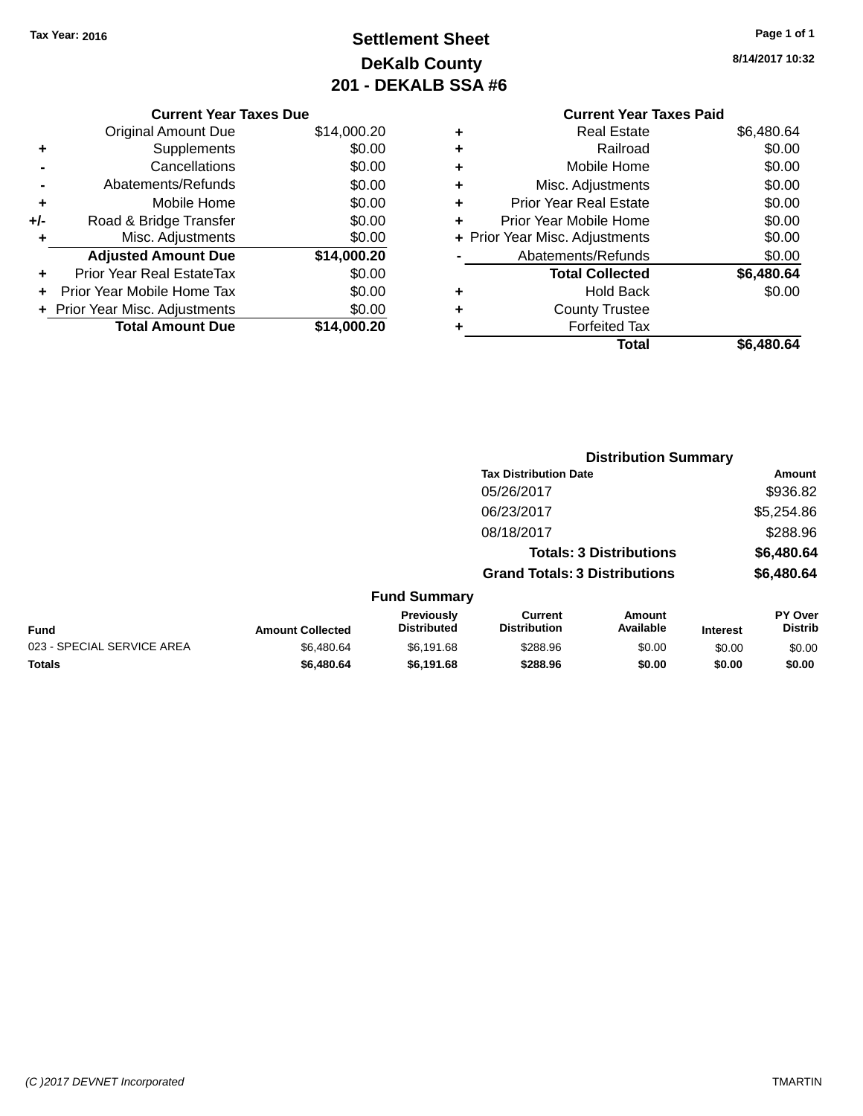# **Settlement Sheet Tax Year: 2016 Page 1 of 1 DeKalb County 201 - DEKALB SSA #6**

|     | <b>Current Year Taxes Due</b>  |             |
|-----|--------------------------------|-------------|
|     | <b>Original Amount Due</b>     | \$14,000.20 |
| ٠   | Supplements                    | \$0.00      |
|     | Cancellations                  | \$0.00      |
|     | Abatements/Refunds             | \$0.00      |
| ٠   | Mobile Home                    | \$0.00      |
| +/- | Road & Bridge Transfer         | \$0.00      |
| ٠   | Misc. Adjustments              | \$0.00      |
|     | <b>Adjusted Amount Due</b>     | \$14,000.20 |
|     | Prior Year Real EstateTax      | \$0.00      |
| ÷   | Prior Year Mobile Home Tax     | \$0.00      |
|     | + Prior Year Misc. Adjustments | \$0.00      |
|     | <b>Total Amount Due</b>        | \$14.000.20 |

|   | <b>Current Year Taxes Paid</b> |            |
|---|--------------------------------|------------|
| ٠ | <b>Real Estate</b>             | \$6,480.64 |
| ٠ | Railroad                       | \$0.00     |
| ٠ | Mobile Home                    | \$0.00     |
| ٠ | Misc. Adjustments              | \$0.00     |
| ٠ | <b>Prior Year Real Estate</b>  | \$0.00     |
| ٠ | Prior Year Mobile Home         | \$0.00     |
|   | + Prior Year Misc. Adjustments | \$0.00     |
|   | Abatements/Refunds             | \$0.00     |
|   | <b>Total Collected</b>         | \$6,480.64 |
|   | <b>Hold Back</b>               | \$0.00     |
|   | <b>County Trustee</b>          |            |
|   | <b>Forfeited Tax</b>           |            |
|   | Total                          | \$6,480.64 |

|                            |                         |                                         | <b>Distribution Summary</b>           |                                |                 |                                  |
|----------------------------|-------------------------|-----------------------------------------|---------------------------------------|--------------------------------|-----------------|----------------------------------|
|                            |                         |                                         | <b>Tax Distribution Date</b>          |                                |                 | <b>Amount</b>                    |
|                            |                         |                                         | 05/26/2017                            |                                |                 | \$936.82                         |
|                            |                         |                                         | 06/23/2017                            |                                |                 | \$5,254.86                       |
|                            |                         |                                         | 08/18/2017                            |                                |                 | \$288.96                         |
|                            |                         |                                         |                                       | <b>Totals: 3 Distributions</b> |                 | \$6,480.64                       |
|                            |                         |                                         | <b>Grand Totals: 3 Distributions</b>  |                                |                 | \$6,480.64                       |
|                            |                         | <b>Fund Summary</b>                     |                                       |                                |                 |                                  |
| <b>Fund</b>                | <b>Amount Collected</b> | <b>Previously</b><br><b>Distributed</b> | <b>Current</b><br><b>Distribution</b> | Amount<br>Available            | <b>Interest</b> | <b>PY Over</b><br><b>Distrib</b> |
| 023 - SPECIAL SERVICE AREA | \$6,480.64              | \$6,191.68                              | \$288.96                              | \$0.00                         | \$0.00          | \$0.00                           |
| <b>Totals</b>              | \$6,480.64              | \$6,191.68                              | \$288.96                              | \$0.00                         | \$0.00          | \$0.00                           |
|                            |                         |                                         |                                       |                                |                 |                                  |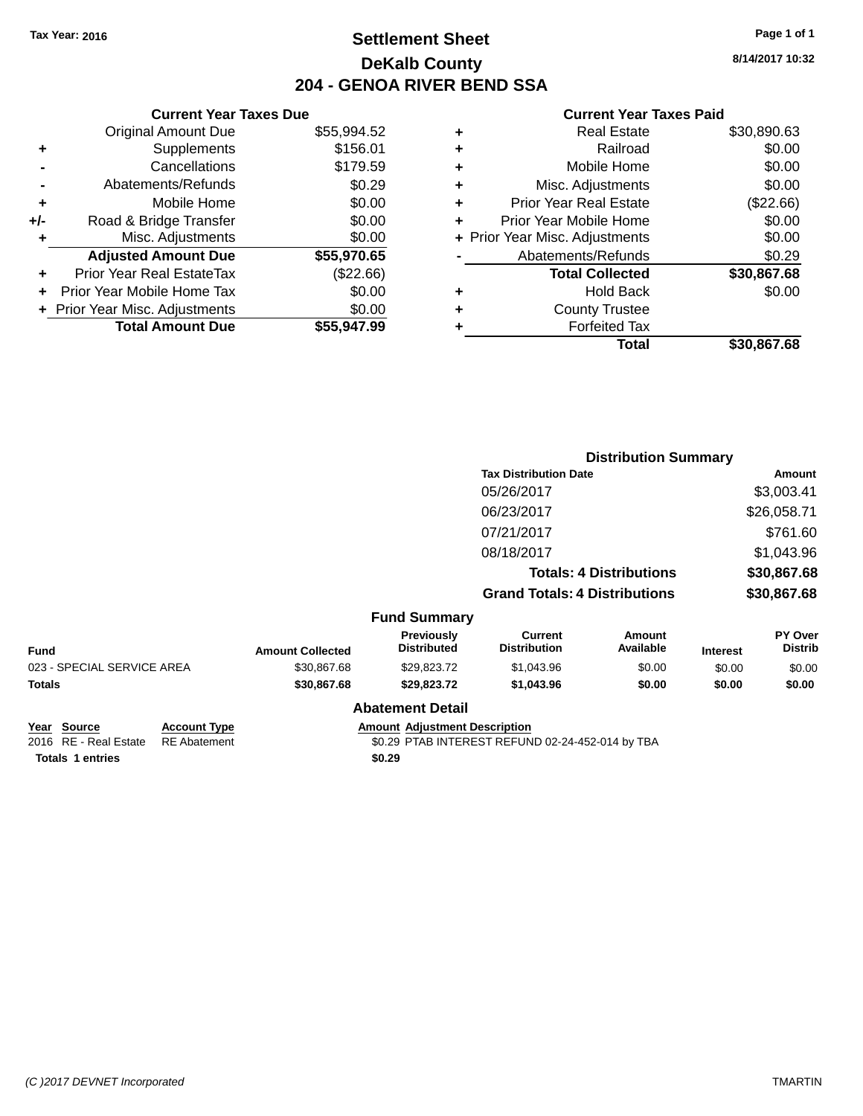# **Settlement Sheet Tax Year: 2016 Page 1 of 1 DeKalb County 204 - GENOA RIVER BEND SSA**

**8/14/2017 10:32**

#### **Current Year Taxes Paid**

|     | <b>Current Year Taxes Due</b> |             |  |
|-----|-------------------------------|-------------|--|
|     | <b>Original Amount Due</b>    | \$55,994.52 |  |
| ٠   | Supplements                   | \$156.01    |  |
|     | Cancellations                 | \$179.59    |  |
|     | Abatements/Refunds            | \$0.29      |  |
| ٠   | Mobile Home                   | \$0.00      |  |
| +/- | Road & Bridge Transfer        | \$0.00      |  |
| ٠   | Misc. Adjustments             | \$0.00      |  |
|     | <b>Adjusted Amount Due</b>    | \$55,970.65 |  |
| ٠   | Prior Year Real EstateTax     | (\$22.66)   |  |
| ÷   | Prior Year Mobile Home Tax    | \$0.00      |  |
|     | Prior Year Misc. Adjustments  | \$0.00      |  |
|     | <b>Total Amount Due</b>       | \$55,947.99 |  |
|     |                               |             |  |

| ٠ | <b>Real Estate</b>             | \$30,890.63 |
|---|--------------------------------|-------------|
| ٠ | Railroad                       | \$0.00      |
| ٠ | Mobile Home                    | \$0.00      |
| ٠ | Misc. Adjustments              | \$0.00      |
| ٠ | Prior Year Real Estate         | $(\$22.66)$ |
| ٠ | Prior Year Mobile Home         | \$0.00      |
|   | + Prior Year Misc. Adjustments | \$0.00      |
|   | Abatements/Refunds             | \$0.29      |
|   | <b>Total Collected</b>         | \$30,867.68 |
| ٠ | <b>Hold Back</b>               | \$0.00      |
| ٠ | <b>County Trustee</b>          |             |
| ٠ | <b>Forfeited Tax</b>           |             |
|   | Total                          | \$30,867.68 |
|   |                                |             |

|                            |                         |                                  |                                       | <b>Distribution Summary</b>    |                 |                           |
|----------------------------|-------------------------|----------------------------------|---------------------------------------|--------------------------------|-----------------|---------------------------|
|                            |                         |                                  | <b>Tax Distribution Date</b>          |                                |                 | <b>Amount</b>             |
|                            |                         |                                  | 05/26/2017                            |                                |                 | \$3,003.41                |
|                            |                         |                                  | 06/23/2017                            |                                |                 | \$26,058.71               |
|                            |                         |                                  | 07/21/2017                            |                                |                 | \$761.60                  |
|                            |                         |                                  | 08/18/2017                            |                                |                 | \$1,043.96                |
|                            |                         |                                  |                                       | <b>Totals: 4 Distributions</b> |                 | \$30,867.68               |
|                            |                         |                                  | <b>Grand Totals: 4 Distributions</b>  |                                |                 | \$30,867.68               |
|                            |                         | <b>Fund Summary</b>              |                                       |                                |                 |                           |
| <b>Fund</b>                | <b>Amount Collected</b> | Previously<br><b>Distributed</b> | <b>Current</b><br><b>Distribution</b> | <b>Amount</b><br>Available     | <b>Interest</b> | PY Over<br><b>Distrib</b> |
| 023 - SPECIAL SERVICE AREA | \$30,867.68             | \$29,823.72                      | \$1,043.96                            | \$0.00                         | \$0.00          | \$0.00                    |
| Totals                     | \$30,867.68             | \$29,823.72                      | \$1,043.96                            | \$0.00                         | \$0.00          | \$0.00                    |
|                            |                         | <b>Abatement Detail</b>          |                                       |                                |                 |                           |

| Year Source                        | <b>Account Type</b> | Amount |
|------------------------------------|---------------------|--------|
| 2016 RE - Real Estate RE Abatement |                     | \$0.29 |
| <b>Totals 1 entries</b>            |                     | \$0.29 |

**Amount Adjustment Description** 

\$0.29 PTAB INTEREST REFUND 02-24-452-014 by TBA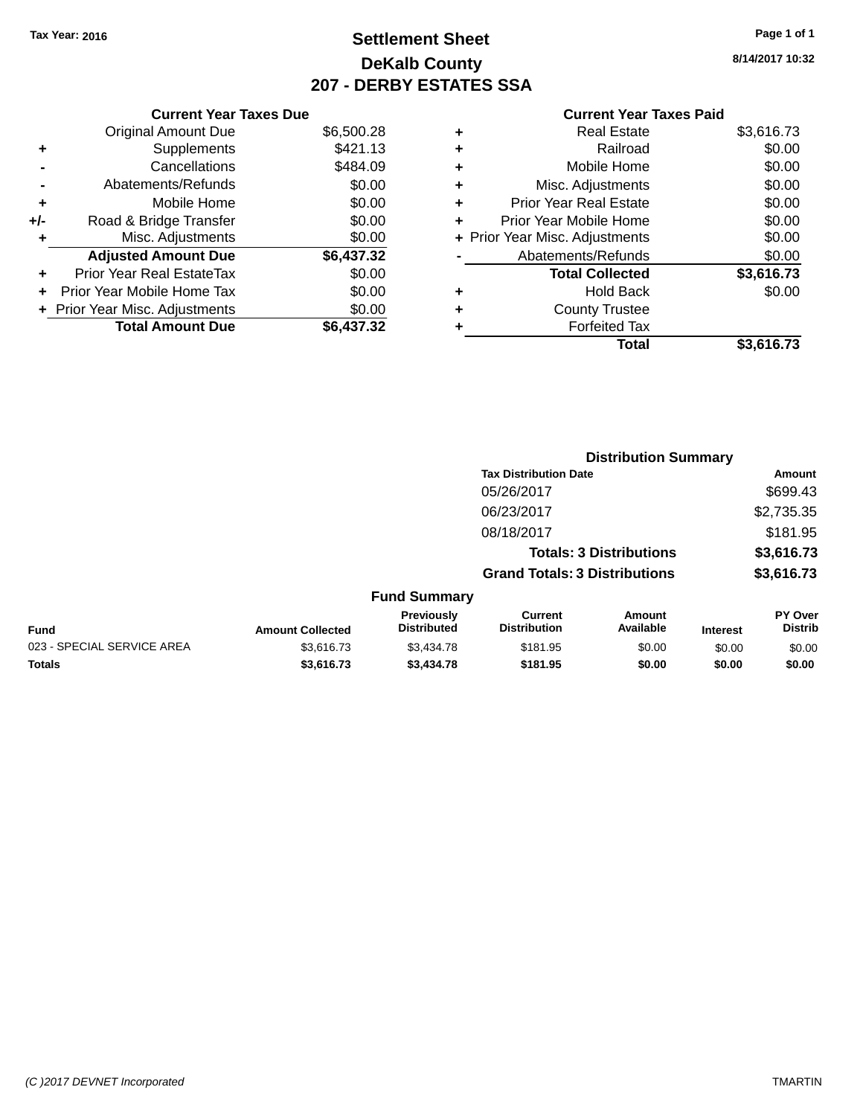# **Settlement Sheet Tax Year: 2016 Page 1 of 1 DeKalb County 207 - DERBY ESTATES SSA**

**8/14/2017 10:32**

|       | <b>Current Year Taxes Due</b>  |            |
|-------|--------------------------------|------------|
|       | <b>Original Amount Due</b>     | \$6,500.28 |
| ٠     | Supplements                    | \$421.13   |
|       | Cancellations                  | \$484.09   |
|       | Abatements/Refunds             | \$0.00     |
| ÷     | Mobile Home                    | \$0.00     |
| $+/-$ | Road & Bridge Transfer         | \$0.00     |
| ۰     | Misc. Adjustments              | \$0.00     |
|       | <b>Adjusted Amount Due</b>     | \$6,437.32 |
|       | Prior Year Real EstateTax      | \$0.00     |
|       | Prior Year Mobile Home Tax     | \$0.00     |
|       | + Prior Year Misc. Adjustments | \$0.00     |
|       | <b>Total Amount Due</b>        | \$6.437.32 |

| ٠ | <b>Real Estate</b>             | \$3,616.73 |
|---|--------------------------------|------------|
| ٠ | Railroad                       | \$0.00     |
| ٠ | Mobile Home                    | \$0.00     |
| ٠ | Misc. Adjustments              | \$0.00     |
| ٠ | <b>Prior Year Real Estate</b>  | \$0.00     |
| ٠ | Prior Year Mobile Home         | \$0.00     |
|   | + Prior Year Misc. Adjustments | \$0.00     |
|   | Abatements/Refunds             | \$0.00     |
|   | <b>Total Collected</b>         | \$3,616.73 |
| ٠ | <b>Hold Back</b>               | \$0.00     |
| ٠ | <b>County Trustee</b>          |            |
| ٠ | <b>Forfeited Tax</b>           |            |
|   | Total                          | \$3,616.73 |
|   |                                |            |

|                            |                         |                                  |                                      | <b>Distribution Summary</b>    |                 |                           |
|----------------------------|-------------------------|----------------------------------|--------------------------------------|--------------------------------|-----------------|---------------------------|
|                            |                         |                                  | <b>Tax Distribution Date</b>         |                                |                 | Amount                    |
|                            |                         |                                  | 05/26/2017                           |                                |                 | \$699.43                  |
|                            |                         |                                  | 06/23/2017                           |                                |                 | \$2,735.35                |
|                            |                         |                                  | 08/18/2017                           |                                |                 | \$181.95                  |
|                            |                         |                                  |                                      | <b>Totals: 3 Distributions</b> |                 | \$3,616.73                |
|                            |                         |                                  | <b>Grand Totals: 3 Distributions</b> |                                |                 | \$3,616.73                |
|                            |                         | <b>Fund Summary</b>              |                                      |                                |                 |                           |
| <b>Fund</b>                | <b>Amount Collected</b> | Previously<br><b>Distributed</b> | Current<br><b>Distribution</b>       | Amount<br>Available            | <b>Interest</b> | PY Over<br><b>Distrib</b> |
| 023 - SPECIAL SERVICE AREA | \$3,616.73              | \$3,434.78                       | \$181.95                             | \$0.00                         | \$0.00          | \$0.00                    |
| <b>Totals</b>              | \$3,616.73              | \$3,434.78                       | \$181.95                             | \$0.00                         | \$0.00          | \$0.00                    |
|                            |                         |                                  |                                      |                                |                 |                           |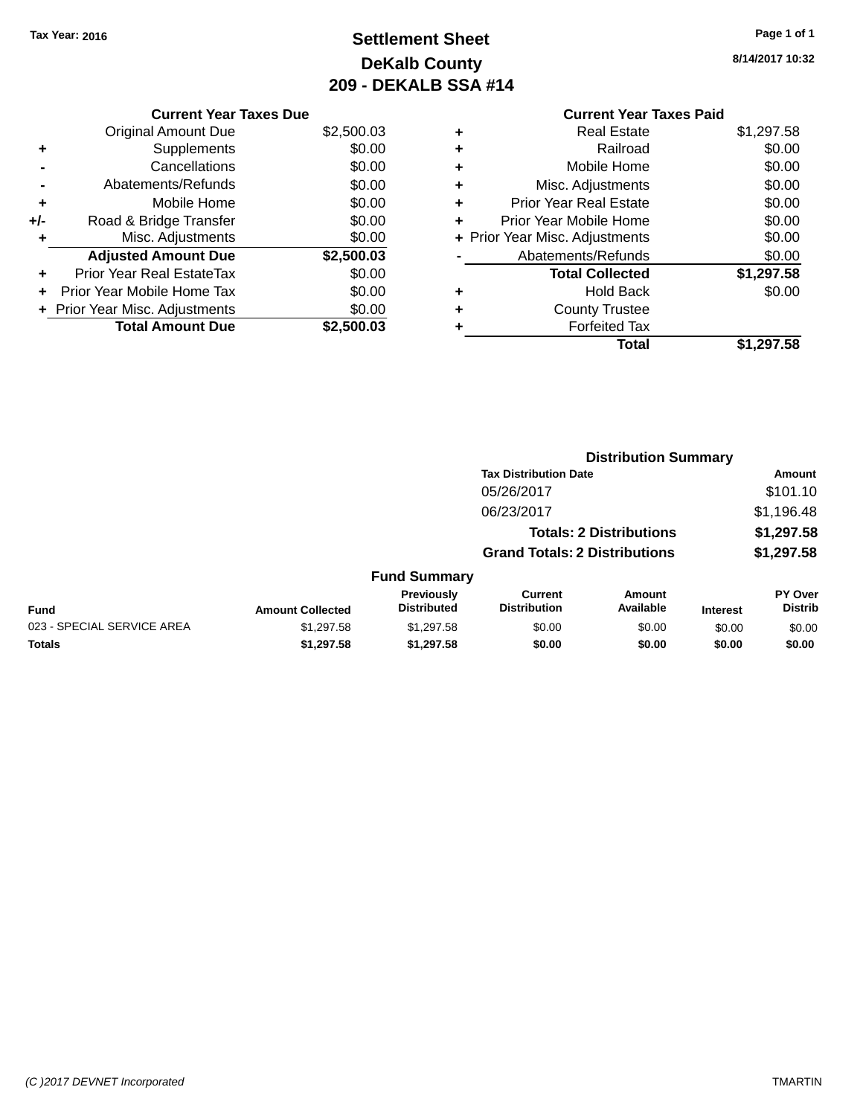# **Settlement Sheet Tax Year: 2016 Page 1 of 1 DeKalb County 209 - DEKALB SSA #14**

**8/14/2017 10:32**

|     | <b>Current Year Taxes Due</b>    |            |
|-----|----------------------------------|------------|
|     | <b>Original Amount Due</b>       | \$2,500.03 |
| ٠   | Supplements                      | \$0.00     |
|     | Cancellations                    | \$0.00     |
|     | Abatements/Refunds               | \$0.00     |
| ٠   | Mobile Home                      | \$0.00     |
| +/- | Road & Bridge Transfer           | \$0.00     |
| ٠   | Misc. Adjustments                | \$0.00     |
|     | <b>Adjusted Amount Due</b>       | \$2,500.03 |
| ٠   | <b>Prior Year Real EstateTax</b> | \$0.00     |
| ٠   | Prior Year Mobile Home Tax       | \$0.00     |
|     | + Prior Year Misc. Adjustments   | \$0.00     |
|     | <b>Total Amount Due</b>          | \$2.500.03 |

#### **Current Year Taxes Paid +** Real Estate \$1,297.58 **+** Railroad \$0.00 **+** Mobile Home \$0.00 **+** Misc. Adjustments \$0.00 **+** Prior Year Real Estate \$0.00 **+** Prior Year Mobile Home \$0.00 **+ Prior Year Misc. Adjustments**  $$0.00$ **-** Abatements/Refunds \$0.00 **Total Collected \$1,297.58**

**+** Hold Back \$0.00

|              |                                         |                                       | <b>Total</b>                   |                 | \$1,297.58                       |
|--------------|-----------------------------------------|---------------------------------------|--------------------------------|-----------------|----------------------------------|
|              |                                         |                                       |                                |                 |                                  |
|              |                                         |                                       |                                |                 |                                  |
|              |                                         |                                       |                                |                 |                                  |
|              |                                         |                                       | <b>Distribution Summary</b>    |                 |                                  |
|              |                                         | <b>Tax Distribution Date</b>          |                                |                 | <b>Amount</b>                    |
|              |                                         | 05/26/2017                            |                                |                 | \$101.10                         |
|              |                                         | 06/23/2017                            |                                |                 | \$1,196.48                       |
|              |                                         |                                       | <b>Totals: 2 Distributions</b> |                 | \$1,297.58                       |
|              |                                         | <b>Grand Totals: 2 Distributions</b>  |                                |                 | \$1,297.58                       |
|              | <b>Fund Summary</b>                     |                                       |                                |                 |                                  |
| าt Collected | <b>Previously</b><br><b>Distributed</b> | <b>Current</b><br><b>Distribution</b> | Amount<br>Available            | <b>Interest</b> | <b>PY Over</b><br><b>Distrib</b> |

**+** County Trustee **+** Forfeited Tax

|                            |                         | Previouslv  | Current             | Amount    |                 | <b>PY Over</b> |
|----------------------------|-------------------------|-------------|---------------------|-----------|-----------------|----------------|
| <b>Fund</b>                | <b>Amount Collected</b> | Distributed | <b>Distribution</b> | Available | <b>Interest</b> | Distrib        |
| 023 - SPECIAL SERVICE AREA | \$1.297.58              | \$1.297.58  | \$0.00              | \$0.00    | \$0.00          | \$0.00         |
| Totals                     | \$1.297.58              | \$1.297.58  | \$0.00              | \$0.00    | \$0.00          | \$0.00         |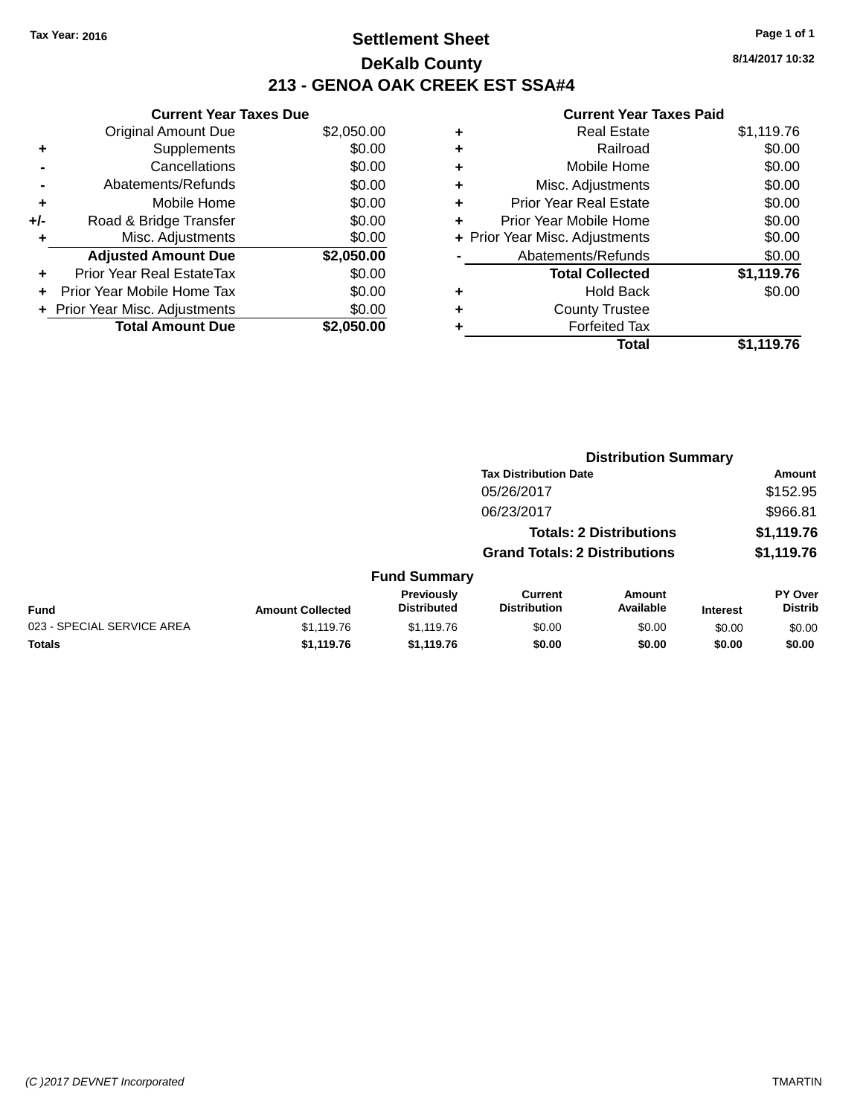# **Settlement Sheet Tax Year: 2016 Page 1 of 1 DeKalb County 213 - GENOA OAK CREEK EST SSA#4**

|     | <b>Current Year Taxes Due</b>  |            |
|-----|--------------------------------|------------|
|     | <b>Original Amount Due</b>     | \$2,050.00 |
| ٠   | Supplements                    | \$0.00     |
|     | Cancellations                  | \$0.00     |
|     | Abatements/Refunds             | \$0.00     |
| ٠   | Mobile Home                    | \$0.00     |
| +/- | Road & Bridge Transfer         | \$0.00     |
| ۰   | Misc. Adjustments              | \$0.00     |
|     | <b>Adjusted Amount Due</b>     | \$2,050.00 |
| ÷   | Prior Year Real EstateTax      | \$0.00     |
|     | Prior Year Mobile Home Tax     | \$0.00     |
|     | + Prior Year Misc. Adjustments | \$0.00     |
|     | <b>Total Amount Due</b>        | \$2,050.00 |

#### **Current**

|   | Real Estate                    | \$1,119.76 |
|---|--------------------------------|------------|
| ٠ | Railroad                       | \$0.00     |
| ٠ | Mobile Home                    | \$0.00     |
| ٠ | Misc. Adjustments              | \$0.00     |
| ٠ | <b>Prior Year Real Estate</b>  | \$0.00     |
| ÷ | Prior Year Mobile Home         | \$0.00     |
|   | + Prior Year Misc. Adjustments | \$0.00     |
|   | Abatements/Refunds             | \$0.00     |
|   | <b>Total Collected</b>         | \$1,119.76 |
| ٠ | <b>Hold Back</b>               | \$0.00     |
| ٠ | <b>County Trustee</b>          |            |
|   | <b>Forfeited Tax</b>           |            |
|   | <b>Total</b>                   | \$1,119.76 |
|   |                                |            |

| <b>Year Taxes Paid</b> |            |
|------------------------|------------|
| Estate                 | \$1,119.76 |
| ilroad                 | \$0.00     |
|                        |            |

|                            |                         |                                         |                                       | <b>Distribution Summary</b>    |                 |                           |
|----------------------------|-------------------------|-----------------------------------------|---------------------------------------|--------------------------------|-----------------|---------------------------|
|                            |                         |                                         | <b>Tax Distribution Date</b>          |                                |                 | Amount                    |
|                            |                         |                                         | 05/26/2017                            |                                |                 | \$152.95                  |
|                            |                         |                                         | 06/23/2017                            |                                |                 | \$966.81                  |
|                            |                         |                                         |                                       | <b>Totals: 2 Distributions</b> |                 | \$1,119.76                |
|                            |                         |                                         | <b>Grand Totals: 2 Distributions</b>  |                                |                 | \$1,119.76                |
|                            |                         | <b>Fund Summary</b>                     |                                       |                                |                 |                           |
| <b>Fund</b>                | <b>Amount Collected</b> | <b>Previously</b><br><b>Distributed</b> | <b>Current</b><br><b>Distribution</b> | Amount<br>Available            | <b>Interest</b> | PY Over<br><b>Distrib</b> |
| 023 - SPECIAL SERVICE AREA | \$1,119.76              | \$1,119.76                              | \$0.00                                | \$0.00                         | \$0.00          | \$0.00                    |
| <b>Totals</b>              | \$1,119.76              | \$1,119.76                              | \$0.00                                | \$0.00                         | \$0.00          | \$0.00                    |
|                            |                         |                                         |                                       |                                |                 |                           |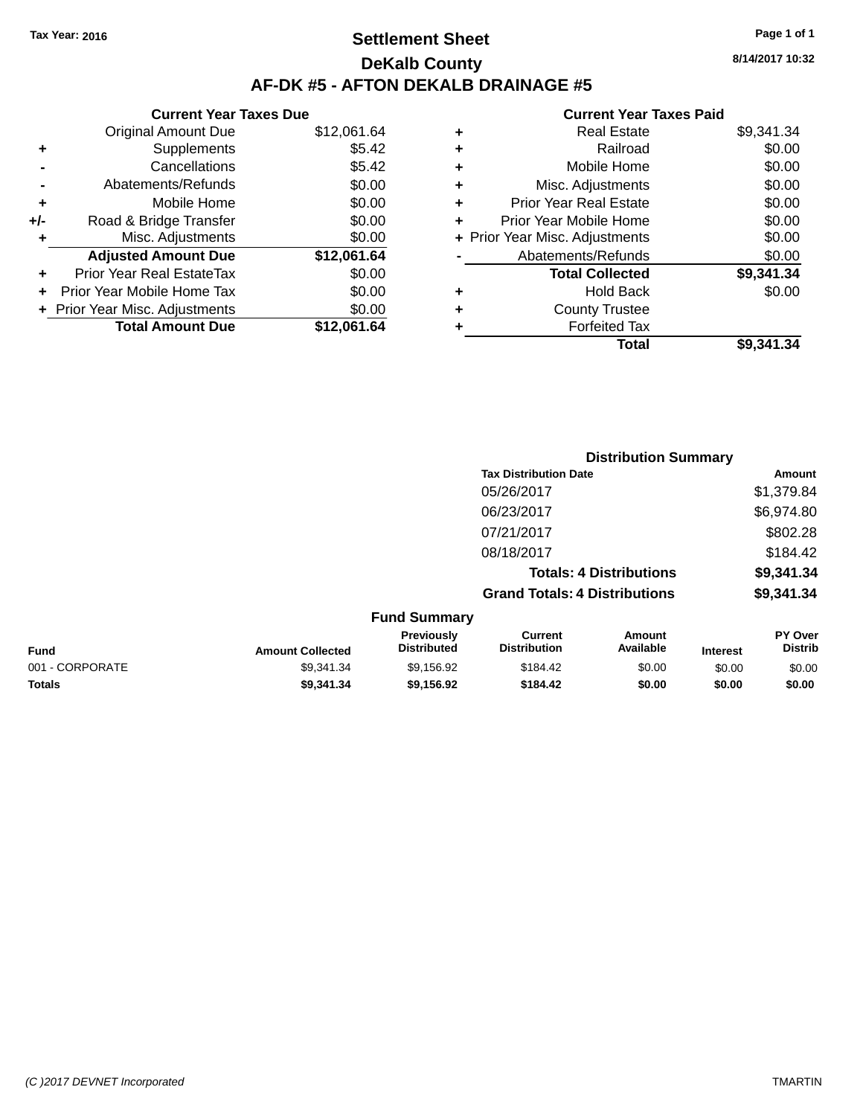# **Settlement Sheet Tax Year: 2016 Page 1 of 1 DeKalb County AF-DK #5 - AFTON DEKALB DRAINAGE #5**

#### **Current Year Taxes Due** Original Amount Due \$12,061.64 **+** Supplements \$5.42 **-** Cancellations \$5.42 **-** Abatements/Refunds \$0.00 **+** Mobile Home \$0.00 **+/-** Road & Bridge Transfer \$0.00 **+** Misc. Adjustments \$0.00 **Adjusted Amount Due \$12,061.64 +** Prior Year Real EstateTax \$0.00 **+** Prior Year Mobile Home Tax \$0.00 **+ Prior Year Misc. Adjustments**  $$0.00$ **Total Amount Due \$12,061.64**

| ٠ | <b>Real Estate</b>             | \$9,341.34 |
|---|--------------------------------|------------|
| ٠ | Railroad                       | \$0.00     |
| ٠ | Mobile Home                    | \$0.00     |
| ٠ | Misc. Adjustments              | \$0.00     |
| ٠ | <b>Prior Year Real Estate</b>  | \$0.00     |
| ٠ | Prior Year Mobile Home         | \$0.00     |
|   | + Prior Year Misc. Adjustments | \$0.00     |
|   | Abatements/Refunds             | \$0.00     |
|   | <b>Total Collected</b>         | \$9,341.34 |
| ٠ | <b>Hold Back</b>               | \$0.00     |
| ٠ | <b>County Trustee</b>          |            |
| ٠ | <b>Forfeited Tax</b>           |            |
|   | Total                          | \$9,341.34 |
|   |                                |            |

|                 |                         |                                  |                                       | <b>Distribution Summary</b>    |                 |                           |
|-----------------|-------------------------|----------------------------------|---------------------------------------|--------------------------------|-----------------|---------------------------|
|                 |                         |                                  | <b>Tax Distribution Date</b>          |                                |                 | Amount                    |
|                 |                         |                                  | 05/26/2017                            |                                |                 | \$1,379.84                |
|                 |                         |                                  | 06/23/2017                            |                                |                 | \$6,974.80                |
|                 |                         |                                  | 07/21/2017                            |                                |                 | \$802.28                  |
|                 |                         |                                  | 08/18/2017                            |                                |                 | \$184.42                  |
|                 |                         |                                  |                                       | <b>Totals: 4 Distributions</b> |                 | \$9,341.34                |
|                 |                         |                                  | <b>Grand Totals: 4 Distributions</b>  |                                |                 | \$9,341.34                |
|                 |                         | <b>Fund Summary</b>              |                                       |                                |                 |                           |
| <b>Fund</b>     | <b>Amount Collected</b> | Previously<br><b>Distributed</b> | <b>Current</b><br><b>Distribution</b> | Amount<br>Available            | <b>Interest</b> | PY Over<br><b>Distrib</b> |
| 001 - CORPORATE | \$9,341.34              | \$9,156.92                       | \$184.42                              | \$0.00                         | \$0.00          | \$0.00                    |
| <b>Totals</b>   | \$9,341.34              | \$9,156.92                       | \$184.42                              | \$0.00                         | \$0.00          | \$0.00                    |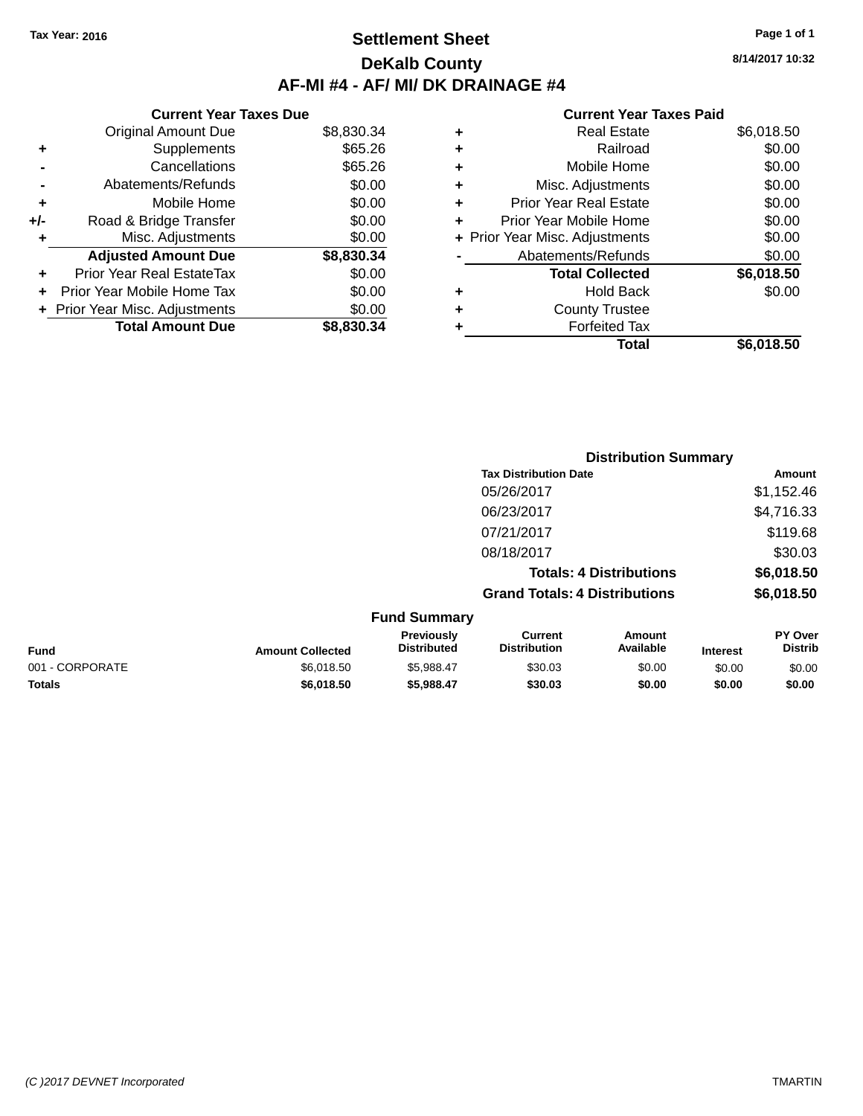## **Settlement Sheet Tax Year: 2016 Page 1 of 1 DeKalb County AF-MI #4 - AF/ MI/ DK DRAINAGE #4**

**8/14/2017 10:32**

| <b>Current Year Taxes Due</b>  |            |
|--------------------------------|------------|
| <b>Original Amount Due</b>     | \$8,830.34 |
| Supplements                    | \$65.26    |
| Cancellations                  | \$65.26    |
| Abatements/Refunds             | \$0.00     |
| Mobile Home                    | \$0.00     |
| Road & Bridge Transfer         | \$0.00     |
| Misc. Adjustments              | \$0.00     |
| <b>Adjusted Amount Due</b>     | \$8,830.34 |
| Prior Year Real EstateTax      | \$0.00     |
|                                |            |
| Prior Year Mobile Home Tax     | \$0.00     |
| + Prior Year Misc. Adjustments | \$0.00     |
|                                |            |

| ٠ | <b>Real Estate</b>             | \$6,018.50 |
|---|--------------------------------|------------|
| ٠ | Railroad                       | \$0.00     |
| ٠ | Mobile Home                    | \$0.00     |
| ٠ | Misc. Adjustments              | \$0.00     |
| ٠ | <b>Prior Year Real Estate</b>  | \$0.00     |
| ٠ | Prior Year Mobile Home         | \$0.00     |
|   | + Prior Year Misc. Adjustments | \$0.00     |
|   | Abatements/Refunds             | \$0.00     |
|   | <b>Total Collected</b>         | \$6,018.50 |
| ٠ | <b>Hold Back</b>               | \$0.00     |
| ٠ | <b>County Trustee</b>          |            |
| ٠ | <b>Forfeited Tax</b>           |            |
|   | Total                          | \$6,018.50 |
|   |                                |            |

|                 |                         |                                         |                                       |                                | <b>Distribution Summary</b> |                           |  |  |
|-----------------|-------------------------|-----------------------------------------|---------------------------------------|--------------------------------|-----------------------------|---------------------------|--|--|
|                 |                         |                                         | <b>Tax Distribution Date</b>          |                                |                             | Amount                    |  |  |
|                 |                         |                                         | 05/26/2017                            |                                |                             | \$1,152.46                |  |  |
|                 |                         |                                         | 06/23/2017                            |                                |                             | \$4,716.33                |  |  |
|                 |                         |                                         | 07/21/2017                            |                                |                             | \$119.68                  |  |  |
|                 |                         |                                         | 08/18/2017                            |                                |                             | \$30.03                   |  |  |
|                 |                         |                                         |                                       | <b>Totals: 4 Distributions</b> |                             | \$6,018.50                |  |  |
|                 |                         |                                         | <b>Grand Totals: 4 Distributions</b>  |                                |                             | \$6,018.50                |  |  |
|                 |                         | <b>Fund Summary</b>                     |                                       |                                |                             |                           |  |  |
| <b>Fund</b>     | <b>Amount Collected</b> | <b>Previously</b><br><b>Distributed</b> | <b>Current</b><br><b>Distribution</b> | Amount<br>Available            | <b>Interest</b>             | PY Over<br><b>Distrib</b> |  |  |
| 001 - CORPORATE | \$6,018.50              | \$5,988.47                              | \$30.03                               | \$0.00                         | \$0.00                      | \$0.00                    |  |  |
| <b>Totals</b>   | \$6,018.50              | \$5,988.47                              | \$30.03                               | \$0.00                         | \$0.00                      | \$0.00                    |  |  |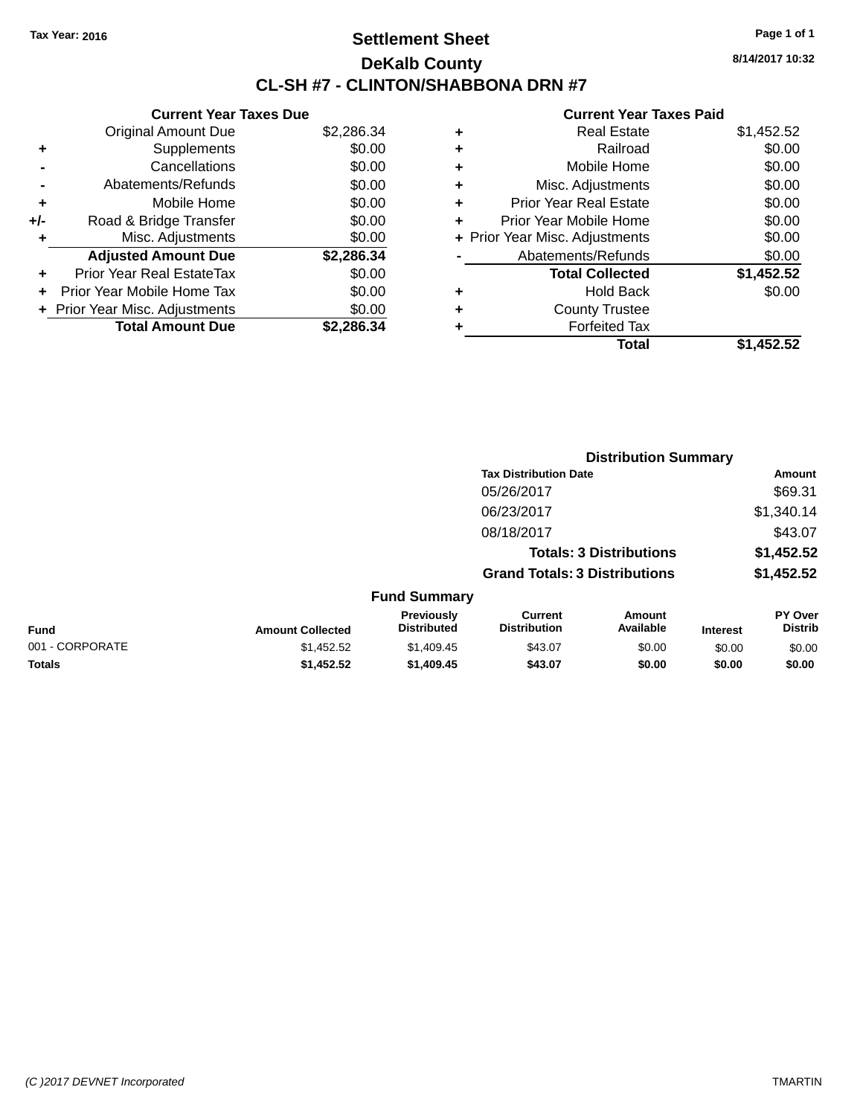# **Settlement Sheet Tax Year: 2016 Page 1 of 1 DeKalb County CL-SH #7 - CLINTON/SHABBONA DRN #7**

**8/14/2017 10:32**

|     | <b>Current Year Taxes Due</b>    |            |  |  |  |  |  |
|-----|----------------------------------|------------|--|--|--|--|--|
|     | <b>Original Amount Due</b>       | \$2,286.34 |  |  |  |  |  |
| ٠   | Supplements                      | \$0.00     |  |  |  |  |  |
|     | Cancellations                    | \$0.00     |  |  |  |  |  |
|     | Abatements/Refunds               | \$0.00     |  |  |  |  |  |
| ٠   | Mobile Home                      | \$0.00     |  |  |  |  |  |
| +/- | Road & Bridge Transfer           | \$0.00     |  |  |  |  |  |
|     | Misc. Adjustments                | \$0.00     |  |  |  |  |  |
|     | <b>Adjusted Amount Due</b>       | \$2,286.34 |  |  |  |  |  |
| ٠   | <b>Prior Year Real EstateTax</b> | \$0.00     |  |  |  |  |  |
| ÷   | Prior Year Mobile Home Tax       | \$0.00     |  |  |  |  |  |
|     | + Prior Year Misc. Adjustments   | \$0.00     |  |  |  |  |  |
|     | <b>Total Amount Due</b>          | \$2.286.34 |  |  |  |  |  |

| ٠ | <b>Real Estate</b>             | \$1,452.52 |
|---|--------------------------------|------------|
| ٠ | Railroad                       | \$0.00     |
| ٠ | Mobile Home                    | \$0.00     |
| ٠ | Misc. Adjustments              | \$0.00     |
| ٠ | <b>Prior Year Real Estate</b>  | \$0.00     |
| ٠ | Prior Year Mobile Home         | \$0.00     |
|   | + Prior Year Misc. Adjustments | \$0.00     |
|   | Abatements/Refunds             | \$0.00     |
|   | <b>Total Collected</b>         | \$1,452.52 |
| ٠ | <b>Hold Back</b>               | \$0.00     |
| ٠ | <b>County Trustee</b>          |            |
| ٠ | <b>Forfeited Tax</b>           |            |
|   | Total                          | \$1,452.52 |
|   |                                |            |

|                 |                         |                                  | <b>Distribution Summary</b>           |                     |                 |                           |
|-----------------|-------------------------|----------------------------------|---------------------------------------|---------------------|-----------------|---------------------------|
|                 |                         |                                  | <b>Tax Distribution Date</b>          |                     |                 | <b>Amount</b>             |
|                 |                         |                                  | 05/26/2017                            |                     |                 | \$69.31                   |
|                 |                         |                                  | 06/23/2017                            |                     |                 | \$1,340.14                |
|                 |                         |                                  | 08/18/2017                            |                     |                 | \$43.07                   |
|                 |                         |                                  | <b>Totals: 3 Distributions</b>        |                     |                 | \$1,452.52                |
|                 |                         |                                  | <b>Grand Totals: 3 Distributions</b>  |                     |                 | \$1,452.52                |
|                 |                         | <b>Fund Summary</b>              |                                       |                     |                 |                           |
| <b>Fund</b>     | <b>Amount Collected</b> | Previously<br><b>Distributed</b> | <b>Current</b><br><b>Distribution</b> | Amount<br>Available | <b>Interest</b> | PY Over<br><b>Distrib</b> |
| 001 - CORPORATE | \$1,452.52              | \$1,409.45                       | \$43.07                               | \$0.00              | \$0.00          | \$0.00                    |
| <b>Totals</b>   | \$1,452.52              | \$1,409.45                       | \$43.07                               | \$0.00              | \$0.00          | \$0.00                    |
|                 |                         |                                  |                                       |                     |                 |                           |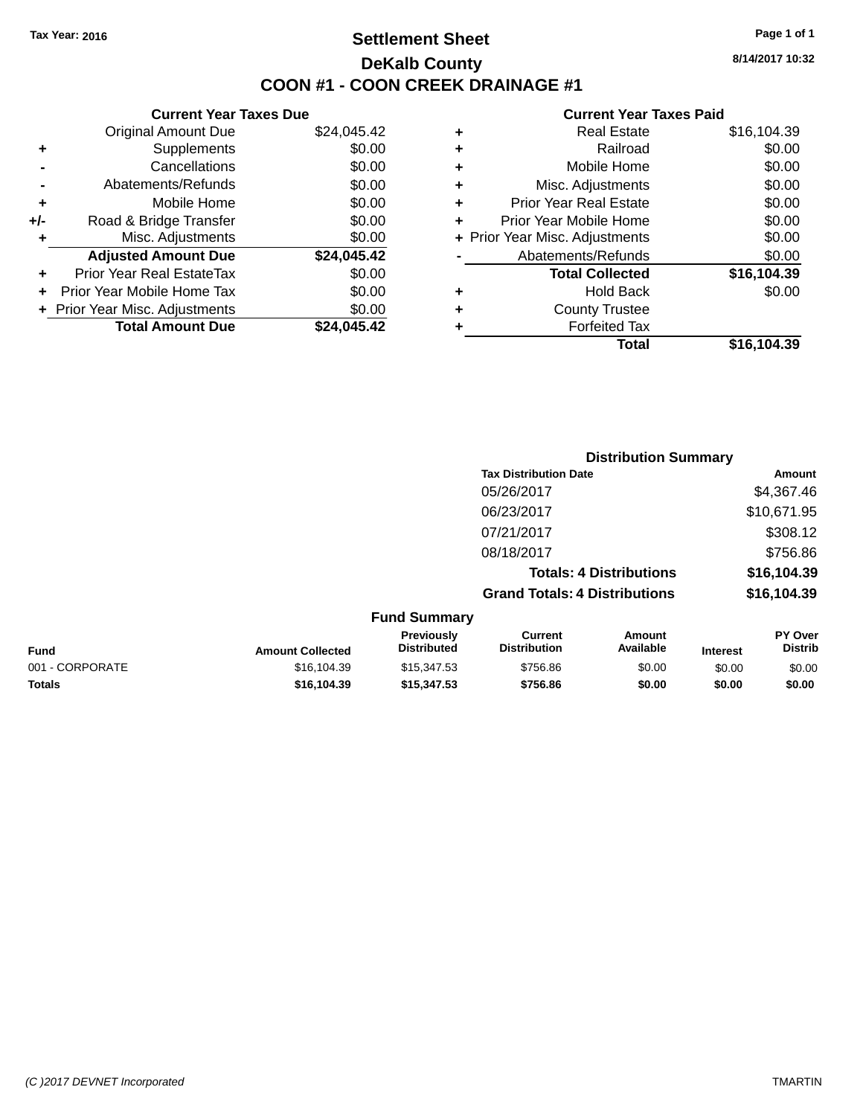# **Settlement Sheet Tax Year: 2016 Page 1 of 1 DeKalb County COON #1 - COON CREEK DRAINAGE #1**

**8/14/2017 10:32**

| <b>Current Year Taxes Due</b> |             |  |  |  |  |  |
|-------------------------------|-------------|--|--|--|--|--|
| <b>Original Amount Due</b>    | \$24,045.42 |  |  |  |  |  |
| Supplements                   | \$0.00      |  |  |  |  |  |
| Cancellations                 | \$0.00      |  |  |  |  |  |
| Abatements/Refunds            | \$0.00      |  |  |  |  |  |
| Mobile Home                   | \$0.00      |  |  |  |  |  |
| Road & Bridge Transfer        | \$0.00      |  |  |  |  |  |
| Misc. Adjustments             | \$0.00      |  |  |  |  |  |
| <b>Adjusted Amount Due</b>    | \$24,045.42 |  |  |  |  |  |
| Prior Year Real EstateTax     | \$0.00      |  |  |  |  |  |
| Prior Year Mobile Home Tax    | \$0.00      |  |  |  |  |  |
|                               |             |  |  |  |  |  |
| Prior Year Misc. Adjustments  | \$0.00      |  |  |  |  |  |
|                               |             |  |  |  |  |  |

| ٠ | <b>Real Estate</b>             | \$16,104.39 |
|---|--------------------------------|-------------|
| ٠ | Railroad                       | \$0.00      |
| ٠ | Mobile Home                    | \$0.00      |
| ٠ | Misc. Adjustments              | \$0.00      |
| ٠ | <b>Prior Year Real Estate</b>  | \$0.00      |
| ÷ | Prior Year Mobile Home         | \$0.00      |
|   | + Prior Year Misc. Adjustments | \$0.00      |
|   | Abatements/Refunds             | \$0.00      |
|   | <b>Total Collected</b>         | \$16,104.39 |
| ٠ | <b>Hold Back</b>               | \$0.00      |
| ٠ | <b>County Trustee</b>          |             |
| ٠ | <b>Forfeited Tax</b>           |             |
|   | Total                          | \$16,104.39 |
|   |                                |             |

|                     |                                      | <b>Distribution Summary</b>    |                |
|---------------------|--------------------------------------|--------------------------------|----------------|
|                     | <b>Tax Distribution Date</b>         |                                | Amount         |
|                     | 05/26/2017                           |                                | \$4,367.46     |
|                     | 06/23/2017                           |                                | \$10,671.95    |
|                     | 07/21/2017                           |                                | \$308.12       |
|                     | 08/18/2017                           |                                | \$756.86       |
|                     |                                      | <b>Totals: 4 Distributions</b> | \$16,104.39    |
|                     | <b>Grand Totals: 4 Distributions</b> |                                | \$16,104.39    |
| <b>Fund Summary</b> |                                      |                                |                |
| Previously          | Current                              | Amount                         | <b>PY Over</b> |

| <b>Fund</b>     | <b>Amount Collected</b> | <b>Previously</b><br><b>Distributed</b> | Current<br>Distribution | Amount<br>Available | <b>Interest</b> | <b>PY Over</b><br><b>Distrib</b> |
|-----------------|-------------------------|-----------------------------------------|-------------------------|---------------------|-----------------|----------------------------------|
| 001 - CORPORATE | \$16.104.39             | \$15,347.53                             | \$756.86                | \$0.00              | \$0.00          | \$0.00                           |
| <b>Totals</b>   | \$16.104.39             | \$15,347.53                             | \$756.86                | \$0.00              | \$0.00          | \$0.00                           |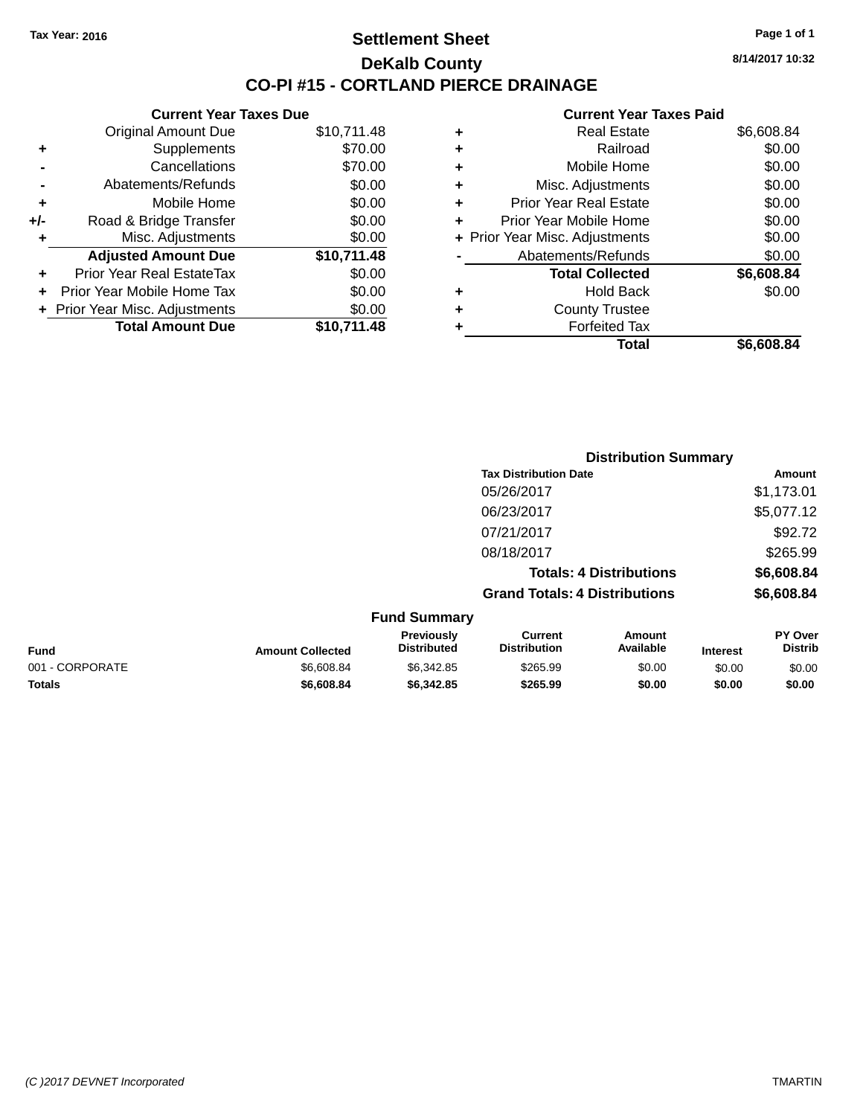## **Settlement Sheet Tax Year: 2016 Page 1 of 1 DeKalb County CO-PI #15 - CORTLAND PIERCE DRAINAGE**

**8/14/2017 10:32**

### **Current Year Taxes Paid**

|       | <b>Current Year Taxes Due</b>  |             |  |  |  |  |  |
|-------|--------------------------------|-------------|--|--|--|--|--|
|       | <b>Original Amount Due</b>     | \$10,711.48 |  |  |  |  |  |
| ٠     | Supplements                    | \$70.00     |  |  |  |  |  |
|       | Cancellations                  | \$70.00     |  |  |  |  |  |
|       | Abatements/Refunds             | \$0.00      |  |  |  |  |  |
| ٠     | Mobile Home                    | \$0.00      |  |  |  |  |  |
| $+/-$ | Road & Bridge Transfer         | \$0.00      |  |  |  |  |  |
| ٠     | Misc. Adjustments              | \$0.00      |  |  |  |  |  |
|       | <b>Adjusted Amount Due</b>     | \$10,711.48 |  |  |  |  |  |
| ٠     | Prior Year Real EstateTax      | \$0.00      |  |  |  |  |  |
| ÷     | Prior Year Mobile Home Tax     | \$0.00      |  |  |  |  |  |
|       | + Prior Year Misc. Adjustments | \$0.00      |  |  |  |  |  |
|       | <b>Total Amount Due</b>        | \$10,711.48 |  |  |  |  |  |
|       |                                |             |  |  |  |  |  |

| ٠ | <b>Real Estate</b>             | \$6,608.84 |
|---|--------------------------------|------------|
| ٠ | Railroad                       | \$0.00     |
| ٠ | Mobile Home                    | \$0.00     |
| ٠ | Misc. Adjustments              | \$0.00     |
| ٠ | <b>Prior Year Real Estate</b>  | \$0.00     |
| ÷ | Prior Year Mobile Home         | \$0.00     |
|   | + Prior Year Misc. Adjustments | \$0.00     |
|   | Abatements/Refunds             | \$0.00     |
|   | <b>Total Collected</b>         | \$6,608.84 |
| ٠ | <b>Hold Back</b>               | \$0.00     |
|   | <b>County Trustee</b>          |            |
| ٠ | <b>Forfeited Tax</b>           |            |
|   | Total                          | \$6,608.84 |
|   |                                |            |

|                 |                         |                                  | <b>Distribution Summary</b>           |                                |                 |                           |
|-----------------|-------------------------|----------------------------------|---------------------------------------|--------------------------------|-----------------|---------------------------|
|                 |                         |                                  | <b>Tax Distribution Date</b>          |                                |                 | Amount                    |
|                 |                         |                                  | 05/26/2017                            |                                |                 | \$1,173.01                |
|                 |                         |                                  | 06/23/2017                            |                                |                 | \$5,077.12                |
|                 |                         |                                  | 07/21/2017                            |                                |                 | \$92.72                   |
|                 |                         |                                  | 08/18/2017                            |                                |                 | \$265.99                  |
|                 |                         |                                  |                                       | <b>Totals: 4 Distributions</b> |                 | \$6,608.84                |
|                 |                         |                                  | <b>Grand Totals: 4 Distributions</b>  |                                |                 | \$6,608.84                |
|                 |                         | <b>Fund Summary</b>              |                                       |                                |                 |                           |
| <b>Fund</b>     | <b>Amount Collected</b> | Previously<br><b>Distributed</b> | <b>Current</b><br><b>Distribution</b> | Amount<br>Available            | <b>Interest</b> | PY Over<br><b>Distrib</b> |
| 001 - CORPORATE | \$6,608.84              | \$6,342.85                       | \$265.99                              | \$0.00                         | \$0.00          | \$0.00                    |
|                 |                         |                                  |                                       |                                |                 |                           |

**Totals \$6,608.84 \$6,342.85 \$265.99 \$0.00 \$0.00 \$0.00**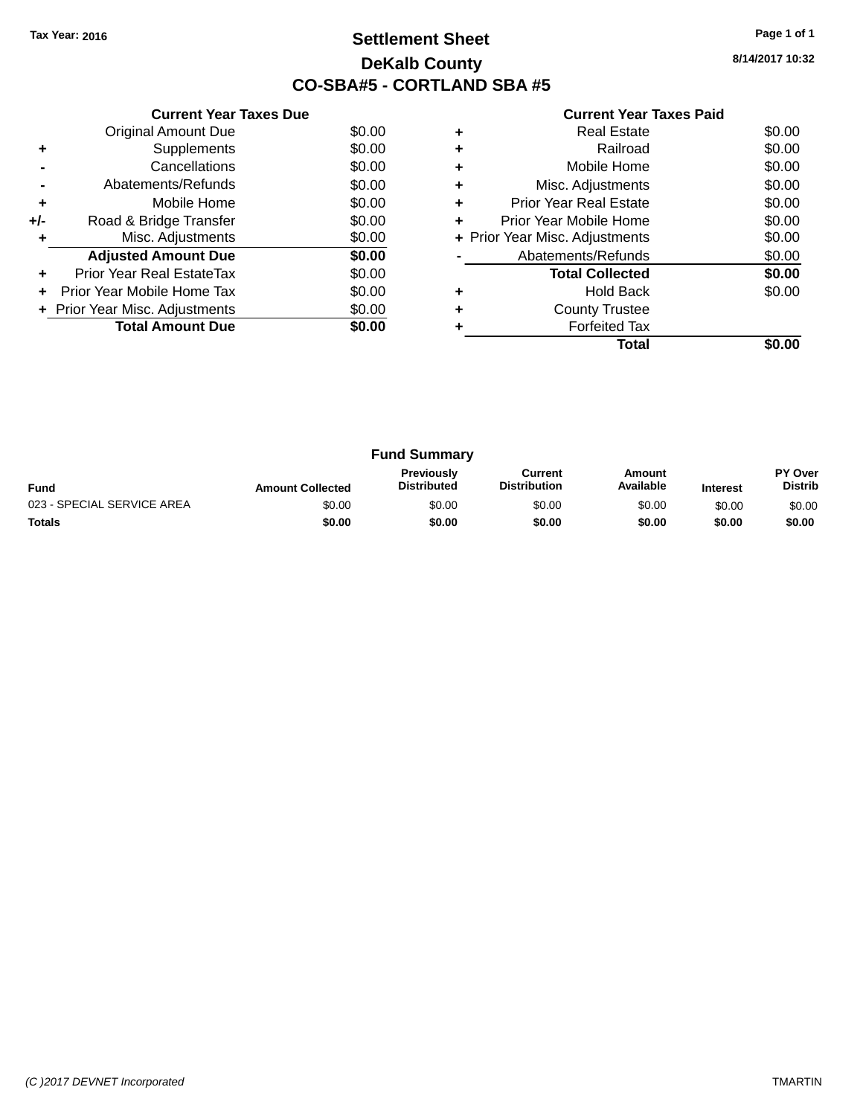# **Settlement Sheet Tax Year: 2016 Page 1 of 1 DeKalb County CO-SBA#5 - CORTLAND SBA #5**

**8/14/2017 10:32**

|     | <b>Current Year Taxes Due</b>  |        |  |  |  |  |  |
|-----|--------------------------------|--------|--|--|--|--|--|
|     | <b>Original Amount Due</b>     | \$0.00 |  |  |  |  |  |
| ÷   | Supplements                    | \$0.00 |  |  |  |  |  |
|     | Cancellations                  | \$0.00 |  |  |  |  |  |
|     | Abatements/Refunds             |        |  |  |  |  |  |
| ٠   | Mobile Home                    | \$0.00 |  |  |  |  |  |
| +/- | Road & Bridge Transfer         | \$0.00 |  |  |  |  |  |
| ٠   | Misc. Adjustments              | \$0.00 |  |  |  |  |  |
|     | <b>Adjusted Amount Due</b>     | \$0.00 |  |  |  |  |  |
| ÷   | Prior Year Real EstateTax      | \$0.00 |  |  |  |  |  |
| ÷   | Prior Year Mobile Home Tax     | \$0.00 |  |  |  |  |  |
|     | + Prior Year Misc. Adjustments | \$0.00 |  |  |  |  |  |
|     | <b>Total Amount Due</b>        | \$0.00 |  |  |  |  |  |
|     |                                |        |  |  |  |  |  |

|   | <b>Real Estate</b>             | \$0.00 |
|---|--------------------------------|--------|
| ÷ | Railroad                       | \$0.00 |
| ٠ | Mobile Home                    | \$0.00 |
| ٠ | Misc. Adjustments              | \$0.00 |
| ٠ | <b>Prior Year Real Estate</b>  | \$0.00 |
| ÷ | Prior Year Mobile Home         | \$0.00 |
|   | + Prior Year Misc. Adjustments | \$0.00 |
|   | Abatements/Refunds             | \$0.00 |
|   | <b>Total Collected</b>         | \$0.00 |
| ٠ | <b>Hold Back</b>               | \$0.00 |
| ٠ | <b>County Trustee</b>          |        |
|   | <b>Forfeited Tax</b>           |        |
|   | Total                          |        |

| <b>Fund Summary</b>        |                         |                                         |                                |                     |                 |                           |
|----------------------------|-------------------------|-----------------------------------------|--------------------------------|---------------------|-----------------|---------------------------|
| <b>Fund</b>                | <b>Amount Collected</b> | <b>Previously</b><br><b>Distributed</b> | Current<br><b>Distribution</b> | Amount<br>Available | <b>Interest</b> | PY Over<br><b>Distrib</b> |
| 023 - SPECIAL SERVICE AREA | \$0.00                  | \$0.00                                  | \$0.00                         | \$0.00              | \$0.00          | \$0.00                    |
| <b>Totals</b>              | \$0.00                  | \$0.00                                  | \$0.00                         | \$0.00              | \$0.00          | \$0.00                    |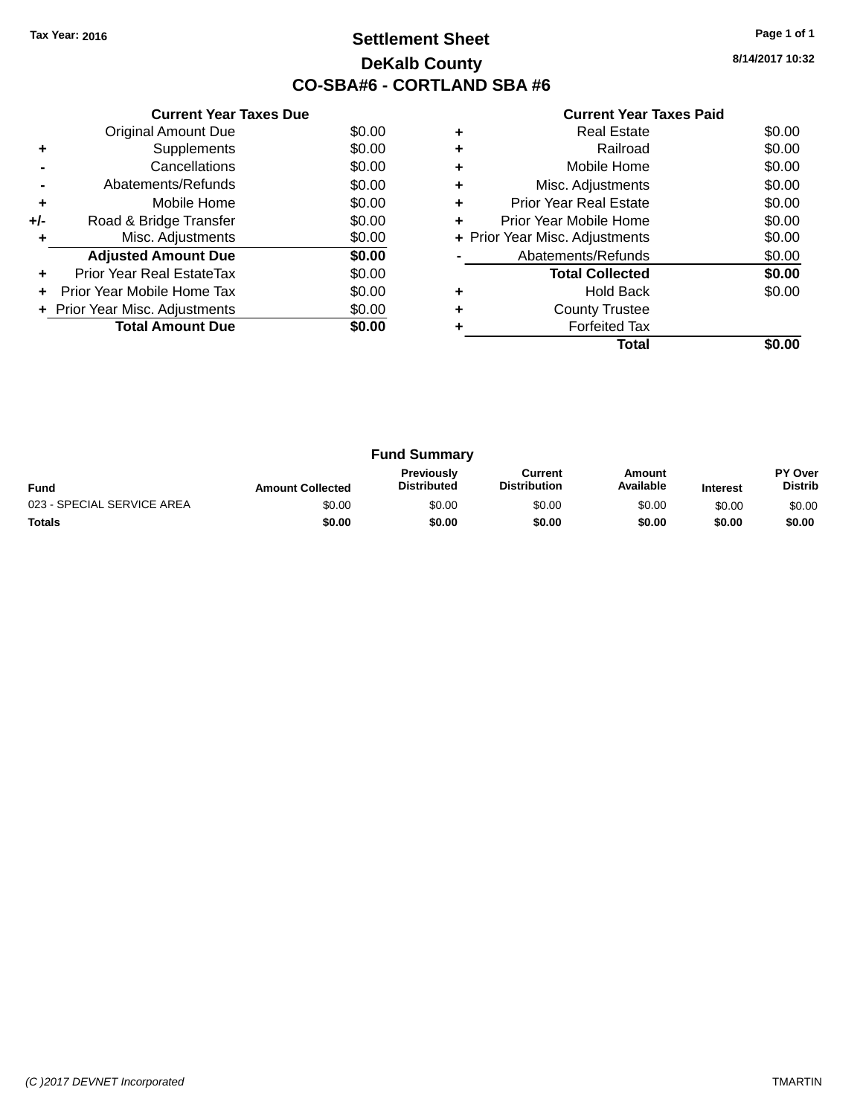# **Settlement Sheet Tax Year: 2016 Page 1 of 1 DeKalb County CO-SBA#6 - CORTLAND SBA #6**

| <b>Current Year Taxes Paid</b> |  |  |  |
|--------------------------------|--|--|--|
|--------------------------------|--|--|--|

|     | <b>Current Year Taxes Due</b>  |        |  |  |  |  |  |
|-----|--------------------------------|--------|--|--|--|--|--|
|     | <b>Original Amount Due</b>     | \$0.00 |  |  |  |  |  |
| ٠   | Supplements                    | \$0.00 |  |  |  |  |  |
|     | Cancellations                  | \$0.00 |  |  |  |  |  |
|     | Abatements/Refunds             | \$0.00 |  |  |  |  |  |
| ٠   | Mobile Home                    | \$0.00 |  |  |  |  |  |
| +/- | Road & Bridge Transfer         | \$0.00 |  |  |  |  |  |
| ٠   | Misc. Adjustments              | \$0.00 |  |  |  |  |  |
|     | <b>Adjusted Amount Due</b>     | \$0.00 |  |  |  |  |  |
| ÷   | Prior Year Real EstateTax      | \$0.00 |  |  |  |  |  |
| ÷   | Prior Year Mobile Home Tax     | \$0.00 |  |  |  |  |  |
|     | + Prior Year Misc. Adjustments | \$0.00 |  |  |  |  |  |
|     | <b>Total Amount Due</b>        | \$0.00 |  |  |  |  |  |
|     |                                |        |  |  |  |  |  |

|   | <b>Real Estate</b>             | \$0.00 |
|---|--------------------------------|--------|
|   | Railroad                       | \$0.00 |
| ٠ | Mobile Home                    | \$0.00 |
| ٠ | Misc. Adjustments              | \$0.00 |
| ٠ | <b>Prior Year Real Estate</b>  | \$0.00 |
| ٠ | Prior Year Mobile Home         | \$0.00 |
|   | + Prior Year Misc. Adjustments | \$0.00 |
|   | Abatements/Refunds             | \$0.00 |
|   | <b>Total Collected</b>         | \$0.00 |
| ٠ | <b>Hold Back</b>               | \$0.00 |
|   | <b>County Trustee</b>          |        |
|   | <b>Forfeited Tax</b>           |        |
|   | Total                          |        |

| <b>Fund Summary</b>        |                         |                                         |                                |                     |                 |                                  |
|----------------------------|-------------------------|-----------------------------------------|--------------------------------|---------------------|-----------------|----------------------------------|
| <b>Fund</b>                | <b>Amount Collected</b> | <b>Previously</b><br><b>Distributed</b> | Current<br><b>Distribution</b> | Amount<br>Available | <b>Interest</b> | <b>PY Over</b><br><b>Distrib</b> |
| 023 - SPECIAL SERVICE AREA | \$0.00                  | \$0.00                                  | \$0.00                         | \$0.00              | \$0.00          | \$0.00                           |
| <b>Totals</b>              | \$0.00                  | \$0.00                                  | \$0.00                         | \$0.00              | \$0.00          | \$0.00                           |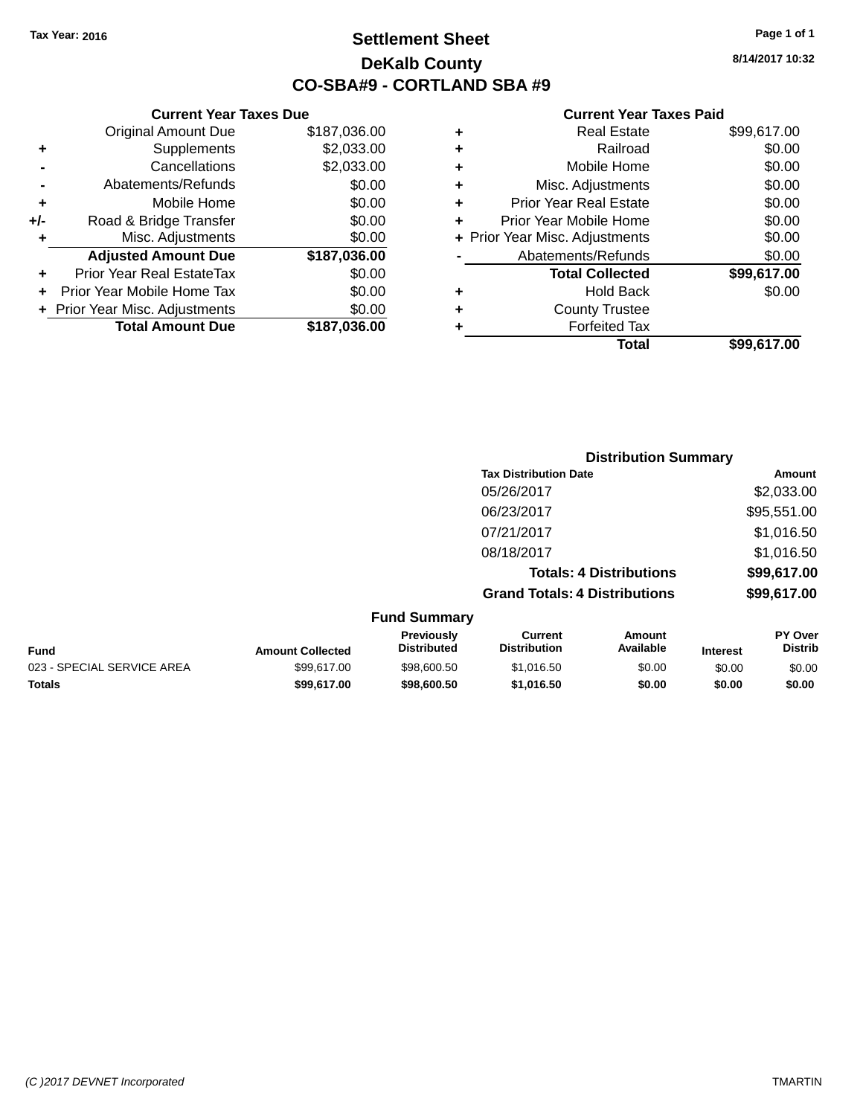**+/-** Road

# **Settlement Sheet Tax Year: 2016 Page 1 of 1 DeKalb County CO-SBA#9 - CORTLAND SBA #9**

**8/14/2017 10:32**

|    | <b>Current Year Taxes Due</b>  |              |   |                   |
|----|--------------------------------|--------------|---|-------------------|
|    | <b>Original Amount Due</b>     | \$187,036.00 | ٠ |                   |
| ÷  | <b>Supplements</b>             | \$2,033.00   | ٠ |                   |
|    | Cancellations                  | \$2,033.00   | ٠ |                   |
|    | Abatements/Refunds             | \$0.00       | ٠ | Miso              |
| ÷  | Mobile Home                    | \$0.00       | ٠ | Prior Ye          |
| I- | Road & Bridge Transfer         | \$0.00       | ٠ | <b>Prior Year</b> |
| ÷  | Misc. Adjustments              | \$0.00       |   | + Prior Year Mise |
|    | <b>Adjusted Amount Due</b>     | \$187,036.00 |   | Abaten            |
| ÷  | Prior Year Real EstateTax      | \$0.00       |   | Τо                |
|    | Prior Year Mobile Home Tax     | \$0.00       | ٠ |                   |
|    | + Prior Year Misc. Adjustments | \$0.00       | ٠ |                   |
|    | <b>Total Amount Due</b>        | \$187,036.00 |   |                   |
|    |                                |              |   |                   |

|   | Total                          | \$99,617.00 |
|---|--------------------------------|-------------|
|   | <b>Forfeited Tax</b>           |             |
| ٠ | <b>County Trustee</b>          |             |
| ٠ | <b>Hold Back</b>               | \$0.00      |
|   | <b>Total Collected</b>         | \$99,617.00 |
|   | Abatements/Refunds             | \$0.00      |
|   | + Prior Year Misc. Adjustments | \$0.00      |
| ٠ | Prior Year Mobile Home         | \$0.00      |
| ٠ | <b>Prior Year Real Estate</b>  | \$0.00      |
| ٠ | Misc. Adjustments              | \$0.00      |
| ٠ | Mobile Home                    | \$0.00      |
| ÷ | Railroad                       | \$0.00      |
| ٠ | <b>Real Estate</b>             | \$99,617.00 |

|                            |                         |                                  | <b>Distribution Summary</b>           |                                |                 |                           |
|----------------------------|-------------------------|----------------------------------|---------------------------------------|--------------------------------|-----------------|---------------------------|
|                            |                         |                                  | <b>Tax Distribution Date</b>          |                                |                 | Amount                    |
|                            |                         |                                  | 05/26/2017                            |                                |                 | \$2,033.00                |
|                            |                         |                                  | 06/23/2017                            |                                |                 | \$95,551.00               |
|                            |                         |                                  | 07/21/2017                            |                                |                 | \$1,016.50                |
|                            |                         |                                  | 08/18/2017                            |                                |                 | \$1,016.50                |
|                            |                         |                                  |                                       | <b>Totals: 4 Distributions</b> |                 | \$99,617.00               |
|                            |                         |                                  | <b>Grand Totals: 4 Distributions</b>  |                                |                 | \$99,617.00               |
|                            |                         | <b>Fund Summary</b>              |                                       |                                |                 |                           |
| <b>Fund</b>                | <b>Amount Collected</b> | Previously<br><b>Distributed</b> | <b>Current</b><br><b>Distribution</b> | Amount<br>Available            | <b>Interest</b> | PY Over<br><b>Distrib</b> |
| 023 - SPECIAL SERVICE AREA | \$99,617.00             | \$98,600.50                      | \$1,016.50                            | \$0.00                         | \$0.00          | \$0.00                    |
| <b>Totals</b>              | \$99,617.00             | \$98,600.50                      | \$1,016.50                            | \$0.00                         | \$0.00          | \$0.00                    |
|                            |                         |                                  |                                       |                                |                 |                           |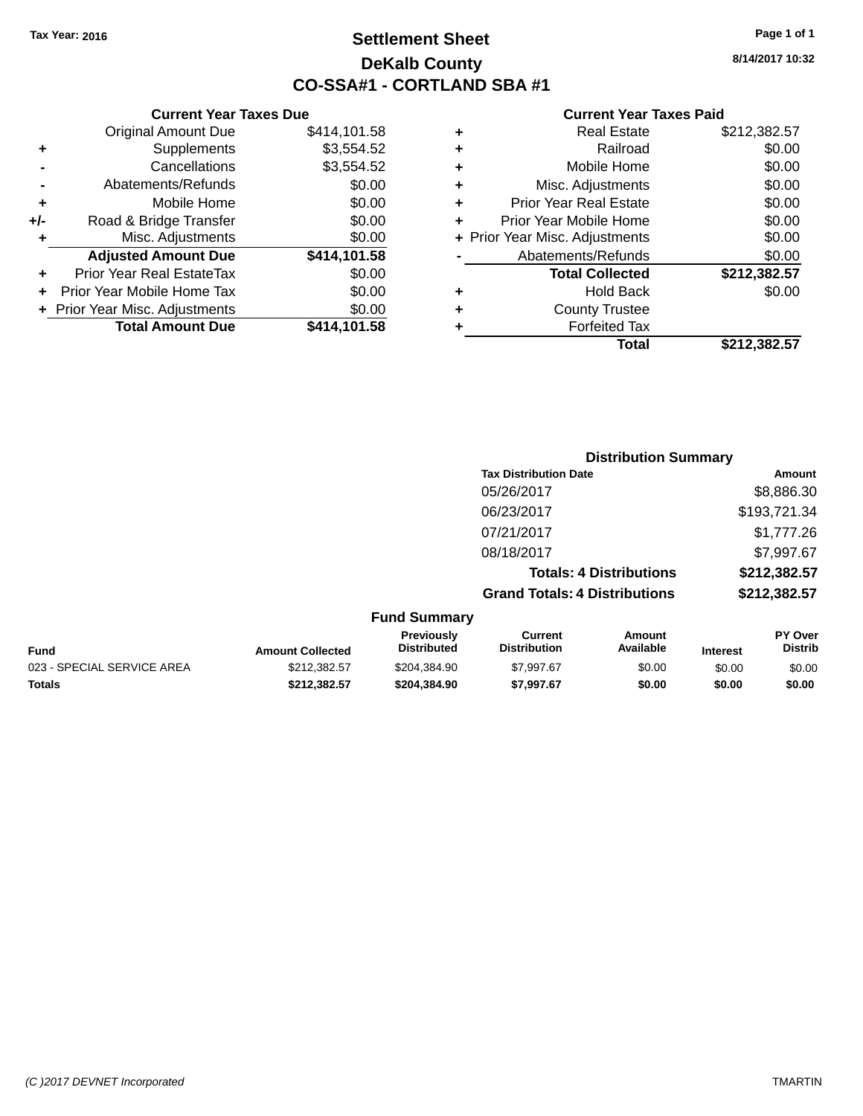**Current Year Taxes Due** Original Amount Due \$414,101.58

**Adjusted Amount Due \$414,101.58**

**Total Amount Due \$414,101.58**

**+** Supplements \$3,554.52 **-** Cancellations \$3,554.52 **-** Abatements/Refunds \$0.00 **+** Mobile Home \$0.00 **+/-** Road & Bridge Transfer \$0.00 **+** Misc. Adjustments \$0.00

**+** Prior Year Real EstateTax \$0.00 **+** Prior Year Mobile Home Tax \$0.00 **+ Prior Year Misc. Adjustments**  $$0.00$ 

# **Settlement Sheet Tax Year: 2016 Page 1 of 1 DeKalb County CO-SSA#1 - CORTLAND SBA #1**

**8/14/2017 10:32**

|                                | \$0.00                                       |
|--------------------------------|----------------------------------------------|
|                                | \$0.00                                       |
|                                | \$0.00                                       |
| <b>Prior Year Real Estate</b>  | \$0.00                                       |
| Prior Year Mobile Home         | \$0.00                                       |
| + Prior Year Misc. Adjustments | \$0.00                                       |
| Abatements/Refunds             | \$0.00                                       |
| <b>Total Collected</b>         | \$212,382.57                                 |
| <b>Hold Back</b>               | \$0.00                                       |
| <b>County Trustee</b>          |                                              |
|                                |                                              |
| <b>Forfeited Tax</b>           |                                              |
|                                | Railroad<br>Mobile Home<br>Misc. Adjustments |

|                            |                         |                                  | <b>Distribution Summary</b>           |                                |                 |                           |
|----------------------------|-------------------------|----------------------------------|---------------------------------------|--------------------------------|-----------------|---------------------------|
|                            |                         |                                  | <b>Tax Distribution Date</b>          |                                |                 | <b>Amount</b>             |
|                            |                         |                                  | 05/26/2017                            |                                |                 | \$8,886.30                |
|                            |                         |                                  | 06/23/2017                            |                                |                 | \$193,721.34              |
|                            |                         |                                  | 07/21/2017                            |                                |                 | \$1,777.26                |
|                            |                         |                                  | 08/18/2017                            |                                |                 | \$7,997.67                |
|                            |                         |                                  |                                       | <b>Totals: 4 Distributions</b> |                 | \$212,382.57              |
|                            |                         |                                  | <b>Grand Totals: 4 Distributions</b>  |                                |                 | \$212,382.57              |
|                            |                         | <b>Fund Summary</b>              |                                       |                                |                 |                           |
| <b>Fund</b>                | <b>Amount Collected</b> | Previously<br><b>Distributed</b> | <b>Current</b><br><b>Distribution</b> | Amount<br>Available            | <b>Interest</b> | PY Over<br><b>Distrib</b> |
| 023 - SPECIAL SERVICE AREA | \$212,382.57            | \$204.384.90                     | \$7,997.67                            | \$0.00                         | \$0.00          | \$0.00                    |
| <b>Totals</b>              | \$212.382.57            | \$204.384.90                     | \$7,997.67                            | \$0.00                         | \$0.00          | \$0.00                    |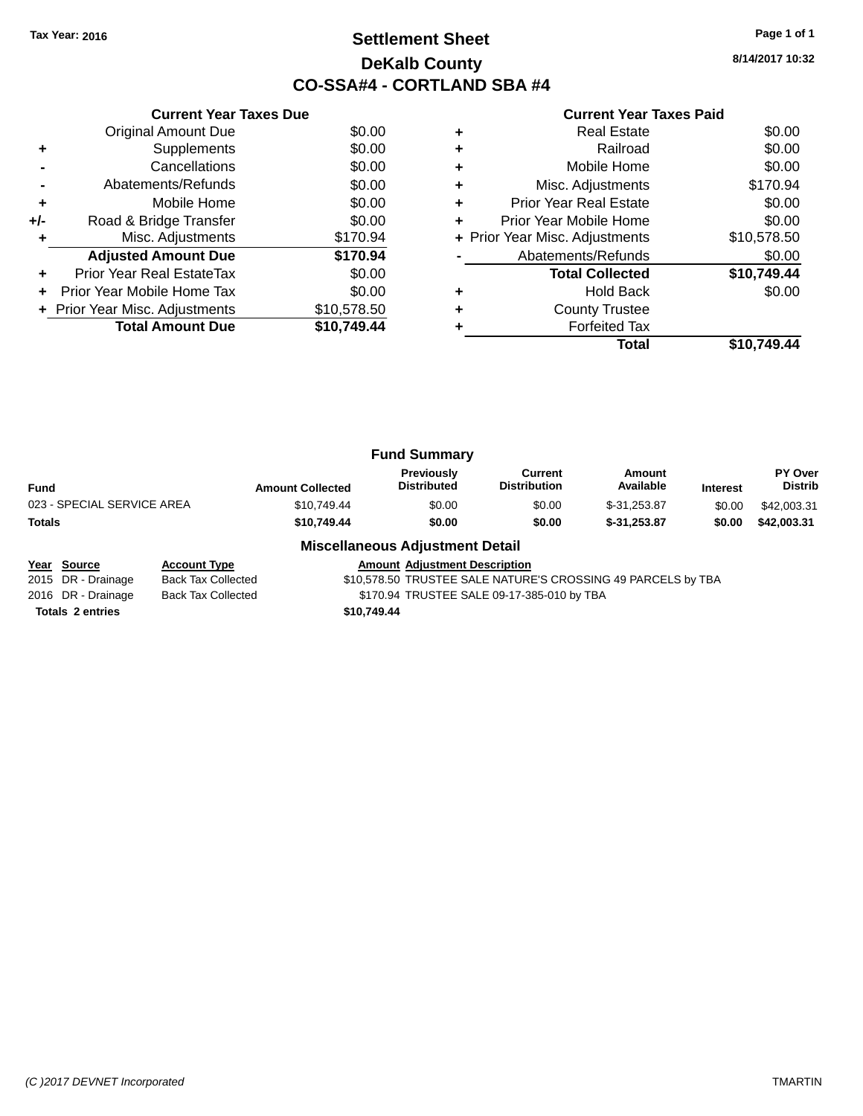# **Settlement Sheet Tax Year: 2016 Page 1 of 1 DeKalb County CO-SSA#4 - CORTLAND SBA #4**

**8/14/2017 10:32**

|     | <b>Current Year Taxes Due</b>  |             |
|-----|--------------------------------|-------------|
|     | Original Amount Due            | \$0.00      |
|     | Supplements                    | \$0.00      |
|     | Cancellations                  | \$0.00      |
|     | Abatements/Refunds             | \$0.00      |
| ٠   | Mobile Home                    | \$0.00      |
| +/- | Road & Bridge Transfer         | \$0.00      |
|     | Misc. Adjustments              | \$170.94    |
|     | <b>Adjusted Amount Due</b>     | \$170.94    |
|     | Prior Year Real EstateTax      | \$0.00      |
| ÷   | Prior Year Mobile Home Tax     | \$0.00      |
|     | + Prior Year Misc. Adjustments | \$10,578.50 |
|     | <b>Total Amount Due</b>        | \$10.749.44 |
|     |                                |             |

# **Current Year Taxes Paid**

|   | Total                          | \$10.749.44 |
|---|--------------------------------|-------------|
|   | <b>Forfeited Tax</b>           |             |
| ٠ | <b>County Trustee</b>          |             |
| ٠ | <b>Hold Back</b>               | \$0.00      |
|   | <b>Total Collected</b>         | \$10,749.44 |
|   | Abatements/Refunds             | \$0.00      |
|   | + Prior Year Misc. Adjustments | \$10,578.50 |
| ٠ | Prior Year Mobile Home         | \$0.00      |
| ٠ | <b>Prior Year Real Estate</b>  | \$0.00      |
| ٠ | Misc. Adjustments              | \$170.94    |
| ٠ | Mobile Home                    | \$0.00      |
| ٠ | Railroad                       | \$0.00      |
| ٠ | <b>Real Estate</b>             | \$0.00      |

| <b>Interest</b> | <b>PY Over</b><br><b>Distrib</b> |
|-----------------|----------------------------------|
| \$0.00          | \$42,003.31                      |
| \$0.00          | \$42,003.31                      |
|                 |                                  |

#### **Miscellaneous Adjustment Detail**

**Year Source Account Type Amount Adjustment Description** \$10,578.50 TRUSTEE SALE NATURE'S CROSSING 49 PARCELS by TBA 2016 DR - Drainage Back Tax Collected \$170.94 TRUSTEE SALE 09-17-385-010 by TBA **Totals 2 entries \$10,749.44**

*(C )2017 DEVNET Incorporated* TMARTIN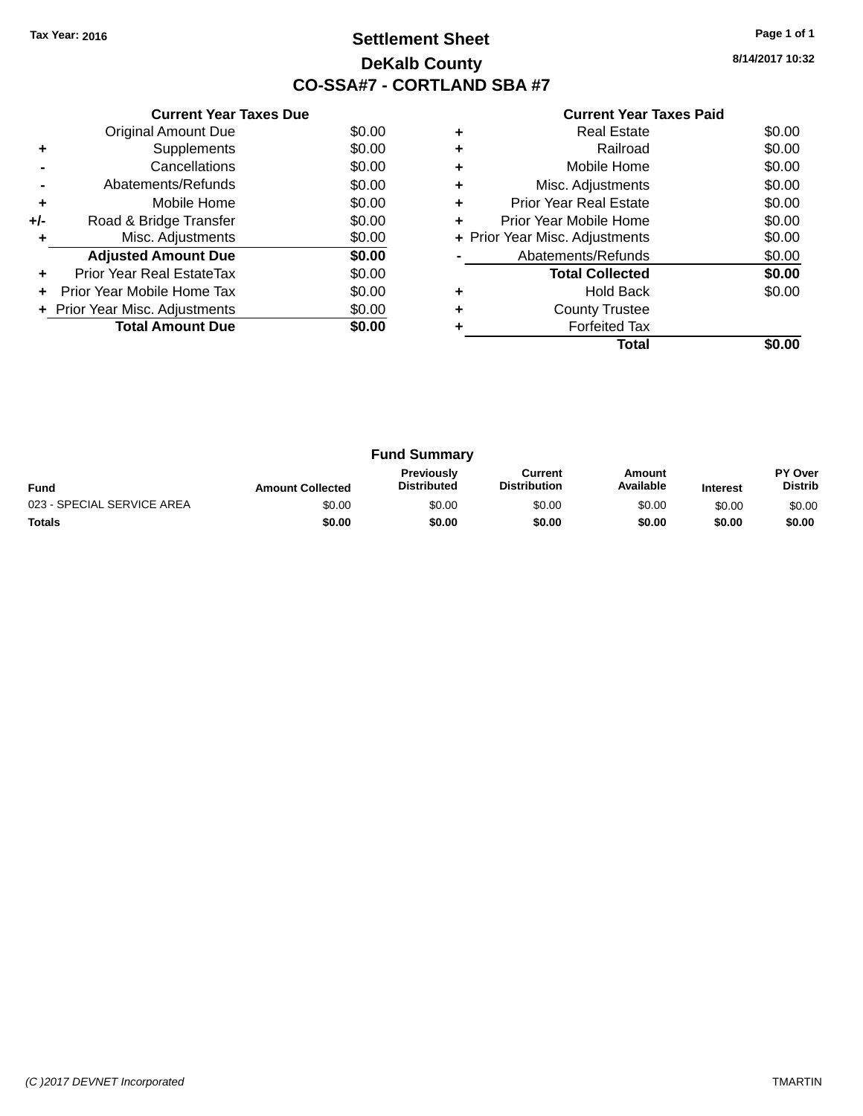# **Settlement Sheet Tax Year: 2016 Page 1 of 1 DeKalb County CO-SSA#7 - CORTLAND SBA #7**

| <b>Current Year Taxes Paid</b> |  |  |
|--------------------------------|--|--|
|--------------------------------|--|--|

|     | <b>Current Year Taxes Due</b>  |        |
|-----|--------------------------------|--------|
|     | Original Amount Due            | \$0.00 |
| ÷   | Supplements                    | \$0.00 |
|     | Cancellations                  | \$0.00 |
|     | Abatements/Refunds             | \$0.00 |
| ٠   | Mobile Home                    | \$0.00 |
| +/- | Road & Bridge Transfer         | \$0.00 |
|     | Misc. Adjustments              | \$0.00 |
|     | <b>Adjusted Amount Due</b>     | \$0.00 |
| ÷   | Prior Year Real EstateTax      | \$0.00 |
| ÷   | Prior Year Mobile Home Tax     | \$0.00 |
|     | + Prior Year Misc. Adjustments | \$0.00 |
|     | <b>Total Amount Due</b>        | SO.OO  |
|     |                                |        |

|   | Total                          |        |
|---|--------------------------------|--------|
|   | <b>Forfeited Tax</b>           |        |
|   | <b>County Trustee</b>          |        |
|   | <b>Hold Back</b>               | \$0.00 |
|   | <b>Total Collected</b>         | \$0.00 |
|   | Abatements/Refunds             | \$0.00 |
|   | + Prior Year Misc. Adjustments | \$0.00 |
| ÷ | Prior Year Mobile Home         | \$0.00 |
| ٠ | <b>Prior Year Real Estate</b>  | \$0.00 |
|   | Misc. Adjustments              | \$0.00 |
|   | Mobile Home                    | \$0.00 |
|   | Railroad                       | \$0.00 |
|   | <b>Real Estate</b>             | \$0.00 |

| <b>Fund Summary</b>                                                                                                                                           |        |        |        |        |        |                           |
|---------------------------------------------------------------------------------------------------------------------------------------------------------------|--------|--------|--------|--------|--------|---------------------------|
| <b>Previously</b><br>Current<br>Amount<br>Available<br><b>Distribution</b><br><b>Distributed</b><br><b>Fund</b><br><b>Amount Collected</b><br><b>Interest</b> |        |        |        |        |        | PY Over<br><b>Distrib</b> |
| 023 - SPECIAL SERVICE AREA                                                                                                                                    | \$0.00 | \$0.00 | \$0.00 | \$0.00 | \$0.00 | \$0.00                    |
| <b>Totals</b>                                                                                                                                                 | \$0.00 | \$0.00 | \$0.00 | \$0.00 | \$0.00 | \$0.00                    |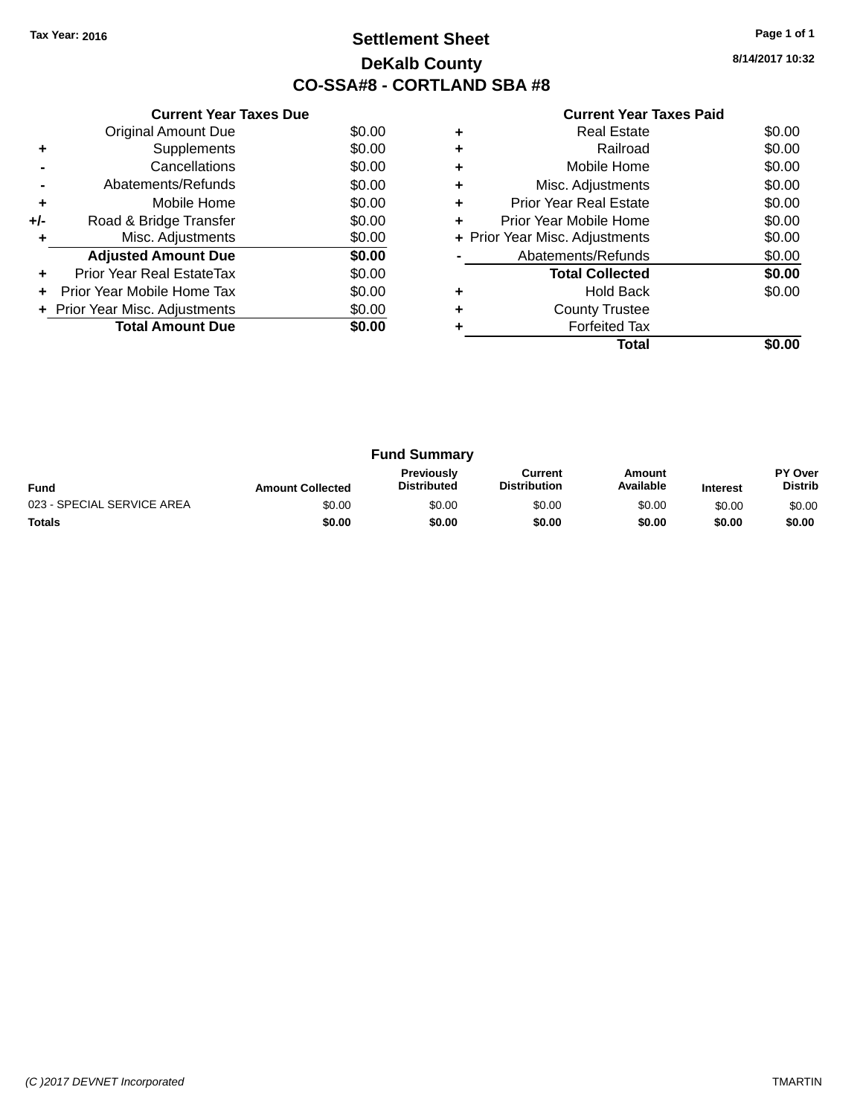# **Settlement Sheet Tax Year: 2016 Page 1 of 1 DeKalb County CO-SSA#8 - CORTLAND SBA #8**

| <b>Current Year Taxes Paid</b> |  |  |  |
|--------------------------------|--|--|--|
|--------------------------------|--|--|--|

|     | <b>Current Year Taxes Due</b>  |        |
|-----|--------------------------------|--------|
|     | Original Amount Due            | \$0.00 |
| ÷   | Supplements                    | \$0.00 |
|     | Cancellations                  | \$0.00 |
|     | Abatements/Refunds             | \$0.00 |
| ٠   | Mobile Home                    | \$0.00 |
| +/- | Road & Bridge Transfer         | \$0.00 |
| ٠   | Misc. Adjustments              | \$0.00 |
|     | <b>Adjusted Amount Due</b>     | \$0.00 |
| ÷   | Prior Year Real EstateTax      | \$0.00 |
| ÷   | Prior Year Mobile Home Tax     | \$0.00 |
|     | + Prior Year Misc. Adjustments | \$0.00 |
|     | <b>Total Amount Due</b>        | \$0.00 |
|     |                                |        |

|   | <b>Real Estate</b>             | \$0.00 |
|---|--------------------------------|--------|
| ٠ | Railroad                       | \$0.00 |
| ٠ | Mobile Home                    | \$0.00 |
| ٠ | Misc. Adjustments              | \$0.00 |
| ٠ | <b>Prior Year Real Estate</b>  | \$0.00 |
| ٠ | Prior Year Mobile Home         | \$0.00 |
|   | + Prior Year Misc. Adjustments | \$0.00 |
|   | Abatements/Refunds             | \$0.00 |
|   | <b>Total Collected</b>         | \$0.00 |
| ٠ | <b>Hold Back</b>               | \$0.00 |
|   | <b>County Trustee</b>          |        |
|   | <b>Forfeited Tax</b>           |        |
|   | Total                          |        |

| <b>Fund Summary</b>                                                                                                                                           |        |        |        |        |        |                                  |
|---------------------------------------------------------------------------------------------------------------------------------------------------------------|--------|--------|--------|--------|--------|----------------------------------|
| <b>Previously</b><br>Current<br>Amount<br>Available<br><b>Distribution</b><br><b>Distributed</b><br><b>Fund</b><br><b>Amount Collected</b><br><b>Interest</b> |        |        |        |        |        | <b>PY Over</b><br><b>Distrib</b> |
| 023 - SPECIAL SERVICE AREA                                                                                                                                    | \$0.00 | \$0.00 | \$0.00 | \$0.00 | \$0.00 | \$0.00                           |
| <b>Totals</b>                                                                                                                                                 | \$0.00 | \$0.00 | \$0.00 | \$0.00 | \$0.00 | \$0.00                           |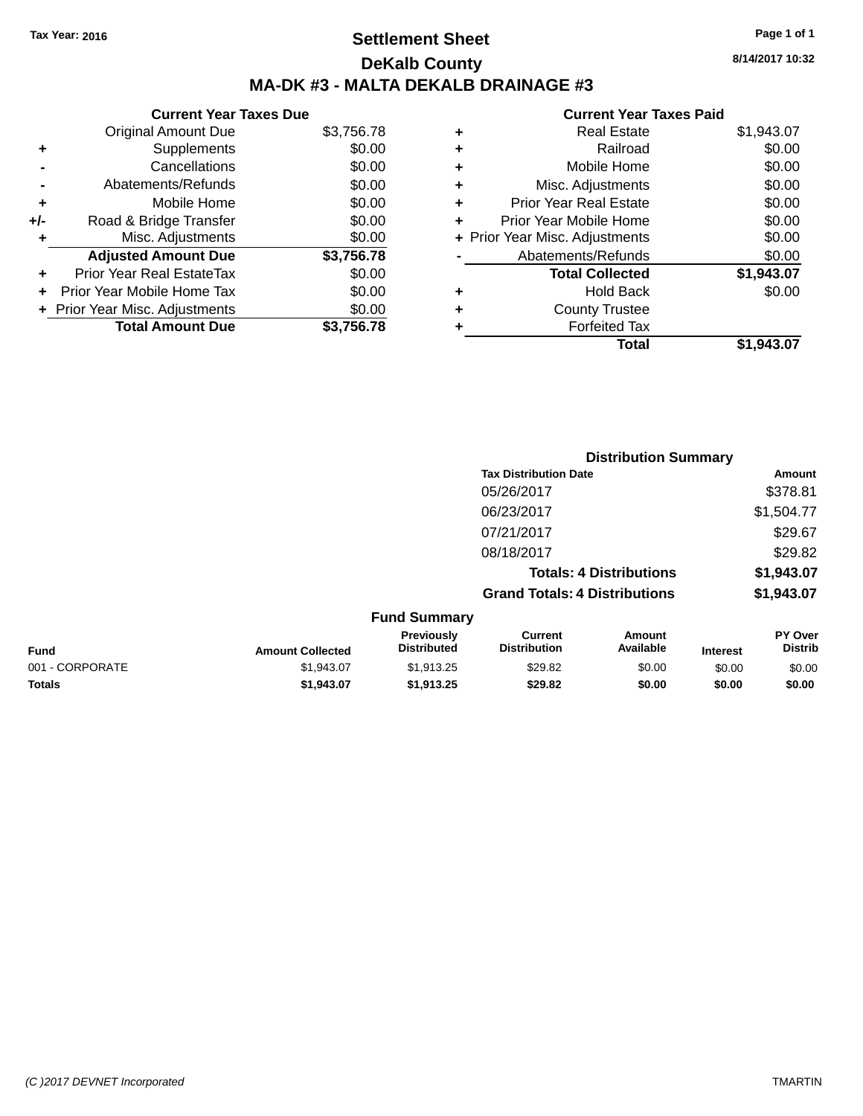# **Settlement Sheet Tax Year: 2016 Page 1 of 1 DeKalb County MA-DK #3 - MALTA DEKALB DRAINAGE #3**

#### **Current Year Taxes Due** Original Amount Due \$3,756.78 **+** Supplements \$0.00 **-** Cancellations \$0.00 **-** Abatements/Refunds \$0.00 **+** Mobile Home \$0.00 **+/-** Road & Bridge Transfer \$0.00 **+** Misc. Adjustments \$0.00 **Adjusted Amount Due \$3,756.78 +** Prior Year Real EstateTax \$0.00 **+** Prior Year Mobile Home Tax \$0.00 **+ Prior Year Misc. Adjustments**  $$0.00$ **Total Amount Due \$3,756.78**

#### **Current Year Taxes Paid**

| ٠ | <b>Real Estate</b>             | \$1,943.07 |
|---|--------------------------------|------------|
| ٠ | Railroad                       | \$0.00     |
| ٠ | Mobile Home                    | \$0.00     |
| ٠ | Misc. Adjustments              | \$0.00     |
| ٠ | <b>Prior Year Real Estate</b>  | \$0.00     |
| ٠ | Prior Year Mobile Home         | \$0.00     |
|   | + Prior Year Misc. Adjustments | \$0.00     |
|   | Abatements/Refunds             | \$0.00     |
|   | <b>Total Collected</b>         | \$1,943.07 |
| ٠ | <b>Hold Back</b>               | \$0.00     |
| ٠ | <b>County Trustee</b>          |            |
| ٠ | <b>Forfeited Tax</b>           |            |
|   | Total                          | \$1,943.07 |
|   |                                |            |

**Distribution Summary**

|                 |                         |                                  | <b>PISUINGUOII SUIIIIIIGI V</b>       |                                |                 |                           |
|-----------------|-------------------------|----------------------------------|---------------------------------------|--------------------------------|-----------------|---------------------------|
|                 |                         |                                  | <b>Tax Distribution Date</b>          |                                |                 | Amount                    |
|                 |                         |                                  | 05/26/2017                            |                                |                 | \$378.81                  |
|                 |                         |                                  | 06/23/2017                            |                                |                 | \$1,504.77                |
|                 |                         |                                  | 07/21/2017                            |                                |                 | \$29.67                   |
|                 |                         |                                  | 08/18/2017                            |                                |                 | \$29.82                   |
|                 |                         |                                  |                                       | <b>Totals: 4 Distributions</b> |                 | \$1,943.07                |
|                 |                         |                                  | <b>Grand Totals: 4 Distributions</b>  |                                |                 | \$1,943.07                |
|                 |                         | <b>Fund Summary</b>              |                                       |                                |                 |                           |
| <b>Fund</b>     | <b>Amount Collected</b> | Previously<br><b>Distributed</b> | <b>Current</b><br><b>Distribution</b> | Amount<br>Available            | <b>Interest</b> | PY Over<br><b>Distrib</b> |
| 001 - CORPORATE | \$1,943.07              | \$1,913.25                       | \$29.82                               | \$0.00                         | \$0.00          | \$0.00                    |
| <b>Totals</b>   | \$1,943.07              | \$1,913.25                       | \$29.82                               | \$0.00                         | \$0.00          | \$0.00                    |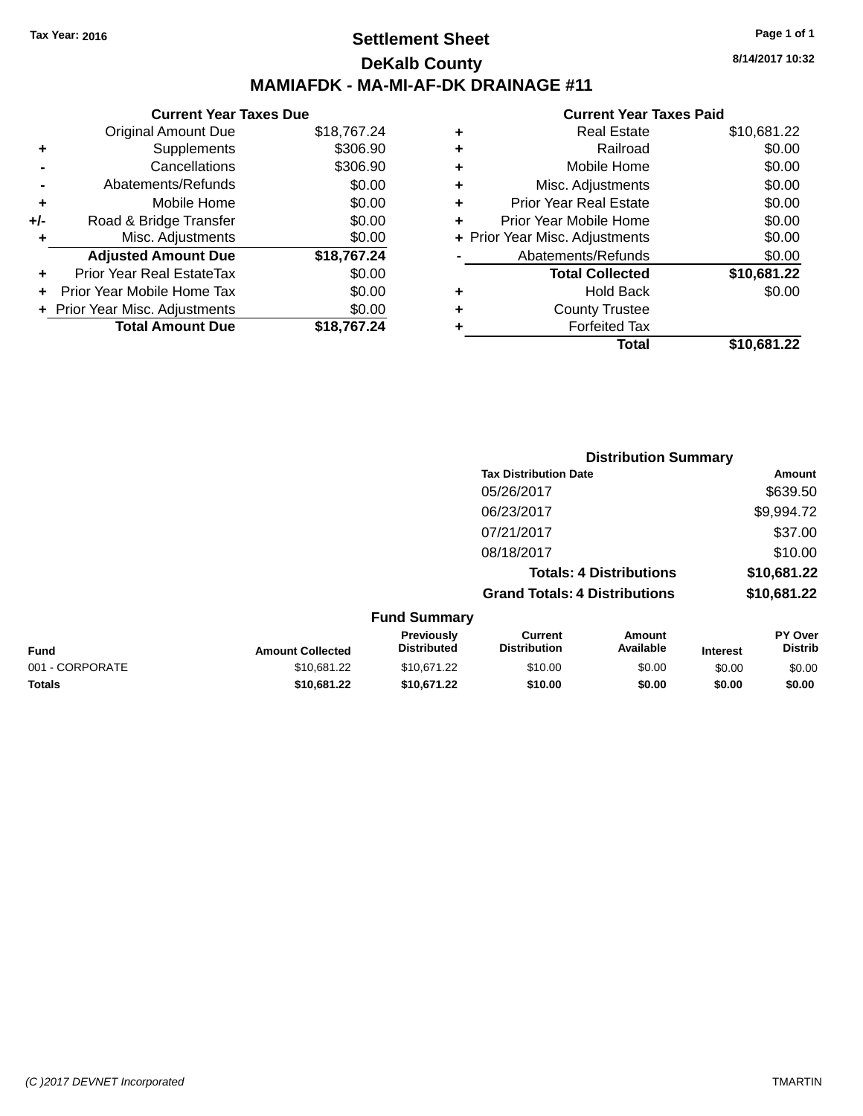## **Settlement Sheet Tax Year: 2016 Page 1 of 1 DeKalb County MAMIAFDK - MA-MI-AF-DK DRAINAGE #11**

**8/14/2017 10:32**

|     | <b>Current Year Taxes Due</b>  |             |  |  |  |  |
|-----|--------------------------------|-------------|--|--|--|--|
|     | <b>Original Amount Due</b>     | \$18,767.24 |  |  |  |  |
| ٠   | Supplements                    | \$306.90    |  |  |  |  |
|     | Cancellations                  | \$306.90    |  |  |  |  |
|     | Abatements/Refunds             | \$0.00      |  |  |  |  |
| ٠   | Mobile Home                    | \$0.00      |  |  |  |  |
| +/- | Road & Bridge Transfer         | \$0.00      |  |  |  |  |
| ٠   | Misc. Adjustments              | \$0.00      |  |  |  |  |
|     | <b>Adjusted Amount Due</b>     | \$18,767.24 |  |  |  |  |
| ÷   | Prior Year Real EstateTax      | \$0.00      |  |  |  |  |
| ÷   | Prior Year Mobile Home Tax     | \$0.00      |  |  |  |  |
|     | + Prior Year Misc. Adjustments | \$0.00      |  |  |  |  |
|     | <b>Total Amount Due</b>        | \$18.767.24 |  |  |  |  |

| ٠ | <b>Real Estate</b>             | \$10,681.22 |
|---|--------------------------------|-------------|
| ٠ | Railroad                       | \$0.00      |
| ٠ | Mobile Home                    | \$0.00      |
| ٠ | Misc. Adjustments              | \$0.00      |
| ٠ | <b>Prior Year Real Estate</b>  | \$0.00      |
| ٠ | Prior Year Mobile Home         | \$0.00      |
|   | + Prior Year Misc. Adjustments | \$0.00      |
|   | Abatements/Refunds             | \$0.00      |
|   | <b>Total Collected</b>         | \$10,681.22 |
| ٠ | <b>Hold Back</b>               | \$0.00      |
| ٠ | <b>County Trustee</b>          |             |
| ٠ | <b>Forfeited Tax</b>           |             |
|   | Total                          | \$10,681.22 |
|   |                                |             |

|                     |                                      | <b>Distribution Summary</b>    |                |
|---------------------|--------------------------------------|--------------------------------|----------------|
|                     | <b>Tax Distribution Date</b>         |                                | Amount         |
|                     | 05/26/2017                           |                                | \$639.50       |
|                     | 06/23/2017                           |                                | \$9,994.72     |
|                     | 07/21/2017                           |                                | \$37.00        |
|                     | 08/18/2017                           |                                | \$10.00        |
|                     |                                      | <b>Totals: 4 Distributions</b> | \$10,681.22    |
|                     | <b>Grand Totals: 4 Distributions</b> |                                | \$10,681.22    |
| <b>Fund Summary</b> |                                      |                                |                |
| Previously          | Current                              | Amount                         | <b>PY Over</b> |

| <b>Fund</b>     | <b>Amount Collected</b> | <b>Previously</b><br><b>Distributed</b> | Current<br><b>Distribution</b> | Amount<br>Available | <b>Interest</b> | <b>PY Over</b><br><b>Distrib</b> |
|-----------------|-------------------------|-----------------------------------------|--------------------------------|---------------------|-----------------|----------------------------------|
| 001 - CORPORATE | \$10.681.22             | \$10.671.22                             | \$10.00                        | \$0.00              | \$0.00          | \$0.00                           |
| <b>Totals</b>   | \$10,681.22             | \$10.671.22                             | \$10.00                        | \$0.00              | \$0.00          | \$0.00                           |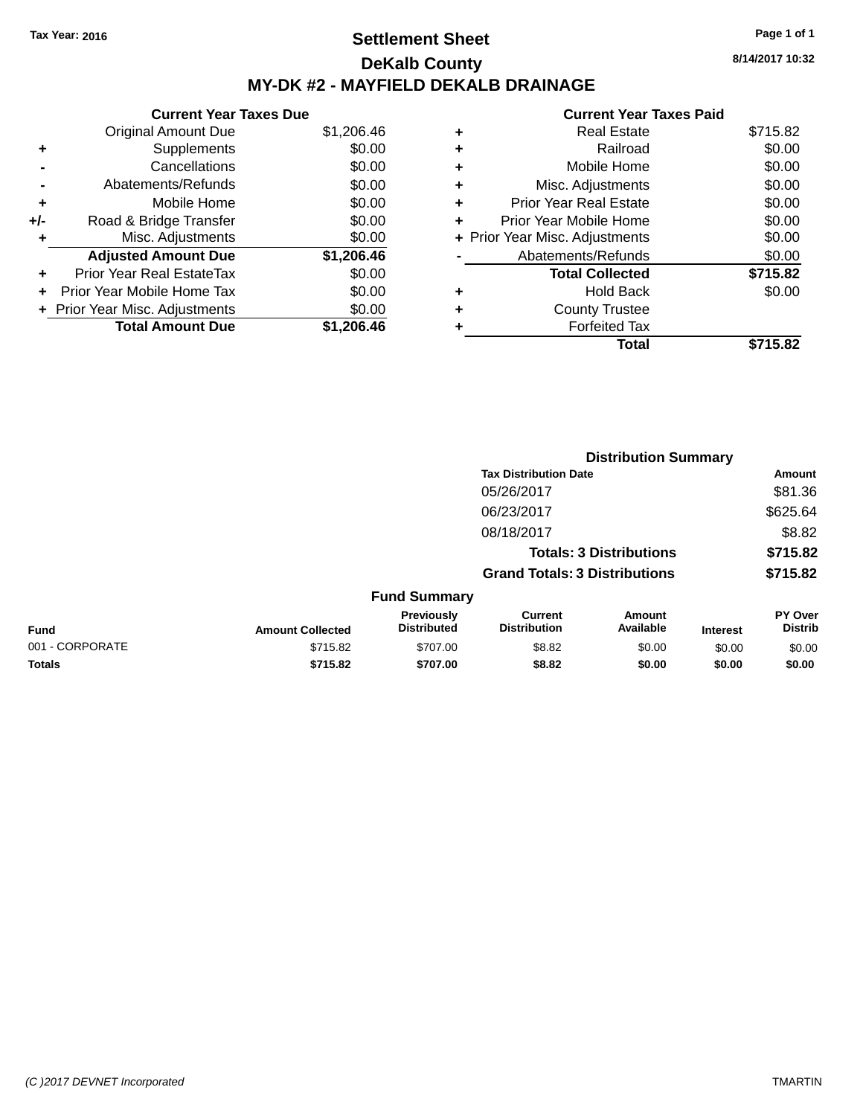# **Settlement Sheet Tax Year: 2016 Page 1 of 1 DeKalb County MY-DK #2 - MAYFIELD DEKALB DRAINAGE**

**8/14/2017 10:32**

|     | <b>Current Year Taxes Due</b>    |            |
|-----|----------------------------------|------------|
|     | <b>Original Amount Due</b>       | \$1,206.46 |
| ٠   | Supplements                      | \$0.00     |
|     | Cancellations                    | \$0.00     |
|     | Abatements/Refunds               | \$0.00     |
| ٠   | Mobile Home                      | \$0.00     |
| +/- | Road & Bridge Transfer           | \$0.00     |
|     | Misc. Adjustments                | \$0.00     |
|     | <b>Adjusted Amount Due</b>       | \$1,206.46 |
| ÷   | <b>Prior Year Real EstateTax</b> | \$0.00     |
|     | Prior Year Mobile Home Tax       | \$0.00     |
|     | + Prior Year Misc. Adjustments   | \$0.00     |
|     | <b>Total Amount Due</b>          | \$1.206.46 |

| ٠ | <b>Real Estate</b>             | \$715.82 |
|---|--------------------------------|----------|
| ٠ | Railroad                       | \$0.00   |
| ٠ | Mobile Home                    | \$0.00   |
| ٠ | Misc. Adjustments              | \$0.00   |
| ٠ | <b>Prior Year Real Estate</b>  | \$0.00   |
| ٠ | Prior Year Mobile Home         | \$0.00   |
|   | + Prior Year Misc. Adjustments | \$0.00   |
|   | Abatements/Refunds             | \$0.00   |
|   | <b>Total Collected</b>         | \$715.82 |
| ٠ | Hold Back                      | \$0.00   |
| ٠ | <b>County Trustee</b>          |          |
| ٠ | <b>Forfeited Tax</b>           |          |
|   | Total                          | \$715.82 |
|   |                                |          |

|                                |                         |                                  | <b>Distribution Summary</b>           |                     |                 |                           |
|--------------------------------|-------------------------|----------------------------------|---------------------------------------|---------------------|-----------------|---------------------------|
|                                |                         |                                  | <b>Tax Distribution Date</b>          |                     |                 | Amount                    |
|                                |                         |                                  | 05/26/2017                            |                     |                 | \$81.36                   |
|                                |                         |                                  | 06/23/2017                            |                     |                 | \$625.64                  |
|                                |                         |                                  | 08/18/2017                            |                     |                 | \$8.82                    |
| <b>Totals: 3 Distributions</b> |                         |                                  | \$715.82                              |                     |                 |                           |
|                                |                         |                                  | <b>Grand Totals: 3 Distributions</b>  |                     |                 | \$715.82                  |
|                                |                         | <b>Fund Summary</b>              |                                       |                     |                 |                           |
| <b>Fund</b>                    | <b>Amount Collected</b> | Previously<br><b>Distributed</b> | <b>Current</b><br><b>Distribution</b> | Amount<br>Available | <b>Interest</b> | PY Over<br><b>Distrib</b> |
| 001 - CORPORATE                | \$715.82                | \$707.00                         | \$8.82                                | \$0.00              | \$0.00          | \$0.00                    |
| <b>Totals</b>                  | \$715.82                | \$707.00                         | \$8.82                                | \$0.00              | \$0.00          | \$0.00                    |
|                                |                         |                                  |                                       |                     |                 |                           |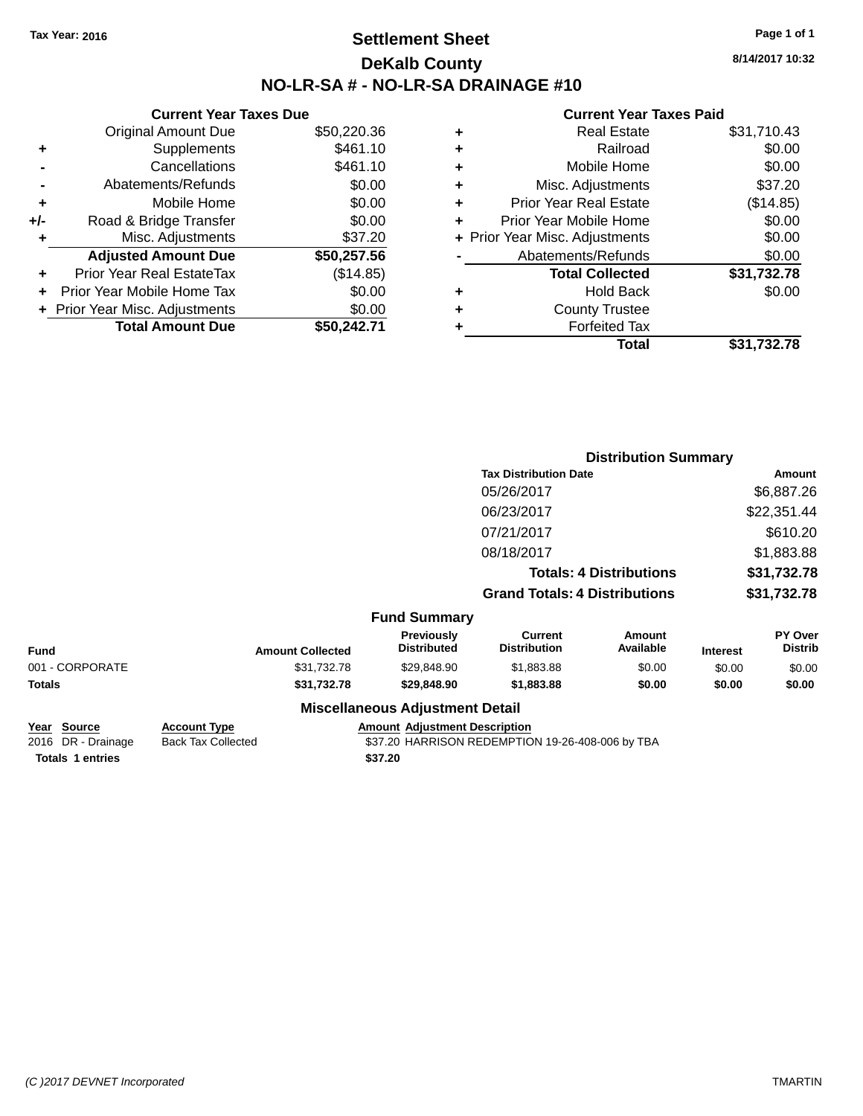# **Settlement Sheet Tax Year: 2016 Page 1 of 1 DeKalb County NO-LR-SA # - NO-LR-SA DRAINAGE #10**

**8/14/2017 10:32**

|     | <b>Current Year Taxes Due</b>  |             |
|-----|--------------------------------|-------------|
|     | <b>Original Amount Due</b>     | \$50,220.36 |
| ٠   | Supplements                    | \$461.10    |
|     | Cancellations                  | \$461.10    |
|     | Abatements/Refunds             | \$0.00      |
| ٠   | Mobile Home                    | \$0.00      |
| +/- | Road & Bridge Transfer         | \$0.00      |
| ٠   | Misc. Adjustments              | \$37.20     |
|     | <b>Adjusted Amount Due</b>     | \$50,257.56 |
| ٠   | Prior Year Real EstateTax      | (\$14.85)   |
| ÷   | Prior Year Mobile Home Tax     | \$0.00      |
|     | + Prior Year Misc. Adjustments | \$0.00      |
|     | <b>Total Amount Due</b>        | \$50.242.71 |
|     |                                |             |

| ٠ | <b>Real Estate</b>             | \$31,710.43 |
|---|--------------------------------|-------------|
| ٠ | Railroad                       | \$0.00      |
| ٠ | Mobile Home                    | \$0.00      |
| ٠ | Misc. Adjustments              | \$37.20     |
| ٠ | <b>Prior Year Real Estate</b>  | (\$14.85)   |
| ٠ | Prior Year Mobile Home         | \$0.00      |
|   | + Prior Year Misc. Adjustments | \$0.00      |
|   | Abatements/Refunds             | \$0.00      |
|   | <b>Total Collected</b>         | \$31,732.78 |
| ٠ | <b>Hold Back</b>               | \$0.00      |
| ٠ | <b>County Trustee</b>          |             |
| ٠ | <b>Forfeited Tax</b>           |             |
|   | Total                          | \$31,732.78 |
|   |                                |             |

|                 |                                |                                        | <b>Distribution Summary</b>          |                     |                 |                           |
|-----------------|--------------------------------|----------------------------------------|--------------------------------------|---------------------|-----------------|---------------------------|
|                 |                                |                                        | <b>Tax Distribution Date</b>         |                     | Amount          |                           |
|                 |                                |                                        | 05/26/2017                           |                     | \$6,887.26      |                           |
|                 |                                |                                        | 06/23/2017                           |                     | \$22,351.44     |                           |
|                 |                                |                                        | 07/21/2017                           |                     | \$610.20        |                           |
|                 |                                |                                        | 08/18/2017                           |                     |                 | \$1,883.88                |
|                 | <b>Totals: 4 Distributions</b> |                                        | \$31,732.78                          |                     |                 |                           |
|                 |                                |                                        | <b>Grand Totals: 4 Distributions</b> |                     | \$31,732.78     |                           |
|                 |                                | <b>Fund Summary</b>                    |                                      |                     |                 |                           |
| <b>Fund</b>     | <b>Amount Collected</b>        | Previously<br><b>Distributed</b>       | Current<br><b>Distribution</b>       | Amount<br>Available | <b>Interest</b> | PY Over<br><b>Distrib</b> |
| 001 - CORPORATE | \$31,732.78                    | \$29,848.90                            | \$1,883.88                           | \$0.00              | \$0.00          | \$0.00                    |
| <b>Totals</b>   | \$31,732.78                    | \$29,848.90                            | \$1,883.88                           | \$0.00              | \$0.00          | \$0.00                    |
|                 |                                | <b>Miscellaneous Adjustment Detail</b> |                                      |                     |                 |                           |

| Year Source             | <b>Account Type</b> | <b>Amount Adiustment Description</b>             |
|-------------------------|---------------------|--------------------------------------------------|
| 2016 DR - Drainage      | Back Tax Collected  | \$37.20 HARRISON REDEMPTION 19-26-408-006 by TBA |
| <b>Totals 1 entries</b> |                     | \$37.20                                          |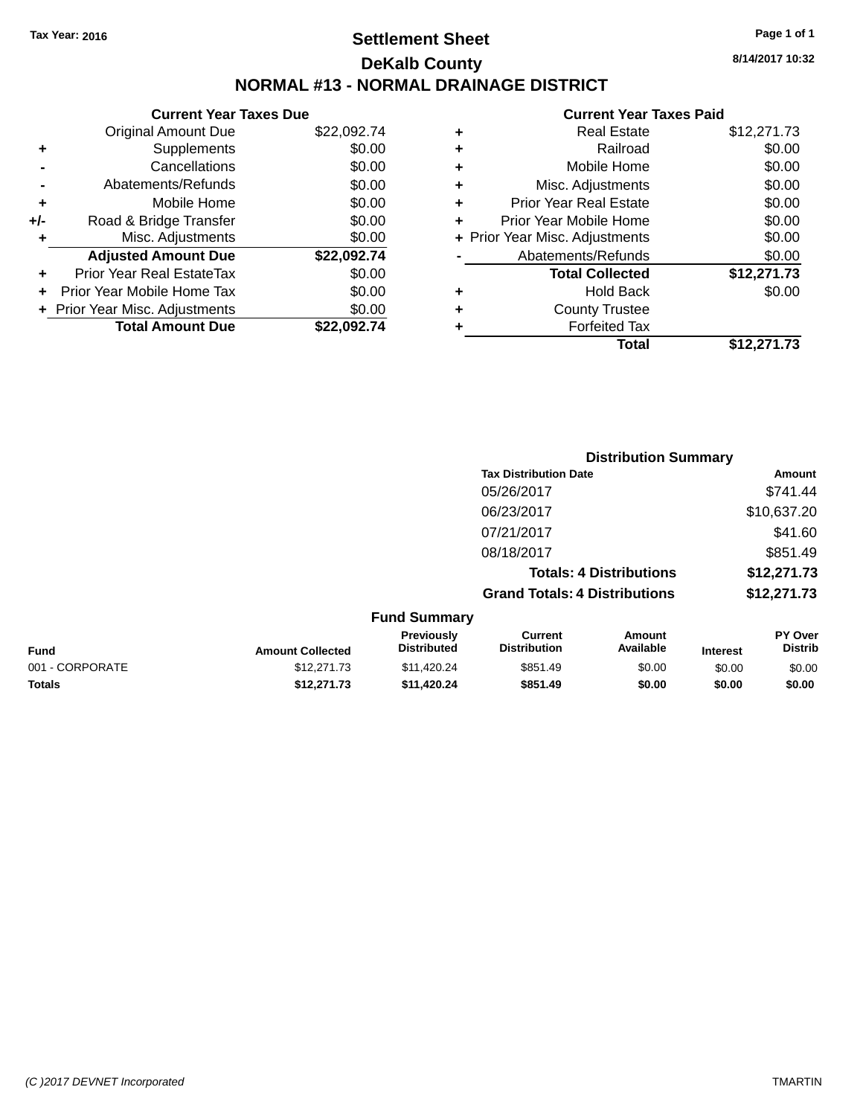# **Settlement Sheet Tax Year: 2016 Page 1 of 1 DeKalb County NORMAL #13 - NORMAL DRAINAGE DISTRICT**

**Current Year Taxes Due** Original Amount Due \$22,092.74 **+** Supplements \$0.00 **-** Cancellations \$0.00 **-** Abatements/Refunds \$0.00 **+** Mobile Home \$0.00 **+/-** Road & Bridge Transfer \$0.00 **+** Misc. Adjustments \$0.00 **Adjusted Amount Due \$22,092.74 +** Prior Year Real EstateTax \$0.00 **+** Prior Year Mobile Home Tax \$0.00 **+** Prior Year Misc. Adjustments  $$0.00$ **Total Amount Due \$22,092.74**

#### **Current Year Taxes Paid +** Real Estate \$12,271.73 **+** Railroad \$0.00 **+** Mobile Home \$0.00 **+** Misc. Adjustments \$0.00 **+** Prior Year Real Estate \$0.00 **+** Prior Year Mobile Home \$0.00 **+ Prior Year Misc. Adjustments**  $$0.00$ Abatements/Refunds \$0.00 **Total Collected \$12,271.73 +** Hold Back \$0.00 **+** County Trustee **+** Forfeited Tax **Total \$12,271.73**

**Distribution Summary**

|                 |                         |                                  | <b>Tax Distribution Date</b>          |                                |                 | Amount                    |
|-----------------|-------------------------|----------------------------------|---------------------------------------|--------------------------------|-----------------|---------------------------|
|                 |                         |                                  | 05/26/2017                            |                                |                 | \$741.44                  |
|                 |                         |                                  | 06/23/2017                            |                                |                 | \$10,637.20               |
|                 |                         |                                  | 07/21/2017                            |                                |                 | \$41.60                   |
|                 |                         |                                  | 08/18/2017                            |                                |                 | \$851.49                  |
|                 |                         |                                  |                                       | <b>Totals: 4 Distributions</b> |                 | \$12,271.73               |
|                 |                         |                                  | <b>Grand Totals: 4 Distributions</b>  |                                |                 | \$12,271.73               |
|                 |                         | <b>Fund Summary</b>              |                                       |                                |                 |                           |
| <b>Fund</b>     | <b>Amount Collected</b> | Previously<br><b>Distributed</b> | <b>Current</b><br><b>Distribution</b> | Amount<br>Available            | <b>Interest</b> | PY Over<br><b>Distrib</b> |
| 001 - CORPORATE | \$12,271.73             | \$11,420.24                      | \$851.49                              | \$0.00                         | \$0.00          | \$0.00                    |
| <b>Totals</b>   | \$12,271.73             | \$11,420.24                      | \$851.49                              | \$0.00                         | \$0.00          | \$0.00                    |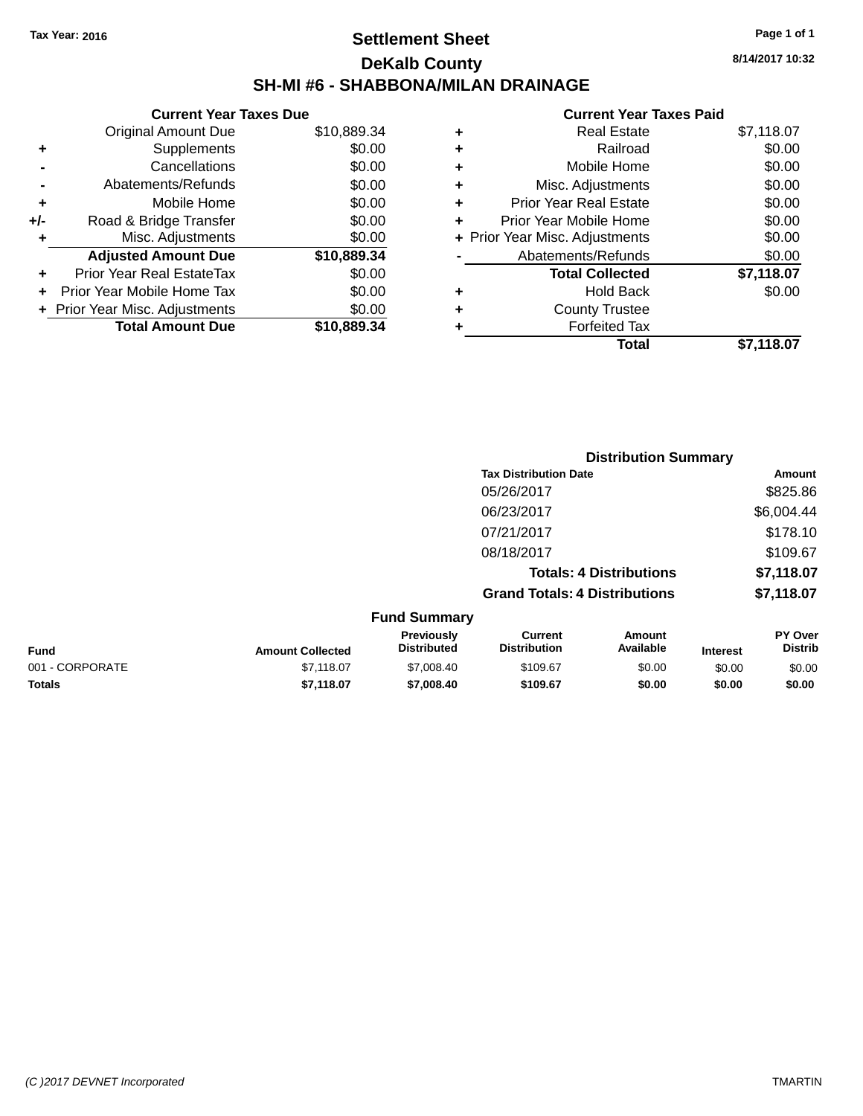# **Settlement Sheet Tax Year: 2016 Page 1 of 1 DeKalb County SH-MI #6 - SHABBONA/MILAN DRAINAGE**

**8/14/2017 10:32**

|     | <b>Current Year Taxes Due</b>  |             |
|-----|--------------------------------|-------------|
|     | Original Amount Due            | \$10,889.34 |
| ٠   | Supplements                    | \$0.00      |
|     | Cancellations                  | \$0.00      |
|     | Abatements/Refunds             | \$0.00      |
| ÷   | Mobile Home                    | \$0.00      |
| +/- | Road & Bridge Transfer         | \$0.00      |
|     | Misc. Adjustments              | \$0.00      |
|     | <b>Adjusted Amount Due</b>     | \$10,889.34 |
| ٠   | Prior Year Real EstateTax      | \$0.00      |
|     | Prior Year Mobile Home Tax     | \$0.00      |
|     | + Prior Year Misc. Adjustments | \$0.00      |
|     | <b>Total Amount Due</b>        | \$10,889.34 |
|     |                                |             |

|   | <b>Real Estate</b>             | \$7,118.07 |
|---|--------------------------------|------------|
| ٠ | Railroad                       | \$0.00     |
| ٠ | Mobile Home                    | \$0.00     |
| ٠ | Misc. Adjustments              | \$0.00     |
| ٠ | <b>Prior Year Real Estate</b>  | \$0.00     |
|   | Prior Year Mobile Home         | \$0.00     |
|   | + Prior Year Misc. Adjustments | \$0.00     |
|   | Abatements/Refunds             | \$0.00     |
|   | <b>Total Collected</b>         | \$7,118.07 |
| ٠ | <b>Hold Back</b>               | \$0.00     |
|   | <b>County Trustee</b>          |            |
| ٠ | <b>Forfeited Tax</b>           |            |
|   | Total                          | \$7.118.07 |
|   |                                |            |

|                 |                         |                                  | <b>Distribution Summary</b>           |                                |                 |                                  |
|-----------------|-------------------------|----------------------------------|---------------------------------------|--------------------------------|-----------------|----------------------------------|
|                 |                         |                                  | <b>Tax Distribution Date</b>          |                                |                 | <b>Amount</b>                    |
|                 |                         |                                  | 05/26/2017                            |                                |                 | \$825.86                         |
|                 |                         |                                  | 06/23/2017                            |                                |                 | \$6,004.44                       |
|                 |                         |                                  | 07/21/2017                            |                                |                 | \$178.10                         |
|                 |                         |                                  | 08/18/2017                            |                                |                 | \$109.67                         |
|                 |                         |                                  |                                       | <b>Totals: 4 Distributions</b> |                 | \$7,118.07                       |
|                 |                         |                                  | <b>Grand Totals: 4 Distributions</b>  |                                |                 | \$7,118.07                       |
|                 |                         | <b>Fund Summary</b>              |                                       |                                |                 |                                  |
| <b>Fund</b>     | <b>Amount Collected</b> | Previously<br><b>Distributed</b> | <b>Current</b><br><b>Distribution</b> | Amount<br>Available            | <b>Interest</b> | <b>PY Over</b><br><b>Distrib</b> |
| 001 - CORPORATE | \$7,118.07              | \$7,008.40                       | \$109.67                              | \$0.00                         | \$0.00          | \$0.00                           |
| <b>Totals</b>   | \$7,118.07              | \$7,008.40                       | \$109.67                              | \$0.00                         | \$0.00          | \$0.00                           |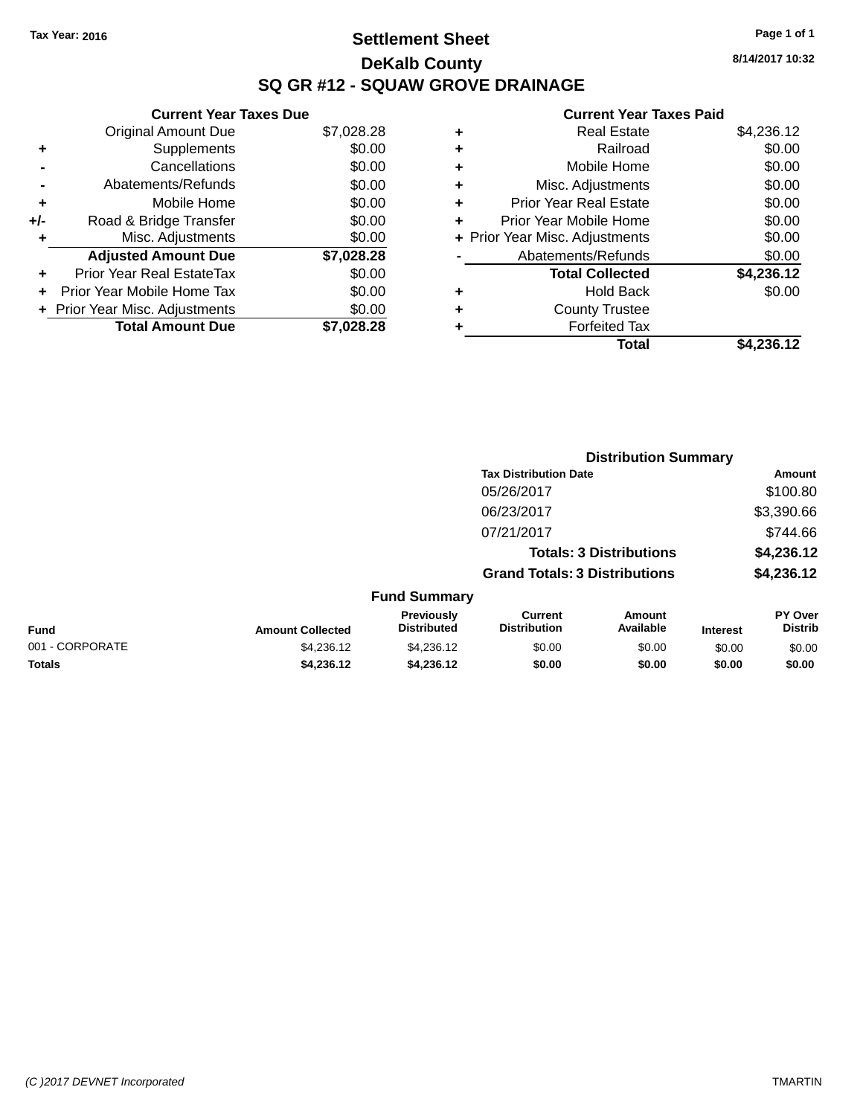# **Settlement Sheet Tax Year: 2016 Page 1 of 1 DeKalb County SQ GR #12 - SQUAW GROVE DRAINAGE**

**8/14/2017 10:32**

|     | <b>Current Year Taxes Due</b>    |            |
|-----|----------------------------------|------------|
|     | <b>Original Amount Due</b>       | \$7,028.28 |
| ÷   | Supplements                      | \$0.00     |
|     | Cancellations                    | \$0.00     |
|     | Abatements/Refunds               | \$0.00     |
| ٠   | Mobile Home                      | \$0.00     |
| +/- | Road & Bridge Transfer           | \$0.00     |
|     | Misc. Adjustments                | \$0.00     |
|     | <b>Adjusted Amount Due</b>       | \$7,028.28 |
| ÷   | <b>Prior Year Real EstateTax</b> | \$0.00     |
| ÷   | Prior Year Mobile Home Tax       | \$0.00     |
|     | + Prior Year Misc. Adjustments   | \$0.00     |
|     | <b>Total Amount Due</b>          | \$7.028.28 |

| ٠ | <b>Real Estate</b>             | \$4,236.12 |
|---|--------------------------------|------------|
| ٠ | Railroad                       | \$0.00     |
| ٠ | Mobile Home                    | \$0.00     |
| ٠ | Misc. Adjustments              | \$0.00     |
| ٠ | <b>Prior Year Real Estate</b>  | \$0.00     |
| ٠ | Prior Year Mobile Home         | \$0.00     |
|   | + Prior Year Misc. Adjustments | \$0.00     |
|   | Abatements/Refunds             | \$0.00     |
|   | <b>Total Collected</b>         | \$4,236.12 |
| ٠ | <b>Hold Back</b>               | \$0.00     |
| ٠ | <b>County Trustee</b>          |            |
| ٠ | <b>Forfeited Tax</b>           |            |
|   | Total                          | \$4,236.12 |
|   |                                |            |

|                 |                         |                                  |                                       | <b>Distribution Summary</b>    |                 |                                  |
|-----------------|-------------------------|----------------------------------|---------------------------------------|--------------------------------|-----------------|----------------------------------|
|                 |                         |                                  | <b>Tax Distribution Date</b>          |                                |                 | Amount                           |
|                 |                         |                                  | 05/26/2017                            |                                |                 | \$100.80                         |
|                 |                         |                                  | 06/23/2017                            |                                |                 | \$3,390.66                       |
|                 |                         |                                  | 07/21/2017                            |                                |                 | \$744.66                         |
|                 |                         |                                  |                                       | <b>Totals: 3 Distributions</b> |                 | \$4,236.12                       |
|                 |                         |                                  | <b>Grand Totals: 3 Distributions</b>  |                                |                 | \$4,236.12                       |
|                 |                         | <b>Fund Summary</b>              |                                       |                                |                 |                                  |
| <b>Fund</b>     | <b>Amount Collected</b> | Previously<br><b>Distributed</b> | <b>Current</b><br><b>Distribution</b> | Amount<br>Available            | <b>Interest</b> | <b>PY Over</b><br><b>Distrib</b> |
| 001 - CORPORATE | \$4,236.12              | \$4,236.12                       | \$0.00                                | \$0.00                         | \$0.00          | \$0.00                           |
| <b>Totals</b>   | \$4,236.12              | \$4,236.12                       | \$0.00                                | \$0.00                         | \$0.00          | \$0.00                           |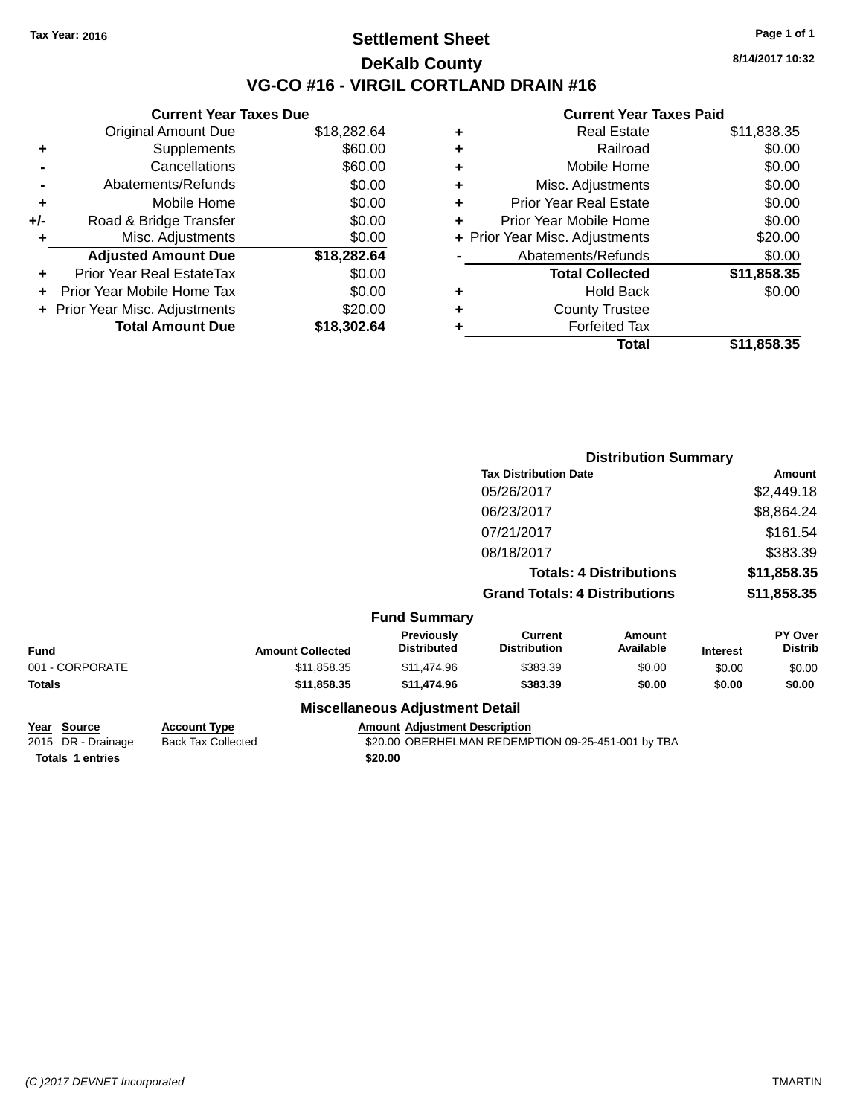## **Settlement Sheet Tax Year: 2016 Page 1 of 1 DeKalb County VG-CO #16 - VIRGIL CORTLAND DRAIN #16**

**8/14/2017 10:32**

| <b>Current Year Taxes Due</b> |                                |
|-------------------------------|--------------------------------|
| <b>Original Amount Due</b>    | \$18,282.64                    |
| Supplements                   | \$60.00                        |
| Cancellations                 | \$60.00                        |
| Abatements/Refunds            | \$0.00                         |
| Mobile Home                   | \$0.00                         |
| Road & Bridge Transfer        | \$0.00                         |
| Misc. Adjustments             | \$0.00                         |
| <b>Adjusted Amount Due</b>    | \$18,282.64                    |
| Prior Year Real EstateTax     | \$0.00                         |
| Prior Year Mobile Home Tax    | \$0.00                         |
|                               | \$20.00                        |
| <b>Total Amount Due</b>       | \$18,302.64                    |
|                               | + Prior Year Misc. Adjustments |

| ٠ | <b>Real Estate</b>             | \$11,838.35 |
|---|--------------------------------|-------------|
| ٠ | Railroad                       | \$0.00      |
| ٠ | Mobile Home                    | \$0.00      |
| ٠ | Misc. Adjustments              | \$0.00      |
| ٠ | <b>Prior Year Real Estate</b>  | \$0.00      |
| ٠ | Prior Year Mobile Home         | \$0.00      |
|   | + Prior Year Misc. Adjustments | \$20.00     |
|   | Abatements/Refunds             | \$0.00      |
|   | <b>Total Collected</b>         | \$11,858.35 |
| ٠ | Hold Back                      | \$0.00      |
| ٠ | <b>County Trustee</b>          |             |
| ٠ | <b>Forfeited Tax</b>           |             |
|   | Total                          | \$11,858.35 |
|   |                                |             |

|                 |                         |                                        |                                       | <b>Distribution Summary</b>    |                 |                           |
|-----------------|-------------------------|----------------------------------------|---------------------------------------|--------------------------------|-----------------|---------------------------|
|                 |                         |                                        | <b>Tax Distribution Date</b>          |                                |                 | Amount                    |
|                 |                         |                                        | 05/26/2017                            |                                |                 | \$2,449.18                |
|                 |                         |                                        | 06/23/2017                            |                                |                 | \$8,864.24                |
|                 |                         |                                        | 07/21/2017                            |                                |                 | \$161.54                  |
|                 |                         |                                        | 08/18/2017                            |                                |                 | \$383.39                  |
|                 |                         |                                        |                                       | <b>Totals: 4 Distributions</b> |                 | \$11,858.35               |
|                 |                         |                                        | <b>Grand Totals: 4 Distributions</b>  |                                |                 | \$11,858.35               |
|                 |                         | <b>Fund Summary</b>                    |                                       |                                |                 |                           |
| <b>Fund</b>     | <b>Amount Collected</b> | Previously<br><b>Distributed</b>       | <b>Current</b><br><b>Distribution</b> | <b>Amount</b><br>Available     | <b>Interest</b> | PY Over<br><b>Distrib</b> |
| 001 - CORPORATE | \$11,858.35             | \$11,474.96                            | \$383.39                              | \$0.00                         | \$0.00          | \$0.00                    |
| Totals          | \$11,858.35             | \$11,474.96                            | \$383.39                              | \$0.00                         | \$0.00          | \$0.00                    |
|                 |                         | <b>Miscellaneous Adjustment Detail</b> |                                       |                                |                 |                           |

| <u>Year Source</u>      | <b>Account Type</b> | <b>Amount Adjustment Description</b>               |
|-------------------------|---------------------|----------------------------------------------------|
| 2015 DR - Drainage      | Back Tax Collected  | \$20.00 OBERHELMAN REDEMPTION 09-25-451-001 by TBA |
| <b>Totals 1 entries</b> |                     | \$20.00                                            |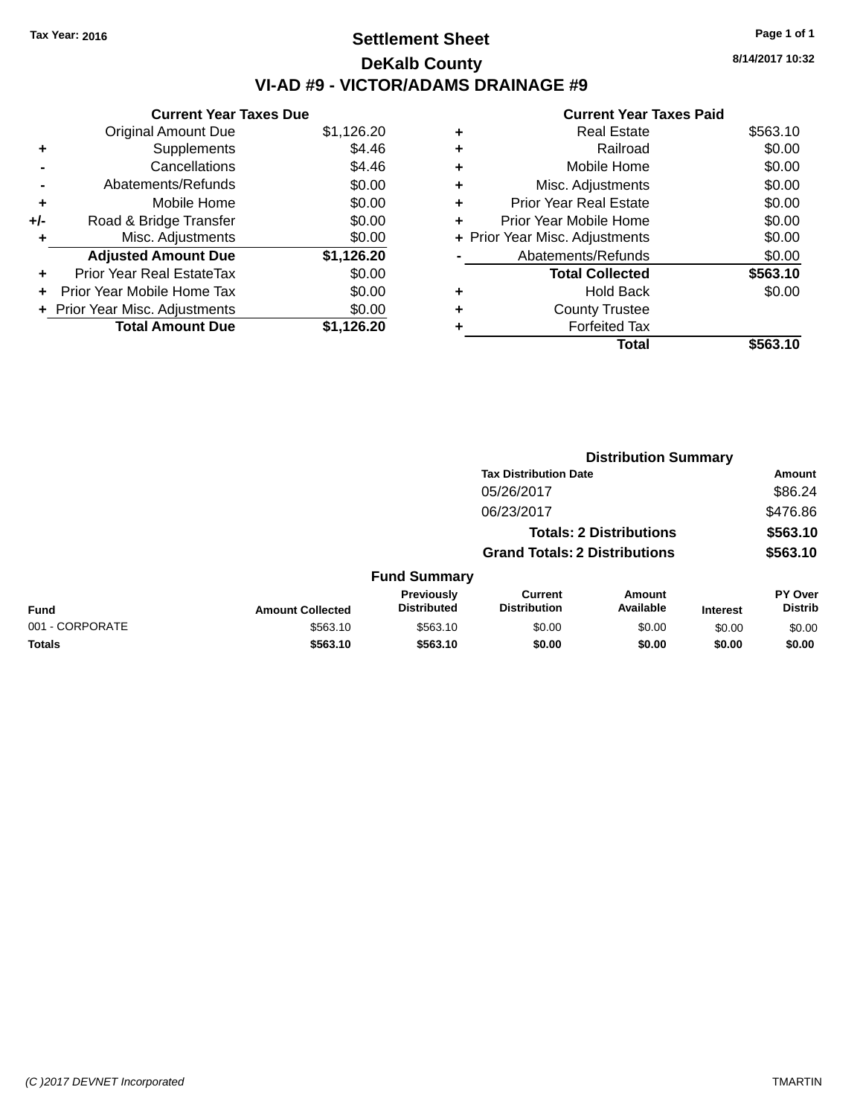# **Settlement Sheet Tax Year: 2016 Page 1 of 1 DeKalb County VI-AD #9 - VICTOR/ADAMS DRAINAGE #9**

**Current Year Taxes Due** Original Amount Due \$1,126.20 **+** Supplements \$4.46 **-** Cancellations \$4.46 **-** Abatements/Refunds \$0.00 **+** Mobile Home \$0.00 **+/-** Road & Bridge Transfer \$0.00 **+** Misc. Adjustments \$0.00 **Adjusted Amount Due \$1,126.20 +** Prior Year Real EstateTax \$0.00 **+** Prior Year Mobile Home Tax \$0.00 **+** Prior Year Misc. Adjustments  $$0.00$ **Total Amount Due \$1,126.20**

#### **Current Year Taxes Paid +** Real Estate \$563.10 **+** Railroad \$0.00 **+** Mobile Home \$0.00 **+** Misc. Adjustments \$0.00 **+** Prior Year Real Estate \$0.00 **+** Prior Year Mobile Home \$0.00 **+** Prior Year Misc. Adjustments  $$0.00$ Abatements/Refunds \$0.00 **Total Collected \$563.10 +** Hold Back \$0.00 **+** County Trustee **+** Forfeited Tax **Total \$563.10**

**Distribution Summary**

|                 |                                      |                                  | <b>Tax Distribution Date</b>   |                     |                 | Amount                           |
|-----------------|--------------------------------------|----------------------------------|--------------------------------|---------------------|-----------------|----------------------------------|
|                 |                                      |                                  | 05/26/2017                     |                     |                 | \$86.24                          |
|                 |                                      |                                  | 06/23/2017                     |                     |                 | \$476.86                         |
|                 |                                      |                                  | <b>Totals: 2 Distributions</b> |                     |                 | \$563.10                         |
|                 | <b>Grand Totals: 2 Distributions</b> |                                  |                                |                     | \$563.10        |                                  |
|                 |                                      | <b>Fund Summary</b>              |                                |                     |                 |                                  |
| Fund            | <b>Amount Collected</b>              | Previously<br><b>Distributed</b> | Current<br><b>Distribution</b> | Amount<br>Available | <b>Interest</b> | <b>PY Over</b><br><b>Distrib</b> |
| 001 - CORPORATE | \$563.10                             | \$563.10                         | \$0.00                         | \$0.00              | \$0.00          | \$0.00                           |
| <b>Totals</b>   | \$563.10                             | \$563.10                         | \$0.00                         | \$0.00              | \$0.00          | \$0.00                           |

**8/14/2017 10:32**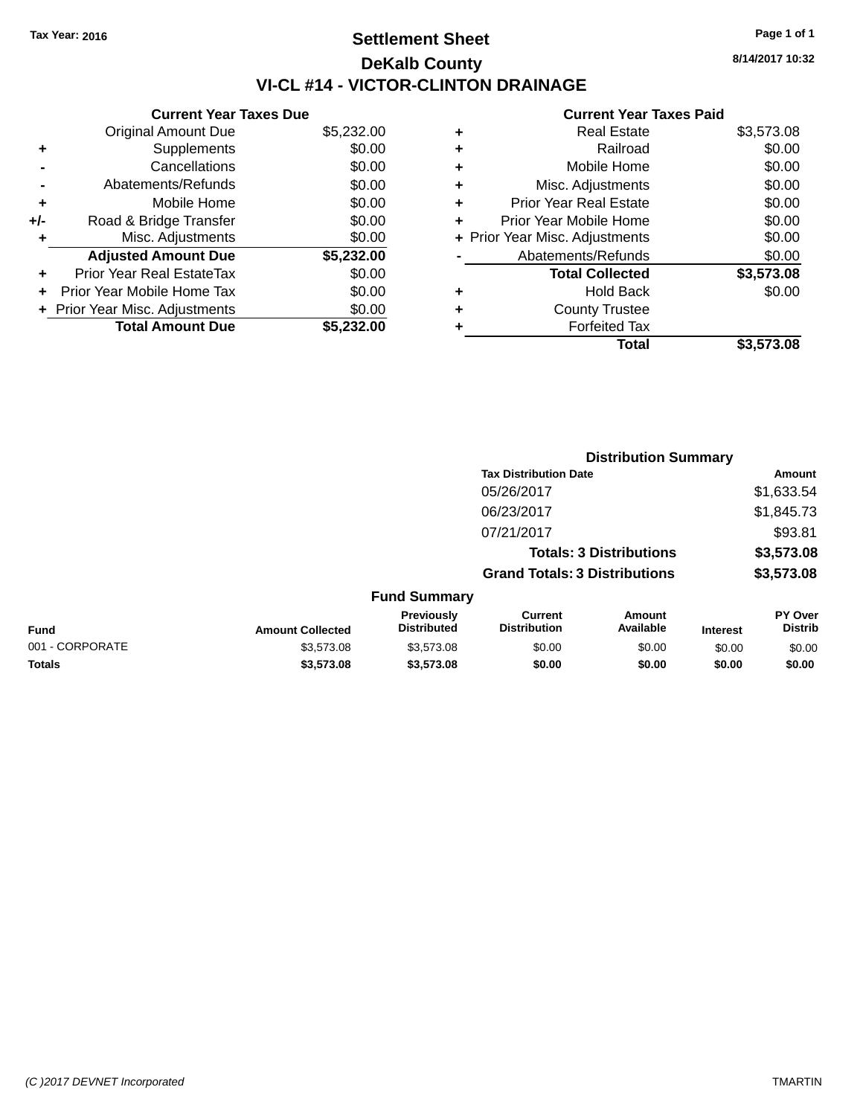# **Settlement Sheet Tax Year: 2016 Page 1 of 1 DeKalb County VI-CL #14 - VICTOR-CLINTON DRAINAGE**

**8/14/2017 10:32**

### **Current Year Taxes Paid**

|     | <b>Current Year Taxes Due</b>  |            |
|-----|--------------------------------|------------|
|     | <b>Original Amount Due</b>     | \$5,232.00 |
| ÷   | Supplements                    | \$0.00     |
|     | Cancellations                  | \$0.00     |
|     | Abatements/Refunds             | \$0.00     |
| ٠   | Mobile Home                    | \$0.00     |
| +/- | Road & Bridge Transfer         | \$0.00     |
| ٠   | Misc. Adjustments              | \$0.00     |
|     | <b>Adjusted Amount Due</b>     | \$5,232.00 |
| ÷   | Prior Year Real EstateTax      | \$0.00     |
| ÷   | Prior Year Mobile Home Tax     | \$0.00     |
|     | + Prior Year Misc. Adjustments | \$0.00     |
|     | <b>Total Amount Due</b>        | \$5.232.00 |

|   | <b>Real Estate</b>             | \$3,573.08 |
|---|--------------------------------|------------|
| ٠ | Railroad                       | \$0.00     |
| ٠ | Mobile Home                    | \$0.00     |
| ٠ | Misc. Adjustments              | \$0.00     |
| ٠ | <b>Prior Year Real Estate</b>  | \$0.00     |
| ٠ | Prior Year Mobile Home         | \$0.00     |
|   | + Prior Year Misc. Adjustments | \$0.00     |
|   | Abatements/Refunds             | \$0.00     |
|   | <b>Total Collected</b>         | \$3,573.08 |
| ٠ | <b>Hold Back</b>               | \$0.00     |
| ٠ | <b>County Trustee</b>          |            |
| ٠ | <b>Forfeited Tax</b>           |            |
|   | Total                          | \$3,573.08 |

|                 |                         |                                         | <b>Distribution Summary</b>           |                     |                 |                           |  |
|-----------------|-------------------------|-----------------------------------------|---------------------------------------|---------------------|-----------------|---------------------------|--|
|                 |                         |                                         | <b>Tax Distribution Date</b>          |                     |                 | <b>Amount</b>             |  |
|                 |                         |                                         | 05/26/2017                            |                     |                 | \$1,633.54                |  |
|                 |                         |                                         | 06/23/2017                            |                     |                 | \$1,845.73                |  |
|                 |                         |                                         | 07/21/2017                            |                     |                 | \$93.81                   |  |
|                 |                         |                                         | <b>Totals: 3 Distributions</b>        |                     |                 | \$3,573.08                |  |
|                 |                         |                                         | <b>Grand Totals: 3 Distributions</b>  |                     |                 | \$3,573.08                |  |
|                 |                         | <b>Fund Summary</b>                     |                                       |                     |                 |                           |  |
| Fund            | <b>Amount Collected</b> | <b>Previously</b><br><b>Distributed</b> | <b>Current</b><br><b>Distribution</b> | Amount<br>Available | <b>Interest</b> | PY Over<br><b>Distrib</b> |  |
| 001 - CORPORATE | \$3,573.08              | \$3,573.08                              | \$0.00                                | \$0.00              | \$0.00          | \$0.00                    |  |
| <b>Totals</b>   | \$3,573.08              | \$3,573.08                              | \$0.00                                | \$0.00              | \$0.00          | \$0.00                    |  |
|                 |                         |                                         |                                       |                     |                 |                           |  |